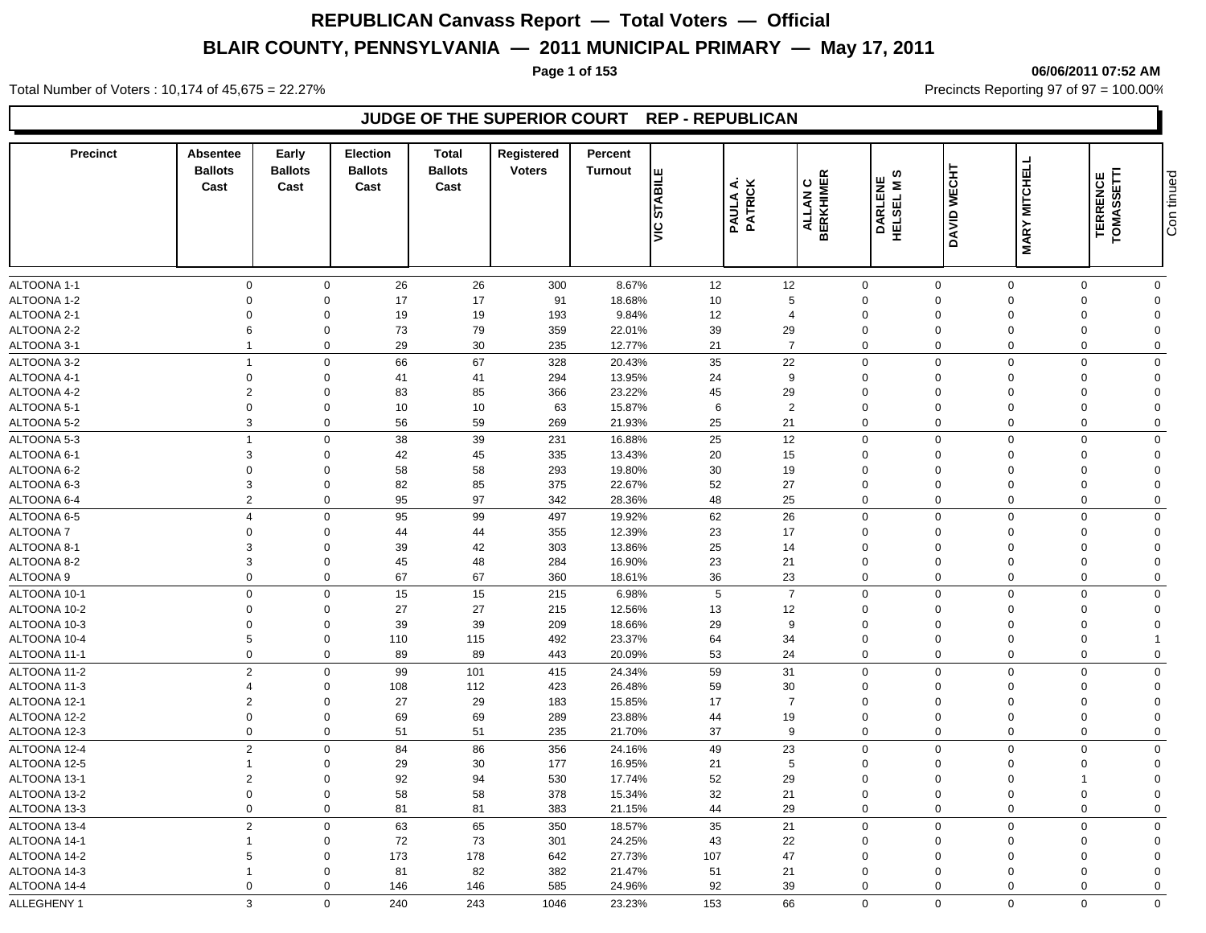### **Page 1 of 153 06/06/2011 07:52 AM**

Total Number of Voters : 10,174 of 45,675 = 22.27% **Precincts Reporting 97 of 97 = 100.00%** Precincts Reporting 97 of 97 = 100.00%

### **JUDGE OF THE SUPERIOR COURT REP - REPUBLICAN**

| $\mathbf 0$<br>26<br>300<br>8.67%<br>12<br>12<br>$\mathbf 0$<br>$\mathbf 0$<br>$\mathbf 0$<br>$\mathbf 0$<br>26<br>$\mathbf 0$<br>$\mathbf 0$<br>17<br>ALTOONA 1-2<br>$\mathbf 0$<br>$\Omega$<br>91<br>18.68%<br>5<br>$\mathbf 0$<br>17<br>10<br>$\mathbf 0$<br>$\Omega$<br>$\Omega$<br>$\Omega$<br>19<br>ALTOONA 2-1<br>19<br>193<br>9.84%<br>12<br>$\mathbf 0$<br>$\mathbf 0$<br>$\Omega$<br>$\overline{4}$<br>$\mathbf 0$<br>$\Omega$<br>$\Omega$<br>$\Omega$<br>73<br>79<br>ALTOONA 2-2<br>6<br>$\mathbf 0$<br>359<br>22.01%<br>39<br>29<br>$\mathbf 0$<br>$\Omega$<br>$\Omega$<br>$\Omega$<br>$\Omega$<br>29<br>30<br>ALTOONA 3-1<br>$\overline{1}$<br>$\mathbf 0$<br>235<br>12.77%<br>21<br>$\overline{7}$<br>$\mathbf 0$<br>$\mathbf 0$<br>$\Omega$<br>$\mathbf 0$<br>$\Omega$<br>66<br>67<br>35<br>22<br>$\mathbf 0$<br>$\Omega$<br>328<br>20.43%<br>$\mathbf 0$<br>$\Omega$<br>$\overline{1}$<br>$\Omega$<br>$\Omega$<br>$\mathbf 0$<br>41<br>294<br>13.95%<br>24<br>9<br>$\mathbf 0$<br>$\mathbf 0$<br>41<br>$\mathbf 0$<br>$\Omega$<br>$\mathbf 0$<br>$\Omega$<br>$\overline{2}$<br>85<br>23.22%<br>29<br>$\Omega$<br>83<br>366<br>45<br>$\mathbf 0$<br>$\Omega$<br>$\mathbf 0$<br>$\Omega$<br>$\Omega$<br>$\mathbf 0$<br>$\mathbf 0$<br>10<br>10<br>63<br>15.87%<br>6<br>$\overline{2}$<br>$\mathbf 0$<br>$\mathbf 0$<br>$\Omega$<br>$\Omega$<br>$\Omega$<br>3<br>59<br>25<br>21<br>$\mathbf 0$<br>56<br>269<br>21.93%<br>$\mathbf 0$<br>$\mathbf 0$<br>$\mathbf 0$<br>$\Omega$<br>$\mathbf 0$<br>$\Omega$<br>38<br>39<br>25<br>12<br>$\mathbf 0$<br>$\mathbf 0$<br>$\mathbf 0$<br>$\overline{1}$<br>231<br>16.88%<br>$\Omega$<br>$\mathbf 0$<br>3<br>42<br>45<br>335<br>13.43%<br>$\mathbf 0$<br>$\mathbf 0$<br>20<br>15<br>$\Omega$<br>$\Omega$<br>$\Omega$<br>$\Omega$<br>$\mathbf 0$<br>$\mathbf 0$<br>58<br>58<br>293<br>19.80%<br>30<br>19<br>$\mathbf 0$<br>$\Omega$<br>$\mathbf 0$<br>$\Omega$<br>$\Omega$<br>3<br>82<br>85<br>52<br>27<br>$\mathbf 0$<br>$\mathbf 0$<br>375<br>22.67%<br>$\mathbf 0$<br>$\Omega$<br>$\Omega$<br>$\Omega$<br>$\overline{2}$<br>97<br>25<br>$\mathbf 0$<br>95<br>342<br>28.36%<br>48<br>$\mathbf 0$<br>$\mathbf 0$<br>$\Omega$<br>$\mathbf 0$<br>$\Omega$<br>95<br>99<br>62<br>26<br>$\mathbf 0$<br>$\mathbf 0$<br>$\overline{4}$<br>$\mathbf 0$<br>497<br>19.92%<br>$\mathbf 0$<br>$\Omega$<br>$\Omega$<br>$\mathbf 0$<br>$\mathbf 0$<br>44<br>44<br>355<br>12.39%<br>23<br>17<br>$\mathbf 0$<br>$\Omega$<br>$\mathbf 0$<br>$\Omega$<br>$\Omega$<br>42<br>3<br>$\mathbf 0$<br>39<br>303<br>13.86%<br>25<br>14<br>$\mathbf 0$<br>$\mathbf 0$<br>$\Omega$<br>$\Omega$<br>$\Omega$<br>3<br>$\mathbf 0$<br>45<br>48<br>284<br>16.90%<br>23<br>21<br>$\mathbf 0$<br>$\mathbf 0$<br>$\overline{0}$<br>$\Omega$<br>$\Omega$<br>$\mathbf 0$<br>67<br>67<br>36<br>23<br>$\Omega$<br>360<br>$\mathbf 0$<br>$\mathbf 0$<br>$\Omega$<br>$\mathbf 0$<br>18.61%<br>$\Omega$<br>$\overline{7}$<br>$\mathbf 0$<br>$\mathbf 0$<br>15<br>15<br>215<br>6.98%<br>5<br>$\mathbf 0$<br>$\mathbf 0$<br>$\Omega$<br>$\mathbf 0$<br>$\Omega$<br>27<br>$\mathbf 0$<br>$\mathbf 0$<br>27<br>215<br>12.56%<br>13<br>12<br>$\mathbf 0$<br>$\Omega$<br>$\Omega$<br>$\Omega$<br>$\Omega$<br>39<br>$\overline{0}$<br>$\mathbf 0$<br>39<br>209<br>18.66%<br>29<br>9<br>$\mathbf 0$<br>$\mathbf 0$<br>$\Omega$<br>$\Omega$<br>$\Omega$<br>$5\phantom{.0}$<br>$\mathbf 0$<br>115<br>64<br>34<br>$\mathbf 0$<br>$\mathbf 0$<br>110<br>492<br>23.37%<br>$\Omega$<br>$\Omega$<br>$\mathbf 0$<br>$\Omega$<br>89<br>89<br>53<br>24<br>$\mathbf 0$<br>$\mathbf 0$<br>443<br>20.09%<br>$\Omega$<br>$\Omega$<br>$\mathbf 0$<br>$\overline{2}$<br>99<br>101<br>59<br>31<br>$\mathsf 0$<br>$\mathbf 0$<br>$\mathbf 0$<br>$\mathbf 0$<br>415<br>24.34%<br>$\Omega$<br>$\Omega$<br>112<br>423<br>26.48%<br>59<br>30<br>$\mathbf 0$<br>$\overline{4}$<br>$\mathbf 0$<br>108<br>$\mathbf 0$<br>$\Omega$<br>$\Omega$<br>$\Omega$<br>29<br>$\overline{2}$<br>$\mathbf 0$<br>27<br>15.85%<br>17<br>$\overline{7}$<br>$\mathbf 0$<br>183<br>$\mathbf 0$<br>$\Omega$<br>$\Omega$<br>$\Omega$<br>69<br>69<br>19<br>$\mathbf 0$<br>$\mathbf 0$<br>289<br>23.88%<br>44<br>$\pmb{0}$<br>$\overline{0}$<br>$\Omega$<br>$\Omega$<br>$\Omega$<br>$\mathbf{0}$<br>$\mathbf 0$<br>51<br>51<br>37<br>9<br>$\mathbf 0$<br>235<br>21.70%<br>$\Omega$<br>$\Omega$<br>$\mathbf 0$<br>$\mathbf 0$<br>$\overline{2}$<br>86<br>$\mathbf 0$<br>84<br>356<br>24.16%<br>49<br>23<br>$\mathbf 0$<br>$\overline{0}$<br>$\mathbf 0$<br>$\Omega$<br>$\mathbf 0$<br>30<br>29<br>16.95%<br>5<br>$\mathbf 0$<br>177<br>21<br>$\mathbf 0$<br>$\mathbf 0$<br>$\Omega$<br>$\mathbf{0}$<br>$\overline{1}$<br>$\Omega$<br>$\overline{2}$<br>$\mathbf 0$<br>92<br>94<br>52<br>29<br>$\pmb{0}$<br>530<br>17.74%<br>$\mathbf 0$<br>$\mathbf{0}$<br>$\Omega$<br>1<br>$\mathbf 0$<br>$\mathsf 0$<br>58<br>58<br>32<br>21<br>$\mathbf 0$<br>378<br>15.34%<br>$\mathbf 0$<br>$\Omega$<br>$\Omega$<br>$\Omega$<br>$\mathbf 0$<br>81<br>29<br>$\mathbf 0$<br>81<br>383<br>21.15%<br>44<br>$\mathbf 0$<br>$\Omega$<br>$\mathbf 0$<br>$\mathbf 0$<br>$\mathbf 0$<br>65<br>$\overline{2}$<br>63<br>35<br>21<br>$\mathbf 0$<br>350<br>18.57%<br>$\mathbf 0$<br>$\mathbf 0$<br>$\mathbf 0$<br>$\Omega$<br>$\Omega$<br>72<br>73<br>22<br>24.25%<br>43<br>$\pmb{0}$<br>ALTOONA 14-1<br>$\mathbf 0$<br>301<br>$\mathbf 0$<br>$\Omega$<br>$\Omega$<br>$\overline{1}$<br>$\Omega$<br>178<br>5<br>$\Omega$<br>173<br>27.73%<br>107<br>47<br>$\mathbf 0$<br>642<br>$\Omega$<br>$\Omega$<br>$\Omega$<br>$\Omega$<br>82<br>$\Omega$<br>81<br>382<br>21.47%<br>51<br>21<br>$\mathbf 0$<br>$\Omega$<br>$\overline{1}$<br>$\Omega$<br>$\Omega$<br>$\Omega$<br>92<br>39<br>$\mathbf 0$<br>$\Omega$<br>146<br>146<br>585<br>24.96%<br>$\mathbf 0$<br>$\Omega$<br>$\Omega$<br>$\mathbf 0$<br>$\Omega$<br>3<br>$\mathbf 0$<br>$\mathbf 0$<br>$\Omega$<br>240<br>243<br>153<br>66<br>$\mathbf 0$<br>$\Omega$<br>$\Omega$<br>1046<br>23.23% | <b>Precinct</b> | Absentee<br><b>Ballots</b><br>Cast | Early<br><b>Ballots</b><br>Cast | <b>Election</b><br><b>Ballots</b><br>Cast | Total<br><b>Ballots</b><br>Cast | Registered<br><b>Voters</b> | Percent<br><b>Turnout</b> | ш<br><b>STABILI</b><br>ļξ | PAULA A.<br>PATRICK | <b>ALLAN C<br/>BERKHIMER</b> | ဖာ<br><b>DARLENE<br/>HELSEL MS</b> | <b>DAVID WECHT</b> | <b>MARY MITCHELL</b> | TERRENCE<br>TOMASSETTI | Con tinued |
|---------------------------------------------------------------------------------------------------------------------------------------------------------------------------------------------------------------------------------------------------------------------------------------------------------------------------------------------------------------------------------------------------------------------------------------------------------------------------------------------------------------------------------------------------------------------------------------------------------------------------------------------------------------------------------------------------------------------------------------------------------------------------------------------------------------------------------------------------------------------------------------------------------------------------------------------------------------------------------------------------------------------------------------------------------------------------------------------------------------------------------------------------------------------------------------------------------------------------------------------------------------------------------------------------------------------------------------------------------------------------------------------------------------------------------------------------------------------------------------------------------------------------------------------------------------------------------------------------------------------------------------------------------------------------------------------------------------------------------------------------------------------------------------------------------------------------------------------------------------------------------------------------------------------------------------------------------------------------------------------------------------------------------------------------------------------------------------------------------------------------------------------------------------------------------------------------------------------------------------------------------------------------------------------------------------------------------------------------------------------------------------------------------------------------------------------------------------------------------------------------------------------------------------------------------------------------------------------------------------------------------------------------------------------------------------------------------------------------------------------------------------------------------------------------------------------------------------------------------------------------------------------------------------------------------------------------------------------------------------------------------------------------------------------------------------------------------------------------------------------------------------------------------------------------------------------------------------------------------------------------------------------------------------------------------------------------------------------------------------------------------------------------------------------------------------------------------------------------------------------------------------------------------------------------------------------------------------------------------------------------------------------------------------------------------------------------------------------------------------------------------------------------------------------------------------------------------------------------------------------------------------------------------------------------------------------------------------------------------------------------------------------------------------------------------------------------------------------------------------------------------------------------------------------------------------------------------------------------------------------------------------------------------------------------------------------------------------------------------------------------------------------------------------------------------------------------------------------------------------------------------------------------------------------------------------------------------------------------------------------------------------------------------------------------------------------------------------------------------------------------------------------------------------------------------------------------------------------------------------------------------------------------------------------------------------------------------------------------------------------------------------------------------------------------------------------------------------------------------------------------------------------------------------------------------------------------------------------------------------------------------------------------------------------------------------------------------------------------------------------------------------------------------------------------------------------------------------------------------------------------------------------------------------------------------------------------------------------------------------------------------------------------------------------------------------------------------------------------------------------------------------------------------------------------------------------------------------------------------------------------------------------------------------------------------------------------------------------------|-----------------|------------------------------------|---------------------------------|-------------------------------------------|---------------------------------|-----------------------------|---------------------------|---------------------------|---------------------|------------------------------|------------------------------------|--------------------|----------------------|------------------------|------------|
|                                                                                                                                                                                                                                                                                                                                                                                                                                                                                                                                                                                                                                                                                                                                                                                                                                                                                                                                                                                                                                                                                                                                                                                                                                                                                                                                                                                                                                                                                                                                                                                                                                                                                                                                                                                                                                                                                                                                                                                                                                                                                                                                                                                                                                                                                                                                                                                                                                                                                                                                                                                                                                                                                                                                                                                                                                                                                                                                                                                                                                                                                                                                                                                                                                                                                                                                                                                                                                                                                                                                                                                                                                                                                                                                                                                                                                                                                                                                                                                                                                                                                                                                                                                                                                                                                                                                                                                                                                                                                                                                                                                                                                                                                                                                                                                                                                                                                                                                                                                                                                                                                                                                                                                                                                                                                                                                                                                                                                                                                                                                                                                                                                                                                                                                                                                                                                                                                                                                                                           |                 |                                    |                                 |                                           |                                 |                             |                           |                           |                     |                              |                                    |                    |                      |                        |            |
|                                                                                                                                                                                                                                                                                                                                                                                                                                                                                                                                                                                                                                                                                                                                                                                                                                                                                                                                                                                                                                                                                                                                                                                                                                                                                                                                                                                                                                                                                                                                                                                                                                                                                                                                                                                                                                                                                                                                                                                                                                                                                                                                                                                                                                                                                                                                                                                                                                                                                                                                                                                                                                                                                                                                                                                                                                                                                                                                                                                                                                                                                                                                                                                                                                                                                                                                                                                                                                                                                                                                                                                                                                                                                                                                                                                                                                                                                                                                                                                                                                                                                                                                                                                                                                                                                                                                                                                                                                                                                                                                                                                                                                                                                                                                                                                                                                                                                                                                                                                                                                                                                                                                                                                                                                                                                                                                                                                                                                                                                                                                                                                                                                                                                                                                                                                                                                                                                                                                                                           | ALTOONA 1-1     |                                    |                                 |                                           |                                 |                             |                           |                           |                     |                              |                                    |                    |                      |                        |            |
|                                                                                                                                                                                                                                                                                                                                                                                                                                                                                                                                                                                                                                                                                                                                                                                                                                                                                                                                                                                                                                                                                                                                                                                                                                                                                                                                                                                                                                                                                                                                                                                                                                                                                                                                                                                                                                                                                                                                                                                                                                                                                                                                                                                                                                                                                                                                                                                                                                                                                                                                                                                                                                                                                                                                                                                                                                                                                                                                                                                                                                                                                                                                                                                                                                                                                                                                                                                                                                                                                                                                                                                                                                                                                                                                                                                                                                                                                                                                                                                                                                                                                                                                                                                                                                                                                                                                                                                                                                                                                                                                                                                                                                                                                                                                                                                                                                                                                                                                                                                                                                                                                                                                                                                                                                                                                                                                                                                                                                                                                                                                                                                                                                                                                                                                                                                                                                                                                                                                                                           |                 |                                    |                                 |                                           |                                 |                             |                           |                           |                     |                              |                                    |                    |                      |                        |            |
|                                                                                                                                                                                                                                                                                                                                                                                                                                                                                                                                                                                                                                                                                                                                                                                                                                                                                                                                                                                                                                                                                                                                                                                                                                                                                                                                                                                                                                                                                                                                                                                                                                                                                                                                                                                                                                                                                                                                                                                                                                                                                                                                                                                                                                                                                                                                                                                                                                                                                                                                                                                                                                                                                                                                                                                                                                                                                                                                                                                                                                                                                                                                                                                                                                                                                                                                                                                                                                                                                                                                                                                                                                                                                                                                                                                                                                                                                                                                                                                                                                                                                                                                                                                                                                                                                                                                                                                                                                                                                                                                                                                                                                                                                                                                                                                                                                                                                                                                                                                                                                                                                                                                                                                                                                                                                                                                                                                                                                                                                                                                                                                                                                                                                                                                                                                                                                                                                                                                                                           |                 |                                    |                                 |                                           |                                 |                             |                           |                           |                     |                              |                                    |                    |                      |                        |            |
|                                                                                                                                                                                                                                                                                                                                                                                                                                                                                                                                                                                                                                                                                                                                                                                                                                                                                                                                                                                                                                                                                                                                                                                                                                                                                                                                                                                                                                                                                                                                                                                                                                                                                                                                                                                                                                                                                                                                                                                                                                                                                                                                                                                                                                                                                                                                                                                                                                                                                                                                                                                                                                                                                                                                                                                                                                                                                                                                                                                                                                                                                                                                                                                                                                                                                                                                                                                                                                                                                                                                                                                                                                                                                                                                                                                                                                                                                                                                                                                                                                                                                                                                                                                                                                                                                                                                                                                                                                                                                                                                                                                                                                                                                                                                                                                                                                                                                                                                                                                                                                                                                                                                                                                                                                                                                                                                                                                                                                                                                                                                                                                                                                                                                                                                                                                                                                                                                                                                                                           |                 |                                    |                                 |                                           |                                 |                             |                           |                           |                     |                              |                                    |                    |                      |                        |            |
|                                                                                                                                                                                                                                                                                                                                                                                                                                                                                                                                                                                                                                                                                                                                                                                                                                                                                                                                                                                                                                                                                                                                                                                                                                                                                                                                                                                                                                                                                                                                                                                                                                                                                                                                                                                                                                                                                                                                                                                                                                                                                                                                                                                                                                                                                                                                                                                                                                                                                                                                                                                                                                                                                                                                                                                                                                                                                                                                                                                                                                                                                                                                                                                                                                                                                                                                                                                                                                                                                                                                                                                                                                                                                                                                                                                                                                                                                                                                                                                                                                                                                                                                                                                                                                                                                                                                                                                                                                                                                                                                                                                                                                                                                                                                                                                                                                                                                                                                                                                                                                                                                                                                                                                                                                                                                                                                                                                                                                                                                                                                                                                                                                                                                                                                                                                                                                                                                                                                                                           |                 |                                    |                                 |                                           |                                 |                             |                           |                           |                     |                              |                                    |                    |                      |                        |            |
|                                                                                                                                                                                                                                                                                                                                                                                                                                                                                                                                                                                                                                                                                                                                                                                                                                                                                                                                                                                                                                                                                                                                                                                                                                                                                                                                                                                                                                                                                                                                                                                                                                                                                                                                                                                                                                                                                                                                                                                                                                                                                                                                                                                                                                                                                                                                                                                                                                                                                                                                                                                                                                                                                                                                                                                                                                                                                                                                                                                                                                                                                                                                                                                                                                                                                                                                                                                                                                                                                                                                                                                                                                                                                                                                                                                                                                                                                                                                                                                                                                                                                                                                                                                                                                                                                                                                                                                                                                                                                                                                                                                                                                                                                                                                                                                                                                                                                                                                                                                                                                                                                                                                                                                                                                                                                                                                                                                                                                                                                                                                                                                                                                                                                                                                                                                                                                                                                                                                                                           | ALTOONA 3-2     |                                    |                                 |                                           |                                 |                             |                           |                           |                     |                              |                                    |                    |                      |                        |            |
|                                                                                                                                                                                                                                                                                                                                                                                                                                                                                                                                                                                                                                                                                                                                                                                                                                                                                                                                                                                                                                                                                                                                                                                                                                                                                                                                                                                                                                                                                                                                                                                                                                                                                                                                                                                                                                                                                                                                                                                                                                                                                                                                                                                                                                                                                                                                                                                                                                                                                                                                                                                                                                                                                                                                                                                                                                                                                                                                                                                                                                                                                                                                                                                                                                                                                                                                                                                                                                                                                                                                                                                                                                                                                                                                                                                                                                                                                                                                                                                                                                                                                                                                                                                                                                                                                                                                                                                                                                                                                                                                                                                                                                                                                                                                                                                                                                                                                                                                                                                                                                                                                                                                                                                                                                                                                                                                                                                                                                                                                                                                                                                                                                                                                                                                                                                                                                                                                                                                                                           | ALTOONA 4-1     |                                    |                                 |                                           |                                 |                             |                           |                           |                     |                              |                                    |                    |                      |                        |            |
|                                                                                                                                                                                                                                                                                                                                                                                                                                                                                                                                                                                                                                                                                                                                                                                                                                                                                                                                                                                                                                                                                                                                                                                                                                                                                                                                                                                                                                                                                                                                                                                                                                                                                                                                                                                                                                                                                                                                                                                                                                                                                                                                                                                                                                                                                                                                                                                                                                                                                                                                                                                                                                                                                                                                                                                                                                                                                                                                                                                                                                                                                                                                                                                                                                                                                                                                                                                                                                                                                                                                                                                                                                                                                                                                                                                                                                                                                                                                                                                                                                                                                                                                                                                                                                                                                                                                                                                                                                                                                                                                                                                                                                                                                                                                                                                                                                                                                                                                                                                                                                                                                                                                                                                                                                                                                                                                                                                                                                                                                                                                                                                                                                                                                                                                                                                                                                                                                                                                                                           | ALTOONA 4-2     |                                    |                                 |                                           |                                 |                             |                           |                           |                     |                              |                                    |                    |                      |                        |            |
|                                                                                                                                                                                                                                                                                                                                                                                                                                                                                                                                                                                                                                                                                                                                                                                                                                                                                                                                                                                                                                                                                                                                                                                                                                                                                                                                                                                                                                                                                                                                                                                                                                                                                                                                                                                                                                                                                                                                                                                                                                                                                                                                                                                                                                                                                                                                                                                                                                                                                                                                                                                                                                                                                                                                                                                                                                                                                                                                                                                                                                                                                                                                                                                                                                                                                                                                                                                                                                                                                                                                                                                                                                                                                                                                                                                                                                                                                                                                                                                                                                                                                                                                                                                                                                                                                                                                                                                                                                                                                                                                                                                                                                                                                                                                                                                                                                                                                                                                                                                                                                                                                                                                                                                                                                                                                                                                                                                                                                                                                                                                                                                                                                                                                                                                                                                                                                                                                                                                                                           | ALTOONA 5-1     |                                    |                                 |                                           |                                 |                             |                           |                           |                     |                              |                                    |                    |                      |                        |            |
|                                                                                                                                                                                                                                                                                                                                                                                                                                                                                                                                                                                                                                                                                                                                                                                                                                                                                                                                                                                                                                                                                                                                                                                                                                                                                                                                                                                                                                                                                                                                                                                                                                                                                                                                                                                                                                                                                                                                                                                                                                                                                                                                                                                                                                                                                                                                                                                                                                                                                                                                                                                                                                                                                                                                                                                                                                                                                                                                                                                                                                                                                                                                                                                                                                                                                                                                                                                                                                                                                                                                                                                                                                                                                                                                                                                                                                                                                                                                                                                                                                                                                                                                                                                                                                                                                                                                                                                                                                                                                                                                                                                                                                                                                                                                                                                                                                                                                                                                                                                                                                                                                                                                                                                                                                                                                                                                                                                                                                                                                                                                                                                                                                                                                                                                                                                                                                                                                                                                                                           | ALTOONA 5-2     |                                    |                                 |                                           |                                 |                             |                           |                           |                     |                              |                                    |                    |                      |                        |            |
|                                                                                                                                                                                                                                                                                                                                                                                                                                                                                                                                                                                                                                                                                                                                                                                                                                                                                                                                                                                                                                                                                                                                                                                                                                                                                                                                                                                                                                                                                                                                                                                                                                                                                                                                                                                                                                                                                                                                                                                                                                                                                                                                                                                                                                                                                                                                                                                                                                                                                                                                                                                                                                                                                                                                                                                                                                                                                                                                                                                                                                                                                                                                                                                                                                                                                                                                                                                                                                                                                                                                                                                                                                                                                                                                                                                                                                                                                                                                                                                                                                                                                                                                                                                                                                                                                                                                                                                                                                                                                                                                                                                                                                                                                                                                                                                                                                                                                                                                                                                                                                                                                                                                                                                                                                                                                                                                                                                                                                                                                                                                                                                                                                                                                                                                                                                                                                                                                                                                                                           | ALTOONA 5-3     |                                    |                                 |                                           |                                 |                             |                           |                           |                     |                              |                                    |                    |                      |                        |            |
|                                                                                                                                                                                                                                                                                                                                                                                                                                                                                                                                                                                                                                                                                                                                                                                                                                                                                                                                                                                                                                                                                                                                                                                                                                                                                                                                                                                                                                                                                                                                                                                                                                                                                                                                                                                                                                                                                                                                                                                                                                                                                                                                                                                                                                                                                                                                                                                                                                                                                                                                                                                                                                                                                                                                                                                                                                                                                                                                                                                                                                                                                                                                                                                                                                                                                                                                                                                                                                                                                                                                                                                                                                                                                                                                                                                                                                                                                                                                                                                                                                                                                                                                                                                                                                                                                                                                                                                                                                                                                                                                                                                                                                                                                                                                                                                                                                                                                                                                                                                                                                                                                                                                                                                                                                                                                                                                                                                                                                                                                                                                                                                                                                                                                                                                                                                                                                                                                                                                                                           | ALTOONA 6-1     |                                    |                                 |                                           |                                 |                             |                           |                           |                     |                              |                                    |                    |                      |                        |            |
|                                                                                                                                                                                                                                                                                                                                                                                                                                                                                                                                                                                                                                                                                                                                                                                                                                                                                                                                                                                                                                                                                                                                                                                                                                                                                                                                                                                                                                                                                                                                                                                                                                                                                                                                                                                                                                                                                                                                                                                                                                                                                                                                                                                                                                                                                                                                                                                                                                                                                                                                                                                                                                                                                                                                                                                                                                                                                                                                                                                                                                                                                                                                                                                                                                                                                                                                                                                                                                                                                                                                                                                                                                                                                                                                                                                                                                                                                                                                                                                                                                                                                                                                                                                                                                                                                                                                                                                                                                                                                                                                                                                                                                                                                                                                                                                                                                                                                                                                                                                                                                                                                                                                                                                                                                                                                                                                                                                                                                                                                                                                                                                                                                                                                                                                                                                                                                                                                                                                                                           | ALTOONA 6-2     |                                    |                                 |                                           |                                 |                             |                           |                           |                     |                              |                                    |                    |                      |                        |            |
|                                                                                                                                                                                                                                                                                                                                                                                                                                                                                                                                                                                                                                                                                                                                                                                                                                                                                                                                                                                                                                                                                                                                                                                                                                                                                                                                                                                                                                                                                                                                                                                                                                                                                                                                                                                                                                                                                                                                                                                                                                                                                                                                                                                                                                                                                                                                                                                                                                                                                                                                                                                                                                                                                                                                                                                                                                                                                                                                                                                                                                                                                                                                                                                                                                                                                                                                                                                                                                                                                                                                                                                                                                                                                                                                                                                                                                                                                                                                                                                                                                                                                                                                                                                                                                                                                                                                                                                                                                                                                                                                                                                                                                                                                                                                                                                                                                                                                                                                                                                                                                                                                                                                                                                                                                                                                                                                                                                                                                                                                                                                                                                                                                                                                                                                                                                                                                                                                                                                                                           | ALTOONA 6-3     |                                    |                                 |                                           |                                 |                             |                           |                           |                     |                              |                                    |                    |                      |                        |            |
|                                                                                                                                                                                                                                                                                                                                                                                                                                                                                                                                                                                                                                                                                                                                                                                                                                                                                                                                                                                                                                                                                                                                                                                                                                                                                                                                                                                                                                                                                                                                                                                                                                                                                                                                                                                                                                                                                                                                                                                                                                                                                                                                                                                                                                                                                                                                                                                                                                                                                                                                                                                                                                                                                                                                                                                                                                                                                                                                                                                                                                                                                                                                                                                                                                                                                                                                                                                                                                                                                                                                                                                                                                                                                                                                                                                                                                                                                                                                                                                                                                                                                                                                                                                                                                                                                                                                                                                                                                                                                                                                                                                                                                                                                                                                                                                                                                                                                                                                                                                                                                                                                                                                                                                                                                                                                                                                                                                                                                                                                                                                                                                                                                                                                                                                                                                                                                                                                                                                                                           | ALTOONA 6-4     |                                    |                                 |                                           |                                 |                             |                           |                           |                     |                              |                                    |                    |                      |                        |            |
|                                                                                                                                                                                                                                                                                                                                                                                                                                                                                                                                                                                                                                                                                                                                                                                                                                                                                                                                                                                                                                                                                                                                                                                                                                                                                                                                                                                                                                                                                                                                                                                                                                                                                                                                                                                                                                                                                                                                                                                                                                                                                                                                                                                                                                                                                                                                                                                                                                                                                                                                                                                                                                                                                                                                                                                                                                                                                                                                                                                                                                                                                                                                                                                                                                                                                                                                                                                                                                                                                                                                                                                                                                                                                                                                                                                                                                                                                                                                                                                                                                                                                                                                                                                                                                                                                                                                                                                                                                                                                                                                                                                                                                                                                                                                                                                                                                                                                                                                                                                                                                                                                                                                                                                                                                                                                                                                                                                                                                                                                                                                                                                                                                                                                                                                                                                                                                                                                                                                                                           | ALTOONA 6-5     |                                    |                                 |                                           |                                 |                             |                           |                           |                     |                              |                                    |                    |                      |                        |            |
|                                                                                                                                                                                                                                                                                                                                                                                                                                                                                                                                                                                                                                                                                                                                                                                                                                                                                                                                                                                                                                                                                                                                                                                                                                                                                                                                                                                                                                                                                                                                                                                                                                                                                                                                                                                                                                                                                                                                                                                                                                                                                                                                                                                                                                                                                                                                                                                                                                                                                                                                                                                                                                                                                                                                                                                                                                                                                                                                                                                                                                                                                                                                                                                                                                                                                                                                                                                                                                                                                                                                                                                                                                                                                                                                                                                                                                                                                                                                                                                                                                                                                                                                                                                                                                                                                                                                                                                                                                                                                                                                                                                                                                                                                                                                                                                                                                                                                                                                                                                                                                                                                                                                                                                                                                                                                                                                                                                                                                                                                                                                                                                                                                                                                                                                                                                                                                                                                                                                                                           | ALTOONA 7       |                                    |                                 |                                           |                                 |                             |                           |                           |                     |                              |                                    |                    |                      |                        |            |
|                                                                                                                                                                                                                                                                                                                                                                                                                                                                                                                                                                                                                                                                                                                                                                                                                                                                                                                                                                                                                                                                                                                                                                                                                                                                                                                                                                                                                                                                                                                                                                                                                                                                                                                                                                                                                                                                                                                                                                                                                                                                                                                                                                                                                                                                                                                                                                                                                                                                                                                                                                                                                                                                                                                                                                                                                                                                                                                                                                                                                                                                                                                                                                                                                                                                                                                                                                                                                                                                                                                                                                                                                                                                                                                                                                                                                                                                                                                                                                                                                                                                                                                                                                                                                                                                                                                                                                                                                                                                                                                                                                                                                                                                                                                                                                                                                                                                                                                                                                                                                                                                                                                                                                                                                                                                                                                                                                                                                                                                                                                                                                                                                                                                                                                                                                                                                                                                                                                                                                           | ALTOONA 8-1     |                                    |                                 |                                           |                                 |                             |                           |                           |                     |                              |                                    |                    |                      |                        |            |
|                                                                                                                                                                                                                                                                                                                                                                                                                                                                                                                                                                                                                                                                                                                                                                                                                                                                                                                                                                                                                                                                                                                                                                                                                                                                                                                                                                                                                                                                                                                                                                                                                                                                                                                                                                                                                                                                                                                                                                                                                                                                                                                                                                                                                                                                                                                                                                                                                                                                                                                                                                                                                                                                                                                                                                                                                                                                                                                                                                                                                                                                                                                                                                                                                                                                                                                                                                                                                                                                                                                                                                                                                                                                                                                                                                                                                                                                                                                                                                                                                                                                                                                                                                                                                                                                                                                                                                                                                                                                                                                                                                                                                                                                                                                                                                                                                                                                                                                                                                                                                                                                                                                                                                                                                                                                                                                                                                                                                                                                                                                                                                                                                                                                                                                                                                                                                                                                                                                                                                           | ALTOONA 8-2     |                                    |                                 |                                           |                                 |                             |                           |                           |                     |                              |                                    |                    |                      |                        |            |
|                                                                                                                                                                                                                                                                                                                                                                                                                                                                                                                                                                                                                                                                                                                                                                                                                                                                                                                                                                                                                                                                                                                                                                                                                                                                                                                                                                                                                                                                                                                                                                                                                                                                                                                                                                                                                                                                                                                                                                                                                                                                                                                                                                                                                                                                                                                                                                                                                                                                                                                                                                                                                                                                                                                                                                                                                                                                                                                                                                                                                                                                                                                                                                                                                                                                                                                                                                                                                                                                                                                                                                                                                                                                                                                                                                                                                                                                                                                                                                                                                                                                                                                                                                                                                                                                                                                                                                                                                                                                                                                                                                                                                                                                                                                                                                                                                                                                                                                                                                                                                                                                                                                                                                                                                                                                                                                                                                                                                                                                                                                                                                                                                                                                                                                                                                                                                                                                                                                                                                           | ALTOONA 9       |                                    |                                 |                                           |                                 |                             |                           |                           |                     |                              |                                    |                    |                      |                        |            |
|                                                                                                                                                                                                                                                                                                                                                                                                                                                                                                                                                                                                                                                                                                                                                                                                                                                                                                                                                                                                                                                                                                                                                                                                                                                                                                                                                                                                                                                                                                                                                                                                                                                                                                                                                                                                                                                                                                                                                                                                                                                                                                                                                                                                                                                                                                                                                                                                                                                                                                                                                                                                                                                                                                                                                                                                                                                                                                                                                                                                                                                                                                                                                                                                                                                                                                                                                                                                                                                                                                                                                                                                                                                                                                                                                                                                                                                                                                                                                                                                                                                                                                                                                                                                                                                                                                                                                                                                                                                                                                                                                                                                                                                                                                                                                                                                                                                                                                                                                                                                                                                                                                                                                                                                                                                                                                                                                                                                                                                                                                                                                                                                                                                                                                                                                                                                                                                                                                                                                                           | ALTOONA 10-1    |                                    |                                 |                                           |                                 |                             |                           |                           |                     |                              |                                    |                    |                      |                        |            |
|                                                                                                                                                                                                                                                                                                                                                                                                                                                                                                                                                                                                                                                                                                                                                                                                                                                                                                                                                                                                                                                                                                                                                                                                                                                                                                                                                                                                                                                                                                                                                                                                                                                                                                                                                                                                                                                                                                                                                                                                                                                                                                                                                                                                                                                                                                                                                                                                                                                                                                                                                                                                                                                                                                                                                                                                                                                                                                                                                                                                                                                                                                                                                                                                                                                                                                                                                                                                                                                                                                                                                                                                                                                                                                                                                                                                                                                                                                                                                                                                                                                                                                                                                                                                                                                                                                                                                                                                                                                                                                                                                                                                                                                                                                                                                                                                                                                                                                                                                                                                                                                                                                                                                                                                                                                                                                                                                                                                                                                                                                                                                                                                                                                                                                                                                                                                                                                                                                                                                                           | ALTOONA 10-2    |                                    |                                 |                                           |                                 |                             |                           |                           |                     |                              |                                    |                    |                      |                        |            |
|                                                                                                                                                                                                                                                                                                                                                                                                                                                                                                                                                                                                                                                                                                                                                                                                                                                                                                                                                                                                                                                                                                                                                                                                                                                                                                                                                                                                                                                                                                                                                                                                                                                                                                                                                                                                                                                                                                                                                                                                                                                                                                                                                                                                                                                                                                                                                                                                                                                                                                                                                                                                                                                                                                                                                                                                                                                                                                                                                                                                                                                                                                                                                                                                                                                                                                                                                                                                                                                                                                                                                                                                                                                                                                                                                                                                                                                                                                                                                                                                                                                                                                                                                                                                                                                                                                                                                                                                                                                                                                                                                                                                                                                                                                                                                                                                                                                                                                                                                                                                                                                                                                                                                                                                                                                                                                                                                                                                                                                                                                                                                                                                                                                                                                                                                                                                                                                                                                                                                                           | ALTOONA 10-3    |                                    |                                 |                                           |                                 |                             |                           |                           |                     |                              |                                    |                    |                      |                        |            |
|                                                                                                                                                                                                                                                                                                                                                                                                                                                                                                                                                                                                                                                                                                                                                                                                                                                                                                                                                                                                                                                                                                                                                                                                                                                                                                                                                                                                                                                                                                                                                                                                                                                                                                                                                                                                                                                                                                                                                                                                                                                                                                                                                                                                                                                                                                                                                                                                                                                                                                                                                                                                                                                                                                                                                                                                                                                                                                                                                                                                                                                                                                                                                                                                                                                                                                                                                                                                                                                                                                                                                                                                                                                                                                                                                                                                                                                                                                                                                                                                                                                                                                                                                                                                                                                                                                                                                                                                                                                                                                                                                                                                                                                                                                                                                                                                                                                                                                                                                                                                                                                                                                                                                                                                                                                                                                                                                                                                                                                                                                                                                                                                                                                                                                                                                                                                                                                                                                                                                                           | ALTOONA 10-4    |                                    |                                 |                                           |                                 |                             |                           |                           |                     |                              |                                    |                    |                      |                        |            |
|                                                                                                                                                                                                                                                                                                                                                                                                                                                                                                                                                                                                                                                                                                                                                                                                                                                                                                                                                                                                                                                                                                                                                                                                                                                                                                                                                                                                                                                                                                                                                                                                                                                                                                                                                                                                                                                                                                                                                                                                                                                                                                                                                                                                                                                                                                                                                                                                                                                                                                                                                                                                                                                                                                                                                                                                                                                                                                                                                                                                                                                                                                                                                                                                                                                                                                                                                                                                                                                                                                                                                                                                                                                                                                                                                                                                                                                                                                                                                                                                                                                                                                                                                                                                                                                                                                                                                                                                                                                                                                                                                                                                                                                                                                                                                                                                                                                                                                                                                                                                                                                                                                                                                                                                                                                                                                                                                                                                                                                                                                                                                                                                                                                                                                                                                                                                                                                                                                                                                                           | ALTOONA 11-1    |                                    |                                 |                                           |                                 |                             |                           |                           |                     |                              |                                    |                    |                      |                        |            |
|                                                                                                                                                                                                                                                                                                                                                                                                                                                                                                                                                                                                                                                                                                                                                                                                                                                                                                                                                                                                                                                                                                                                                                                                                                                                                                                                                                                                                                                                                                                                                                                                                                                                                                                                                                                                                                                                                                                                                                                                                                                                                                                                                                                                                                                                                                                                                                                                                                                                                                                                                                                                                                                                                                                                                                                                                                                                                                                                                                                                                                                                                                                                                                                                                                                                                                                                                                                                                                                                                                                                                                                                                                                                                                                                                                                                                                                                                                                                                                                                                                                                                                                                                                                                                                                                                                                                                                                                                                                                                                                                                                                                                                                                                                                                                                                                                                                                                                                                                                                                                                                                                                                                                                                                                                                                                                                                                                                                                                                                                                                                                                                                                                                                                                                                                                                                                                                                                                                                                                           | ALTOONA 11-2    |                                    |                                 |                                           |                                 |                             |                           |                           |                     |                              |                                    |                    |                      |                        |            |
|                                                                                                                                                                                                                                                                                                                                                                                                                                                                                                                                                                                                                                                                                                                                                                                                                                                                                                                                                                                                                                                                                                                                                                                                                                                                                                                                                                                                                                                                                                                                                                                                                                                                                                                                                                                                                                                                                                                                                                                                                                                                                                                                                                                                                                                                                                                                                                                                                                                                                                                                                                                                                                                                                                                                                                                                                                                                                                                                                                                                                                                                                                                                                                                                                                                                                                                                                                                                                                                                                                                                                                                                                                                                                                                                                                                                                                                                                                                                                                                                                                                                                                                                                                                                                                                                                                                                                                                                                                                                                                                                                                                                                                                                                                                                                                                                                                                                                                                                                                                                                                                                                                                                                                                                                                                                                                                                                                                                                                                                                                                                                                                                                                                                                                                                                                                                                                                                                                                                                                           | ALTOONA 11-3    |                                    |                                 |                                           |                                 |                             |                           |                           |                     |                              |                                    |                    |                      |                        |            |
|                                                                                                                                                                                                                                                                                                                                                                                                                                                                                                                                                                                                                                                                                                                                                                                                                                                                                                                                                                                                                                                                                                                                                                                                                                                                                                                                                                                                                                                                                                                                                                                                                                                                                                                                                                                                                                                                                                                                                                                                                                                                                                                                                                                                                                                                                                                                                                                                                                                                                                                                                                                                                                                                                                                                                                                                                                                                                                                                                                                                                                                                                                                                                                                                                                                                                                                                                                                                                                                                                                                                                                                                                                                                                                                                                                                                                                                                                                                                                                                                                                                                                                                                                                                                                                                                                                                                                                                                                                                                                                                                                                                                                                                                                                                                                                                                                                                                                                                                                                                                                                                                                                                                                                                                                                                                                                                                                                                                                                                                                                                                                                                                                                                                                                                                                                                                                                                                                                                                                                           | ALTOONA 12-1    |                                    |                                 |                                           |                                 |                             |                           |                           |                     |                              |                                    |                    |                      |                        |            |
|                                                                                                                                                                                                                                                                                                                                                                                                                                                                                                                                                                                                                                                                                                                                                                                                                                                                                                                                                                                                                                                                                                                                                                                                                                                                                                                                                                                                                                                                                                                                                                                                                                                                                                                                                                                                                                                                                                                                                                                                                                                                                                                                                                                                                                                                                                                                                                                                                                                                                                                                                                                                                                                                                                                                                                                                                                                                                                                                                                                                                                                                                                                                                                                                                                                                                                                                                                                                                                                                                                                                                                                                                                                                                                                                                                                                                                                                                                                                                                                                                                                                                                                                                                                                                                                                                                                                                                                                                                                                                                                                                                                                                                                                                                                                                                                                                                                                                                                                                                                                                                                                                                                                                                                                                                                                                                                                                                                                                                                                                                                                                                                                                                                                                                                                                                                                                                                                                                                                                                           | ALTOONA 12-2    |                                    |                                 |                                           |                                 |                             |                           |                           |                     |                              |                                    |                    |                      |                        |            |
|                                                                                                                                                                                                                                                                                                                                                                                                                                                                                                                                                                                                                                                                                                                                                                                                                                                                                                                                                                                                                                                                                                                                                                                                                                                                                                                                                                                                                                                                                                                                                                                                                                                                                                                                                                                                                                                                                                                                                                                                                                                                                                                                                                                                                                                                                                                                                                                                                                                                                                                                                                                                                                                                                                                                                                                                                                                                                                                                                                                                                                                                                                                                                                                                                                                                                                                                                                                                                                                                                                                                                                                                                                                                                                                                                                                                                                                                                                                                                                                                                                                                                                                                                                                                                                                                                                                                                                                                                                                                                                                                                                                                                                                                                                                                                                                                                                                                                                                                                                                                                                                                                                                                                                                                                                                                                                                                                                                                                                                                                                                                                                                                                                                                                                                                                                                                                                                                                                                                                                           | ALTOONA 12-3    |                                    |                                 |                                           |                                 |                             |                           |                           |                     |                              |                                    |                    |                      |                        |            |
|                                                                                                                                                                                                                                                                                                                                                                                                                                                                                                                                                                                                                                                                                                                                                                                                                                                                                                                                                                                                                                                                                                                                                                                                                                                                                                                                                                                                                                                                                                                                                                                                                                                                                                                                                                                                                                                                                                                                                                                                                                                                                                                                                                                                                                                                                                                                                                                                                                                                                                                                                                                                                                                                                                                                                                                                                                                                                                                                                                                                                                                                                                                                                                                                                                                                                                                                                                                                                                                                                                                                                                                                                                                                                                                                                                                                                                                                                                                                                                                                                                                                                                                                                                                                                                                                                                                                                                                                                                                                                                                                                                                                                                                                                                                                                                                                                                                                                                                                                                                                                                                                                                                                                                                                                                                                                                                                                                                                                                                                                                                                                                                                                                                                                                                                                                                                                                                                                                                                                                           | ALTOONA 12-4    |                                    |                                 |                                           |                                 |                             |                           |                           |                     |                              |                                    |                    |                      |                        |            |
|                                                                                                                                                                                                                                                                                                                                                                                                                                                                                                                                                                                                                                                                                                                                                                                                                                                                                                                                                                                                                                                                                                                                                                                                                                                                                                                                                                                                                                                                                                                                                                                                                                                                                                                                                                                                                                                                                                                                                                                                                                                                                                                                                                                                                                                                                                                                                                                                                                                                                                                                                                                                                                                                                                                                                                                                                                                                                                                                                                                                                                                                                                                                                                                                                                                                                                                                                                                                                                                                                                                                                                                                                                                                                                                                                                                                                                                                                                                                                                                                                                                                                                                                                                                                                                                                                                                                                                                                                                                                                                                                                                                                                                                                                                                                                                                                                                                                                                                                                                                                                                                                                                                                                                                                                                                                                                                                                                                                                                                                                                                                                                                                                                                                                                                                                                                                                                                                                                                                                                           | ALTOONA 12-5    |                                    |                                 |                                           |                                 |                             |                           |                           |                     |                              |                                    |                    |                      |                        |            |
|                                                                                                                                                                                                                                                                                                                                                                                                                                                                                                                                                                                                                                                                                                                                                                                                                                                                                                                                                                                                                                                                                                                                                                                                                                                                                                                                                                                                                                                                                                                                                                                                                                                                                                                                                                                                                                                                                                                                                                                                                                                                                                                                                                                                                                                                                                                                                                                                                                                                                                                                                                                                                                                                                                                                                                                                                                                                                                                                                                                                                                                                                                                                                                                                                                                                                                                                                                                                                                                                                                                                                                                                                                                                                                                                                                                                                                                                                                                                                                                                                                                                                                                                                                                                                                                                                                                                                                                                                                                                                                                                                                                                                                                                                                                                                                                                                                                                                                                                                                                                                                                                                                                                                                                                                                                                                                                                                                                                                                                                                                                                                                                                                                                                                                                                                                                                                                                                                                                                                                           | ALTOONA 13-1    |                                    |                                 |                                           |                                 |                             |                           |                           |                     |                              |                                    |                    |                      |                        |            |
|                                                                                                                                                                                                                                                                                                                                                                                                                                                                                                                                                                                                                                                                                                                                                                                                                                                                                                                                                                                                                                                                                                                                                                                                                                                                                                                                                                                                                                                                                                                                                                                                                                                                                                                                                                                                                                                                                                                                                                                                                                                                                                                                                                                                                                                                                                                                                                                                                                                                                                                                                                                                                                                                                                                                                                                                                                                                                                                                                                                                                                                                                                                                                                                                                                                                                                                                                                                                                                                                                                                                                                                                                                                                                                                                                                                                                                                                                                                                                                                                                                                                                                                                                                                                                                                                                                                                                                                                                                                                                                                                                                                                                                                                                                                                                                                                                                                                                                                                                                                                                                                                                                                                                                                                                                                                                                                                                                                                                                                                                                                                                                                                                                                                                                                                                                                                                                                                                                                                                                           | ALTOONA 13-2    |                                    |                                 |                                           |                                 |                             |                           |                           |                     |                              |                                    |                    |                      |                        |            |
|                                                                                                                                                                                                                                                                                                                                                                                                                                                                                                                                                                                                                                                                                                                                                                                                                                                                                                                                                                                                                                                                                                                                                                                                                                                                                                                                                                                                                                                                                                                                                                                                                                                                                                                                                                                                                                                                                                                                                                                                                                                                                                                                                                                                                                                                                                                                                                                                                                                                                                                                                                                                                                                                                                                                                                                                                                                                                                                                                                                                                                                                                                                                                                                                                                                                                                                                                                                                                                                                                                                                                                                                                                                                                                                                                                                                                                                                                                                                                                                                                                                                                                                                                                                                                                                                                                                                                                                                                                                                                                                                                                                                                                                                                                                                                                                                                                                                                                                                                                                                                                                                                                                                                                                                                                                                                                                                                                                                                                                                                                                                                                                                                                                                                                                                                                                                                                                                                                                                                                           | ALTOONA 13-3    |                                    |                                 |                                           |                                 |                             |                           |                           |                     |                              |                                    |                    |                      |                        |            |
|                                                                                                                                                                                                                                                                                                                                                                                                                                                                                                                                                                                                                                                                                                                                                                                                                                                                                                                                                                                                                                                                                                                                                                                                                                                                                                                                                                                                                                                                                                                                                                                                                                                                                                                                                                                                                                                                                                                                                                                                                                                                                                                                                                                                                                                                                                                                                                                                                                                                                                                                                                                                                                                                                                                                                                                                                                                                                                                                                                                                                                                                                                                                                                                                                                                                                                                                                                                                                                                                                                                                                                                                                                                                                                                                                                                                                                                                                                                                                                                                                                                                                                                                                                                                                                                                                                                                                                                                                                                                                                                                                                                                                                                                                                                                                                                                                                                                                                                                                                                                                                                                                                                                                                                                                                                                                                                                                                                                                                                                                                                                                                                                                                                                                                                                                                                                                                                                                                                                                                           | ALTOONA 13-4    |                                    |                                 |                                           |                                 |                             |                           |                           |                     |                              |                                    |                    |                      |                        |            |
|                                                                                                                                                                                                                                                                                                                                                                                                                                                                                                                                                                                                                                                                                                                                                                                                                                                                                                                                                                                                                                                                                                                                                                                                                                                                                                                                                                                                                                                                                                                                                                                                                                                                                                                                                                                                                                                                                                                                                                                                                                                                                                                                                                                                                                                                                                                                                                                                                                                                                                                                                                                                                                                                                                                                                                                                                                                                                                                                                                                                                                                                                                                                                                                                                                                                                                                                                                                                                                                                                                                                                                                                                                                                                                                                                                                                                                                                                                                                                                                                                                                                                                                                                                                                                                                                                                                                                                                                                                                                                                                                                                                                                                                                                                                                                                                                                                                                                                                                                                                                                                                                                                                                                                                                                                                                                                                                                                                                                                                                                                                                                                                                                                                                                                                                                                                                                                                                                                                                                                           |                 |                                    |                                 |                                           |                                 |                             |                           |                           |                     |                              |                                    |                    |                      |                        |            |
|                                                                                                                                                                                                                                                                                                                                                                                                                                                                                                                                                                                                                                                                                                                                                                                                                                                                                                                                                                                                                                                                                                                                                                                                                                                                                                                                                                                                                                                                                                                                                                                                                                                                                                                                                                                                                                                                                                                                                                                                                                                                                                                                                                                                                                                                                                                                                                                                                                                                                                                                                                                                                                                                                                                                                                                                                                                                                                                                                                                                                                                                                                                                                                                                                                                                                                                                                                                                                                                                                                                                                                                                                                                                                                                                                                                                                                                                                                                                                                                                                                                                                                                                                                                                                                                                                                                                                                                                                                                                                                                                                                                                                                                                                                                                                                                                                                                                                                                                                                                                                                                                                                                                                                                                                                                                                                                                                                                                                                                                                                                                                                                                                                                                                                                                                                                                                                                                                                                                                                           | ALTOONA 14-2    |                                    |                                 |                                           |                                 |                             |                           |                           |                     |                              |                                    |                    |                      |                        |            |
|                                                                                                                                                                                                                                                                                                                                                                                                                                                                                                                                                                                                                                                                                                                                                                                                                                                                                                                                                                                                                                                                                                                                                                                                                                                                                                                                                                                                                                                                                                                                                                                                                                                                                                                                                                                                                                                                                                                                                                                                                                                                                                                                                                                                                                                                                                                                                                                                                                                                                                                                                                                                                                                                                                                                                                                                                                                                                                                                                                                                                                                                                                                                                                                                                                                                                                                                                                                                                                                                                                                                                                                                                                                                                                                                                                                                                                                                                                                                                                                                                                                                                                                                                                                                                                                                                                                                                                                                                                                                                                                                                                                                                                                                                                                                                                                                                                                                                                                                                                                                                                                                                                                                                                                                                                                                                                                                                                                                                                                                                                                                                                                                                                                                                                                                                                                                                                                                                                                                                                           | ALTOONA 14-3    |                                    |                                 |                                           |                                 |                             |                           |                           |                     |                              |                                    |                    |                      |                        |            |
|                                                                                                                                                                                                                                                                                                                                                                                                                                                                                                                                                                                                                                                                                                                                                                                                                                                                                                                                                                                                                                                                                                                                                                                                                                                                                                                                                                                                                                                                                                                                                                                                                                                                                                                                                                                                                                                                                                                                                                                                                                                                                                                                                                                                                                                                                                                                                                                                                                                                                                                                                                                                                                                                                                                                                                                                                                                                                                                                                                                                                                                                                                                                                                                                                                                                                                                                                                                                                                                                                                                                                                                                                                                                                                                                                                                                                                                                                                                                                                                                                                                                                                                                                                                                                                                                                                                                                                                                                                                                                                                                                                                                                                                                                                                                                                                                                                                                                                                                                                                                                                                                                                                                                                                                                                                                                                                                                                                                                                                                                                                                                                                                                                                                                                                                                                                                                                                                                                                                                                           | ALTOONA 14-4    |                                    |                                 |                                           |                                 |                             |                           |                           |                     |                              |                                    |                    |                      |                        |            |
|                                                                                                                                                                                                                                                                                                                                                                                                                                                                                                                                                                                                                                                                                                                                                                                                                                                                                                                                                                                                                                                                                                                                                                                                                                                                                                                                                                                                                                                                                                                                                                                                                                                                                                                                                                                                                                                                                                                                                                                                                                                                                                                                                                                                                                                                                                                                                                                                                                                                                                                                                                                                                                                                                                                                                                                                                                                                                                                                                                                                                                                                                                                                                                                                                                                                                                                                                                                                                                                                                                                                                                                                                                                                                                                                                                                                                                                                                                                                                                                                                                                                                                                                                                                                                                                                                                                                                                                                                                                                                                                                                                                                                                                                                                                                                                                                                                                                                                                                                                                                                                                                                                                                                                                                                                                                                                                                                                                                                                                                                                                                                                                                                                                                                                                                                                                                                                                                                                                                                                           | ALLEGHENY 1     |                                    |                                 |                                           |                                 |                             |                           |                           |                     |                              |                                    |                    |                      |                        |            |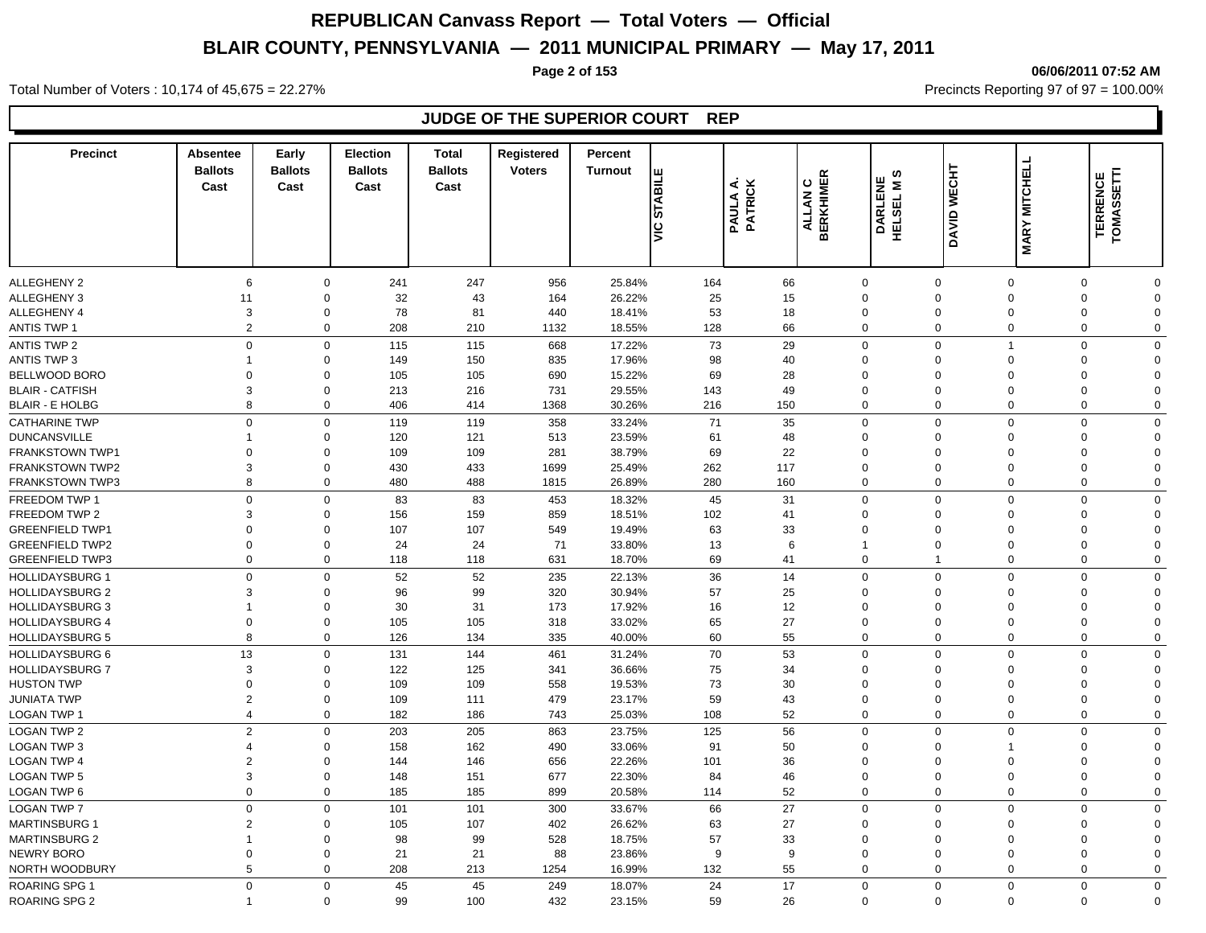**Page 2 of 153 06/06/2011 07:52 AM**

Total Number of Voters : 10,174 of 45,675 = 22.27% **Precincts Reporting 97 of 97 = 100.00%** Precincts Reporting 97 of 97 = 100.00%

## **JUDGE OF THE SUPERIOR COURT REP**

| <b>Precinct</b>                                  | Absentee<br><b>Ballots</b><br>Cast | Early<br><b>Ballots</b><br>Cast | <b>Election</b><br><b>Ballots</b><br>Cast | <b>Total</b><br><b>Ballots</b><br>Cast | Registered<br><b>Voters</b> | Percent<br><b>Turnout</b> | Щ<br><b>STABILI</b><br>lš | <b>PAULA A.<br/>PATRICK</b> | ALLAN C<br>BERKHIMER | ဖာ<br>DARLENE<br>HELSEL M S | DAVID WECHT                 | <b>MARY MITCHELL</b>       | TOMASSETTI<br><b>TERRENCE</b> |                         |
|--------------------------------------------------|------------------------------------|---------------------------------|-------------------------------------------|----------------------------------------|-----------------------------|---------------------------|---------------------------|-----------------------------|----------------------|-----------------------------|-----------------------------|----------------------------|-------------------------------|-------------------------|
|                                                  |                                    |                                 |                                           |                                        |                             |                           |                           |                             |                      |                             |                             |                            |                               |                         |
| <b>ALLEGHENY 2</b>                               | 6                                  | 0                               | 241                                       | 247                                    | 956                         | 25.84%                    | 164                       | 66                          |                      | $\mathbf 0$                 | $\mathbf{0}$                | $\mathbf 0$                | 0                             | $\Omega$                |
| <b>ALLEGHENY 3</b>                               | 11                                 | $\mathbf 0$                     | 32                                        | 43                                     | 164                         | 26.22%                    | 25                        | 15                          |                      | $\mathbf 0$                 | $\mathbf{0}$                | $\Omega$                   | $\mathbf 0$                   | $\Omega$                |
| ALLEGHENY 4<br><b>ANTIS TWP 1</b>                | 3<br>2                             | 0<br>$\mathbf 0$                | 78<br>208                                 | 81                                     | 440<br>1132                 | 18.41%                    | 53<br>128                 | 18<br>66                    |                      | $\mathbf 0$<br>$\mathbf 0$  | $\mathbf{0}$<br>$\mathbf 0$ | $\mathbf 0$<br>$\mathbf 0$ | 0<br>$\mathbf 0$              | $\Omega$<br>$\Omega$    |
|                                                  |                                    |                                 |                                           | 210                                    |                             | 18.55%                    |                           |                             |                      |                             |                             |                            |                               |                         |
| ANTIS TWP 2                                      | $\mathbf 0$<br>1                   | 0                               | 115                                       | 115                                    | 668                         | 17.22%                    | 73                        | 29                          |                      | $\mathbf 0$                 | $\mathbf 0$<br>$\Omega$     | $\overline{1}$<br>$\Omega$ | $\mathbf 0$                   | $\mathbf 0$             |
| <b>ANTIS TWP 3</b>                               |                                    | 0                               | 149                                       | 150                                    | 835                         | 17.96%                    | 98                        | 40                          |                      | $\mathbf 0$                 |                             |                            | 0                             | $\Omega$                |
| BELLWOOD BORO                                    | $\mathbf 0$<br>3                   | $\mathbf 0$                     | 105                                       | 105                                    | 690                         | 15.22%                    | 69                        | 28                          |                      | $\mathbf 0$                 | $\mathbf 0$<br>$\Omega$     | $\Omega$<br>$\Omega$       | 0<br>$\Omega$                 | $\Omega$<br>$\Omega$    |
| <b>BLAIR - CATFISH</b><br><b>BLAIR - E HOLBG</b> | 8                                  | $\mathbf 0$<br>$\mathbf 0$      | 213<br>406                                | 216<br>414                             | 731<br>1368                 | 29.55%<br>30.26%          | 143<br>216                | 49<br>150                   |                      | $\mathbf 0$<br>$\mathbf 0$  | $\mathbf 0$                 | $\overline{0}$             | $\mathbf 0$                   | $\mathbf 0$             |
|                                                  |                                    |                                 |                                           |                                        |                             |                           |                           |                             |                      |                             |                             |                            |                               |                         |
| <b>CATHARINE TWP</b>                             | $\Omega$                           | $\mathbf 0$                     | 119                                       | 119                                    | 358                         | 33.24%                    | 71                        | 35                          |                      | $\mathbf 0$                 | $\mathbf 0$                 | $\Omega$                   | $\mathbf 0$                   | $\Omega$                |
| <b>DUNCANSVILLE</b><br><b>FRANKSTOWN TWP1</b>    | -1<br>$\Omega$                     | $\mathbf 0$<br>$\Omega$         | 120<br>109                                | 121<br>109                             | 513<br>281                  | 23.59%<br>38.79%          | 61<br>69                  | 48                          |                      | $\mathbf 0$<br>$\mathbf 0$  | $\mathbf 0$<br>$\Omega$     | $\Omega$<br>$\Omega$       | $\mathbf 0$<br>$\Omega$       | $\Omega$<br>$\Omega$    |
| <b>FRANKSTOWN TWP2</b>                           | 3                                  | $\mathbf 0$                     | 430                                       | 433                                    | 1699                        | 25.49%                    | 262                       | 22<br>117                   |                      | $\mathbf 0$                 | $\Omega$                    | $\Omega$                   | $\mathbf 0$                   | $\Omega$                |
| <b>FRANKSTOWN TWP3</b>                           | 8                                  | $\mathbf 0$                     | 480                                       | 488                                    | 1815                        | 26.89%                    | 280                       | 160                         |                      | $\mathbf 0$                 | $\mathbf 0$                 | $\mathbf 0$                | $\mathbf 0$                   | $\Omega$                |
|                                                  |                                    |                                 |                                           |                                        |                             |                           |                           |                             |                      |                             |                             |                            |                               |                         |
| FREEDOM TWP 1                                    | $\overline{0}$                     | 0                               | 83                                        | 83                                     | 453                         | 18.32%                    | 45                        | 31                          |                      | $\mathbf 0$                 | $\mathbf 0$                 | $\mathbf 0$                | $\mathbf 0$                   | $\mathbf 0$             |
| FREEDOM TWP 2<br><b>GREENFIELD TWP1</b>          | 3<br>$\Omega$                      | $\mathbf 0$<br>$\Omega$         | 156                                       | 159<br>107                             | 859                         | 18.51%                    | 102                       | 41                          |                      | $\mathbf 0$<br>$\mathbf 0$  | $\Omega$<br>$\Omega$        | $\Omega$<br>$\Omega$       | 0<br>$\mathbf 0$              | $\Omega$<br>$\Omega$    |
| <b>GREENFIELD TWP2</b>                           | $\overline{0}$                     | $\Omega$                        | 107<br>24                                 | 24                                     | 549<br>71                   | 19.49%<br>33.80%          | 63<br>13                  | 33                          | 6                    | $\mathbf{1}$                | $\Omega$                    | $\Omega$                   | $\mathbf 0$                   | $\Omega$                |
| <b>GREENFIELD TWP3</b>                           | $\overline{0}$                     | $\mathbf 0$                     | 118                                       | 118                                    | 631                         | 18.70%                    | 69                        | 41                          |                      | $\mathbf 0$                 |                             | $\mathbf 0$                | $\mathbf 0$                   | $\Omega$                |
|                                                  |                                    |                                 |                                           |                                        |                             |                           |                           |                             |                      |                             |                             | $\Omega$                   |                               |                         |
| <b>HOLLIDAYSBURG 1</b>                           | $\Omega$<br>3                      | 0<br>$\Omega$                   | 52                                        | 52                                     | 235                         | 22.13%                    | 36                        | 14                          |                      | $\mathbf 0$                 | $\mathbf 0$<br>$\Omega$     |                            | $\mathbf 0$<br>$\Omega$       | $\Omega$<br>$\Omega$    |
| <b>HOLLIDAYSBURG 2</b>                           |                                    |                                 | 96                                        | 99                                     | 320                         | 30.94%                    | 57                        | 25                          |                      | $\mathbf 0$                 |                             | $\Omega$<br>$\Omega$       | $\Omega$                      |                         |
| <b>HOLLIDAYSBURG 3</b>                           | 1<br>$\mathbf 0$                   | $\mathbf 0$                     | 30                                        | 31                                     | 173                         | 17.92%                    | 16                        | 12                          |                      | $\mathbf 0$<br>$\mathbf 0$  | $\Omega$<br>$\mathbf 0$     | $\mathbf 0$                |                               | $\Omega$<br>$\mathbf 0$ |
| <b>HOLLIDAYSBURG 4</b><br><b>HOLLIDAYSBURG 5</b> | 8                                  | 0<br>0                          | 105<br>126                                | 105<br>134                             | 318<br>335                  | 33.02%<br>40.00%          | 65<br>60                  | 27<br>55                    |                      | $\mathbf 0$                 | $\mathbf 0$                 | $\mathbf 0$                | 0<br>0                        | $\mathbf 0$             |
|                                                  |                                    |                                 |                                           |                                        |                             |                           |                           |                             |                      |                             |                             |                            |                               |                         |
| <b>HOLLIDAYSBURG 6</b>                           | 13<br>3                            | $\mathbf 0$                     | 131                                       | 144                                    | 461                         | 31.24%                    | 70                        | 53                          |                      | $\mathbf 0$                 | $\mathbf 0$                 | $\mathbf 0$                | $\mathbf 0$                   | $\mathbf 0$             |
| <b>HOLLIDAYSBURG 7</b><br><b>HUSTON TWP</b>      | $\Omega$                           | $\Omega$<br>$\Omega$            | 122<br>109                                | 125<br>109                             | 341                         | 36.66%<br>19.53%          | 75<br>73                  | 34<br>30                    |                      | $\mathbf 0$<br>$\mathbf 0$  | $\Omega$<br>$\Omega$        | $\Omega$<br>$\Omega$       | $\Omega$<br>$\mathbf 0$       | $\Omega$<br>$\Omega$    |
| <b>JUNIATA TWP</b>                               | $\overline{2}$                     | $\mathbf 0$                     | 109                                       | 111                                    | 558<br>479                  | 23.17%                    | 59                        | 43                          |                      | $\mathbf 0$                 | $\Omega$                    | $\overline{0}$             | $\mathbf 0$                   | $\Omega$                |
| LOGAN TWP 1                                      | $\overline{4}$                     | $\mathbf 0$                     | 182                                       | 186                                    | 743                         | 25.03%                    | 108                       | 52                          |                      | $\mathbf{0}$                | $\Omega$                    | $\Omega$                   | $\mathbf 0$                   | $\Omega$                |
| <b>LOGAN TWP 2</b>                               | $\overline{2}$                     | $\mathbf 0$                     | 203                                       | 205                                    | 863                         | 23.75%                    | 125                       | 56                          |                      | $\mathbf 0$                 | $\mathbf 0$                 | $\Omega$                   | $\mathbf 0$                   | $\Omega$                |
| <b>LOGAN TWP 3</b>                               | $\overline{4}$                     | $\Omega$                        | 158                                       | 162                                    | 490                         | 33.06%                    | 91                        | 50                          |                      | $\mathbf 0$                 | $\Omega$                    | 1                          | $\Omega$                      | $\Omega$                |
| <b>LOGAN TWP 4</b>                               | $\overline{2}$                     | $\mathbf 0$                     | 144                                       | 146                                    | 656                         | 22.26%                    | 101                       | 36                          |                      | $\mathbf 0$                 | $\Omega$                    | $\Omega$                   | $\mathbf 0$                   | $\Omega$                |
| <b>LOGAN TWP 5</b>                               | 3                                  | $\mathbf 0$                     | 148                                       | 151                                    | 677                         | 22.30%                    | 84                        | 46                          |                      | $\mathbf 0$                 | $\mathbf 0$                 | $\overline{0}$             | $\mathbf 0$                   | $\Omega$                |
| <b>LOGAN TWP 6</b>                               | $\overline{0}$                     | $\mathbf 0$                     | 185                                       | 185                                    | 899                         | 20.58%                    | 114                       | 52                          |                      | $\mathbf 0$                 | $\mathbf 0$                 | $\overline{0}$             | $\mathbf 0$                   | $\mathbf 0$             |
| <b>LOGAN TWP 7</b>                               | $\Omega$                           | $\mathbf 0$                     | 101                                       | 101                                    |                             |                           | 66                        | 27                          |                      | $\mathbf 0$                 | $\Omega$                    | $\Omega$                   | $\mathbf 0$                   | $\Omega$                |
| <b>MARTINSBURG 1</b>                             | $\overline{2}$                     | 0                               | 105                                       | 107                                    | 300<br>402                  | 33.67%<br>26.62%          | 63                        | 27                          |                      | $\mathbf 0$                 | $\Omega$                    | $\Omega$                   | 0                             | $\Omega$                |
| <b>MARTINSBURG 2</b>                             | $\overline{1}$                     | $\mathbf 0$                     | 98                                        | 99                                     | 528                         | 18.75%                    | 57                        | 33                          |                      | $\mathbf 0$                 | $\mathbf 0$                 | $\mathbf 0$                | 0                             | $\mathbf 0$             |
| NEWRY BORO                                       | $\mathbf 0$                        | $\mathbf 0$                     | 21                                        | 21                                     | 88                          | 23.86%                    | 9                         |                             | 9                    | $\mathbf 0$                 | $\mathbf 0$                 | $\mathbf 0$                | 0                             | $\Omega$                |
| NORTH WOODBURY                                   | 5                                  | $\mathbf 0$                     | 208                                       | 213                                    | 1254                        | 16.99%                    | 132                       | 55                          |                      | $\mathbf 0$                 | $\mathbf 0$                 | $\mathbf 0$                | 0                             | $\mathbf 0$             |
| ROARING SPG 1                                    | $\Omega$                           | $\mathbf 0$                     | 45                                        | 45                                     | 249                         | 18.07%                    | 24                        | 17                          |                      | $\mathbf 0$                 | $\mathbf 0$                 | $\Omega$                   | $\mathbf 0$                   | $\Omega$                |
| <b>ROARING SPG 2</b>                             |                                    | $\Omega$                        | 99                                        | 100                                    | 432                         | 23.15%                    | 59                        | 26                          |                      | $\Omega$                    | $\mathbf 0$                 | $\mathbf 0$                | $\mathbf 0$                   | $\Omega$                |
|                                                  |                                    |                                 |                                           |                                        |                             |                           |                           |                             |                      |                             |                             |                            |                               |                         |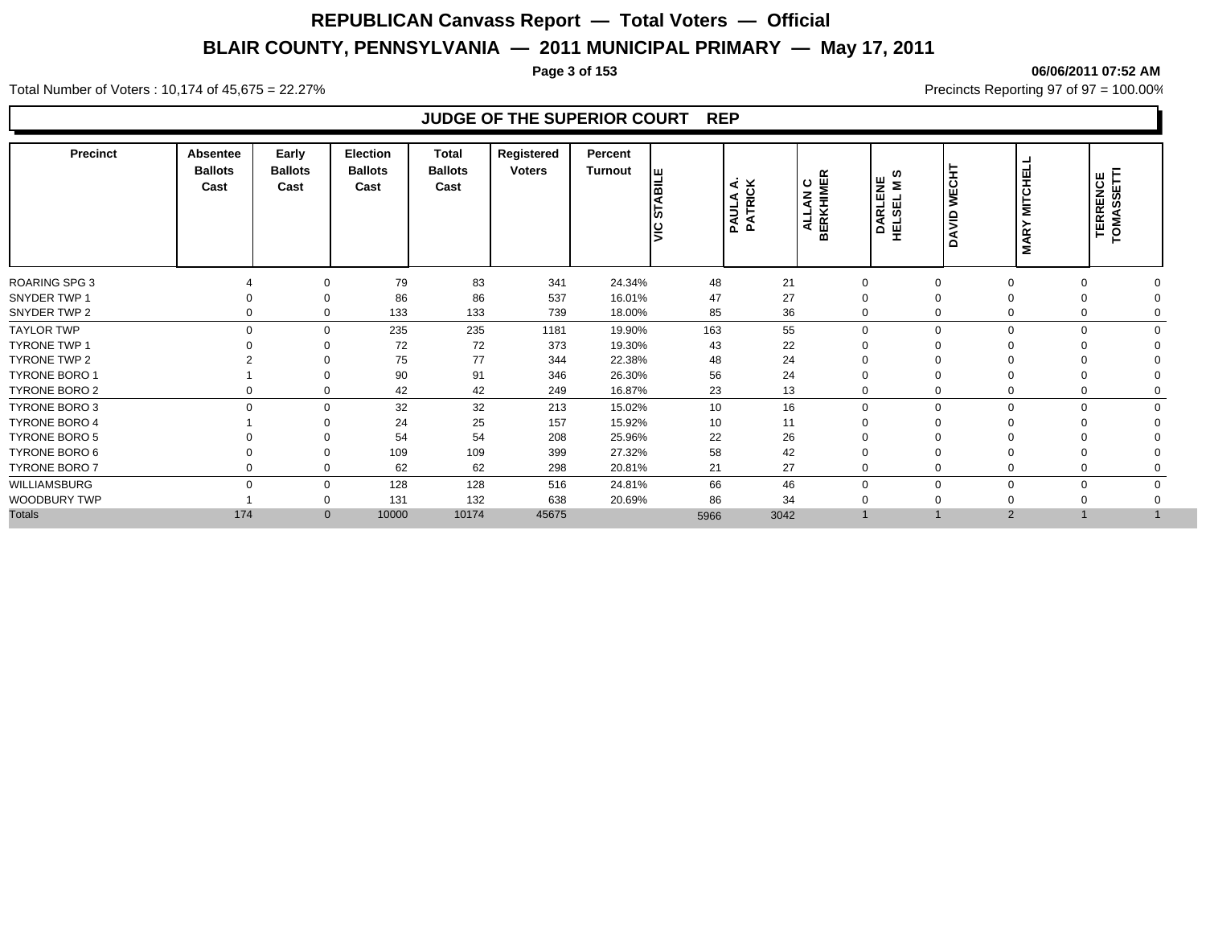**Page 3 of 153 06/06/2011 07:52 AM**

Total Number of Voters : 10,174 of 45,675 = 22.27% **Precincts Reporting 97 of 97 = 100.00%** Precincts Reporting 97 of 97 = 100.00%

## **JUDGE OF THE SUPERIOR COURT REP**

| <b>Precinct</b>      | Absentee<br><b>Ballots</b><br>Cast | Early<br><b>Ballots</b><br>Cast | Election<br><b>Ballots</b><br>Cast | Total<br><b>Ballots</b><br>Cast | Registered<br><b>Voters</b> | Percent<br>Turnout | <b>BILE</b><br>৷ব<br>١ç<br>lg | PAULA A.<br>PATRICK<br>PAULA | <b>ALLAN C<br/>BERKHIMER</b> | ဖာ<br>DARLENE<br>HELSEL M S | <b>WECHT</b><br><b>OIVAO</b> | <b>MILCHELT</b><br><b>MARY</b> | <b>TERRENCE<br/>TOMASSETTI</b> |
|----------------------|------------------------------------|---------------------------------|------------------------------------|---------------------------------|-----------------------------|--------------------|-------------------------------|------------------------------|------------------------------|-----------------------------|------------------------------|--------------------------------|--------------------------------|
| <b>ROARING SPG 3</b> |                                    | $\Omega$                        | 79                                 | 83                              | 341                         | 24.34%             | 48                            | 21                           | $\mathbf 0$                  |                             | $\Omega$                     | 0                              |                                |
| SNYDER TWP 1         |                                    | $\Omega$                        | 86                                 | 86                              | 537                         | 16.01%             | 47                            | 27                           | $\mathbf 0$                  |                             |                              |                                |                                |
| SNYDER TWP 2         | $\Omega$                           | $\Omega$                        | 133                                | 133                             | 739                         | 18.00%             | 85                            | 36                           | $\Omega$                     |                             | $\Omega$                     | 0                              |                                |
| <b>TAYLOR TWP</b>    | $\Omega$                           | $\Omega$                        | 235                                | 235                             | 1181                        | 19.90%             | 163                           | 55                           | $\mathbf 0$                  | U                           | $\Omega$                     | $\Omega$                       |                                |
| <b>TYRONE TWP 1</b>  |                                    | $\Omega$                        | 72                                 | 72                              | 373                         | 19.30%             | 43                            | 22                           | $\Omega$                     |                             |                              |                                |                                |
| TYRONE TWP 2         |                                    | ∩                               | 75                                 | 77                              | 344                         | 22.38%             | 48                            | 24                           | $\Omega$                     |                             |                              |                                |                                |
| <b>TYRONE BORO 1</b> |                                    | $\Omega$                        | 90                                 | 91                              | 346                         | 26.30%             | 56                            | 24                           | $\mathbf 0$                  |                             |                              |                                |                                |
| <b>TYRONE BORO 2</b> |                                    | $\Omega$                        | 42                                 | 42                              | 249                         | 16.87%             | 23                            | 13                           | $\mathbf 0$                  | 0                           | $\Omega$                     | 0                              |                                |
| <b>TYRONE BORO 3</b> | $\mathbf 0$                        | $\Omega$                        | 32                                 | 32                              | 213                         | 15.02%             | 10                            | 16                           | $\mathbf 0$                  | $\Omega$                    | $\mathbf 0$                  | $\mathbf 0$                    | $\Omega$                       |
| <b>TYRONE BORO 4</b> |                                    | $\Omega$                        | 24                                 | 25                              | 157                         | 15.92%             | 10                            | 11                           | $\mathbf 0$                  |                             |                              |                                |                                |
| <b>TYRONE BORO 5</b> |                                    | $\Omega$                        | 54                                 | 54                              | 208                         | 25.96%             | 22                            | 26                           | $\Omega$                     |                             |                              |                                |                                |
| TYRONE BORO 6        |                                    | $\Omega$                        | 109                                | 109                             | 399                         | 27.32%             | 58                            | 42                           | $\mathbf 0$                  |                             |                              | $\Omega$                       |                                |
| <b>TYRONE BORO 7</b> | 0                                  | 0                               | 62                                 | 62                              | 298                         | 20.81%             | 21                            | 27                           | $\mathbf 0$                  |                             | 0                            | 0                              |                                |
| WILLIAMSBURG         | $\Omega$                           | $\Omega$                        | 128                                | 128                             | 516                         | 24.81%             | 66                            | 46                           | $\mathbf 0$                  | $\Omega$                    | $\mathbf 0$                  | $\mathbf 0$                    | $\Omega$                       |
| WOODBURY TWP         |                                    | $\Omega$                        | 131                                | 132                             | 638                         | 20.69%             | 86                            | 34                           | $\mathbf 0$                  |                             |                              |                                |                                |
| <b>Totals</b>        |                                    |                                 |                                    | 10000<br>10174                  |                             |                    |                               |                              |                              |                             |                              |                                |                                |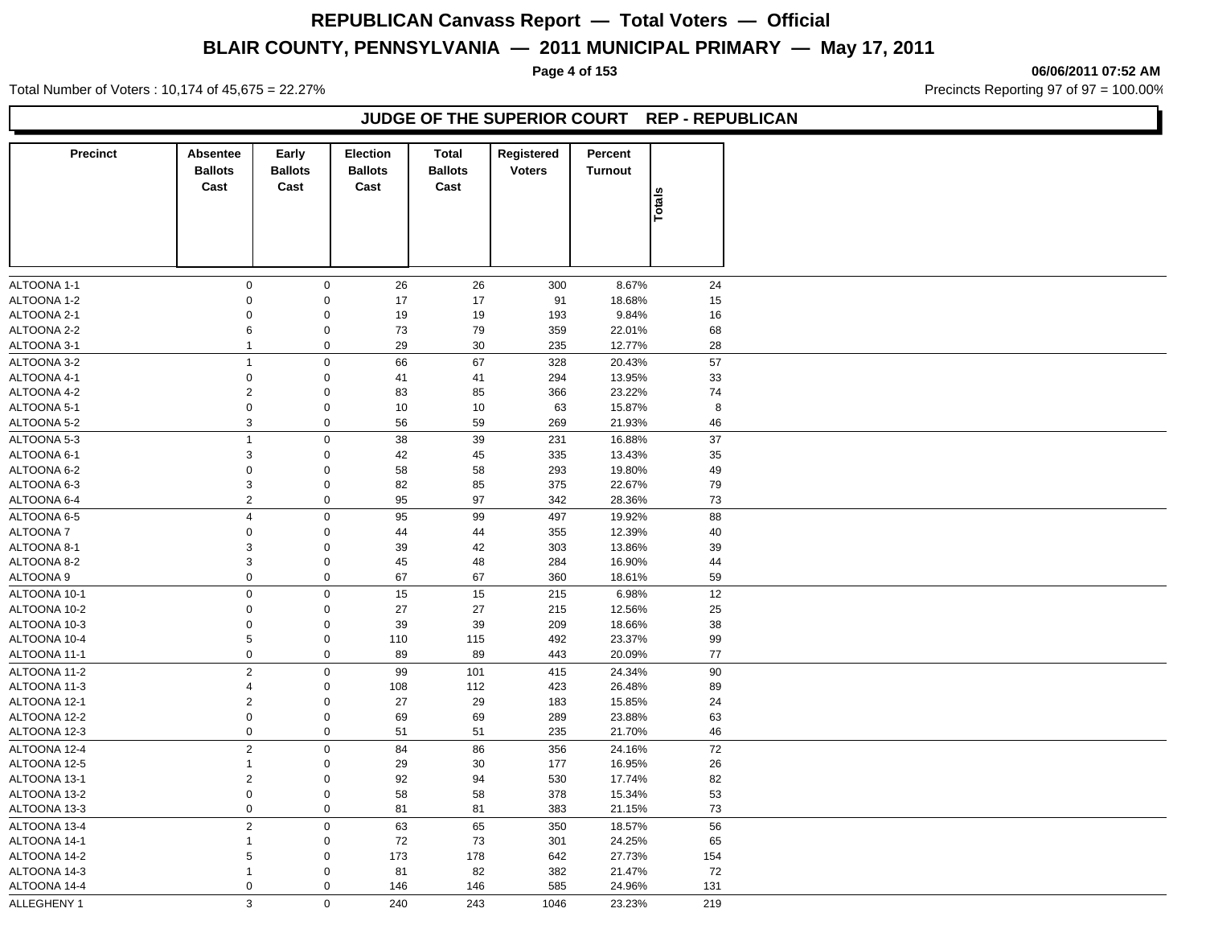**Page 4 of 153 06/06/2011 07:52 AM**

Total Number of Voters : 10,174 of 45,675 = 22.27% **Precincts Reporting 97 of 97 = 100.00%** Precincts Reporting 97 of 97 = 100.00%

### **JUDGE OF THE SUPERIOR COURT REP - REPUBLICAN**

| <b>Precinct</b> | <b>Absentee</b><br><b>Ballots</b><br>Cast | Early<br><b>Ballots</b><br>Cast | <b>Election</b><br><b>Ballots</b><br>Cast | <b>Total</b><br><b>Ballots</b><br>Cast | Registered<br><b>Voters</b> | Percent<br><b>Turnout</b> |          |
|-----------------|-------------------------------------------|---------------------------------|-------------------------------------------|----------------------------------------|-----------------------------|---------------------------|----------|
|                 |                                           |                                 |                                           |                                        |                             |                           | Totals   |
| ALTOONA 1-1     | $\pmb{0}$                                 | $\mathbf 0$                     | 26                                        | 26                                     | 300                         | 8.67%                     | 24       |
| ALTOONA 1-2     | $\Omega$                                  | $\mathsf 0$                     | 17                                        | 17                                     | 91                          | 18.68%                    | 15       |
| ALTOONA 2-1     | $\mathbf 0$                               | $\mathbf 0$                     | 19                                        | 19                                     | 193                         | 9.84%                     | 16       |
| ALTOONA 2-2     | 6                                         | $\mathbf 0$                     | 73                                        | 79                                     | 359                         | 22.01%                    | 68       |
| ALTOONA 3-1     | $\mathbf{1}$                              | $\mathbf 0$                     | 29                                        | 30                                     | 235                         | 12.77%                    | 28       |
| ALTOONA 3-2     | $\mathbf{1}$                              | $\mathbf 0$                     | 66                                        | 67                                     | 328                         | 20.43%                    | 57       |
| ALTOONA 4-1     | $\mathbf 0$                               |                                 | 41                                        | 41                                     |                             | 13.95%                    |          |
| ALTOONA 4-2     | $\boldsymbol{2}$                          | $\mathbf 0$<br>$\mathsf 0$      |                                           | 85                                     | 294                         | 23.22%                    | 33<br>74 |
| ALTOONA 5-1     | $\pmb{0}$                                 | $\mathbf 0$                     | 83<br>10                                  | 10                                     | 366<br>63                   | 15.87%                    | 8        |
|                 |                                           |                                 |                                           |                                        |                             |                           |          |
| ALTOONA 5-2     | 3                                         | $\mathbf 0$                     | 56                                        | 59                                     | 269                         | 21.93%                    | 46       |
| ALTOONA 5-3     | $\mathbf{1}$                              | $\mathbf 0$                     | 38                                        | 39                                     | 231                         | 16.88%                    | 37       |
| ALTOONA 6-1     | 3                                         | $\mathbf 0$                     | 42                                        | 45                                     | 335                         | 13.43%                    | 35       |
| ALTOONA 6-2     | $\mathbf 0$                               | $\pmb{0}$                       | 58                                        | 58                                     | 293                         | 19.80%                    | 49       |
| ALTOONA 6-3     | $\ensuremath{\mathsf{3}}$                 | $\mathbf 0$                     | 82                                        | 85                                     | 375                         | 22.67%                    | 79       |
| ALTOONA 6-4     | 2                                         | $\mathbf 0$                     | 95                                        | 97                                     | 342                         | 28.36%                    | 73       |
| ALTOONA 6-5     | $\overline{4}$                            | $\mathbf 0$                     | 95                                        | 99                                     | 497                         | 19.92%                    | 88       |
| <b>ALTOONA7</b> | $\pmb{0}$                                 | $\mathbf 0$                     | 44                                        | 44                                     | 355                         | 12.39%                    | 40       |
| ALTOONA 8-1     | 3                                         | $\mathbf 0$                     | 39                                        | 42                                     | 303                         | 13.86%                    | 39       |
| ALTOONA 8-2     | 3                                         | $\mathbf 0$                     | 45                                        | 48                                     | 284                         | 16.90%                    | 44       |
| ALTOONA 9       | $\mathbf 0$                               | $\mathbf 0$                     | 67                                        | 67                                     | 360                         | 18.61%                    | 59       |
| ALTOONA 10-1    | $\pmb{0}$                                 | $\mathbf 0$                     | 15                                        | 15                                     | 215                         | 6.98%                     | 12       |
| ALTOONA 10-2    | $\mathbf 0$                               | $\mathbf 0$                     | 27                                        | 27                                     | 215                         | 12.56%                    | 25       |
|                 |                                           |                                 |                                           |                                        |                             |                           |          |
| ALTOONA 10-3    | $\pmb{0}$<br>5                            | $\mathbf 0$<br>$\mathbf 0$      | 39                                        | 39                                     | 209                         | 18.66%                    | 38       |
| ALTOONA 10-4    |                                           |                                 | 110                                       | 115                                    | 492                         | 23.37%                    | 99       |
| ALTOONA 11-1    | $\pmb{0}$                                 | $\mathbf 0$                     | 89                                        | 89                                     | 443                         | 20.09%                    | 77       |
| ALTOONA 11-2    | $\overline{2}$                            | $\mathbf 0$                     | 99                                        | 101                                    | 415                         | 24.34%                    | 90       |
| ALTOONA 11-3    | 4                                         | $\mathbf 0$                     | 108                                       | 112                                    | 423                         | 26.48%                    | 89       |
| ALTOONA 12-1    | $\overline{2}$                            | $\mathbf 0$                     | 27                                        | 29                                     | 183                         | 15.85%                    | 24       |
| ALTOONA 12-2    | $\pmb{0}$                                 | $\mathbf 0$                     | 69                                        | 69                                     | 289                         | 23.88%                    | 63       |
| ALTOONA 12-3    | $\pmb{0}$                                 | $\mathbf 0$                     | 51                                        | 51                                     | 235                         | 21.70%                    | 46       |
| ALTOONA 12-4    | $\overline{2}$                            | $\mathbf 0$                     | 84                                        | 86                                     | 356                         | 24.16%                    | 72       |
| ALTOONA 12-5    | $\mathbf{1}$                              | $\mathbf 0$                     | 29                                        | 30                                     | 177                         | 16.95%                    | 26       |
| ALTOONA 13-1    | $\overline{2}$                            | $\mathbf 0$                     | 92                                        | 94                                     | 530                         | 17.74%                    | 82       |
| ALTOONA 13-2    | $\mathbf 0$                               | $\mathsf 0$                     | 58                                        | 58                                     | 378                         | 15.34%                    | 53       |
| ALTOONA 13-3    | $\pmb{0}$                                 | $\mathbf 0$                     | 81                                        | 81                                     | 383                         | 21.15%                    | 73       |
| ALTOONA 13-4    | $\overline{2}$                            | $\mathbf 0$                     | 63                                        | 65                                     | 350                         | 18.57%                    | 56       |
| ALTOONA 14-1    | $\mathbf{1}$                              | $\mathbf 0$                     | 72                                        | 73                                     | 301                         | 24.25%                    | 65       |
| ALTOONA 14-2    | 5                                         | $\mathbf 0$                     | 173                                       | 178                                    | 642                         | 27.73%                    | 154      |
| ALTOONA 14-3    | 1                                         | $\mathbf 0$                     | 81                                        | 82                                     | 382                         | 21.47%                    | 72       |
| ALTOONA 14-4    | $\mathbf 0$                               | $\mathsf 0$                     | 146                                       | 146                                    | 585                         | 24.96%                    | 131      |
|                 |                                           |                                 |                                           |                                        |                             |                           |          |
| ALLEGHENY 1     | 3                                         | $\mathbf 0$                     | 240                                       | 243                                    | 1046                        | 23.23%                    | 219      |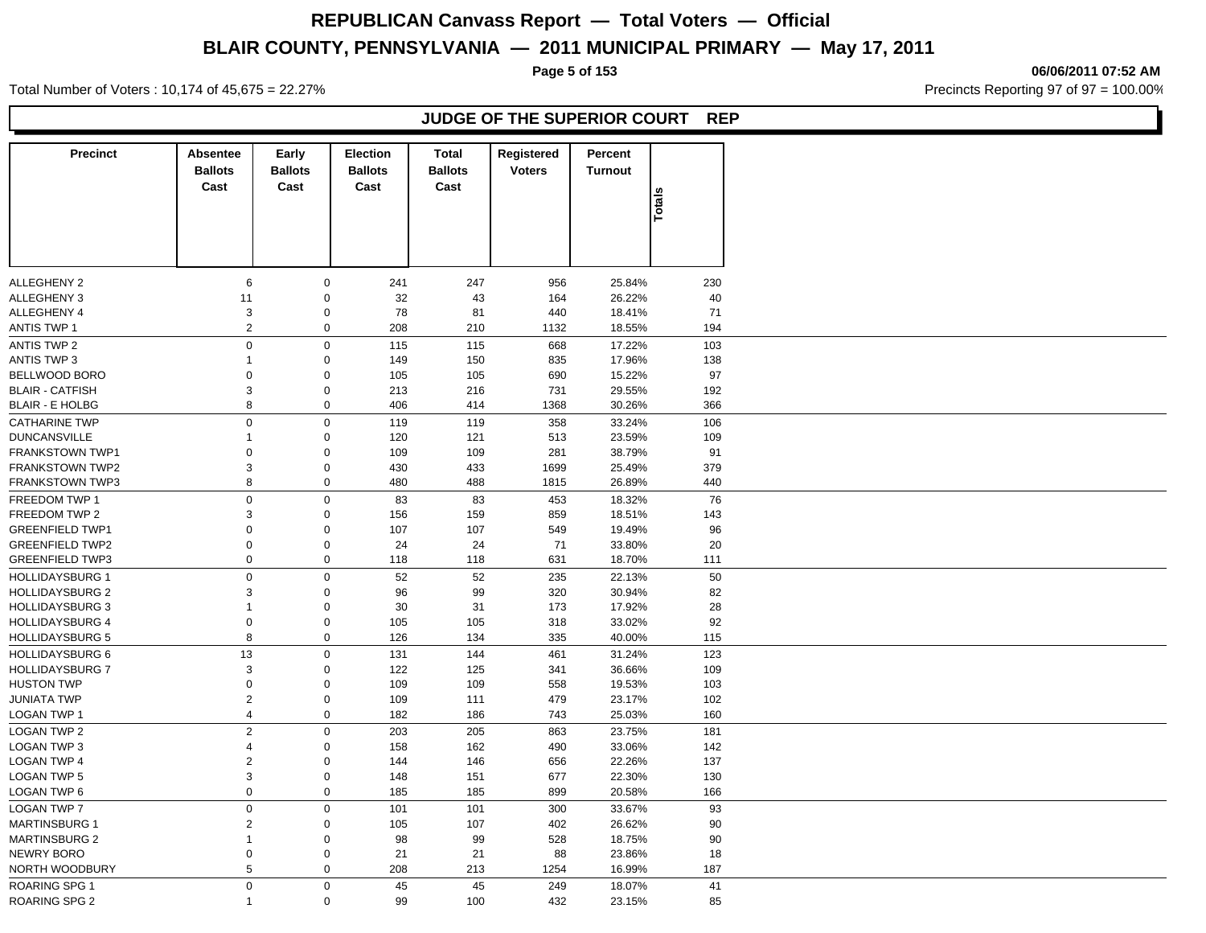**Page 5 of 153 06/06/2011 07:52 AM**

Total Number of Voters : 10,174 of 45,675 = 22.27% **Precincts Reporting 97 of 97 = 100.00%** Precincts Reporting 97 of 97 = 100.00%

### **JUDGE OF THE SUPERIOR COURT REP**

| <b>Precinct</b>                                  | Absentee<br><b>Ballots</b> | Early<br><b>Ballots</b>    | Election<br><b>Ballots</b> | <b>Total</b><br><b>Ballots</b> | Registered<br><b>Voters</b> | Percent<br>Turnout |            |
|--------------------------------------------------|----------------------------|----------------------------|----------------------------|--------------------------------|-----------------------------|--------------------|------------|
|                                                  | Cast                       | Cast                       | Cast                       | Cast                           |                             |                    |            |
|                                                  |                            |                            |                            |                                |                             |                    | Totals     |
|                                                  |                            |                            |                            |                                |                             |                    |            |
|                                                  |                            |                            |                            |                                |                             |                    |            |
|                                                  |                            |                            |                            |                                |                             |                    |            |
|                                                  |                            |                            |                            |                                |                             |                    |            |
| ALLEGHENY 2<br>ALLEGHENY 3                       | 6<br>11                    | $\mathbf 0$<br>$\mathbf 0$ | 241<br>32                  | 247<br>43                      | 956<br>164                  | 25.84%<br>26.22%   | 230<br>40  |
| ALLEGHENY 4                                      | 3                          | $\mathbf 0$                | 78                         | 81                             | 440                         | 18.41%             | 71         |
| <b>ANTIS TWP 1</b>                               | $\sqrt{2}$                 | $\mathbf 0$                | 208                        | 210                            | 1132                        | 18.55%             | 194        |
| ANTIS TWP 2                                      | $\mathsf 0$                | $\mathbf 0$                | 115                        | 115                            | 668                         | 17.22%             | 103        |
| <b>ANTIS TWP 3</b>                               | $\mathbf{1}$               | $\mathbf 0$                | 149                        | 150                            | 835                         | 17.96%             | 138        |
| BELLWOOD BORO                                    | $\mathbf 0$                | $\mathbf 0$                | 105                        |                                | 690                         | 15.22%             | 97         |
|                                                  |                            |                            |                            | 105                            |                             |                    |            |
| <b>BLAIR - CATFISH</b><br><b>BLAIR - E HOLBG</b> | 3                          | $\mathbf 0$<br>$\mathbf 0$ | 213<br>406                 | 216                            | 731                         | 29.55%<br>30.26%   | 192<br>366 |
|                                                  | 8                          |                            |                            | 414                            | 1368                        |                    |            |
| <b>CATHARINE TWP</b>                             | $\mathsf 0$                | $\mathbf 0$                | 119                        | 119                            | 358                         | 33.24%             | 106        |
| <b>DUNCANSVILLE</b>                              | $\mathbf{1}$               | $\mathbf 0$                | 120                        | 121                            | 513                         | 23.59%             | 109        |
| FRANKSTOWN TWP1                                  | 0                          | $\mathbf 0$                | 109                        | 109                            | 281                         | 38.79%             | 91         |
| <b>FRANKSTOWN TWP2</b>                           | 3                          | $\mathbf 0$                | 430                        | 433                            | 1699                        | 25.49%             | 379        |
| <b>FRANKSTOWN TWP3</b>                           | 8                          | $\mathbf 0$                | 480                        | 488                            | 1815                        | 26.89%             | 440        |
| FREEDOM TWP 1                                    | $\boldsymbol{0}$           | $\mathsf 0$                | 83                         | 83                             | 453                         | 18.32%             | 76         |
| <b>FREEDOM TWP 2</b>                             | 3                          | $\mathbf 0$                | 156                        | 159                            | 859                         | 18.51%             | 143        |
| <b>GREENFIELD TWP1</b>                           | $\mathbf 0$                | $\mathbf 0$                | 107                        | 107                            | 549                         | 19.49%             | 96         |
| <b>GREENFIELD TWP2</b>                           | $\mathbf 0$                | $\mathbf 0$                | 24                         | 24                             | 71                          | 33.80%             | 20         |
| <b>GREENFIELD TWP3</b>                           | $\mathbf 0$                | $\mathbf 0$                | 118                        | 118                            | 631                         | 18.70%             | 111        |
| <b>HOLLIDAYSBURG 1</b>                           | $\mathsf 0$                | $\pmb{0}$                  | 52                         | 52                             | 235                         | 22.13%             | 50         |
| <b>HOLLIDAYSBURG 2</b>                           | 3                          | $\mathbf 0$                | 96                         | 99                             | 320                         | 30.94%             | 82         |
| <b>HOLLIDAYSBURG 3</b>                           | 1                          | $\mathbf 0$                | 30                         | 31                             | 173                         | 17.92%             | 28         |
| <b>HOLLIDAYSBURG 4</b>                           | $\boldsymbol{0}$           | $\mathbf 0$                | 105                        | 105                            | 318                         | 33.02%             | 92         |
| <b>HOLLIDAYSBURG 5</b>                           | 8                          | $\mathbf 0$                | 126                        | 134                            | 335                         | 40.00%             | 115        |
| <b>HOLLIDAYSBURG 6</b>                           | 13                         | $\mathbf 0$                | 131                        | 144                            | 461                         | 31.24%             | 123        |
| <b>HOLLIDAYSBURG 7</b>                           | 3                          | $\mathbf 0$                | 122                        | 125                            | 341                         | 36.66%             | 109        |
| <b>HUSTON TWP</b>                                | 0                          | $\mathbf 0$                | 109                        | 109                            | 558                         | 19.53%             | 103        |
| <b>JUNIATA TWP</b>                               | $\sqrt{2}$                 | $\mathbf 0$                | 109                        | 111                            | 479                         | 23.17%             | 102        |
| LOGAN TWP 1                                      | $\overline{4}$             | $\mathbf 0$                | 182                        | 186                            | 743                         | 25.03%             | 160        |
| <b>LOGAN TWP 2</b>                               | $\overline{2}$             | $\mathbf 0$                | 203                        | 205                            | 863                         | 23.75%             | 181        |
| LOGAN TWP 3                                      | 4                          | $\mathbf 0$                | 158                        | 162                            | 490                         | 33.06%             | 142        |
| LOGAN TWP 4                                      | $\overline{c}$             | $\mathbf 0$                | 144                        | 146                            | 656                         | 22.26%             | 137        |
| <b>LOGAN TWP 5</b>                               | 3                          | $\mathbf 0$                | 148                        | 151                            | 677                         | 22.30%             | 130        |
| LOGAN TWP 6                                      | $\mathbf 0$                | $\mathbf 0$                | 185                        | 185                            | 899                         | 20.58%             | 166        |
| <b>LOGAN TWP 7</b>                               | $\mathsf 0$                | $\mathbf 0$                | 101                        | 101                            | 300                         | 33.67%             | 93         |
| <b>MARTINSBURG 1</b>                             | 2                          | $\mathbf 0$                | 105                        | 107                            | 402                         | 26.62%             | 90         |
| <b>MARTINSBURG 2</b>                             | 1                          | $\mathbf 0$                | 98                         | 99                             | 528                         | 18.75%             | 90         |
| <b>NEWRY BORO</b>                                | 0                          | $\mathbf 0$                | 21                         | 21                             | 88                          | 23.86%             | 18         |
| NORTH WOODBURY                                   | 5                          | $\mathsf{O}\xspace$        | 208                        | 213                            | 1254                        | 16.99%             | 187        |
| <b>ROARING SPG 1</b>                             | $\mathbf 0$                | $\mathbf 0$                | 45                         | 45                             | 249                         | 18.07%             | 41         |
| ROARING SPG 2                                    | 1                          | $\mathbf 0$                | 99                         | 100                            | 432                         | 23.15%             | 85         |
|                                                  |                            |                            |                            |                                |                             |                    |            |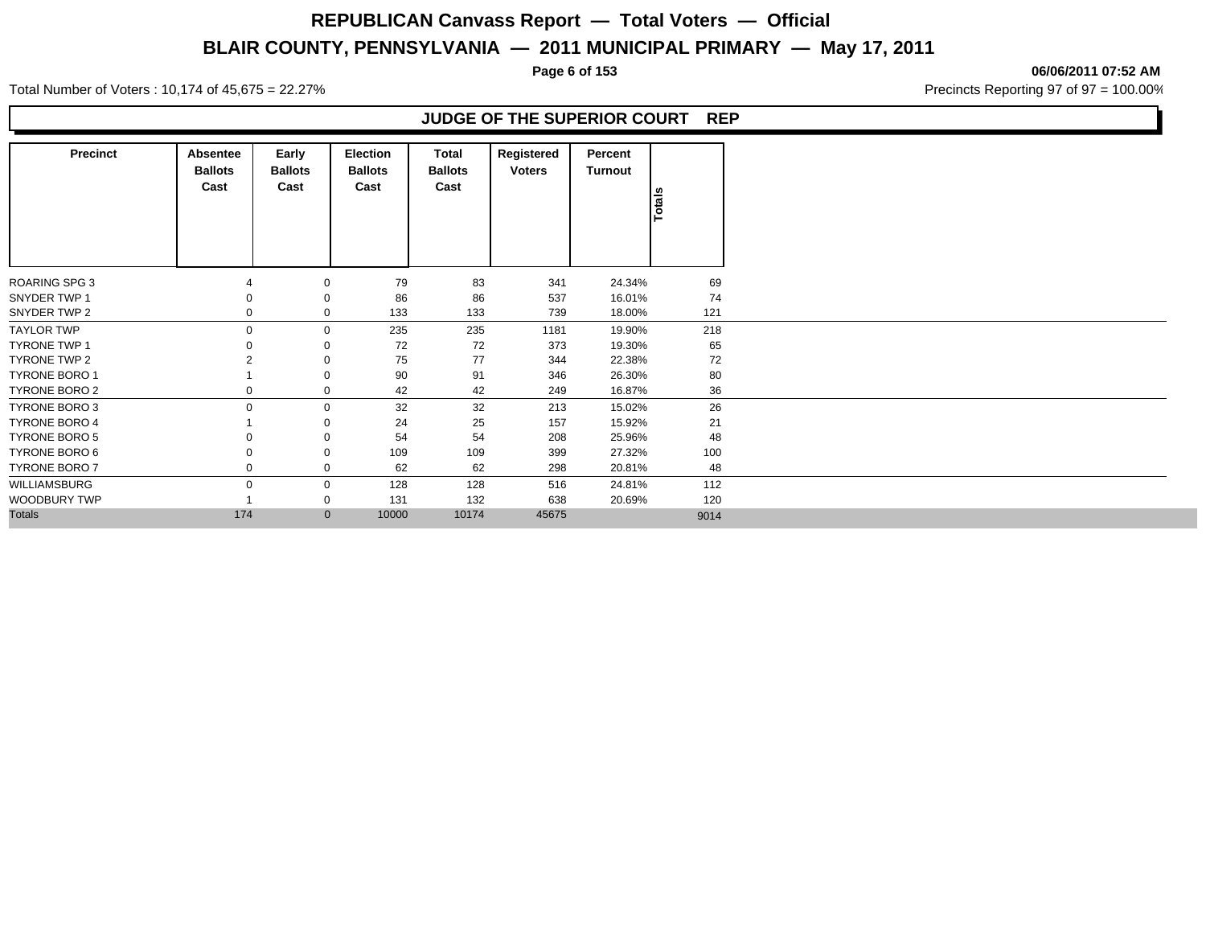Total Number of Voters : 10,174 of 45,675 = 22.27% **Precincts Reporting 97 of 97 = 100.00%** Precincts Reporting 97 of 97 = 100.00%

### **JUDGE OF THE SUPERIOR COURT REP**

| <b>Precinct</b>      | Absentee<br><b>Ballots</b><br>Cast | Early<br><b>Ballots</b><br>Cast | Election<br><b>Ballots</b><br>Cast | Total<br><b>Ballots</b><br>Cast | Registered<br><b>Voters</b> | Percent<br><b>Turnout</b> | Totals |
|----------------------|------------------------------------|---------------------------------|------------------------------------|---------------------------------|-----------------------------|---------------------------|--------|
|                      |                                    |                                 |                                    |                                 |                             |                           |        |
| ROARING SPG 3        |                                    | $\mathbf 0$                     | 79                                 | 83                              | 341                         | 24.34%                    | 69     |
| SNYDER TWP 1         |                                    | $\mathbf 0$                     | 86                                 | 86                              | 537                         | 16.01%                    | 74     |
| SNYDER TWP 2         |                                    | $\mathbf 0$                     | 133                                | 133                             | 739                         | 18.00%                    | 121    |
| <b>TAYLOR TWP</b>    | 0                                  | $\mathbf 0$                     | 235                                | 235                             | 1181                        | 19.90%                    | 218    |
| <b>TYRONE TWP 1</b>  |                                    | $\mathbf 0$                     | 72                                 | 72                              | 373                         | 19.30%                    | 65     |
| TYRONE TWP 2         |                                    | $\mathbf 0$                     | 75                                 | 77                              | 344                         | 22.38%                    | 72     |
| <b>TYRONE BORO 1</b> |                                    | 0                               | 90                                 | 91                              | 346                         | 26.30%                    | 80     |
| TYRONE BORO 2        |                                    | 0                               | 42                                 | 42                              | 249                         | 16.87%                    | 36     |
| TYRONE BORO 3        | $\Omega$                           | $\mathbf 0$                     | 32                                 | 32                              | 213                         | 15.02%                    | 26     |
| TYRONE BORO 4        |                                    | 0                               | 24                                 | 25                              | 157                         | 15.92%                    | 21     |
| TYRONE BORO 5        |                                    | $\mathbf 0$                     | 54                                 | 54                              | 208                         | 25.96%                    | 48     |
| TYRONE BORO 6        |                                    | 0                               | 109                                | 109                             | 399                         | 27.32%                    | 100    |
| TYRONE BORO 7        |                                    | 0                               | 62                                 | 62                              | 298                         | 20.81%                    | 48     |
| <b>WILLIAMSBURG</b>  | O                                  | $\mathbf 0$                     | 128                                | 128                             | 516                         | 24.81%                    | 112    |
| WOODBURY TWP         |                                    | 0                               | 131                                | 132                             | 638                         | 20.69%                    | 120    |
| <b>Totals</b>        | 174                                | $\mathbf{0}$                    | 10000                              | 10174                           | 45675                       |                           | 9014   |

**Page 6 of 153 06/06/2011 07:52 AM**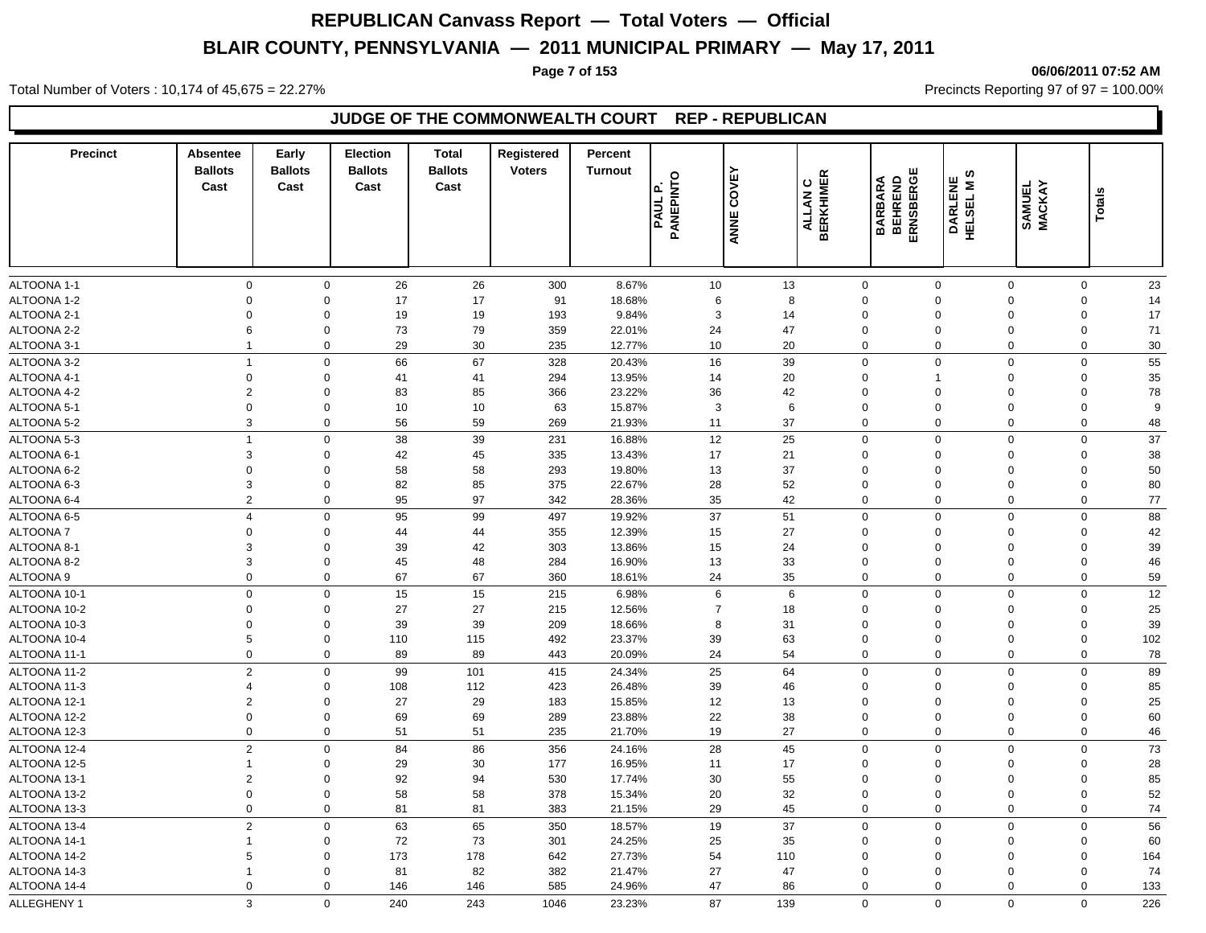**Page 7 of 153 06/06/2011 07:52 AM**

Total Number of Voters : 10,174 of 45,675 = 22.27% **Precincts Reporting 97 of 97 = 100.00%** Precincts Reporting 97 of 97 = 100.00%

### **JUDGE OF THE COMMONWEALTH COURT REP - REPUBLICAN**

| <b>Precinct</b> | Absentee<br><b>Ballots</b><br>Cast | Early<br><b>Ballots</b><br>Cast | <b>Election</b><br><b>Ballots</b><br>Cast | <b>Total</b><br><b>Ballots</b><br>Cast | Registered<br><b>Voters</b> | Percent<br><b>Turnout</b> | PANEPINTO<br><u>ام</u><br>PAUL | COVEY<br>ANNE | <b>BERKHIMER</b><br>$\mathbf C$<br><b>ALLAN</b> | ш<br>ERNSBERG<br><b>BARBARA</b><br>BEHREND | ဖာ<br>DARLENE<br>HELSEL M S | SAMUEL<br>MACKAY | Totals             |
|-----------------|------------------------------------|---------------------------------|-------------------------------------------|----------------------------------------|-----------------------------|---------------------------|--------------------------------|---------------|-------------------------------------------------|--------------------------------------------|-----------------------------|------------------|--------------------|
| ALTOONA 1-1     | 0                                  | $\mathbf 0$                     | 26                                        | 26                                     | 300                         | 8.67%                     | 10                             | 13            | $\mathbf 0$                                     | $\mathbf 0$                                |                             | $\mathbf 0$      | 23<br>$\mathbf 0$  |
| ALTOONA 1-2     | $\mathbf 0$                        | $\mathbf 0$                     | 17                                        | 17                                     | 91                          | 18.68%                    | 6                              | 8             | $\mathbf 0$                                     | $\mathbf 0$                                |                             | $\mathbf 0$      | $\mathbf 0$<br>14  |
| ALTOONA 2-1     | $\mathbf 0$                        | $\mathbf 0$                     | 19                                        | 19                                     | 193                         | 9.84%                     | 3                              | 14            | $\mathbf 0$                                     | $\mathbf 0$                                |                             | $\mathbf 0$      | $\mathbf 0$<br>17  |
| ALTOONA 2-2     | 6                                  | $\mathbf 0$                     | 73                                        | 79                                     | 359                         | 22.01%                    | 24                             | 47            | $\mathbf 0$                                     | $\mathbf 0$                                |                             | $\mathbf 0$      | $\mathbf 0$<br>71  |
| ALTOONA 3-1     | $\overline{1}$                     | $\mathbf 0$                     | 29                                        | 30                                     | 235                         | 12.77%                    | 10                             | 20            | $\mathbf 0$                                     | $\mathbf 0$                                |                             | $\mathbf 0$      | 30<br>0            |
| ALTOONA 3-2     | $\overline{1}$                     | $\mathbf 0$                     | 66                                        | 67                                     | 328                         | 20.43%                    | 16                             | 39            | $\mathbf 0$                                     | $\mathbf 0$                                |                             | $\Omega$         | 55<br>$\mathbf 0$  |
| ALTOONA 4-1     | $\Omega$                           | $\mathbf 0$                     | 41                                        | 41                                     | 294                         | 13.95%                    | 14                             | 20            | $\Omega$                                        |                                            |                             | $\Omega$         | 35<br>$\mathbf 0$  |
| ALTOONA 4-2     | $\overline{2}$                     | $\mathbf 0$                     | 83                                        | 85                                     | 366                         | 23.22%                    | 36                             | 42            | $\Omega$                                        | $\Omega$                                   |                             | $\Omega$         | 78<br>$\mathbf 0$  |
| ALTOONA 5-1     | $\mathbf 0$                        | $\mathbf 0$                     | 10                                        | 10                                     | 63                          | 15.87%                    | 3                              | 6             | $\mathbf 0$                                     | $\Omega$                                   |                             | $\Omega$         | 0<br>9             |
| ALTOONA 5-2     | 3                                  | $\mathbf 0$                     | 56                                        | 59                                     | 269                         | 21.93%                    | 11                             | 37            | $\mathbf 0$                                     | $\mathbf 0$                                |                             | $\mathbf 0$      | 0<br>48            |
| ALTOONA 5-3     | $\mathbf{1}$                       | $\mathbf 0$                     | 38                                        | 39                                     | 231                         | 16.88%                    | 12                             | 25            | $\mathbf 0$                                     | $\Omega$                                   |                             | $\Omega$         | $\mathbf 0$<br>37  |
| ALTOONA 6-1     | 3                                  | $\mathbf 0$                     | 42                                        | 45                                     | 335                         | 13.43%                    | 17                             | 21            | $\mathbf 0$                                     | $\Omega$                                   |                             | $\Omega$         | 38<br>0            |
| ALTOONA 6-2     | $\mathbf 0$                        | $\mathbf 0$                     | 58                                        | 58                                     | 293                         | 19.80%                    | 13                             | 37            | $\mathbf 0$                                     | $\Omega$                                   |                             | $\mathbf 0$      | 50<br>0            |
| ALTOONA 6-3     | 3                                  | $\mathbf 0$                     | 82                                        | 85                                     | 375                         | 22.67%                    | 28                             | 52            | $\mathbf 0$                                     | $\Omega$                                   |                             | $\mathbf 0$      | $\mathbf 0$<br>80  |
| ALTOONA 6-4     | $\overline{2}$                     | $\Omega$                        | 95                                        | 97                                     | 342                         | 28.36%                    | 35                             | 42            | $\mathsf 0$                                     | $\Omega$                                   |                             | $\Omega$         | 77<br>$\mathbf 0$  |
| ALTOONA 6-5     | $\overline{4}$                     | $\mathbf 0$                     | 95                                        | 99                                     | 497                         | 19.92%                    | 37                             | 51            | $\mathbf 0$                                     | $\mathbf 0$                                |                             | $\mathbf 0$      | 88<br>$\mathbf 0$  |
| <b>ALTOONA7</b> | $\mathbf 0$                        | $\mathbf 0$                     | 44                                        | 44                                     | 355                         | 12.39%                    | 15                             | 27            | $\mathbf 0$                                     | $\Omega$                                   |                             | $\mathbf 0$      | 42<br>0            |
| ALTOONA 8-1     | 3                                  | $\mathbf 0$                     | 39                                        | 42                                     | 303                         | 13.86%                    | 15                             | 24            | $\mathbf 0$                                     | $\mathbf 0$                                |                             | $\mathbf 0$      | $\mathbf 0$<br>39  |
| ALTOONA 8-2     | 3                                  | $\mathbf 0$                     | 45                                        | 48                                     | 284                         | 16.90%                    | 13                             | 33            | $\mathbf 0$                                     | $\mathbf 0$                                | $\mathbf 0$                 |                  | 46<br>0            |
| ALTOONA 9       | $\Omega$                           | $\mathbf 0$                     | 67                                        | 67                                     | 360                         | 18.61%                    | 24                             | 35            | $\mathbf 0$                                     | $\mathbf 0$                                |                             | $\mathbf 0$      | 59<br>$\mathbf 0$  |
| ALTOONA 10-1    | $\mathbf 0$                        | $\mathbf 0$                     | 15                                        | 15                                     | 215                         | 6.98%                     | 6                              | 6             | $\mathsf 0$                                     | $\mathbf 0$                                |                             | $\Omega$         | 12<br>$\mathbf 0$  |
| ALTOONA 10-2    | $\Omega$                           | $\mathbf 0$                     | 27                                        | 27                                     | 215                         | 12.56%                    | $\overline{7}$                 | 18            | $\Omega$                                        | $\Omega$                                   |                             | $\Omega$         | 25<br>$\mathbf 0$  |
| ALTOONA 10-3    | $\Omega$                           | 0                               | 39                                        | 39                                     | 209                         | 18.66%                    | 8                              | 31            | $\mathbf 0$                                     | $\Omega$                                   |                             | $\Omega$         | 39<br>0            |
| ALTOONA 10-4    | 5                                  | $\mathbf 0$                     | 110                                       | 115                                    | 492                         | 23.37%                    | 39                             | 63            | $\mathbf 0$                                     | $\Omega$                                   |                             | $\Omega$         | $\mathbf 0$<br>102 |
| ALTOONA 11-1    | $\Omega$                           | $\Omega$                        | 89                                        | 89                                     | 443                         | 20.09%                    | 24                             | 54            | $\mathbf 0$                                     | $\Omega$                                   |                             | $\mathbf 0$      | 78<br>$\Omega$     |
| ALTOONA 11-2    | $\overline{2}$                     | $\mathsf 0$                     | 99                                        | 101                                    | 415                         | 24.34%                    | 25                             | 64            | $\mathsf 0$                                     | $\mathbf 0$                                |                             | $\Omega$         | 89<br>$\mathbf 0$  |
| ALTOONA 11-3    | $\overline{4}$                     | $\mathbf 0$                     | 108                                       | 112                                    | 423                         | 26.48%                    | 39                             | 46            | $\mathbf 0$                                     | $\Omega$                                   |                             | $\mathbf 0$      | 85<br>0            |
| ALTOONA 12-1    | $\overline{2}$                     | $\mathbf 0$                     | 27                                        | 29                                     | 183                         | 15.85%                    | 12                             | 13            | $\mathbf 0$                                     | $\Omega$                                   |                             | $\mathbf 0$      | 25<br>0            |
| ALTOONA 12-2    | $\Omega$                           | $\mathbf 0$                     | 69                                        | 69                                     | 289                         | 23.88%                    | 22                             | 38            | $\mathbf 0$                                     | $\Omega$                                   |                             | $\mathbf 0$      | 60<br>0            |
| ALTOONA 12-3    | $\mathbf 0$                        | $\mathbf 0$                     | 51                                        | 51                                     | 235                         | 21.70%                    | 19                             | 27            | $\mathbf 0$                                     | $\mathbf 0$                                |                             | $\mathbf 0$      | $\mathbf 0$<br>46  |
| ALTOONA 12-4    | $\overline{2}$                     | $\mathbf 0$                     | 84                                        | 86                                     | 356                         | 24.16%                    | 28                             | 45            | $\mathbf 0$                                     | $\mathbf 0$                                |                             | $\mathbf 0$      | $\mathbf 0$<br>73  |
| ALTOONA 12-5    | $\mathbf{1}$                       | $\mathbf 0$                     | 29                                        | 30                                     | 177                         | 16.95%                    | 11                             | 17            | $\mathbf 0$                                     | $\Omega$                                   |                             | $\mathbf 0$      | 28<br>0            |
| ALTOONA 13-1    | $\overline{2}$                     | $\mathbf 0$                     | 92                                        | 94                                     | 530                         | 17.74%                    | 30                             | 55            | $\mathbf 0$                                     | $\Omega$                                   |                             | $\mathbf 0$      | 85<br>0            |
| ALTOONA 13-2    | $\mathbf 0$                        | $\mathbf 0$                     | 58                                        | 58                                     | 378                         | 15.34%                    | 20                             | 32            | $\mathbf 0$                                     | $\mathbf 0$                                |                             | $\mathbf 0$      | 52<br>$\mathbf 0$  |
| ALTOONA 13-3    | 0                                  | $\mathbf 0$                     | 81                                        | 81                                     | 383                         | 21.15%                    | 29                             | 45            | $\mathbf 0$                                     | $\mathbf 0$                                |                             | $\mathbf 0$      | $\mathbf 0$<br>74  |
| ALTOONA 13-4    | $\overline{2}$                     | $\mathbf 0$                     | 63                                        | 65                                     | 350                         | 18.57%                    | 19                             | 37            | $\mathbf 0$                                     | $\mathbf 0$                                |                             | $\mathbf 0$      | 56<br>$\mathbf 0$  |
| ALTOONA 14-1    | $\mathbf{1}$                       | 0                               | 72                                        | 73                                     | 301                         | 24.25%                    | 25                             | 35            | $\mathbf 0$                                     | $\Omega$                                   |                             | $\Omega$         | 0<br>60            |
| ALTOONA 14-2    | 5                                  | $\Omega$                        | 173                                       | 178                                    | 642                         | 27.73%                    | 54                             | 110           | $\Omega$                                        | $\Omega$                                   |                             | $\Omega$         | $\mathbf 0$<br>164 |
| ALTOONA 14-3    | $\mathbf{1}$                       | $\mathbf 0$                     | 81                                        | 82                                     | 382                         | 21.47%                    | 27                             | 47            | $\Omega$                                        | $\Omega$                                   |                             | $\Omega$         | 74<br>$\mathbf 0$  |
| ALTOONA 14-4    | 0                                  | 0                               | 146                                       | 146                                    | 585                         | 24.96%                    | 47                             | 86            | $\mathbf 0$                                     | $\mathbf 0$                                |                             | 0                | $\mathbf 0$<br>133 |
| ALLEGHENY 1     | 3                                  | $\Omega$                        | 240                                       | 243                                    | 1046                        | 23.23%                    | 87                             | 139           | $\Omega$                                        | $\mathbf 0$                                |                             | $\Omega$         | 226<br>$\Omega$    |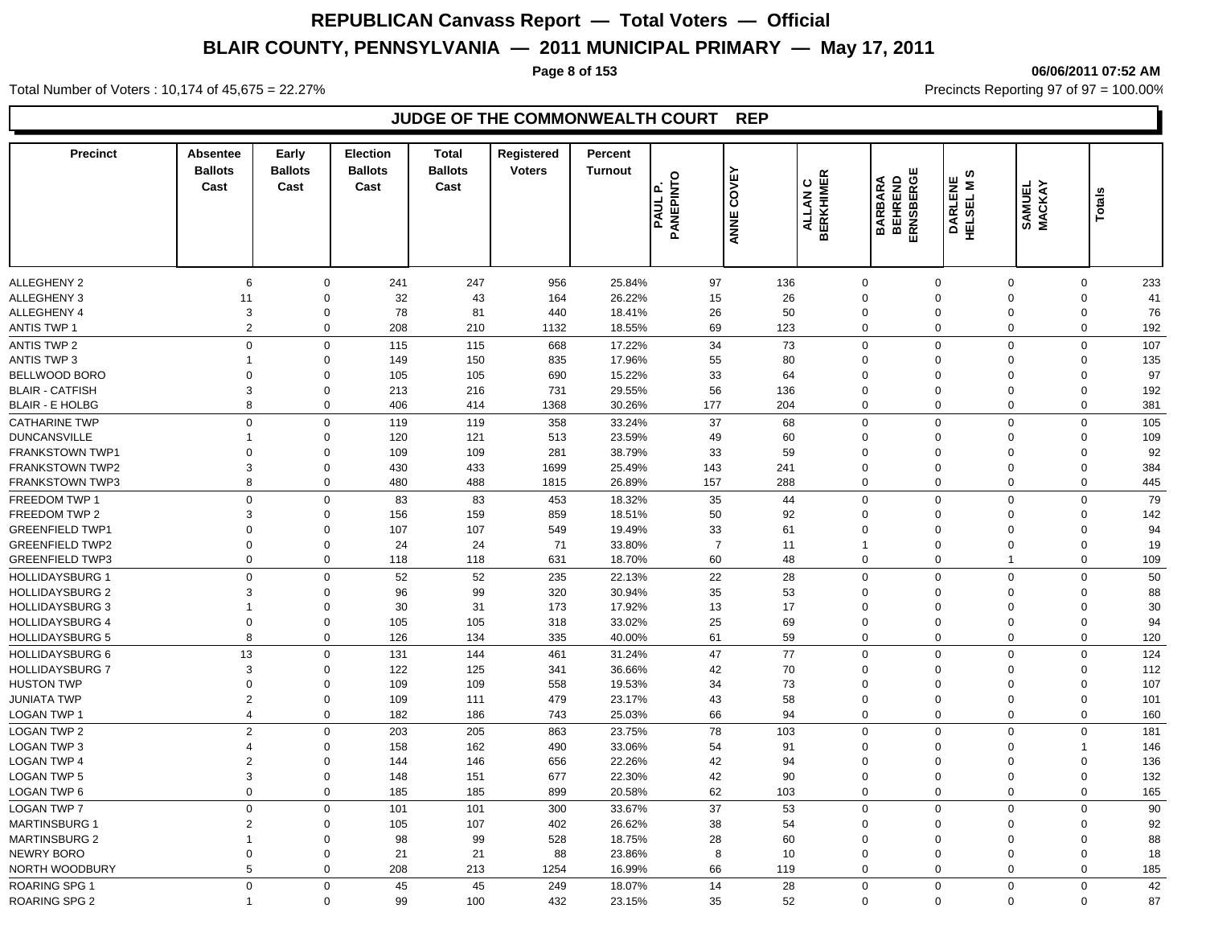**Page 8 of 153 06/06/2011 07:52 AM**

Total Number of Voters : 10,174 of 45,675 = 22.27% **Precincts Reporting 97 of 97 = 100.00%** Precincts Reporting 97 of 97 = 100.00%

### **JUDGE OF THE COMMONWEALTH COURT REP**

| <b>ALLEGHENY 2</b><br>97<br>6<br>$\Omega$<br>241<br>247<br>956<br>25.84%<br>136<br>$\mathbf 0$<br>$\Omega$<br>0<br>$\Omega$<br><b>ALLEGHENY 3</b><br>32<br>43<br>26.22%<br>15<br>26<br>$\mathbf 0$<br>11<br>0<br>164<br>$\mathbf 0$<br>$\Omega$<br>0<br>41<br><b>ALLEGHENY 4</b><br>3<br>78<br>81<br>440<br>26<br>50<br>$\mathbf 0$<br>0<br>18.41%<br>$\mathbf 0$<br>$\mathbf 0$<br>0<br>$\overline{2}$<br><b>ANTIS TWP 1</b><br>$\mathbf 0$<br>208<br>69<br>123<br>$\mathbf 0$<br>$\mathbf 0$<br>210<br>1132<br>18.55%<br>$\mathbf 0$<br>$\mathbf 0$<br>$\mathsf 0$<br>$\mathbf 0$<br>34<br>73<br>$\mathbf 0$<br>$\mathbf 0$<br>$\Omega$<br>$\mathbf 0$<br><b>ANTIS TWP 2</b><br>115<br>115<br>668<br>17.22%<br><b>ANTIS TWP 3</b><br>$\Omega$<br>150<br>835<br>17.96%<br>55<br>80<br>$\mathbf 0$<br>$\mathbf 0$<br>$\overline{1}$<br>149<br>$\Omega$<br>$\Omega$<br>33<br>97<br>BELLWOOD BORO<br>$\Omega$<br>$\Omega$<br>105<br>105<br>690<br>15.22%<br>64<br>$\mathbf 0$<br>$\Omega$<br>$\mathbf 0$<br>$\Omega$<br>56<br><b>BLAIR - CATFISH</b><br>3<br>$\mathbf 0$<br>213<br>216<br>731<br>29.55%<br>136<br>$\mathbf 0$<br>$\Omega$<br>$\Omega$<br>$\mathbf 0$<br>8<br>$\mathbf 0$<br>406<br>1368<br>30.26%<br>177<br>204<br>$\mathbf 0$<br>$\mathbf 0$<br>$\overline{0}$<br>$\mathbf 0$<br>381<br><b>BLAIR - E HOLBG</b><br>414<br>$\mathbf 0$<br>$\Omega$<br>$\mathbf 0$<br>119<br>37<br>68<br>$\mathbf 0$<br>$\Omega$<br>$\mathbf 0$<br>119<br>358<br>33.24%<br><b>CATHARINE TWP</b><br>121<br>513<br>23.59%<br>49<br>60<br>$\mathbf 0$<br>$\mathbf 0$<br>120<br>$\mathbf 0$<br>0<br>1<br>$\Omega$<br>$\overline{0}$<br>109<br>109<br>281<br>38.79%<br>33<br>59<br>$\mathbf 0$<br>$\mathbf 0$<br><b>FRANKSTOWN TWP1</b><br>$\mathbf 0$<br>$\Omega$<br>$\mathbf 0$<br>3<br>433<br>1699<br><b>FRANKSTOWN TWP2</b><br>0<br>430<br>25.49%<br>143<br>241<br>$\mathbf 0$<br>$\mathbf 0$<br>$\mathbf 0$<br>0<br>8<br>480<br>488<br>288<br>$\mathbf 0$<br>$\overline{0}$<br>$\mathbf 0$<br><b>FRANKSTOWN TWP3</b><br>0<br>1815<br>26.89%<br>157<br>$\mathbf 0$<br>$\mathbf 0$<br>$\mathbf 0$<br>$\mathbf 0$<br>83<br>83<br>35<br>$\mathbf 0$<br>$\Omega$<br>$\mathbf 0$<br>453<br>18.32%<br>44<br>50<br>FREEDOM TWP 2<br>3<br>$\mathbf 0$<br>156<br>159<br>859<br>18.51%<br>92<br>$\mathbf 0$<br>$\Omega$<br>$\Omega$<br>$\mathbf 0$<br>33<br><b>GREENFIELD TWP1</b><br>$\overline{0}$<br>$\mathbf 0$<br>107<br>107<br>549<br>19.49%<br>61<br>$\mathbf 0$<br>$\Omega$<br>$\mathbf 0$<br>$\Omega$<br><b>GREENFIELD TWP2</b><br>$\mathbf 0$<br>$\mathbf 0$<br>24<br>24<br>71<br>33.80%<br>$\overline{7}$<br>11<br>$\mathbf{1}$<br>$\Omega$<br>$\Omega$<br>0<br>$\overline{0}$<br><b>GREENFIELD TWP3</b><br>$\mathbf 0$<br>118<br>631<br>18.70%<br>60<br>48<br>$\mathbf 0$<br>$\mathbf 0$<br>0<br>118<br>$\overline{1}$<br>$\overline{0}$<br>$\mathbf 0$<br>52<br>52<br>235<br>22<br>28<br>$\mathbf 0$<br>$\mathbf 0$<br><b>HOLLIDAYSBURG 1</b><br>22.13%<br>$\mathbf 0$<br>$\Omega$<br><b>HOLLIDAYSBURG 2</b><br>3<br>96<br>99<br>320<br>30.94%<br>35<br>53<br>$\mathbf 0$<br>$\mathbf 0$<br>$\Omega$<br>$\mathbf 0$<br>0<br><b>HOLLIDAYSBURG 3</b><br>$\mathbf 0$<br>30<br>31<br>173<br>17.92%<br>13<br>17<br>$\mathbf 0$<br>$\Omega$<br>$\mathbf 0$<br>$\overline{1}$<br>$\Omega$<br>$\overline{0}$<br>318<br>33.02%<br>25<br>69<br>$\mathbf 0$<br>0<br>105<br>105<br>$\mathbf 0$<br>$\mathbf 0$<br>0<br>8<br>61<br>59<br>$\mathbf 0$<br>$\overline{0}$<br><b>HOLLIDAYSBURG 5</b><br>0<br>126<br>134<br>335<br>40.00%<br>$\mathbf 0$<br>0<br>13<br>47<br>77<br>$\mathbf 0$<br><b>HOLLIDAYSBURG 6</b><br>$\mathbf 0$<br>144<br>$\Omega$<br>$\mathbf 0$<br>131<br>461<br>31.24%<br>$\Omega$<br><b>HOLLIDAYSBURG 7</b><br>3<br>125<br>42<br>70<br>$\mathbf 0$<br>$\mathbf 0$<br>122<br>341<br>36.66%<br>$\Omega$<br>$\Omega$<br>$\mathbf 0$<br>$\Omega$<br>$\mathbf 0$<br>109<br>109<br>558<br>19.53%<br>34<br>73<br>$\mathbf 0$<br>$\Omega$<br>$\Omega$<br>0<br>$\overline{2}$<br>43<br>58<br><b>JUNIATA TWP</b><br>0<br>109<br>111<br>479<br>23.17%<br>$\mathbf 0$<br>$\mathbf 0$<br>$\Omega$<br>0<br>101<br>$\overline{4}$<br>66<br>94<br>$\mathbf 0$<br>$\Omega$<br>LOGAN TWP 1<br>0<br>182<br>186<br>743<br>25.03%<br>$\mathbf 0$<br>0<br>$\overline{2}$<br>203<br>205<br>78<br>$\mathbf 0$<br>$\mathbf 0$<br>181<br><b>LOGAN TWP 2</b><br>$\mathbf 0$<br>863<br>23.75%<br>103<br>$\mathbf 0$<br>$\Omega$<br><b>LOGAN TWP 3</b><br>158<br>162<br>490<br>33.06%<br>54<br>91<br>$\mathbf 0$<br>$\overline{4}$<br>$\mathbf 0$<br>$\Omega$<br>$\mathbf 0$<br>$\mathbf 1$<br><b>LOGAN TWP 4</b><br>$\overline{2}$<br>146<br>656<br>42<br>$\mathbf 0$<br>$\mathbf 0$<br>$\mathbf 0$<br>144<br>22.26%<br>94<br>$\Omega$<br>$\Omega$<br>3<br>677<br>22.30%<br>42<br>90<br>$\mathbf 0$<br>$\overline{0}$<br>$\mathbf 0$<br><b>LOGAN TWP 5</b><br>0<br>148<br>151<br>$\mathbf 0$<br>$\overline{0}$<br>62<br>$\mathbf 0$<br>899<br>$\mathbf 0$<br>$\overline{0}$<br><b>LOGAN TWP 6</b><br>185<br>185<br>20.58%<br>103<br>$\mathbf 0$<br>0<br>$\Omega$<br>$\mathbf 0$<br>101<br>300<br>37<br>53<br>$\mathbf 0$<br>$\Omega$<br>$\mathbf 0$<br>101<br>33.67%<br>$\mathbf 0$<br><b>MARTINSBURG 1</b><br>$\overline{2}$<br>$\Omega$<br>105<br>107<br>402<br>26.62%<br>38<br>54<br>$\mathbf 0$<br>0<br>$\Omega$<br>$\Omega$<br>528<br>28<br><b>MARTINSBURG 2</b><br>$\Omega$<br>98<br>99<br>18.75%<br>60<br>$\mathbf 0$<br>$\Omega$<br>0<br>$\overline{\mathbf{1}}$<br>$\Omega$<br>21<br>88<br>$\mathbf 0$<br>NEWRY BORO<br>$\Omega$<br>$\Omega$<br>21<br>23.86%<br>8<br>10<br>$\mathbf 0$<br>$\Omega$<br>0<br>5<br>66<br>$\mathbf 0$<br>$\Omega$<br>NORTH WOODBURY<br>$\Omega$<br>208<br>213<br>1254<br>16.99%<br>119<br>$\Omega$<br>0<br><b>ROARING SPG 1</b><br>$\Omega$<br>$\mathbf 0$<br>45<br>45<br>249<br>18.07%<br>14<br>28<br>$\mathbf 0$<br>$\mathbf 0$<br>$\mathbf 0$<br>$\mathbf 0$<br>87<br>$\mathbf 0$<br>99<br>100<br>35<br>52<br>$\Omega$<br>$\mathbf 0$<br>$\mathbf 0$<br>$\mathbf 0$<br>$\overline{1}$ | <b>Precinct</b>        | <b>Absentee</b><br><b>Ballots</b><br>Cast | Early<br><b>Ballots</b><br>Cast | <b>Election</b><br><b>Ballots</b><br>Cast | <b>Total</b><br><b>Ballots</b><br>Cast | Registered<br><b>Voters</b> | Percent<br><b>Turnout</b> | <b>PAUL P.<br/>PANEPINTO</b> | COVEY<br>ANNE | <b>ALLAN C<br/>BERKHIMER</b> | ERNSBERGE<br><b>BARBARA</b><br>BEHREND | ဖာ<br><b>DARLENE</b><br>HELSEL MS | SAMUEL<br>MACKAY | Totals |  |
|----------------------------------------------------------------------------------------------------------------------------------------------------------------------------------------------------------------------------------------------------------------------------------------------------------------------------------------------------------------------------------------------------------------------------------------------------------------------------------------------------------------------------------------------------------------------------------------------------------------------------------------------------------------------------------------------------------------------------------------------------------------------------------------------------------------------------------------------------------------------------------------------------------------------------------------------------------------------------------------------------------------------------------------------------------------------------------------------------------------------------------------------------------------------------------------------------------------------------------------------------------------------------------------------------------------------------------------------------------------------------------------------------------------------------------------------------------------------------------------------------------------------------------------------------------------------------------------------------------------------------------------------------------------------------------------------------------------------------------------------------------------------------------------------------------------------------------------------------------------------------------------------------------------------------------------------------------------------------------------------------------------------------------------------------------------------------------------------------------------------------------------------------------------------------------------------------------------------------------------------------------------------------------------------------------------------------------------------------------------------------------------------------------------------------------------------------------------------------------------------------------------------------------------------------------------------------------------------------------------------------------------------------------------------------------------------------------------------------------------------------------------------------------------------------------------------------------------------------------------------------------------------------------------------------------------------------------------------------------------------------------------------------------------------------------------------------------------------------------------------------------------------------------------------------------------------------------------------------------------------------------------------------------------------------------------------------------------------------------------------------------------------------------------------------------------------------------------------------------------------------------------------------------------------------------------------------------------------------------------------------------------------------------------------------------------------------------------------------------------------------------------------------------------------------------------------------------------------------------------------------------------------------------------------------------------------------------------------------------------------------------------------------------------------------------------------------------------------------------------------------------------------------------------------------------------------------------------------------------------------------------------------------------------------------------------------------------------------------------------------------------------------------------------------------------------------------------------------------------------------------------------------------------------------------------------------------------------------------------------------------------------------------------------------------------------------------------------------------------------------------------------------------------------------------------------------------------------------------------------------------------------------------------------------------------------------------------------------------------------------------------------------------------------------------------------------------------------------------------------------------------------------------------------------------------------------------------------------------------------------------------------------------------------------------------------------------------------------------------------------------------------------------------------------------------------------------------------------------------------------------------------------------------------------------------------------------------------------------------------------------------------------------------------------------------------------------------------------------------------------------------------------------------------------------------------------------------------------------------------------------------------------------------------------------------------------------------------------------------------------------------|------------------------|-------------------------------------------|---------------------------------|-------------------------------------------|----------------------------------------|-----------------------------|---------------------------|------------------------------|---------------|------------------------------|----------------------------------------|-----------------------------------|------------------|--------|--|
| 233<br>76<br>192<br>107<br>135<br>192<br>105<br>109<br>92<br>384<br>445<br>79<br>142<br>94<br>19<br>109<br>50<br>88<br>30<br>94<br>120<br>124<br>112<br>107<br>160<br>146<br>136<br>132<br>165<br>90<br>92<br>88<br>18<br>185<br>42                                                                                                                                                                                                                                                                                                                                                                                                                                                                                                                                                                                                                                                                                                                                                                                                                                                                                                                                                                                                                                                                                                                                                                                                                                                                                                                                                                                                                                                                                                                                                                                                                                                                                                                                                                                                                                                                                                                                                                                                                                                                                                                                                                                                                                                                                                                                                                                                                                                                                                                                                                                                                                                                                                                                                                                                                                                                                                                                                                                                                                                                                                                                                                                                                                                                                                                                                                                                                                                                                                                                                                                                                                                                                                                                                                                                                                                                                                                                                                                                                                                                                                                                                                                                                                                                                                                                                                                                                                                                                                                                                                                                                                                                                                                                                                                                                                                                                                                                                                                                                                                                                                                                                                                                                                                                                                                                                                                                                                                                                                                                                                                                                                                                                                                                                                      |                        |                                           |                                 |                                           |                                        |                             |                           |                              |               |                              |                                        |                                   |                  |        |  |
|                                                                                                                                                                                                                                                                                                                                                                                                                                                                                                                                                                                                                                                                                                                                                                                                                                                                                                                                                                                                                                                                                                                                                                                                                                                                                                                                                                                                                                                                                                                                                                                                                                                                                                                                                                                                                                                                                                                                                                                                                                                                                                                                                                                                                                                                                                                                                                                                                                                                                                                                                                                                                                                                                                                                                                                                                                                                                                                                                                                                                                                                                                                                                                                                                                                                                                                                                                                                                                                                                                                                                                                                                                                                                                                                                                                                                                                                                                                                                                                                                                                                                                                                                                                                                                                                                                                                                                                                                                                                                                                                                                                                                                                                                                                                                                                                                                                                                                                                                                                                                                                                                                                                                                                                                                                                                                                                                                                                                                                                                                                                                                                                                                                                                                                                                                                                                                                                                                                                                                                                          |                        |                                           |                                 |                                           |                                        |                             |                           |                              |               |                              |                                        |                                   |                  |        |  |
|                                                                                                                                                                                                                                                                                                                                                                                                                                                                                                                                                                                                                                                                                                                                                                                                                                                                                                                                                                                                                                                                                                                                                                                                                                                                                                                                                                                                                                                                                                                                                                                                                                                                                                                                                                                                                                                                                                                                                                                                                                                                                                                                                                                                                                                                                                                                                                                                                                                                                                                                                                                                                                                                                                                                                                                                                                                                                                                                                                                                                                                                                                                                                                                                                                                                                                                                                                                                                                                                                                                                                                                                                                                                                                                                                                                                                                                                                                                                                                                                                                                                                                                                                                                                                                                                                                                                                                                                                                                                                                                                                                                                                                                                                                                                                                                                                                                                                                                                                                                                                                                                                                                                                                                                                                                                                                                                                                                                                                                                                                                                                                                                                                                                                                                                                                                                                                                                                                                                                                                                          |                        |                                           |                                 |                                           |                                        |                             |                           |                              |               |                              |                                        |                                   |                  |        |  |
|                                                                                                                                                                                                                                                                                                                                                                                                                                                                                                                                                                                                                                                                                                                                                                                                                                                                                                                                                                                                                                                                                                                                                                                                                                                                                                                                                                                                                                                                                                                                                                                                                                                                                                                                                                                                                                                                                                                                                                                                                                                                                                                                                                                                                                                                                                                                                                                                                                                                                                                                                                                                                                                                                                                                                                                                                                                                                                                                                                                                                                                                                                                                                                                                                                                                                                                                                                                                                                                                                                                                                                                                                                                                                                                                                                                                                                                                                                                                                                                                                                                                                                                                                                                                                                                                                                                                                                                                                                                                                                                                                                                                                                                                                                                                                                                                                                                                                                                                                                                                                                                                                                                                                                                                                                                                                                                                                                                                                                                                                                                                                                                                                                                                                                                                                                                                                                                                                                                                                                                                          |                        |                                           |                                 |                                           |                                        |                             |                           |                              |               |                              |                                        |                                   |                  |        |  |
|                                                                                                                                                                                                                                                                                                                                                                                                                                                                                                                                                                                                                                                                                                                                                                                                                                                                                                                                                                                                                                                                                                                                                                                                                                                                                                                                                                                                                                                                                                                                                                                                                                                                                                                                                                                                                                                                                                                                                                                                                                                                                                                                                                                                                                                                                                                                                                                                                                                                                                                                                                                                                                                                                                                                                                                                                                                                                                                                                                                                                                                                                                                                                                                                                                                                                                                                                                                                                                                                                                                                                                                                                                                                                                                                                                                                                                                                                                                                                                                                                                                                                                                                                                                                                                                                                                                                                                                                                                                                                                                                                                                                                                                                                                                                                                                                                                                                                                                                                                                                                                                                                                                                                                                                                                                                                                                                                                                                                                                                                                                                                                                                                                                                                                                                                                                                                                                                                                                                                                                                          |                        |                                           |                                 |                                           |                                        |                             |                           |                              |               |                              |                                        |                                   |                  |        |  |
|                                                                                                                                                                                                                                                                                                                                                                                                                                                                                                                                                                                                                                                                                                                                                                                                                                                                                                                                                                                                                                                                                                                                                                                                                                                                                                                                                                                                                                                                                                                                                                                                                                                                                                                                                                                                                                                                                                                                                                                                                                                                                                                                                                                                                                                                                                                                                                                                                                                                                                                                                                                                                                                                                                                                                                                                                                                                                                                                                                                                                                                                                                                                                                                                                                                                                                                                                                                                                                                                                                                                                                                                                                                                                                                                                                                                                                                                                                                                                                                                                                                                                                                                                                                                                                                                                                                                                                                                                                                                                                                                                                                                                                                                                                                                                                                                                                                                                                                                                                                                                                                                                                                                                                                                                                                                                                                                                                                                                                                                                                                                                                                                                                                                                                                                                                                                                                                                                                                                                                                                          |                        |                                           |                                 |                                           |                                        |                             |                           |                              |               |                              |                                        |                                   |                  |        |  |
|                                                                                                                                                                                                                                                                                                                                                                                                                                                                                                                                                                                                                                                                                                                                                                                                                                                                                                                                                                                                                                                                                                                                                                                                                                                                                                                                                                                                                                                                                                                                                                                                                                                                                                                                                                                                                                                                                                                                                                                                                                                                                                                                                                                                                                                                                                                                                                                                                                                                                                                                                                                                                                                                                                                                                                                                                                                                                                                                                                                                                                                                                                                                                                                                                                                                                                                                                                                                                                                                                                                                                                                                                                                                                                                                                                                                                                                                                                                                                                                                                                                                                                                                                                                                                                                                                                                                                                                                                                                                                                                                                                                                                                                                                                                                                                                                                                                                                                                                                                                                                                                                                                                                                                                                                                                                                                                                                                                                                                                                                                                                                                                                                                                                                                                                                                                                                                                                                                                                                                                                          |                        |                                           |                                 |                                           |                                        |                             |                           |                              |               |                              |                                        |                                   |                  |        |  |
|                                                                                                                                                                                                                                                                                                                                                                                                                                                                                                                                                                                                                                                                                                                                                                                                                                                                                                                                                                                                                                                                                                                                                                                                                                                                                                                                                                                                                                                                                                                                                                                                                                                                                                                                                                                                                                                                                                                                                                                                                                                                                                                                                                                                                                                                                                                                                                                                                                                                                                                                                                                                                                                                                                                                                                                                                                                                                                                                                                                                                                                                                                                                                                                                                                                                                                                                                                                                                                                                                                                                                                                                                                                                                                                                                                                                                                                                                                                                                                                                                                                                                                                                                                                                                                                                                                                                                                                                                                                                                                                                                                                                                                                                                                                                                                                                                                                                                                                                                                                                                                                                                                                                                                                                                                                                                                                                                                                                                                                                                                                                                                                                                                                                                                                                                                                                                                                                                                                                                                                                          |                        |                                           |                                 |                                           |                                        |                             |                           |                              |               |                              |                                        |                                   |                  |        |  |
|                                                                                                                                                                                                                                                                                                                                                                                                                                                                                                                                                                                                                                                                                                                                                                                                                                                                                                                                                                                                                                                                                                                                                                                                                                                                                                                                                                                                                                                                                                                                                                                                                                                                                                                                                                                                                                                                                                                                                                                                                                                                                                                                                                                                                                                                                                                                                                                                                                                                                                                                                                                                                                                                                                                                                                                                                                                                                                                                                                                                                                                                                                                                                                                                                                                                                                                                                                                                                                                                                                                                                                                                                                                                                                                                                                                                                                                                                                                                                                                                                                                                                                                                                                                                                                                                                                                                                                                                                                                                                                                                                                                                                                                                                                                                                                                                                                                                                                                                                                                                                                                                                                                                                                                                                                                                                                                                                                                                                                                                                                                                                                                                                                                                                                                                                                                                                                                                                                                                                                                                          |                        |                                           |                                 |                                           |                                        |                             |                           |                              |               |                              |                                        |                                   |                  |        |  |
|                                                                                                                                                                                                                                                                                                                                                                                                                                                                                                                                                                                                                                                                                                                                                                                                                                                                                                                                                                                                                                                                                                                                                                                                                                                                                                                                                                                                                                                                                                                                                                                                                                                                                                                                                                                                                                                                                                                                                                                                                                                                                                                                                                                                                                                                                                                                                                                                                                                                                                                                                                                                                                                                                                                                                                                                                                                                                                                                                                                                                                                                                                                                                                                                                                                                                                                                                                                                                                                                                                                                                                                                                                                                                                                                                                                                                                                                                                                                                                                                                                                                                                                                                                                                                                                                                                                                                                                                                                                                                                                                                                                                                                                                                                                                                                                                                                                                                                                                                                                                                                                                                                                                                                                                                                                                                                                                                                                                                                                                                                                                                                                                                                                                                                                                                                                                                                                                                                                                                                                                          |                        |                                           |                                 |                                           |                                        |                             |                           |                              |               |                              |                                        |                                   |                  |        |  |
|                                                                                                                                                                                                                                                                                                                                                                                                                                                                                                                                                                                                                                                                                                                                                                                                                                                                                                                                                                                                                                                                                                                                                                                                                                                                                                                                                                                                                                                                                                                                                                                                                                                                                                                                                                                                                                                                                                                                                                                                                                                                                                                                                                                                                                                                                                                                                                                                                                                                                                                                                                                                                                                                                                                                                                                                                                                                                                                                                                                                                                                                                                                                                                                                                                                                                                                                                                                                                                                                                                                                                                                                                                                                                                                                                                                                                                                                                                                                                                                                                                                                                                                                                                                                                                                                                                                                                                                                                                                                                                                                                                                                                                                                                                                                                                                                                                                                                                                                                                                                                                                                                                                                                                                                                                                                                                                                                                                                                                                                                                                                                                                                                                                                                                                                                                                                                                                                                                                                                                                                          |                        |                                           |                                 |                                           |                                        |                             |                           |                              |               |                              |                                        |                                   |                  |        |  |
|                                                                                                                                                                                                                                                                                                                                                                                                                                                                                                                                                                                                                                                                                                                                                                                                                                                                                                                                                                                                                                                                                                                                                                                                                                                                                                                                                                                                                                                                                                                                                                                                                                                                                                                                                                                                                                                                                                                                                                                                                                                                                                                                                                                                                                                                                                                                                                                                                                                                                                                                                                                                                                                                                                                                                                                                                                                                                                                                                                                                                                                                                                                                                                                                                                                                                                                                                                                                                                                                                                                                                                                                                                                                                                                                                                                                                                                                                                                                                                                                                                                                                                                                                                                                                                                                                                                                                                                                                                                                                                                                                                                                                                                                                                                                                                                                                                                                                                                                                                                                                                                                                                                                                                                                                                                                                                                                                                                                                                                                                                                                                                                                                                                                                                                                                                                                                                                                                                                                                                                                          | <b>DUNCANSVILLE</b>    |                                           |                                 |                                           |                                        |                             |                           |                              |               |                              |                                        |                                   |                  |        |  |
|                                                                                                                                                                                                                                                                                                                                                                                                                                                                                                                                                                                                                                                                                                                                                                                                                                                                                                                                                                                                                                                                                                                                                                                                                                                                                                                                                                                                                                                                                                                                                                                                                                                                                                                                                                                                                                                                                                                                                                                                                                                                                                                                                                                                                                                                                                                                                                                                                                                                                                                                                                                                                                                                                                                                                                                                                                                                                                                                                                                                                                                                                                                                                                                                                                                                                                                                                                                                                                                                                                                                                                                                                                                                                                                                                                                                                                                                                                                                                                                                                                                                                                                                                                                                                                                                                                                                                                                                                                                                                                                                                                                                                                                                                                                                                                                                                                                                                                                                                                                                                                                                                                                                                                                                                                                                                                                                                                                                                                                                                                                                                                                                                                                                                                                                                                                                                                                                                                                                                                                                          |                        |                                           |                                 |                                           |                                        |                             |                           |                              |               |                              |                                        |                                   |                  |        |  |
|                                                                                                                                                                                                                                                                                                                                                                                                                                                                                                                                                                                                                                                                                                                                                                                                                                                                                                                                                                                                                                                                                                                                                                                                                                                                                                                                                                                                                                                                                                                                                                                                                                                                                                                                                                                                                                                                                                                                                                                                                                                                                                                                                                                                                                                                                                                                                                                                                                                                                                                                                                                                                                                                                                                                                                                                                                                                                                                                                                                                                                                                                                                                                                                                                                                                                                                                                                                                                                                                                                                                                                                                                                                                                                                                                                                                                                                                                                                                                                                                                                                                                                                                                                                                                                                                                                                                                                                                                                                                                                                                                                                                                                                                                                                                                                                                                                                                                                                                                                                                                                                                                                                                                                                                                                                                                                                                                                                                                                                                                                                                                                                                                                                                                                                                                                                                                                                                                                                                                                                                          |                        |                                           |                                 |                                           |                                        |                             |                           |                              |               |                              |                                        |                                   |                  |        |  |
|                                                                                                                                                                                                                                                                                                                                                                                                                                                                                                                                                                                                                                                                                                                                                                                                                                                                                                                                                                                                                                                                                                                                                                                                                                                                                                                                                                                                                                                                                                                                                                                                                                                                                                                                                                                                                                                                                                                                                                                                                                                                                                                                                                                                                                                                                                                                                                                                                                                                                                                                                                                                                                                                                                                                                                                                                                                                                                                                                                                                                                                                                                                                                                                                                                                                                                                                                                                                                                                                                                                                                                                                                                                                                                                                                                                                                                                                                                                                                                                                                                                                                                                                                                                                                                                                                                                                                                                                                                                                                                                                                                                                                                                                                                                                                                                                                                                                                                                                                                                                                                                                                                                                                                                                                                                                                                                                                                                                                                                                                                                                                                                                                                                                                                                                                                                                                                                                                                                                                                                                          |                        |                                           |                                 |                                           |                                        |                             |                           |                              |               |                              |                                        |                                   |                  |        |  |
|                                                                                                                                                                                                                                                                                                                                                                                                                                                                                                                                                                                                                                                                                                                                                                                                                                                                                                                                                                                                                                                                                                                                                                                                                                                                                                                                                                                                                                                                                                                                                                                                                                                                                                                                                                                                                                                                                                                                                                                                                                                                                                                                                                                                                                                                                                                                                                                                                                                                                                                                                                                                                                                                                                                                                                                                                                                                                                                                                                                                                                                                                                                                                                                                                                                                                                                                                                                                                                                                                                                                                                                                                                                                                                                                                                                                                                                                                                                                                                                                                                                                                                                                                                                                                                                                                                                                                                                                                                                                                                                                                                                                                                                                                                                                                                                                                                                                                                                                                                                                                                                                                                                                                                                                                                                                                                                                                                                                                                                                                                                                                                                                                                                                                                                                                                                                                                                                                                                                                                                                          | FREEDOM TWP 1          |                                           |                                 |                                           |                                        |                             |                           |                              |               |                              |                                        |                                   |                  |        |  |
|                                                                                                                                                                                                                                                                                                                                                                                                                                                                                                                                                                                                                                                                                                                                                                                                                                                                                                                                                                                                                                                                                                                                                                                                                                                                                                                                                                                                                                                                                                                                                                                                                                                                                                                                                                                                                                                                                                                                                                                                                                                                                                                                                                                                                                                                                                                                                                                                                                                                                                                                                                                                                                                                                                                                                                                                                                                                                                                                                                                                                                                                                                                                                                                                                                                                                                                                                                                                                                                                                                                                                                                                                                                                                                                                                                                                                                                                                                                                                                                                                                                                                                                                                                                                                                                                                                                                                                                                                                                                                                                                                                                                                                                                                                                                                                                                                                                                                                                                                                                                                                                                                                                                                                                                                                                                                                                                                                                                                                                                                                                                                                                                                                                                                                                                                                                                                                                                                                                                                                                                          |                        |                                           |                                 |                                           |                                        |                             |                           |                              |               |                              |                                        |                                   |                  |        |  |
|                                                                                                                                                                                                                                                                                                                                                                                                                                                                                                                                                                                                                                                                                                                                                                                                                                                                                                                                                                                                                                                                                                                                                                                                                                                                                                                                                                                                                                                                                                                                                                                                                                                                                                                                                                                                                                                                                                                                                                                                                                                                                                                                                                                                                                                                                                                                                                                                                                                                                                                                                                                                                                                                                                                                                                                                                                                                                                                                                                                                                                                                                                                                                                                                                                                                                                                                                                                                                                                                                                                                                                                                                                                                                                                                                                                                                                                                                                                                                                                                                                                                                                                                                                                                                                                                                                                                                                                                                                                                                                                                                                                                                                                                                                                                                                                                                                                                                                                                                                                                                                                                                                                                                                                                                                                                                                                                                                                                                                                                                                                                                                                                                                                                                                                                                                                                                                                                                                                                                                                                          |                        |                                           |                                 |                                           |                                        |                             |                           |                              |               |                              |                                        |                                   |                  |        |  |
|                                                                                                                                                                                                                                                                                                                                                                                                                                                                                                                                                                                                                                                                                                                                                                                                                                                                                                                                                                                                                                                                                                                                                                                                                                                                                                                                                                                                                                                                                                                                                                                                                                                                                                                                                                                                                                                                                                                                                                                                                                                                                                                                                                                                                                                                                                                                                                                                                                                                                                                                                                                                                                                                                                                                                                                                                                                                                                                                                                                                                                                                                                                                                                                                                                                                                                                                                                                                                                                                                                                                                                                                                                                                                                                                                                                                                                                                                                                                                                                                                                                                                                                                                                                                                                                                                                                                                                                                                                                                                                                                                                                                                                                                                                                                                                                                                                                                                                                                                                                                                                                                                                                                                                                                                                                                                                                                                                                                                                                                                                                                                                                                                                                                                                                                                                                                                                                                                                                                                                                                          |                        |                                           |                                 |                                           |                                        |                             |                           |                              |               |                              |                                        |                                   |                  |        |  |
|                                                                                                                                                                                                                                                                                                                                                                                                                                                                                                                                                                                                                                                                                                                                                                                                                                                                                                                                                                                                                                                                                                                                                                                                                                                                                                                                                                                                                                                                                                                                                                                                                                                                                                                                                                                                                                                                                                                                                                                                                                                                                                                                                                                                                                                                                                                                                                                                                                                                                                                                                                                                                                                                                                                                                                                                                                                                                                                                                                                                                                                                                                                                                                                                                                                                                                                                                                                                                                                                                                                                                                                                                                                                                                                                                                                                                                                                                                                                                                                                                                                                                                                                                                                                                                                                                                                                                                                                                                                                                                                                                                                                                                                                                                                                                                                                                                                                                                                                                                                                                                                                                                                                                                                                                                                                                                                                                                                                                                                                                                                                                                                                                                                                                                                                                                                                                                                                                                                                                                                                          |                        |                                           |                                 |                                           |                                        |                             |                           |                              |               |                              |                                        |                                   |                  |        |  |
|                                                                                                                                                                                                                                                                                                                                                                                                                                                                                                                                                                                                                                                                                                                                                                                                                                                                                                                                                                                                                                                                                                                                                                                                                                                                                                                                                                                                                                                                                                                                                                                                                                                                                                                                                                                                                                                                                                                                                                                                                                                                                                                                                                                                                                                                                                                                                                                                                                                                                                                                                                                                                                                                                                                                                                                                                                                                                                                                                                                                                                                                                                                                                                                                                                                                                                                                                                                                                                                                                                                                                                                                                                                                                                                                                                                                                                                                                                                                                                                                                                                                                                                                                                                                                                                                                                                                                                                                                                                                                                                                                                                                                                                                                                                                                                                                                                                                                                                                                                                                                                                                                                                                                                                                                                                                                                                                                                                                                                                                                                                                                                                                                                                                                                                                                                                                                                                                                                                                                                                                          |                        |                                           |                                 |                                           |                                        |                             |                           |                              |               |                              |                                        |                                   |                  |        |  |
|                                                                                                                                                                                                                                                                                                                                                                                                                                                                                                                                                                                                                                                                                                                                                                                                                                                                                                                                                                                                                                                                                                                                                                                                                                                                                                                                                                                                                                                                                                                                                                                                                                                                                                                                                                                                                                                                                                                                                                                                                                                                                                                                                                                                                                                                                                                                                                                                                                                                                                                                                                                                                                                                                                                                                                                                                                                                                                                                                                                                                                                                                                                                                                                                                                                                                                                                                                                                                                                                                                                                                                                                                                                                                                                                                                                                                                                                                                                                                                                                                                                                                                                                                                                                                                                                                                                                                                                                                                                                                                                                                                                                                                                                                                                                                                                                                                                                                                                                                                                                                                                                                                                                                                                                                                                                                                                                                                                                                                                                                                                                                                                                                                                                                                                                                                                                                                                                                                                                                                                                          |                        |                                           |                                 |                                           |                                        |                             |                           |                              |               |                              |                                        |                                   |                  |        |  |
|                                                                                                                                                                                                                                                                                                                                                                                                                                                                                                                                                                                                                                                                                                                                                                                                                                                                                                                                                                                                                                                                                                                                                                                                                                                                                                                                                                                                                                                                                                                                                                                                                                                                                                                                                                                                                                                                                                                                                                                                                                                                                                                                                                                                                                                                                                                                                                                                                                                                                                                                                                                                                                                                                                                                                                                                                                                                                                                                                                                                                                                                                                                                                                                                                                                                                                                                                                                                                                                                                                                                                                                                                                                                                                                                                                                                                                                                                                                                                                                                                                                                                                                                                                                                                                                                                                                                                                                                                                                                                                                                                                                                                                                                                                                                                                                                                                                                                                                                                                                                                                                                                                                                                                                                                                                                                                                                                                                                                                                                                                                                                                                                                                                                                                                                                                                                                                                                                                                                                                                                          |                        |                                           |                                 |                                           |                                        |                             |                           |                              |               |                              |                                        |                                   |                  |        |  |
|                                                                                                                                                                                                                                                                                                                                                                                                                                                                                                                                                                                                                                                                                                                                                                                                                                                                                                                                                                                                                                                                                                                                                                                                                                                                                                                                                                                                                                                                                                                                                                                                                                                                                                                                                                                                                                                                                                                                                                                                                                                                                                                                                                                                                                                                                                                                                                                                                                                                                                                                                                                                                                                                                                                                                                                                                                                                                                                                                                                                                                                                                                                                                                                                                                                                                                                                                                                                                                                                                                                                                                                                                                                                                                                                                                                                                                                                                                                                                                                                                                                                                                                                                                                                                                                                                                                                                                                                                                                                                                                                                                                                                                                                                                                                                                                                                                                                                                                                                                                                                                                                                                                                                                                                                                                                                                                                                                                                                                                                                                                                                                                                                                                                                                                                                                                                                                                                                                                                                                                                          | <b>HOLLIDAYSBURG 4</b> |                                           |                                 |                                           |                                        |                             |                           |                              |               |                              |                                        |                                   |                  |        |  |
|                                                                                                                                                                                                                                                                                                                                                                                                                                                                                                                                                                                                                                                                                                                                                                                                                                                                                                                                                                                                                                                                                                                                                                                                                                                                                                                                                                                                                                                                                                                                                                                                                                                                                                                                                                                                                                                                                                                                                                                                                                                                                                                                                                                                                                                                                                                                                                                                                                                                                                                                                                                                                                                                                                                                                                                                                                                                                                                                                                                                                                                                                                                                                                                                                                                                                                                                                                                                                                                                                                                                                                                                                                                                                                                                                                                                                                                                                                                                                                                                                                                                                                                                                                                                                                                                                                                                                                                                                                                                                                                                                                                                                                                                                                                                                                                                                                                                                                                                                                                                                                                                                                                                                                                                                                                                                                                                                                                                                                                                                                                                                                                                                                                                                                                                                                                                                                                                                                                                                                                                          |                        |                                           |                                 |                                           |                                        |                             |                           |                              |               |                              |                                        |                                   |                  |        |  |
|                                                                                                                                                                                                                                                                                                                                                                                                                                                                                                                                                                                                                                                                                                                                                                                                                                                                                                                                                                                                                                                                                                                                                                                                                                                                                                                                                                                                                                                                                                                                                                                                                                                                                                                                                                                                                                                                                                                                                                                                                                                                                                                                                                                                                                                                                                                                                                                                                                                                                                                                                                                                                                                                                                                                                                                                                                                                                                                                                                                                                                                                                                                                                                                                                                                                                                                                                                                                                                                                                                                                                                                                                                                                                                                                                                                                                                                                                                                                                                                                                                                                                                                                                                                                                                                                                                                                                                                                                                                                                                                                                                                                                                                                                                                                                                                                                                                                                                                                                                                                                                                                                                                                                                                                                                                                                                                                                                                                                                                                                                                                                                                                                                                                                                                                                                                                                                                                                                                                                                                                          |                        |                                           |                                 |                                           |                                        |                             |                           |                              |               |                              |                                        |                                   |                  |        |  |
|                                                                                                                                                                                                                                                                                                                                                                                                                                                                                                                                                                                                                                                                                                                                                                                                                                                                                                                                                                                                                                                                                                                                                                                                                                                                                                                                                                                                                                                                                                                                                                                                                                                                                                                                                                                                                                                                                                                                                                                                                                                                                                                                                                                                                                                                                                                                                                                                                                                                                                                                                                                                                                                                                                                                                                                                                                                                                                                                                                                                                                                                                                                                                                                                                                                                                                                                                                                                                                                                                                                                                                                                                                                                                                                                                                                                                                                                                                                                                                                                                                                                                                                                                                                                                                                                                                                                                                                                                                                                                                                                                                                                                                                                                                                                                                                                                                                                                                                                                                                                                                                                                                                                                                                                                                                                                                                                                                                                                                                                                                                                                                                                                                                                                                                                                                                                                                                                                                                                                                                                          |                        |                                           |                                 |                                           |                                        |                             |                           |                              |               |                              |                                        |                                   |                  |        |  |
|                                                                                                                                                                                                                                                                                                                                                                                                                                                                                                                                                                                                                                                                                                                                                                                                                                                                                                                                                                                                                                                                                                                                                                                                                                                                                                                                                                                                                                                                                                                                                                                                                                                                                                                                                                                                                                                                                                                                                                                                                                                                                                                                                                                                                                                                                                                                                                                                                                                                                                                                                                                                                                                                                                                                                                                                                                                                                                                                                                                                                                                                                                                                                                                                                                                                                                                                                                                                                                                                                                                                                                                                                                                                                                                                                                                                                                                                                                                                                                                                                                                                                                                                                                                                                                                                                                                                                                                                                                                                                                                                                                                                                                                                                                                                                                                                                                                                                                                                                                                                                                                                                                                                                                                                                                                                                                                                                                                                                                                                                                                                                                                                                                                                                                                                                                                                                                                                                                                                                                                                          | <b>HUSTON TWP</b>      |                                           |                                 |                                           |                                        |                             |                           |                              |               |                              |                                        |                                   |                  |        |  |
|                                                                                                                                                                                                                                                                                                                                                                                                                                                                                                                                                                                                                                                                                                                                                                                                                                                                                                                                                                                                                                                                                                                                                                                                                                                                                                                                                                                                                                                                                                                                                                                                                                                                                                                                                                                                                                                                                                                                                                                                                                                                                                                                                                                                                                                                                                                                                                                                                                                                                                                                                                                                                                                                                                                                                                                                                                                                                                                                                                                                                                                                                                                                                                                                                                                                                                                                                                                                                                                                                                                                                                                                                                                                                                                                                                                                                                                                                                                                                                                                                                                                                                                                                                                                                                                                                                                                                                                                                                                                                                                                                                                                                                                                                                                                                                                                                                                                                                                                                                                                                                                                                                                                                                                                                                                                                                                                                                                                                                                                                                                                                                                                                                                                                                                                                                                                                                                                                                                                                                                                          |                        |                                           |                                 |                                           |                                        |                             |                           |                              |               |                              |                                        |                                   |                  |        |  |
|                                                                                                                                                                                                                                                                                                                                                                                                                                                                                                                                                                                                                                                                                                                                                                                                                                                                                                                                                                                                                                                                                                                                                                                                                                                                                                                                                                                                                                                                                                                                                                                                                                                                                                                                                                                                                                                                                                                                                                                                                                                                                                                                                                                                                                                                                                                                                                                                                                                                                                                                                                                                                                                                                                                                                                                                                                                                                                                                                                                                                                                                                                                                                                                                                                                                                                                                                                                                                                                                                                                                                                                                                                                                                                                                                                                                                                                                                                                                                                                                                                                                                                                                                                                                                                                                                                                                                                                                                                                                                                                                                                                                                                                                                                                                                                                                                                                                                                                                                                                                                                                                                                                                                                                                                                                                                                                                                                                                                                                                                                                                                                                                                                                                                                                                                                                                                                                                                                                                                                                                          |                        |                                           |                                 |                                           |                                        |                             |                           |                              |               |                              |                                        |                                   |                  |        |  |
|                                                                                                                                                                                                                                                                                                                                                                                                                                                                                                                                                                                                                                                                                                                                                                                                                                                                                                                                                                                                                                                                                                                                                                                                                                                                                                                                                                                                                                                                                                                                                                                                                                                                                                                                                                                                                                                                                                                                                                                                                                                                                                                                                                                                                                                                                                                                                                                                                                                                                                                                                                                                                                                                                                                                                                                                                                                                                                                                                                                                                                                                                                                                                                                                                                                                                                                                                                                                                                                                                                                                                                                                                                                                                                                                                                                                                                                                                                                                                                                                                                                                                                                                                                                                                                                                                                                                                                                                                                                                                                                                                                                                                                                                                                                                                                                                                                                                                                                                                                                                                                                                                                                                                                                                                                                                                                                                                                                                                                                                                                                                                                                                                                                                                                                                                                                                                                                                                                                                                                                                          |                        |                                           |                                 |                                           |                                        |                             |                           |                              |               |                              |                                        |                                   |                  |        |  |
|                                                                                                                                                                                                                                                                                                                                                                                                                                                                                                                                                                                                                                                                                                                                                                                                                                                                                                                                                                                                                                                                                                                                                                                                                                                                                                                                                                                                                                                                                                                                                                                                                                                                                                                                                                                                                                                                                                                                                                                                                                                                                                                                                                                                                                                                                                                                                                                                                                                                                                                                                                                                                                                                                                                                                                                                                                                                                                                                                                                                                                                                                                                                                                                                                                                                                                                                                                                                                                                                                                                                                                                                                                                                                                                                                                                                                                                                                                                                                                                                                                                                                                                                                                                                                                                                                                                                                                                                                                                                                                                                                                                                                                                                                                                                                                                                                                                                                                                                                                                                                                                                                                                                                                                                                                                                                                                                                                                                                                                                                                                                                                                                                                                                                                                                                                                                                                                                                                                                                                                                          |                        |                                           |                                 |                                           |                                        |                             |                           |                              |               |                              |                                        |                                   |                  |        |  |
|                                                                                                                                                                                                                                                                                                                                                                                                                                                                                                                                                                                                                                                                                                                                                                                                                                                                                                                                                                                                                                                                                                                                                                                                                                                                                                                                                                                                                                                                                                                                                                                                                                                                                                                                                                                                                                                                                                                                                                                                                                                                                                                                                                                                                                                                                                                                                                                                                                                                                                                                                                                                                                                                                                                                                                                                                                                                                                                                                                                                                                                                                                                                                                                                                                                                                                                                                                                                                                                                                                                                                                                                                                                                                                                                                                                                                                                                                                                                                                                                                                                                                                                                                                                                                                                                                                                                                                                                                                                                                                                                                                                                                                                                                                                                                                                                                                                                                                                                                                                                                                                                                                                                                                                                                                                                                                                                                                                                                                                                                                                                                                                                                                                                                                                                                                                                                                                                                                                                                                                                          |                        |                                           |                                 |                                           |                                        |                             |                           |                              |               |                              |                                        |                                   |                  |        |  |
|                                                                                                                                                                                                                                                                                                                                                                                                                                                                                                                                                                                                                                                                                                                                                                                                                                                                                                                                                                                                                                                                                                                                                                                                                                                                                                                                                                                                                                                                                                                                                                                                                                                                                                                                                                                                                                                                                                                                                                                                                                                                                                                                                                                                                                                                                                                                                                                                                                                                                                                                                                                                                                                                                                                                                                                                                                                                                                                                                                                                                                                                                                                                                                                                                                                                                                                                                                                                                                                                                                                                                                                                                                                                                                                                                                                                                                                                                                                                                                                                                                                                                                                                                                                                                                                                                                                                                                                                                                                                                                                                                                                                                                                                                                                                                                                                                                                                                                                                                                                                                                                                                                                                                                                                                                                                                                                                                                                                                                                                                                                                                                                                                                                                                                                                                                                                                                                                                                                                                                                                          |                        |                                           |                                 |                                           |                                        |                             |                           |                              |               |                              |                                        |                                   |                  |        |  |
|                                                                                                                                                                                                                                                                                                                                                                                                                                                                                                                                                                                                                                                                                                                                                                                                                                                                                                                                                                                                                                                                                                                                                                                                                                                                                                                                                                                                                                                                                                                                                                                                                                                                                                                                                                                                                                                                                                                                                                                                                                                                                                                                                                                                                                                                                                                                                                                                                                                                                                                                                                                                                                                                                                                                                                                                                                                                                                                                                                                                                                                                                                                                                                                                                                                                                                                                                                                                                                                                                                                                                                                                                                                                                                                                                                                                                                                                                                                                                                                                                                                                                                                                                                                                                                                                                                                                                                                                                                                                                                                                                                                                                                                                                                                                                                                                                                                                                                                                                                                                                                                                                                                                                                                                                                                                                                                                                                                                                                                                                                                                                                                                                                                                                                                                                                                                                                                                                                                                                                                                          |                        |                                           |                                 |                                           |                                        |                             |                           |                              |               |                              |                                        |                                   |                  |        |  |
|                                                                                                                                                                                                                                                                                                                                                                                                                                                                                                                                                                                                                                                                                                                                                                                                                                                                                                                                                                                                                                                                                                                                                                                                                                                                                                                                                                                                                                                                                                                                                                                                                                                                                                                                                                                                                                                                                                                                                                                                                                                                                                                                                                                                                                                                                                                                                                                                                                                                                                                                                                                                                                                                                                                                                                                                                                                                                                                                                                                                                                                                                                                                                                                                                                                                                                                                                                                                                                                                                                                                                                                                                                                                                                                                                                                                                                                                                                                                                                                                                                                                                                                                                                                                                                                                                                                                                                                                                                                                                                                                                                                                                                                                                                                                                                                                                                                                                                                                                                                                                                                                                                                                                                                                                                                                                                                                                                                                                                                                                                                                                                                                                                                                                                                                                                                                                                                                                                                                                                                                          | <b>LOGAN TWP 7</b>     |                                           |                                 |                                           |                                        |                             |                           |                              |               |                              |                                        |                                   |                  |        |  |
|                                                                                                                                                                                                                                                                                                                                                                                                                                                                                                                                                                                                                                                                                                                                                                                                                                                                                                                                                                                                                                                                                                                                                                                                                                                                                                                                                                                                                                                                                                                                                                                                                                                                                                                                                                                                                                                                                                                                                                                                                                                                                                                                                                                                                                                                                                                                                                                                                                                                                                                                                                                                                                                                                                                                                                                                                                                                                                                                                                                                                                                                                                                                                                                                                                                                                                                                                                                                                                                                                                                                                                                                                                                                                                                                                                                                                                                                                                                                                                                                                                                                                                                                                                                                                                                                                                                                                                                                                                                                                                                                                                                                                                                                                                                                                                                                                                                                                                                                                                                                                                                                                                                                                                                                                                                                                                                                                                                                                                                                                                                                                                                                                                                                                                                                                                                                                                                                                                                                                                                                          |                        |                                           |                                 |                                           |                                        |                             |                           |                              |               |                              |                                        |                                   |                  |        |  |
|                                                                                                                                                                                                                                                                                                                                                                                                                                                                                                                                                                                                                                                                                                                                                                                                                                                                                                                                                                                                                                                                                                                                                                                                                                                                                                                                                                                                                                                                                                                                                                                                                                                                                                                                                                                                                                                                                                                                                                                                                                                                                                                                                                                                                                                                                                                                                                                                                                                                                                                                                                                                                                                                                                                                                                                                                                                                                                                                                                                                                                                                                                                                                                                                                                                                                                                                                                                                                                                                                                                                                                                                                                                                                                                                                                                                                                                                                                                                                                                                                                                                                                                                                                                                                                                                                                                                                                                                                                                                                                                                                                                                                                                                                                                                                                                                                                                                                                                                                                                                                                                                                                                                                                                                                                                                                                                                                                                                                                                                                                                                                                                                                                                                                                                                                                                                                                                                                                                                                                                                          |                        |                                           |                                 |                                           |                                        |                             |                           |                              |               |                              |                                        |                                   |                  |        |  |
|                                                                                                                                                                                                                                                                                                                                                                                                                                                                                                                                                                                                                                                                                                                                                                                                                                                                                                                                                                                                                                                                                                                                                                                                                                                                                                                                                                                                                                                                                                                                                                                                                                                                                                                                                                                                                                                                                                                                                                                                                                                                                                                                                                                                                                                                                                                                                                                                                                                                                                                                                                                                                                                                                                                                                                                                                                                                                                                                                                                                                                                                                                                                                                                                                                                                                                                                                                                                                                                                                                                                                                                                                                                                                                                                                                                                                                                                                                                                                                                                                                                                                                                                                                                                                                                                                                                                                                                                                                                                                                                                                                                                                                                                                                                                                                                                                                                                                                                                                                                                                                                                                                                                                                                                                                                                                                                                                                                                                                                                                                                                                                                                                                                                                                                                                                                                                                                                                                                                                                                                          |                        |                                           |                                 |                                           |                                        |                             |                           |                              |               |                              |                                        |                                   |                  |        |  |
|                                                                                                                                                                                                                                                                                                                                                                                                                                                                                                                                                                                                                                                                                                                                                                                                                                                                                                                                                                                                                                                                                                                                                                                                                                                                                                                                                                                                                                                                                                                                                                                                                                                                                                                                                                                                                                                                                                                                                                                                                                                                                                                                                                                                                                                                                                                                                                                                                                                                                                                                                                                                                                                                                                                                                                                                                                                                                                                                                                                                                                                                                                                                                                                                                                                                                                                                                                                                                                                                                                                                                                                                                                                                                                                                                                                                                                                                                                                                                                                                                                                                                                                                                                                                                                                                                                                                                                                                                                                                                                                                                                                                                                                                                                                                                                                                                                                                                                                                                                                                                                                                                                                                                                                                                                                                                                                                                                                                                                                                                                                                                                                                                                                                                                                                                                                                                                                                                                                                                                                                          |                        |                                           |                                 |                                           |                                        |                             |                           |                              |               |                              |                                        |                                   |                  |        |  |
|                                                                                                                                                                                                                                                                                                                                                                                                                                                                                                                                                                                                                                                                                                                                                                                                                                                                                                                                                                                                                                                                                                                                                                                                                                                                                                                                                                                                                                                                                                                                                                                                                                                                                                                                                                                                                                                                                                                                                                                                                                                                                                                                                                                                                                                                                                                                                                                                                                                                                                                                                                                                                                                                                                                                                                                                                                                                                                                                                                                                                                                                                                                                                                                                                                                                                                                                                                                                                                                                                                                                                                                                                                                                                                                                                                                                                                                                                                                                                                                                                                                                                                                                                                                                                                                                                                                                                                                                                                                                                                                                                                                                                                                                                                                                                                                                                                                                                                                                                                                                                                                                                                                                                                                                                                                                                                                                                                                                                                                                                                                                                                                                                                                                                                                                                                                                                                                                                                                                                                                                          |                        |                                           |                                 |                                           |                                        |                             |                           |                              |               |                              |                                        |                                   |                  |        |  |
|                                                                                                                                                                                                                                                                                                                                                                                                                                                                                                                                                                                                                                                                                                                                                                                                                                                                                                                                                                                                                                                                                                                                                                                                                                                                                                                                                                                                                                                                                                                                                                                                                                                                                                                                                                                                                                                                                                                                                                                                                                                                                                                                                                                                                                                                                                                                                                                                                                                                                                                                                                                                                                                                                                                                                                                                                                                                                                                                                                                                                                                                                                                                                                                                                                                                                                                                                                                                                                                                                                                                                                                                                                                                                                                                                                                                                                                                                                                                                                                                                                                                                                                                                                                                                                                                                                                                                                                                                                                                                                                                                                                                                                                                                                                                                                                                                                                                                                                                                                                                                                                                                                                                                                                                                                                                                                                                                                                                                                                                                                                                                                                                                                                                                                                                                                                                                                                                                                                                                                                                          | <b>ROARING SPG 2</b>   |                                           |                                 |                                           |                                        | 432                         | 23.15%                    |                              |               |                              |                                        |                                   |                  |        |  |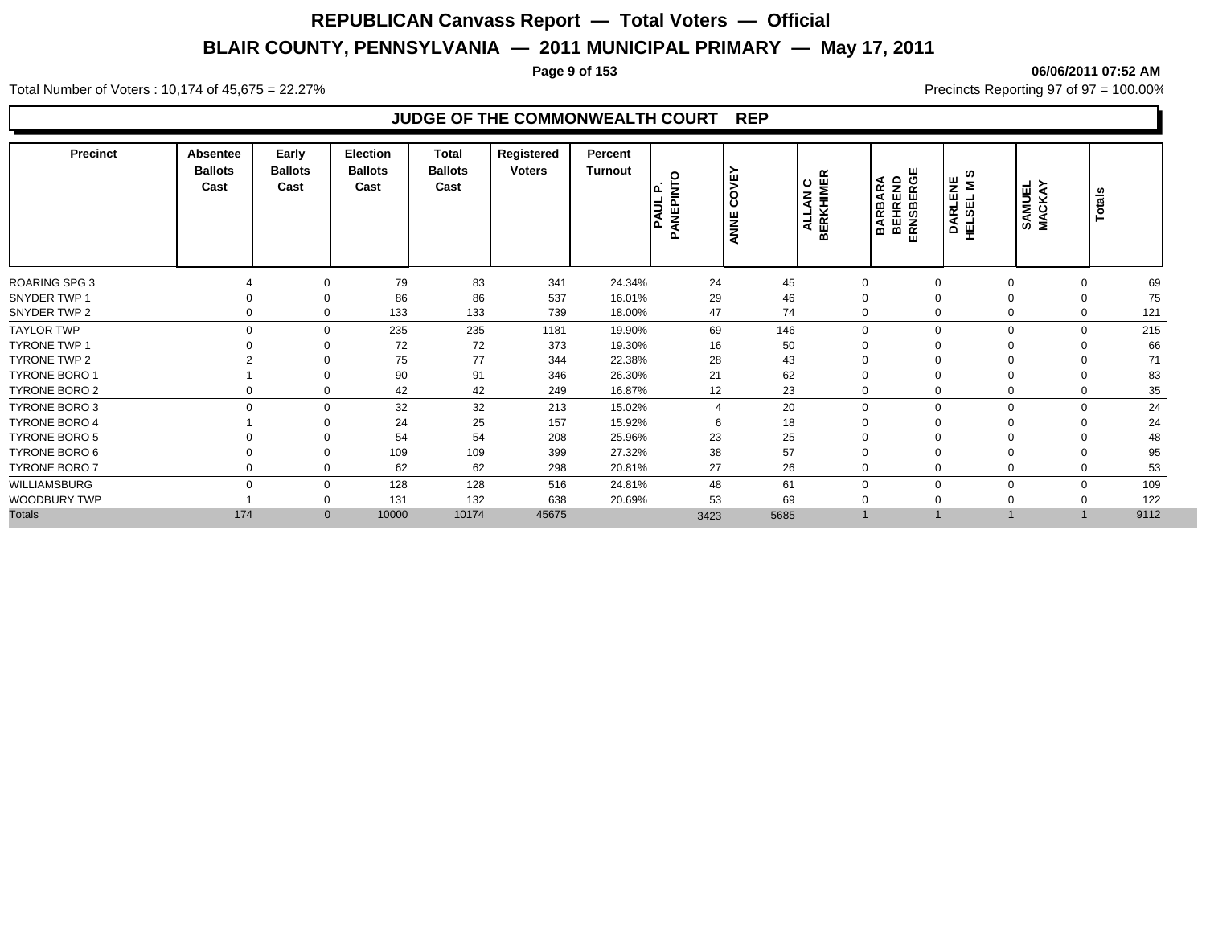**Page 9 of 153 06/06/2011 07:52 AM**

Total Number of Voters : 10,174 of 45,675 = 22.27% **Precincts Reporting 97 of 97 = 100.00%** Precincts Reporting 97 of 97 = 100.00%

### **JUDGE OF THE COMMONWEALTH COURT REP**

| <b>Precinct</b>      | <b>Absentee</b><br><b>Ballots</b><br>Cast | Early<br><b>Ballots</b><br>Cast | <b>Election</b><br><b>Ballots</b><br>Cast | <b>Total</b><br><b>Ballots</b><br>Cast | Registered<br><b>Voters</b> | Percent<br><b>Turnout</b> | $\circ$<br>눌<br>ے ا<br><b>PAUL</b><br>௨<br><b>ANEI</b><br>n | <b>COVE</b><br>ANNE | <b>ALLAN C<br/>BERKHIMER</b> | <b>BARBARA</b><br>BEHREND<br>ERNSBERGE | ທ<br>DARLENE<br>HELSEL M S | SAMUEL<br>MACKAY | Totals             |    |
|----------------------|-------------------------------------------|---------------------------------|-------------------------------------------|----------------------------------------|-----------------------------|---------------------------|-------------------------------------------------------------|---------------------|------------------------------|----------------------------------------|----------------------------|------------------|--------------------|----|
| <b>ROARING SPG 3</b> |                                           | $\Omega$                        | 79                                        | 83                                     | 341                         | 24.34%                    | 24                                                          | 45                  | $\mathbf 0$                  |                                        | 0                          |                  | 0                  | 69 |
| SNYDER TWP 1         |                                           | $\Omega$                        | 86                                        | 86                                     | 537                         | 16.01%                    | 29                                                          | 46                  | $\Omega$                     |                                        |                            |                  | $\Omega$           | 75 |
| SNYDER TWP 2         |                                           | 0<br>$\mathbf 0$                | 133                                       | 133                                    | 739                         | 18.00%                    | 47                                                          | 74                  | $\Omega$                     |                                        | 0                          |                  | 121<br>$\Omega$    |    |
| <b>TAYLOR TWP</b>    |                                           | 0<br>$\mathbf 0$                | 235                                       | 235                                    | 1181                        | 19.90%                    | 69                                                          | 146                 | $\mathbf 0$                  | $\Omega$                               |                            | $\mathbf 0$      | 215<br>$\mathbf 0$ |    |
| <b>TYRONE TWP 1</b>  |                                           | $\Omega$                        | 72                                        | 72                                     | 373                         | 19.30%                    | 16                                                          | 50                  | $\Omega$                     |                                        |                            |                  |                    | 66 |
| <b>TYRONE TWP 2</b>  |                                           | $\Omega$                        | 75                                        | 77                                     | 344                         | 22.38%                    | 28                                                          | 43                  | $\Omega$                     |                                        |                            |                  | $\Omega$           | 71 |
| <b>TYRONE BORO 1</b> |                                           | $\Omega$                        | 90                                        | 91                                     | 346                         | 26.30%                    | 21                                                          | 62                  | $\Omega$                     |                                        |                            |                  | $\Omega$           | 83 |
| <b>TYRONE BORO 2</b> |                                           | 0<br>0                          | 42                                        | 42                                     | 249                         | 16.87%                    | 12                                                          | 23                  | $\mathbf 0$                  |                                        | $\Omega$                   |                  | 0                  | 35 |
| <b>TYRONE BORO 3</b> |                                           | $\mathbf 0$<br>$\mathbf 0$      | 32                                        | 32                                     | 213                         | 15.02%                    | 4                                                           | 20                  | $\mathbf 0$                  | $\Omega$                               |                            | $\mathbf 0$      | $\mathbf 0$        | 24 |
| <b>TYRONE BORO 4</b> |                                           | $\Omega$                        | 24                                        | 25                                     | 157                         | 15.92%                    | 6                                                           | 18                  | $\Omega$                     |                                        |                            |                  | $\Omega$           | 24 |
| <b>TYRONE BORO 5</b> |                                           | $\Omega$                        | 54                                        | 54                                     | 208                         | 25.96%                    | 23                                                          | 25                  | $\Omega$                     |                                        |                            |                  |                    | 48 |
| TYRONE BORO 6        |                                           | $\Omega$                        | 109                                       | 109                                    | 399                         | 27.32%                    | 38                                                          | 57                  | $\Omega$                     |                                        |                            |                  | $\Omega$           | 95 |
| <b>TYRONE BORO 7</b> |                                           | $\mathbf 0$<br>0                | 62                                        | 62                                     | 298                         | 20.81%                    | 27                                                          | 26                  | $\Omega$                     |                                        |                            |                  | 0                  | 53 |
| WILLIAMSBURG         |                                           | $\Omega$<br>$\mathbf 0$         | 128                                       | 128                                    | 516                         | 24.81%                    | 48                                                          | 61                  | $\Omega$                     | O                                      | $\Omega$                   |                  | 109<br>$\mathbf 0$ |    |
| WOODBURY TWP         |                                           | 0                               | 131                                       | 132                                    | 638                         | 20.69%                    | 53                                                          | 69                  | $\mathbf 0$                  |                                        |                            |                  | 122                |    |
| <b>Totals</b>        | 174                                       | $\mathbf{0}$                    | 10000                                     | 10174                                  | 45675                       |                           | 3423                                                        | 5685                |                              |                                        |                            |                  | 9112               |    |
|                      |                                           |                                 |                                           |                                        |                             |                           |                                                             |                     |                              |                                        |                            |                  |                    |    |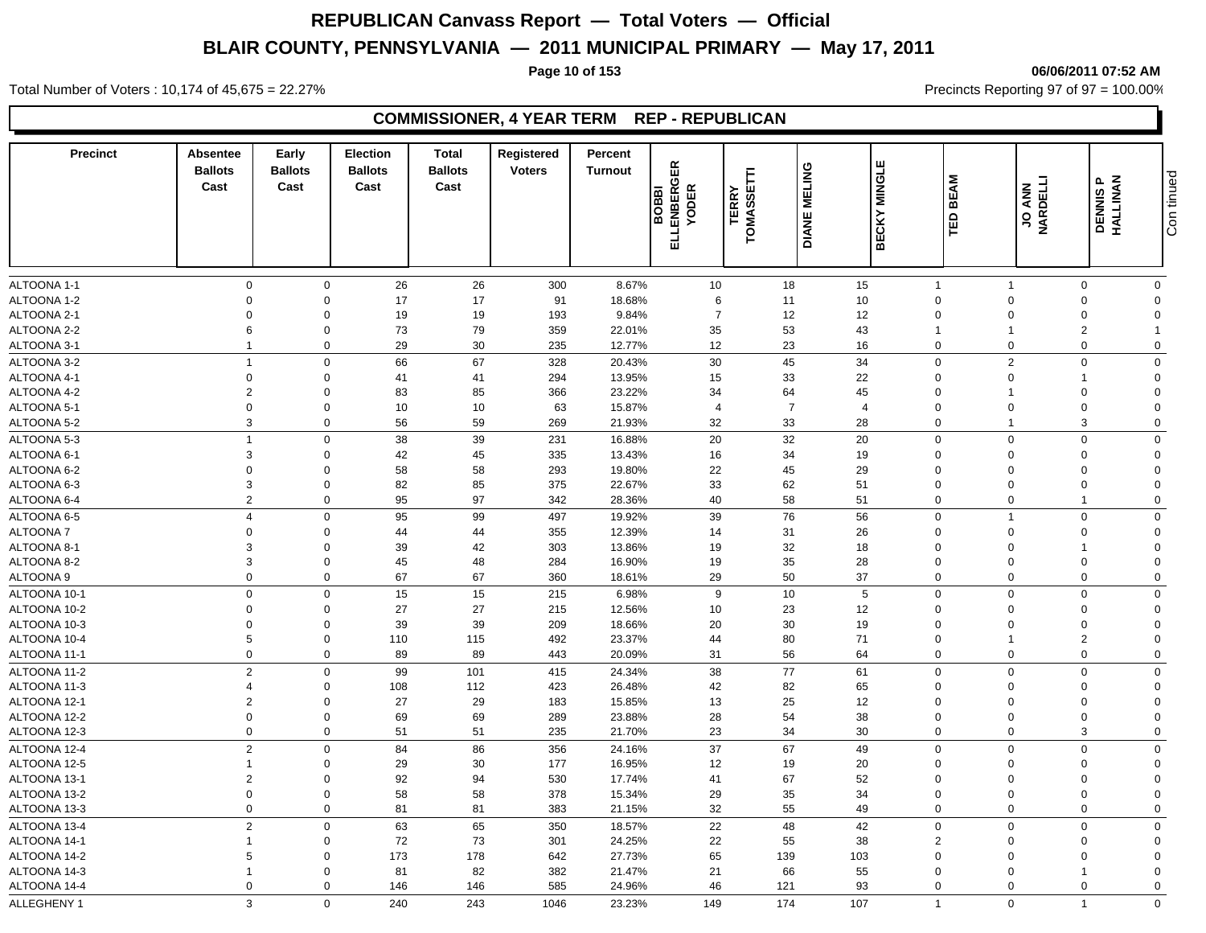### **Page 10 of 153 06/06/2011 07:52 AM**

Total Number of Voters : 10,174 of 45,675 = 22.27% **Precincts Reporting 97 of 97 = 100.00%** Precincts Reporting 97 of 97 = 100.00%

### **COMMISSIONER, 4 YEAR TERM REP - REPUBLICAN**

| 26<br>26<br>300<br>18<br>15<br>$\mathbf 0$<br>$\mathbf 0$<br>8.67%<br>10<br>$\overline{1}$<br>$\Omega$<br>$\mathbf 0$<br>17<br>18.68%<br>$\Omega$<br>$\mathbf 0$<br>17<br>91<br>6<br>10 <sup>1</sup><br>$\Omega$<br>$\Omega$<br>$\Omega$<br>11<br>$\Omega$<br>19<br>$\overline{7}$<br>12<br>12<br>$\Omega$<br>$\Omega$<br>19<br>193<br>9.84%<br>$\mathbf 0$<br>$\Omega$<br>$\Omega$<br>$\Omega$<br>79<br>6<br>$\mathbf 0$<br>73<br>359<br>22.01%<br>35<br>53<br>43<br>$\overline{2}$<br>$\overline{1}$<br>29<br>30<br>12<br>23<br>$\overline{1}$<br>$\mathbf 0$<br>235<br>12.77%<br>16<br>$\mathbf 0$<br>$\Omega$<br>$\mathbf 0$<br>$\Omega$<br>66<br>67<br>45<br>34<br>$\overline{1}$<br>$\Omega$<br>328<br>20.43%<br>30<br>$\mathbf 0$<br>2<br>$\mathbf 0$<br>$\Omega$<br>$\mathbf 0$<br>$\Omega$<br>41<br>41<br>13.95%<br>15<br>33<br>22<br>$\overline{0}$<br>294<br>$\Omega$<br>$\Omega$<br>$\overline{2}$<br>$\mathbf 0$<br>83<br>85<br>366<br>23.22%<br>34<br>64<br>45<br>$\mathbf 0$<br>$\Omega$<br>$\Omega$<br>$\mathbf 0$<br>$\mathbf 0$<br>10<br>10<br>$\overline{7}$<br>63<br>15.87%<br>$\overline{4}$<br>$\overline{4}$<br>$\mathbf 0$<br>$\Omega$<br>$\mathbf 0$<br>$\Omega$<br>$\mathbf{3}$<br>59<br>$\mathbf 0$<br>56<br>269<br>21.93%<br>32<br>33<br>28<br>$\mathbf 0$<br>3<br>$\mathbf 0$<br>$\overline{1}$<br>$20\,$<br>ALTOONA 5-3<br>$\overline{1}$<br>$\Omega$<br>38<br>39<br>32<br>$\mathbf 0$<br>$\mathbf 0$<br>231<br>16.88%<br>20<br>$\Omega$<br>$\Omega$<br>ALTOONA 6-1<br>3<br>42<br>45<br>13.43%<br>19<br>$\mathbf 0$<br>335<br>16<br>34<br>$\Omega$<br>$\Omega$<br>$\Omega$<br>$\Omega$<br>$\mathbf 0$<br>58<br>58<br>22<br>45<br>29<br>$\mathbf 0$<br>293<br>19.80%<br>$\Omega$<br>$\Omega$<br>$\Omega$<br>$\Omega$<br>$\mathbf{3}$<br>$\mathbf 0$<br>82<br>85<br>375<br>22.67%<br>33<br>62<br>51<br>$\mathbf 0$<br>$\Omega$<br>$\mathbf 0$<br>$\Omega$<br>$\overline{2}$<br>$\Omega$<br>95<br>97<br>40<br>58<br>$\mathbf 0$<br>342<br>28.36%<br>51<br>$\mathbf 0$<br>$\mathbf{1}$<br>$\mathbf 0$<br>99<br>56<br>$\overline{4}$<br>$\mathbf 0$<br>95<br>19.92%<br>39<br>76<br>$\mathbf 0$<br>$\mathbf 0$<br>497<br>$\overline{1}$<br>$\Omega$<br>$\mathbf 0$<br>$\mathbf 0$<br>44<br>44<br>355<br>12.39%<br>14<br>31<br>26<br>$\mathbf 0$<br>$\Omega$<br>$\Omega$<br>$\Omega$<br>$\mathbf{3}$<br>42<br>18<br>ALTOONA 8-1<br>$\mathbf 0$<br>39<br>303<br>13.86%<br>19<br>32<br>$\Omega$<br>$\Omega$<br>$\Omega$<br>$\mathbf{3}$<br>48<br>35<br>$\mathbf 0$<br>45<br>284<br>16.90%<br>19<br>28<br>$\overline{0}$<br>$\mathbf{0}$<br>$\Omega$<br>$\Omega$<br>$\mathbf 0$<br>$\mathbf 0$<br>67<br>67<br>50<br>37<br>360<br>29<br>$\mathbf 0$<br>$\Omega$<br>$\Omega$<br>$\mathbf{0}$<br>18.61%<br>$\mathbf 0$<br>15<br>15<br>9<br>10<br>$5\phantom{.0}$<br>$\mathbf 0$<br>$\mathbf 0$<br>215<br>6.98%<br>$\overline{0}$<br>$\Omega$<br>$\Omega$<br>27<br>ALTOONA 10-2<br>$\mathbf 0$<br>$\mathbf 0$<br>27<br>215<br>12.56%<br>10<br>23<br>12<br>$\mathbf 0$<br>$\Omega$<br>$\Omega$<br>$\Omega$<br>39<br>ALTOONA 10-3<br>$\mathbf 0$<br>$\mathbf 0$<br>39<br>209<br>18.66%<br>20<br>30<br>19<br>$\overline{0}$<br>$\Omega$<br>$\Omega$<br>$\Omega$<br>5<br>$\mathbf 0$<br>80<br>71<br>$\overline{2}$<br>110<br>115<br>23.37%<br>44<br>$\mathbf 0$<br>492<br>$\Omega$<br>$\mathbf 0$<br>$\mathbf 0$<br>89<br>89<br>31<br>56<br>64<br>$\mathbf 0$<br>$\Omega$<br>$\mathbf 0$<br>443<br>20.09%<br>$\Omega$<br>$\overline{2}$<br>99<br>101<br>38<br>77<br>61<br>$\mathbf 0$<br>$\mathbf 0$<br>$\mathbf 0$<br>415<br>24.34%<br>$\Omega$<br>$\Omega$<br>112<br>26.48%<br>42<br>82<br>65<br>$\overline{4}$<br>$\mathbf 0$<br>108<br>423<br>$\mathbf 0$<br>$\mathbf 0$<br>$\overline{0}$<br>$\Omega$<br>$\overline{2}$<br>29<br>25<br>12<br>ALTOONA 12-1<br>$\mathbf 0$<br>27<br>183<br>15.85%<br>13<br>$\mathbf 0$<br>$\Omega$<br>$\mathbf{0}$<br>$\Omega$<br>$\mathbf 0$<br>$\mathbf 0$<br>69<br>69<br>289<br>23.88%<br>28<br>54<br>38<br>$\mathbf 0$<br>$\Omega$<br>$\Omega$<br>$\mathbf{0}$<br>$\mathbf 0$<br>$\mathbf 0$<br>51<br>51<br>23<br>34<br>30<br>3<br>235<br>$\mathbf 0$<br>$\mathbf 0$<br>$\mathbf 0$<br>21.70%<br>$\overline{2}$<br>84<br>86<br>37<br>67<br>49<br>$\Omega$<br>$\mathbf 0$<br>$\mathbf 0$<br>356<br>24.16%<br>$\Omega$<br>$\Omega$<br>30<br>$\mathbf 0$<br>29<br>177<br>16.95%<br>12<br>19<br>20<br>$\Omega$<br>$\Omega$<br>$\overline{1}$<br>$\Omega$<br>$\Omega$<br>$\overline{2}$<br>92<br>94<br>67<br>52<br>$\mathbf 0$<br>530<br>17.74%<br>41<br>$\mathbf 0$<br>$\Omega$<br>$\mathbf 0$<br>$\Omega$<br>58<br>$\mathbf 0$<br>$\mathbf 0$<br>58<br>35<br>34<br>$\mathbf 0$<br>378<br>15.34%<br>29<br>$\Omega$<br>$\mathbf 0$<br>$\overline{0}$<br>$\mathbf 0$<br>$\mathbf 0$<br>81<br>81<br>383<br>21.15%<br>32<br>55<br>49<br>$\mathbf 0$<br>$\mathbf 0$<br>$\mathbf 0$<br>$\mathbf 0$<br>$\overline{2}$<br>65<br>$\mathbf 0$<br>63<br>350<br>18.57%<br>22<br>48<br>42<br>$\mathbf 0$<br>$\Omega$<br>$\mathbf 0$<br>$\Omega$<br>72<br>73<br>$\mathbf 0$<br>301<br>24.25%<br>22<br>55<br>38<br>$\overline{2}$<br>$\mathbf 0$<br>$\overline{1}$<br>$\Omega$<br>$\Omega$<br>5<br>173<br>178<br>$\Omega$<br>27.73%<br>65<br>139<br>103<br>$\mathbf 0$<br>642<br>$\Omega$<br>$\Omega$<br>$\Omega$<br>82<br>55<br>$\Omega$<br>81<br>382<br>21.47%<br>21<br>66<br>$\Omega$<br>$\Omega$<br>$\overline{1}$<br>$\Omega$<br>$\mathbf 0$<br>$\Omega$<br>585<br>46<br>121<br>93<br>146<br>146<br>24.96%<br>$\Omega$<br>$\Omega$<br>$\mathbf 0$<br>$\mathbf 0$<br>3<br>$\Omega$<br>174<br>$\Omega$<br>$\overline{1}$<br>$\overline{1}$ | <b>Precinct</b>  | <b>Absentee</b><br><b>Ballots</b><br>Cast | Early<br><b>Ballots</b><br>Cast | <b>Election</b><br><b>Ballots</b><br>Cast | <b>Total</b><br><b>Ballots</b><br>Cast | Registered<br><b>Voters</b> | Percent<br><b>Turnout</b> | GER<br><b>BOBBI</b><br>LENBERG<br>YODER<br>긊 | <b>TERRY</b><br>TOMASSETTI | <b>MELING</b><br><b>DIANE</b> | <b>MINGLE</b><br><b>BECKY</b> | <b>BEAM</b><br>白 | <b>JO ANN<br/>NARDELLI</b> | <b>DENNIS P<br/>HALLINAN</b> | Con tinued  |
|-------------------------------------------------------------------------------------------------------------------------------------------------------------------------------------------------------------------------------------------------------------------------------------------------------------------------------------------------------------------------------------------------------------------------------------------------------------------------------------------------------------------------------------------------------------------------------------------------------------------------------------------------------------------------------------------------------------------------------------------------------------------------------------------------------------------------------------------------------------------------------------------------------------------------------------------------------------------------------------------------------------------------------------------------------------------------------------------------------------------------------------------------------------------------------------------------------------------------------------------------------------------------------------------------------------------------------------------------------------------------------------------------------------------------------------------------------------------------------------------------------------------------------------------------------------------------------------------------------------------------------------------------------------------------------------------------------------------------------------------------------------------------------------------------------------------------------------------------------------------------------------------------------------------------------------------------------------------------------------------------------------------------------------------------------------------------------------------------------------------------------------------------------------------------------------------------------------------------------------------------------------------------------------------------------------------------------------------------------------------------------------------------------------------------------------------------------------------------------------------------------------------------------------------------------------------------------------------------------------------------------------------------------------------------------------------------------------------------------------------------------------------------------------------------------------------------------------------------------------------------------------------------------------------------------------------------------------------------------------------------------------------------------------------------------------------------------------------------------------------------------------------------------------------------------------------------------------------------------------------------------------------------------------------------------------------------------------------------------------------------------------------------------------------------------------------------------------------------------------------------------------------------------------------------------------------------------------------------------------------------------------------------------------------------------------------------------------------------------------------------------------------------------------------------------------------------------------------------------------------------------------------------------------------------------------------------------------------------------------------------------------------------------------------------------------------------------------------------------------------------------------------------------------------------------------------------------------------------------------------------------------------------------------------------------------------------------------------------------------------------------------------------------------------------------------------------------------------------------------------------------------------------------------------------------------------------------------------------------------------------------------------------------------------------------------------------------------------------------------------------------------------------------------------------------------------------------------------------------------------------------------------------------------------------------------------------------------------------------------------------------------------------------------------------------------------------------------------------------------------------------------------------------------------------------------------------------------------------------------------------------------------------------------------------------------------------------------------------------------------------------------------------------------------------------------------------------------------------------------------------------------------------------------------------------------------------------|------------------|-------------------------------------------|---------------------------------|-------------------------------------------|----------------------------------------|-----------------------------|---------------------------|----------------------------------------------|----------------------------|-------------------------------|-------------------------------|------------------|----------------------------|------------------------------|-------------|
|                                                                                                                                                                                                                                                                                                                                                                                                                                                                                                                                                                                                                                                                                                                                                                                                                                                                                                                                                                                                                                                                                                                                                                                                                                                                                                                                                                                                                                                                                                                                                                                                                                                                                                                                                                                                                                                                                                                                                                                                                                                                                                                                                                                                                                                                                                                                                                                                                                                                                                                                                                                                                                                                                                                                                                                                                                                                                                                                                                                                                                                                                                                                                                                                                                                                                                                                                                                                                                                                                                                                                                                                                                                                                                                                                                                                                                                                                                                                                                                                                                                                                                                                                                                                                                                                                                                                                                                                                                                                                                                                                                                                                                                                                                                                                                                                                                                                                                                                                                                                                                                                                                                                                                                                                                                                                                                                                                                                                                                                                                                                                                               | ALTOONA 1-1      |                                           |                                 |                                           |                                        |                             |                           |                                              |                            |                               |                               |                  |                            |                              |             |
|                                                                                                                                                                                                                                                                                                                                                                                                                                                                                                                                                                                                                                                                                                                                                                                                                                                                                                                                                                                                                                                                                                                                                                                                                                                                                                                                                                                                                                                                                                                                                                                                                                                                                                                                                                                                                                                                                                                                                                                                                                                                                                                                                                                                                                                                                                                                                                                                                                                                                                                                                                                                                                                                                                                                                                                                                                                                                                                                                                                                                                                                                                                                                                                                                                                                                                                                                                                                                                                                                                                                                                                                                                                                                                                                                                                                                                                                                                                                                                                                                                                                                                                                                                                                                                                                                                                                                                                                                                                                                                                                                                                                                                                                                                                                                                                                                                                                                                                                                                                                                                                                                                                                                                                                                                                                                                                                                                                                                                                                                                                                                                               | ALTOONA 1-2      |                                           |                                 |                                           |                                        |                             |                           |                                              |                            |                               |                               |                  |                            |                              |             |
|                                                                                                                                                                                                                                                                                                                                                                                                                                                                                                                                                                                                                                                                                                                                                                                                                                                                                                                                                                                                                                                                                                                                                                                                                                                                                                                                                                                                                                                                                                                                                                                                                                                                                                                                                                                                                                                                                                                                                                                                                                                                                                                                                                                                                                                                                                                                                                                                                                                                                                                                                                                                                                                                                                                                                                                                                                                                                                                                                                                                                                                                                                                                                                                                                                                                                                                                                                                                                                                                                                                                                                                                                                                                                                                                                                                                                                                                                                                                                                                                                                                                                                                                                                                                                                                                                                                                                                                                                                                                                                                                                                                                                                                                                                                                                                                                                                                                                                                                                                                                                                                                                                                                                                                                                                                                                                                                                                                                                                                                                                                                                                               | ALTOONA 2-1      |                                           |                                 |                                           |                                        |                             |                           |                                              |                            |                               |                               |                  |                            |                              |             |
|                                                                                                                                                                                                                                                                                                                                                                                                                                                                                                                                                                                                                                                                                                                                                                                                                                                                                                                                                                                                                                                                                                                                                                                                                                                                                                                                                                                                                                                                                                                                                                                                                                                                                                                                                                                                                                                                                                                                                                                                                                                                                                                                                                                                                                                                                                                                                                                                                                                                                                                                                                                                                                                                                                                                                                                                                                                                                                                                                                                                                                                                                                                                                                                                                                                                                                                                                                                                                                                                                                                                                                                                                                                                                                                                                                                                                                                                                                                                                                                                                                                                                                                                                                                                                                                                                                                                                                                                                                                                                                                                                                                                                                                                                                                                                                                                                                                                                                                                                                                                                                                                                                                                                                                                                                                                                                                                                                                                                                                                                                                                                                               | ALTOONA 2-2      |                                           |                                 |                                           |                                        |                             |                           |                                              |                            |                               |                               |                  |                            |                              |             |
|                                                                                                                                                                                                                                                                                                                                                                                                                                                                                                                                                                                                                                                                                                                                                                                                                                                                                                                                                                                                                                                                                                                                                                                                                                                                                                                                                                                                                                                                                                                                                                                                                                                                                                                                                                                                                                                                                                                                                                                                                                                                                                                                                                                                                                                                                                                                                                                                                                                                                                                                                                                                                                                                                                                                                                                                                                                                                                                                                                                                                                                                                                                                                                                                                                                                                                                                                                                                                                                                                                                                                                                                                                                                                                                                                                                                                                                                                                                                                                                                                                                                                                                                                                                                                                                                                                                                                                                                                                                                                                                                                                                                                                                                                                                                                                                                                                                                                                                                                                                                                                                                                                                                                                                                                                                                                                                                                                                                                                                                                                                                                                               | ALTOONA 3-1      |                                           |                                 |                                           |                                        |                             |                           |                                              |                            |                               |                               |                  |                            |                              |             |
|                                                                                                                                                                                                                                                                                                                                                                                                                                                                                                                                                                                                                                                                                                                                                                                                                                                                                                                                                                                                                                                                                                                                                                                                                                                                                                                                                                                                                                                                                                                                                                                                                                                                                                                                                                                                                                                                                                                                                                                                                                                                                                                                                                                                                                                                                                                                                                                                                                                                                                                                                                                                                                                                                                                                                                                                                                                                                                                                                                                                                                                                                                                                                                                                                                                                                                                                                                                                                                                                                                                                                                                                                                                                                                                                                                                                                                                                                                                                                                                                                                                                                                                                                                                                                                                                                                                                                                                                                                                                                                                                                                                                                                                                                                                                                                                                                                                                                                                                                                                                                                                                                                                                                                                                                                                                                                                                                                                                                                                                                                                                                                               | ALTOONA 3-2      |                                           |                                 |                                           |                                        |                             |                           |                                              |                            |                               |                               |                  |                            |                              |             |
|                                                                                                                                                                                                                                                                                                                                                                                                                                                                                                                                                                                                                                                                                                                                                                                                                                                                                                                                                                                                                                                                                                                                                                                                                                                                                                                                                                                                                                                                                                                                                                                                                                                                                                                                                                                                                                                                                                                                                                                                                                                                                                                                                                                                                                                                                                                                                                                                                                                                                                                                                                                                                                                                                                                                                                                                                                                                                                                                                                                                                                                                                                                                                                                                                                                                                                                                                                                                                                                                                                                                                                                                                                                                                                                                                                                                                                                                                                                                                                                                                                                                                                                                                                                                                                                                                                                                                                                                                                                                                                                                                                                                                                                                                                                                                                                                                                                                                                                                                                                                                                                                                                                                                                                                                                                                                                                                                                                                                                                                                                                                                                               | ALTOONA 4-1      |                                           |                                 |                                           |                                        |                             |                           |                                              |                            |                               |                               |                  |                            |                              |             |
|                                                                                                                                                                                                                                                                                                                                                                                                                                                                                                                                                                                                                                                                                                                                                                                                                                                                                                                                                                                                                                                                                                                                                                                                                                                                                                                                                                                                                                                                                                                                                                                                                                                                                                                                                                                                                                                                                                                                                                                                                                                                                                                                                                                                                                                                                                                                                                                                                                                                                                                                                                                                                                                                                                                                                                                                                                                                                                                                                                                                                                                                                                                                                                                                                                                                                                                                                                                                                                                                                                                                                                                                                                                                                                                                                                                                                                                                                                                                                                                                                                                                                                                                                                                                                                                                                                                                                                                                                                                                                                                                                                                                                                                                                                                                                                                                                                                                                                                                                                                                                                                                                                                                                                                                                                                                                                                                                                                                                                                                                                                                                                               | ALTOONA 4-2      |                                           |                                 |                                           |                                        |                             |                           |                                              |                            |                               |                               |                  |                            |                              |             |
|                                                                                                                                                                                                                                                                                                                                                                                                                                                                                                                                                                                                                                                                                                                                                                                                                                                                                                                                                                                                                                                                                                                                                                                                                                                                                                                                                                                                                                                                                                                                                                                                                                                                                                                                                                                                                                                                                                                                                                                                                                                                                                                                                                                                                                                                                                                                                                                                                                                                                                                                                                                                                                                                                                                                                                                                                                                                                                                                                                                                                                                                                                                                                                                                                                                                                                                                                                                                                                                                                                                                                                                                                                                                                                                                                                                                                                                                                                                                                                                                                                                                                                                                                                                                                                                                                                                                                                                                                                                                                                                                                                                                                                                                                                                                                                                                                                                                                                                                                                                                                                                                                                                                                                                                                                                                                                                                                                                                                                                                                                                                                                               | ALTOONA 5-1      |                                           |                                 |                                           |                                        |                             |                           |                                              |                            |                               |                               |                  |                            |                              |             |
|                                                                                                                                                                                                                                                                                                                                                                                                                                                                                                                                                                                                                                                                                                                                                                                                                                                                                                                                                                                                                                                                                                                                                                                                                                                                                                                                                                                                                                                                                                                                                                                                                                                                                                                                                                                                                                                                                                                                                                                                                                                                                                                                                                                                                                                                                                                                                                                                                                                                                                                                                                                                                                                                                                                                                                                                                                                                                                                                                                                                                                                                                                                                                                                                                                                                                                                                                                                                                                                                                                                                                                                                                                                                                                                                                                                                                                                                                                                                                                                                                                                                                                                                                                                                                                                                                                                                                                                                                                                                                                                                                                                                                                                                                                                                                                                                                                                                                                                                                                                                                                                                                                                                                                                                                                                                                                                                                                                                                                                                                                                                                                               | ALTOONA 5-2      |                                           |                                 |                                           |                                        |                             |                           |                                              |                            |                               |                               |                  |                            |                              |             |
|                                                                                                                                                                                                                                                                                                                                                                                                                                                                                                                                                                                                                                                                                                                                                                                                                                                                                                                                                                                                                                                                                                                                                                                                                                                                                                                                                                                                                                                                                                                                                                                                                                                                                                                                                                                                                                                                                                                                                                                                                                                                                                                                                                                                                                                                                                                                                                                                                                                                                                                                                                                                                                                                                                                                                                                                                                                                                                                                                                                                                                                                                                                                                                                                                                                                                                                                                                                                                                                                                                                                                                                                                                                                                                                                                                                                                                                                                                                                                                                                                                                                                                                                                                                                                                                                                                                                                                                                                                                                                                                                                                                                                                                                                                                                                                                                                                                                                                                                                                                                                                                                                                                                                                                                                                                                                                                                                                                                                                                                                                                                                                               |                  |                                           |                                 |                                           |                                        |                             |                           |                                              |                            |                               |                               |                  |                            |                              |             |
|                                                                                                                                                                                                                                                                                                                                                                                                                                                                                                                                                                                                                                                                                                                                                                                                                                                                                                                                                                                                                                                                                                                                                                                                                                                                                                                                                                                                                                                                                                                                                                                                                                                                                                                                                                                                                                                                                                                                                                                                                                                                                                                                                                                                                                                                                                                                                                                                                                                                                                                                                                                                                                                                                                                                                                                                                                                                                                                                                                                                                                                                                                                                                                                                                                                                                                                                                                                                                                                                                                                                                                                                                                                                                                                                                                                                                                                                                                                                                                                                                                                                                                                                                                                                                                                                                                                                                                                                                                                                                                                                                                                                                                                                                                                                                                                                                                                                                                                                                                                                                                                                                                                                                                                                                                                                                                                                                                                                                                                                                                                                                                               |                  |                                           |                                 |                                           |                                        |                             |                           |                                              |                            |                               |                               |                  |                            |                              |             |
|                                                                                                                                                                                                                                                                                                                                                                                                                                                                                                                                                                                                                                                                                                                                                                                                                                                                                                                                                                                                                                                                                                                                                                                                                                                                                                                                                                                                                                                                                                                                                                                                                                                                                                                                                                                                                                                                                                                                                                                                                                                                                                                                                                                                                                                                                                                                                                                                                                                                                                                                                                                                                                                                                                                                                                                                                                                                                                                                                                                                                                                                                                                                                                                                                                                                                                                                                                                                                                                                                                                                                                                                                                                                                                                                                                                                                                                                                                                                                                                                                                                                                                                                                                                                                                                                                                                                                                                                                                                                                                                                                                                                                                                                                                                                                                                                                                                                                                                                                                                                                                                                                                                                                                                                                                                                                                                                                                                                                                                                                                                                                                               | ALTOONA 6-2      |                                           |                                 |                                           |                                        |                             |                           |                                              |                            |                               |                               |                  |                            |                              |             |
|                                                                                                                                                                                                                                                                                                                                                                                                                                                                                                                                                                                                                                                                                                                                                                                                                                                                                                                                                                                                                                                                                                                                                                                                                                                                                                                                                                                                                                                                                                                                                                                                                                                                                                                                                                                                                                                                                                                                                                                                                                                                                                                                                                                                                                                                                                                                                                                                                                                                                                                                                                                                                                                                                                                                                                                                                                                                                                                                                                                                                                                                                                                                                                                                                                                                                                                                                                                                                                                                                                                                                                                                                                                                                                                                                                                                                                                                                                                                                                                                                                                                                                                                                                                                                                                                                                                                                                                                                                                                                                                                                                                                                                                                                                                                                                                                                                                                                                                                                                                                                                                                                                                                                                                                                                                                                                                                                                                                                                                                                                                                                                               | ALTOONA 6-3      |                                           |                                 |                                           |                                        |                             |                           |                                              |                            |                               |                               |                  |                            |                              |             |
|                                                                                                                                                                                                                                                                                                                                                                                                                                                                                                                                                                                                                                                                                                                                                                                                                                                                                                                                                                                                                                                                                                                                                                                                                                                                                                                                                                                                                                                                                                                                                                                                                                                                                                                                                                                                                                                                                                                                                                                                                                                                                                                                                                                                                                                                                                                                                                                                                                                                                                                                                                                                                                                                                                                                                                                                                                                                                                                                                                                                                                                                                                                                                                                                                                                                                                                                                                                                                                                                                                                                                                                                                                                                                                                                                                                                                                                                                                                                                                                                                                                                                                                                                                                                                                                                                                                                                                                                                                                                                                                                                                                                                                                                                                                                                                                                                                                                                                                                                                                                                                                                                                                                                                                                                                                                                                                                                                                                                                                                                                                                                                               | ALTOONA 6-4      |                                           |                                 |                                           |                                        |                             |                           |                                              |                            |                               |                               |                  |                            |                              |             |
|                                                                                                                                                                                                                                                                                                                                                                                                                                                                                                                                                                                                                                                                                                                                                                                                                                                                                                                                                                                                                                                                                                                                                                                                                                                                                                                                                                                                                                                                                                                                                                                                                                                                                                                                                                                                                                                                                                                                                                                                                                                                                                                                                                                                                                                                                                                                                                                                                                                                                                                                                                                                                                                                                                                                                                                                                                                                                                                                                                                                                                                                                                                                                                                                                                                                                                                                                                                                                                                                                                                                                                                                                                                                                                                                                                                                                                                                                                                                                                                                                                                                                                                                                                                                                                                                                                                                                                                                                                                                                                                                                                                                                                                                                                                                                                                                                                                                                                                                                                                                                                                                                                                                                                                                                                                                                                                                                                                                                                                                                                                                                                               | ALTOONA 6-5      |                                           |                                 |                                           |                                        |                             |                           |                                              |                            |                               |                               |                  |                            |                              |             |
|                                                                                                                                                                                                                                                                                                                                                                                                                                                                                                                                                                                                                                                                                                                                                                                                                                                                                                                                                                                                                                                                                                                                                                                                                                                                                                                                                                                                                                                                                                                                                                                                                                                                                                                                                                                                                                                                                                                                                                                                                                                                                                                                                                                                                                                                                                                                                                                                                                                                                                                                                                                                                                                                                                                                                                                                                                                                                                                                                                                                                                                                                                                                                                                                                                                                                                                                                                                                                                                                                                                                                                                                                                                                                                                                                                                                                                                                                                                                                                                                                                                                                                                                                                                                                                                                                                                                                                                                                                                                                                                                                                                                                                                                                                                                                                                                                                                                                                                                                                                                                                                                                                                                                                                                                                                                                                                                                                                                                                                                                                                                                                               | <b>ALTOONA 7</b> |                                           |                                 |                                           |                                        |                             |                           |                                              |                            |                               |                               |                  |                            |                              |             |
|                                                                                                                                                                                                                                                                                                                                                                                                                                                                                                                                                                                                                                                                                                                                                                                                                                                                                                                                                                                                                                                                                                                                                                                                                                                                                                                                                                                                                                                                                                                                                                                                                                                                                                                                                                                                                                                                                                                                                                                                                                                                                                                                                                                                                                                                                                                                                                                                                                                                                                                                                                                                                                                                                                                                                                                                                                                                                                                                                                                                                                                                                                                                                                                                                                                                                                                                                                                                                                                                                                                                                                                                                                                                                                                                                                                                                                                                                                                                                                                                                                                                                                                                                                                                                                                                                                                                                                                                                                                                                                                                                                                                                                                                                                                                                                                                                                                                                                                                                                                                                                                                                                                                                                                                                                                                                                                                                                                                                                                                                                                                                                               |                  |                                           |                                 |                                           |                                        |                             |                           |                                              |                            |                               |                               |                  |                            |                              |             |
|                                                                                                                                                                                                                                                                                                                                                                                                                                                                                                                                                                                                                                                                                                                                                                                                                                                                                                                                                                                                                                                                                                                                                                                                                                                                                                                                                                                                                                                                                                                                                                                                                                                                                                                                                                                                                                                                                                                                                                                                                                                                                                                                                                                                                                                                                                                                                                                                                                                                                                                                                                                                                                                                                                                                                                                                                                                                                                                                                                                                                                                                                                                                                                                                                                                                                                                                                                                                                                                                                                                                                                                                                                                                                                                                                                                                                                                                                                                                                                                                                                                                                                                                                                                                                                                                                                                                                                                                                                                                                                                                                                                                                                                                                                                                                                                                                                                                                                                                                                                                                                                                                                                                                                                                                                                                                                                                                                                                                                                                                                                                                                               | ALTOONA 8-2      |                                           |                                 |                                           |                                        |                             |                           |                                              |                            |                               |                               |                  |                            |                              |             |
|                                                                                                                                                                                                                                                                                                                                                                                                                                                                                                                                                                                                                                                                                                                                                                                                                                                                                                                                                                                                                                                                                                                                                                                                                                                                                                                                                                                                                                                                                                                                                                                                                                                                                                                                                                                                                                                                                                                                                                                                                                                                                                                                                                                                                                                                                                                                                                                                                                                                                                                                                                                                                                                                                                                                                                                                                                                                                                                                                                                                                                                                                                                                                                                                                                                                                                                                                                                                                                                                                                                                                                                                                                                                                                                                                                                                                                                                                                                                                                                                                                                                                                                                                                                                                                                                                                                                                                                                                                                                                                                                                                                                                                                                                                                                                                                                                                                                                                                                                                                                                                                                                                                                                                                                                                                                                                                                                                                                                                                                                                                                                                               | ALTOONA 9        |                                           |                                 |                                           |                                        |                             |                           |                                              |                            |                               |                               |                  |                            |                              |             |
|                                                                                                                                                                                                                                                                                                                                                                                                                                                                                                                                                                                                                                                                                                                                                                                                                                                                                                                                                                                                                                                                                                                                                                                                                                                                                                                                                                                                                                                                                                                                                                                                                                                                                                                                                                                                                                                                                                                                                                                                                                                                                                                                                                                                                                                                                                                                                                                                                                                                                                                                                                                                                                                                                                                                                                                                                                                                                                                                                                                                                                                                                                                                                                                                                                                                                                                                                                                                                                                                                                                                                                                                                                                                                                                                                                                                                                                                                                                                                                                                                                                                                                                                                                                                                                                                                                                                                                                                                                                                                                                                                                                                                                                                                                                                                                                                                                                                                                                                                                                                                                                                                                                                                                                                                                                                                                                                                                                                                                                                                                                                                                               | ALTOONA 10-1     |                                           |                                 |                                           |                                        |                             |                           |                                              |                            |                               |                               |                  |                            |                              |             |
|                                                                                                                                                                                                                                                                                                                                                                                                                                                                                                                                                                                                                                                                                                                                                                                                                                                                                                                                                                                                                                                                                                                                                                                                                                                                                                                                                                                                                                                                                                                                                                                                                                                                                                                                                                                                                                                                                                                                                                                                                                                                                                                                                                                                                                                                                                                                                                                                                                                                                                                                                                                                                                                                                                                                                                                                                                                                                                                                                                                                                                                                                                                                                                                                                                                                                                                                                                                                                                                                                                                                                                                                                                                                                                                                                                                                                                                                                                                                                                                                                                                                                                                                                                                                                                                                                                                                                                                                                                                                                                                                                                                                                                                                                                                                                                                                                                                                                                                                                                                                                                                                                                                                                                                                                                                                                                                                                                                                                                                                                                                                                                               |                  |                                           |                                 |                                           |                                        |                             |                           |                                              |                            |                               |                               |                  |                            |                              |             |
|                                                                                                                                                                                                                                                                                                                                                                                                                                                                                                                                                                                                                                                                                                                                                                                                                                                                                                                                                                                                                                                                                                                                                                                                                                                                                                                                                                                                                                                                                                                                                                                                                                                                                                                                                                                                                                                                                                                                                                                                                                                                                                                                                                                                                                                                                                                                                                                                                                                                                                                                                                                                                                                                                                                                                                                                                                                                                                                                                                                                                                                                                                                                                                                                                                                                                                                                                                                                                                                                                                                                                                                                                                                                                                                                                                                                                                                                                                                                                                                                                                                                                                                                                                                                                                                                                                                                                                                                                                                                                                                                                                                                                                                                                                                                                                                                                                                                                                                                                                                                                                                                                                                                                                                                                                                                                                                                                                                                                                                                                                                                                                               |                  |                                           |                                 |                                           |                                        |                             |                           |                                              |                            |                               |                               |                  |                            |                              |             |
|                                                                                                                                                                                                                                                                                                                                                                                                                                                                                                                                                                                                                                                                                                                                                                                                                                                                                                                                                                                                                                                                                                                                                                                                                                                                                                                                                                                                                                                                                                                                                                                                                                                                                                                                                                                                                                                                                                                                                                                                                                                                                                                                                                                                                                                                                                                                                                                                                                                                                                                                                                                                                                                                                                                                                                                                                                                                                                                                                                                                                                                                                                                                                                                                                                                                                                                                                                                                                                                                                                                                                                                                                                                                                                                                                                                                                                                                                                                                                                                                                                                                                                                                                                                                                                                                                                                                                                                                                                                                                                                                                                                                                                                                                                                                                                                                                                                                                                                                                                                                                                                                                                                                                                                                                                                                                                                                                                                                                                                                                                                                                                               | ALTOONA 10-4     |                                           |                                 |                                           |                                        |                             |                           |                                              |                            |                               |                               |                  |                            |                              |             |
|                                                                                                                                                                                                                                                                                                                                                                                                                                                                                                                                                                                                                                                                                                                                                                                                                                                                                                                                                                                                                                                                                                                                                                                                                                                                                                                                                                                                                                                                                                                                                                                                                                                                                                                                                                                                                                                                                                                                                                                                                                                                                                                                                                                                                                                                                                                                                                                                                                                                                                                                                                                                                                                                                                                                                                                                                                                                                                                                                                                                                                                                                                                                                                                                                                                                                                                                                                                                                                                                                                                                                                                                                                                                                                                                                                                                                                                                                                                                                                                                                                                                                                                                                                                                                                                                                                                                                                                                                                                                                                                                                                                                                                                                                                                                                                                                                                                                                                                                                                                                                                                                                                                                                                                                                                                                                                                                                                                                                                                                                                                                                                               | ALTOONA 11-1     |                                           |                                 |                                           |                                        |                             |                           |                                              |                            |                               |                               |                  |                            |                              |             |
|                                                                                                                                                                                                                                                                                                                                                                                                                                                                                                                                                                                                                                                                                                                                                                                                                                                                                                                                                                                                                                                                                                                                                                                                                                                                                                                                                                                                                                                                                                                                                                                                                                                                                                                                                                                                                                                                                                                                                                                                                                                                                                                                                                                                                                                                                                                                                                                                                                                                                                                                                                                                                                                                                                                                                                                                                                                                                                                                                                                                                                                                                                                                                                                                                                                                                                                                                                                                                                                                                                                                                                                                                                                                                                                                                                                                                                                                                                                                                                                                                                                                                                                                                                                                                                                                                                                                                                                                                                                                                                                                                                                                                                                                                                                                                                                                                                                                                                                                                                                                                                                                                                                                                                                                                                                                                                                                                                                                                                                                                                                                                                               | ALTOONA 11-2     |                                           |                                 |                                           |                                        |                             |                           |                                              |                            |                               |                               |                  |                            |                              |             |
|                                                                                                                                                                                                                                                                                                                                                                                                                                                                                                                                                                                                                                                                                                                                                                                                                                                                                                                                                                                                                                                                                                                                                                                                                                                                                                                                                                                                                                                                                                                                                                                                                                                                                                                                                                                                                                                                                                                                                                                                                                                                                                                                                                                                                                                                                                                                                                                                                                                                                                                                                                                                                                                                                                                                                                                                                                                                                                                                                                                                                                                                                                                                                                                                                                                                                                                                                                                                                                                                                                                                                                                                                                                                                                                                                                                                                                                                                                                                                                                                                                                                                                                                                                                                                                                                                                                                                                                                                                                                                                                                                                                                                                                                                                                                                                                                                                                                                                                                                                                                                                                                                                                                                                                                                                                                                                                                                                                                                                                                                                                                                                               | ALTOONA 11-3     |                                           |                                 |                                           |                                        |                             |                           |                                              |                            |                               |                               |                  |                            |                              |             |
|                                                                                                                                                                                                                                                                                                                                                                                                                                                                                                                                                                                                                                                                                                                                                                                                                                                                                                                                                                                                                                                                                                                                                                                                                                                                                                                                                                                                                                                                                                                                                                                                                                                                                                                                                                                                                                                                                                                                                                                                                                                                                                                                                                                                                                                                                                                                                                                                                                                                                                                                                                                                                                                                                                                                                                                                                                                                                                                                                                                                                                                                                                                                                                                                                                                                                                                                                                                                                                                                                                                                                                                                                                                                                                                                                                                                                                                                                                                                                                                                                                                                                                                                                                                                                                                                                                                                                                                                                                                                                                                                                                                                                                                                                                                                                                                                                                                                                                                                                                                                                                                                                                                                                                                                                                                                                                                                                                                                                                                                                                                                                                               |                  |                                           |                                 |                                           |                                        |                             |                           |                                              |                            |                               |                               |                  |                            |                              |             |
|                                                                                                                                                                                                                                                                                                                                                                                                                                                                                                                                                                                                                                                                                                                                                                                                                                                                                                                                                                                                                                                                                                                                                                                                                                                                                                                                                                                                                                                                                                                                                                                                                                                                                                                                                                                                                                                                                                                                                                                                                                                                                                                                                                                                                                                                                                                                                                                                                                                                                                                                                                                                                                                                                                                                                                                                                                                                                                                                                                                                                                                                                                                                                                                                                                                                                                                                                                                                                                                                                                                                                                                                                                                                                                                                                                                                                                                                                                                                                                                                                                                                                                                                                                                                                                                                                                                                                                                                                                                                                                                                                                                                                                                                                                                                                                                                                                                                                                                                                                                                                                                                                                                                                                                                                                                                                                                                                                                                                                                                                                                                                                               | ALTOONA 12-2     |                                           |                                 |                                           |                                        |                             |                           |                                              |                            |                               |                               |                  |                            |                              |             |
|                                                                                                                                                                                                                                                                                                                                                                                                                                                                                                                                                                                                                                                                                                                                                                                                                                                                                                                                                                                                                                                                                                                                                                                                                                                                                                                                                                                                                                                                                                                                                                                                                                                                                                                                                                                                                                                                                                                                                                                                                                                                                                                                                                                                                                                                                                                                                                                                                                                                                                                                                                                                                                                                                                                                                                                                                                                                                                                                                                                                                                                                                                                                                                                                                                                                                                                                                                                                                                                                                                                                                                                                                                                                                                                                                                                                                                                                                                                                                                                                                                                                                                                                                                                                                                                                                                                                                                                                                                                                                                                                                                                                                                                                                                                                                                                                                                                                                                                                                                                                                                                                                                                                                                                                                                                                                                                                                                                                                                                                                                                                                                               | ALTOONA 12-3     |                                           |                                 |                                           |                                        |                             |                           |                                              |                            |                               |                               |                  |                            |                              |             |
|                                                                                                                                                                                                                                                                                                                                                                                                                                                                                                                                                                                                                                                                                                                                                                                                                                                                                                                                                                                                                                                                                                                                                                                                                                                                                                                                                                                                                                                                                                                                                                                                                                                                                                                                                                                                                                                                                                                                                                                                                                                                                                                                                                                                                                                                                                                                                                                                                                                                                                                                                                                                                                                                                                                                                                                                                                                                                                                                                                                                                                                                                                                                                                                                                                                                                                                                                                                                                                                                                                                                                                                                                                                                                                                                                                                                                                                                                                                                                                                                                                                                                                                                                                                                                                                                                                                                                                                                                                                                                                                                                                                                                                                                                                                                                                                                                                                                                                                                                                                                                                                                                                                                                                                                                                                                                                                                                                                                                                                                                                                                                                               | ALTOONA 12-4     |                                           |                                 |                                           |                                        |                             |                           |                                              |                            |                               |                               |                  |                            |                              |             |
|                                                                                                                                                                                                                                                                                                                                                                                                                                                                                                                                                                                                                                                                                                                                                                                                                                                                                                                                                                                                                                                                                                                                                                                                                                                                                                                                                                                                                                                                                                                                                                                                                                                                                                                                                                                                                                                                                                                                                                                                                                                                                                                                                                                                                                                                                                                                                                                                                                                                                                                                                                                                                                                                                                                                                                                                                                                                                                                                                                                                                                                                                                                                                                                                                                                                                                                                                                                                                                                                                                                                                                                                                                                                                                                                                                                                                                                                                                                                                                                                                                                                                                                                                                                                                                                                                                                                                                                                                                                                                                                                                                                                                                                                                                                                                                                                                                                                                                                                                                                                                                                                                                                                                                                                                                                                                                                                                                                                                                                                                                                                                                               | ALTOONA 12-5     |                                           |                                 |                                           |                                        |                             |                           |                                              |                            |                               |                               |                  |                            |                              |             |
|                                                                                                                                                                                                                                                                                                                                                                                                                                                                                                                                                                                                                                                                                                                                                                                                                                                                                                                                                                                                                                                                                                                                                                                                                                                                                                                                                                                                                                                                                                                                                                                                                                                                                                                                                                                                                                                                                                                                                                                                                                                                                                                                                                                                                                                                                                                                                                                                                                                                                                                                                                                                                                                                                                                                                                                                                                                                                                                                                                                                                                                                                                                                                                                                                                                                                                                                                                                                                                                                                                                                                                                                                                                                                                                                                                                                                                                                                                                                                                                                                                                                                                                                                                                                                                                                                                                                                                                                                                                                                                                                                                                                                                                                                                                                                                                                                                                                                                                                                                                                                                                                                                                                                                                                                                                                                                                                                                                                                                                                                                                                                                               | ALTOONA 13-1     |                                           |                                 |                                           |                                        |                             |                           |                                              |                            |                               |                               |                  |                            |                              |             |
|                                                                                                                                                                                                                                                                                                                                                                                                                                                                                                                                                                                                                                                                                                                                                                                                                                                                                                                                                                                                                                                                                                                                                                                                                                                                                                                                                                                                                                                                                                                                                                                                                                                                                                                                                                                                                                                                                                                                                                                                                                                                                                                                                                                                                                                                                                                                                                                                                                                                                                                                                                                                                                                                                                                                                                                                                                                                                                                                                                                                                                                                                                                                                                                                                                                                                                                                                                                                                                                                                                                                                                                                                                                                                                                                                                                                                                                                                                                                                                                                                                                                                                                                                                                                                                                                                                                                                                                                                                                                                                                                                                                                                                                                                                                                                                                                                                                                                                                                                                                                                                                                                                                                                                                                                                                                                                                                                                                                                                                                                                                                                                               | ALTOONA 13-2     |                                           |                                 |                                           |                                        |                             |                           |                                              |                            |                               |                               |                  |                            |                              |             |
|                                                                                                                                                                                                                                                                                                                                                                                                                                                                                                                                                                                                                                                                                                                                                                                                                                                                                                                                                                                                                                                                                                                                                                                                                                                                                                                                                                                                                                                                                                                                                                                                                                                                                                                                                                                                                                                                                                                                                                                                                                                                                                                                                                                                                                                                                                                                                                                                                                                                                                                                                                                                                                                                                                                                                                                                                                                                                                                                                                                                                                                                                                                                                                                                                                                                                                                                                                                                                                                                                                                                                                                                                                                                                                                                                                                                                                                                                                                                                                                                                                                                                                                                                                                                                                                                                                                                                                                                                                                                                                                                                                                                                                                                                                                                                                                                                                                                                                                                                                                                                                                                                                                                                                                                                                                                                                                                                                                                                                                                                                                                                                               | ALTOONA 13-3     |                                           |                                 |                                           |                                        |                             |                           |                                              |                            |                               |                               |                  |                            |                              |             |
|                                                                                                                                                                                                                                                                                                                                                                                                                                                                                                                                                                                                                                                                                                                                                                                                                                                                                                                                                                                                                                                                                                                                                                                                                                                                                                                                                                                                                                                                                                                                                                                                                                                                                                                                                                                                                                                                                                                                                                                                                                                                                                                                                                                                                                                                                                                                                                                                                                                                                                                                                                                                                                                                                                                                                                                                                                                                                                                                                                                                                                                                                                                                                                                                                                                                                                                                                                                                                                                                                                                                                                                                                                                                                                                                                                                                                                                                                                                                                                                                                                                                                                                                                                                                                                                                                                                                                                                                                                                                                                                                                                                                                                                                                                                                                                                                                                                                                                                                                                                                                                                                                                                                                                                                                                                                                                                                                                                                                                                                                                                                                                               | ALTOONA 13-4     |                                           |                                 |                                           |                                        |                             |                           |                                              |                            |                               |                               |                  |                            |                              |             |
|                                                                                                                                                                                                                                                                                                                                                                                                                                                                                                                                                                                                                                                                                                                                                                                                                                                                                                                                                                                                                                                                                                                                                                                                                                                                                                                                                                                                                                                                                                                                                                                                                                                                                                                                                                                                                                                                                                                                                                                                                                                                                                                                                                                                                                                                                                                                                                                                                                                                                                                                                                                                                                                                                                                                                                                                                                                                                                                                                                                                                                                                                                                                                                                                                                                                                                                                                                                                                                                                                                                                                                                                                                                                                                                                                                                                                                                                                                                                                                                                                                                                                                                                                                                                                                                                                                                                                                                                                                                                                                                                                                                                                                                                                                                                                                                                                                                                                                                                                                                                                                                                                                                                                                                                                                                                                                                                                                                                                                                                                                                                                                               | ALTOONA 14-1     |                                           |                                 |                                           |                                        |                             |                           |                                              |                            |                               |                               |                  |                            |                              |             |
|                                                                                                                                                                                                                                                                                                                                                                                                                                                                                                                                                                                                                                                                                                                                                                                                                                                                                                                                                                                                                                                                                                                                                                                                                                                                                                                                                                                                                                                                                                                                                                                                                                                                                                                                                                                                                                                                                                                                                                                                                                                                                                                                                                                                                                                                                                                                                                                                                                                                                                                                                                                                                                                                                                                                                                                                                                                                                                                                                                                                                                                                                                                                                                                                                                                                                                                                                                                                                                                                                                                                                                                                                                                                                                                                                                                                                                                                                                                                                                                                                                                                                                                                                                                                                                                                                                                                                                                                                                                                                                                                                                                                                                                                                                                                                                                                                                                                                                                                                                                                                                                                                                                                                                                                                                                                                                                                                                                                                                                                                                                                                                               | ALTOONA 14-2     |                                           |                                 |                                           |                                        |                             |                           |                                              |                            |                               |                               |                  |                            |                              |             |
|                                                                                                                                                                                                                                                                                                                                                                                                                                                                                                                                                                                                                                                                                                                                                                                                                                                                                                                                                                                                                                                                                                                                                                                                                                                                                                                                                                                                                                                                                                                                                                                                                                                                                                                                                                                                                                                                                                                                                                                                                                                                                                                                                                                                                                                                                                                                                                                                                                                                                                                                                                                                                                                                                                                                                                                                                                                                                                                                                                                                                                                                                                                                                                                                                                                                                                                                                                                                                                                                                                                                                                                                                                                                                                                                                                                                                                                                                                                                                                                                                                                                                                                                                                                                                                                                                                                                                                                                                                                                                                                                                                                                                                                                                                                                                                                                                                                                                                                                                                                                                                                                                                                                                                                                                                                                                                                                                                                                                                                                                                                                                                               | ALTOONA 14-3     |                                           |                                 |                                           |                                        |                             |                           |                                              |                            |                               |                               |                  |                            |                              |             |
|                                                                                                                                                                                                                                                                                                                                                                                                                                                                                                                                                                                                                                                                                                                                                                                                                                                                                                                                                                                                                                                                                                                                                                                                                                                                                                                                                                                                                                                                                                                                                                                                                                                                                                                                                                                                                                                                                                                                                                                                                                                                                                                                                                                                                                                                                                                                                                                                                                                                                                                                                                                                                                                                                                                                                                                                                                                                                                                                                                                                                                                                                                                                                                                                                                                                                                                                                                                                                                                                                                                                                                                                                                                                                                                                                                                                                                                                                                                                                                                                                                                                                                                                                                                                                                                                                                                                                                                                                                                                                                                                                                                                                                                                                                                                                                                                                                                                                                                                                                                                                                                                                                                                                                                                                                                                                                                                                                                                                                                                                                                                                                               | ALTOONA 14-4     |                                           |                                 |                                           |                                        |                             |                           |                                              |                            |                               |                               |                  |                            |                              |             |
|                                                                                                                                                                                                                                                                                                                                                                                                                                                                                                                                                                                                                                                                                                                                                                                                                                                                                                                                                                                                                                                                                                                                                                                                                                                                                                                                                                                                                                                                                                                                                                                                                                                                                                                                                                                                                                                                                                                                                                                                                                                                                                                                                                                                                                                                                                                                                                                                                                                                                                                                                                                                                                                                                                                                                                                                                                                                                                                                                                                                                                                                                                                                                                                                                                                                                                                                                                                                                                                                                                                                                                                                                                                                                                                                                                                                                                                                                                                                                                                                                                                                                                                                                                                                                                                                                                                                                                                                                                                                                                                                                                                                                                                                                                                                                                                                                                                                                                                                                                                                                                                                                                                                                                                                                                                                                                                                                                                                                                                                                                                                                                               | ALLEGHENY 1      |                                           |                                 | 240                                       | 243                                    | 1046                        | 23.23%                    | 149                                          |                            |                               | 107                           |                  |                            |                              | $\mathbf 0$ |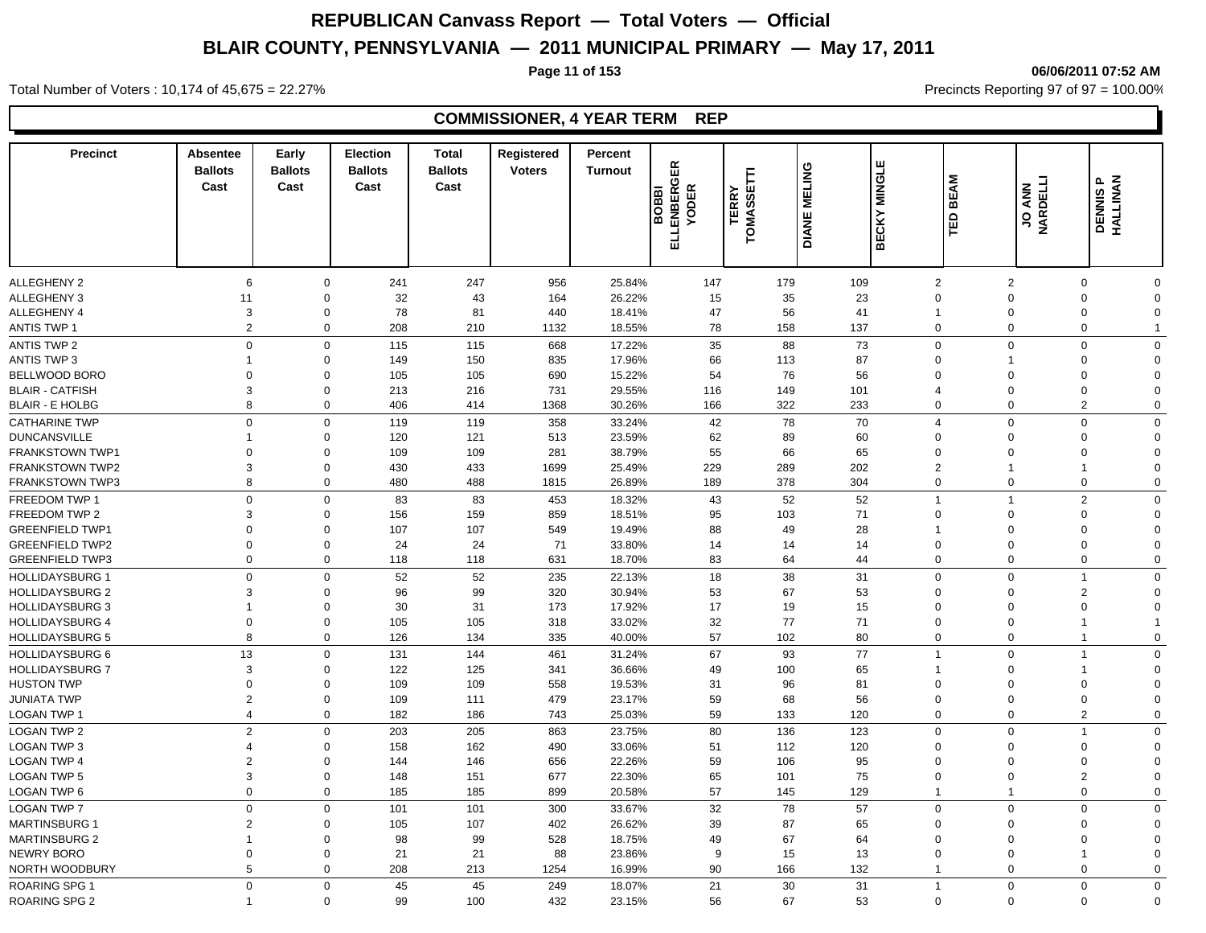**Page 11 of 153 06/06/2011 07:52 AM**

#### Total Number of Voters : 10,174 of 45,675 = 22.27% **Precincts Reporting 97 of 97 = 100.00%** Precincts Reporting 97 of 97 = 100.00%

| <b>Precinct</b>        | <b>Absentee</b><br><b>Ballots</b><br>Cast | Early<br><b>Ballots</b><br>Cast | Election<br><b>Ballots</b><br>Cast | <b>Total</b><br><b>Ballots</b><br>Cast | Registered<br><b>Voters</b> | Percent<br><b>Turnout</b> | 띥<br>ত<br><b>ENBERG</b><br>YODER<br><b>BOBI</b><br>긊 | Ē<br>ய<br><b>TERRY</b><br>TOMASSET | <b>DIANE MELING</b> | <b>BECKY MINGLE</b> | <b>BEAM</b><br>١e                             | <b>TIBONVN</b><br>MVOC | <b>DENNISP</b><br>HALLINAN          |  |
|------------------------|-------------------------------------------|---------------------------------|------------------------------------|----------------------------------------|-----------------------------|---------------------------|------------------------------------------------------|------------------------------------|---------------------|---------------------|-----------------------------------------------|------------------------|-------------------------------------|--|
|                        |                                           |                                 |                                    |                                        |                             |                           |                                                      |                                    |                     |                     |                                               |                        |                                     |  |
| <b>ALLEGHENY 2</b>     | 6                                         | 0                               | 241                                | 247                                    | 956                         | 25.84%                    | 147                                                  | 179                                | 109                 |                     | $\overline{2}$                                | $\overline{2}$         | $\mathbf 0$<br>$\Omega$             |  |
| <b>ALLEGHENY 3</b>     | 11                                        | 0                               | 32                                 | 43                                     | 164                         | 26.22%                    | 15                                                   | 35                                 | 23                  |                     | $\Omega$<br>$\mathbf 0$                       |                        | $\Omega$<br>$\Omega$                |  |
| ALLEGHENY 4            | 3                                         | 0                               | 78                                 | 81                                     | 440                         | 18.41%                    | 47                                                   | 56                                 | 41                  |                     | $\mathbf 0$<br>$\mathbf{1}$                   |                        | $\mathbf 0$<br>$\Omega$             |  |
| <b>ANTIS TWP 1</b>     | $\overline{2}$                            | $\mathbf 0$                     | 208                                | 210                                    | 1132                        | 18.55%                    | 78                                                   | 158                                | 137                 |                     | $\mathbf 0$                                   | $\mathbf 0$            | $\Omega$<br>1                       |  |
| <b>ANTIS TWP 2</b>     | 0                                         | $\mathbf 0$                     | 115                                | 115                                    | 668                         | 17.22%                    | 35                                                   | 88                                 | 73                  |                     | $\mathbf 0$                                   | $\mathbf 0$            | $\Omega$<br>$\Omega$                |  |
| <b>ANTIS TWP 3</b>     |                                           | 0                               | 149                                | 150                                    | 835                         | 17.96%                    | 66                                                   | 113                                | 87                  |                     | $\Omega$<br>1                                 |                        | $\Omega$<br>$\Omega$                |  |
| BELLWOOD BORO          | $\Omega$                                  | 0                               | 105                                | 105                                    | 690                         | 15.22%                    | 54                                                   | 76                                 | 56                  |                     | $\overline{0}$<br>$\mathbf 0$                 |                        | 0<br>O                              |  |
| <b>BLAIR - CATFISH</b> | 3                                         | 0                               | 213                                | 216                                    | 731                         | 29.55%                    | 116                                                  | 149                                | 101                 |                     | $\mathbf 0$<br>$\overline{4}$                 |                        | $\mathbf 0$<br>$\Omega$             |  |
| <b>BLAIR - E HOLBG</b> | 8                                         | $\mathbf 0$                     | 406                                | 414                                    | 1368                        | 30.26%                    | 166                                                  | 322                                | 233                 |                     | $\mathbf 0$                                   | $\mathbf 0$            | $\overline{2}$<br>$\mathbf 0$       |  |
| <b>CATHARINE TWP</b>   | $\Omega$                                  | $\mathbf 0$                     | 119                                | 119                                    | 358                         | 33.24%                    | 42                                                   | 78                                 | 70                  |                     | $\overline{4}$                                | $\mathbf 0$            | $\mathbf 0$<br>$\Omega$             |  |
| <b>DUNCANSVILLE</b>    |                                           | $\mathbf 0$                     | 120                                | 121                                    | 513                         | 23.59%                    | 62                                                   | 89                                 | 60                  |                     | $\Omega$<br>$\Omega$                          |                        | $\Omega$<br>$\Omega$                |  |
| <b>FRANKSTOWN TWP1</b> | $\Omega$                                  | $\mathbf 0$                     | 109                                | 109                                    | 281                         | 38.79%                    | 55                                                   | 66                                 | 65                  |                     | $\Omega$<br>$\Omega$                          |                        | $\Omega$<br>$\Omega$                |  |
| <b>FRANKSTOWN TWP2</b> | 3                                         | $\mathbf 0$                     | 430                                | 433                                    | 1699                        | 25.49%                    | 229                                                  | 289                                | 202                 |                     | $\overline{2}$<br>1                           |                        | $\Omega$                            |  |
| <b>FRANKSTOWN TWP3</b> | 8                                         | $\mathbf 0$                     | 480                                | 488                                    | 1815                        | 26.89%                    | 189                                                  | 378                                | 304                 |                     | $\mathbf 0$                                   | $\mathsf{O}\xspace$    | $\Omega$<br>$\Omega$                |  |
| FREEDOM TWP 1          | $\Omega$                                  | $\mathbf 0$                     | 83                                 | 83                                     | 453                         | 18.32%                    | 43                                                   | 52                                 | 52                  |                     | $\mathbf{1}$<br>$\overline{1}$                |                        | $\overline{2}$<br>$\Omega$          |  |
| FREEDOM TWP 2          | 3                                         | 0                               | 156                                | 159                                    | 859                         | 18.51%                    | 95                                                   | 103                                | 71                  |                     | $\overline{0}$<br>$\mathbf 0$                 |                        | $\mathbf 0$<br>$\Omega$             |  |
| <b>GREENFIELD TWP1</b> | $\Omega$                                  | 0                               | 107                                | 107                                    | 549                         | 19.49%                    | 88                                                   | 49                                 | 28                  |                     | $\Omega$<br>$\mathbf{1}$                      |                        | $\Omega$<br>$\Omega$                |  |
| <b>GREENFIELD TWP2</b> | $\Omega$                                  | $\mathbf 0$                     | 24                                 | 24                                     | 71                          | 33.80%                    | 14                                                   | 14                                 | 14                  |                     | $\overline{0}$                                | $\mathbf 0$            | $\Omega$<br>$\Omega$                |  |
| <b>GREENFIELD TWP3</b> | $\Omega$                                  | $\mathbf 0$                     | 118                                | 118                                    | 631                         | 18.70%                    | 83                                                   | 64                                 | 44                  |                     | $\mathbf 0$                                   | $\mathbf 0$            | $\mathbf 0$<br>$\mathbf 0$          |  |
| <b>HOLLIDAYSBURG 1</b> | $\Omega$                                  | $\mathbf 0$                     | 52                                 | 52                                     | 235                         | 22.13%                    | 18                                                   | 38                                 | 31                  |                     | $\mathbf 0$                                   | $\mathbf 0$            | $\Omega$<br>$\overline{\mathbf{1}}$ |  |
| <b>HOLLIDAYSBURG 2</b> | 3                                         | $\Omega$                        | 96                                 | 99                                     | 320                         | 30.94%                    | 53                                                   | 67                                 | 53                  |                     | $\Omega$<br>$\Omega$                          |                        | $\overline{2}$<br>$\Omega$          |  |
| <b>HOLLIDAYSBURG 3</b> |                                           | $\mathbf 0$                     | 30                                 | 31                                     | 173                         | 17.92%                    | 17                                                   | 19                                 | 15                  |                     | $\overline{0}$<br>$\Omega$                    |                        | $\Omega$<br>$\Omega$                |  |
| <b>HOLLIDAYSBURG 4</b> | $\mathbf 0$                               | $\mathbf 0$                     | 105                                | 105                                    | 318                         | 33.02%                    | 32                                                   | 77                                 | 71                  |                     | $\mathbf 0$<br>$\mathbf 0$                    |                        |                                     |  |
| <b>HOLLIDAYSBURG 5</b> | 8                                         | $\mathbf 0$                     | 126                                | 134                                    | 335                         | 40.00%                    | 57                                                   | 102                                | 80                  |                     | $\mathbf 0$                                   | $\mathbf 0$            | $\mathbf 0$<br>$\overline{1}$       |  |
| <b>HOLLIDAYSBURG 6</b> | 13                                        | $\mathbf 0$                     | 131                                | 144                                    | 461                         | 31.24%                    | 67                                                   | 93                                 | 77                  |                     | $\overline{1}$                                | $\mathbf 0$            | $\Omega$<br>$\overline{1}$          |  |
| <b>HOLLIDAYSBURG 7</b> | 3                                         | $\mathbf 0$                     | 122                                | 125                                    | 341                         | 36.66%                    | 49                                                   | 100                                | 65                  |                     | 1<br>$\Omega$                                 |                        | $\Omega$                            |  |
| <b>HUSTON TWP</b>      | $\Omega$                                  | $\mathbf 0$                     | 109                                | 109                                    | 558                         | 19.53%                    | 31                                                   | 96                                 | 81                  |                     | $\Omega$<br>$\Omega$                          |                        | $\Omega$<br>$\Omega$                |  |
| <b>JUNIATA TWP</b>     | $\overline{2}$                            | $\mathbf 0$                     | 109                                | 111                                    | 479                         | 23.17%                    | 59                                                   | 68                                 | 56                  |                     | $\overline{0}$                                | $\mathbf 0$            | $\mathbf 0$<br>$\Omega$             |  |
| LOGAN TWP 1            | $\overline{4}$                            | 0                               | 182                                | 186                                    | 743                         | 25.03%                    | 59                                                   | 133                                | 120                 |                     | $\mathbf 0$                                   | $\mathbf 0$            | $\overline{2}$<br>$\Omega$          |  |
| <b>LOGAN TWP 2</b>     | $\overline{2}$                            | $\mathbf 0$                     | 203                                | 205                                    | 863                         | 23.75%                    | 80                                                   | 136                                | 123                 |                     | $\Omega$<br>$\mathbf 0$                       |                        | $\overline{1}$<br>$\Omega$          |  |
| <b>LOGAN TWP 3</b>     | $\overline{4}$                            | $\mathbf 0$                     | 158                                | 162                                    | 490                         | 33.06%                    | 51                                                   | 112                                | 120                 |                     | $\overline{0}$<br>$\Omega$                    |                        | $\Omega$<br>$\Omega$                |  |
| <b>LOGAN TWP 4</b>     | $\overline{2}$                            | $\mathbf 0$                     | 144                                | 146                                    | 656                         | 22.26%                    | 59                                                   | 106                                | 95                  |                     | $\overline{0}$                                | 0                      | $\overline{0}$<br>$\Omega$          |  |
| <b>LOGAN TWP 5</b>     | 3                                         | $\mathbf 0$                     | 148                                | 151                                    | 677                         | 22.30%                    | 65                                                   | 101                                | 75                  |                     | $\overline{0}$<br>$\mathbf 0$                 |                        | $\overline{2}$<br>$\Omega$          |  |
| LOGAN TWP 6            | $\mathbf 0$                               | $\mathbf 0$                     | 185                                | 185                                    | 899                         | 20.58%                    | 57                                                   | 145                                | 129                 |                     | $\overline{1}$<br>$\mathbf{1}$                |                        | $\mathbf 0$<br>$\mathbf 0$          |  |
|                        | $\Omega$                                  | $\mathbf 0$                     |                                    |                                        |                             |                           |                                                      |                                    |                     |                     |                                               |                        | $\Omega$<br>$\Omega$                |  |
| <b>LOGAN TWP 7</b>     | 2                                         |                                 | 101                                | 101                                    | 300                         | 33.67%                    | 32                                                   | 78                                 | 57                  |                     | $\mathbf 0$<br>$\mathbf 0$<br>$\Omega$        | $\Omega$               | $\Omega$<br>$\Omega$                |  |
| <b>MARTINSBURG 1</b>   |                                           | 0                               | 105                                | 107                                    | 402                         | 26.62%                    | 39                                                   | 87                                 | 65                  |                     |                                               |                        |                                     |  |
| <b>MARTINSBURG 2</b>   | 1                                         | 0                               | 98                                 | 99                                     | 528                         | 18.75%                    | 49                                                   | 67                                 | 64                  |                     | $\overline{0}$<br>$\mathbf 0$                 |                        | $\Omega$<br>$\Omega$<br>-1          |  |
| NEWRY BORO             | $\mathbf 0$                               | 0                               | 21                                 | 21                                     | 88                          | 23.86%                    | 9                                                    | 15                                 | 13                  |                     | $\overline{0}$<br>$\mathbf 0$<br>$\mathbf{1}$ |                        | 0<br>$\mathbf 0$<br>$\Omega$        |  |
| NORTH WOODBURY         | 5                                         | 0                               | 208                                | 213                                    | 1254                        | 16.99%                    | 90                                                   | 166                                | 132                 |                     |                                               | 0                      |                                     |  |
| ROARING SPG 1          | $\Omega$                                  | $\mathbf 0$                     | 45                                 | 45                                     | 249                         | 18.07%                    | 21                                                   | 30                                 | 31                  |                     | $\overline{1}$                                | $\mathbf 0$            | $\Omega$<br>$\Omega$                |  |
| <b>ROARING SPG 2</b>   |                                           | $\mathbf 0$                     | 99                                 | 100                                    | 432                         | 23.15%                    | 56                                                   | 67                                 | 53                  |                     | $\mathbf 0$                                   | $\mathbf 0$            | $\Omega$<br>$\Omega$                |  |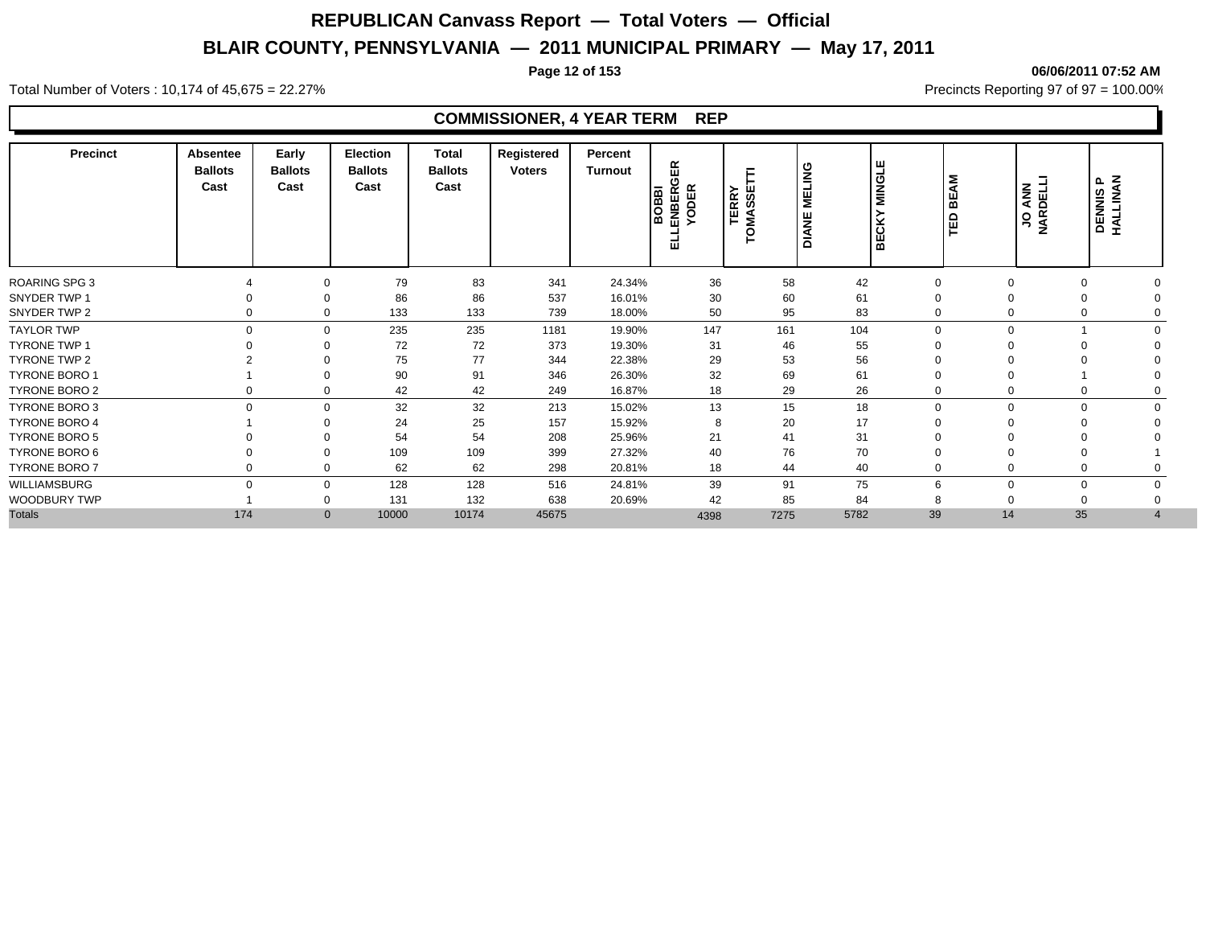**Page 12 of 153 06/06/2011 07:52 AM**

### Total Number of Voters : 10,174 of 45,675 = 22.27% **Precincts Reporting 97 of 97 = 100.00%** Precincts Reporting 97 of 97 = 100.00%

| <b>Precinct</b>      | <b>Absentee</b><br><b>Ballots</b><br>Cast | Early<br><b>Ballots</b><br>Cast | Election<br><b>Ballots</b><br>Cast | Total<br><b>Ballots</b><br>Cast | Registered<br><b>Voters</b> | Percent<br>Turnout | 띥<br>$\sim$<br>ENBERO<br>YODER<br><b>BOBD</b><br>ш | <b>TERRY</b><br>MASSET<br>O | <b>BNU</b><br>픻<br>쁮<br>ΔIΑ | <b>MINGLE</b><br>š<br>ш<br>ᄒ | ξ<br>ш<br>⋒<br>≏<br>ш | <b>JO ANN<br/>NARDELLI</b> | <b>DENNISP</b><br>HALLINAN |  |
|----------------------|-------------------------------------------|---------------------------------|------------------------------------|---------------------------------|-----------------------------|--------------------|----------------------------------------------------|-----------------------------|-----------------------------|------------------------------|-----------------------|----------------------------|----------------------------|--|
| <b>ROARING SPG 3</b> |                                           | $\Omega$                        | 79                                 | 83                              | 341                         | 24.34%             | 36                                                 | 58                          | 42                          | 0                            |                       |                            |                            |  |
| SNYDER TWP 1         |                                           | $\Omega$                        | 86                                 | 86                              | 537                         | 16.01%             | 30                                                 | 60                          | 61                          | 0                            |                       |                            |                            |  |
| SNYDER TWP 2         | 0                                         | $\mathbf 0$                     | 133                                | 133                             | 739                         | 18.00%             | 50                                                 | 95                          | 83                          | $\mathbf 0$                  |                       |                            |                            |  |
| <b>TAYLOR TWP</b>    | $\Omega$                                  | $\mathbf 0$                     | 235                                | 235                             | 1181                        | 19.90%             | 147                                                | 161                         | 104                         | $\mathbf 0$                  | $\Omega$              |                            |                            |  |
| <b>TYRONE TWP 1</b>  |                                           |                                 | 72                                 | 72                              | 373                         | 19.30%             | 31                                                 | 46                          | 55                          |                              |                       |                            |                            |  |
| TYRONE TWP 2         |                                           | $\Omega$                        | 75                                 | 77                              | 344                         | 22.38%             | 29                                                 | 53                          | 56                          |                              |                       |                            |                            |  |
| <b>TYRONE BORO 1</b> |                                           | $\Omega$                        | 90                                 | 91                              | 346                         | 26.30%             | 32                                                 | 69                          | 61                          | 0                            |                       |                            |                            |  |
| TYRONE BORO 2        | $\Omega$                                  | $\Omega$                        | 42                                 | 42                              | 249                         | 16.87%             | 18                                                 | 29                          | 26                          | 0                            |                       |                            |                            |  |
| TYRONE BORO 3        | $\Omega$                                  | $\mathbf 0$                     | 32                                 | 32                              | 213                         | 15.02%             | 13                                                 | 15                          | 18                          | $\mathbf 0$                  | $\Omega$              | $\Omega$                   |                            |  |
| <b>TYRONE BORO 4</b> |                                           | $\Omega$                        | 24                                 | 25                              | 157                         | 15.92%             | 8                                                  | 20                          | 17                          |                              |                       |                            |                            |  |
| <b>TYRONE BORO 5</b> |                                           |                                 | 54                                 | 54                              | 208                         | 25.96%             | 21                                                 | 41                          | 31                          |                              |                       |                            |                            |  |
| TYRONE BORO 6        |                                           | $\Omega$                        | 109                                | 109                             | 399                         | 27.32%             | 40                                                 | 76                          | 70                          |                              |                       |                            |                            |  |
| <b>TYRONE BORO 7</b> | 0                                         | $\mathbf 0$                     | 62                                 | 62                              | 298                         | 20.81%             | 18                                                 | 44                          | 40                          | $\mathbf 0$                  |                       |                            |                            |  |
| WILLIAMSBURG         | $\Omega$                                  | $\Omega$                        | 128                                | 128                             | 516                         | 24.81%             | 39                                                 | 91                          | 75                          | 6                            | $\mathbf 0$           |                            |                            |  |
| WOODBURY TWP         |                                           | $\mathbf 0$                     | 131                                | 132                             | 638                         | 20.69%             | 42                                                 | 85                          | 84                          | 8                            |                       |                            |                            |  |
| <b>Totals</b>        | 174                                       | $\mathbf{0}$                    | 10000                              | 10174                           | 45675                       |                    | 4398                                               | 7275                        | 5782                        | 39                           | 14                    | 35                         |                            |  |
|                      |                                           |                                 |                                    |                                 |                             |                    |                                                    |                             |                             |                              |                       |                            |                            |  |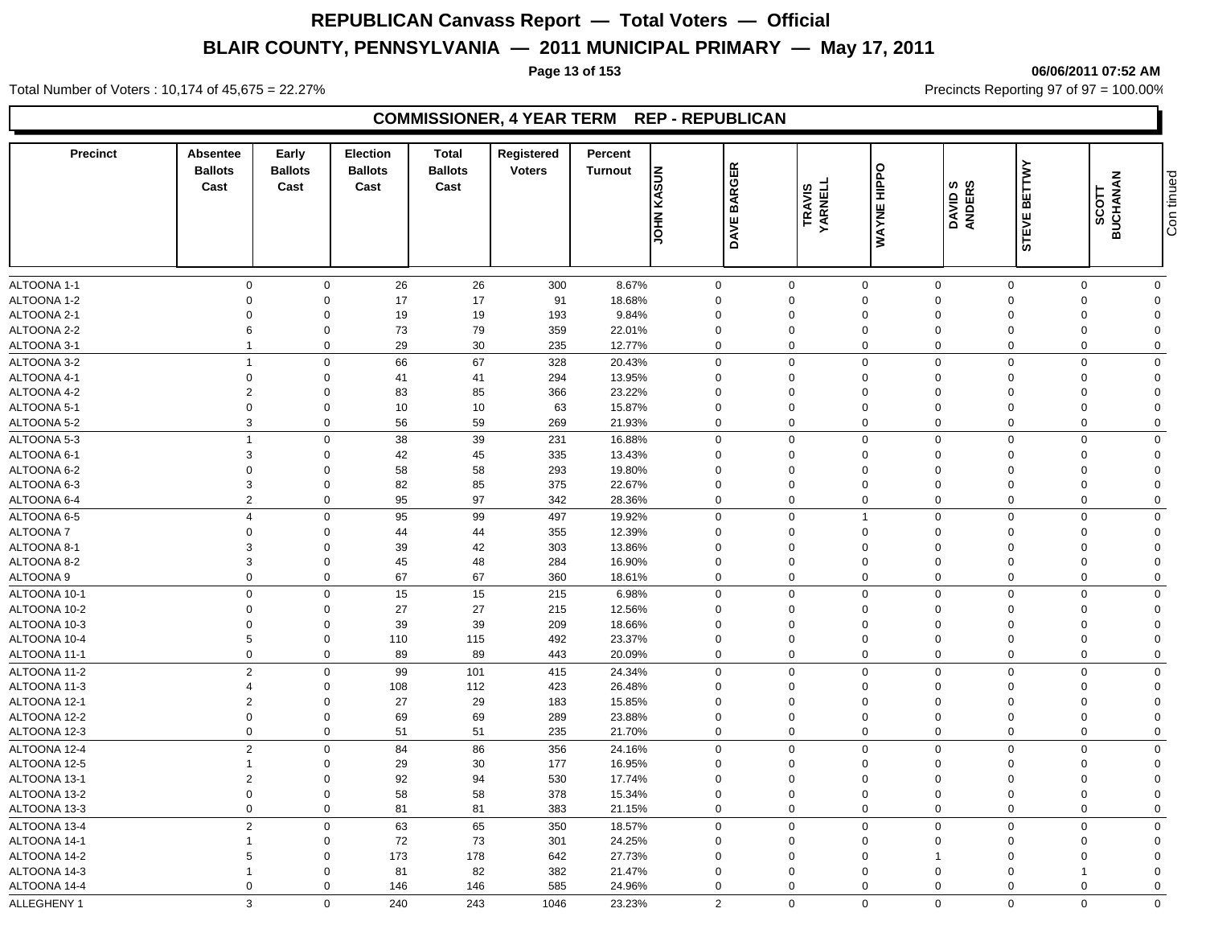**Page 13 of 153 06/06/2011 07:52 AM**

Total Number of Voters : 10,174 of 45,675 = 22.27% **Precincts Reporting 97 of 97 = 100.00%** Precincts Reporting 97 of 97 = 100.00%

### **COMMISSIONER, 4 YEAR TERM REP - REPUBLICAN**

| <b>Precinct</b> | Absentee<br><b>Ballots</b><br>Cast | Early<br><b>Ballots</b><br>Cast | <b>Election</b><br><b>Ballots</b><br>Cast | <b>Total</b><br><b>Ballots</b><br>Cast | Registered<br><b>Voters</b> | Percent<br><b>Turnout</b> | <b>JOHN KASUN</b> | <b>BARGER</b><br><b>DAVE</b> | <b>TRAVIS<br/>YARNELL</b> | WAYNE HIPPO    | DAVID S<br>ANDERS | <b>BETTWY</b><br><b>STEVE</b> | <b>BUCHANAN</b><br>SCOTT | Con tinued     |
|-----------------|------------------------------------|---------------------------------|-------------------------------------------|----------------------------------------|-----------------------------|---------------------------|-------------------|------------------------------|---------------------------|----------------|-------------------|-------------------------------|--------------------------|----------------|
|                 |                                    |                                 |                                           |                                        |                             |                           |                   |                              |                           |                |                   |                               |                          |                |
| ALTOONA 1-1     | $\mathbf 0$                        | $\mathbf 0$                     | 26                                        | 26                                     | 300                         | 8.67%                     | $\mathbf 0$       |                              | $\mathbf 0$               | $\mathbf 0$    | $\mathbf 0$       | $\mathbf 0$                   | $\mathbf 0$              | $\mathbf 0$    |
| ALTOONA 1-2     | $\mathbf 0$                        | $\mathbf 0$                     | 17                                        | 17                                     | 91                          | 18.68%                    | 0                 | $\mathbf 0$                  |                           | $\mathbf 0$    | $\mathbf 0$       | $\Omega$                      | $\Omega$                 | $\Omega$       |
| ALTOONA 2-1     | $\overline{0}$                     | $\Omega$                        | 19                                        | 19                                     | 193                         | 9.84%                     | $\mathbf 0$       | $\mathbf 0$                  |                           | $\mathbf 0$    | $\Omega$          | $\Omega$                      | $\Omega$                 | $\Omega$       |
| ALTOONA 2-2     | 6                                  | $\mathbf 0$                     | 73                                        | 79                                     | 359                         | 22.01%                    | $\mathbf 0$       | $\mathbf 0$                  |                           | $\mathbf 0$    | $\mathbf 0$       | $\Omega$                      | $\Omega$                 | $\Omega$       |
| ALTOONA 3-1     | $\overline{1}$                     | $\mathbf 0$                     | 29                                        | 30                                     | 235                         | 12.77%                    | 0                 | $\mathbf 0$                  |                           | $\mathbf 0$    | $\mathbf 0$       | $\Omega$                      | $\Omega$                 | $\Omega$       |
| ALTOONA 3-2     | $\overline{1}$                     | $\mathbf 0$                     | 66                                        | 67                                     | 328                         | 20.43%                    | 0                 | $\mathbf 0$                  |                           | $\mathbf 0$    | $\mathbf 0$       | $\mathbf 0$                   | $\mathbf 0$              | $\mathbf 0$    |
| ALTOONA 4-1     | $\mathbf 0$                        | $\mathbf 0$                     | 41                                        | 41                                     | 294                         | 13.95%                    | 0                 | $\mathbf 0$                  |                           | $\mathbf 0$    | $\mathbf 0$       | $\Omega$                      | $\Omega$                 | $\Omega$       |
| ALTOONA 4-2     | $\overline{2}$                     | $\mathbf 0$                     | 83                                        | 85                                     | 366                         | 23.22%                    | $\mathbf 0$       | $\mathbf 0$                  |                           | $\mathbf 0$    | $\mathbf 0$       | $\Omega$                      | $\Omega$                 | $\Omega$       |
| ALTOONA 5-1     | $\mathbf 0$                        | $\mathbf 0$                     | 10                                        | 10                                     | 63                          | 15.87%                    | $\mathbf 0$       | $\mathbf 0$                  |                           | $\mathbf 0$    | $\mathbf 0$       | $\Omega$                      | $\Omega$                 | $\Omega$       |
| ALTOONA 5-2     | $\mathbf{3}$                       | $\mathbf 0$                     | 56                                        | 59                                     | 269                         | 21.93%                    | $\Omega$          | $\mathbf 0$                  |                           | $\mathbf 0$    | $\mathbf 0$       | $\Omega$                      | $\Omega$                 | $\mathbf 0$    |
| ALTOONA 5-3     | $\overline{1}$                     | $\mathbf 0$                     | 38                                        | 39                                     | 231                         | 16.88%                    | 0                 | $\mathbf 0$                  |                           | $\mathbf 0$    | $\mathbf 0$       | $\mathbf 0$                   | $\Omega$                 | $\mathbf 0$    |
| ALTOONA 6-1     | $\mathbf{3}$                       | $\mathbf 0$                     | 42                                        | 45                                     | 335                         | 13.43%                    | $\mathbf 0$       | $\mathbf 0$                  |                           | $\mathbf 0$    | $\mathbf 0$       | $\Omega$                      | $\Omega$                 | $\Omega$       |
| ALTOONA 6-2     | $\mathbf 0$                        | $\mathbf 0$                     | 58                                        | 58                                     | 293                         | 19.80%                    | $\mathbf 0$       | $\Omega$                     |                           | $\mathbf 0$    | $\Omega$          | $\Omega$                      | $\Omega$                 | $\Omega$       |
| ALTOONA 6-3     | $\mathbf{3}$                       | $\Omega$                        | 82                                        | 85                                     | 375                         | 22.67%                    | $\mathbf 0$       | $\mathbf 0$                  |                           | $\mathbf 0$    | $\mathbf 0$       | $\Omega$                      | $\Omega$                 | $\Omega$       |
| ALTOONA 6-4     | $\overline{2}$                     | $\mathbf 0$                     | 95                                        | 97                                     | 342                         | 28.36%                    | $\mathbf 0$       | $\mathbf 0$                  |                           | $\mathbf 0$    | $\Omega$          | $\Omega$                      | $\Omega$                 | $\mathbf 0$    |
| ALTOONA 6-5     | $\overline{4}$                     | $\mathbf 0$                     | 95                                        | 99                                     | 497                         | 19.92%                    | 0                 | $\boldsymbol{0}$             |                           | $\overline{1}$ | $\mathbf 0$       | $\mathbf 0$                   | $\mathbf 0$              | $\mathbf 0$    |
| ALTOONA 7       | $\mathbf 0$                        | $\mathbf 0$                     | 44                                        | 44                                     | 355                         | 12.39%                    | $\mathbf 0$       | $\mathbf 0$                  |                           | $\mathbf 0$    | $\mathbf 0$       | $\Omega$                      | $\Omega$                 | $\Omega$       |
| ALTOONA 8-1     | $\mathbf{3}$                       | $\Omega$                        | 39                                        | 42                                     | 303                         | 13.86%                    | $\mathbf 0$       | $\Omega$                     |                           | $\mathbf 0$    | $\mathbf 0$       | $\Omega$                      | $\Omega$                 | $\Omega$       |
| ALTOONA 8-2     | 3                                  | $\mathbf 0$                     | 45                                        | 48                                     | 284                         | 16.90%                    | $\mathbf 0$       | $\mathbf 0$                  |                           | $\mathbf 0$    | $\mathbf 0$       | $\Omega$                      | $\Omega$                 | $\Omega$       |
| ALTOONA 9       | $\mathbf 0$                        | $\mathbf 0$                     | 67                                        | 67                                     | 360                         | 18.61%                    | 0                 | $\mathbf 0$                  |                           | $\mathbf 0$    | $\mathbf 0$       | $\mathbf 0$                   | $\Omega$                 | $\mathbf 0$    |
| ALTOONA 10-1    | $\mathbf 0$                        | $\mathbf 0$                     | 15                                        | 15                                     | 215                         | 6.98%                     | 0                 | $\mathbf 0$                  |                           | $\mathbf 0$    | $\mathbf 0$       | $\Omega$                      | $\Omega$                 | $\mathbf 0$    |
| ALTOONA 10-2    | $\mathbf 0$                        | $\Omega$                        | 27                                        | 27                                     | 215                         | 12.56%                    | $\mathbf 0$       | $\Omega$                     |                           | $\mathbf 0$    | $\mathbf 0$       | $\Omega$                      | $\Omega$                 | $\Omega$       |
| ALTOONA 10-3    | $\mathbf 0$                        | $\mathbf 0$                     | 39                                        | 39                                     | 209                         | 18.66%                    | $\mathbf 0$       | $\mathbf 0$                  |                           | $\mathbf 0$    | $\mathbf 0$       | $\Omega$                      | $\Omega$                 | $\Omega$       |
| ALTOONA 10-4    | 5                                  | $\mathbf 0$                     | 110                                       | 115                                    | 492                         | 23.37%                    | $\mathbf 0$       | $\mathbf 0$                  |                           | $\mathbf 0$    | $\mathbf 0$       | $\Omega$                      | $\Omega$                 | $\Omega$       |
| ALTOONA 11-1    | $\mathbf 0$                        | $\mathbf 0$                     | 89                                        | 89                                     | 443                         | 20.09%                    | 0                 | $\mathbf 0$                  |                           | $\mathbf 0$    | $\mathbf 0$       | $\Omega$                      | $\Omega$                 | $\mathbf 0$    |
| ALTOONA 11-2    | $\overline{2}$                     | $\Omega$                        | 99                                        | 101                                    | 415                         | 24.34%                    | $\Omega$          | $\Omega$                     |                           | $\mathbf 0$    | $\Omega$          | $\Omega$                      | $\Omega$                 | $\Omega$       |
| ALTOONA 11-3    | $\overline{4}$                     | $\mathbf 0$                     | 108                                       | 112                                    | 423                         | 26.48%                    | 0                 | $\Omega$                     |                           | $\mathbf 0$    | $\Omega$          | $\Omega$                      | $\Omega$                 | $\Omega$       |
| ALTOONA 12-1    | $\overline{2}$                     | $\mathbf 0$                     | 27                                        | 29                                     | 183                         | 15.85%                    | $\mathbf 0$       | $\mathbf 0$                  |                           | $\mathbf 0$    | $\mathbf 0$       | $\Omega$                      | $\Omega$                 | $\overline{0}$ |
| ALTOONA 12-2    | $\mathbf 0$                        | $\mathbf 0$                     | 69                                        | 69                                     | 289                         | 23.88%                    | $\mathbf 0$       | $\mathbf 0$                  |                           | $\mathbf 0$    | $\mathbf 0$       | $\Omega$                      | $\mathbf 0$              | $\overline{0}$ |
| ALTOONA 12-3    | $\mathbf 0$                        | $\mathbf 0$                     | 51                                        | 51                                     | 235                         | 21.70%                    | $\mathbf 0$       | $\mathbf 0$                  |                           | $\mathbf 0$    | $\mathbf 0$       | $\mathbf 0$                   | $\mathbf 0$              | $\mathbf 0$    |
| ALTOONA 12-4    | $\overline{2}$                     | $\Omega$                        | 84                                        | 86                                     | 356                         | 24.16%                    | $\Omega$          | $\Omega$                     |                           | $\mathbf 0$    | $\Omega$          | $\Omega$                      | $\Omega$                 | $\mathbf 0$    |
| ALTOONA 12-5    | $\overline{1}$                     | $\mathbf 0$                     | 29                                        | 30                                     | 177                         | 16.95%                    | $\Omega$          | $\Omega$                     |                           | $\mathbf 0$    | $\Omega$          | $\Omega$                      | $\Omega$                 | $\Omega$       |
| ALTOONA 13-1    | $\overline{2}$                     | $\mathbf 0$                     |                                           | 94                                     | 530                         |                           | $\mathbf 0$       | $\mathbf 0$                  |                           | $\mathbf 0$    | $\mathbf 0$       |                               | $\Omega$                 | $\Omega$       |
| ALTOONA 13-2    | $\mathbf 0$                        | $\mathbf 0$                     | 92<br>58                                  | 58                                     | 378                         | 17.74%<br>15.34%          | $\mathbf 0$       | $\mathbf 0$                  |                           | $\mathbf 0$    | $\mathbf 0$       | $\Omega$                      | $\mathbf 0$              | $\overline{0}$ |
| ALTOONA 13-3    | $\mathbf 0$                        | $\mathbf 0$                     | 81                                        | 81                                     | 383                         | 21.15%                    | $\mathbf 0$       | $\mathbf 0$                  |                           | $\mathbf 0$    | $\mathbf 0$       | $\Omega$                      | $\Omega$                 | $\mathbf 0$    |
|                 |                                    |                                 |                                           |                                        |                             |                           |                   |                              |                           |                |                   |                               |                          |                |
| ALTOONA 13-4    | $\overline{2}$                     | $\mathbf 0$                     | 63                                        | 65                                     | 350                         | 18.57%                    | $\Omega$          | $\Omega$                     |                           | $\mathbf 0$    | $\mathbf 0$       | $\Omega$                      | $\Omega$                 | $\mathbf 0$    |
| ALTOONA 14-1    | $\overline{1}$                     | $\mathbf 0$                     | 72                                        | 73                                     | 301                         | 24.25%                    | $\Omega$          | $\Omega$                     |                           | $\mathbf 0$    | $\Omega$          | $\Omega$                      | $\Omega$                 | $\Omega$       |
| ALTOONA 14-2    | 5                                  | $\mathbf 0$                     | 173                                       | 178                                    | 642                         | 27.73%                    | $\Omega$          | 0                            |                           | $\mathbf 0$    | 1                 | $\Omega$                      | $\Omega$                 | $\Omega$       |
| ALTOONA 14-3    | $\overline{1}$                     | $\mathbf 0$                     | 81                                        | 82                                     | 382                         | 21.47%                    | 0                 | $\mathbf 0$                  |                           | $\mathbf 0$    | $\Omega$          | $\Omega$                      |                          | $\Omega$       |
| ALTOONA 14-4    | $\mathbf 0$                        | $\Omega$                        | 146                                       | 146                                    | 585                         | 24.96%                    | $\mathbf 0$       | $\mathbf 0$                  |                           | $\mathbf 0$    | $\mathbf 0$       | $\Omega$                      | $\Omega$                 | $\mathbf 0$    |
| ALLEGHENY 1     | 3                                  | $\Omega$                        | 240                                       | 243                                    | 1046                        | 23.23%                    | $\overline{2}$    | $\Omega$                     |                           | $\Omega$       | $\Omega$          | $\Omega$                      | $\Omega$                 | $\mathbf 0$    |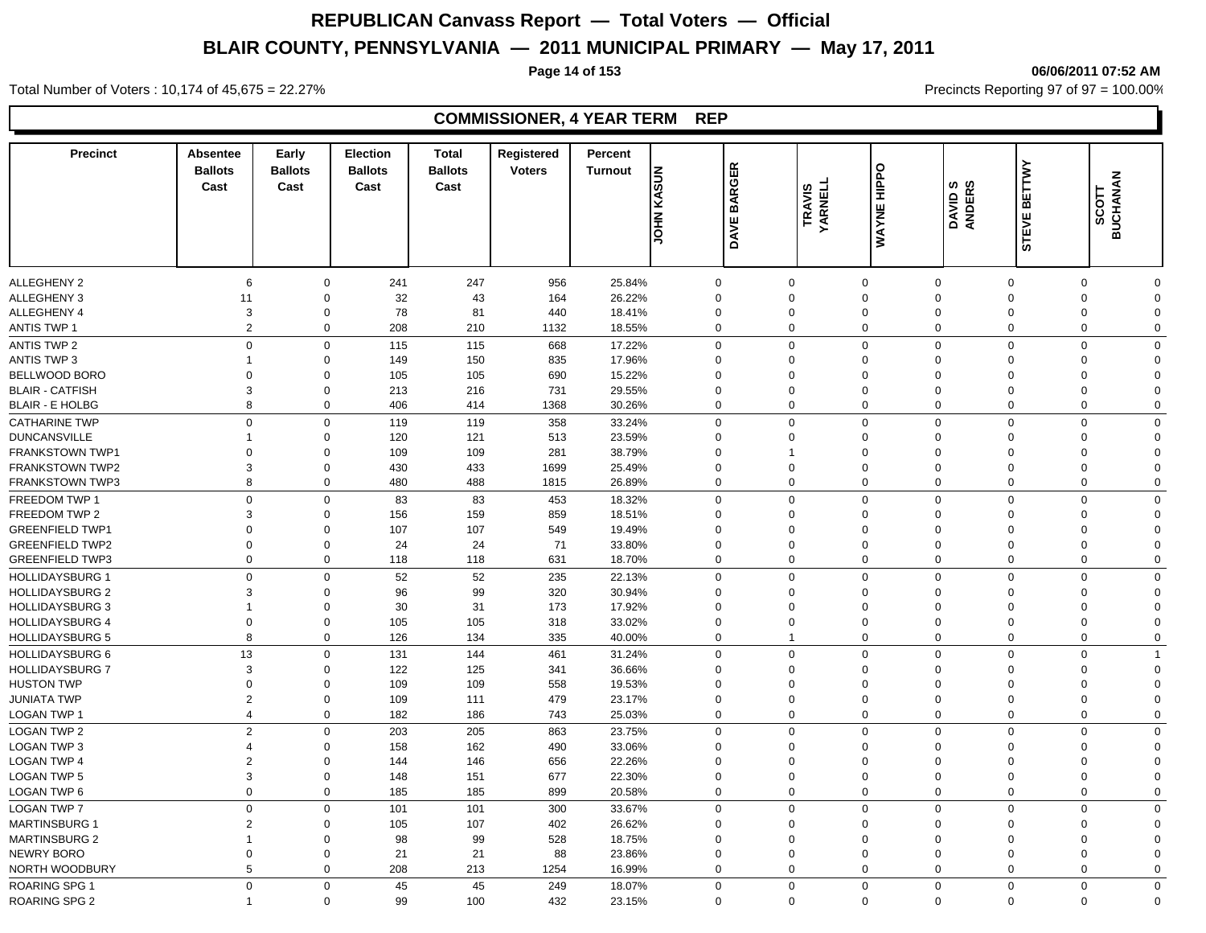**Page 14 of 153 06/06/2011 07:52 AM**

### Total Number of Voters : 10,174 of 45,675 = 22.27% **Precincts Reporting 97 of 97 = 100.00%** Precincts Reporting 97 of 97 = 100.00%

| <b>Precinct</b>                                  | Absentee<br><b>Ballots</b><br>Cast | Early<br><b>Ballots</b><br>Cast | <b>Election</b><br><b>Ballots</b><br>Cast | <b>Total</b><br><b>Ballots</b><br>Cast | Registered<br><b>Voters</b> | Percent<br><b>Turnout</b> | <b>JOHN KASUN</b>       | <b>BARGER</b><br><b>DAVE</b> | <b>TRAVIS<br/>YARNELL</b> | <b>WAYNE HIPPO</b>         | DAVID S<br>ANDERS    | ETTWY<br>⋒<br><b>STEVE</b> | <b>BUCHANAN</b><br><b>SCOTT</b> |                      |
|--------------------------------------------------|------------------------------------|---------------------------------|-------------------------------------------|----------------------------------------|-----------------------------|---------------------------|-------------------------|------------------------------|---------------------------|----------------------------|----------------------|----------------------------|---------------------------------|----------------------|
|                                                  |                                    |                                 |                                           |                                        |                             |                           |                         |                              |                           |                            |                      |                            |                                 |                      |
| <b>ALLEGHENY 2</b>                               | 6                                  | $\mathbf 0$                     | 241                                       | 247                                    | 956                         | 25.84%                    | $\mathbf 0$             | $\mathbf 0$                  |                           | $\mathbf 0$                | $\mathbf 0$          | 0                          | $\mathbf 0$                     | O                    |
| <b>ALLEGHENY 3</b>                               | 11                                 | $\mathbf 0$                     | 32                                        | 43                                     | 164                         | 26.22%                    | $\Omega$                | $\mathbf 0$                  |                           | $\Omega$                   | $\mathbf 0$          | 0                          | $\Omega$                        | $\Omega$             |
| ALLEGHENY 4                                      | 3                                  | $\mathbf 0$                     | 78                                        | 81                                     | 440                         | 18.41%                    | $\mathbf 0$             | $\mathbf 0$                  |                           | $\mathbf 0$<br>$\mathbf 0$ | $\mathbf 0$          | 0                          | 0<br>$\mathbf 0$                | 0                    |
| <b>ANTIS TWP 1</b>                               | 2                                  | $\mathbf 0$                     | 208                                       | 210                                    | 1132                        | 18.55%                    | $\mathbf 0$             | $\mathbf 0$                  |                           |                            | $\mathbf 0$          | $\mathbf 0$                |                                 | $\mathbf 0$          |
| <b>ANTIS TWP 2</b>                               | $\mathbf 0$                        | $\mathbf 0$                     | 115                                       | 115                                    | 668                         | 17.22%                    | $\mathbf 0$             | $\mathbf 0$                  |                           | $\Omega$                   | $\mathbf 0$          | $\mathbf 0$                | $\Omega$                        | $\Omega$             |
| <b>ANTIS TWP 3</b>                               |                                    | $\mathbf 0$                     | 149                                       | 150                                    | 835                         | 17.96%                    | $\Omega$                | $\mathbf 0$                  |                           | $\Omega$                   | $\Omega$             | $\Omega$                   | $\Omega$                        | $\Omega$             |
| BELLWOOD BORO                                    | $\Omega$                           | $\mathbf 0$<br>$\mathbf 0$      | 105                                       | 105                                    | 690                         | 15.22%                    | $\Omega$                | $\Omega$                     |                           | $\Omega$<br>$\Omega$       | $\Omega$<br>$\Omega$ | $\Omega$<br>$\Omega$       | $\Omega$<br>$\Omega$            | 0                    |
| <b>BLAIR - CATFISH</b><br><b>BLAIR - E HOLBG</b> | 3<br>8                             | $\mathbf 0$                     | 213<br>406                                | 216<br>414                             | 731<br>1368                 | 29.55%<br>30.26%          | $\Omega$<br>$\mathbf 0$ | $\mathbf 0$<br>$\mathbf 0$   |                           | $\Omega$                   | $\mathbf 0$          | $\mathbf 0$                | $\Omega$                        | $\Omega$<br>$\Omega$ |
|                                                  |                                    |                                 |                                           |                                        |                             |                           |                         |                              |                           |                            |                      |                            |                                 |                      |
| <b>CATHARINE TWP</b>                             | $\mathbf 0$                        | $\mathbf 0$                     | 119                                       | 119                                    | 358                         | 33.24%                    | $\mathbf 0$             | $\mathbf 0$                  |                           | $\Omega$                   | $\mathbf 0$          | $\mathbf 0$                | $\mathbf 0$                     | $\Omega$             |
| <b>DUNCANSVILLE</b>                              |                                    | $\mathbf 0$                     | 120                                       | 121                                    | 513                         | 23.59%                    | $\mathbf 0$             | $\mathbf{0}$                 |                           | $\Omega$                   | $\mathbf 0$          | 0                          | $\Omega$                        | $\Omega$             |
| <b>FRANKSTOWN TWP1</b>                           | $\Omega$                           | $\mathbf 0$                     | 109                                       | 109                                    | 281                         | 38.79%                    | $\Omega$                |                              |                           | $\Omega$                   | $\mathbf 0$          | $\Omega$                   | $\Omega$                        | 0                    |
| <b>FRANKSTOWN TWP2</b>                           | 3                                  | $\mathbf 0$                     | 430                                       | 433                                    | 1699                        | 25.49%                    | $\mathbf 0$             | $\mathbf 0$                  |                           | $\mathbf 0$                | $\overline{0}$       | 0                          | $\Omega$                        | 0                    |
| <b>FRANKSTOWN TWP3</b>                           | 8                                  | $\mathbf 0$                     | 480                                       | 488                                    | 1815                        | 26.89%                    | $\mathbf 0$             | $\mathbf 0$                  |                           | $\mathbf 0$                | $\mathbf 0$          | 0                          | $\mathbf 0$                     | $\mathbf 0$          |
| FREEDOM TWP 1                                    | $\mathbf{0}$                       | $\mathbf 0$                     | 83                                        | 83                                     | 453                         | 18.32%                    | $\mathbf 0$             | $\mathbf 0$                  |                           | $\Omega$                   | $\Omega$             | $\mathbf 0$                | $\Omega$                        | $\Omega$             |
| FREEDOM TWP 2                                    | 3                                  | $\mathbf 0$                     | 156                                       | 159                                    | 859                         | 18.51%                    | $\Omega$                | $\Omega$                     |                           | $\Omega$                   | $\Omega$             | $\Omega$                   | $\Omega$                        | 0                    |
| <b>GREENFIELD TWP1</b>                           | $\Omega$                           | $\mathbf 0$                     | 107                                       | 107                                    | 549                         | 19.49%                    | $\Omega$                | $\mathbf 0$                  |                           | $\Omega$                   | $\Omega$             | $\Omega$                   | $\Omega$                        | $\Omega$             |
| <b>GREENFIELD TWP2</b>                           | $\Omega$                           | $\mathbf 0$                     | 24                                        | 24                                     | 71                          | 33.80%                    | $\Omega$                | $\mathbf 0$                  |                           | $\Omega$                   | $\Omega$             | $\Omega$                   | $\Omega$                        | $\Omega$             |
| <b>GREENFIELD TWP3</b>                           | $\mathbf 0$                        | $\mathbf 0$                     | 118                                       | 118                                    | 631                         | 18.70%                    | $\mathbf 0$             | $\mathbf 0$                  |                           | $\Omega$                   | $\mathbf 0$          | 0                          | $\Omega$                        | $\Omega$             |
| <b>HOLLIDAYSBURG 1</b>                           | $\mathbf 0$                        | $\mathbf 0$                     | 52                                        | 52                                     | 235                         | 22.13%                    | $\mathbf 0$             | $\mathbf 0$                  |                           | $\Omega$                   | $\mathbf 0$          | $\mathbf 0$                | $\mathbf 0$                     | $\Omega$             |
| <b>HOLLIDAYSBURG 2</b>                           | 3                                  | $\mathbf 0$                     | 96                                        | 99                                     | 320                         | 30.94%                    | $\Omega$                | $\Omega$                     |                           | $\Omega$                   | $\mathbf 0$          | $\mathbf 0$                | $\Omega$                        | $\Omega$             |
| <b>HOLLIDAYSBURG 3</b>                           | 1                                  | $\mathbf 0$                     | 30                                        | 31                                     | 173                         | 17.92%                    | $\Omega$                | $\Omega$                     |                           | $\Omega$                   | $\Omega$             | $\Omega$                   | $\Omega$                        | $\Omega$             |
| <b>HOLLIDAYSBURG 4</b>                           | $\mathbf 0$                        | $\mathbf 0$                     | 105                                       | 105                                    | 318                         | 33.02%                    | $\mathbf 0$             | $\mathbf 0$                  |                           | $\mathbf 0$                | $\mathbf 0$          | 0                          | $\overline{0}$                  | $\Omega$             |
| <b>HOLLIDAYSBURG 5</b>                           | 8                                  | $\mathbf 0$                     | 126                                       | 134                                    | 335                         | 40.00%                    | $\mathbf 0$             | $\overline{1}$               |                           | $\mathbf 0$                | $\mathbf 0$          | 0                          | $\mathbf 0$                     | $\mathbf 0$          |
| <b>HOLLIDAYSBURG 6</b>                           | 13                                 | $\mathbf 0$                     | 131                                       | 144                                    | 461                         | 31.24%                    | $\mathbf 0$             | $\mathbf 0$                  |                           | $\Omega$                   | $\Omega$             | $\mathbf 0$                | $\Omega$                        | 1                    |
| HOLLIDAYSBURG 7                                  | 3                                  | $\mathbf 0$                     | 122                                       | 125                                    | 341                         | 36.66%                    | $\Omega$                | $\Omega$                     |                           | $\Omega$                   | $\Omega$             | $\Omega$                   | $\Omega$                        | $\Omega$             |
| <b>HUSTON TWP</b>                                | $\Omega$                           | $\mathbf 0$                     | 109                                       | 109                                    | 558                         | 19.53%                    | $\Omega$                | $\mathbf 0$                  |                           | $\Omega$                   | $\Omega$             | $\Omega$                   | $\Omega$                        | $\Omega$             |
| <b>JUNIATA TWP</b>                               | $\overline{2}$                     | $\boldsymbol{0}$                | 109                                       | 111                                    | 479                         | 23.17%                    | $\Omega$                | $\mathbf 0$                  |                           | $\Omega$                   | $\Omega$             | $\Omega$                   | $\Omega$                        | $\Omega$             |
| LOGAN TWP 1                                      | $\overline{4}$                     | $\mathbf 0$                     | 182                                       | 186                                    | 743                         | 25.03%                    | $\mathbf 0$             | $\mathbf 0$                  |                           | $\mathbf 0$                | $\mathbf 0$          | 0                          | $\mathbf 0$                     | $\mathbf 0$          |
| <b>LOGAN TWP 2</b>                               | $\overline{2}$                     | $\mathbf 0$                     | 203                                       | 205                                    | 863                         | 23.75%                    | $\mathbf 0$             | $\mathbf 0$                  |                           | $\Omega$                   | $\Omega$             | $\mathbf 0$                | $\Omega$                        | $\Omega$             |
| <b>LOGAN TWP 3</b>                               | $\overline{\mathbf{4}}$            | $\mathbf 0$                     | 158                                       | 162                                    | 490                         | 33.06%                    | $\Omega$                | $\mathbf 0$                  |                           | $\Omega$                   | $\Omega$             | $\Omega$                   | $\Omega$                        | $\Omega$             |
| <b>LOGAN TWP 4</b>                               | $\overline{2}$                     | $\mathbf 0$                     | 144                                       | 146                                    | 656                         | 22.26%                    | $\Omega$                | $\mathbf 0$                  |                           | $\Omega$                   | $\Omega$             | $\Omega$                   | $\Omega$                        | $\Omega$             |
| <b>LOGAN TWP 5</b>                               | 3                                  | $\mathbf 0$                     | 148                                       | 151                                    | 677                         | 22.30%                    | $\mathbf 0$             | $\mathbf 0$                  |                           | $\Omega$                   | $\overline{0}$       | $\mathbf 0$                | $\Omega$                        | $\Omega$             |
| LOGAN TWP 6                                      | $\mathbf 0$                        | $\mathbf 0$                     | 185                                       | 185                                    | 899                         | 20.58%                    | $\mathbf 0$             | $\mathbf 0$                  |                           | $\mathbf 0$                | $\mathbf 0$          | $\mathbf 0$                | $\mathbf 0$                     | $\mathbf 0$          |
| <b>LOGAN TWP 7</b>                               | $\mathbf 0$                        | $\mathbf 0$                     | 101                                       | 101                                    | 300                         | 33.67%                    | $\mathbf 0$             | $\mathbf 0$                  |                           | $\Omega$                   | $\mathbf 0$          | $\mathbf 0$                | $\Omega$                        | $\Omega$             |
| <b>MARTINSBURG 1</b>                             | 2                                  | $\mathbf 0$                     | 105                                       | 107                                    | 402                         | 26.62%                    | $\Omega$                | $\mathbf 0$                  |                           | $\mathbf 0$                | $\overline{0}$       | 0                          | $\Omega$                        | $\Omega$             |
| <b>MARTINSBURG 2</b>                             | 1                                  | $\mathbf 0$                     | 98                                        | 99                                     | 528                         | 18.75%                    | $\mathbf 0$             | $\mathbf 0$                  |                           | $\mathbf 0$                | $\mathbf 0$          | 0                          | $\Omega$                        | $\Omega$             |
| <b>NEWRY BORO</b>                                | 0                                  | $\mathbf 0$                     | 21                                        | 21                                     | 88                          | 23.86%                    | $\Omega$                | $\mathbf 0$                  |                           | $\mathbf 0$                | $\overline{0}$       | 0                          | $\mathbf 0$                     | $\Omega$             |
| NORTH WOODBURY                                   | 5                                  | $\mathbf 0$                     | 208                                       | 213                                    | 1254                        | 16.99%                    | $\mathbf 0$             | $\mathbf 0$                  |                           | $\mathbf 0$                | $\mathbf 0$          | 0                          | $\mathbf 0$                     | 0                    |
| ROARING SPG 1                                    | $\Omega$                           | $\mathbf 0$                     | 45                                        | 45                                     | 249                         | 18.07%                    | $\Omega$                | $\mathbf 0$                  |                           | $\Omega$                   | $\mathbf 0$          | $\mathbf 0$                | $\mathbf 0$                     | $\mathbf{0}$         |
| <b>ROARING SPG 2</b>                             | 1                                  | $\Omega$                        | 99                                        | 100                                    | 432                         | 23.15%                    | $\Omega$                | $\Omega$                     |                           | $\Omega$                   | $\mathbf 0$          | $\Omega$                   | $\Omega$                        | $\Omega$             |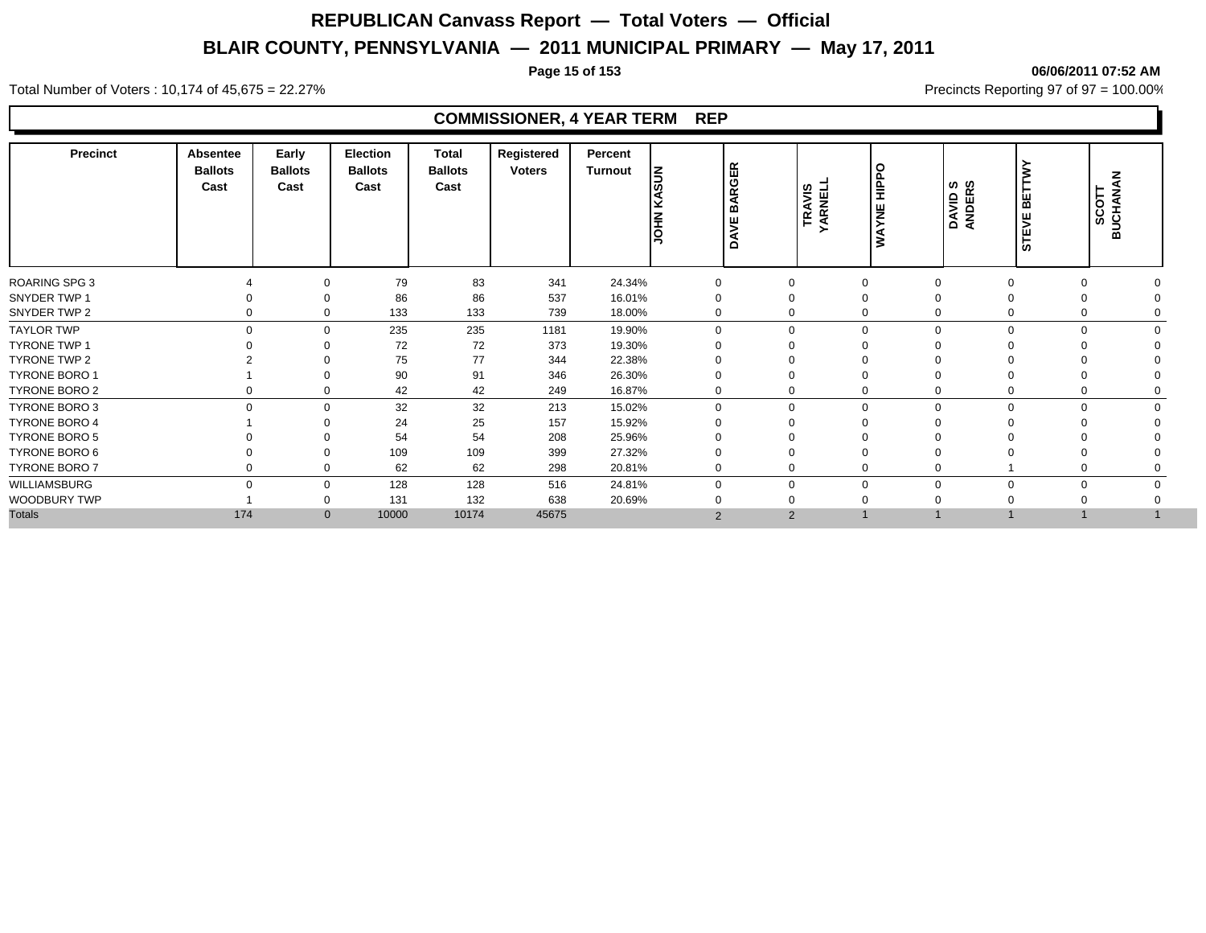### **Page 15 of 153 06/06/2011 07:52 AM**

#### Total Number of Voters : 10,174 of 45,675 = 22.27% **Precincts Reporting 97 of 97 = 100.00%** Precincts Reporting 97 of 97 = 100.00%

| <b>Precinct</b>      | <b>Absentee</b><br><b>Ballots</b><br>Cast | Early<br><b>Ballots</b><br>Cast | Election<br><b>Ballots</b><br>Cast | Total<br><b>Ballots</b><br>Cast | Registered<br><b>Voters</b> | Percent<br>Turnout | KASUN<br><b>NHOL</b> | <b>BARGER</b><br><b>DAVE</b> | <b>TRAVIS<br/>YARNELL</b> | O<br>흪<br>YNE<br>$\tilde{\bm{z}}$ | DAVID S<br>ANDERS | ш<br>⋒<br>ш<br>><br><b>in</b> | <b>BUCHANAN</b><br>SCOTT |  |
|----------------------|-------------------------------------------|---------------------------------|------------------------------------|---------------------------------|-----------------------------|--------------------|----------------------|------------------------------|---------------------------|-----------------------------------|-------------------|-------------------------------|--------------------------|--|
| <b>ROARING SPG 3</b> |                                           | $\mathbf 0$                     | 79                                 | 83                              | 341                         | 24.34%             | $\mathbf 0$          | $\mathbf 0$                  |                           |                                   |                   |                               |                          |  |
| SNYDER TWP 1         |                                           | $\Omega$                        | 86                                 | 86                              | 537                         | 16.01%             |                      | 0                            |                           |                                   |                   |                               |                          |  |
| SNYDER TWP 2         | $\Omega$                                  | $\Omega$                        | 133                                | 133                             | 739                         | 18.00%             | $\mathbf 0$          | 0                            |                           | 0                                 | $\mathbf 0$       |                               |                          |  |
| <b>TAYLOR TWP</b>    | $\Omega$                                  | $\mathbf 0$                     | 235                                | 235                             | 1181                        | 19.90%             | $\mathbf 0$          | $\Omega$                     |                           | $\Omega$                          | $\mathbf 0$       | $\Omega$                      |                          |  |
| TYRONE TWP 1         |                                           |                                 | 72                                 | 72                              | 373                         | 19.30%             |                      |                              |                           |                                   |                   |                               |                          |  |
| TYRONE TWP 2         |                                           |                                 | 75                                 | 77                              | 344                         | 22.38%             |                      |                              |                           |                                   |                   |                               |                          |  |
| <b>TYRONE BORO 1</b> |                                           | $\Omega$                        | 90                                 | 91                              | 346                         | 26.30%             |                      |                              |                           |                                   |                   |                               |                          |  |
| TYRONE BORO 2        | 0                                         | $\mathbf 0$                     | 42                                 | 42                              | 249                         | 16.87%             | 0                    |                              |                           | 0                                 | $\mathbf 0$       |                               |                          |  |
| TYRONE BORO 3        | $\Omega$                                  | $\mathbf 0$                     | 32                                 | 32                              | 213                         | 15.02%             | $\mathbf 0$          | $\Omega$                     |                           | 0                                 | $\mathbf 0$       | $\Omega$<br>0                 |                          |  |
| <b>TYRONE BORO 4</b> |                                           | $\Omega$                        | 24                                 | 25                              | 157                         | 15.92%             |                      |                              |                           |                                   |                   |                               |                          |  |
| <b>TYRONE BORO 5</b> |                                           |                                 | 54                                 | 54                              | 208                         | 25.96%             |                      |                              |                           |                                   |                   |                               |                          |  |
| TYRONE BORO 6        |                                           | $\mathbf 0$                     | 109                                | 109                             | 399                         | 27.32%             |                      |                              |                           |                                   |                   |                               |                          |  |
| TYRONE BORO 7        | 0                                         | $\mathbf 0$                     | 62                                 | 62                              | 298                         | 20.81%             | $\mathbf 0$          | $\Omega$                     |                           | 0                                 | $\mathbf 0$       |                               |                          |  |
| WILLIAMSBURG         | $\Omega$                                  | $\mathbf 0$                     | 128                                | 128                             | 516                         | 24.81%             | $\Omega$             | $\Omega$                     |                           | $\Omega$                          | $\Omega$          | 0<br>0                        |                          |  |
| WOODBURY TWP         |                                           | $\mathbf 0$                     | 131                                | 132                             | 638                         | 20.69%             |                      |                              |                           |                                   |                   |                               |                          |  |
| <b>Totals</b>        | 174                                       | $\mathbf 0$                     | 10000                              | 10174                           | 45675                       |                    | $\overline{2}$       | $\overline{2}$               |                           |                                   |                   |                               |                          |  |
|                      |                                           |                                 |                                    |                                 |                             |                    |                      |                              |                           |                                   |                   |                               |                          |  |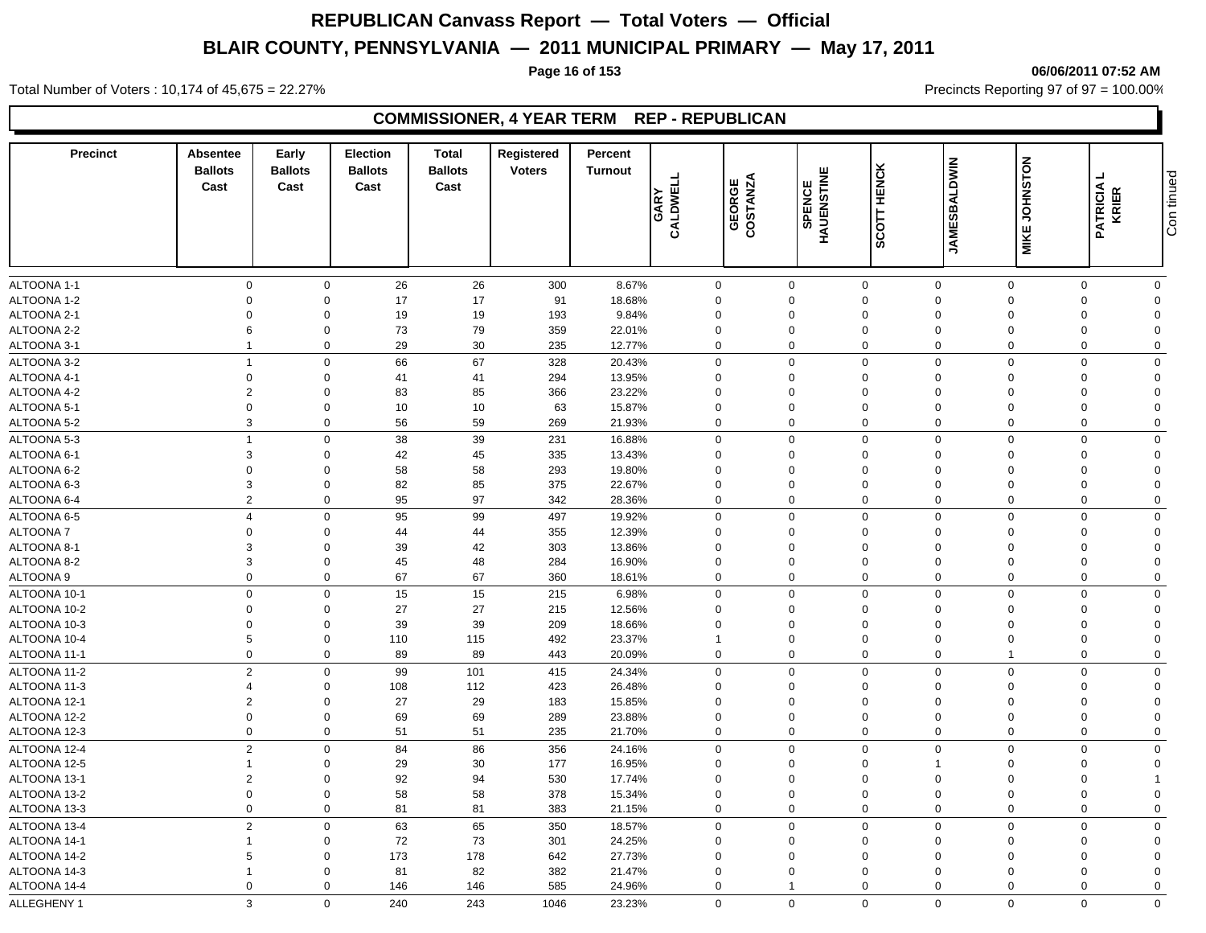**Page 16 of 153 06/06/2011 07:52 AM**

Total Number of Voters : 10,174 of 45,675 = 22.27% **Precincts Reporting 97 of 97 = 100.00%** Precincts Reporting 97 of 97 = 100.00%

### **COMMISSIONER, 4 YEAR TERM REP - REPUBLICAN**

| <b>Precinct</b> | Absentee<br><b>Ballots</b><br>Cast | Early<br><b>Ballots</b><br>Cast | <b>Election</b><br><b>Ballots</b><br>Cast | <b>Total</b><br><b>Ballots</b><br>Cast | Registered<br><b>Voters</b> | Percent<br><b>Turnout</b> | GARY<br>CALDWELL           | GEORGE<br>COSTANZA | HAUENSTINE<br><b>SPENCE</b> | <b>HENCK</b><br>SCOTT      | <b>JAMESBALDWIN</b>              | <b>MIKE JOHNSTON</b>    | ┙<br><b>PATRICIA</b><br>KRIER | Con tinued              |
|-----------------|------------------------------------|---------------------------------|-------------------------------------------|----------------------------------------|-----------------------------|---------------------------|----------------------------|--------------------|-----------------------------|----------------------------|----------------------------------|-------------------------|-------------------------------|-------------------------|
|                 |                                    |                                 |                                           |                                        |                             |                           |                            |                    |                             |                            |                                  |                         |                               |                         |
| ALTOONA 1-1     | $\mathbf 0$<br>$\Omega$            | $\mathbf 0$                     | 26                                        | 26                                     | 300                         | 8.67%                     | $\mathbf 0$<br>$\Omega$    |                    | $\mathbf 0$                 | $\mathbf 0$                | $\mathbf 0$                      | $\mathbf 0$<br>$\Omega$ | $\Omega$<br>$\Omega$          | $\mathbf 0$<br>$\Omega$ |
| ALTOONA 1-2     | $\Omega$                           | $\mathbf 0$                     | 17                                        | 17                                     | 91                          | 18.68%                    |                            |                    | $\mathbf 0$                 | $\mathbf 0$                | $\overline{0}$                   |                         | $\Omega$                      | $\Omega$                |
| ALTOONA 2-1     | 6                                  | $\mathbf 0$<br>$\Omega$         | 19<br>73                                  | 19<br>79                               | 193<br>359                  | 9.84%                     | $\mathbf 0$<br>$\mathbf 0$ |                    | $\mathbf 0$<br>$\mathbf 0$  | $\mathbf 0$<br>$\mathbf 0$ | $\overline{0}$<br>$\overline{0}$ | $\Omega$<br>$\Omega$    | $\Omega$                      | $\Omega$                |
| ALTOONA 2-2     |                                    | $\mathbf 0$                     |                                           |                                        |                             | 22.01%                    | $\mathbf 0$                |                    | $\mathbf 0$                 | $\mathbf 0$                | $\overline{0}$                   | $\Omega$                | $\Omega$                      | $\Omega$                |
| ALTOONA 3-1     |                                    |                                 | 29                                        | 30                                     | 235                         | 12.77%                    |                            |                    |                             |                            |                                  |                         |                               |                         |
| ALTOONA 3-2     | $\overline{1}$                     | $\mathbf 0$                     | 66                                        | 67                                     | 328                         | 20.43%                    | $\mathbf 0$                |                    | $\mathbf 0$                 | $\mathbf 0$                | $\mathbf 0$                      | $\mathbf 0$             | $\Omega$                      | $\mathbf 0$             |
| ALTOONA 4-1     | $\mathbf 0$                        | $\mathbf 0$                     | 41                                        | 41                                     | 294                         | 13.95%                    | $\Omega$                   |                    | $\Omega$                    | $\mathbf 0$                | $\Omega$                         | $\Omega$                | $\Omega$                      | $\Omega$                |
| ALTOONA 4-2     | $\overline{2}$                     | $\Omega$                        | 83                                        | 85                                     | 366                         | 23.22%                    | $\Omega$                   |                    | $\Omega$                    | $\mathbf 0$                | $\Omega$                         | $\Omega$                | $\Omega$                      | $\Omega$                |
| ALTOONA 5-1     | $\Omega$                           | $\Omega$                        | 10                                        | 10                                     | 63                          | 15.87%                    | $\mathbf 0$                |                    | $\Omega$                    | $\mathbf 0$                | $\Omega$                         | $\Omega$                | $\Omega$                      | $\Omega$                |
| ALTOONA 5-2     | 3                                  | $\mathbf 0$                     | 56                                        | 59                                     | 269                         | 21.93%                    | $\mathbf 0$                |                    | $\mathbf 0$                 | $\mathbf 0$                | $\mathbf 0$                      | $\Omega$                | $\Omega$                      | $\Omega$                |
| ALTOONA 5-3     | $\overline{1}$                     | $\mathbf 0$                     | 38                                        | 39                                     | 231                         | 16.88%                    | $\mathbf{0}$               |                    | $\mathbf 0$                 | $\mathbf 0$                | $\mathbf 0$                      | $\mathbf 0$             | $\Omega$                      | $\mathbf 0$             |
| ALTOONA 6-1     | 3                                  | $\mathbf 0$                     | 42                                        | 45                                     | 335                         | 13.43%                    | $\mathbf 0$                |                    | $\mathbf 0$                 | $\mathbf 0$                | $\Omega$                         | $\Omega$                | $\Omega$                      | $\Omega$                |
| ALTOONA 6-2     | $\Omega$                           | $\Omega$                        | 58                                        | 58                                     | 293                         | 19.80%                    | $\Omega$                   |                    | $\Omega$                    | $\mathbf 0$                | $\Omega$                         | $\Omega$                | $\Omega$                      | $\Omega$                |
| ALTOONA 6-3     | 3                                  | $\Omega$                        | 82                                        | 85                                     | 375                         | 22.67%                    | $\Omega$                   |                    | $\Omega$                    | $\mathbf 0$                | $\Omega$                         | $\Omega$                | $\Omega$                      | $\Omega$                |
| ALTOONA 6-4     | 2                                  | $\mathbf 0$                     | 95                                        | 97                                     | 342                         | 28.36%                    | $\Omega$                   |                    | $\mathbf 0$                 | $\mathbf 0$                | $\Omega$                         | $\Omega$                | $\Omega$                      | $\mathbf 0$             |
| ALTOONA 6-5     | $\overline{4}$                     | $\mathbf 0$                     | 95                                        | 99                                     | 497                         | 19.92%                    | $\mathbf 0$                |                    | $\mathbf 0$                 | $\mathbf 0$                | $\mathbf 0$                      | $\mathbf 0$             | $\Omega$                      | $\mathbf 0$             |
| ALTOONA 7       | $\Omega$                           | $\Omega$                        | 44                                        | 44                                     | 355                         | 12.39%                    | $\mathbf 0$                |                    | $\Omega$                    | $\mathbf 0$                | $\Omega$                         | $\Omega$                | $\Omega$                      | $\Omega$                |
| ALTOONA 8-1     | 3                                  | $\Omega$                        | 39                                        | 42                                     | 303                         | 13.86%                    | $\Omega$                   |                    | $\Omega$                    | $\Omega$                   | $\Omega$                         | $\Omega$                | O                             | $\Omega$                |
| ALTOONA 8-2     | 3                                  | $\mathbf 0$                     | 45                                        | 48                                     | 284                         | 16.90%                    | $\Omega$                   |                    | $\mathbf 0$                 | $\mathbf 0$                | $\overline{0}$                   | $\Omega$                | $\Omega$                      | $\Omega$                |
| ALTOONA 9       | $\mathbf 0$                        | $\mathbf 0$                     | 67                                        | 67                                     | 360                         | 18.61%                    | $\mathbf 0$                |                    | $\mathbf 0$                 | $\mathbf 0$                | $\overline{0}$                   | $\Omega$                | $\Omega$                      | $\Omega$                |
| ALTOONA 10-1    | $\mathbf 0$                        | $\mathbf 0$                     | 15                                        | 15                                     | 215                         | 6.98%                     | $\mathbf 0$                |                    | $\mathbf 0$                 | $\mathbf 0$                | $\overline{0}$                   | $\Omega$                | $\Omega$                      | $\mathbf 0$             |
| ALTOONA 10-2    | $\Omega$                           | $\Omega$                        | 27                                        | 27                                     | 215                         | 12.56%                    | $\mathbf 0$                |                    | $\Omega$                    | $\mathbf 0$                | $\overline{0}$                   | $\Omega$                | $\Omega$                      | $\Omega$                |
| ALTOONA 10-3    | $\Omega$                           | $\Omega$                        | 39                                        | 39                                     | 209                         | 18.66%                    | $\Omega$                   |                    | $\mathbf 0$                 | $\mathbf 0$                | $\overline{0}$                   | $\Omega$                | $\Omega$                      | $\Omega$                |
| ALTOONA 10-4    | 5                                  | $\mathbf 0$                     | 110                                       | 115                                    | 492                         | 23.37%                    | $\mathbf{1}$               |                    | $\mathbf 0$                 | $\mathbf 0$                | $\overline{0}$                   | $\Omega$                | $\Omega$                      | $\Omega$                |
| ALTOONA 11-1    | $\mathbf 0$                        | $\mathbf 0$                     | 89                                        | 89                                     | 443                         | 20.09%                    | $\mathbf 0$                |                    | $\mathbf 0$                 | $\mathbf 0$                | $\overline{0}$                   |                         | $\Omega$                      | $\Omega$                |
| ALTOONA 11-2    | $\sqrt{2}$                         | $\mathbf 0$                     | 99                                        | 101                                    | 415                         | 24.34%                    | $\mathbf 0$                |                    | $\mathbf 0$                 | $\mathbf 0$                | $\mathbf 0$                      | $\Omega$                | $\Omega$                      | $\Omega$                |
| ALTOONA 11-3    | $\overline{4}$                     | $\Omega$                        | 108                                       | 112                                    | 423                         | 26.48%                    | $\mathbf 0$                |                    | $\mathbf 0$                 | $\mathbf 0$                | $\overline{0}$                   | $\Omega$                | $\Omega$                      | $\Omega$                |
| ALTOONA 12-1    | $\overline{2}$                     | $\mathbf 0$                     | 27                                        | 29                                     | 183                         | 15.85%                    | $\mathbf 0$                |                    | $\mathbf 0$                 | $\mathbf 0$                | $\overline{0}$                   | $\Omega$                | $\Omega$                      | $\Omega$                |
| ALTOONA 12-2    | $\Omega$                           | $\mathbf 0$                     | 69                                        | 69                                     | 289                         | 23.88%                    | $\mathbf 0$                |                    | $\mathbf 0$                 | $\mathbf 0$                | $\overline{0}$                   | $\Omega$                | $\Omega$                      | $\Omega$                |
| ALTOONA 12-3    | $\mathbf 0$                        | $\mathbf 0$                     | 51                                        | 51                                     | 235                         | 21.70%                    | $\mathbf 0$                |                    | $\mathbf 0$                 | $\mathbf 0$                | $\overline{0}$                   | $\mathbf 0$             | $\mathbf 0$                   | $\Omega$                |
| ALTOONA 12-4    | $\overline{2}$                     | $\mathbf 0$                     | 84                                        | 86                                     | 356                         | 24.16%                    | $\Omega$                   |                    | $\mathbf 0$                 | $\mathbf 0$                | $\Omega$                         | $\Omega$                | $\Omega$                      | $\Omega$                |
| ALTOONA 12-5    | $\overline{1}$                     | $\mathbf 0$                     | 29                                        | 30                                     | 177                         | 16.95%                    | $\Omega$                   |                    | $\Omega$                    | $\mathbf 0$                | 1                                | $\Omega$                | $\Omega$                      | $\Omega$                |
| ALTOONA 13-1    | $\overline{2}$                     | $\mathbf 0$                     | 92                                        | 94                                     | 530                         | 17.74%                    | $\mathbf 0$                |                    | $\mathbf 0$                 | $\mathbf 0$                | $\overline{0}$                   | $\Omega$                | $\Omega$                      |                         |
| ALTOONA 13-2    | $\mathbf 0$                        | $\mathbf 0$                     | 58                                        | 58                                     | 378                         | 15.34%                    | $\mathbf 0$                |                    | $\mathbf 0$                 | $\mathbf 0$                | $\overline{0}$                   | $\Omega$                | $\mathbf 0$                   | $\Omega$                |
| ALTOONA 13-3    | $\mathbf 0$                        | $\mathbf 0$                     | 81                                        | 81                                     | 383                         | 21.15%                    | $\mathbf 0$                |                    | $\boldsymbol{0}$            | $\mathbf 0$                | $\overline{0}$                   | $\Omega$                | $\Omega$                      | $\mathbf 0$             |
| ALTOONA 13-4    | 2                                  | $\mathbf 0$                     | 63                                        | 65                                     | 350                         | 18.57%                    | $\Omega$                   |                    | $\mathbf{0}$                | $\mathbf 0$                | $\mathbf{0}$                     | $\Omega$                | $\Omega$                      | $\mathbf 0$             |
| ALTOONA 14-1    |                                    | $\mathbf 0$                     | 72                                        | 73                                     | 301                         | 24.25%                    | $\Omega$                   |                    | $\mathbf 0$                 | $\mathbf 0$                | $\Omega$                         | $\Omega$                | $\Omega$                      | $\Omega$                |
| ALTOONA 14-2    | 5                                  | $\mathbf 0$                     | 173                                       | 178                                    | 642                         | 27.73%                    | $\Omega$                   |                    | $\Omega$                    | $\mathbf 0$                | $\Omega$                         | $\Omega$                | $\Omega$                      | $\Omega$                |
| ALTOONA 14-3    | $\overline{1}$                     | $\mathbf 0$                     | 81                                        | 82                                     | 382                         | 21.47%                    | $\mathbf 0$                |                    | $\mathbf 0$                 | $\mathbf 0$                | $\Omega$                         | $\Omega$                | $\Omega$                      | $\Omega$                |
| ALTOONA 14-4    | $\mathbf 0$                        | $\mathbf 0$                     | 146                                       | 146                                    | 585                         | 24.96%                    | $\mathbf 0$                |                    | $\overline{1}$              | $\mathbf 0$                | $\mathbf 0$                      | $\Omega$                | $\Omega$                      | $\mathbf 0$             |
| ALLEGHENY 1     | 3                                  | $\Omega$                        | 240                                       | 243                                    | 1046                        | 23.23%                    | $\Omega$                   |                    | $\mathbf 0$                 | $\Omega$                   | $\Omega$                         | $\Omega$                | $\Omega$                      | $\Omega$                |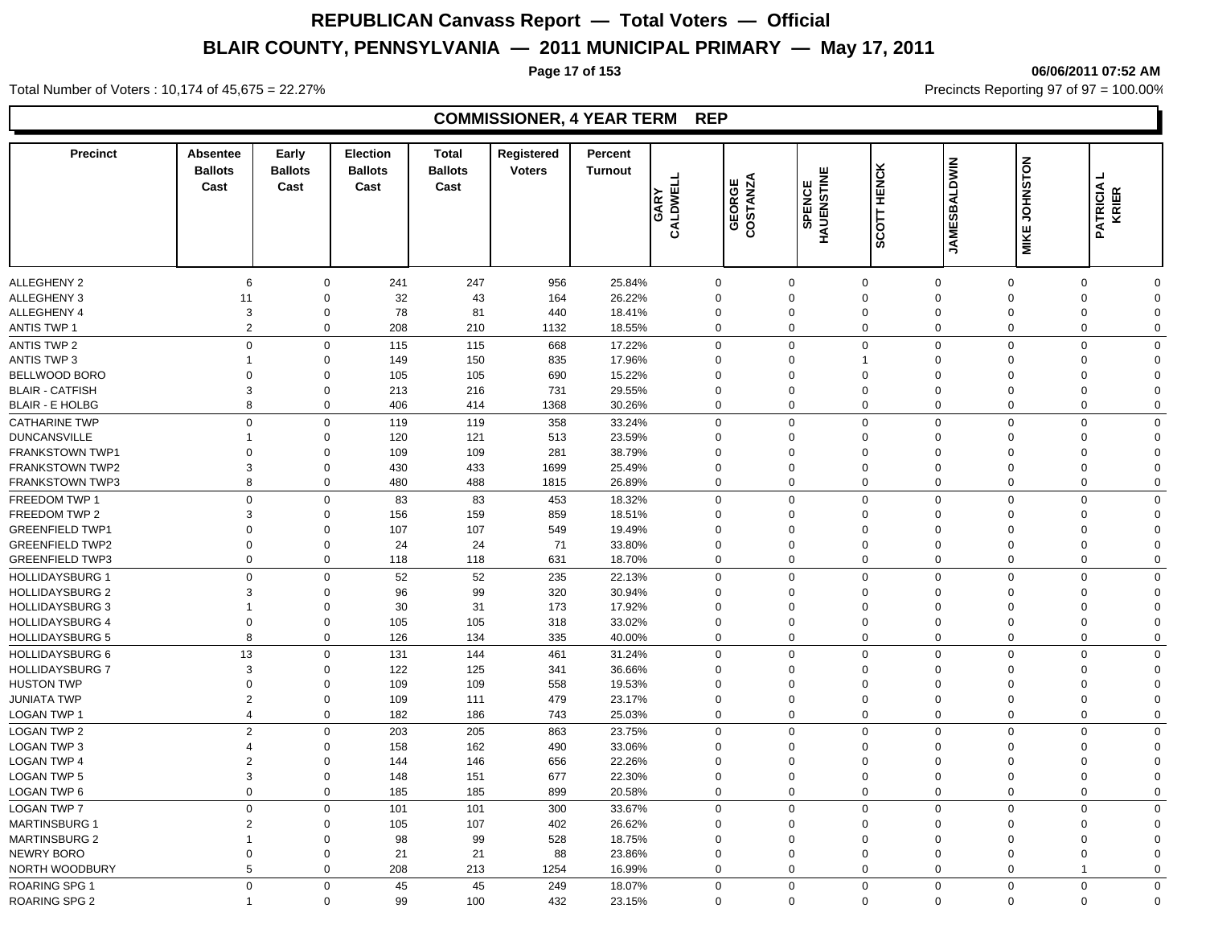#### **Precinct Absentee Ballots Cast Cast Early Ballots Election Ballots**  Cast **Cast Total Registered Ballots**  FREED COSTANZA<br>
CALDWELL<br>
CALDWELL<br>
COSTANZA<br>
COSTANZA<br>
SCOTT HENCK<br>
MIKE JOHNSTON<br>
MIKE JOHNSTON<br>
PATRICIA L<br>
PATRICIA L **Turnout Percent THE CALDWELL<br>CALDWELL<br>GEORGE<br>COSTANZA<br>SPENCE** ALLEGHENY 2 6 0 241 247 956 25.84% 0 0 0 0 0 0 ALLEGHENY 3 11 0 32 43 164 26.22% 0 0 0 0 0 0 0 ALLEGHENY 4 3 0 78 81 440 18.41% 0 0 0 0 0 ANTIS TWP 1 2 0 208 210 1132 18.55% 0 0 0 0 0 0 0 ANTIS TWP 2 0 0 115 668 17.22% 0 0 0 0 0 0 ANTIS TWP 3 1 0 149 150 835 17.96% 0 0 1 0 0 0 0 BELLWOOD BORO 0 0 105 105 690 15.22% 0 0 0 0 0 0 0 BLAIR - CATFISH 3 0 213 216 731 29.55% 0 0 0 0 0 0 0 BLAIR - E HOLBG 8 0 406 414 1368 30.26% 0 0 0 0 0 0 0 CATHARINE TWP 0 0 119 119 358 33.24% 0 0 0 0 0 0 0 DUNCANSVILLE 1 0 120 121 513 23.59% 0 0 0 0 0 0 0 FRANKSTOWN TWP1 0 0 109 109 281 38.79% 0 0 0 0 0 0 0 FRANKSTOWN TWP2 3 0 430 433 1699 25.49% 0 0 0 0 0 0 0 FRANKSTOWN TWP3 8 0 480 488 1815 26.89% 0 0 0 0 0 0 0 FREEDOM TWP 1 0 0 83 83 453 18.32% 0 0 0 0 0 0 0 FREEDOM TWP 2 3 0 156 159 859 18.51% 0 0 0 0 0 0 0 GREENFIELD TWP1 0 0 107 107 549 19.49% 0 0 0 0 0 0 0 GREENFIELD TWP2 0 0 24 24 71 33.80% 0 0 0 0 0 0 0 GREENFIELD TWP3 0 0 118 118 631 18.70% 0 0 0 0 0 0 0 HOLLIDAYSBURG 1 0 0 52 52 235 22.13% 0 0 0 0 0 0 0 HOLLIDAYSBURG 2 3 0 96 99 320 30.94% 0 0 0 0 0 0 0 HOLLIDAYSBURG 3 1 0 30 31 173 17.92% 0 0 0 0 0 0 0 HOLLIDAYSBURG 4 0 0 105 105 318 33.02% 0 0 0 0 0 0 0 HOLLIDAYSBURG 5 8 0 126 134 335 40.00% 0 0 0 0 0 0 0 HOLLIDAYSBURG 6 13 0 131 144 461 31.24% 0 0 0 0 0 0 HOLLIDAYSBURG 7 3 0 122 125 341 36.66% 0 0 0 0 0 0 HUSTON TWP 0 0 109 109 558 19.53% 0 0 0 0 0 0 0 JUNIATA TWP 2 0 109 111 479 23.17% 0 0 0 0 0 0 0 LOGAN TWP 1 4 0 182 186 743 25.03% 0 0 0 0 0 0 0 LOGAN TWP 2 2 0 203 205 863 23.75% 0 0 0 0 0 0 0 LOGAN TWP 3 4 0 158 162 490 33.06% 0 0 0 0 0 0 0 LOGAN TWP 4 2 0 144 146 656 22.26% 0 0 0 0 0 0 0 LOGAN TWP 5 3 0 148 151 677 22.30% 0 0 0 0 0 0 0 LOGAN TWP 6 0 0 185 185 899 20.58% 0 0 0 0 0 0 0 LOGAN TWP 7 0 0 101 101 300 33.67% 0 0 0 0 0 0 0 MARTINSBURG 1 2 0 105 107 402 26.62% 0 0 0 0 0 0 0 MARTINSBURG 2 1 0 98 99 528 18.75% 0 0 0 0 0 0 0 NEWRY BORO 0 0 21 21 88 23.86% 0 0 0 0 0 0 0 NORTH WOODBURY 5 0 208 213 1254 16.99% 0 0 0 0 1 0

ROARING SPG 1 0 0 45 45 249 18.07% 0 0 0 0 0 0 0

ROARING SPG 2 1 0 99 100 432 23.15% 0 0 0 0 0 0 0

Total Number of Voters : 10,174 of 45,675 = 22.27% Precincts Reporting 97 of 97 = 100.00%

### **COMMISSIONER, 4 YEAR TERM REP**

**Page 17 of 153 06/06/2011 07:52 AM**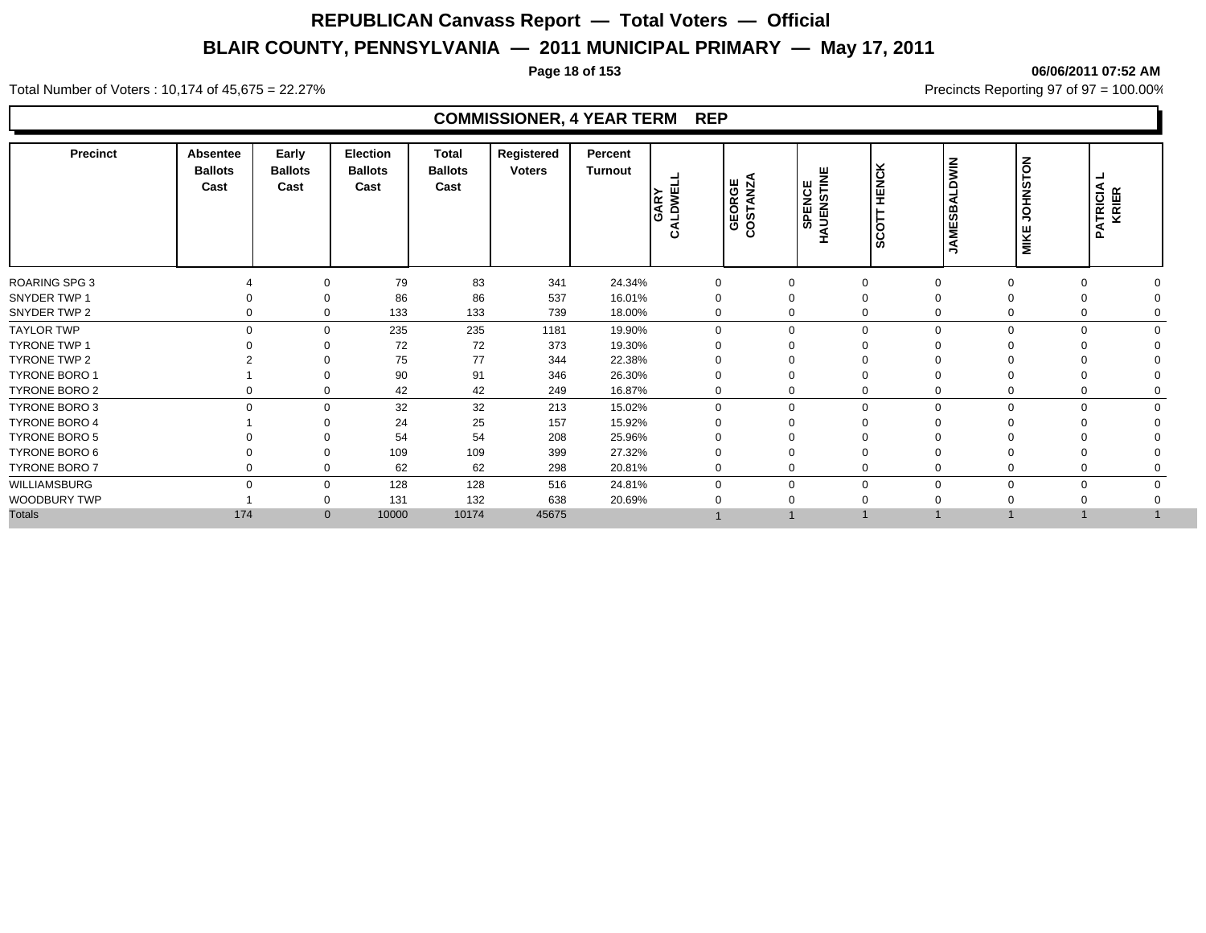**Page 18 of 153 06/06/2011 07:52 AM**

#### Total Number of Voters : 10,174 of 45,675 = 22.27% **Precincts Reporting 97 of 97 = 100.00%** Precincts Reporting 97 of 97 = 100.00%

| <b>Precinct</b>      | Absentee<br><b>Ballots</b><br>Cast | Early<br><b>Ballots</b><br>Cast | <b>Election</b><br><b>Ballots</b><br>Cast | Total<br><b>Ballots</b><br>Cast | Registered<br><b>Voters</b> | Percent<br>Turnout | GARY<br>ALDWEI<br>ئ | GEORGE<br>COSTANZA | <b>SPENCE</b><br>AUENSTINE<br>Î | <b>HENCK</b><br>Ω<br>ခြ | $\frac{2}{5}$<br>≏<br>m<br>ທ<br>ш<br>Σ | $\overline{5}$<br>i¥<br>≆<br>$\overline{c}$<br>ш<br><b>MIKI</b> | <b>ATRICIA</b><br>KRIER<br>$\mathbf{a}$ |  |
|----------------------|------------------------------------|---------------------------------|-------------------------------------------|---------------------------------|-----------------------------|--------------------|---------------------|--------------------|---------------------------------|-------------------------|----------------------------------------|-----------------------------------------------------------------|-----------------------------------------|--|
| <b>ROARING SPG 3</b> |                                    | 0                               | 79                                        | 83                              | 341                         | 24.34%             | $\mathbf 0$         | $\Omega$           |                                 |                         | $\Omega$                               |                                                                 |                                         |  |
| SNYDER TWP 1         |                                    | $\Omega$                        | 86                                        | 86                              | 537                         | 16.01%             |                     | $\Omega$           |                                 | 0                       | $\Omega$                               |                                                                 |                                         |  |
| SNYDER TWP 2         | $\Omega$                           | $\mathbf 0$                     | 133                                       | 133                             | 739                         | 18.00%             | $\Omega$            | $\Omega$           |                                 | $\mathbf 0$             | $\mathbf 0$                            |                                                                 |                                         |  |
| <b>TAYLOR TWP</b>    | $\Omega$                           | $\mathbf 0$                     | 235                                       | 235                             | 1181                        | 19.90%             | $\Omega$            | $\Omega$           |                                 | $\Omega$                | 0                                      | $\Omega$                                                        |                                         |  |
| <b>TYRONE TWP 1</b>  |                                    | $\Omega$                        | 72                                        | 72                              | 373                         | 19.30%             |                     |                    |                                 |                         |                                        |                                                                 |                                         |  |
| TYRONE TWP 2         |                                    | $\Omega$                        | 75                                        | 77                              | 344                         | 22.38%             |                     |                    |                                 |                         |                                        |                                                                 |                                         |  |
| <b>TYRONE BORO 1</b> |                                    | $\Omega$                        | 90                                        | 91                              | 346                         | 26.30%             |                     |                    |                                 |                         |                                        |                                                                 |                                         |  |
| TYRONE BORO 2        | $\Omega$                           | 0                               | 42                                        | 42                              | 249                         | 16.87%             | $\mathbf 0$         |                    |                                 | 0                       | 0                                      |                                                                 |                                         |  |
| TYRONE BORO 3        | $\Omega$                           | $\mathbf 0$                     | 32                                        | 32                              | 213                         | 15.02%             | $\mathbf 0$         | $\Omega$           |                                 | $\mathbf 0$             | $\mathbf 0$                            | $\Omega$                                                        | O                                       |  |
| TYRONE BORO 4        |                                    | $\Omega$                        | 24                                        | 25                              | 157                         | 15.92%             |                     |                    |                                 | $\Omega$                | $\Omega$                               |                                                                 |                                         |  |
| TYRONE BORO 5        |                                    | $\Omega$                        | 54                                        | 54                              | 208                         | 25.96%             |                     |                    |                                 |                         |                                        |                                                                 |                                         |  |
| TYRONE BORO 6        |                                    | 0                               | 109                                       | 109                             | 399                         | 27.32%             |                     |                    |                                 | 0                       |                                        |                                                                 |                                         |  |
| <b>TYRONE BORO 7</b> | $\Omega$                           | $\mathbf 0$                     | 62                                        | 62                              | 298                         | 20.81%             | $\mathbf 0$         | $\Omega$           |                                 | 0                       | $\mathbf 0$                            |                                                                 |                                         |  |
| WILLIAMSBURG         | $\Omega$                           | $\mathbf 0$                     | 128                                       | 128                             | 516                         | 24.81%             | $\Omega$            | $\Omega$           |                                 | 0                       | $\mathbf 0$                            | $\Omega$                                                        | 0                                       |  |
| WOODBURY TWP         |                                    | 0                               | 131                                       | 132                             | 638                         | 20.69%             |                     |                    |                                 |                         |                                        |                                                                 |                                         |  |
| <b>Totals</b>        | 174                                | $\mathbf{0}$                    | 10000                                     | 10174                           | 45675                       |                    |                     |                    |                                 |                         |                                        |                                                                 |                                         |  |
|                      |                                    |                                 |                                           |                                 |                             |                    |                     |                    |                                 |                         |                                        |                                                                 |                                         |  |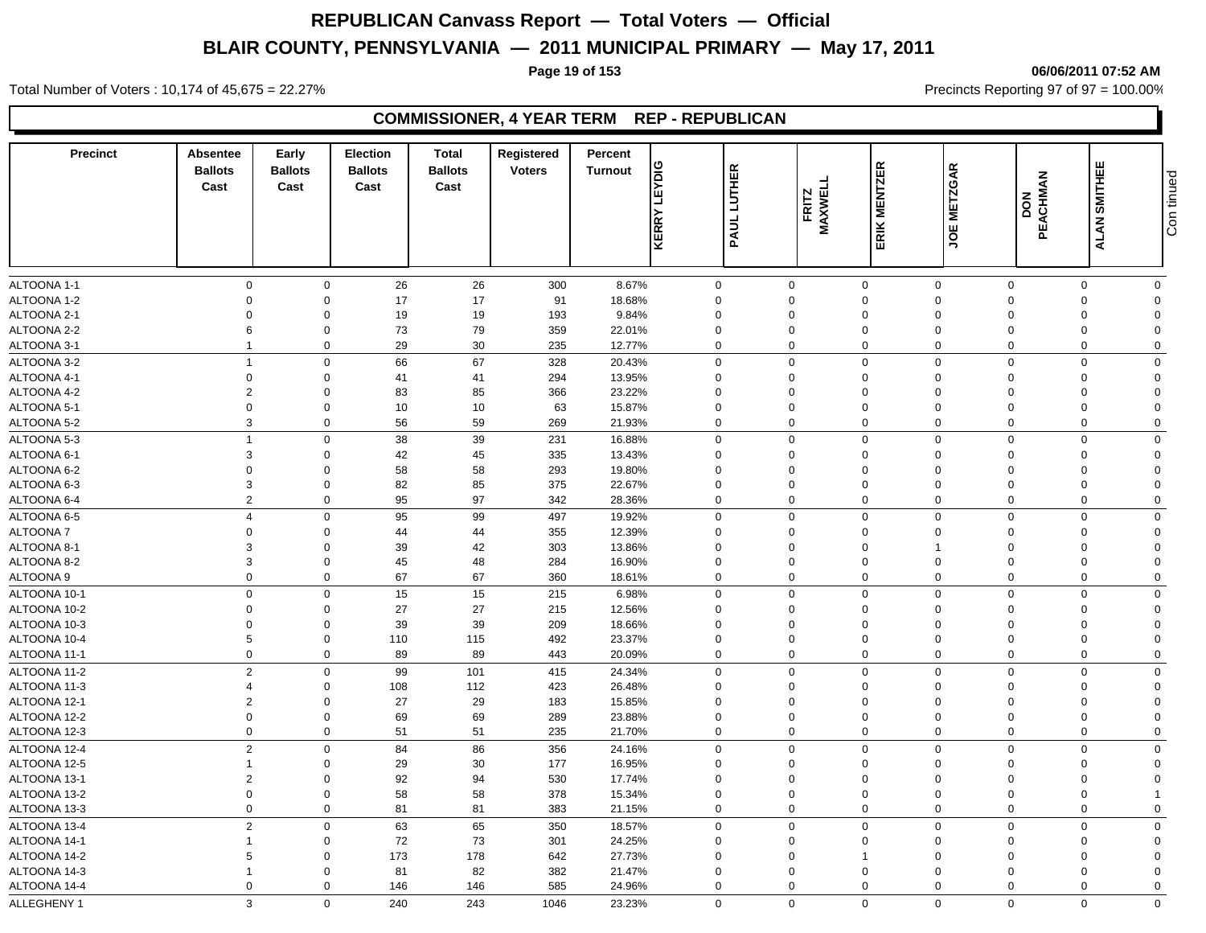### **Page 19 of 153 06/06/2011 07:52 AM**

Total Number of Voters : 10,174 of 45,675 = 22.27% **Precincts Reporting 97 of 97 = 100.00%** Precincts Reporting 97 of 97 = 100.00%

### **COMMISSIONER, 4 YEAR TERM REP - REPUBLICAN**

| <b>Precinct</b> | Absentee<br><b>Ballots</b><br>Cast | Early<br><b>Ballots</b><br>Cast | <b>Election</b><br><b>Ballots</b><br>Cast | Total<br><b>Ballots</b><br>Cast | Registered<br><b>Voters</b> | Percent<br><b>Turnout</b> | <b>LEYDIG</b><br>KERRY | <b>LUTHER</b><br><b>PAUL</b> | FRITZ<br>MAXWEL | ERIK MENTZER                | <b>METZGAR</b><br><b>JOE</b> | PEACHMAN<br>DON | ALAN SMITHEE         | Con tinued           |
|-----------------|------------------------------------|---------------------------------|-------------------------------------------|---------------------------------|-----------------------------|---------------------------|------------------------|------------------------------|-----------------|-----------------------------|------------------------------|-----------------|----------------------|----------------------|
|                 |                                    |                                 |                                           |                                 |                             |                           |                        |                              |                 |                             |                              |                 |                      |                      |
| ALTOONA 1-1     | $\mathbf 0$                        | $\mathbf 0$                     | 26                                        | 26                              | 300                         | 8.67%                     | $\mathbf 0$            | $\mathbf 0$                  |                 | $\mathbf 0$                 | $\mathbf 0$                  | $\mathbf 0$     | 0                    | $\mathbf 0$          |
| ALTOONA 1-2     | $\Omega$                           | $\mathbf 0$                     | 17                                        | 17                              | 91                          | 18.68%                    | $\Omega$               | $\mathbf 0$                  |                 | $\mathbf 0$                 | $\overline{0}$               | $\Omega$        | $\Omega$             | $\Omega$             |
| ALTOONA 2-1     | $\Omega$                           | $\mathbf 0$                     | 19                                        | 19                              | 193                         | 9.84%                     | $\mathbf 0$            | $\mathbf 0$                  |                 | $\mathbf 0$                 | $\overline{0}$               | $\Omega$        | $\Omega$             | $\Omega$             |
| ALTOONA 2-2     | 6                                  | $\Omega$                        | 73                                        | 79                              | 359                         | 22.01%                    | $\mathbf 0$            | $\mathbf 0$                  |                 | $\mathbf 0$                 | $\overline{0}$               | $\Omega$        | $\Omega$             | $\Omega$             |
| ALTOONA 3-1     |                                    | $\mathbf 0$                     | 29                                        | 30                              | 235                         | 12.77%                    | $\mathbf 0$            | $\mathbf 0$                  |                 | $\mathbf 0$                 | $\overline{0}$               | $\Omega$        | $\Omega$             | $\Omega$             |
| ALTOONA 3-2     | $\overline{1}$                     | $\mathbf 0$                     | 66                                        | 67                              | 328                         | 20.43%                    | $\mathbf 0$            | $\mathbf 0$                  |                 | $\mathbf 0$                 | $\mathbf 0$                  | $\mathbf 0$     | $\Omega$             | $\mathbf 0$          |
| ALTOONA 4-1     | $\mathbf 0$                        | $\mathbf 0$                     | 41                                        | 41                              | 294                         | 13.95%                    | $\Omega$               | $\Omega$                     |                 | $\mathbf 0$                 | $\Omega$                     | $\Omega$        | $\Omega$             | $\Omega$             |
| ALTOONA 4-2     | $\overline{2}$                     | $\mathbf 0$                     | 83                                        | 85                              | 366                         | 23.22%                    | $\Omega$               | $\Omega$                     |                 | $\mathbf 0$                 | $\Omega$                     | $\Omega$        | $\Omega$             | $\Omega$             |
| ALTOONA 5-1     | $\Omega$                           | $\Omega$                        | 10                                        | 10                              | 63                          | 15.87%                    | $\mathbf 0$            | $\Omega$                     |                 | $\mathbf 0$                 | $\Omega$                     | $\Omega$        | $\Omega$             | $\Omega$             |
| ALTOONA 5-2     | $\mathbf{3}$                       | $\mathbf 0$                     | 56                                        | 59                              | 269                         | 21.93%                    | $\mathbf 0$            | $\mathbf 0$                  |                 | $\mathbf 0$                 | $\mathbf 0$                  | $\Omega$        | $\Omega$             | $\Omega$             |
| ALTOONA 5-3     | $\overline{1}$                     | $\mathbf 0$                     | 38                                        | 39                              | 231                         | 16.88%                    | $\mathbf{0}$           | $\mathbf 0$                  |                 | $\mathbf 0$                 | $\mathbf 0$                  | $\mathbf 0$     | $\Omega$             | $\mathbf 0$          |
| ALTOONA 6-1     | 3                                  | $\mathbf 0$                     | 42                                        | 45                              | 335                         | 13.43%                    | $\mathbf 0$            | $\mathbf 0$                  |                 | $\mathbf 0$                 | $\Omega$                     | $\Omega$        | $\Omega$             | $\Omega$             |
| ALTOONA 6-2     | $\Omega$                           | $\Omega$                        | 58                                        | 58                              | 293                         | 19.80%                    | $\Omega$               | $\Omega$                     |                 | $\mathbf 0$                 | $\Omega$                     | $\Omega$        | $\Omega$             | $\Omega$             |
| ALTOONA 6-3     | 3                                  | $\Omega$                        | 82                                        | 85                              | 375                         | 22.67%                    | $\Omega$               | $\Omega$                     |                 | $\mathbf 0$                 | $\Omega$                     | $\Omega$        | $\Omega$             | $\Omega$             |
| ALTOONA 6-4     | $\overline{2}$                     | $\mathbf 0$                     | 95                                        | 97                              | 342                         | 28.36%                    | $\Omega$               | $\mathbf 0$                  |                 | $\mathbf 0$                 | $\Omega$                     | $\Omega$        | $\Omega$             | $\Omega$             |
| ALTOONA 6-5     | $\overline{4}$                     | $\mathbf 0$                     | 95                                        | 99                              | 497                         | 19.92%                    | $\mathbf 0$            | $\mathbf 0$                  |                 | $\mathbf 0$                 | $\mathbf 0$                  | $\mathbf 0$     | $\Omega$             | $\mathbf 0$          |
| ALTOONA 7       | $\Omega$                           | $\Omega$                        | 44                                        | 44                              | 355                         | 12.39%                    | $\mathbf 0$            | $\Omega$                     |                 | $\mathbf 0$                 | $\Omega$                     | $\Omega$        | $\Omega$             | $\Omega$             |
| ALTOONA 8-1     | 3                                  | $\Omega$                        | 39                                        | 42                              | 303                         | 13.86%                    | $\Omega$               | $\Omega$                     |                 | $\mathbf 0$                 |                              | $\Omega$        | O                    | $\Omega$             |
| ALTOONA 8-2     | 3                                  | $\mathbf 0$                     | 45                                        | 48                              | 284                         | 16.90%                    | $\Omega$               | $\mathbf 0$                  |                 | $\mathbf 0$                 | $\overline{0}$               | $\Omega$        | $\Omega$             | $\Omega$             |
| ALTOONA 9       | $\mathbf 0$                        | $\mathbf 0$                     | 67                                        | 67                              | 360                         | 18.61%                    | $\mathbf 0$            | $\mathbf 0$                  |                 | $\mathbf 0$                 | $\overline{0}$               | $\Omega$        | $\Omega$             | $\Omega$             |
| ALTOONA 10-1    | $\mathbf 0$                        | $\mathbf 0$                     | 15                                        | 15                              | 215                         | 6.98%                     | $\mathbf 0$            | $\mathbf 0$                  |                 | $\mathbf 0$                 | $\overline{0}$               | $\Omega$        | $\Omega$             | $\mathbf 0$          |
| ALTOONA 10-2    | $\Omega$                           | $\Omega$                        | 27                                        | 27                              | 215                         | 12.56%                    | $\mathbf 0$            | $\Omega$                     |                 | $\mathbf 0$                 | $\overline{0}$               | $\Omega$        | $\Omega$             | $\Omega$             |
| ALTOONA 10-3    | $\Omega$                           | $\Omega$                        | 39                                        | 39                              | 209                         | 18.66%                    | $\Omega$               | $\mathbf 0$                  |                 | $\mathbf 0$                 | $\Omega$                     | $\Omega$        | $\Omega$             | $\Omega$             |
| ALTOONA 10-4    | 5                                  | $\mathbf 0$                     | 110                                       | 115                             | 492                         | 23.37%                    | $\mathbf 0$            | $\mathbf 0$                  |                 | $\mathbf 0$                 | $\overline{0}$               | $\Omega$        | $\Omega$             | $\Omega$             |
| ALTOONA 11-1    | $\mathbf 0$                        | $\mathbf 0$                     | 89                                        | 89                              | 443                         | 20.09%                    | $\mathbf 0$            | $\mathbf 0$                  |                 | $\mathbf 0$                 | $\overline{0}$               | $\Omega$        | $\Omega$             | $\Omega$             |
| ALTOONA 11-2    | $\sqrt{2}$                         | $\mathbf 0$                     | 99                                        | 101                             | 415                         | 24.34%                    | $\mathbf 0$            | $\mathbf 0$                  |                 | $\mathbf 0$                 | $\mathbf 0$                  | $\Omega$        | $\Omega$             | $\Omega$             |
| ALTOONA 11-3    | $\overline{4}$                     | $\mathbf 0$                     | 108                                       | 112                             | 423                         | 26.48%                    | $\mathbf 0$            | $\mathbf 0$                  |                 | $\mathbf 0$                 | $\overline{0}$               | $\Omega$        | $\Omega$             | $\Omega$             |
| ALTOONA 12-1    | $\overline{2}$                     | $\mathbf 0$                     | 27                                        | 29                              | 183                         | 15.85%                    | $\mathbf 0$            | $\mathbf 0$                  |                 | $\mathbf 0$                 | $\overline{0}$               | $\Omega$        | $\Omega$             | $\Omega$             |
| ALTOONA 12-2    | $\Omega$                           | $\mathbf 0$                     | 69                                        | 69                              | 289                         | 23.88%                    | $\mathbf 0$            | $\mathbf 0$                  |                 | $\mathbf 0$                 | $\overline{0}$               | $\Omega$        | $\Omega$             | $\Omega$             |
| ALTOONA 12-3    | $\mathbf 0$                        | $\mathbf 0$                     | 51                                        | 51                              | 235                         | 21.70%                    | $\mathbf 0$            | $\mathbf 0$                  |                 | $\mathbf 0$                 | $\overline{0}$               | $\mathbf 0$     | $\mathbf 0$          | $\Omega$             |
| ALTOONA 12-4    | $\overline{2}$                     | $\mathbf 0$                     | 84                                        | 86                              | 356                         | 24.16%                    | $\Omega$               | $\mathbf 0$                  |                 | $\mathbf 0$                 | $\Omega$                     | $\Omega$        | $\Omega$             | $\Omega$             |
| ALTOONA 12-5    | $\overline{1}$                     | $\mathbf 0$                     | 29                                        | 30                              | 177                         | 16.95%                    | $\Omega$               | $\Omega$                     |                 | $\mathbf 0$                 | $\Omega$                     | $\Omega$        | $\Omega$             | $\Omega$             |
| ALTOONA 13-1    | $\overline{2}$                     | $\mathbf 0$                     | 92                                        | 94                              | 530                         | 17.74%                    | $\mathbf 0$            | $\mathbf 0$                  |                 | $\mathbf 0$                 | $\overline{0}$               | $\Omega$        | $\Omega$             | $\Omega$             |
| ALTOONA 13-2    | $\mathbf 0$                        | $\mathbf 0$                     | 58                                        | 58                              | 378                         | 15.34%                    | $\mathbf 0$            | $\mathbf 0$                  |                 | $\mathbf 0$                 | $\overline{0}$               | $\Omega$        | $\mathbf 0$          |                      |
| ALTOONA 13-3    | $\mathbf 0$                        | $\mathbf 0$                     | 81                                        | 81                              | 383                         | 21.15%                    | $\mathbf 0$            | $\boldsymbol{0}$             |                 | $\mathbf 0$                 | $\overline{0}$               | $\Omega$        | $\Omega$             | $\mathbf 0$          |
| ALTOONA 13-4    | 2                                  | $\mathbf 0$                     | 63                                        | 65                              |                             | 18.57%                    | $\Omega$               | $\mathbf{0}$                 |                 | $\mathbf 0$                 | $\mathbf{0}$                 | $\Omega$        | $\Omega$             | $\mathbf 0$          |
|                 |                                    |                                 |                                           |                                 | 350                         |                           |                        |                              |                 |                             |                              |                 |                      |                      |
| ALTOONA 14-1    | 5                                  | $\mathbf 0$                     | 72                                        | 73                              | 301                         | 24.25%                    | $\Omega$<br>$\Omega$   | $\mathbf 0$<br>$\Omega$      |                 | $\mathbf 0$<br>$\mathbf{1}$ | $\Omega$<br>$\Omega$         | $\Omega$        | $\Omega$<br>$\Omega$ | $\Omega$<br>$\Omega$ |
| ALTOONA 14-2    | $\overline{1}$                     | $\mathbf 0$                     | 173                                       | 178                             | 642                         | 27.73%                    |                        |                              |                 |                             | $\Omega$                     | $\Omega$        | $\Omega$             | $\Omega$             |
| ALTOONA 14-3    |                                    | $\mathbf 0$                     | 81                                        | 82                              | 382                         | 21.47%                    | 0                      | $\mathbf 0$                  |                 | $\mathbf 0$                 |                              | $\Omega$        |                      |                      |
| ALTOONA 14-4    | $\mathbf 0$                        | $\mathbf 0$                     | 146                                       | 146                             | 585                         | 24.96%                    | $\mathbf 0$            | $\mathbf 0$                  |                 | $\mathbf 0$                 | $\mathbf 0$                  | $\Omega$        | $\Omega$             | $\mathbf 0$          |
| ALLEGHENY 1     | 3                                  | $\Omega$                        | 240                                       | 243                             | 1046                        | 23.23%                    | $\Omega$               | $\mathbf{0}$                 |                 | $\Omega$                    | $\Omega$                     | $\Omega$        | $\Omega$             | $\Omega$             |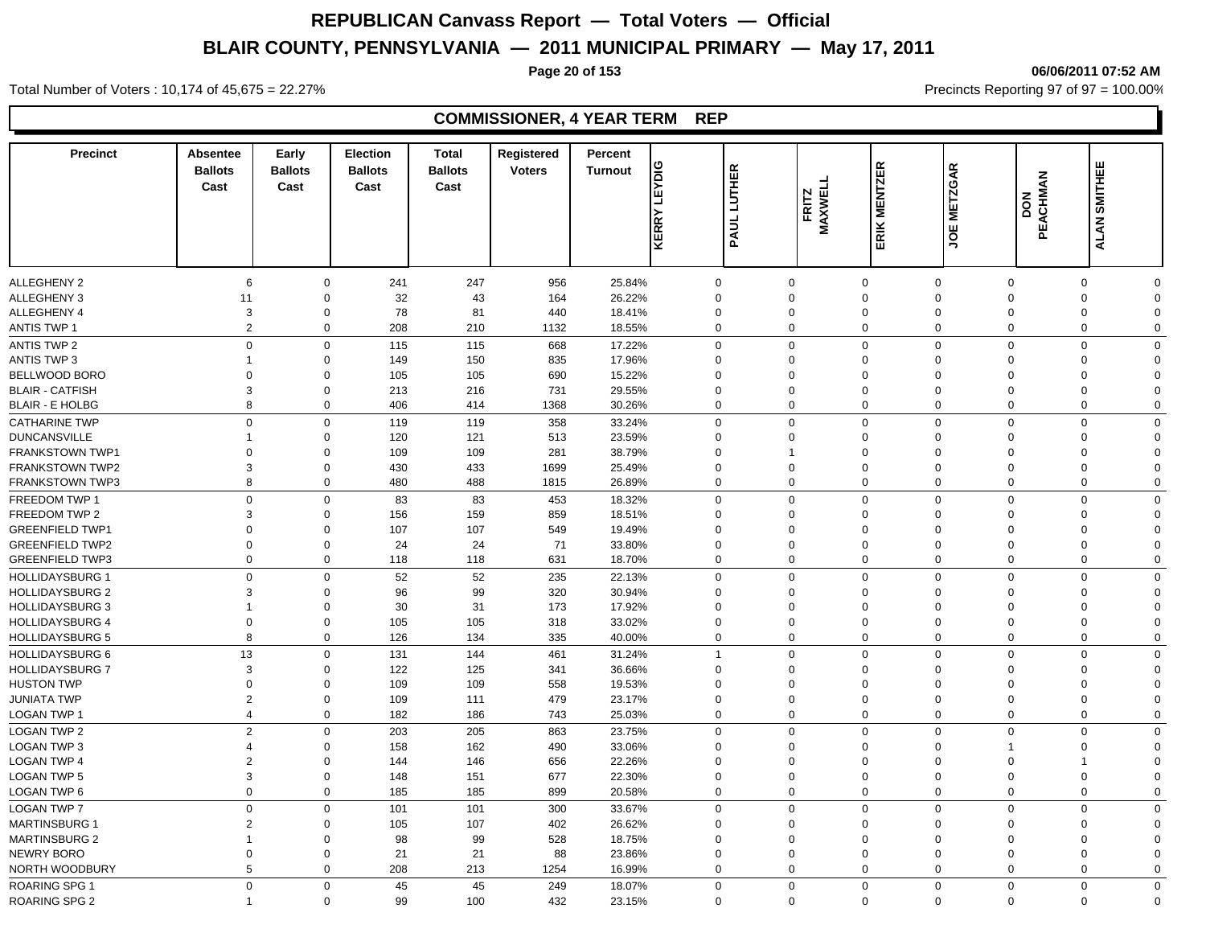**Page 20 of 153 06/06/2011 07:52 AM**

#### Total Number of Voters : 10,174 of 45,675 = 22.27% **Precincts Reporting 97 of 97 = 100.00%** Precincts Reporting 97 of 97 = 100.00%

| <b>Precinct</b>                                  | Absentee<br><b>Ballots</b><br>Cast | Early<br><b>Ballots</b><br>Cast | <b>Election</b><br><b>Ballots</b><br>Cast | <b>Total</b><br><b>Ballots</b><br>Cast | Registered<br><b>Voters</b> | Percent<br><b>Turnout</b> | <b>EYDIG</b><br>□<br>KERRY | <b>LUTHER</b><br>PAUL | FRITZ<br>MAXWELL | <b>ERIK MENTZER</b> | <b>METZGAR</b><br>ξ | PEACHMAN<br><b>NOQ</b> | <b>ALAN SMITHEE</b>     |                         |
|--------------------------------------------------|------------------------------------|---------------------------------|-------------------------------------------|----------------------------------------|-----------------------------|---------------------------|----------------------------|-----------------------|------------------|---------------------|---------------------|------------------------|-------------------------|-------------------------|
|                                                  |                                    |                                 |                                           |                                        |                             |                           |                            |                       |                  |                     |                     |                        |                         |                         |
| <b>ALLEGHENY 2</b>                               | 6                                  | 0                               | 241                                       | 247                                    | 956                         | 25.84%                    |                            | $\mathbf 0$           | 0                | $\mathbf 0$         | $\mathbf 0$         | $\mathbf 0$            | 0                       | $\Omega$                |
| <b>ALLEGHENY 3</b>                               | 11                                 | $\mathbf 0$                     | 32                                        | 43                                     | 164                         | 26.22%                    |                            | $\Omega$              | $\Omega$         | $\mathbf 0$         | $\Omega$            | $\Omega$               | 0                       | $\Omega$                |
| ALLEGHENY 4                                      | 3                                  | 0                               | 78                                        | 81                                     | 440                         | 18.41%                    |                            | $\Omega$              | $\Omega$         | $\mathbf 0$         | $\mathbf{0}$        | $\mathbf 0$            | 0                       | $\Omega$                |
| <b>ANTIS TWP 1</b>                               | 2                                  | $\mathbf 0$                     | 208                                       | 210                                    | 1132                        | 18.55%                    |                            | $\Omega$              | $\Omega$         | $\mathbf 0$         | $\mathbf 0$         | $\mathbf 0$            | $\mathbf 0$             | $\Omega$                |
| ANTIS TWP 2                                      | $\mathbf 0$                        | 0                               | 115                                       | 115                                    | 668                         | 17.22%                    |                            | $\mathbf 0$           | 0                | $\mathbf 0$         | $\mathbf 0$         | $\Omega$               | $\mathbf 0$             | $\Omega$                |
| <b>ANTIS TWP 3</b>                               | 1                                  | 0                               | 149                                       | 150                                    | 835                         | 17.96%                    |                            | $\Omega$              | $\Omega$         | $\mathbf 0$         | $\Omega$            | $\Omega$               | 0                       | $\Omega$                |
| BELLWOOD BORO                                    | $\mathbf 0$                        | 0                               | 105                                       | 105                                    | 690                         | 15.22%                    |                            | $\Omega$              | $\Omega$         | $\mathbf 0$         | $\mathbf 0$         | $\Omega$               | 0                       | $\Omega$                |
| <b>BLAIR - CATFISH</b>                           | 3                                  | $\mathbf 0$                     | 213                                       | 216                                    | 731                         | 29.55%                    |                            | $\Omega$              | $\Omega$         | $\mathbf 0$         | $\Omega$            | $\Omega$               | $\Omega$                | $\Omega$                |
| <b>BLAIR - E HOLBG</b>                           | 8                                  | $\mathbf 0$                     | 406                                       | 414                                    | 1368                        | 30.26%                    |                            | $\mathbf 0$           | 0                | $\mathbf 0$         | $\mathbf 0$         | $\overline{0}$         | $\mathbf 0$             | $\mathbf 0$             |
| <b>CATHARINE TWP</b>                             | $\Omega$                           | $\mathbf 0$                     | 119                                       | 119                                    | 358                         | 33.24%                    |                            | $\Omega$              | $\mathbf 0$      | $\mathbf{0}$        | $\mathbf 0$         | $\Omega$               | $\mathbf 0$             | $\Omega$                |
| <b>DUNCANSVILLE</b>                              | -1                                 | $\mathbf 0$                     | 120                                       | 121                                    | 513                         | 23.59%                    |                            | $\Omega$              | $\Omega$         | $\mathbf 0$         | $\mathbf 0$         | $\Omega$               | $\mathbf 0$             | $\Omega$                |
| <b>FRANKSTOWN TWP1</b>                           | $\Omega$                           | $\Omega$                        | 109                                       | 109                                    | 281                         | 38.79%                    | $\Omega$                   |                       | -1               | $\mathbf 0$         | $\Omega$            | $\Omega$               | $\Omega$                | $\Omega$                |
| <b>FRANKSTOWN TWP2</b>                           | 3                                  | $\mathbf 0$                     | 430                                       | 433                                    | 1699                        | 25.49%                    |                            | $\Omega$              | $\Omega$         | $\mathbf 0$         | $\Omega$            | $\Omega$               | $\mathbf 0$             | $\Omega$                |
| <b>FRANKSTOWN TWP3</b>                           | 8                                  | $\mathbf 0$                     | 480                                       | 488                                    | 1815                        | 26.89%                    |                            | $\Omega$              | $\mathbf 0$      | $\mathbf 0$         | $\mathbf 0$         | $\mathbf 0$            | $\mathbf 0$             | $\Omega$                |
| FREEDOM TWP 1                                    | $\overline{0}$                     | $\mathbf 0$                     | 83                                        | 83                                     | 453                         | 18.32%                    |                            | $\mathbf 0$           | 0                | $\mathbf 0$         | $\mathbf 0$         | $\mathbf 0$            | $\mathbf 0$             | $\mathbf 0$             |
| FREEDOM TWP 2                                    | 3                                  | $\mathbf 0$                     | 156                                       | 159                                    | 859                         | 18.51%                    |                            | $\Omega$              | $\Omega$         | $\mathbf 0$         | $\Omega$            | $\Omega$               | 0                       | $\Omega$                |
| <b>GREENFIELD TWP1</b>                           | $\Omega$                           | $\mathbf 0$                     | 107                                       | 107                                    | 549                         | 19.49%                    | $\Omega$                   |                       | $\Omega$         | $\mathbf 0$         | $\Omega$            | $\Omega$               | $\mathbf 0$             | $\Omega$                |
| <b>GREENFIELD TWP2</b>                           | $\overline{0}$                     | $\Omega$                        | 24                                        | 24                                     | 71                          | 33.80%                    |                            | $\Omega$              | $\Omega$         | $\mathbf 0$         | $\Omega$            | $\Omega$               | $\mathbf 0$             | $\Omega$                |
| <b>GREENFIELD TWP3</b>                           | $\overline{0}$                     | $\mathbf 0$                     | 118                                       | 118                                    | 631                         | 18.70%                    |                            | $\Omega$              | 0                | $\mathbf 0$         | $\Omega$            | $\mathbf 0$            | $\mathbf 0$             | $\Omega$                |
| <b>HOLLIDAYSBURG 1</b>                           | $\Omega$                           | 0                               | 52                                        | 52                                     | 235                         | 22.13%                    |                            | $\Omega$              | $\Omega$         | $\mathbf 0$         | $\mathbf 0$         | $\Omega$               | $\mathbf 0$             | $\Omega$                |
| <b>HOLLIDAYSBURG 2</b>                           | 3                                  | $\Omega$                        | 96                                        | 99                                     | 320                         | 30.94%                    |                            | $\Omega$              | $\Omega$         | $\mathbf 0$         | $\Omega$            | $\Omega$               | $\Omega$                | $\Omega$                |
| <b>HOLLIDAYSBURG 3</b>                           | 1                                  | $\mathbf 0$                     | 30                                        | 31                                     | 173                         | 17.92%                    | $\Omega$                   |                       | 0                | $\mathbf 0$         | $\Omega$            | $\Omega$               | $\Omega$                | $\Omega$                |
| <b>HOLLIDAYSBURG 4</b>                           | $\mathbf 0$                        | 0                               | 105                                       | 105                                    | 318                         | 33.02%                    |                            | $\mathbf 0$           | $\mathbf 0$      | $\mathbf 0$         | $\mathbf 0$         | $\mathbf 0$            | 0                       | $\mathbf 0$             |
| <b>HOLLIDAYSBURG 5</b>                           | 8                                  | 0                               | 126                                       | 134                                    | 335                         | 40.00%                    |                            | $\mathbf 0$           | $\mathbf 0$      | $\mathbf 0$         | $\mathbf 0$         | $\mathbf 0$            | 0                       | $\mathbf 0$             |
|                                                  | 13                                 |                                 |                                           | 144                                    |                             |                           |                            |                       | $\mathbf 0$      | $\mathbf 0$         | $\mathbf 0$         | $\mathbf 0$            |                         |                         |
| <b>HOLLIDAYSBURG 6</b><br><b>HOLLIDAYSBURG 7</b> | 3                                  | $\mathbf 0$<br>$\Omega$         | 131<br>122                                | 125                                    | 461<br>341                  | 31.24%<br>36.66%          | $\Omega$                   |                       | $\Omega$         | $\mathbf 0$         | $\Omega$            | $\Omega$               | $\mathbf 0$<br>$\Omega$ | $\mathbf 0$<br>$\Omega$ |
| <b>HUSTON TWP</b>                                | $\Omega$                           | $\Omega$                        | 109                                       | 109                                    |                             | 19.53%                    | $\Omega$                   |                       | $\Omega$         | $\mathbf 0$         | $\Omega$            | $\Omega$               | $\mathbf 0$             | $\Omega$                |
| <b>JUNIATA TWP</b>                               | $\overline{2}$                     | $\mathbf 0$                     | 109                                       | 111                                    | 558<br>479                  | 23.17%                    |                            | $\Omega$              | $\Omega$         | $\mathbf 0$         | $\Omega$            | $\overline{0}$         | $\mathbf 0$             | $\Omega$                |
| LOGAN TWP 1                                      | $\overline{4}$                     | $\mathbf 0$                     | 182                                       | 186                                    | 743                         | 25.03%                    |                            | $\Omega$              | $\mathbf 0$      | $\mathbf{0}$        | $\Omega$            | $\Omega$               | $\mathbf 0$             | $\Omega$                |
|                                                  |                                    |                                 |                                           |                                        |                             |                           |                            |                       |                  |                     |                     |                        |                         |                         |
| <b>LOGAN TWP 2</b>                               | $\overline{2}$                     | $\mathbf 0$                     | 203                                       | 205                                    | 863                         | 23.75%                    |                            | $\Omega$              | $\Omega$         | $\mathbf 0$         | $\mathbf 0$         | $\Omega$               | $\mathbf 0$             | $\Omega$                |
| <b>LOGAN TWP 3</b>                               | $\overline{4}$                     | $\Omega$                        | 158                                       | 162                                    | 490                         | 33.06%                    | $\Omega$                   |                       | $\Omega$         | $\mathbf 0$         | $\Omega$            | 1                      | $\Omega$                | $\Omega$                |
| <b>LOGAN TWP 4</b>                               | $\overline{2}$                     | $\mathbf 0$                     | 144                                       | 146                                    | 656                         | 22.26%                    |                            | $\mathbf 0$           | $\Omega$         | $\mathbf 0$         | $\Omega$            | $\Omega$               | $\mathbf 1$             | $\Omega$                |
| <b>LOGAN TWP 5</b>                               | 3                                  | $\mathbf 0$                     | 148                                       | 151                                    | 677                         | 22.30%                    |                            | $\mathbf 0$           | $\mathbf 0$      | $\mathbf 0$         | $\mathbf 0$         | $\overline{0}$         | $\mathbf 0$             | $\Omega$                |
| LOGAN TWP 6                                      | $\overline{0}$                     | $\mathbf 0$                     | 185                                       | 185                                    | 899                         | 20.58%                    |                            | $\mathbf 0$           | $\mathbf 0$      | $\mathbf 0$         | $\mathbf 0$         | $\overline{0}$         | $\mathbf 0$             | $\mathbf 0$             |
| <b>LOGAN TWP 7</b>                               | $\mathsf 0$                        | $\mathbf 0$                     | 101                                       | 101                                    | 300                         | 33.67%                    |                            | $\Omega$              | $\Omega$         | $\mathbf 0$         | $\Omega$            | $\Omega$               | $\mathbf 0$             | $\Omega$                |
| <b>MARTINSBURG 1</b>                             | $\overline{2}$                     | 0                               | 105                                       | 107                                    | 402                         | 26.62%                    |                            | $\Omega$              | $\Omega$         | $\mathbf 0$         | $\Omega$            | $\Omega$               | 0                       | $\Omega$                |
| <b>MARTINSBURG 2</b>                             | $\overline{1}$                     | $\mathbf 0$                     | 98                                        | 99                                     | 528                         | 18.75%                    |                            | $\mathbf 0$           | $\mathbf 0$      | $\mathbf 0$         | $\mathbf 0$         | $\mathbf 0$            | 0                       | $\Omega$                |
| NEWRY BORO                                       | $\mathbf 0$                        | $\mathbf 0$                     | 21                                        | 21                                     | 88                          | 23.86%                    |                            | $\mathbf 0$           | $\mathbf 0$      | $\mathbf 0$         | $\mathbf 0$         | $\mathbf 0$            | 0                       | $\Omega$                |
| NORTH WOODBURY                                   | 5                                  | $\mathbf 0$                     | 208                                       | 213                                    | 1254                        | 16.99%                    |                            | 0                     | $\mathbf 0$      | $\mathbf 0$         | $\mathbf 0$         | $\mathbf 0$            | 0                       | 0                       |
| ROARING SPG 1                                    | $\mathbf 0$                        | $\mathbf 0$                     | 45                                        | 45                                     | 249                         | 18.07%                    |                            | $\Omega$              | $\Omega$         | $\mathbf 0$         | $\mathbf 0$         | $\mathbf 0$            | $\mathbf 0$             | $\Omega$                |
| <b>ROARING SPG 2</b>                             |                                    | $\Omega$                        | 99                                        | 100                                    | 432                         | 23.15%                    |                            | $\Omega$              | $\mathbf 0$      | $\Omega$            | $\mathbf 0$         | $\mathbf 0$            | $\Omega$                | $\Omega$                |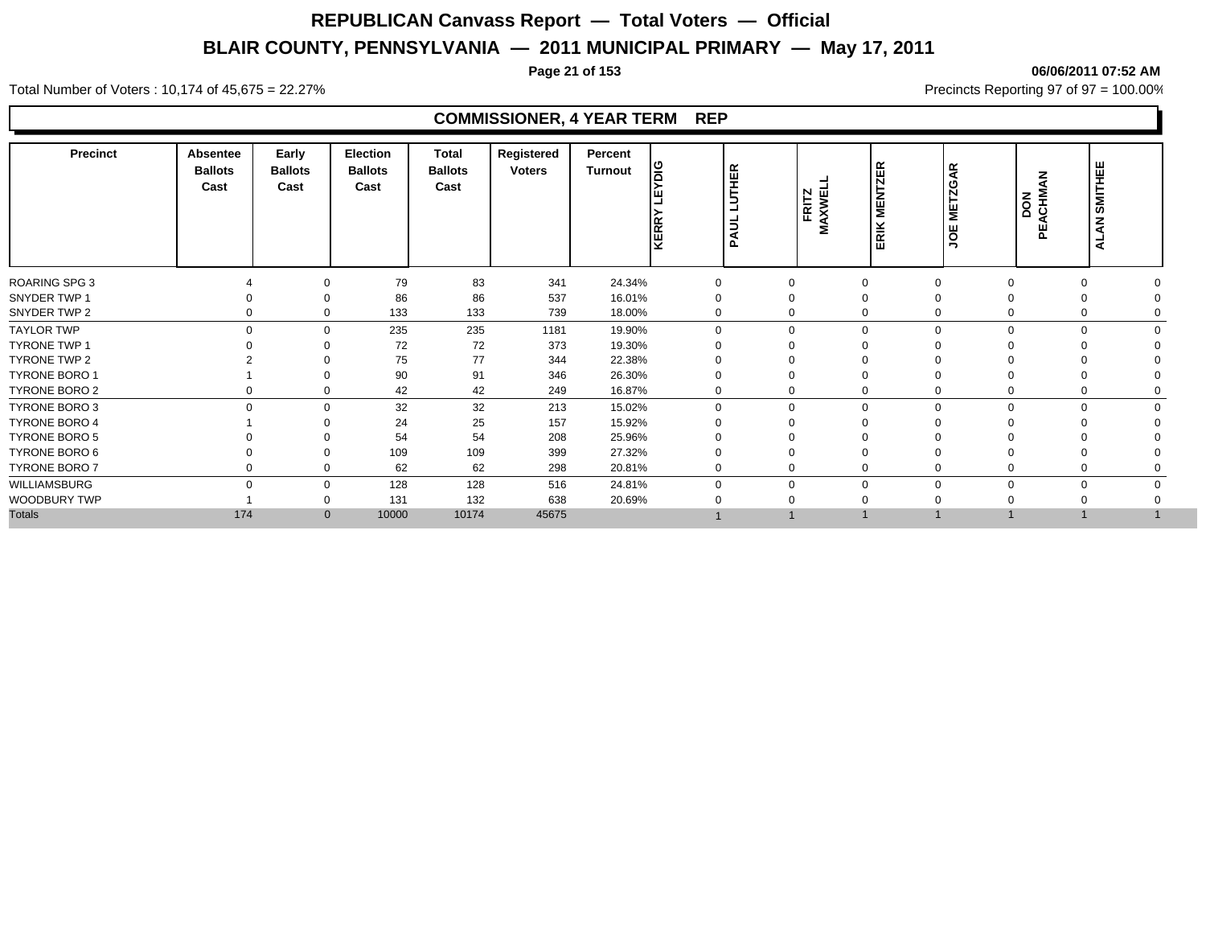**Page 21 of 153 06/06/2011 07:52 AM**

#### Total Number of Voters : 10,174 of 45,675 = 22.27% **Precincts Reporting 97 of 97 = 100.00%** Precincts Reporting 97 of 97 = 100.00%

| <b>Precinct</b>      | <b>Absentee</b><br><b>Ballots</b><br>Cast | Early<br><b>Ballots</b><br>Cast | <b>Election</b><br><b>Ballots</b><br>Cast | <b>Total</b><br><b>Ballots</b><br>Cast | Registered<br><b>Voters</b> | Percent<br>Turnout | ١g<br>KERRY | <b>LUTHER</b><br><b>PAUL</b> | FRITZ<br>MAXWELI | $\propto$<br><b>MENTZE</b><br>ERIK | <b>METZGAR</b><br><b>JOE</b> | ACHMAN<br>DON<br>ピ | <b>SMITHEE</b><br><b>ALAN</b> |  |
|----------------------|-------------------------------------------|---------------------------------|-------------------------------------------|----------------------------------------|-----------------------------|--------------------|-------------|------------------------------|------------------|------------------------------------|------------------------------|--------------------|-------------------------------|--|
| <b>ROARING SPG 3</b> |                                           | 0                               | 79                                        | 83                                     | 341                         | 24.34%             | 0           | 0                            |                  | $\mathbf 0$                        | 0                            |                    | $\mathbf 0$                   |  |
| SNYDER TWP 1         |                                           | $\Omega$                        | 86                                        | 86                                     | 537                         | 16.01%             |             | 0                            |                  | $\Omega$                           |                              |                    | $\Omega$                      |  |
| SNYDER TWP 2         | 0                                         | $\mathbf 0$                     | 133                                       | 133                                    | 739                         | 18.00%             | 0           | 0                            |                  | $\Omega$                           | 0                            |                    | 0                             |  |
| <b>TAYLOR TWP</b>    | $\Omega$                                  | $\mathbf 0$                     | 235                                       | 235                                    | 1181                        | 19.90%             | $\Omega$    | $\mathbf 0$                  |                  | $\Omega$                           | $\Omega$<br>$\Omega$         |                    | $\Omega$<br>$\Omega$          |  |
| <b>TYRONE TWP 1</b>  |                                           | $\Omega$                        | 72                                        | 72                                     | 373                         | 19.30%             |             | $\Omega$                     |                  |                                    |                              |                    |                               |  |
| TYRONE TWP 2         |                                           | $\Omega$                        | 75                                        | 77                                     | 344                         | 22.38%             |             | 0                            |                  |                                    |                              |                    |                               |  |
| <b>TYRONE BORO 1</b> |                                           |                                 | 90                                        | 91                                     | 346                         | 26.30%             |             | 0                            |                  |                                    |                              |                    |                               |  |
| TYRONE BORO 2        | 0                                         | 0                               | 42                                        | 42                                     | 249                         | 16.87%             | 0           | 0                            |                  | $\Omega$                           | 0                            |                    | 0                             |  |
| TYRONE BORO 3        | $\Omega$                                  | $\Omega$                        | 32                                        | 32                                     | 213                         | 15.02%             | 0           | 0                            |                  | $\Omega$                           | $\Omega$<br>∩                |                    | $\Omega$                      |  |
| <b>TYRONE BORO 4</b> |                                           | $\Omega$                        | 24                                        | 25                                     | 157                         | 15.92%             |             | 0                            |                  | $\Omega$                           |                              |                    |                               |  |
| <b>TYRONE BORO 5</b> |                                           | $\Omega$                        | 54                                        | 54                                     | 208                         | 25.96%             |             |                              |                  |                                    |                              |                    |                               |  |
| TYRONE BORO 6        |                                           | $\Omega$                        | 109                                       | 109                                    | 399                         | 27.32%             |             | 0                            |                  | $\Omega$                           |                              |                    | $\Omega$                      |  |
| <b>TYRONE BORO 7</b> | 0                                         | 0                               | 62                                        | 62                                     | 298                         | 20.81%             | $\mathbf 0$ | 0                            |                  | $\mathbf 0$                        |                              |                    | $\mathbf 0$                   |  |
| WILLIAMSBURG         | $\Omega$                                  | $\mathbf 0$                     | 128                                       | 128                                    | 516                         | 24.81%             | $\Omega$    | 0                            |                  | $\Omega$                           | $\Omega$<br>$\Omega$         |                    | $\mathbf 0$                   |  |
| WOODBURY TWP         |                                           | $\Omega$                        | 131                                       | 132                                    | 638                         | 20.69%             |             | $\Omega$                     |                  |                                    |                              |                    |                               |  |
| <b>Totals</b>        | 174                                       | $\mathbf{0}$                    | 10000                                     | 10174                                  | 45675                       |                    |             |                              |                  |                                    |                              |                    |                               |  |
|                      |                                           |                                 |                                           |                                        |                             |                    |             |                              |                  |                                    |                              |                    |                               |  |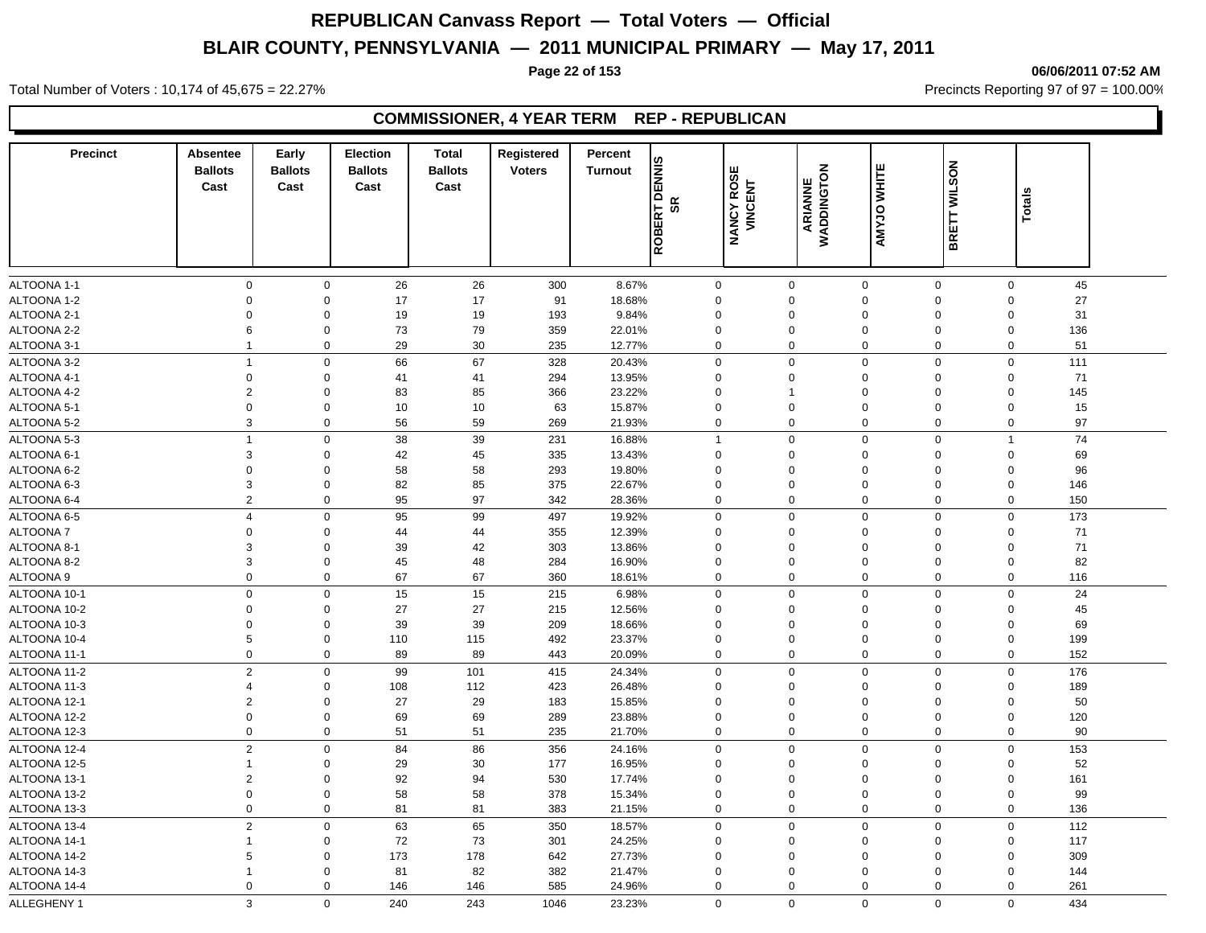**Page 22 of 153 06/06/2011 07:52 AM**

Total Number of Voters : 10,174 of 45,675 = 22.27% **Precincts Reporting 97 of 97 = 100.00%** Precincts Reporting 97 of 97 = 100.00%

### **COMMISSIONER, 4 YEAR TERM REP - REPUBLICAN**

| <b>Precinct</b> | <b>Absentee</b><br><b>Ballots</b> | Early<br><b>Ballots</b> | <b>Election</b><br><b>Ballots</b> | <b>Total</b><br><b>Ballots</b> | Registered<br><b>Voters</b> | Percent<br><b>Turnout</b> |              |                              |                            |             |                            |        |  |
|-----------------|-----------------------------------|-------------------------|-----------------------------------|--------------------------------|-----------------------------|---------------------------|--------------|------------------------------|----------------------------|-------------|----------------------------|--------|--|
|                 | Cast                              | Cast                    | Cast                              | Cast                           |                             | RT DENNIS                 | SR           | <b>NANCY ROSE</b><br>VINCENT | ARIANNE<br>WADDINGTON      | AMYJO WHITE | BRETT WILSON               | Totals |  |
|                 |                                   |                         |                                   |                                |                             | ROBEI                     |              |                              |                            |             |                            |        |  |
| ALTOONA 1-1     | 0                                 | $\mathbf 0$             |                                   |                                | 300                         | 8.67%                     | $\mathbf 0$  | $\mathbf 0$                  |                            | $\mathbf 0$ | $\mathbf 0$                | 45     |  |
| ALTOONA 1-2     | $\mathbf 0$                       | $\mathbf 0$             | 26<br>17                          | 26<br>17                       | 91                          | 18.68%                    | 0            | $\mathbf 0$                  | $\mathbf 0$<br>$\mathbf 0$ | 0           | $\mathbf 0$                | 27     |  |
| ALTOONA 2-1     | $\mathbf 0$                       | $\mathbf 0$             | 19                                | 19                             | 193                         | 9.84%                     | 0            | $\mathbf 0$                  | $\mathbf 0$                | $\Omega$    | $\mathbf 0$                | 31     |  |
| ALTOONA 2-2     | 6                                 | $\Omega$                | 73                                | 79                             | 359                         | 22.01%                    | 0            | $\mathbf 0$                  | $\mathbf 0$                | $\mathbf 0$ | $\mathbf 0$                | 136    |  |
| ALTOONA 3-1     | $\mathbf{1}$                      | $\mathbf 0$             | 29                                | 30                             | 235                         | 12.77%                    | 0            | $\mathbf 0$                  | $\mathbf 0$                | 0           | $\mathbf 0$                | 51     |  |
| ALTOONA 3-2     | $\mathbf{1}$                      | $\mathbf 0$             | 66                                | 67                             | 328                         | 20.43%                    | $\mathbf 0$  | $\mathbf 0$                  | $\mathbf 0$                | 0           | $\mathbf 0$                | 111    |  |
| ALTOONA 4-1     | $\mathsf 0$                       | $\mathbf 0$             | 41                                | 41                             | 294                         | 13.95%                    | $\mathbf 0$  | $\mathbf 0$                  | $\mathbf 0$                | $\mathbf 0$ | $\mathsf 0$                | 71     |  |
| ALTOONA 4-2     | $\overline{2}$                    | $\Omega$                | 83                                | 85                             | 366                         | 23.22%                    | 0            | -1                           | $\mathbf 0$                | $\Omega$    | $\Omega$                   | 145    |  |
| ALTOONA 5-1     | $\mathbf 0$                       | $\mathbf 0$             | 10                                | 10                             | 63                          | 15.87%                    | 0            | $\mathbf 0$                  | $\mathbf 0$                | $\mathbf 0$ | $\mathbf 0$                | 15     |  |
| ALTOONA 5-2     | 3                                 | $\mathbf 0$             | 56                                | 59                             | 269                         | 21.93%                    | 0            | $\mathbf 0$                  | $\mathbf 0$                | 0           | $\mathbf 0$                | 97     |  |
|                 |                                   |                         |                                   |                                |                             |                           |              |                              |                            |             |                            |        |  |
| ALTOONA 5-3     | $\mathbf{1}$                      | $\mathsf 0$<br>$\Omega$ | 38                                | 39                             | 231                         | 16.88%                    | $\mathbf{1}$ | $\mathbf 0$<br>$\Omega$      | $\mathbf 0$                | $\mathbf 0$ | $\overline{1}$<br>$\Omega$ | 74     |  |
| ALTOONA 6-1     | 3                                 |                         | 42                                | 45                             | 335                         | 13.43%                    | 0            |                              | $\mathbf 0$                | $\mathbf 0$ |                            | 69     |  |
| ALTOONA 6-2     | $\mathbf 0$                       | $\Omega$                | 58                                | 58                             | 293                         | 19.80%                    | 0            | $\Omega$                     | $\mathbf 0$                | $\Omega$    | $\mathbf 0$                | 96     |  |
| ALTOONA 6-3     | 3                                 | $\Omega$                | 82                                | 85                             | 375                         | 22.67%                    | 0            | $\Omega$                     | $\mathbf 0$                | 0           | $\mathbf 0$                | 146    |  |
| ALTOONA 6-4     | $\overline{c}$                    | 0                       | 95                                | 97                             | 342                         | 28.36%                    | 0            | 0                            | $\mathbf 0$                | 0           | 0                          | 150    |  |
| ALTOONA 6-5     | $\overline{4}$                    | $\mathbf 0$             | 95                                | 99                             | 497                         | 19.92%                    | $\mathbf 0$  | $\mathbf 0$                  | $\mathbf 0$                | $\mathbf 0$ | $\mathbf 0$                | 173    |  |
| <b>ALTOONA7</b> | $\mathbf 0$                       | $\Omega$                | 44                                | 44                             | 355                         | 12.39%                    | 0            | $\Omega$                     | $\pmb{0}$                  | $\mathbf 0$ | $\mathbf 0$                | 71     |  |
| ALTOONA 8-1     | 3                                 | 0                       | 39                                | 42                             | 303                         | 13.86%                    | 0            | $\mathbf 0$                  | $\mathbf 0$                | $\mathbf 0$ | $\mathbf 0$                | 71     |  |
| ALTOONA 8-2     | 3                                 | $\mathbf 0$             | 45                                | 48                             | 284                         | 16.90%                    | 0            | $\mathbf 0$                  | $\mathbf 0$                | 0           | $\mathbf 0$                | 82     |  |
| ALTOONA 9       | $\mathbf 0$                       | $\mathbf 0$             | 67                                | 67                             | 360                         | 18.61%                    | 0            | $\Omega$                     | $\mathbf 0$                | 0           | $\mathbf 0$                | 116    |  |
| ALTOONA 10-1    | $\mathbf 0$                       | $\mathbf 0$             | 15                                | 15                             | 215                         | 6.98%                     | $\mathbf 0$  | $\mathbf 0$                  | $\mathbf 0$                | $\mathbf 0$ | $\mathbf 0$                | 24     |  |
| ALTOONA 10-2    | 0                                 | 0                       | 27                                | 27                             | 215                         | 12.56%                    | 0            | $\mathbf 0$                  | $\mathbf 0$                | 0           | $\mathbf 0$                | 45     |  |
| ALTOONA 10-3    | $\mathbf 0$                       | $\mathbf 0$             | 39                                | 39                             | 209                         | 18.66%                    | 0            | $\mathbf 0$                  | $\mathbf 0$                | 0           | $\mathbf 0$                | 69     |  |
| ALTOONA 10-4    | 5                                 | $\mathbf 0$             | 110                               | 115                            | 492                         | 23.37%                    | 0            | $\Omega$                     | $\mathbf 0$                | $\mathbf 0$ | $\mathbf 0$                | 199    |  |
| ALTOONA 11-1    | $\mathbf 0$                       | $\Omega$                | 89                                | 89                             | 443                         | 20.09%                    | $\mathbf 0$  | $\Omega$                     | $\mathbf 0$                | $\mathbf 0$ | $\Omega$                   | 152    |  |
| ALTOONA 11-2    | 2                                 | $\mathbf 0$             | 99                                | 101                            | 415                         | 24.34%                    | $\mathbf 0$  | $\mathbf 0$                  | $\mathbf 0$                | 0           | $\mathbf 0$                | 176    |  |
| ALTOONA 11-3    | $\overline{4}$                    | $\mathbf 0$             | 108                               | 112                            | 423                         | 26.48%                    | 0            | $\mathbf 0$                  | $\mathbf 0$                | 0           | $\mathbf 0$                | 189    |  |
| ALTOONA 12-1    | $\overline{2}$                    | $\Omega$                | 27                                | 29                             | 183                         | 15.85%                    | $\Omega$     | $\Omega$                     | $\mathbf 0$                | $\Omega$    | $\mathbf 0$                | 50     |  |
| ALTOONA 12-2    | $\Omega$                          | $\Omega$                | 69                                | 69                             | 289                         | 23.88%                    | $\Omega$     | $\Omega$                     | $\mathbf 0$                | $\Omega$    | $\mathbf 0$                | 120    |  |
| ALTOONA 12-3    | $\mathbf 0$                       | $\mathbf 0$             | 51                                | 51                             | 235                         | 21.70%                    | 0            | $\mathbf 0$                  | $\mathbf 0$                | 0           | $\mathbf 0$                | 90     |  |
| ALTOONA 12-4    | $\overline{2}$                    | $\overline{0}$          | 84                                | 86                             | 356                         | 24.16%                    | $\mathbf 0$  | $\mathbf 0$                  | $\mathbf 0$                | 0           | $\mathbf 0$                | 153    |  |
| ALTOONA 12-5    | $\mathbf{1}$                      | $\Omega$                | 29                                | 30                             | 177                         | 16.95%                    | $\Omega$     | $\Omega$                     | $\mathbf 0$                | $\Omega$    | $\Omega$                   | 52     |  |
| ALTOONA 13-1    | $\overline{2}$                    | $\Omega$                | 92                                | 94                             | 530                         | 17.74%                    | $\Omega$     | $\Omega$                     | $\mathbf 0$                | $\Omega$    | $\mathbf 0$                | 161    |  |
| ALTOONA 13-2    | $\mathbf 0$                       | $\mathbf 0$             | 58                                | 58                             | 378                         | 15.34%                    | 0            | $\mathbf 0$                  | $\mathbf 0$                | $\Omega$    | $\mathsf 0$                | 99     |  |
| ALTOONA 13-3    | $\mathbf 0$                       | $\mathbf 0$             | 81                                | 81                             | 383                         | 21.15%                    | 0            | $\Omega$                     | $\Omega$                   | 0           | $\Omega$                   | 136    |  |
| ALTOONA 13-4    | 2                                 | $\mathbf 0$             | 63                                | 65                             | 350                         | 18.57%                    | 0            | $\Omega$                     | $\mathbf 0$                | $\mathbf 0$ | $\mathbf 0$                | 112    |  |
| ALTOONA 14-1    | $\mathbf{1}$                      | $\Omega$                | 72                                | 73                             | 301                         | 24.25%                    | $\Omega$     | $\Omega$                     | $\mathbf 0$                | $\Omega$    | $\Omega$                   | 117    |  |
| ALTOONA 14-2    | 5                                 | $\Omega$                | 173                               | 178                            | 642                         | 27.73%                    | $\Omega$     | $\mathbf 0$                  | $\mathbf 0$                | $\Omega$    | $\mathbf 0$                | 309    |  |
| ALTOONA 14-3    | $\mathbf{1}$                      | $\mathbf 0$             | 81                                | 82                             | 382                         | 21.47%                    | 0            | $\Omega$                     | $\mathbf 0$                | $\mathbf 0$ | $\Omega$                   | 144    |  |
| ALTOONA 14-4    | 0                                 | $\boldsymbol{0}$        | 146                               | 146                            | 585                         | 24.96%                    | 0            | $\mathbf 0$                  | $\mathbf 0$                | 0           | $\mathbf 0$                | 261    |  |
| ALLEGHENY 1     | 3                                 | $\Omega$                | 240                               | 243                            | 1046                        | 23.23%                    | $\Omega$     | $\Omega$                     | $\Omega$                   | $\Omega$    | $\Omega$                   | 434    |  |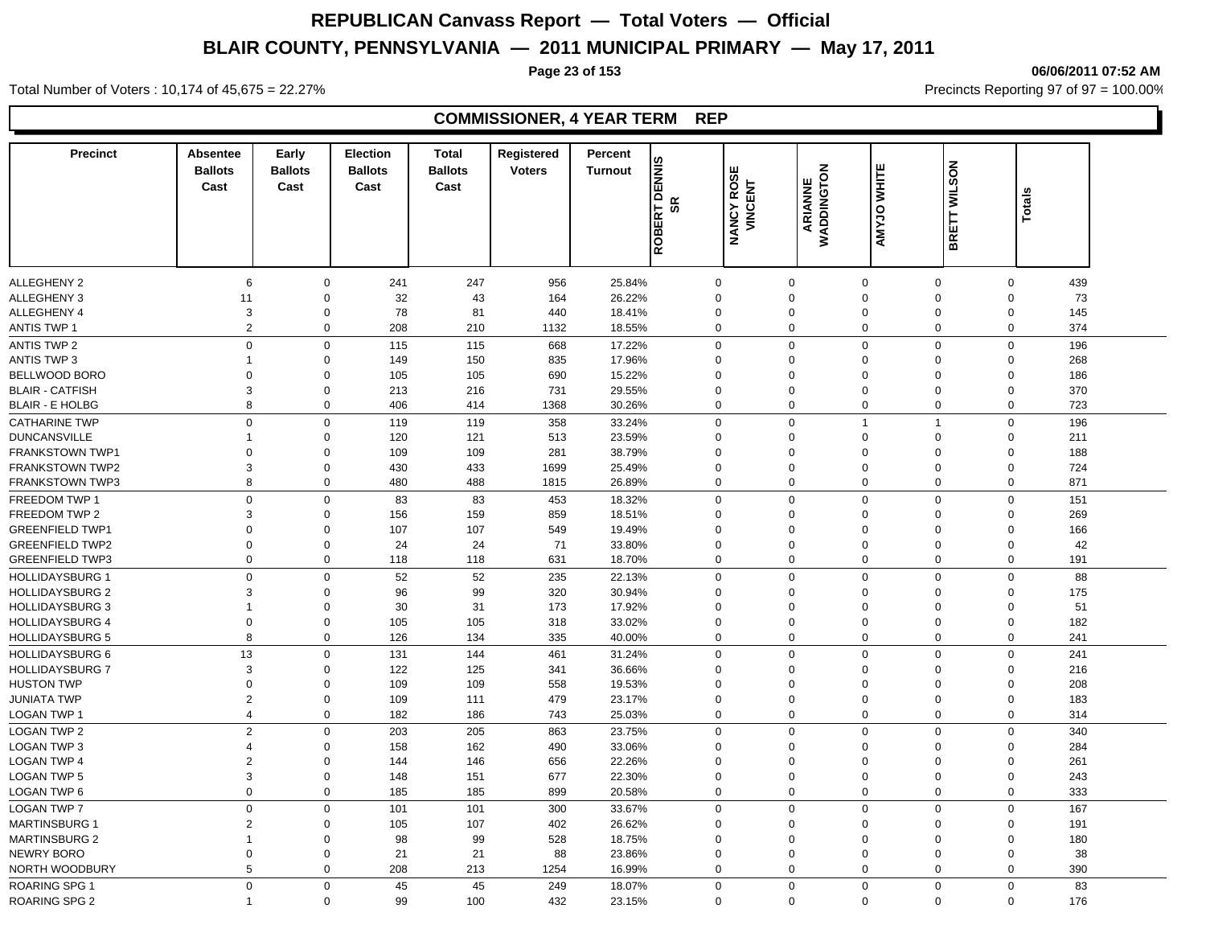**COMMISSIONER, 4 YEAR TERM REP**

**Page 23 of 153 06/06/2011 07:52 AM**

#### **Precinct Absentee Ballots Cast Cast Early Ballots Election Ballots**  Cast **Cast Total Registered Ballots**  Voters<br>
Cast<br>
Cast<br>
Cast<br>
Cast<br>
Cast<br>
Cast<br>
Cast<br>
Cast<br>
Cast<br>
Cast<br>
Cast<br>
Cast<br>
Cast<br>
Cast<br>
Cast<br>
Cast<br>
Cast<br>
Cast<br>
Cast<br>
Cast<br>
Cast<br>
Cast<br>
Cast<br>
Cast<br>
Cast<br>
Cast<br>
Cast<br>
Cast<br>
Cast<br>
Cast<br>
Cast<br>
Cast<br>
Cast<br>
Cast<br>
Cast<br>
Cast **Turnout**<br> **Turnout**<br> **ROBERT DENNIS Percent SR<br>
MANCY ROSE<br>
VINCENT<br>
ARIANNE<br>
ARIANNE** ALLEGHENY 2 6 0 241 247 956 25.84% 0 0 0 0 0 439 ALLEGHENY 3 11 0 32 43 164 26.22% 0 0 0 0 0 73 ALLEGHENY 4 3 0 78 81 440 18.41% 0 0 0 0 0 145 ANTIS TWP 1 2 0 208 210 1132 18.55% 0 0 0 0 0 374 ANTIS TWP 2 0 0 115 668 17.22% 0 0 0 196 ANTIS TWP 3 1 0 149 150 835 17.96% 0 0 0 0 268 BELLWOOD BORO 0 0 105 105 690 15.22% 0 0 0 0 0 186 BLAIR - CATFISH 3 0 213 216 731 29.55% 0 0 0 0 0 370 BLAIR - E HOLBG 8 0 406 414 1368 30.26% 0 0 0 0 0 723 CATHARINE TWP 0 0 119 119 358 33.24% 0 0 1 1 0 196 DUNCANSVILLE 1 0 120 121 513 23.59% 0 0 0 0 0 211 FRANKSTOWN TWP1 0 0 109 109 281 38.79% 0 0 0 0 0 188 FRANKSTOWN TWP2 3 0 430 433 1699 25.49% 0 0 0 0 0 724 FRANKSTOWN TWP3 8 0 480 488 1815 26.89% 0 0 0 0 0 871 FREEDOM TWP 1 0 0 83 83 453 18.32% 0 0 0 0 0 151 FREEDOM TWP 2 3 0 156 159 859 18.51% 0 0 0 0 0 269 GREENFIELD TWP1 0 0 107 107 549 19.49% 0 0 0 0 0 166 GREENFIELD TWP2 0 0 24 24 71 33.80% 0 0 0 0 0 42 GREENFIELD TWP3 0 0 118 118 631 18.70% 0 0 0 0 0 191 HOLLIDAYSBURG 1 0 0 52 52 235 22.13% 0 0 0 0 0 88 HOLLIDAYSBURG 2 3 0 96 99 320 30.94% 0 0 0 0 0 175 HOLLIDAYSBURG 3 1 0 30 31 173 17.92% 0 0 0 0 0 51 HOLLIDAYSBURG 4 0 0 105 105 318 33.02% 0 0 0 0 0 182 HOLLIDAYSBURG 5 8 0 126 134 335 40.00% 0 0 0 0 0 241 HOLLIDAYSBURG 6 13 0 131 144 461 31.24% 0 0 0 0 0 241 HOLLIDAYSBURG 7 3 0 122 125 341 36.66% 0 0 0 0 0 216 HUSTON TWP 0 0 109 109 558 19.53% 0 0 0 0 0 208 JUNIATA TWP 2 0 109 111 479 23.17% 0 0 0 0 0 183 LOGAN TWP 1 4 0 182 186 743 25.03% 0 0 0 0 0 314 LOGAN TWP 2 2 0 203 205 863 23.75% 0 0 0 0 0 340 LOGAN TWP 3 4 0 158 162 490 33.06% 0 0 0 0 0 284 LOGAN TWP 4 2 0 144 146 656 22.26% 0 0 0 0 0 261 LOGAN TWP 5 3 0 148 151 677 22.30% 0 0 0 0 0 243 LOGAN TWP 6 0 0 185 185 899 20.58% 0 0 0 0 0 333 LOGAN TWP 7 0 0 101 101 300 33.67% 0 0 0 0 0 167 MARTINSBURG 1 2 0 105 107 402 26.62% 0 0 0 0 0 191 MARTINSBURG 2 1 0 98 99 528 18.75% 0 0 0 0 0 180 NEWRY BORO 0 0 21 21 88 23.86% 0 0 0 0 0 38

NORTH WOODBURY 5 0 208 213 1254 16.99% 0 0 0 0 0 390 ROARING SPG 1 0 0 45 45 249 18.07% 0 0 0 0 83

ROARING SPG 2 1 0 99 100 432 23.15% 0 0 0 0 176

Total Number of Voters : 10,174 of 45,675 = 22.27% Precincts Reporting 97 of 97 = 100.00%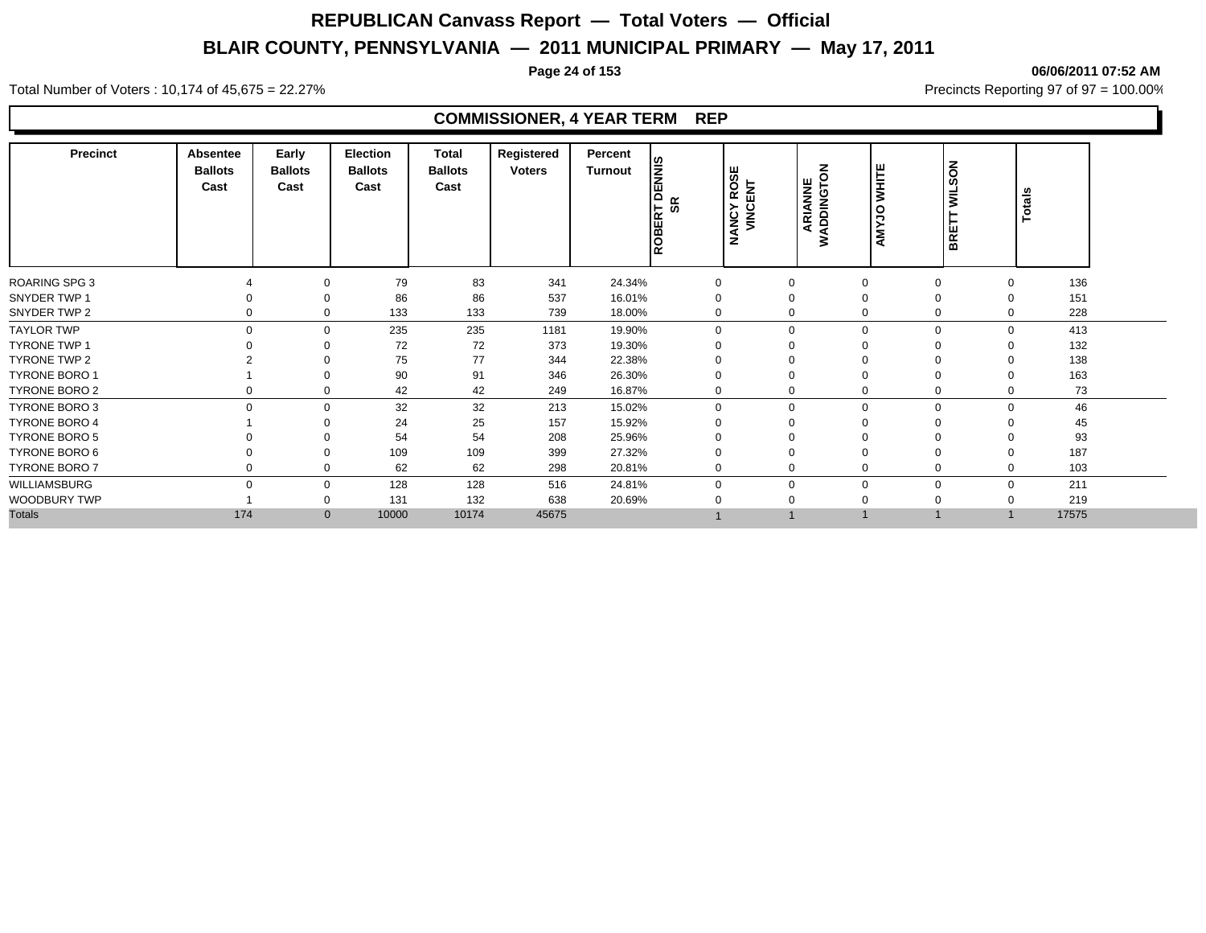**Page 24 of 153 06/06/2011 07:52 AM**

#### Total Number of Voters : 10,174 of 45,675 = 22.27% **Precincts Reporting 97 of 97 = 100.00%** Precincts Reporting 97 of 97 = 100.00%

| <b>Precinct</b>      | Absentee<br><b>Ballots</b><br>Cast | Early<br><b>Ballots</b><br>Cast | <b>Election</b><br><b>Ballots</b><br>Cast | Total<br><b>Ballots</b><br>Cast | Registered<br><b>Voters</b> | Percent<br>Turnout | <b>SINN</b><br>o<br><b>SR</b><br>호<br>ROBEF | <b>NANCY ROSE</b><br>VINCENT | ARIANNE<br>WADDINGTON | <b>WHITE</b><br>orx<br>ξ | SON<br>ŠΡ<br>BRET           | Totals |  |
|----------------------|------------------------------------|---------------------------------|-------------------------------------------|---------------------------------|-----------------------------|--------------------|---------------------------------------------|------------------------------|-----------------------|--------------------------|-----------------------------|--------|--|
| ROARING SPG 3        |                                    |                                 | 79                                        | 83                              | 341                         | 24.34%             |                                             | $\Omega$                     | $\Omega$              |                          | $\Omega$<br>$\Omega$        | 136    |  |
| SNYDER TWP 1         |                                    |                                 | 86                                        | 86                              | 537                         | 16.01%             |                                             | $\Omega$                     | $\Omega$              |                          | 0<br>$\Omega$               | 151    |  |
| SNYDER TWP 2         | $\Omega$                           | 0                               | 133                                       | 133                             | 739                         | 18.00%             |                                             |                              | $\Omega$<br>$\Omega$  |                          | $\mathbf 0$<br>$\Omega$     | 228    |  |
| <b>TAYLOR TWP</b>    | $\Omega$                           | 0                               | 235                                       | 235                             | 1181                        | 19.90%             | $\Omega$                                    |                              | $\Omega$<br>$\Omega$  |                          | $\mathbf 0$<br>$\mathbf{0}$ | 413    |  |
| <b>TYRONE TWP 1</b>  |                                    | 0                               | 72                                        | 72                              | 373                         | 19.30%             |                                             | $\Omega$                     | $\Omega$              |                          | $\Omega$<br>$\Omega$        | 132    |  |
| TYRONE TWP 2         |                                    | $\Omega$                        | 75                                        | 77                              | 344                         | 22.38%             |                                             | $\Omega$                     | $\Omega$              |                          | 0<br>$\Omega$               | 138    |  |
| <b>TYRONE BORO 1</b> |                                    | $\Omega$                        | 90                                        | 91                              | 346                         | 26.30%             |                                             | $\Omega$                     |                       |                          | $\mathbf 0$<br>$\Omega$     | 163    |  |
| TYRONE BORO 2        |                                    | 0                               | 42                                        | 42                              | 249                         | 16.87%             | 0                                           | $\Omega$                     |                       |                          | 0<br>0                      | 73     |  |
| TYRONE BORO 3        | $\Omega$                           | $\Omega$                        | 32                                        | 32                              | 213                         | 15.02%             | $\Omega$                                    | $\Omega$                     | $\Omega$              |                          | $\mathbf 0$<br>$\Omega$     | 46     |  |
| <b>TYRONE BORO 4</b> |                                    |                                 | 24                                        | 25                              | 157                         | 15.92%             |                                             | $\Omega$                     |                       |                          | 0                           | 45     |  |
| <b>TYRONE BORO 5</b> |                                    |                                 | 54                                        | 54                              | 208                         | 25.96%             |                                             |                              |                       |                          |                             | 93     |  |
| TYRONE BORO 6        |                                    |                                 | 109                                       | 109                             | 399                         | 27.32%             |                                             |                              |                       |                          |                             | 187    |  |
| <b>TYRONE BORO 7</b> |                                    | 0                               | 62                                        | 62                              | 298                         | 20.81%             |                                             | $\Omega$                     | $\Omega$              |                          | 0<br>$\Omega$               | 103    |  |
| WILLIAMSBURG         | $\Omega$                           | 0                               | 128                                       | 128                             | 516                         | 24.81%             | $\Omega$                                    | $\Omega$                     | $\mathbf 0$           |                          | $\mathbf 0$<br>$\mathbf 0$  | 211    |  |
| <b>WOODBURY TWP</b>  |                                    | 0                               | 131                                       | 132                             | 638                         | 20.69%             |                                             |                              | $\mathbf 0$           |                          | 0<br>$\Omega$               | 219    |  |
| <b>Totals</b>        | 174                                | $\mathbf{0}$                    | 10000                                     | 10174                           | 45675                       |                    |                                             |                              |                       |                          |                             | 17575  |  |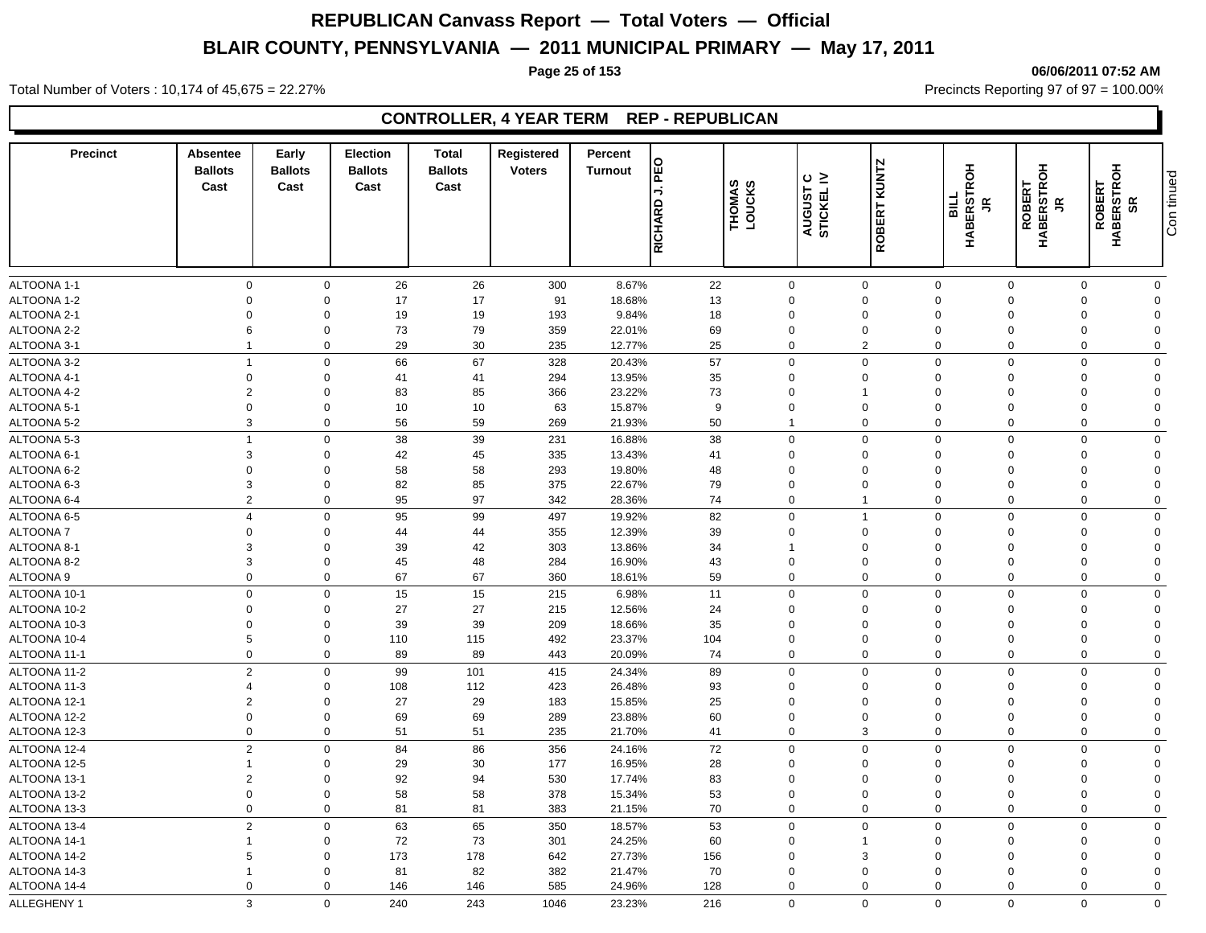### **Page 25 of 153 06/06/2011 07:52 AM**

Total Number of Voters : 10,174 of 45,675 = 22.27% **Precincts Reporting 97 of 97 = 100.00%** Precincts Reporting 97 of 97 = 100.00%

## **CONTROLLER, 4 YEAR TERM REP - REPUBLICAN**

| <b>Precinct</b> | Absentee<br><b>Ballots</b><br>Cast | Early<br><b>Ballots</b><br>Cast | <b>Election</b><br><b>Ballots</b><br>Cast | <b>Total</b><br><b>Ballots</b><br>Cast | Registered<br><b>Voters</b> | Percent<br><b>Turnout</b> | O<br>回<br>⇒<br>RICHARD | THOMAS<br>LOUCKS | ≤ ن<br>AUGUST | <b>ROBERT KUNTZ</b>      | <b>HABERSTROH</b><br><b>PIRE</b><br>$\tilde{\mathbf{r}}$ | <b>ROBERT<br/>HABERSTROH</b><br>$\tilde{\mathbf{r}}$ | <b>ROBERT<br/>HABERSTROH<br/>SR</b> | Con tinued   |
|-----------------|------------------------------------|---------------------------------|-------------------------------------------|----------------------------------------|-----------------------------|---------------------------|------------------------|------------------|---------------|--------------------------|----------------------------------------------------------|------------------------------------------------------|-------------------------------------|--------------|
|                 |                                    |                                 |                                           |                                        |                             |                           |                        |                  |               |                          |                                                          |                                                      |                                     |              |
| ALTOONA 1-1     | $\mathbf 0$                        | $\mathbf 0$                     | 26                                        | 26                                     | 300                         | 8.67%                     | 22                     |                  | $\mathbf 0$   | $\mathbf 0$              | $\mathbf 0$                                              | $\mathbf 0$                                          | $\mathbf 0$                         | $\mathbf 0$  |
| ALTOONA 1-2     | $\Omega$                           | $\mathbf 0$                     | 17                                        | 17                                     | 91                          | 18.68%                    | 13                     |                  | $\mathbf 0$   | $\mathbf 0$              | $\Omega$                                                 | $\Omega$                                             | $\Omega$                            | $\mathbf 0$  |
| ALTOONA 2-1     | $\Omega$                           | $\Omega$                        | 19                                        | 19                                     | 193                         | 9.84%                     | 18                     |                  | $\Omega$      | $\mathbf 0$              | $\Omega$                                                 | $\Omega$                                             | $\Omega$                            | $\Omega$     |
| ALTOONA 2-2     | 6                                  | $\mathbf 0$                     | 73                                        | 79                                     | 359                         | 22.01%                    | 69                     |                  | $\Omega$      | $\mathbf 0$              | $\Omega$                                                 | $\Omega$                                             | $\Omega$                            | $\Omega$     |
| ALTOONA 3-1     | -1                                 | $\mathbf 0$                     | 29                                        | 30                                     | 235                         | 12.77%                    | 25                     |                  | $\Omega$      | 2                        | $\Omega$                                                 | $\Omega$                                             | $\Omega$                            | $\mathbf 0$  |
| ALTOONA 3-2     | $\overline{1}$                     | $\mathbf 0$                     | 66                                        | 67                                     | 328                         | 20.43%                    | 57                     |                  | $\mathbf 0$   | $\mathbf 0$              | $\mathbf 0$                                              | $\Omega$                                             | $\Omega$                            | $\Omega$     |
| ALTOONA 4-1     | $\mathbf 0$                        | $\mathbf 0$                     | 41                                        | 41                                     | 294                         | 13.95%                    | 35                     |                  | $\mathbf 0$   | $\mathbf 0$              | $\Omega$                                                 | $\Omega$                                             | $\Omega$                            | $\Omega$     |
| ALTOONA 4-2     | $\overline{2}$                     | $\Omega$                        | 83                                        | 85                                     | 366                         | 23.22%                    | 73                     |                  | $\Omega$      | $\overline{\phantom{a}}$ | $\Omega$                                                 | $\Omega$                                             | $\Omega$                            | $\Omega$     |
| ALTOONA 5-1     | $\mathbf 0$                        | $\mathbf 0$                     | 10                                        | 10                                     | 63                          | 15.87%                    | 9                      |                  | $\mathbf 0$   | $\mathbf 0$              | $\Omega$                                                 | $\Omega$                                             | $\Omega$                            | $\Omega$     |
| ALTOONA 5-2     | $\mathbf{3}$                       | $\mathbf 0$                     | 56                                        | 59                                     | 269                         | 21.93%                    | 50                     |                  | $\mathbf{1}$  | $\mathbf 0$              | $\Omega$                                                 | $\mathbf 0$                                          | $\Omega$                            | $\mathbf 0$  |
| ALTOONA 5-3     | $\overline{1}$                     | $\mathbf 0$                     | 38                                        | 39                                     | 231                         | 16.88%                    | 38                     |                  | $\mathbf 0$   | $\mathbf 0$              | $\mathbf 0$                                              | $\Omega$                                             | $\Omega$                            | $\mathbf 0$  |
| ALTOONA 6-1     | 3                                  | $\Omega$                        | 42                                        | 45                                     | 335                         | 13.43%                    | 41                     |                  | 0             | $\mathbf{0}$             | $\Omega$                                                 | $\Omega$                                             | $\Omega$                            | $\Omega$     |
| ALTOONA 6-2     | $\mathbf 0$                        | $\mathbf 0$                     | 58                                        | 58                                     | 293                         | 19.80%                    | 48                     |                  | $\Omega$      | $\mathbf 0$              | $\Omega$                                                 | $\Omega$                                             | $\Omega$                            | $\Omega$     |
| ALTOONA 6-3     | 3                                  | $\mathbf 0$                     | 82                                        | 85                                     | 375                         | 22.67%                    | 79                     |                  | $\Omega$      | $\mathbf 0$              | $\Omega$                                                 | $\Omega$                                             | $\Omega$                            | $\Omega$     |
| ALTOONA 6-4     | $\overline{2}$                     | $\mathbf 0$                     | 95                                        | 97                                     | 342                         | 28.36%                    | 74                     |                  | $\mathbf 0$   | $\overline{1}$           | $\Omega$                                                 | $\mathbf 0$                                          | $\Omega$                            | $\mathbf 0$  |
| ALTOONA 6-5     | $\overline{4}$                     | $\mathbf 0$                     | 95                                        | 99                                     | 497                         | 19.92%                    | 82                     |                  | $\mathbf 0$   | $\overline{1}$           | $\mathbf 0$                                              | $\Omega$                                             | $\Omega$                            | $\mathbf 0$  |
| ALTOONA 7       | $\mathbf 0$                        | $\mathbf 0$                     | 44                                        | 44                                     | 355                         | 12.39%                    | 39                     |                  | $\mathbf 0$   | $\mathbf 0$              | $\Omega$                                                 | $\Omega$                                             | $\Omega$                            | $\Omega$     |
| ALTOONA 8-      | 3                                  | $\mathbf 0$                     | 39                                        | 42                                     | 303                         | 13.86%                    | 34                     |                  | 1             | $\mathbf 0$              | $\Omega$                                                 | $\Omega$                                             | $\Omega$                            | $\Omega$     |
| ALTOONA 8-2     | 3                                  | $\mathbf 0$                     | 45                                        | 48                                     | 284                         | 16.90%                    | 43                     |                  | $\mathbf 0$   | $\mathbf 0$              | $\mathbf 0$                                              | $\Omega$                                             | $\Omega$                            | $\Omega$     |
| ALTOONA 9       | $\mathbf 0$                        | $\mathbf 0$                     | 67                                        | 67                                     | 360                         | 18.61%                    | 59                     |                  | $\mathbf 0$   | $\mathbf 0$              | $\mathbf 0$                                              | $\Omega$                                             | $\Omega$                            | $\mathbf 0$  |
| ALTOONA 10-1    | $\mathbf 0$                        | $\mathbf 0$                     | 15                                        | 15                                     | 215                         | 6.98%                     | 11                     |                  | $\mathbf 0$   | $\mathbf 0$              | $\Omega$                                                 | $\Omega$                                             | $\Omega$                            | $\mathbf 0$  |
| ALTOONA 10-2    | $\Omega$                           | $\mathbf 0$                     | 27                                        | 27                                     | 215                         | 12.56%                    | 24                     |                  | $\Omega$      | $\mathbf 0$              | $\Omega$                                                 | $\Omega$                                             | $\Omega$                            | $\Omega$     |
| ALTOONA 10-3    | $\mathbf 0$                        | $\mathbf 0$                     | 39                                        | 39                                     | 209                         | 18.66%                    | 35                     |                  | $\mathbf 0$   | $\mathbf 0$              | $\Omega$                                                 | $\Omega$                                             | $\Omega$                            | $\Omega$     |
| ALTOONA 10-4    | 5                                  | $\mathbf 0$                     | 110                                       | 115                                    | 492                         | 23.37%                    | 104                    |                  | $\mathbf 0$   | $\mathbf 0$              | $\mathbf 0$                                              | $\Omega$                                             | $\Omega$                            | $\Omega$     |
| ALTOONA 11-1    | $\Omega$                           | $\mathbf 0$                     | 89                                        | 89                                     | 443                         | 20.09%                    | 74                     |                  | $\mathbf 0$   | $\mathbf 0$              | $\mathbf 0$                                              | $\mathbf 0$                                          | $\Omega$                            | $\mathbf 0$  |
| ALTOONA 11-2    | $\overline{2}$                     | $\mathbf 0$                     | 99                                        | 101                                    | 415                         | 24.34%                    | 89                     |                  | $\Omega$      | $\mathbf 0$              | $\Omega$                                                 | $\Omega$                                             | $\Omega$                            | $\mathbf 0$  |
| ALTOONA 11-3    | $\overline{4}$                     | $\mathbf 0$                     | 108                                       | 112                                    | 423                         | 26.48%                    | 93                     |                  | $\mathbf 0$   | $\mathbf 0$              | $\mathbf 0$                                              | $\Omega$                                             | $\Omega$                            | $\Omega$     |
| ALTOONA 12-1    | $\overline{2}$                     | $\mathbf 0$                     | 27                                        | 29                                     | 183                         | 15.85%                    | 25                     |                  | $\mathbf 0$   | $\mathbf 0$              | $\Omega$                                                 | $\Omega$                                             | $\Omega$                            | $\mathbf 0$  |
| ALTOONA 12-2    | $\mathbf 0$                        | $\mathbf 0$                     | 69                                        | 69                                     | 289                         | 23.88%                    | 60                     |                  | $\mathbf 0$   | $\mathbf 0$              | $\mathbf 0$                                              | $\Omega$                                             | $\Omega$                            | $\Omega$     |
| ALTOONA 12-3    | $\mathbf 0$                        | $\mathbf 0$                     | 51                                        | 51                                     | 235                         | 21.70%                    | 41                     |                  | $\mathbf 0$   | $\mathbf{3}$             | $\mathbf 0$                                              | $\mathbf 0$                                          | $\mathbf 0$                         | $\mathbf 0$  |
| ALTOONA 12-4    | $\overline{2}$                     | $\mathbf 0$                     | 84                                        | 86                                     | 356                         | 24.16%                    | 72                     |                  | $\mathbf 0$   | $\mathbf 0$              | $\mathbf 0$                                              | $\Omega$                                             | $\Omega$                            | $\mathbf 0$  |
| ALTOONA 12-5    | $\overline{1}$                     | $\mathbf 0$                     | 29                                        | 30                                     | 177                         | 16.95%                    | 28                     |                  | 0             | $\mathbf 0$              | $\mathbf 0$                                              | $\Omega$                                             | $\Omega$                            | $\Omega$     |
| ALTOONA 13-1    | $\overline{2}$                     | $\mathbf 0$                     | 92                                        | 94                                     | 530                         | 17.74%                    | 83                     |                  | $\mathbf 0$   | $\mathbf 0$              | $\mathbf 0$                                              | $\Omega$                                             | $\Omega$                            | $\Omega$     |
| ALTOONA 13-2    | $\mathbf 0$                        | $\mathbf 0$                     | 58                                        | 58                                     | 378                         | 15.34%                    | 53                     |                  | $\mathbf 0$   | $\mathbf 0$              | $\mathbf 0$                                              | $\Omega$                                             | $\Omega$                            | $\Omega$     |
| ALTOONA 13-3    | $\mathbf 0$                        | $\mathbf 0$                     | 81                                        | 81                                     | 383                         | 21.15%                    | 70                     |                  | $\Omega$      | $\mathbf 0$              | $\Omega$                                                 | $\Omega$                                             | $\mathbf 0$                         | $\mathbf 0$  |
| ALTOONA 13-4    | $\overline{2}$                     | $\mathbf 0$                     |                                           |                                        |                             |                           |                        |                  | $\mathbf 0$   | $\mathbf 0$              | $\mathbf 0$                                              | $\mathbf 0$                                          | $\mathbf 0$                         | $\mathbf 0$  |
| ALTOONA 14-1    | $\overline{1}$                     | $\mathbf 0$                     | 63                                        | 65                                     | 350                         | 18.57%<br>24.25%          | 53<br>60               |                  | $\mathbf 0$   | $\mathbf{1}$             | $\mathbf 0$                                              | $\Omega$                                             | $\Omega$                            | $\Omega$     |
| ALTOONA 14-2    | 5                                  | $\mathbf 0$                     | 72<br>173                                 | 73<br>178                              | 301<br>642                  |                           |                        |                  | $\mathbf 0$   | 3                        | $\Omega$                                                 | $\Omega$                                             | $\Omega$                            | $\Omega$     |
| ALTOONA 14-3    | -1                                 | $\mathbf 0$                     | 81                                        | 82                                     | 382                         | 27.73%<br>21.47%          | 156<br>70              |                  | $\mathbf 0$   | $\mathbf 0$              | $\Omega$                                                 | $\Omega$                                             | $\Omega$                            | $\Omega$     |
| ALTOONA 14-4    | $\mathbf 0$                        | $\mathbf 0$                     | 146                                       | 146                                    | 585                         | 24.96%                    | 128                    |                  | $\Omega$      | $\mathbf 0$              | $\Omega$                                                 | $\Omega$                                             | $\mathbf 0$                         | $\mathbf{0}$ |
|                 |                                    |                                 |                                           |                                        |                             |                           |                        |                  |               |                          |                                                          |                                                      |                                     |              |
| ALLEGHENY 1     | 3                                  | $\Omega$                        | 240                                       | 243                                    | 1046                        | 23.23%                    | 216                    |                  | $\Omega$      | $\Omega$                 | $\Omega$                                                 | $\Omega$                                             | $\Omega$                            | $\Omega$     |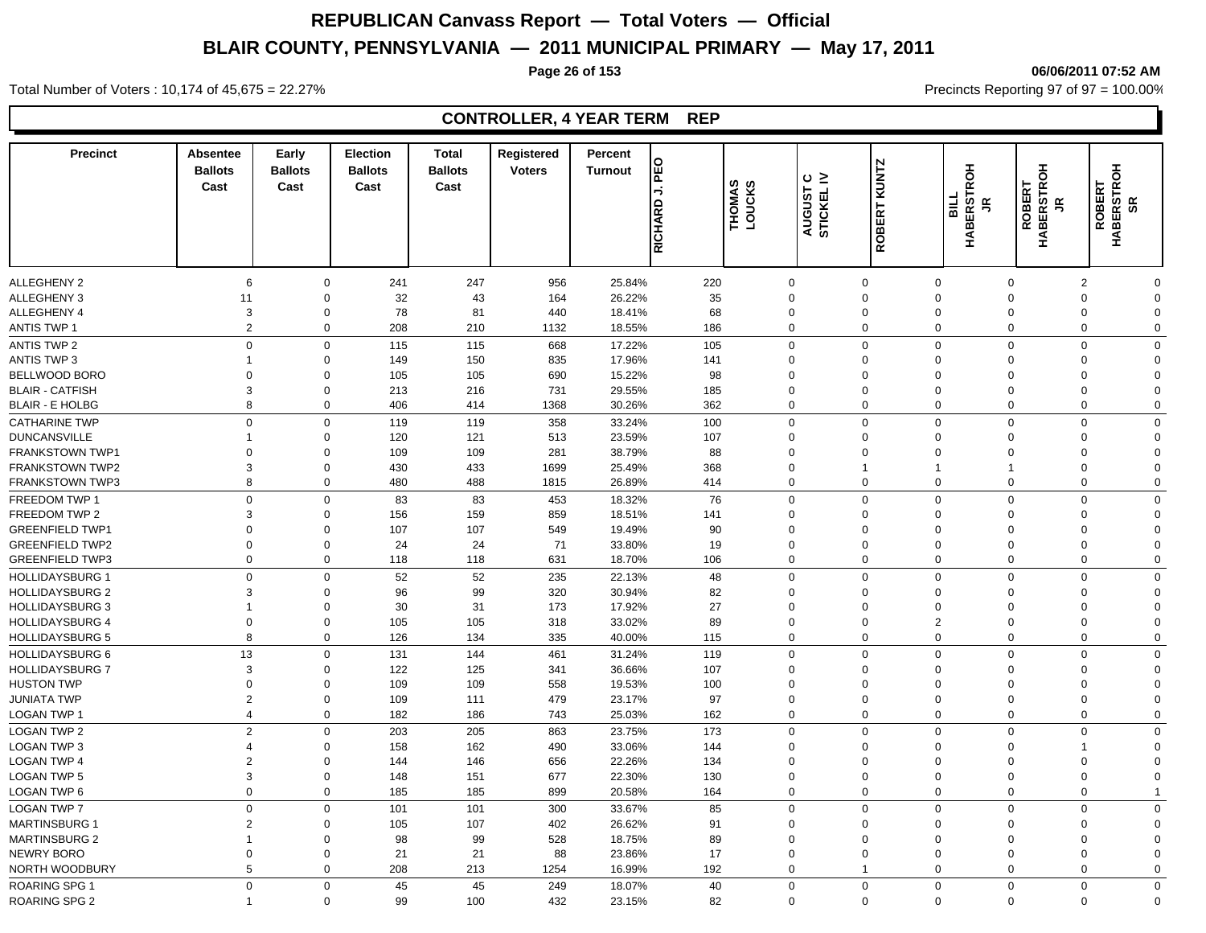### **Page 26 of 153 06/06/2011 07:52 AM**

Total Number of Voters : 10,174 of 45,675 = 22.27% **Precincts Reporting 97 of 97 = 100.00%** Precincts Reporting 97 of 97 = 100.00%

## **CONTROLLER, 4 YEAR TERM REP**

| <b>Precinct</b>        | <b>Absentee</b><br><b>Ballots</b><br>Cast | Early<br><b>Ballots</b><br>Cast | <b>Election</b><br><b>Ballots</b><br>Cast | <b>Total</b><br><b>Ballots</b><br>Cast | Registered<br><b>Voters</b> | Percent<br><b>Turnout</b> | 읣<br>→  | THOMAS<br>LOUCKS | $\circ$ $\ge$<br>AUGUST<br>STICKEL | ROBERT KUNTZ | 동<br>Ñ<br>ERST<br><b>TIRE</b> | <b>HABERSTROH</b><br><b>OBERT</b><br>š | <b>ROBERT<br/>HABERSTROH<br/>SR</b><br>$\tilde{\vec{r}}$ |                |
|------------------------|-------------------------------------------|---------------------------------|-------------------------------------------|----------------------------------------|-----------------------------|---------------------------|---------|------------------|------------------------------------|--------------|-------------------------------|----------------------------------------|----------------------------------------------------------|----------------|
|                        |                                           |                                 |                                           |                                        |                             |                           | RICHARD |                  |                                    |              | н<br>Аві                      | œ                                      |                                                          |                |
| <b>ALLEGHENY 2</b>     | 6                                         | $\mathbf 0$                     | 241                                       | 247                                    | 956                         | 25.84%                    | 220     | $\Omega$         |                                    | $\Omega$     | $\Omega$                      | $\mathbf 0$                            | $\overline{2}$                                           | $\Omega$       |
| ALLEGHENY 3            | 11                                        | $\Omega$                        | 32                                        | 43                                     | 164                         | 26.22%                    | 35      | $\Omega$         |                                    | $\Omega$     | $\Omega$                      | $\Omega$                               | $\Omega$                                                 | $\mathbf{0}$   |
| ALLEGHENY 4            | 3                                         | $\Omega$                        | 78                                        | 81                                     | 440                         | 18.41%                    | 68      | $\Omega$         |                                    | $\Omega$     | $\Omega$                      | $\Omega$                               | $\Omega$                                                 | $\mathbf{0}$   |
| <b>ANTIS TWP 1</b>     | $\overline{2}$                            | $\Omega$                        | 208                                       | 210                                    | 1132                        | 18.55%                    | 186     | $\Omega$         |                                    | $\Omega$     | $\mathbf 0$                   | $\mathbf 0$                            | $\Omega$                                                 | $\mathbf{0}$   |
| <b>ANTIS TWP 2</b>     | $\Omega$                                  | $\Omega$                        | 115                                       | 115                                    | 668                         | 17.22%                    | 105     | $\Omega$         |                                    | $\Omega$     | $\mathbf 0$                   | $\mathbf 0$                            | $\Omega$                                                 | $\mathbf 0$    |
| <b>ANTIS TWP 3</b>     |                                           | $\Omega$                        | 149                                       | 150                                    | 835                         | 17.96%                    | 141     | $\Omega$         |                                    | $\Omega$     | $\Omega$                      | $\mathbf 0$                            | $\Omega$                                                 | $\mathbf 0$    |
| BELLWOOD BORO          | $\Omega$                                  | $\Omega$                        | 105                                       | 105                                    | 690                         | 15.22%                    | 98      | $\Omega$         |                                    | $\Omega$     | $\Omega$                      | $\Omega$                               | $\Omega$                                                 | $\mathbf 0$    |
| <b>BLAIR - CATFISH</b> | 3                                         | $\Omega$                        | 213                                       | 216                                    | 731                         | 29.55%                    | 185     | $\Omega$         |                                    | $\Omega$     | $\mathbf 0$                   | $\mathbf 0$                            | $\mathbf 0$                                              | $\mathbf 0$    |
| <b>BLAIR - E HOLBG</b> | 8                                         | $\mathbf 0$                     | 406                                       | 414                                    | 1368                        | 30.26%                    | 362     | 0                |                                    | $\Omega$     | $\mathbf 0$                   | $\mathbf 0$                            | 0                                                        | $\mathbf 0$    |
| <b>CATHARINE TWP</b>   | $\Omega$                                  | $\Omega$                        | 119                                       | 119                                    | 358                         | 33.24%                    | 100     | $\Omega$         |                                    | $\Omega$     | $\mathbf 0$                   | $\Omega$                               | $\Omega$                                                 | $\mathbf 0$    |
| <b>DUNCANSVILLE</b>    |                                           | $\Omega$                        | 120                                       | 121                                    | 513                         | 23.59%                    | 107     | $\Omega$         |                                    | $\Omega$     | $\Omega$                      | $\Omega$                               | 0                                                        | $\mathbf 0$    |
| <b>FRANKSTOWN TWP1</b> | $\Omega$                                  | $\Omega$                        | 109                                       | 109                                    | 281                         | 38.79%                    | 88      | $\Omega$         |                                    | $\Omega$     | $\Omega$                      | $\Omega$                               | $\Omega$                                                 | $\mathbf 0$    |
| <b>FRANKSTOWN TWP2</b> | 3                                         | $\Omega$                        | 430                                       | 433                                    | 1699                        | 25.49%                    | 368     | $\Omega$         |                                    |              | 1                             | -1                                     | $\mathbf 0$                                              | $\mathbf 0$    |
| <b>FRANKSTOWN TWP3</b> | 8                                         | $\Omega$                        | 480                                       | 488                                    | 1815                        | 26.89%                    | 414     | $\Omega$         |                                    | $\Omega$     | $\mathbf 0$                   | $\Omega$                               | $\Omega$                                                 | $\mathbf 0$    |
| FREEDOM TWP 1          | $\Omega$                                  | $\Omega$                        | 83                                        | 83                                     | 453                         | 18.32%                    | 76      | $\Omega$         |                                    | $\Omega$     | $\mathbf 0$                   | $\mathbf 0$                            | $\Omega$                                                 | $\mathbf 0$    |
| FREEDOM TWP 2          | 3                                         | $\Omega$                        | 156                                       | 159                                    | 859                         | 18.51%                    | 141     | $\Omega$         |                                    | ∩            | $\Omega$                      | $\Omega$                               | $\Omega$                                                 | $\mathbf 0$    |
| <b>GREENFIELD TWP1</b> | $\Omega$                                  | $\Omega$                        | 107                                       | 107                                    | 549                         | 19.49%                    | 90      | $\Omega$         |                                    | $\Omega$     | $\mathbf 0$                   | $\mathbf 0$                            | $\mathbf 0$                                              | $\mathbf 0$    |
| <b>GREENFIELD TWP2</b> | $\Omega$                                  | $\Omega$                        | 24                                        | 24                                     | 71                          | 33.80%                    | 19      | $\Omega$         |                                    | $\Omega$     | $\mathbf 0$                   | $\mathbf 0$                            | 0                                                        | $\mathbf 0$    |
| <b>GREENFIELD TWP3</b> | $\Omega$                                  | $\mathbf 0$                     | 118                                       | 118                                    | 631                         | 18.70%                    | 106     | $\mathbf 0$      |                                    | $\Omega$     | $\mathbf 0$                   | $\mathbf 0$                            | 0                                                        | $\mathbf 0$    |
| <b>HOLLIDAYSBURG 1</b> | $\Omega$                                  | $\Omega$                        | 52                                        | 52                                     | 235                         | 22.13%                    | 48      | $\Omega$         |                                    | $\Omega$     | $\mathbf 0$                   | $\Omega$                               | $\Omega$                                                 | $\mathbf 0$    |
| <b>HOLLIDAYSBURG 2</b> | 3                                         | $\Omega$                        | 96                                        | 99                                     | 320                         | 30.94%                    | 82      | $\Omega$         |                                    | $\Omega$     | $\Omega$                      | $\Omega$                               | $\Omega$                                                 | $\mathbf 0$    |
| <b>HOLLIDAYSBURG 3</b> |                                           | $\Omega$                        | 30                                        | 31                                     | 173                         | 17.92%                    | 27      | $\Omega$         |                                    | $\Omega$     | $\Omega$                      | $\Omega$                               | $\Omega$                                                 | $\mathbf 0$    |
| <b>HOLLIDAYSBURG 4</b> | $\Omega$                                  | $\Omega$                        | 105                                       | 105                                    | 318                         | 33.02%                    | 89      | $\Omega$         |                                    | $\Omega$     | $\overline{2}$                | $\mathbf 0$                            | $\Omega$                                                 | $\mathbf 0$    |
| <b>HOLLIDAYSBURG 5</b> | 8                                         | $\Omega$                        | 126                                       | 134                                    | 335                         | 40.00%                    | 115     | $\Omega$         |                                    | $\Omega$     | $\mathbf 0$                   | $\mathbf 0$                            | $\Omega$                                                 | $\mathbf 0$    |
| <b>HOLLIDAYSBURG 6</b> | 13                                        | $\Omega$                        | 131                                       | 144                                    | 461                         | 31.24%                    | 119     | $\Omega$         |                                    | $\Omega$     | $\mathbf 0$                   | $\mathbf 0$                            | $\Omega$                                                 | $\mathbf 0$    |
| <b>HOLLIDAYSBURG 7</b> | 3                                         | $\Omega$                        | 122                                       | 125                                    | 341                         | 36.66%                    | 107     | $\Omega$         |                                    | $\Omega$     | $\Omega$                      | $\Omega$                               | $\Omega$                                                 | $\mathbf 0$    |
| <b>HUSTON TWP</b>      | $\Omega$                                  | $\Omega$                        | 109                                       | 109                                    | 558                         | 19.53%                    | 100     | $\mathbf 0$      |                                    | $\Omega$     | $\mathbf 0$                   | $\mathbf 0$                            | 0                                                        | $\mathbf 0$    |
| <b>JUNIATA TWP</b>     | $\overline{2}$                            | $\Omega$                        | 109                                       | 111                                    | 479                         | 23.17%                    | 97      | $\mathbf 0$      |                                    | $\Omega$     | $\mathbf 0$                   | $\mathbf 0$                            | $\mathbf 0$                                              | $\mathbf 0$    |
| <b>LOGAN TWP 1</b>     | $\overline{4}$                            | $\Omega$                        | 182                                       | 186                                    | 743                         | 25.03%                    | 162     | $\mathbf 0$      |                                    | $\Omega$     | $\mathbf 0$                   | $\mathbf 0$                            | 0                                                        | $\mathbf 0$    |
| <b>LOGAN TWP 2</b>     | $\mathcal{P}$                             | $\Omega$                        | 203                                       | 205                                    | 863                         | 23.75%                    | 173     | $\Omega$         |                                    | $\Omega$     | $\Omega$                      | $\Omega$                               | $\Omega$                                                 | $\mathbf 0$    |
| <b>LOGAN TWP 3</b>     | 4                                         | $\Omega$                        | 158                                       | 162                                    | 490                         | 33.06%                    | 144     | $\Omega$         |                                    | $\Omega$     | $\Omega$                      | $\Omega$                               |                                                          | $\mathbf 0$    |
| <b>LOGAN TWP 4</b>     |                                           | $\Omega$                        | 144                                       | 146                                    | 656                         | 22.26%                    | 134     | $\Omega$         |                                    | $\Omega$     | $\Omega$                      | $\Omega$                               | $\Omega$                                                 | $\mathbf 0$    |
| <b>LOGAN TWP 5</b>     | 3                                         | $\Omega$                        | 148                                       | 151                                    | 677                         | 22.30%                    | 130     | $\Omega$         |                                    | $\Omega$     | $\mathbf 0$                   | $\Omega$                               | $\Omega$                                                 | $\mathbf 0$    |
| LOGAN TWP 6            | $\Omega$                                  | $\Omega$                        | 185                                       | 185                                    | 899                         | 20.58%                    | 164     | $\Omega$         |                                    | $\Omega$     | $\mathbf 0$                   | $\mathbf 0$                            | $\mathbf 0$                                              | $\overline{1}$ |
| <b>LOGAN TWP 7</b>     | $\Omega$                                  | $\Omega$                        | 101                                       | 101                                    | 300                         | 33.67%                    | 85      | $\Omega$         |                                    | $\Omega$     | $\Omega$                      | $\mathbf 0$                            | $\Omega$                                                 | $\mathbf 0$    |
| <b>MARTINSBURG 1</b>   | $\mathcal{P}$                             | $\Omega$                        | 105                                       | 107                                    | 402                         | 26.62%                    | 91      | $\Omega$         |                                    | $\Omega$     | $\mathbf 0$                   | $\mathbf 0$                            | $\mathbf 0$                                              | $\mathbf 0$    |
| <b>MARTINSBURG 2</b>   |                                           | $\Omega$                        | 98                                        | 99                                     | 528                         | 18.75%                    | 89      | $\Omega$         |                                    | $\Omega$     | $\mathbf 0$                   | $\mathbf 0$                            | $\mathbf 0$                                              | $\mathbf 0$    |
| <b>NEWRY BORO</b>      | $\Omega$                                  | $\Omega$                        | 21                                        | 21                                     | 88                          | 23.86%                    | 17      | $\mathbf 0$      |                                    | $\Omega$     | $\mathbf 0$                   | $\mathbf 0$                            | 0                                                        | $\mathbf 0$    |
| NORTH WOODBURY         | 5                                         | $\mathbf 0$                     | 208                                       | 213                                    | 1254                        | 16.99%                    | 192     | $\Omega$         |                                    | $\mathbf 1$  | $\mathbf 0$                   | $\mathbf 0$                            | 0                                                        | $\mathbf 0$    |
| <b>ROARING SPG 1</b>   | $\Omega$                                  | $\Omega$                        | 45                                        | 45                                     | 249                         | 18.07%                    | 40      | $\Omega$         |                                    | $\Omega$     | $\mathbf 0$                   | $\mathbf 0$                            | $\Omega$                                                 | $\mathbf 0$    |
| <b>ROARING SPG 2</b>   |                                           | $\Omega$                        | 99                                        | 100                                    | 432                         | 23.15%                    | 82      | $\Omega$         |                                    | $\Omega$     | $\mathbf 0$                   | $\Omega$                               | $\Omega$                                                 | $\mathbf 0$    |
|                        |                                           |                                 |                                           |                                        |                             |                           |         |                  |                                    |              |                               |                                        |                                                          |                |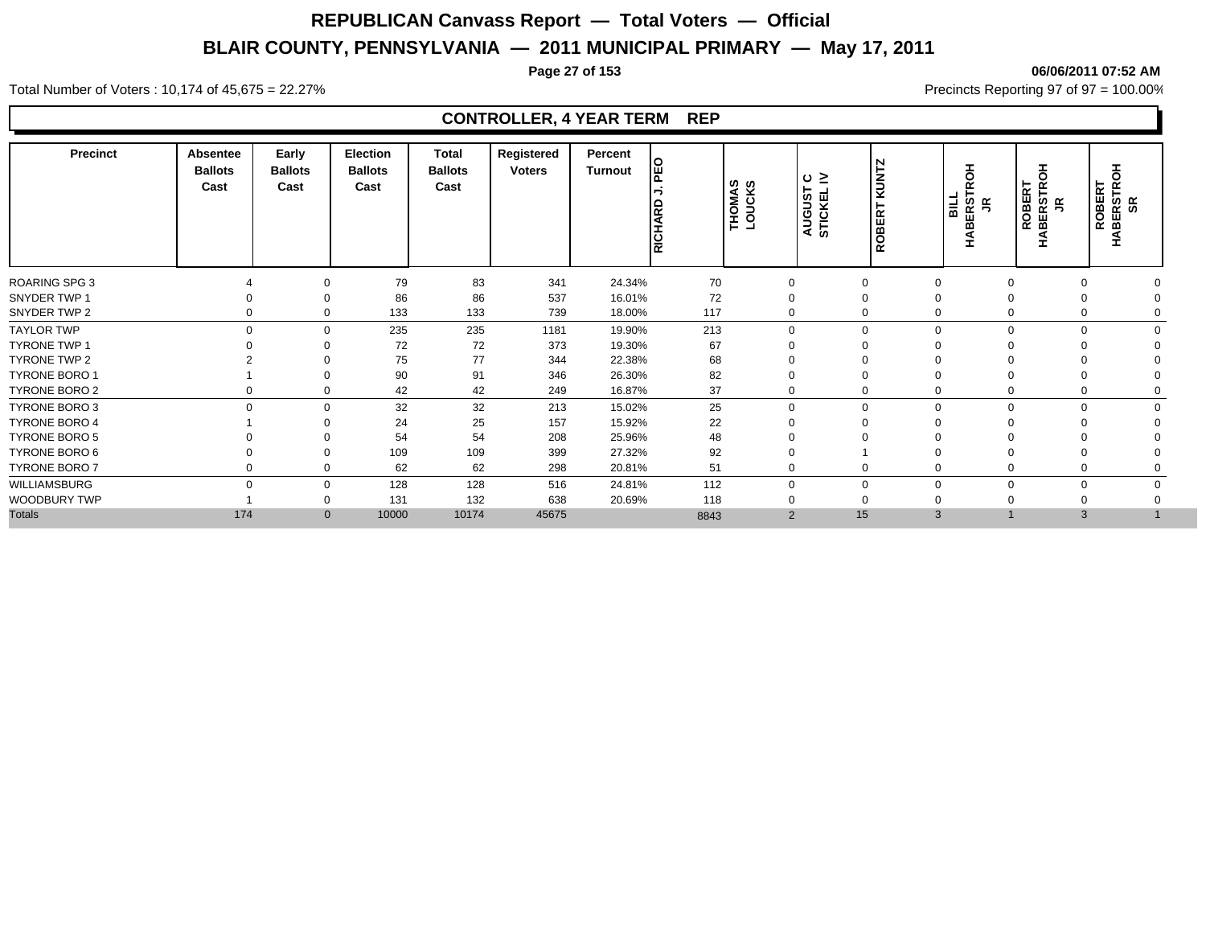### **Page 27 of 153 06/06/2011 07:52 AM**

Total Number of Voters : 10,174 of 45,675 = 22.27% **Precincts Reporting 97 of 97 = 100.00%** Precincts Reporting 97 of 97 = 100.00%

## **CONTROLLER, 4 YEAR TERM REP**

| <b>Precinct</b>      | Absentee<br><b>Ballots</b><br>Cast | Early<br><b>Ballots</b><br>Cast | <b>Election</b><br><b>Ballots</b><br>Cast | Total<br><b>Ballots</b><br>Cast | Registered<br><b>Voters</b> | Percent<br><b>Turnout</b> | ᇣ<br>RICHARD | THOMAS<br>LOUCKS | ≤ ن<br>AUGUST | ROBERT KUNTZ | 풍<br>BILL<br>ក្ដី ។<br>ក<br>⋒<br>┯ | 풍<br>ROBERT<br><b>HABERSTRO</b><br>JR | 동<br><b>ROBERT<br/>BERSTRO</b><br>SR<br>₹ |  |
|----------------------|------------------------------------|---------------------------------|-------------------------------------------|---------------------------------|-----------------------------|---------------------------|--------------|------------------|---------------|--------------|------------------------------------|---------------------------------------|-------------------------------------------|--|
| <b>ROARING SPG 3</b> |                                    | $\Omega$                        | 79                                        | 83                              | 341                         | 24.34%                    | 70           | $\Omega$         |               | $\Omega$     | $\Omega$                           |                                       |                                           |  |
| SNYDER TWP 1         |                                    | 0                               | 86                                        | 86                              | 537                         | 16.01%                    | 72           |                  |               |              | $\Omega$                           |                                       |                                           |  |
| SNYDER TWP 2         |                                    | 0                               | 133                                       | 133                             | 739                         | 18.00%                    | 117          | $\Omega$         |               | $\Omega$     | $\Omega$                           |                                       | $\Omega$                                  |  |
| <b>TAYLOR TWP</b>    | $\Omega$                           | $\mathbf 0$                     | 235                                       | 235                             | 1181                        | 19.90%                    | 213          |                  | $\Omega$      | $\Omega$     | $\mathbf 0$                        | $\Omega$                              | $\Omega$                                  |  |
| <b>TYRONE TWP 1</b>  |                                    | $\Omega$                        | 72                                        | 72                              | 373                         | 19.30%                    | 67           |                  |               |              |                                    |                                       |                                           |  |
| TYRONE TWP 2         |                                    |                                 | 75                                        | 77                              | 344                         | 22.38%                    | 68           |                  |               |              |                                    |                                       |                                           |  |
| <b>TYRONE BORO 1</b> |                                    | $\Omega$                        | 90                                        | 91                              | 346                         | 26.30%                    | 82           |                  |               |              |                                    |                                       |                                           |  |
| <b>TYRONE BORO 2</b> |                                    | 0                               | 42                                        | 42                              | 249                         | 16.87%                    | 37           |                  |               | $\Omega$     |                                    |                                       | 0                                         |  |
| TYRONE BORO 3        | $\Omega$                           | $\mathbf 0$                     | 32                                        | 32                              | 213                         | 15.02%                    | 25           | $\Omega$         |               | $\Omega$     | $\Omega$                           | $\Omega$                              | $\Omega$                                  |  |
| <b>TYRONE BORO 4</b> |                                    | $\Omega$                        | 24                                        | 25                              | 157                         | 15.92%                    | 22           |                  |               |              |                                    |                                       |                                           |  |
| TYRONE BORO 5        |                                    |                                 | 54                                        | 54                              | 208                         | 25.96%                    | 48           |                  |               |              |                                    |                                       |                                           |  |
| TYRONE BORO 6        |                                    | 0                               | 109                                       | 109                             | 399                         | 27.32%                    | 92           |                  |               |              |                                    |                                       |                                           |  |
| TYRONE BORO 7        |                                    | $\mathbf{0}$                    | 62                                        | 62                              | 298                         | 20.81%                    | 51           |                  |               | $\Omega$     |                                    |                                       | $\Omega$                                  |  |
| WILLIAMSBURG         |                                    | 0                               | 128                                       | 128                             | 516                         | 24.81%                    | 112          | $\Omega$         |               | $\Omega$     | $\Omega$                           |                                       | $\Omega$                                  |  |
| WOODBURY TWP         |                                    | $\Omega$                        | 131                                       | 132                             | 638                         | 20.69%                    | 118          |                  |               |              |                                    |                                       |                                           |  |
| <b>Totals</b>        | 174                                | $\mathbf{0}$                    | 10000                                     | 10174                           | 45675                       |                           | 8843         |                  | 2             | 15           | 3                                  |                                       | $\overline{3}$                            |  |
|                      |                                    |                                 |                                           |                                 |                             |                           |              |                  |               |              |                                    |                                       |                                           |  |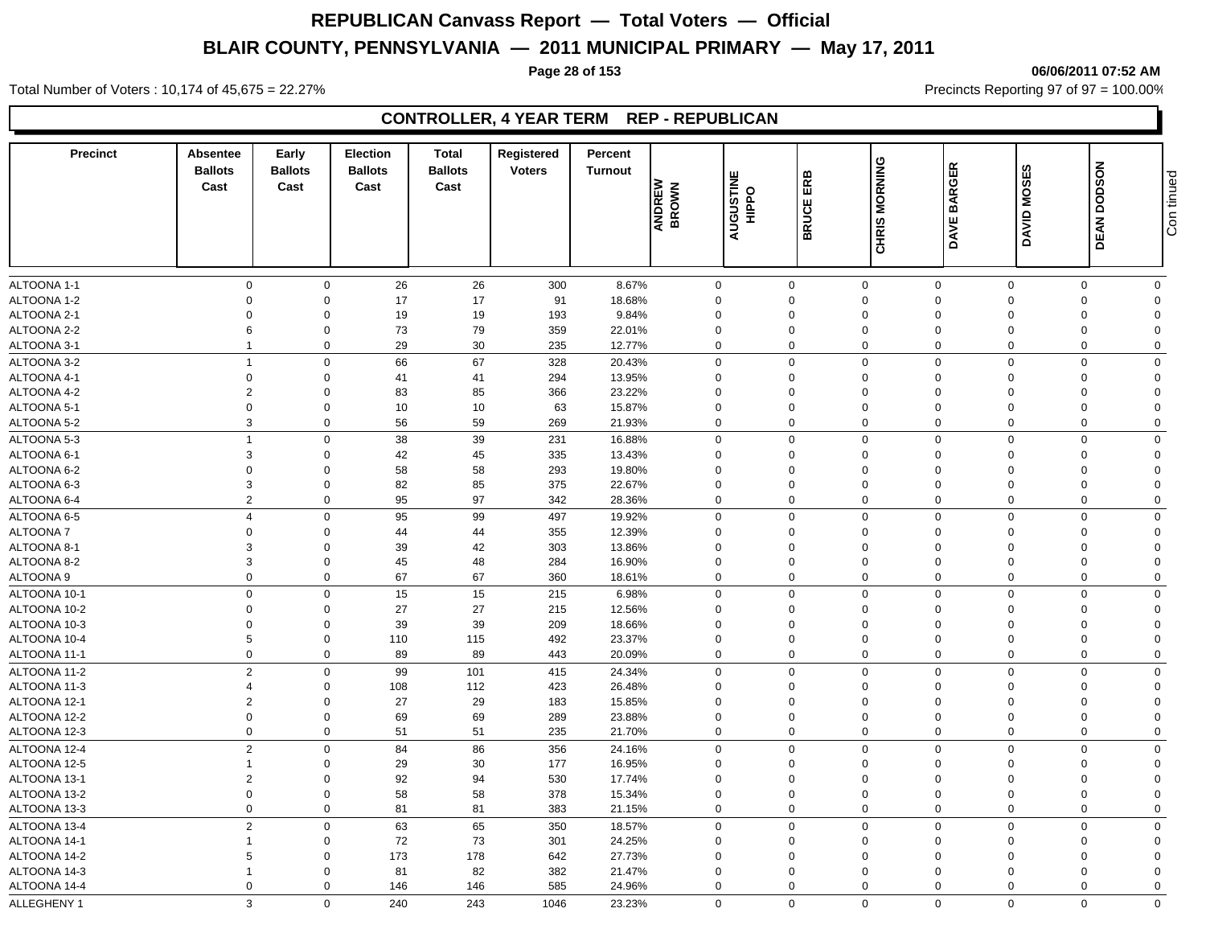### **Page 28 of 153 06/06/2011 07:52 AM**

Total Number of Voters : 10,174 of 45,675 = 22.27% **Precincts Reporting 97 of 97 = 100.00%** Precincts Reporting 97 of 97 = 100.00%

## **CONTROLLER, 4 YEAR TERM REP - REPUBLICAN**

| <b>Precinct</b>            | Absentee<br><b>Ballots</b><br>Cast | Early<br><b>Ballots</b><br>Cast | <b>Election</b><br><b>Ballots</b><br>Cast | <b>Total</b><br><b>Ballots</b><br>Cast | Registered<br><b>Voters</b> | Percent<br><b>Turnout</b> | ANDREW<br>BROWN      | <b>AUGUSTINE</b><br>HIPPO | ERB<br><b>BRUCE</b>     | CHRIS MORNING              | <b>BARGER</b><br>DAVE | <b>DAVID MOSES</b>      | <b>DEAN DODSON</b> | Con tinued              |
|----------------------------|------------------------------------|---------------------------------|-------------------------------------------|----------------------------------------|-----------------------------|---------------------------|----------------------|---------------------------|-------------------------|----------------------------|-----------------------|-------------------------|--------------------|-------------------------|
| ALTOONA 1-1                | $\mathbf 0$                        | $\mathbf 0$                     | 26                                        | 26                                     | 300                         | 8.67%                     | $\mathbf 0$          |                           | $\mathbf 0$             | $\mathbf 0$                | $\overline{0}$        | $\mathbf 0$             | $\mathbf 0$        | $\mathbf 0$             |
| ALTOONA 1-2                | $\mathbf 0$                        | $\Omega$                        | 17                                        | 17                                     | 91                          | 18.68%                    | $\Omega$             |                           | $\Omega$                | $\mathbf 0$                | $\Omega$              | $\Omega$                | $\Omega$           | $\Omega$                |
| ALTOONA 2-1                | $\mathbf 0$                        | $\Omega$                        | 19                                        | $19$                                   | 193                         | 9.84%                     | $\Omega$             |                           | $\Omega$                | $\mathbf 0$                | $\Omega$              | $\Omega$                | $\Omega$           | $\Omega$                |
| ALTOONA 2-2                | 6                                  | $\mathbf 0$                     | 73                                        | 79                                     | 359                         | 22.01%                    | $\Omega$             |                           | $\Omega$                | $\mathbf 0$                | $\Omega$              | $\Omega$                | $\Omega$           | $\Omega$                |
| ALTOONA 3-1                | $\overline{1}$                     | $\mathbf 0$                     | 29                                        | 30                                     | 235                         | 12.77%                    | $\mathbf 0$          |                           | $\Omega$                | $\mathbf 0$                | $\Omega$              | $\Omega$                | $\Omega$           | $\Omega$                |
|                            | $\overline{1}$                     | $\mathbf 0$                     |                                           |                                        |                             |                           |                      |                           |                         |                            |                       |                         | $\Omega$           | $\Omega$                |
| ALTOONA 3-2                |                                    |                                 | 66                                        | 67                                     | 328                         | 20.43%                    | 0                    |                           | $\mathbf 0$<br>$\Omega$ | $\mathbf 0$                | $\mathbf 0$           | $\mathbf 0$<br>$\Omega$ | $\Omega$           |                         |
| ALTOONA 4-1                | $\mathbf 0$                        | $\mathbf 0$<br>$\Omega$         | 41                                        | 41                                     | 294                         | 13.95%                    | $\Omega$<br>$\Omega$ |                           | $\Omega$                | $\mathbf 0$<br>$\mathbf 0$ | $\Omega$<br>$\Omega$  |                         | $\Omega$           | $\mathbf 0$<br>$\Omega$ |
| ALTOONA 4-2<br>ALTOONA 5-1 | $\overline{2}$<br>$\mathbf 0$      | $\mathbf 0$                     | 83<br>10                                  | 85<br>10                               | 366<br>63                   | 23.22%                    | $\mathbf 0$          |                           | $\mathbf 0$             | $\mathbf 0$                | $\Omega$              | $\Omega$                | $\Omega$           | $\Omega$                |
|                            | 3                                  | $\mathbf 0$                     | 56                                        | 59                                     |                             | 15.87%<br>21.93%          | $\mathbf 0$          |                           | $\Omega$                | $\mathbf 0$                | $\mathbf 0$           | $\Omega$<br>$\mathbf 0$ | $\Omega$           | $\mathbf 0$             |
| ALTOONA 5-2                |                                    |                                 |                                           |                                        | 269                         |                           |                      |                           |                         |                            |                       |                         |                    |                         |
| ALTOONA 5-3                | $\overline{1}$                     | $\mathbf 0$                     | 38                                        | 39                                     | 231                         | 16.88%                    | 0                    |                           | $\mathbf 0$             | $\mathbf 0$                | $\mathbf 0$           | $\mathbf 0$             | $\Omega$           | $\mathbf 0$             |
| ALTOONA 6-1                | 3                                  | $\mathbf 0$                     | 42                                        | 45                                     | 335                         | 13.43%                    | $\mathbf 0$          |                           | $\mathbf 0$             | $\mathbf 0$                | $\mathbf 0$           | $\Omega$                | $\Omega$           | $\Omega$                |
| ALTOONA 6-2                | $\overline{0}$                     | $\mathbf 0$                     | 58                                        | 58                                     | 293                         | 19.80%                    | $\mathbf 0$          |                           | $\Omega$                | $\mathbf 0$                | $\Omega$              | $\Omega$                | $\Omega$           | $\Omega$                |
| ALTOONA 6-3                | 3                                  | $\mathbf 0$                     | 82                                        | 85                                     | 375                         | 22.67%                    | $\mathbf 0$          |                           | $\mathbf 0$             | $\mathbf 0$                | $\mathbf 0$           | $\Omega$                | $\Omega$           | $\Omega$                |
| ALTOONA 6-4                | $\overline{2}$                     | $\mathbf 0$                     | 95                                        | 97                                     | 342                         | 28.36%                    | 0                    |                           | $\mathbf 0$             | $\mathbf 0$                | $\mathbf 0$           | $\Omega$                | $\Omega$           | $\mathbf 0$             |
| ALTOONA 6-5                | $\overline{4}$                     | $\mathbf 0$                     | 95                                        | 99                                     | 497                         | 19.92%                    | $\Omega$             |                           | $\Omega$                | $\mathbf 0$                | $\mathbf 0$           | $\Omega$                | $\Omega$           | $\Omega$                |
| ALTOONA 7                  | $\mathbf 0$                        | $\Omega$                        | 44                                        | 44                                     | 355                         | 12.39%                    | $\Omega$             |                           | $\Omega$                | $\mathbf 0$                | $\Omega$              | $\Omega$                | $\Omega$           | $\Omega$                |
| ALTOONA 8-1                | 3                                  | $\Omega$                        | 39                                        | 42                                     | 303                         | 13.86%                    | $\mathbf 0$          |                           | $\mathbf 0$             | $\mathbf 0$                | $\mathbf 0$           | $\Omega$                | $\Omega$           | $\Omega$                |
| ALTOONA 8-2                | 3                                  | $\mathbf 0$                     | 45                                        | 48                                     | 284                         | 16.90%                    | $\mathbf 0$          |                           | $\mathbf 0$             | $\mathbf 0$                | $\mathbf 0$           | $\Omega$                | $\Omega$           | $\overline{0}$          |
| ALTOONA 9                  | $\mathbf 0$                        | $\mathbf 0$                     | 67                                        | 67                                     | 360                         | 18.61%                    | 0                    |                           | $\mathbf 0$             | $\mathbf 0$                | $\mathbf 0$           | $\mathbf 0$             | $\mathbf 0$        | $\overline{0}$          |
| ALTOONA 10-1               | $\mathbf 0$                        | $\mathbf 0$                     | 15                                        | 15                                     | 215                         | 6.98%                     | $\mathbf 0$          |                           | $\mathbf 0$             | $\mathbf 0$                | $\mathbf 0$           | $\Omega$                | $\Omega$           | $\mathbf 0$             |
| ALTOONA 10-2               | $\mathbf 0$                        | $\Omega$                        | $27\,$                                    | 27                                     | 215                         | 12.56%                    | $\Omega$             |                           | $\Omega$                | $\mathbf 0$                | $\Omega$              | $\Omega$                | $\Omega$           | $\Omega$                |
| ALTOONA 10-3               | $\Omega$                           | $\mathbf 0$                     | 39                                        | 39                                     | 209                         | 18.66%                    | $\Omega$             |                           | $\Omega$                | $\mathbf 0$                | $\Omega$              | $\Omega$                | $\Omega$           | $\Omega$                |
| ALTOONA 10-4               | 5                                  | $\mathbf 0$                     | 110                                       | 115                                    | 492                         | 23.37%                    | $\mathbf 0$          |                           | $\mathbf 0$             | $\mathbf 0$                | $\mathbf 0$           | $\Omega$                | $\Omega$           | $\Omega$                |
| ALTOONA 11-1               | $\mathbf 0$                        | $\mathbf 0$                     | 89                                        | 89                                     | 443                         | 20.09%                    | 0                    |                           | $\mathbf 0$             | $\mathbf 0$                | $\Omega$              | $\Omega$                | $\Omega$           | $\Omega$                |
| ALTOONA 11-2               | $\overline{2}$                     | $\Omega$                        | 99                                        | 101                                    | 415                         | 24.34%                    | $\Omega$             |                           | $\Omega$                | $\mathbf 0$                | $\mathbf 0$           | $\Omega$                | $\Omega$           | $\Omega$                |
| ALTOONA 11-3               | $\overline{4}$                     | $\mathbf 0$                     | 108                                       | 112                                    | 423                         | 26.48%                    | $\mathbf 0$          |                           | $\mathbf 0$             | $\mathbf 0$                | $\Omega$              | $\Omega$                | $\Omega$           | $\Omega$                |
| ALTOONA 12-1               | $\overline{2}$                     | $\mathbf 0$                     | 27                                        | 29                                     | 183                         | 15.85%                    | $\mathbf 0$          |                           | $\mathbf 0$             | $\mathbf 0$                | $\Omega$              | $\Omega$                | $\Omega$           | $\Omega$                |
| ALTOONA 12-2               | $\mathbf 0$                        | $\mathbf 0$                     | 69                                        | 69                                     | 289                         | 23.88%                    | $\mathbf 0$          |                           | $\mathbf 0$             | $\mathbf 0$                | $\overline{0}$        | $\Omega$                | $\Omega$           | $\Omega$                |
| ALTOONA 12-3               | $\mathbf 0$                        | $\mathbf 0$                     | 51                                        | 51                                     | 235                         | 21.70%                    | $\mathbf 0$          |                           | $\mathbf 0$             | $\mathbf 0$                | $\mathbf 0$           | $\mathbf 0$             | $\Omega$           | $\mathbf 0$             |
| ALTOONA 12-4               | $\overline{2}$                     | $\mathbf 0$                     | 84                                        | 86                                     | 356                         | 24.16%                    | $\mathbf 0$          |                           | $\mathbf 0$             | $\mathsf 0$                | $\mathbf 0$           | $\Omega$                | $\Omega$           | $\mathbf 0$             |
| ALTOONA 12-5               | $\overline{1}$                     | $\mathbf 0$                     | 29                                        | 30                                     | 177                         | 16.95%                    | $\mathbf 0$          |                           | $\mathbf 0$             | $\mathbf 0$                | $\mathbf 0$           | $\Omega$                | $\Omega$           | $\Omega$                |
| ALTOONA 13-1               | $\overline{2}$                     | $\mathbf 0$                     | 92                                        | 94                                     | 530                         | 17.74%                    | $\mathbf 0$          |                           | $\mathbf 0$             | $\mathbf 0$                | $\mathbf 0$           | $\Omega$                | $\Omega$           | $\Omega$                |
| ALTOONA 13-2               | $\mathbf 0$                        | $\mathbf 0$                     | 58                                        | 58                                     | 378                         | 15.34%                    | $\mathbf 0$          |                           | $\mathbf 0$             | $\mathbf 0$                | $\mathbf 0$           | $\Omega$                | $\mathbf 0$        | $\Omega$                |
| ALTOONA 13-3               | $\mathbf 0$                        | $\mathbf 0$                     | 81                                        | 81                                     | 383                         | 21.15%                    | $\mathbf 0$          |                           | $\mathbf 0$             | $\mathbf 0$                | $\mathbf 0$           | $\Omega$                | $\Omega$           | $\mathbf 0$             |
| ALTOONA 13-4               | $\overline{2}$                     | $\mathbf 0$                     | 63                                        | 65                                     | 350                         | 18.57%                    | $\mathbf 0$          |                           | $\Omega$                | $\mathbf 0$                | $\mathbf 0$           | $\Omega$                | $\Omega$           | $\mathbf 0$             |
| ALTOONA 14-1               | $\overline{1}$                     | $\mathbf 0$                     | 72                                        | 73                                     | 301                         | 24.25%                    | $\Omega$             |                           | $\Omega$                | $\mathbf 0$                | $\Omega$              | $\Omega$                | $\Omega$           | $\Omega$                |
| ALTOONA 14-2               | 5                                  | $\mathbf 0$                     | 173                                       | 178                                    | 642                         | 27.73%                    | $\Omega$             |                           | $\Omega$                | $\mathbf 0$                | $\Omega$              |                         | $\Omega$           | $\Omega$                |
| ALTOONA 14-3               | $\overline{1}$                     | $\mathbf 0$                     | 81                                        | 82                                     | 382                         | 21.47%                    | $\mathbf 0$          |                           | $\mathbf 0$             | $\mathbf 0$                | $\mathbf 0$           | $\Omega$                | $\Omega$           | $\Omega$                |
| ALTOONA 14-4               | $\mathbf 0$                        | $\Omega$                        | 146                                       | 146                                    | 585                         | 24.96%                    | $\mathbf 0$          |                           | $\mathbf 0$             | $\mathbf 0$                | $\mathbf 0$           | $\Omega$                | $\Omega$           | $\mathbf 0$             |
| ALLEGHENY 1                | 3                                  | $\Omega$                        | 240                                       | 243                                    | 1046                        | 23.23%                    | $\Omega$             |                           | $\Omega$                | $\Omega$                   | $\Omega$              | $\Omega$                | $\Omega$           | $\mathbf 0$             |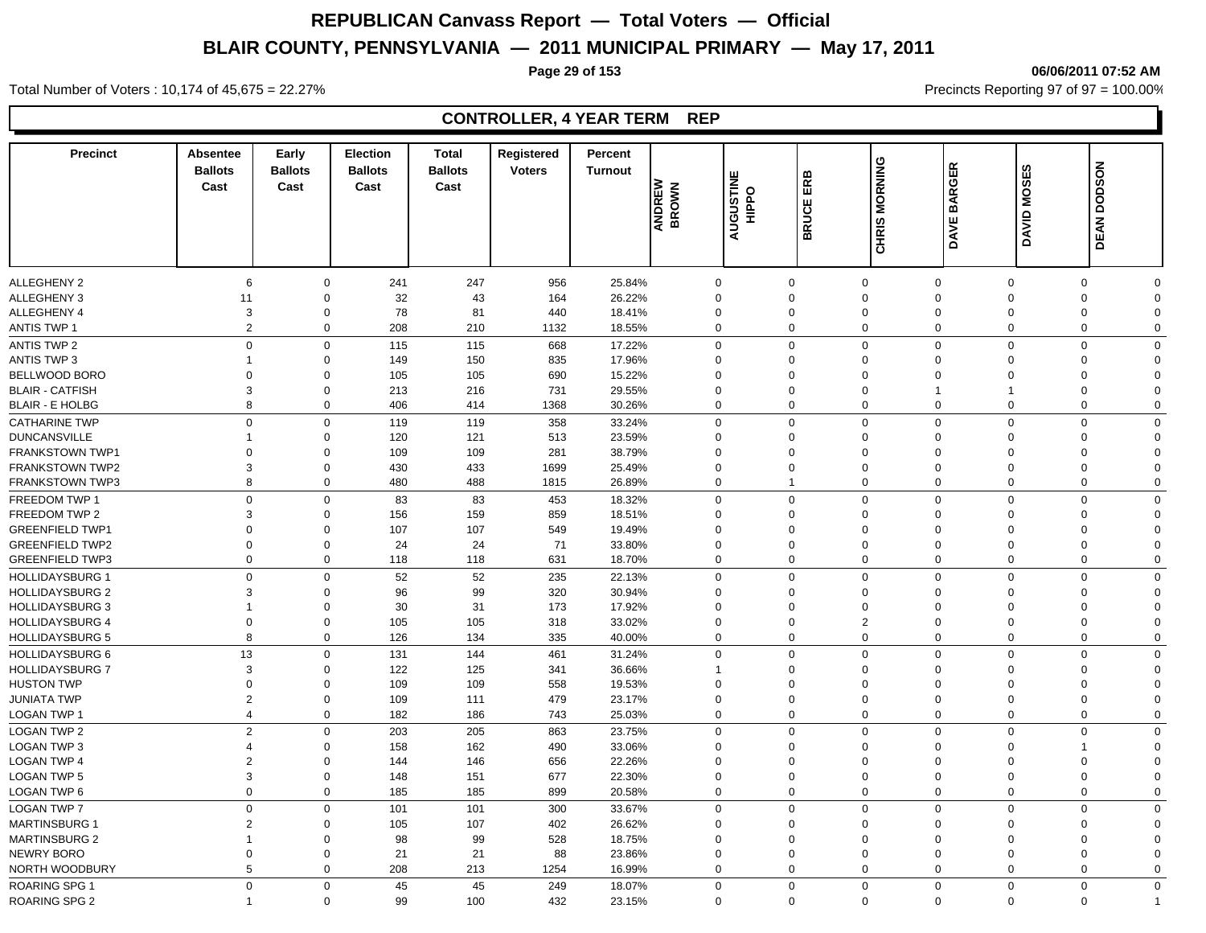### **Page 29 of 153 06/06/2011 07:52 AM**

Total Number of Voters : 10,174 of 45,675 = 22.27% **Precincts Reporting 97 of 97 = 100.00%** Precincts Reporting 97 of 97 = 100.00%

## **CONTROLLER, 4 YEAR TERM REP**

| <b>Precinct</b>                         | Absentee<br><b>Ballots</b><br>Cast | Early<br><b>Ballots</b><br>Cast | <b>Election</b><br><b>Ballots</b><br>Cast | Total<br><b>Ballots</b><br>Cast | Registered<br><b>Voters</b> | Percent<br><b>Turnout</b> | ANDREW<br>BROWN      | <b>AUGUSTINE</b><br>HIPPO | ERB<br><b>BRUCE</b>     | CHRIS MORNING              | DAVE BARGER          | DAVID MOSES          | <b>DEAN DODSON</b>   |                      |
|-----------------------------------------|------------------------------------|---------------------------------|-------------------------------------------|---------------------------------|-----------------------------|---------------------------|----------------------|---------------------------|-------------------------|----------------------------|----------------------|----------------------|----------------------|----------------------|
|                                         |                                    |                                 |                                           |                                 |                             |                           |                      |                           |                         |                            |                      |                      |                      |                      |
| ALLEGHENY 2                             | 6                                  |                                 | 241<br>$\mathbf 0$                        | 247                             | 956                         | 25.84%                    | $\mathbf 0$          |                           | $\mathbf 0$             | $\mathbf 0$                | $\mathbf 0$          | $\mathbf 0$          | 0                    | $\Omega$             |
| ALLEGHENY 3                             | 11                                 | $\mathbf 0$                     | 32                                        | 43                              | 164                         | 26.22%                    | $\Omega$             |                           | $\mathbf 0$             | $\mathbf 0$                | $\Omega$             | $\Omega$             | $\mathbf 0$          | $\Omega$             |
| ALLEGHENY 4                             | 3                                  | $\mathbf 0$                     | 78                                        | 81                              | 440                         | 18.41%                    | $\mathbf 0$          |                           | $\mathbf 0$             | $\mathbf 0$                | $\Omega$             | $\Omega$             | 0                    | $\Omega$             |
| <b>ANTIS TWP 1</b>                      | $\overline{2}$                     | $\mathbf 0$                     | 208                                       | 210                             | 1132                        | 18.55%                    | $\Omega$             |                           | $\Omega$                | $\mathbf 0$                | $\mathbf 0$          | $\Omega$             | $\mathbf 0$          | $\Omega$             |
| <b>ANTIS TWP 2</b>                      | $\mathbf 0$                        |                                 | 0<br>115                                  | 115                             | 668                         | 17.22%                    | $\mathbf 0$          |                           | $\Omega$                | $\mathbf 0$                | $\mathbf 0$          | $\Omega$             | $\mathbf 0$          | $\mathbf 0$          |
| ANTIS TWP 3                             | $\overline{1}$                     | $\Omega$                        | 149                                       | 150                             | 835                         | 17.96%                    | $\Omega$             |                           | $\Omega$                | $\mathbf 0$                | $\Omega$             | $\Omega$             | 0                    | $\Omega$             |
| BELLWOOD BORO                           | $\Omega$                           | $\mathbf 0$                     | 105                                       | 105                             | 690                         | 15.22%                    | $\Omega$             |                           | 0                       | $\mathbf 0$                | $\Omega$             | $\Omega$             | 0                    | $\Omega$             |
| <b>BLAIR - CATFISH</b>                  | 3                                  | $\mathbf 0$                     | 213                                       | 216                             | 731                         | 29.55%                    | $\Omega$             |                           | $\Omega$                | $\mathbf 0$                |                      | 1                    | $\mathbf 0$          | $\Omega$             |
| <b>BLAIR - E HOLBG</b>                  | 8                                  |                                 | 406<br>0                                  | 414                             | 1368                        | 30.26%                    | $\Omega$             |                           | $\mathbf 0$             | $\mathbf 0$                | $\Omega$             | $\overline{0}$       | $\mathbf 0$          | $\mathbf 0$          |
| <b>CATHARINE TWP</b>                    | $\overline{0}$                     |                                 | $\mathbf 0$<br>119                        | 119                             | 358                         | 33.24%                    | $\Omega$             |                           | $\Omega$                | $\mathbf 0$                | $\mathbf 0$          | $\Omega$             | $\mathbf 0$          | $\Omega$             |
| <b>DUNCANSVILLE</b>                     | -1                                 | 0                               | 120                                       | 121                             | 513                         | 23.59%                    | $\Omega$             |                           | $\Omega$                | $\mathbf 0$                | $\Omega$             | $\Omega$             | $\mathbf 0$          | $\Omega$             |
| <b>FRANKSTOWN TWP1</b>                  | $\Omega$                           | $\mathbf 0$                     | 109                                       | 109                             | 281                         | 38.79%                    | $\Omega$             |                           | $\Omega$                | $\mathbf 0$                | $\Omega$             | $\Omega$             | $\Omega$             | $\Omega$             |
| <b>FRANKSTOWN TWP2</b>                  | 3                                  | $\mathbf 0$                     | 430                                       | 433                             | 1699                        | 25.49%                    | $\Omega$             |                           | $\Omega$                | $\mathbf 0$                | $\Omega$             | $\Omega$             | $\mathbf 0$          | $\Omega$             |
| <b>FRANKSTOWN TWP3</b>                  | 8                                  |                                 | $\mathbf 0$<br>480                        | 488                             | 1815                        | 26.89%                    | $\Omega$             |                           | $\mathbf 1$             | $\mathbf 0$                | $\mathbf 0$          | $\Omega$             | $\mathbf 0$          | $\Omega$             |
| FREEDOM TWP 1                           | $\mathbf 0$                        |                                 | 83<br>0                                   | 83                              | 453                         | 18.32%                    | $\mathbf 0$          |                           | $\mathbf 0$             | $\mathbf 0$                | $\mathbf 0$          | $\Omega$             | $\mathbf 0$          | $\mathbf 0$          |
| FREEDOM TWP 2                           | 3                                  | $\mathbf 0$                     | 156                                       | 159                             | 859                         | 18.51%                    | $\Omega$             |                           | 0                       | $\mathbf 0$                | $\Omega$             | $\Omega$             | $\mathbf 0$          | $\Omega$             |
| <b>GREENFIELD TWP1</b>                  | $\Omega$                           | $\mathbf 0$                     | 107                                       | 107                             | 549                         | 19.49%                    | $\Omega$             |                           | $\Omega$                | $\mathbf 0$                | $\Omega$             | $\Omega$             | $\mathbf 0$          | $\Omega$             |
| <b>GREENFIELD TWP2</b>                  | $\mathbf 0$                        | $\mathbf 0$                     | 24                                        | 24                              | 71                          | 33.80%                    | $\Omega$             |                           | $\Omega$                | $\mathbf 0$                | $\Omega$             | $\Omega$             | $\Omega$             | $\Omega$             |
| <b>GREENFIELD TWP3</b>                  | $\mathbf 0$                        |                                 | $\mathbf 0$<br>118                        | 118                             | 631                         | 18.70%                    | $\Omega$             |                           | $\mathbf 0$             | $\mathbf 0$                | $\Omega$             | $\Omega$             | $\mathbf 0$          | $\Omega$             |
| <b>HOLLIDAYSBURG 1</b>                  | $\Omega$                           |                                 | 52<br>0                                   | 52                              | 235                         | 22.13%                    | $\Omega$             |                           | $\Omega$                | $\mathbf 0$                | $\Omega$             | $\Omega$             | $\mathbf 0$          | $\Omega$             |
| <b>HOLLIDAYSBURG 2</b>                  | 3                                  | $\Omega$                        | 96                                        | 99                              | 320                         | 30.94%                    | $\Omega$             |                           | $\Omega$                | $\mathbf 0$                | $\Omega$             | $\Omega$             | $\Omega$             | $\Omega$             |
| <b>HOLLIDAYSBURG 3</b>                  | $\overline{1}$                     | $\mathbf 0$                     | 30                                        | 31                              | 173                         | 17.92%                    | $\Omega$             |                           | 0                       | $\mathbf 0$                | $\Omega$             | $\Omega$             | $\Omega$             | $\Omega$             |
| <b>HOLLIDAYSBURG 4</b>                  | $\mathbf 0$                        | $\mathbf 0$                     | 105                                       | 105                             | 318                         | 33.02%                    | $\mathbf 0$          |                           | $\mathbf 0$             | $\overline{2}$             | $\mathbf 0$          | $\mathbf 0$          | 0                    | $\mathbf 0$          |
| <b>HOLLIDAYSBURG 5</b>                  | 8                                  |                                 | 0<br>126                                  | 134                             | 335                         | 40.00%                    | $\mathbf 0$          |                           | $\mathbf 0$             | $\mathbf 0$                | $\mathbf 0$          | $\mathbf 0$          | 0                    | $\mathbf 0$          |
|                                         |                                    |                                 |                                           |                                 |                             |                           |                      |                           |                         |                            |                      |                      |                      |                      |
| <b>HOLLIDAYSBURG 6</b>                  | 13                                 |                                 | $\mathbf 0$<br>131                        | 144                             | 461                         | 31.24%                    | $\mathbf 0$          |                           | $\Omega$                | $\mathbf 0$                | $\mathbf 0$          | $\Omega$             | $\mathbf 0$          | $\mathbf 0$          |
| <b>HOLLIDAYSBURG 7</b>                  | 3                                  | $\Omega$                        | 122                                       | 125                             | 341                         | 36.66%                    |                      |                           | $\Omega$                | $\mathbf 0$                | $\Omega$             | $\Omega$<br>$\Omega$ | $\Omega$<br>$\Omega$ | $\Omega$             |
| <b>HUSTON TWP</b><br><b>JUNIATA TWP</b> | $\mathbf 0$<br>$\overline{2}$      | 0<br>$\mathbf 0$                | 109<br>109                                | 109                             | 558<br>479                  | 19.53%<br>23.17%          | $\Omega$<br>$\Omega$ |                           | $\Omega$<br>$\mathbf 0$ | $\mathbf 0$<br>$\mathbf 0$ | $\Omega$<br>$\Omega$ | $\overline{0}$       | $\mathbf 0$          | $\Omega$<br>$\Omega$ |
|                                         | $\overline{4}$                     | $\Omega$                        |                                           | 111                             |                             |                           | $\Omega$             |                           | $\Omega$                | $\mathbf 0$                | $\Omega$             | $\Omega$             | $\mathbf 0$          | $\Omega$             |
| LOGAN TWP 1                             |                                    |                                 | 182                                       | 186                             | 743                         | 25.03%                    |                      |                           |                         |                            |                      |                      |                      |                      |
| <b>LOGAN TWP 2</b>                      | $\overline{2}$                     | $\mathbf 0$                     | 203                                       | 205                             | 863                         | 23.75%                    | $\Omega$             |                           | $\mathbf 0$             | $\mathbf 0$                | $\mathbf 0$          | $\Omega$             | $\mathbf 0$          | $\Omega$             |
| <b>LOGAN TWP 3</b>                      | $\overline{4}$                     | $\mathbf 0$                     | 158                                       | 162                             | 490                         | 33.06%                    | $\Omega$             |                           | $\Omega$                | $\mathbf 0$                | $\Omega$             | $\Omega$             | $\mathbf 1$          | $\Omega$             |
| <b>LOGAN TWP 4</b>                      | $\overline{2}$                     | $\mathbf 0$                     | 144                                       | 146                             | 656                         | 22.26%                    | $\Omega$             |                           | $\mathbf 0$             | $\mathbf 0$                | $\Omega$             | $\Omega$             | $\mathbf 0$          | $\Omega$             |
| <b>LOGAN TWP 5</b>                      | 3                                  | $\mathbf 0$                     | 148                                       | 151                             | 677                         | 22.30%                    | $\Omega$             |                           | $\mathbf 0$             | $\mathbf 0$                | $\Omega$             | $\overline{0}$       | $\mathbf 0$          | $\Omega$             |
| <b>LOGAN TWP 6</b>                      | $\mathbf 0$                        | $\mathbf 0$                     | 185                                       | 185                             | 899                         | 20.58%                    | $\mathbf 0$          |                           | $\mathbf 0$             | $\mathbf 0$                | $\mathbf 0$          | $\overline{0}$       | $\mathbf 0$          | $\mathbf 0$          |
| <b>LOGAN TWP 7</b>                      | $\mathbf 0$                        | $\Omega$                        | 101                                       | 101                             | 300                         | 33.67%                    | $\Omega$             |                           | $\Omega$                | $\mathbf 0$                | $\Omega$             | $\Omega$             | $\Omega$             | $\Omega$             |
| <b>MARTINSBURG 1</b>                    | $\overline{2}$                     | $\Omega$                        | 105                                       | 107                             | 402                         | 26.62%                    | $\Omega$             |                           | $\Omega$                | $\mathbf 0$                | $\Omega$             | $\Omega$             | 0                    | $\Omega$             |
| <b>MARTINSBURG 2</b>                    | $\overline{1}$                     | $\mathbf 0$                     | 98                                        | 99                              | 528                         | 18.75%                    | $\mathbf 0$          |                           | $\mathbf 0$             | $\mathbf 0$                | $\Omega$             | $\mathbf 0$          | 0                    | $\Omega$             |
| NEWRY BORO                              | $\mathbf 0$                        | $\mathbf 0$                     | 21                                        | 21                              | 88                          | 23.86%                    | $\mathbf 0$          |                           | $\mathbf 0$             | $\mathbf 0$                | $\mathbf 0$          | $\mathbf 0$          | 0                    | $\Omega$             |
| NORTH WOODBURY                          | 5                                  | $\mathbf 0$                     | 208                                       | 213                             | 1254                        | 16.99%                    | $\mathbf 0$          |                           | $\mathbf 0$             | $\mathbf 0$                | $\mathbf 0$          | $\overline{0}$       | 0                    | $\Omega$             |
| <b>ROARING SPG 1</b>                    | $\overline{0}$                     |                                 | $\mathbf 0$<br>45                         | 45                              | 249                         | 18.07%                    | $\Omega$             |                           | $\Omega$                | $\mathbf 0$                | $\mathbf 0$          | $\Omega$             | $\mathbf 0$          | $\Omega$             |
| <b>ROARING SPG 2</b>                    |                                    |                                 | $\mathbf 0$<br>99                         | 100                             | 432                         | 23.15%                    | $\Omega$             |                           | $\Omega$                | $\Omega$                   | $\Omega$             | $\Omega$             | $\mathbf 0$          |                      |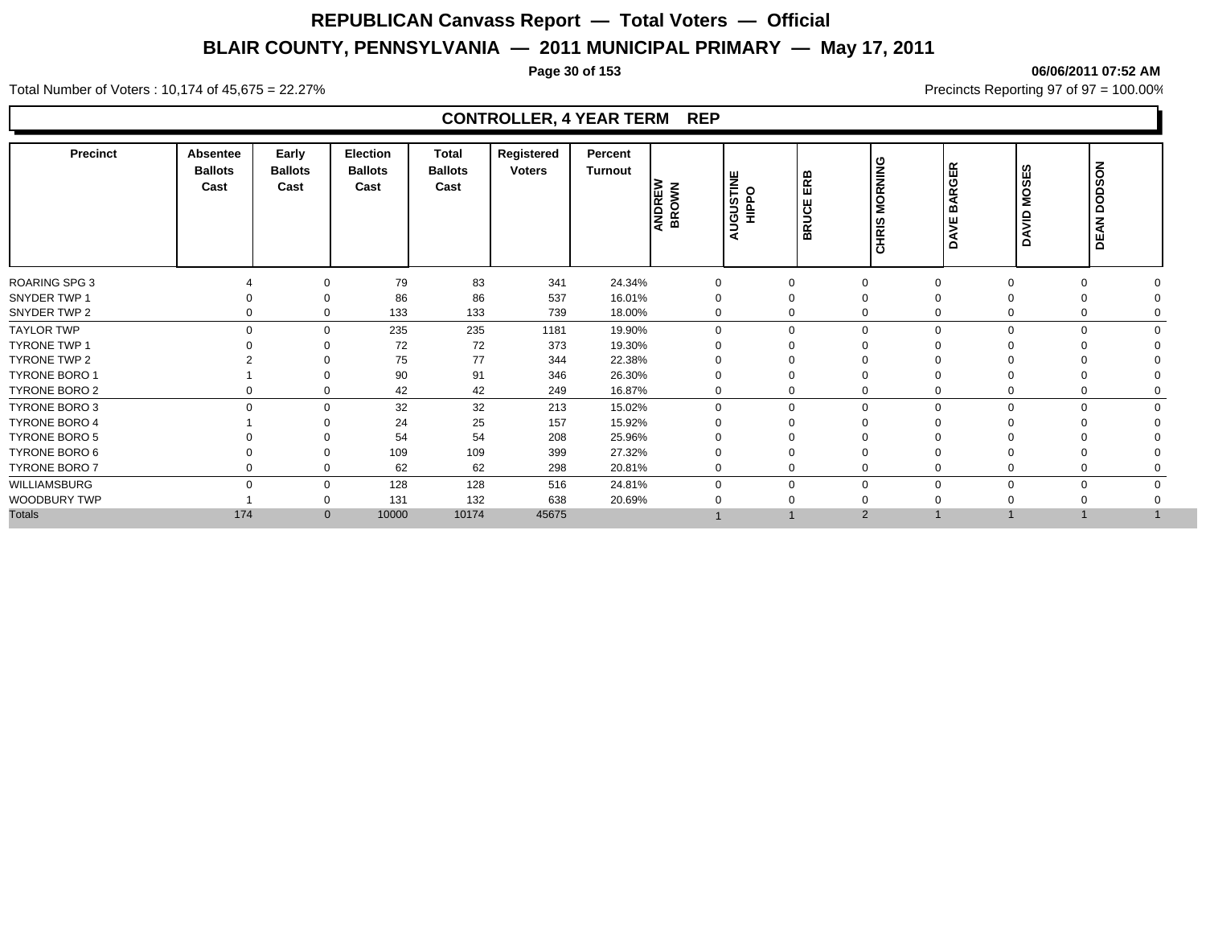### **Page 30 of 153 06/06/2011 07:52 AM**

Total Number of Voters : 10,174 of 45,675 = 22.27% **Precincts Reporting 97 of 97 = 100.00%** Precincts Reporting 97 of 97 = 100.00%

### **CONTROLLER, 4 YEAR TERM REP**

| <b>Precinct</b>      | Absentee<br><b>Ballots</b><br>Cast | Early<br><b>Ballots</b><br>Cast | Election<br><b>Ballots</b><br>Cast | <b>Total</b><br><b>Ballots</b><br>Cast | Registered<br><b>Voters</b> | Percent<br>Turnout | ANDREW<br>BROWN | <b>NIGUSTINE</b><br>⋖ | ERB<br><b>BRUCE</b> | <b>MORNING</b><br>HRIS<br>$\overline{O}$ | <b>BARGER</b><br>DAVE | ၯ<br>₩,<br>Š<br>DAVID | <b>DEAN DODSON</b> |
|----------------------|------------------------------------|---------------------------------|------------------------------------|----------------------------------------|-----------------------------|--------------------|-----------------|-----------------------|---------------------|------------------------------------------|-----------------------|-----------------------|--------------------|
| <b>ROARING SPG 3</b> |                                    | $\Omega$                        | 79                                 | 83                                     | 341                         | 24.34%             | $\Omega$        | $\Omega$              | $\Omega$            |                                          | $\Omega$              | $\Omega$              |                    |
| SNYDER TWP 1         |                                    | $\Omega$                        | 86                                 | 86                                     | 537                         | 16.01%             |                 | 0                     | $\Omega$            |                                          |                       |                       |                    |
| SNYDER TWP 2         | 0                                  | $\Omega$                        | 133                                | 133                                    | 739                         | 18.00%             | 0               | 0                     | $\mathbf 0$         |                                          | $\Omega$              |                       |                    |
| <b>TAYLOR TWP</b>    | $\Omega$                           | $\Omega$                        | 235                                | 235                                    | 1181                        | 19.90%             | $\Omega$        | 0                     |                     | $\mathbf 0$                              | $\Omega$              | $\Omega$              |                    |
| <b>TYRONE TWP 1</b>  |                                    | $\Omega$                        | 72                                 | 72                                     | 373                         | 19.30%             |                 | $\Omega$              | $\Omega$            |                                          |                       |                       |                    |
| TYRONE TWP 2         |                                    | $\Omega$                        | 75                                 | 77                                     | 344                         | 22.38%             |                 | 0                     | $\Omega$            |                                          |                       |                       |                    |
| TYRONE BORO 1        |                                    | $\Omega$                        | 90                                 | 91                                     | 346                         | 26.30%             |                 | $\Omega$              | $\Omega$            |                                          |                       |                       |                    |
| TYRONE BORO 2        |                                    | $\Omega$                        | 42                                 | 42                                     | 249                         | 16.87%             | 0               | 0                     | $\mathbf 0$         |                                          | 0                     | 0                     |                    |
| <b>TYRONE BORO 3</b> | $\mathbf 0$                        | $\Omega$                        | 32                                 | 32                                     | 213                         | 15.02%             | $\Omega$        | 0                     |                     | $\mathbf 0$<br>$\Omega$                  | $\mathbf 0$           | $\mathbf 0$           |                    |
| <b>TYRONE BORO 4</b> |                                    | ∩                               | 24                                 | 25                                     | 157                         | 15.92%             |                 | 0                     | $\Omega$            |                                          |                       |                       |                    |
| TYRONE BORO 5        |                                    |                                 | 54                                 | 54                                     | 208                         | 25.96%             |                 |                       |                     |                                          |                       |                       |                    |
| TYRONE BORO 6        |                                    | $\Omega$                        | 109                                | 109                                    | 399                         | 27.32%             |                 |                       | $\mathbf 0$         |                                          |                       |                       |                    |
| TYRONE BORO 7        |                                    | $\Omega$                        | 62                                 | 62                                     | 298                         | 20.81%             | $\Omega$        | 0                     | $\Omega$            |                                          |                       |                       |                    |
| WILLIAMSBURG         | $\Omega$                           | $\Omega$                        | 128                                | 128                                    | 516                         | 24.81%             |                 | 0                     | $\mathbf 0$         |                                          | $\Omega$              | $\Omega$              |                    |
| WOODBURY TWP         |                                    | $\Omega$                        | 131                                | 132                                    | 638                         | 20.69%             |                 |                       | $\mathbf 0$         |                                          |                       |                       |                    |
| <b>Totals</b>        | 174                                | $\mathbf{0}$                    | 10000                              | 10174                                  | 45675                       |                    |                 |                       | $\overline{2}$      |                                          |                       |                       |                    |
|                      |                                    |                                 |                                    |                                        |                             |                    |                 |                       |                     |                                          |                       |                       |                    |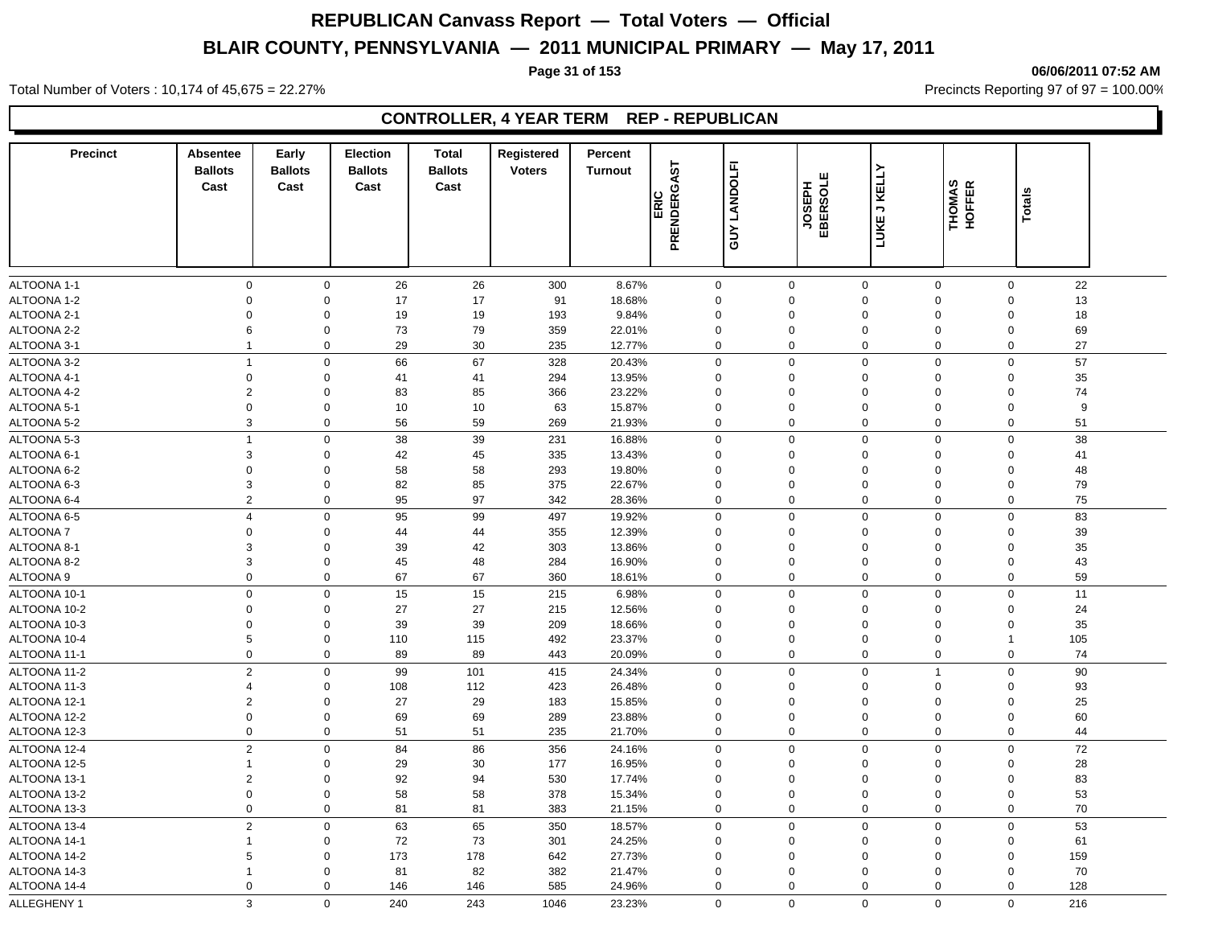**Page 31 of 153 06/06/2011 07:52 AM**

Total Number of Voters : 10,174 of 45,675 = 22.27% **Precincts Reporting 97 of 97 = 100.00%** Precincts Reporting 97 of 97 = 100.00%

## **CONTROLLER, 4 YEAR TERM REP - REPUBLICAN**

| <b>Precinct</b>  | <b>Absentee</b><br><b>Ballots</b><br>Cast | Early<br><b>Ballots</b><br>Cast | <b>Election</b><br><b>Ballots</b><br>Cast | <b>Total</b><br><b>Ballots</b><br>Cast | Registered<br><b>Voters</b> | Percent<br><b>Turnout</b> |                     |                 |                    |                               |                  |                         |         |
|------------------|-------------------------------------------|---------------------------------|-------------------------------------------|----------------------------------------|-----------------------------|---------------------------|---------------------|-----------------|--------------------|-------------------------------|------------------|-------------------------|---------|
|                  |                                           |                                 |                                           |                                        |                             |                           | PRENDERGAST<br>ERIC | LANDOLFI<br>SUY | JOSEPH<br>EBERSOLE | <b>LUKE J KELLY</b>           | THOMAS<br>HOFFER | <b>Totals</b>           |         |
| ALTOONA 1-1      | $\mathbf 0$                               | 0                               | 26                                        | 26                                     |                             | 8.67%                     |                     | $\mathbf 0$     | $\mathbf 0$        |                               | 0                | $\mathbf 0$             | 22      |
| ALTOONA 1-2      | $\Omega$                                  | $\Omega$                        | 17                                        | 17                                     | 300<br>91                   | 18.68%                    |                     | $\mathbf 0$     | $\Omega$           | $\mathbf 0$<br>$\overline{0}$ | $\mathbf 0$      | $\Omega$                | 13      |
| ALTOONA 2-1      | $\Omega$                                  | $\Omega$                        | 19                                        | 19                                     | 193                         | 9.84%                     |                     | $\mathbf 0$     | $\Omega$           | $\overline{0}$                | $\Omega$         | $\mathbf 0$             | 18      |
| ALTOONA 2-2      | 6                                         | $\Omega$                        | 73                                        | 79                                     | 359                         | 22.01%                    |                     | 0               | $\mathbf 0$        | $\mathbf 0$                   | $\mathbf 0$      | $\mathbf 0$             | 69      |
| ALTOONA 3-1      | $\mathbf{1}$                              | 0                               | 29                                        | 30                                     | 235                         | 12.77%                    |                     | 0               | 0                  | $\mathbf 0$                   | 0                | 0                       | 27      |
| ALTOONA 3-2      | $\mathbf{1}$                              | $\mathbf{0}$                    | 66                                        | 67                                     |                             | 20.43%                    |                     | $\mathbf 0$     | $\mathbf 0$        | $\mathbf 0$                   | $\mathbf 0$      | $\mathbf 0$             | 57      |
| ALTOONA 4-1      | $\mathsf 0$                               | $\Omega$                        |                                           |                                        | 328<br>294                  | 13.95%                    |                     | $\mathbf 0$     | $\Omega$           | $\overline{0}$                | $\mathbf 0$      | $\mathbf 0$             | 35      |
|                  | $\sqrt{2}$                                | $\Omega$                        | 41                                        | 41                                     |                             | 23.22%                    |                     | $\mathbf 0$     | $\Omega$           | $\overline{0}$                | $\mathbf 0$      | $\Omega$                | 74      |
| ALTOONA 4-2      | $\mathbf 0$                               | $\Omega$                        | 83                                        | 85                                     | 366                         |                           |                     | $\mathbf 0$     | $\mathbf 0$        | $\Omega$                      | $\mathbf 0$      | $\Omega$                |         |
| ALTOONA 5-1      | 3                                         | 0                               | 10                                        | 10<br>59                               | 63                          | 15.87%<br>21.93%          |                     | 0               | $\mathbf 0$        | $\mathbf 0$                   |                  | 0                       | 9<br>51 |
| ALTOONA 5-2      |                                           |                                 | 56                                        |                                        | 269                         |                           |                     |                 |                    |                               | 0                |                         |         |
| ALTOONA 5-3      | $\mathbf{1}$                              | $\mathbf 0$                     | 38                                        | 39                                     | 231                         | 16.88%                    |                     | 0               | $\mathbf 0$        | $\overline{0}$                | $\mathbf 0$      | $\mathbf 0$             | 38      |
| ALTOONA 6-1      | 3                                         | $\Omega$                        | 42                                        | 45                                     | 335                         | 13.43%                    |                     | 0               | $\Omega$           | $\overline{0}$                | 0                | $\Omega$                | 41      |
| ALTOONA 6-2      | $\Omega$                                  | $\Omega$                        | 58                                        | 58                                     | 293                         | 19.80%                    |                     | $\mathbf 0$     | $\Omega$           | $\Omega$                      | $\mathbf 0$      | $\Omega$                | 48      |
| ALTOONA 6-3      | 3                                         | $\Omega$                        | 82                                        | 85                                     | 375                         | 22.67%                    |                     | 0               | $\Omega$           | $\Omega$                      | 0                | $\Omega$                | 79      |
| ALTOONA 6-4      | $\overline{2}$                            | $\mathbf 0$                     | 95                                        | 97                                     | 342                         | 28.36%                    |                     | 0               | 0                  | $\mathbf 0$                   | 0                | $\mathbf 0$             | 75      |
| ALTOONA 6-5      | $\overline{4}$                            | $\mathbf{0}$                    | 95                                        | 99                                     | 497                         | 19.92%                    |                     | $\mathbf 0$     | $\mathbf 0$        | $\mathbf 0$                   | 0                | $\mathbf 0$             | 83      |
| <b>ALTOONA7</b>  | $\mathbf 0$                               | $\Omega$                        | 44                                        | 44                                     | 355                         | 12.39%                    |                     | $\mathbf 0$     | $\Omega$           | $\Omega$                      | 0                | $\mathbf 0$             | 39      |
| ALTOONA 8-1      | 3                                         | $\Omega$                        | 39                                        | 42                                     | 303                         | 13.86%                    | $\Omega$            |                 | $\Omega$           | $\Omega$                      | $\mathbf 0$      | $\Omega$                | 35      |
| ALTOONA 8-2      | 3                                         | $\Omega$                        | 45                                        | 48                                     | 284                         | 16.90%                    |                     | 0               | $\Omega$           | $\mathbf 0$                   | 0                | $\Omega$                | 43      |
| <b>ALTOONA 9</b> | $\Omega$                                  | 0                               | 67                                        | 67                                     | 360                         | 18.61%                    |                     | 0               | $\Omega$           | $\Omega$                      | 0                | 0                       | 59      |
| ALTOONA 10-1     | $\mathbf 0$                               | $\mathbf 0$                     | 15                                        | 15                                     | 215                         | 6.98%                     |                     | 0               | $\mathbf 0$        | $\overline{0}$                | 0                | $\mathbf 0$             | 11      |
| ALTOONA 10-2     | $\mathbf 0$                               | $\Omega$                        | 27                                        | 27                                     | 215                         | 12.56%                    |                     | $\mathbf 0$     | $\Omega$           | $\Omega$                      | $\mathbf 0$      | $\Omega$                | 24      |
| ALTOONA 10-3     | $\Omega$                                  | $\Omega$                        | 39                                        | 39                                     | 209                         | 18.66%                    | $\Omega$            |                 | $\Omega$           | $\mathbf 0$                   | $\Omega$         | $\Omega$                | 35      |
| ALTOONA 10-4     | 5                                         | $\Omega$                        | 110                                       | 115                                    | 492                         | 23.37%                    |                     | $\mathbf 0$     | $\Omega$           | $\Omega$                      | $\Omega$         | $\overline{\mathbf{1}}$ | 105     |
| ALTOONA 11-1     | $\mathsf 0$                               | 0                               | 89                                        | 89                                     | 443                         | 20.09%                    |                     | 0               | $\mathbf 0$        | $\overline{0}$                | 0                | $\mathbf 0$             | 74      |
| ALTOONA 11-2     | $\overline{2}$                            | $\Omega$                        | 99                                        | 101                                    | 415                         | 24.34%                    |                     | 0               | $\mathbf 0$        | $\Omega$                      | $\overline{1}$   | $\mathbf 0$             | 90      |
| ALTOONA 11-3     | $\overline{4}$                            | $\Omega$                        | 108                                       | 112                                    | 423                         | 26.48%                    |                     | $\mathbf 0$     | $\Omega$           | $\overline{0}$                | 0                | $\mathbf{0}$            | 93      |
| ALTOONA 12-1     | $\sqrt{2}$                                | $\Omega$                        | 27                                        | 29                                     | 183                         | 15.85%                    |                     | $\mathbf 0$     | $\Omega$           | $\Omega$                      | $\mathbf 0$      | $\Omega$                | 25      |
| ALTOONA 12-2     | $\mathsf 0$                               | $\Omega$                        | 69                                        | 69                                     | 289                         | 23.88%                    |                     | 0               | $\Omega$           | $\mathbf 0$                   | 0                | $\Omega$                | 60      |
| ALTOONA 12-3     | $\mathsf 0$                               | 0                               | 51                                        | 51                                     | 235                         | 21.70%                    |                     | 0               | $\mathbf 0$        | $\mathbf 0$                   | 0                | 0                       | 44      |
| ALTOONA 12-4     | $\overline{2}$                            | $\Omega$                        | 84                                        | 86                                     | 356                         | 24.16%                    |                     | 0               | $\Omega$           | $\overline{0}$                | 0                | $\Omega$                | 72      |
| ALTOONA 12-5     | $\mathbf{1}$                              | $\Omega$                        | 29                                        | 30                                     | 177                         | 16.95%                    |                     | $\mathbf 0$     | $\Omega$           | $\Omega$                      | $\Omega$         | $\Omega$                | 28      |
| ALTOONA 13-1     | $\sqrt{2}$                                | $\Omega$                        | 92                                        | 94                                     | 530                         | 17.74%                    |                     | $\mathbf 0$     | $\Omega$           | $\overline{0}$                | $\mathbf 0$      | $\Omega$                | 83      |
| ALTOONA 13-2     | $\mathbf 0$                               | $\Omega$                        | 58                                        | 58                                     | 378                         | 15.34%                    |                     | 0               | $\Omega$           | $\mathbf 0$                   | $\Omega$         | $\mathbf 0$             | 53      |
| ALTOONA 13-3     | $\mathbf 0$                               | $\mathbf 0$                     | 81                                        | 81                                     | 383                         | 21.15%                    |                     | 0               | $\mathbf 0$        | $\mathbf 0$                   | 0                | $\mathbf 0$             | 70      |
| ALTOONA 13-4     | $\overline{2}$                            | $\Omega$                        | 63                                        | 65                                     | 350                         | 18.57%                    |                     | $\mathbf 0$     | $\Omega$           | $\mathbf 0$                   | $\mathbf 0$      | $\mathbf 0$             | 53      |
| ALTOONA 14-1     | $\overline{1}$                            | $\Omega$                        | 72                                        | 73                                     | 301                         | 24.25%                    |                     | $\mathbf 0$     | $\Omega$           | $\mathbf 0$                   | $\mathbf 0$      | $\Omega$                | 61      |
| ALTOONA 14-2     | 5                                         | $\Omega$                        | 173                                       | 178                                    | 642                         | 27.73%                    |                     | $\mathbf 0$     | $\Omega$           | $\overline{0}$                | $\Omega$         | $\mathbf{0}$            | 159     |
| ALTOONA 14-3     | $\overline{1}$                            | $\Omega$                        | 81                                        | 82                                     | 382                         | 21.47%                    |                     | 0               | $\Omega$           | $\mathbf 0$                   | 0                | $\Omega$                | 70      |
| ALTOONA 14-4     | $\mathbf 0$                               | 0                               | 146                                       | 146                                    | 585                         | 24.96%                    |                     | 0               | $\mathbf 0$        | $\mathbf 0$                   | 0                | $\mathbf 0$             | 128     |
| ALLEGHENY 1      | 3                                         | $\Omega$                        | 240                                       | 243                                    | 1046                        | 23.23%                    |                     | $\Omega$        | $\Omega$           | $\Omega$                      | $\Omega$         | $\Omega$                | 216     |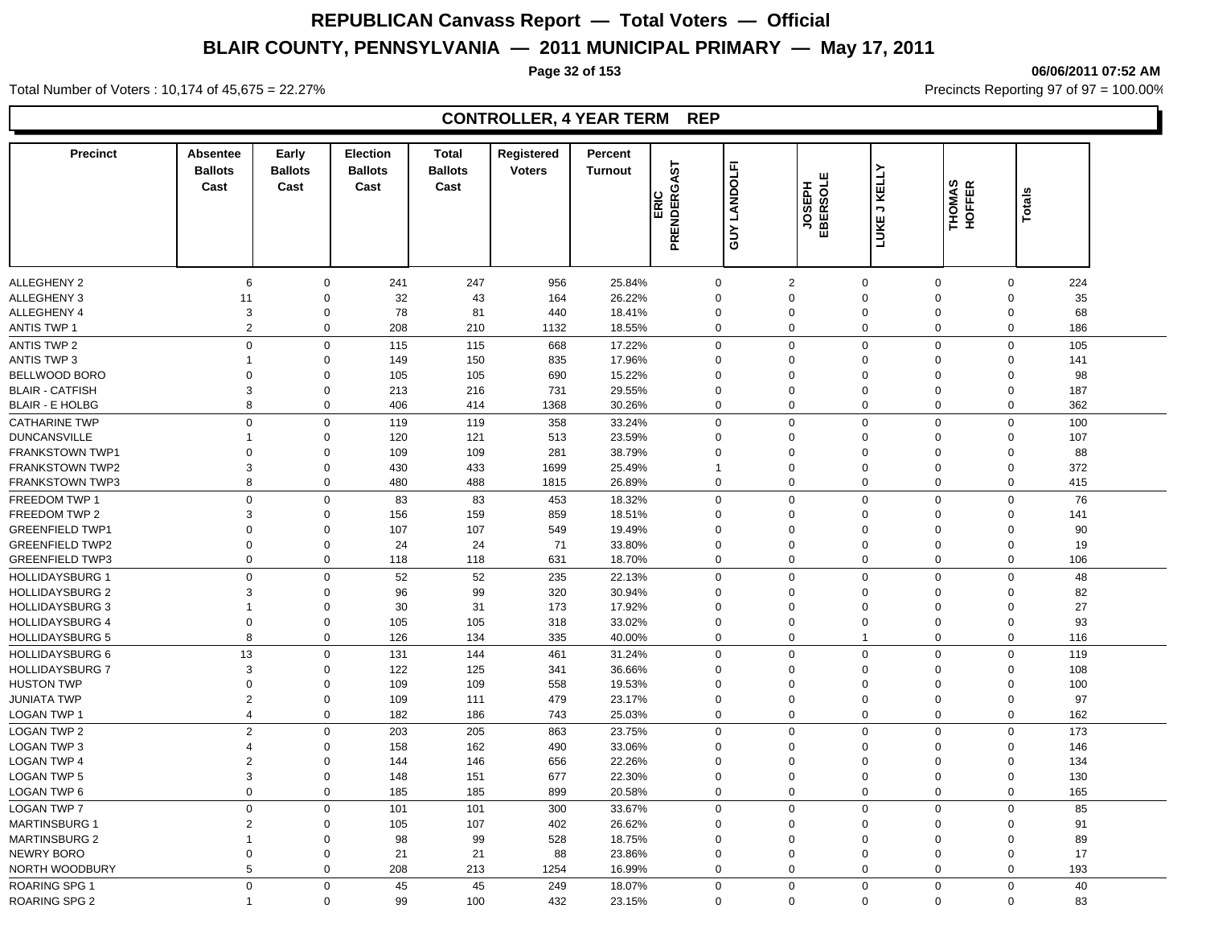**Page 32 of 153 06/06/2011 07:52 AM**

#### Total Number of Voters : 10,174 of 45,675 = 22.27% **Precincts Reporting 97 of 97 = 100.00%** Precincts Reporting 97 of 97 = 100.00%

## **CONTROLLER, 4 YEAR TERM REP**

| <b>Precinct</b>        | <b>Absentee</b><br><b>Ballots</b> | Early<br><b>Ballots</b> | <b>Election</b><br><b>Ballots</b> | <b>Total</b><br><b>Ballots</b> | Registered<br><b>Voters</b> | Percent<br><b>Turnout</b> |                     |                 |                    |                     |                  |               |     |
|------------------------|-----------------------------------|-------------------------|-----------------------------------|--------------------------------|-----------------------------|---------------------------|---------------------|-----------------|--------------------|---------------------|------------------|---------------|-----|
|                        | Cast                              | Cast                    | Cast                              | Cast                           |                             |                           | PRENDERGAST<br>ERIC | LANDOLFI<br>SUY | JOSEPH<br>EBERSOLE | <b>LUKE J KELLY</b> | THOMAS<br>HOFFER | <b>Totals</b> |     |
|                        |                                   |                         |                                   |                                |                             |                           |                     |                 |                    |                     |                  |               |     |
| <b>ALLEGHENY 2</b>     | 6                                 | $\mathbf 0$             | 241                               | 247                            | 956                         | 25.84%                    |                     | 0               | 2                  | $\mathbf 0$         | 0                | $\mathbf 0$   | 224 |
| ALLEGHENY 3            | 11                                | $\Omega$                | 32                                | 43                             | 164                         | 26.22%                    | $\Omega$            |                 | $\Omega$           | $\Omega$            | $\Omega$         | $\Omega$      | 35  |
| ALLEGHENY 4            | 3                                 | $\mathbf 0$             | 78                                | 81                             | 440                         | 18.41%                    | $\mathbf 0$         |                 | $\mathbf 0$        | $\mathbf 0$         | 0                | $\mathbf 0$   | 68  |
| <b>ANTIS TWP 1</b>     | $\overline{2}$                    | $\mathbf 0$             | 208                               | 210                            | 1132                        | 18.55%                    |                     | 0               | $\Omega$           | $\mathbf 0$         | $\mathbf 0$      | $\mathbf 0$   | 186 |
| ANTIS TWP 2            | $\mathbf 0$                       | $\mathbf 0$             | 115                               | 115                            | 668                         | 17.22%                    | $\mathbf 0$         |                 | $\mathbf 0$        | $\mathbf 0$         | 0                | $\mathbf 0$   | 105 |
| <b>ANTIS TWP 3</b>     | -1                                | $\Omega$                | 149                               | 150                            | 835                         | 17.96%                    | $\Omega$            |                 | $\Omega$           | $\Omega$            | 0                | $\Omega$      | 141 |
| BELLWOOD BORO          | $\Omega$                          | $\Omega$                | 105                               | 105                            | 690                         | 15.22%                    | $\Omega$            |                 | $\Omega$           | $\Omega$            | $\Omega$         | $\mathbf 0$   | 98  |
| <b>BLAIR - CATFISH</b> | 3                                 | $\Omega$                | 213                               | 216                            | 731                         | 29.55%                    | $\mathbf 0$         |                 | $\Omega$           | $\mathbf 0$         | $\Omega$         | $\mathbf 0$   | 187 |
| <b>BLAIR - E HOLBG</b> | 8                                 | 0                       | 406                               | 414                            | 1368                        | 30.26%                    |                     | 0               | $\Omega$           | $\mathbf 0$         | 0                | 0             | 362 |
| <b>CATHARINE TWP</b>   | $\mathbf 0$                       | $\Omega$                | 119                               | 119                            | 358                         | 33.24%                    | $\mathbf 0$         |                 | $\mathbf 0$        | $\mathbf 0$         | $\mathbf 0$      | $\mathbf 0$   | 100 |
| <b>DUNCANSVILLE</b>    | $\mathbf{1}$                      | $\Omega$                | 120                               | 121                            | 513                         | 23.59%                    | $\Omega$            |                 | $\Omega$           | $\Omega$            | $\mathbf 0$      | $\Omega$      | 107 |
| <b>FRANKSTOWN TWP1</b> | $\Omega$                          | $\Omega$                | 109                               | 109                            | 281                         | 38.79%                    | $\Omega$            |                 | $\Omega$           | $\Omega$            | $\Omega$         | $\Omega$      | 88  |
| <b>FRANKSTOWN TWP2</b> | 3                                 | $\Omega$                | 430                               | 433                            | 1699                        | 25.49%                    | 1                   |                 | $\Omega$           | $\mathbf 0$         | $\Omega$         | $\Omega$      | 372 |
| <b>FRANKSTOWN TWP3</b> | 8                                 | $\Omega$                | 480                               | 488                            | 1815                        | 26.89%                    |                     | 0               | $\Omega$           | $\mathbf 0$         | $\mathbf 0$      | $\mathbf 0$   | 415 |
| FREEDOM TWP 1          | $\mathbf 0$                       | $\mathbf 0$             | 83                                | 83                             | 453                         | 18.32%                    | $\mathbf 0$         |                 | $\mathbf 0$        | $\mathbf 0$         | 0                | $\mathbf 0$   | 76  |
| FREEDOM TWP 2          | 3                                 | $\mathbf 0$             | 156                               | 159                            | 859                         | 18.51%                    | 0                   |                 | $\Omega$           | $\Omega$            | $\Omega$         | $\Omega$      | 141 |
| <b>GREENFIELD TWP1</b> | $\Omega$                          | $\Omega$                | 107                               | 107                            | 549                         | 19.49%                    | $\Omega$            |                 | $\Omega$           | $\mathbf 0$         | $\Omega$         | $\Omega$      | 90  |
| <b>GREENFIELD TWP2</b> | $\Omega$                          | $\Omega$                | 24                                | 24                             | 71                          | 33.80%                    | $\Omega$            |                 | $\Omega$           | $\Omega$            | $\Omega$         | $\Omega$      | 19  |
| <b>GREENFIELD TWP3</b> | $\mathbf 0$                       | 0                       | 118                               | 118                            | 631                         | 18.70%                    |                     | 0               | $\Omega$           | $\mathbf 0$         | 0                | $\mathbf 0$   | 106 |
| <b>HOLLIDAYSBURG 1</b> | $\Omega$                          | $\Omega$                | 52                                | 52                             | 235                         | 22.13%                    |                     | 0               | $\Omega$           | $\Omega$            | 0                | $\Omega$      | 48  |
| <b>HOLLIDAYSBURG 2</b> | 3                                 | $\Omega$                | 96                                | 99                             | 320                         | 30.94%                    | $\Omega$            |                 | $\Omega$           | $\Omega$            | $\Omega$         | $\Omega$      | 82  |
| <b>HOLLIDAYSBURG 3</b> |                                   | $\mathbf 0$             | 30                                | 31                             | 173                         | 17.92%                    | $\mathbf 0$         |                 | $\Omega$           | $\Omega$            | $\Omega$         | $\mathbf 0$   | 27  |
| <b>HOLLIDAYSBURG 4</b> | $\mathbf 0$                       | 0                       | 105                               | 105                            | 318                         | 33.02%                    | 0                   |                 | $\mathbf 0$        | $\mathbf 0$         | 0                | $\mathbf 0$   | 93  |
| <b>HOLLIDAYSBURG 5</b> | 8                                 | 0                       | 126                               | 134                            | 335                         | 40.00%                    |                     | 0               | $\mathbf 0$        | $\overline{1}$      | 0                | 0             | 116 |
| <b>HOLLIDAYSBURG 6</b> | 13                                | $\Omega$                | 131                               | 144                            | 461                         | 31.24%                    |                     | $\mathbf 0$     | $\mathbf 0$        | $\mathbf 0$         | $\mathbf 0$      | $\mathbf 0$   | 119 |
| <b>HOLLIDAYSBURG 7</b> | 3                                 | $\Omega$                | 122                               | 125                            | 341                         | 36.66%                    | $\Omega$            |                 | $\Omega$           | $\mathbf 0$         | $\Omega$         | $\Omega$      | 108 |
| <b>HUSTON TWP</b>      | $\Omega$                          | $\Omega$                | 109                               | 109                            | 558                         | 19.53%                    | $\Omega$            |                 | $\Omega$           | $\mathbf 0$         | $\Omega$         | $\Omega$      | 100 |
| <b>JUNIATA TWP</b>     | 2                                 | $\Omega$                | 109                               | 111                            | 479                         | 23.17%                    |                     | 0               | $\Omega$           | $\mathbf 0$         | $\Omega$         | $\Omega$      | 97  |
| LOGAN TWP 1            | $\overline{4}$                    | $\Omega$                | 182                               | 186                            | 743                         | 25.03%                    |                     | 0               | $\mathbf 0$        | $\Omega$            | $\mathbf 0$      | $\mathbf 0$   | 162 |
| LOGAN TWP 2            | $\overline{2}$                    | $\Omega$                | 203                               | 205                            | 863                         | 23.75%                    |                     | 0               | $\Omega$           | $\Omega$            | $\mathbf 0$      | $\Omega$      | 173 |
| LOGAN TWP 3            | $\overline{4}$                    | $\Omega$                | 158                               | 162                            | 490                         | 33.06%                    | $\Omega$            |                 | $\Omega$           | $\mathbf 0$         | $\Omega$         | $\Omega$      | 146 |
| <b>LOGAN TWP 4</b>     | $\overline{2}$                    | $\Omega$                | 144                               | 146                            | 656                         | 22.26%                    | $\mathbf 0$         |                 | $\Omega$           | $\mathbf 0$         | $\Omega$         | $\mathbf 0$   | 134 |
| <b>LOGAN TWP 5</b>     | 3                                 | $\mathbf 0$             | 148                               | 151                            | 677                         | 22.30%                    |                     | 0               | $\mathbf 0$        | $\mathbf 0$         | 0                | $\mathbf 0$   | 130 |
| LOGAN TWP 6            | $\mathsf 0$                       | 0                       | 185                               | 185                            | 899                         | 20.58%                    |                     | 0               | $\mathbf 0$        | $\mathbf 0$         | 0                | 0             | 165 |
| <b>LOGAN TWP 7</b>     | $\mathbf 0$                       | $\Omega$                | 101                               | 101                            | 300                         | 33.67%                    | $\Omega$            |                 | $\Omega$           | $\mathbf 0$         | 0                | $\Omega$      | 85  |
| <b>MARTINSBURG 1</b>   | $\overline{2}$                    | $\Omega$                |                                   | 107                            | 402                         | 26.62%                    | $\Omega$            |                 | $\Omega$           | $\mathbf 0$         | $\Omega$         | $\Omega$      | 91  |
| <b>MARTINSBURG 2</b>   | $\mathbf{1}$                      | 0                       | 105<br>98                         | 99                             | 528                         | 18.75%                    | 0                   |                 | $\Omega$           | $\mathbf 0$         | $\mathbf 0$      | $\mathbf 0$   | 89  |
| <b>NEWRY BORO</b>      | $\mathbf 0$                       | 0                       | 21                                |                                | 88                          | 23.86%                    | 0                   |                 | $\mathbf 0$        | $\mathbf 0$         | $\mathbf 0$      | $\mathbf 0$   | 17  |
|                        | 5                                 | 0                       |                                   | 21                             |                             |                           |                     | 0               | $\mathbf 0$        | $\mathbf 0$         | 0                | $\mathbf 0$   |     |
| NORTH WOODBURY         |                                   |                         | 208                               | 213                            | 1254                        | 16.99%                    |                     |                 |                    |                     |                  |               | 193 |
| <b>ROARING SPG 1</b>   | $\Omega$                          | $\mathbf 0$             | 45                                | 45                             | 249                         | 18.07%                    |                     | $\mathbf 0$     | $\Omega$           | $\Omega$            | $\mathbf 0$      | $\Omega$      | 40  |
| <b>ROARING SPG 2</b>   |                                   | $\Omega$                | 99                                | 100                            | 432                         | 23.15%                    |                     | $\Omega$        | $\Omega$           | $\Omega$            | $\Omega$         | $\Omega$      | 83  |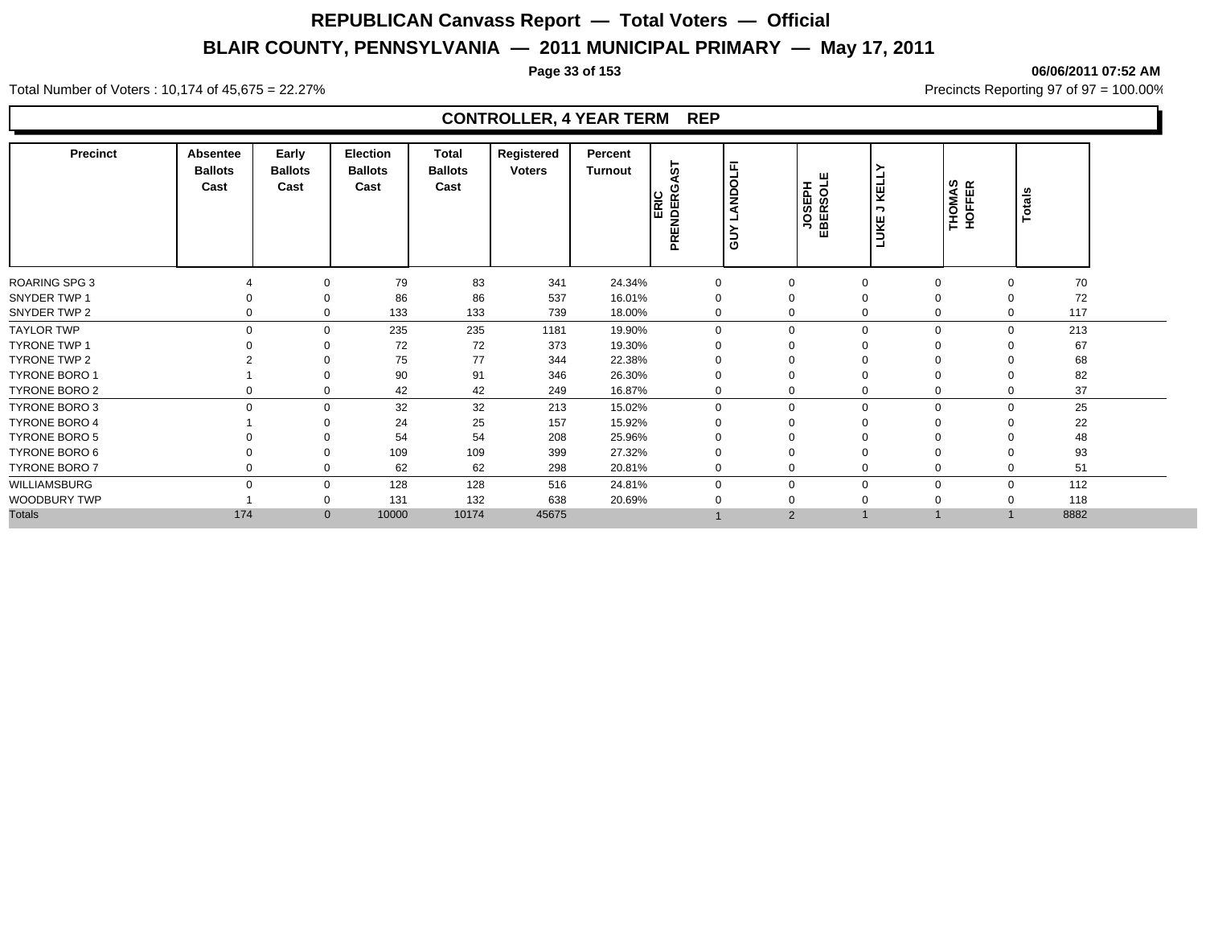**Page 33 of 153 06/06/2011 07:52 AM**

#### Total Number of Voters : 10,174 of 45,675 = 22.27% **Precincts Reporting 97 of 97 = 100.00%** Precincts Reporting 97 of 97 = 100.00%

## **CONTROLLER, 4 YEAR TERM REP**

| <b>Precinct</b>      | Absentee<br><b>Ballots</b><br>Cast | Early<br><b>Ballots</b><br>Cast | <b>Election</b><br><b>Ballots</b><br>Cast | Total<br><b>Ballots</b><br>Cast | Registered<br><b>Voters</b> | Percent<br>Turnout | 5<br>໐<br>ERIC<br>PRENDER | ட<br>$\circ$<br>ě<br>ခြ | JOSEPH<br>EBERSOLE | KELLY<br>っ<br>LUKE | THOMAS<br>HOFFER           | <b>Totals</b> |  |
|----------------------|------------------------------------|---------------------------------|-------------------------------------------|---------------------------------|-----------------------------|--------------------|---------------------------|-------------------------|--------------------|--------------------|----------------------------|---------------|--|
| <b>ROARING SPG 3</b> |                                    | 0                               | 79                                        | 83                              | 341                         | 24.34%             |                           |                         | $\Omega$           | $\mathbf 0$        | $\Omega$<br>0              | 70            |  |
| SNYDER TWP 1         |                                    | 0                               | 86                                        | 86                              | 537                         | 16.01%             |                           |                         | $\Omega$           | 0<br>$\Omega$      | $\Omega$                   | 72            |  |
| SNYDER TWP 2         | $\Omega$                           | $\Omega$                        | 133                                       | 133                             | 739                         | 18.00%             |                           | 0                       | $\Omega$           | $\Omega$           | 0<br>$\mathbf 0$           | 117           |  |
| <b>TAYLOR TWP</b>    | $\Omega$                           | $\Omega$                        | 235                                       | 235                             | 1181                        | 19.90%             |                           | $\Omega$                | $\Omega$           | $\Omega$           | $\mathbf 0$<br>$\Omega$    | 213           |  |
| <b>TYRONE TWP 1</b>  |                                    | O                               | 72                                        | 72                              | 373                         | 19.30%             |                           |                         | $\Omega$           | $\Omega$           | $\Omega$                   | 67            |  |
| TYRONE TWP 2         |                                    | 0                               | 75                                        | 77                              | 344                         | 22.38%             |                           |                         |                    |                    | 0<br>$\Omega$              | 68            |  |
| <b>TYRONE BORO 1</b> |                                    |                                 | 90                                        | 91                              | 346                         | 26.30%             |                           |                         |                    | 0                  |                            | 82            |  |
| TYRONE BORO 2        |                                    | 0                               | 42                                        | 42                              | 249                         | 16.87%             |                           |                         | $\Omega$           |                    | 0<br>$\Omega$              | 37            |  |
| TYRONE BORO 3        | $\Omega$                           | $\Omega$                        | 32                                        | 32                              | 213                         | 15.02%             |                           | $\Omega$                | $\Omega$           | $\Omega$           | $\mathbf 0$<br>$\Omega$    | 25            |  |
| <b>TYRONE BORO 4</b> |                                    | $\Omega$                        | 24                                        | 25                              | 157                         | 15.92%             |                           |                         | $\Omega$           | 0<br>$\Omega$      | $\Omega$                   | 22            |  |
| <b>TYRONE BORO 5</b> |                                    |                                 | 54                                        | 54                              | 208                         | 25.96%             |                           |                         |                    | $\Omega$           | $\Omega$                   | 48            |  |
| TYRONE BORO 6        |                                    | 0                               | 109                                       | 109                             | 399                         | 27.32%             |                           |                         | $\Omega$           | $\Omega$           | $\Omega$                   | 93            |  |
| TYRONE BORO 7        |                                    | 0                               | 62                                        | 62                              | 298                         | 20.81%             |                           | 0                       | $\Omega$           | $\mathbf 0$        | 0<br>0                     | 51            |  |
| WILLIAMSBURG         | $\Omega$                           | $\Omega$                        | 128                                       | 128                             | 516                         | 24.81%             |                           |                         | $\Omega$           | $\Omega$           | $\mathbf 0$<br>$\mathbf 0$ | 112           |  |
| <b>WOODBURY TWP</b>  |                                    |                                 | 131                                       | 132                             | 638                         | 20.69%             |                           |                         |                    | $\Omega$           | $\Omega$<br>$\Omega$       | 118           |  |
| <b>Totals</b>        | 174                                | $\mathbf{0}$                    | 10000                                     | 10174                           | 45675                       |                    |                           |                         | 2                  |                    |                            | 8882          |  |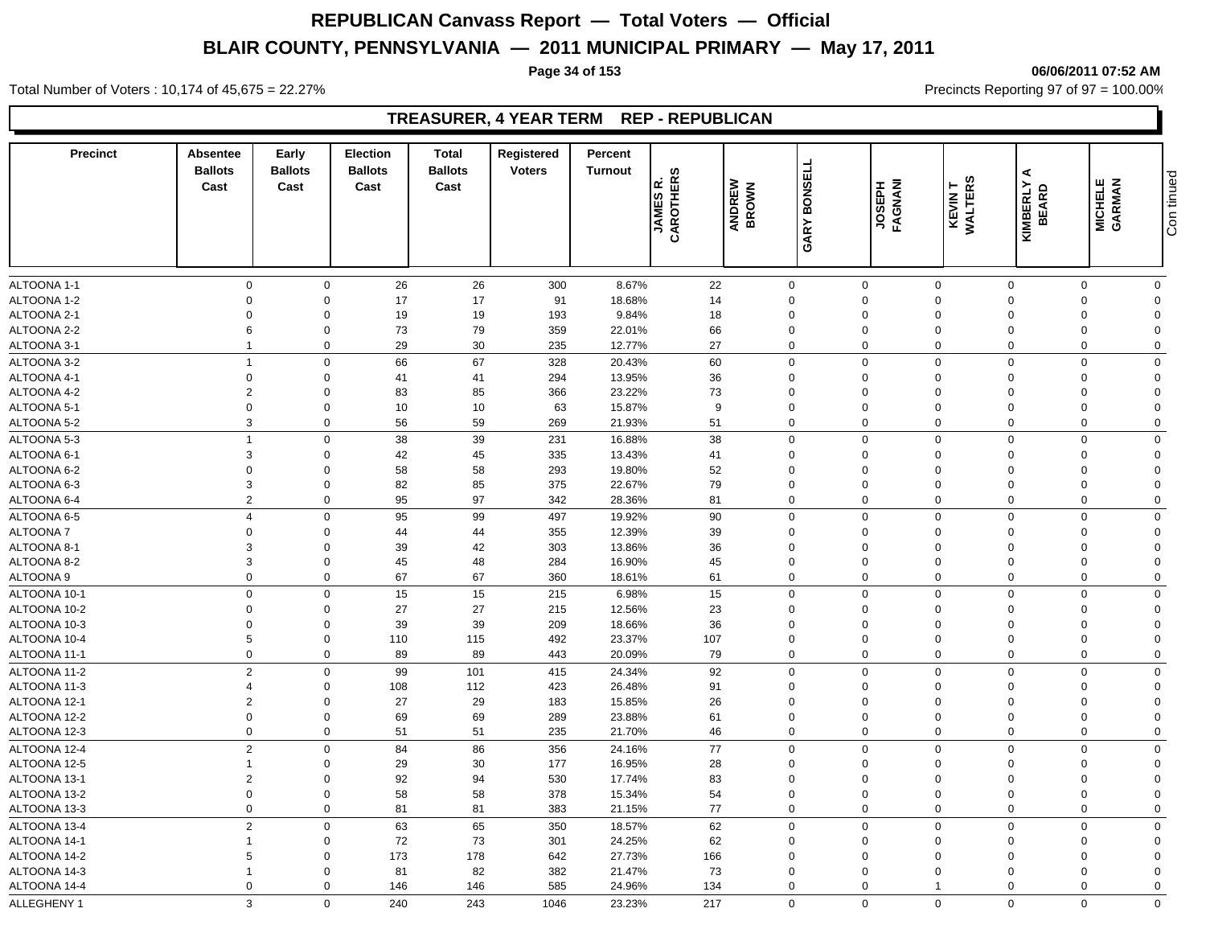**Page 34 of 153 06/06/2011 07:52 AM**

Total Number of Voters : 10,174 of 45,675 = 22.27% **Precincts Reporting 97 of 97 = 100.00%** Precincts Reporting 97 of 97 = 100.00%

## **TREASURER, 4 YEAR TERM REP - REPUBLICAN**

| <b>Precinct</b> | Absentee<br><b>Ballots</b><br>Cast | Early<br><b>Ballots</b><br>Cast | <b>Election</b><br><b>Ballots</b><br>Cast | Total<br><b>Ballots</b><br>Cast | Registered<br><b>Voters</b> | Percent<br><b>Turnout</b> | <b>JAMES R.<br/>CAROTHERS</b> | ANDREW<br>BROWN | <b>GARY BONSELL</b> | <b>LYGNANI</b><br>HASPH | <b>KEVIN T<br/>WALTERS</b> | ⋖<br><b>KIMBERLY</b><br><b>BEARD</b> | <b>MICHELE</b><br>GARMAN | Con tinued     |
|-----------------|------------------------------------|---------------------------------|-------------------------------------------|---------------------------------|-----------------------------|---------------------------|-------------------------------|-----------------|---------------------|-------------------------|----------------------------|--------------------------------------|--------------------------|----------------|
|                 |                                    |                                 |                                           |                                 |                             |                           |                               |                 |                     |                         |                            |                                      |                          |                |
| ALTOONA 1-1     | $\mathbf 0$                        | $\mathsf 0$                     | 26                                        | 26                              | 300                         | 8.67%                     | 22                            |                 | $\mathsf 0$         | $\mathsf{O}\xspace$     | $\mathsf{O}\xspace$        | $\Omega$                             | $\mathbf 0$              | $\mathbf 0$    |
| ALTOONA 1-2     | $\mathbf 0$                        | $\mathbf 0$                     | 17                                        | 17                              | 91                          | 18.68%                    | 14                            |                 | $\mathbf 0$         | $\mathbf 0$             | $\Omega$                   | $\Omega$                             | $\Omega$                 | $\mathbf 0$    |
| ALTOONA 2-1     | $\mathbf 0$                        | $\mathbf 0$                     | 19                                        | 19                              | 193                         | 9.84%                     | 18                            |                 | $\mathbf 0$         | $\mathbf 0$             | $\mathbf 0$                | $\Omega$                             | $\Omega$                 | $\Omega$       |
| ALTOONA 2-2     | 6                                  | $\mathbf 0$                     | 73                                        | 79                              | 359                         | 22.01%                    | 66                            |                 | $\mathbf 0$         | $\mathbf 0$             | $\mathbf 0$                | $\Omega$                             | $\Omega$                 | $\Omega$       |
| ALTOONA 3-1     | $\overline{1}$                     | $\mathbf 0$                     | 29                                        | 30                              | 235                         | 12.77%                    | 27                            |                 | $\mathbf 0$         | $\mathbf 0$             | $\mathbf 0$                | $\Omega$                             | $\Omega$                 | $\mathbf 0$    |
| ALTOONA 3-2     | $\overline{1}$                     | $\mathbf 0$                     | 66                                        | 67                              | 328                         | 20.43%                    | 60                            |                 | $\mathbf 0$         | $\mathbf 0$             | $\mathbf 0$                | $\mathbf 0$                          | $\mathbf 0$              | $\mathbf 0$    |
| ALTOONA 4-1     | $\boldsymbol{0}$                   | $\mathbf 0$                     | 41                                        | 41                              | 294                         | 13.95%                    | 36                            |                 | $\mathbf 0$         | $\mathbf 0$             | $\mathbf 0$                | $\Omega$                             | $\Omega$                 | $\overline{0}$ |
| ALTOONA 4-2     | $\overline{2}$                     | $\mathbf 0$                     | 83                                        | 85                              | 366                         | 23.22%                    | 73                            |                 | $\mathbf 0$         | $\mathbf 0$             | $\mathbf 0$                | $\Omega$                             | $\Omega$                 | $\mathbf 0$    |
| ALTOONA 5-1     | $\mathbf 0$                        | $\mathbf 0$                     | 10                                        | 10                              | 63                          | 15.87%                    | 9                             |                 | $\mathbf 0$         | $\mathbf 0$             | $\mathbf 0$                | $\Omega$                             | $\Omega$                 | $\Omega$       |
| ALTOONA 5-2     | $\mathbf{3}$                       | $\mathbf 0$                     | 56                                        | 59                              | 269                         | 21.93%                    | 51                            |                 | $\mathbf 0$         | $\mathsf 0$             | $\mathbf 0$                | $\Omega$                             | $\Omega$                 | $\mathbf 0$    |
| ALTOONA 5-3     | $\overline{1}$                     | $\mathbf 0$                     | 38                                        | 39                              | 231                         | 16.88%                    | 38                            |                 | $\mathbf 0$         | $\mathsf 0$             | $\mathbf 0$                | $\mathbf 0$                          | $\mathbf 0$              | $\mathbf 0$    |
| ALTOONA 6-1     | 3                                  | $\mathbf 0$                     | 42                                        | 45                              | 335                         | 13.43%                    | 41                            |                 | $\mathbf 0$         | $\mathbf 0$             | $\mathbf 0$                | $\Omega$                             | $\Omega$                 | $\mathbf 0$    |
| ALTOONA 6-2     | $\mathbf 0$                        | $\mathbf 0$                     | 58                                        | 58                              | 293                         | 19.80%                    | 52                            |                 | $\mathbf 0$         | $\mathbf 0$             | $\Omega$                   | $\Omega$                             | $\Omega$                 | $\Omega$       |
| ALTOONA 6-3     | 3                                  | $\Omega$                        | 82                                        | 85                              | 375                         | 22.67%                    | 79                            |                 | $\mathbf 0$         | $\mathbf 0$             | $\mathbf 0$                | $\Omega$                             | $\Omega$                 | $\Omega$       |
| ALTOONA 6-4     | 2                                  | $\mathbf 0$                     | 95                                        | 97                              | 342                         | 28.36%                    | 81                            |                 | $\Omega$            | $\mathbf 0$             | $\Omega$                   | $\Omega$                             | $\Omega$                 | $\mathbf 0$    |
| ALTOONA 6-5     | $\overline{4}$                     | $\mathbf 0$                     | 95                                        | 99                              | 497                         | 19.92%                    | 90                            |                 | $\mathbf 0$         | $\mathbf 0$             | $\mathbf 0$                | $\Omega$                             | $\Omega$                 | $\mathbf 0$    |
| ALTOONA 7       | $\mathbf 0$                        | $\Omega$                        | 44                                        | 44                              | 355                         | 12.39%                    | 39                            |                 | $\Omega$            | $\mathbf 0$             | $\Omega$                   | $\Omega$                             | $\Omega$                 | $\Omega$       |
| ALTOONA 8-1     | $\mathbf{3}$                       | $\Omega$                        | 39                                        | 42                              | 303                         | 13.86%                    | 36                            |                 | $\Omega$            | $\mathbf 0$             | $\Omega$                   |                                      | $\Omega$                 | $\Omega$       |
| ALTOONA 8-2     | 3                                  | $\mathsf 0$                     | 45                                        | 48                              | 284                         | 16.90%                    | 45                            |                 | $\Omega$            | $\mathbf 0$             | $\Omega$                   | $\Omega$                             | $\Omega$                 | $\Omega$       |
| ALTOONA 9       | $\mathbf 0$                        | $\mathbf 0$                     | 67                                        | 67                              | 360                         | 18.61%                    | 61                            |                 | $\mathbf 0$         | $\mathbf 0$             | $\mathbf 0$                | $\Omega$                             | $\Omega$                 | $\mathbf 0$    |
| ALTOONA 10-1    | $\mathbf{0}$                       | $\Omega$                        | 15                                        | 15                              | 215                         | 6.98%                     | 15                            |                 | $\mathbf 0$         | $\mathbf 0$             | $\mathbf 0$                | $\Omega$                             | $\Omega$                 | $\mathbf 0$    |
| ALTOONA 10-2    | $\mathbf 0$                        | $\Omega$                        | 27                                        | 27                              | 215                         | 12.56%                    | 23                            |                 | $\Omega$            | $\mathbf 0$             | $\Omega$                   | $\Omega$                             | $\Omega$                 | $\mathbf 0$    |
| ALTOONA 10-3    | $\Omega$                           | $\mathbf 0$                     | 39                                        | 39                              | 209                         | 18.66%                    | 36                            |                 | $\mathbf 0$         | $\mathbf 0$             | $\Omega$                   | $\Omega$                             | $\Omega$                 | $\Omega$       |
| ALTOONA 10-4    | 5                                  | $\mathbf 0$                     | 110                                       | 115                             | 492                         | 23.37%                    | 107                           |                 | 0                   | $\mathbf 0$             | $\mathbf 0$                | $\Omega$                             | $\mathbf 0$              | $\Omega$       |
| ALTOONA 11-1    | $\mathbf 0$                        | $\mathbf 0$                     | 89                                        | 89                              | 443                         | 20.09%                    | 79                            |                 | $\mathbf 0$         | $\mathbf 0$             | $\mathbf 0$                | $\Omega$                             | $\Omega$                 | $\mathbf 0$    |
| ALTOONA 11-2    | $\overline{2}$                     | $\Omega$                        | 99                                        | 101                             | 415                         | 24.34%                    | 92                            |                 | $\Omega$            | $\mathbf 0$             | $\Omega$                   | $\Omega$                             | $\Omega$                 | $\Omega$       |
| ALTOONA 11-3    | $\overline{4}$                     | $\mathbf 0$                     | 108                                       | 112                             | 423                         | 26.48%                    | 91                            |                 | $\Omega$            | $\mathbf 0$             | $\Omega$                   | $\Omega$                             | $\Omega$                 | $\Omega$       |
| ALTOONA 12-1    | $\overline{2}$                     | $\mathbf 0$                     | 27                                        | 29                              | 183                         | 15.85%                    | 26                            |                 | $\mathbf 0$         | $\mathbf 0$             | $\mathbf 0$                | $\Omega$                             | $\Omega$                 | $\Omega$       |
| ALTOONA 12-2    | $\mathbf 0$                        | $\mathbf 0$                     | 69                                        | 69                              | 289                         | 23.88%                    | 61                            |                 | $\mathbf 0$         | $\mathbf 0$             | $\overline{0}$             | $\Omega$                             | $\Omega$                 | $\Omega$       |
| ALTOONA 12-3    | $\mathbf 0$                        | $\mathbf 0$                     | 51                                        | 51                              | 235                         | 21.70%                    | 46                            |                 | $\mathbf 0$         | $\mathbf 0$             | $\mathbf 0$                | $\mathbf 0$                          | $\Omega$                 | $\mathbf 0$    |
| ALTOONA 12-4    | $\overline{2}$                     | $\mathbf 0$                     | 84                                        | 86                              | 356                         | 24.16%                    | 77                            |                 | $\mathbf 0$         | $\mathbf 0$             | $\Omega$                   | $\Omega$                             | $\Omega$                 | $\mathbf 0$    |
| ALTOONA 12-5    | $\overline{1}$                     | $\mathbf 0$                     | 29                                        | 30                              | 177                         | 16.95%                    | 28                            |                 | $\mathbf 0$         | $\mathbf 0$             | $\mathbf 0$                | $\Omega$                             | $\mathbf 0$              | $\Omega$       |
| ALTOONA 13-1    | $\overline{2}$                     | $\mathbf 0$                     | 92                                        | 94                              | 530                         | 17.74%                    | 83                            |                 | $\mathbf 0$         | $\mathbf 0$             | $\mathbf 0$                | $\Omega$                             | $\Omega$                 | $\Omega$       |
| ALTOONA 13-2    | $\mathbf 0$                        | $\mathbf 0$                     | 58                                        | 58                              | 378                         | 15.34%                    | 54                            |                 | $\mathbf 0$         | $\mathbf 0$             | $\mathbf 0$                | $\Omega$                             | $\Omega$                 | $\Omega$       |
| ALTOONA 13-3    | $\mathbf 0$                        | $\mathbf 0$                     | 81                                        | 81                              | 383                         | 21.15%                    | 77                            |                 | $\mathbf 0$         | $\mathbf 0$             | $\Omega$                   | $\Omega$                             | $\Omega$                 | $\mathbf 0$    |
| ALTOONA 13-4    | $\overline{2}$                     | $\mathbf 0$                     | 63                                        | 65                              | 350                         | 18.57%                    | 62                            |                 | $\mathbf 0$         | $\mathbf 0$             | $\mathbf 0$                | $\mathbf 0$                          | $\mathbf 0$              | $\mathbf 0$    |
| ALTOONA 14-1    | $\overline{1}$                     | $\mathbf 0$                     | 72                                        | 73                              | 301                         | 24.25%                    | 62                            |                 | $\mathbf 0$         | $\mathbf 0$             | $\overline{0}$             | $\Omega$                             | $\Omega$                 | $\Omega$       |
| ALTOONA 14-2    | 5                                  | $\mathbf 0$                     | 173                                       | 178                             | 642                         | 27.73%                    | 166                           |                 | $\mathbf 0$         | $\mathbf 0$             | $\mathbf 0$                | $\Omega$                             | $\Omega$                 | $\Omega$       |
| ALTOONA 14-3    | $\overline{1}$                     | $\mathbf 0$                     | 81                                        | 82                              | 382                         | 21.47%                    | 73                            |                 | $\mathbf 0$         | $\mathbf 0$             | $\Omega$                   | $\Omega$                             | $\Omega$                 | $\Omega$       |
| ALTOONA 14-4    | $\mathbf 0$                        | $\mathbf 0$                     | 146                                       | 146                             | 585                         | 24.96%                    | 134                           |                 | $\mathbf 0$         | $\mathbf 0$             | $\overline{1}$             | $\Omega$                             | $\mathbf 0$              | $\mathbf 0$    |
|                 |                                    |                                 |                                           |                                 |                             |                           |                               |                 |                     |                         |                            |                                      |                          |                |
| ALLEGHENY 1     | 3                                  | $\Omega$                        | 240                                       | 243                             | 1046                        | 23.23%                    | 217                           |                 | $\mathbf 0$         | $\Omega$                | $\mathbf 0$                | $\Omega$                             | $\Omega$                 | $\mathbf 0$    |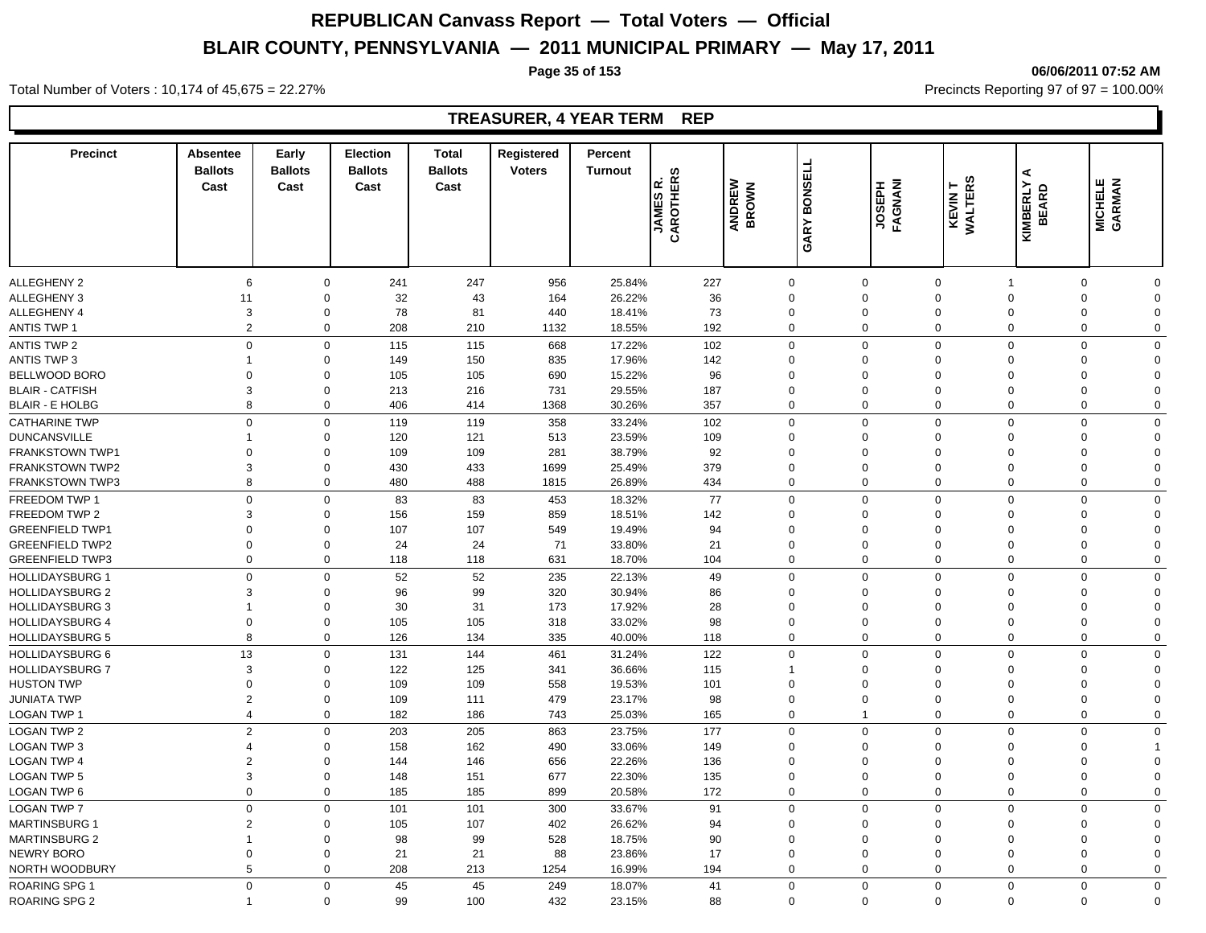### **Page 35 of 153 06/06/2011 07:52 AM**

Total Number of Voters : 10,174 of 45,675 = 22.27% **Precincts Reporting 97 of 97 = 100.00%** Precincts Reporting 97 of 97 = 100.00%

## **TREASURER, 4 YEAR TERM REP**

| <b>Precinct</b>        | <b>Absentee</b><br><b>Ballots</b><br>Cast | Early<br><b>Ballots</b><br>Cast | Election<br><b>Ballots</b><br>Cast | <b>Total</b><br><b>Ballots</b><br>Cast | Registered<br><b>Voters</b> | Percent<br><b>Turnout</b> | CAROTHERS<br>Ιœ<br><b>JAMES</b> | ANDREW<br>BROWN | <b>GARY BONSELL</b> | <b>LAGNANI</b><br>FAGNANI | KEVINT<br>WALTERS | ⋖<br>KIMBERLY<br>BEARD | <b>MICHELE</b><br>GARMAN |              |
|------------------------|-------------------------------------------|---------------------------------|------------------------------------|----------------------------------------|-----------------------------|---------------------------|---------------------------------|-----------------|---------------------|---------------------------|-------------------|------------------------|--------------------------|--------------|
|                        |                                           |                                 |                                    |                                        |                             |                           |                                 |                 |                     |                           |                   |                        |                          |              |
| <b>ALLEGHENY 2</b>     | 6                                         | $\mathbf 0$                     | 241                                | 247                                    | 956                         | 25.84%                    | 227                             | $\mathbf 0$     |                     | $\Omega$                  | $\mathbf 0$       | -1                     | $\Omega$                 | $\Omega$     |
| ALLEGHENY 3            | 11                                        | $\mathbf 0$                     | 32                                 | 43                                     | 164                         | 26.22%                    | 36                              | $\mathbf 0$     |                     | $\Omega$                  | $\Omega$          | $\Omega$               | $\Omega$                 | $\Omega$     |
| ALLEGHENY 4            | 3                                         | $\mathbf 0$                     | 78                                 | 81                                     | 440                         | 18.41%                    | 73                              | $\mathbf 0$     |                     | $\mathbf 0$               | $\mathbf 0$       | $\mathbf 0$            | $\Omega$                 | $\Omega$     |
| <b>ANTIS TWP 1</b>     | $\overline{2}$                            | $\mathbf 0$                     | 208                                | 210                                    | 1132                        | 18.55%                    | 192                             | $\mathbf 0$     |                     | $\mathbf 0$               | $\mathbf 0$       | $\mathbf 0$            | $\mathbf 0$              | $\mathbf 0$  |
| ANTIS TWP 2            | $\mathbf 0$                               | $\mathbf 0$                     | 115                                | 115                                    | 668                         | 17.22%                    | 102                             | $\mathbf 0$     |                     | $\Omega$                  | $\Omega$          | $\Omega$               | $\Omega$                 | $\Omega$     |
| ANTIS TWP 3            | 1                                         | $\mathbf 0$                     | 149                                | 150                                    | 835                         | 17.96%                    | 142                             | $\mathbf 0$     |                     | $\Omega$                  | $\Omega$          | $\Omega$               | $\Omega$                 | $\Omega$     |
| BELLWOOD BORO          | $\mathbf 0$                               | $\mathbf 0$                     | 105                                | 105                                    | 690                         | 15.22%                    | 96                              | $\mathbf 0$     |                     | $\Omega$                  | $\Omega$          | $\Omega$               | $\Omega$                 | $\Omega$     |
| <b>BLAIR - CATFISH</b> | 3                                         | $\mathbf 0$                     | 213                                | 216                                    | 731                         | 29.55%                    | 187                             | $\mathbf 0$     |                     | $\Omega$                  | $\Omega$          | $\Omega$               | $\Omega$                 | $\Omega$     |
| <b>BLAIR - E HOLBG</b> | 8                                         | $\mathbf 0$                     | 406                                | 414                                    | 1368                        | 30.26%                    | 357                             | $\Omega$        |                     | $\Omega$                  | $\mathbf 0$       | $\mathbf 0$            | $\Omega$                 | $\Omega$     |
| <b>CATHARINE TWP</b>   | $\Omega$                                  | $\mathsf 0$                     | 119                                | 119                                    | 358                         | 33.24%                    | 102                             | $\mathbf 0$     |                     | $\Omega$                  | $\mathbf 0$       | $\mathbf 0$            | $\Omega$                 | $\Omega$     |
| <b>DUNCANSVILLE</b>    | 1                                         | $\mathbf 0$                     | 120                                | 121                                    | 513                         | 23.59%                    | 109                             | $\mathbf 0$     |                     | $\Omega$                  | $\Omega$          | $\Omega$               | $\Omega$                 | $\Omega$     |
| <b>FRANKSTOWN TWP1</b> | $\mathbf 0$                               | $\mathbf 0$                     | 109                                | 109                                    | 281                         | 38.79%                    | 92                              | $\mathbf 0$     |                     | $\Omega$                  | $\Omega$          | $\Omega$               | $\Omega$                 | $\Omega$     |
| <b>FRANKSTOWN TWP2</b> | 3                                         | $\mathbf 0$                     | 430                                | 433                                    | 1699                        | 25.49%                    | 379                             | $\mathbf 0$     |                     | $\mathbf 0$               | $\mathbf 0$       | $\mathbf 0$            | $\mathbf 0$              | 0            |
| <b>FRANKSTOWN TWP3</b> | 8                                         | $\mathbf 0$                     | 480                                | 488                                    | 1815                        | 26.89%                    | 434                             | $\mathbf 0$     |                     | $\mathbf 0$               | $\mathbf 0$       | $\mathbf 0$            | $\mathbf 0$              | $\mathbf 0$  |
| FREEDOM TWP 1          | $\mathbf 0$                               | $\mathsf 0$                     | 83                                 | 83                                     | 453                         | 18.32%                    | 77                              | $\mathbf 0$     |                     | $\Omega$                  | $\mathbf 0$       | $\Omega$               | $\Omega$                 | $\Omega$     |
| FREEDOM TWP 2          | 3                                         | $\mathbf 0$                     | 156                                | 159                                    | 859                         | 18.51%                    | 142                             | $\Omega$        |                     | $\Omega$                  | $\Omega$          | $\Omega$               | $\Omega$                 | $\Omega$     |
| <b>GREENFIELD TWP1</b> | $\mathbf 0$                               | $\mathbf 0$                     | 107                                | 107                                    | 549                         | 19.49%                    | 94                              | $\mathbf 0$     |                     | $\Omega$                  | $\Omega$          | $\mathbf 0$            | $\Omega$                 | $\Omega$     |
| <b>GREENFIELD TWP2</b> | $\mathbf 0$                               | $\mathbf 0$                     | 24                                 | 24                                     | 71                          | 33.80%                    | 21                              | $\mathbf 0$     |                     | $\Omega$                  | $\Omega$          | $\Omega$               | $\Omega$                 | $\Omega$     |
| <b>GREENFIELD TWP3</b> | $\Omega$                                  | $\mathbf 0$                     | 118                                | 118                                    | 631                         | 18.70%                    | 104                             | $\Omega$        |                     | $\Omega$                  | $\mathbf 0$       | $\mathbf 0$            | $\Omega$                 | 0            |
| <b>HOLLIDAYSBURG 1</b> | $\mathbf 0$                               | $\mathbf 0$                     | 52                                 | 52                                     | 235                         | 22.13%                    | 49                              | $\mathbf 0$     |                     | $\Omega$                  | $\Omega$          | $\Omega$               | $\Omega$                 | $\Omega$     |
| <b>HOLLIDAYSBURG 2</b> | 3                                         | $\mathbf 0$                     | 96                                 | 99                                     | 320                         | 30.94%                    | 86                              | $\mathbf 0$     |                     | $\mathbf 0$               | $\mathbf 0$       | $\mathbf 0$            | $\Omega$                 | $\Omega$     |
| <b>HOLLIDAYSBURG 3</b> | $\overline{1}$                            | $\mathbf 0$                     | 30                                 | 31                                     | 173                         | 17.92%                    | 28                              | $\mathbf 0$     |                     | $\mathbf 0$               | $\mathbf 0$       | $\mathbf 0$            | $\Omega$                 | $\Omega$     |
| <b>HOLLIDAYSBURG 4</b> | $\mathbf 0$                               | $\mathbf 0$                     | 105                                | 105                                    | 318                         | 33.02%                    | 98                              | $\mathbf 0$     |                     | $\mathbf 0$               | $\mathbf 0$       | 0                      | $\mathbf 0$              | $\mathbf 0$  |
| <b>HOLLIDAYSBURG 5</b> | 8                                         | $\mathbf 0$                     | 126                                | 134                                    | 335                         | 40.00%                    | 118                             | $\Omega$        |                     | $\Omega$                  | $\mathbf 0$       | 0                      | $\Omega$                 | $\Omega$     |
| <b>HOLLIDAYSBURG 6</b> | 13                                        | $\mathsf 0$                     | 131                                | 144                                    | 461                         | 31.24%                    | 122                             | $\mathbf 0$     |                     | $\Omega$                  | $\mathbf 0$       | $\mathbf 0$            | $\Omega$                 | $\Omega$     |
| <b>HOLLIDAYSBURG 7</b> | 3                                         | $\mathbf 0$                     | 122                                | 125                                    | 341                         | 36.66%                    | 115                             | $\overline{1}$  |                     | $\Omega$                  | $\Omega$          | $\Omega$               | $\Omega$                 | $\Omega$     |
| <b>HUSTON TWP</b>      | $\mathbf 0$                               | $\mathbf 0$                     | 109                                | 109                                    | 558                         | 19.53%                    | 101                             | $\mathbf 0$     |                     | $\Omega$                  | $\mathbf 0$       | $\mathbf 0$            | $\Omega$                 | $\Omega$     |
| <b>JUNIATA TWP</b>     | 2                                         | $\mathbf 0$                     | 109                                | 111                                    | 479                         | 23.17%                    | 98                              | $\mathbf 0$     |                     | $\mathbf 0$               | $\mathbf 0$       | $\mathbf 0$            | $\Omega$                 | $\mathbf 0$  |
| <b>LOGAN TWP 1</b>     | $\overline{4}$                            | $\mathbf 0$                     | 182                                | 186                                    | 743                         | 25.03%                    | 165                             | $\mathbf 0$     |                     | 1                         | $\mathbf 0$       | $\mathbf 0$            | $\mathbf 0$              | 0            |
| <b>LOGAN TWP 2</b>     | $\overline{2}$                            | $\mathbf 0$                     | 203                                | 205                                    | 863                         | 23.75%                    | 177                             | $\Omega$        |                     | $\Omega$                  | $\Omega$          | $\Omega$               | $\Omega$                 | $\Omega$     |
| LOGAN TWP 3            | 4                                         | $\mathbf 0$                     | 158                                | 162                                    | 490                         | 33.06%                    | 149                             | $\mathbf 0$     |                     | $\Omega$                  | $\Omega$          | $\Omega$               | $\Omega$                 |              |
| <b>LOGAN TWP 4</b>     | 2                                         | $\mathbf 0$                     | 144                                | 146                                    | 656                         | 22.26%                    | 136                             | $\mathbf 0$     |                     | $\Omega$                  | $\Omega$          | $\Omega$               | $\Omega$                 | $\Omega$     |
| <b>LOGAN TWP 5</b>     | 3                                         | $\mathbf 0$                     | 148                                | 151                                    | 677                         | 22.30%                    | 135                             | $\mathbf 0$     |                     | $\Omega$                  | $\mathbf 0$       | $\mathbf 0$            | $\Omega$                 | $\Omega$     |
| LOGAN TWP 6            | $\mathbf 0$                               | $\mathbf 0$                     | 185                                | 185                                    | 899                         | 20.58%                    | 172                             | $\mathbf 0$     |                     | $\mathbf 0$               | $\mathbf 0$       | $\mathbf 0$            | $\mathbf 0$              | 0            |
| <b>LOGAN TWP 7</b>     | $\mathbf 0$                               | $\mathbf 0$                     | 101                                | 101                                    | 300                         | 33.67%                    | 91                              | $\mathbf 0$     |                     | $\Omega$                  | $\mathbf 0$       | $\Omega$               | $\Omega$                 | $\Omega$     |
| <b>MARTINSBURG 1</b>   | $\overline{2}$                            | $\mathbf 0$                     | 105                                | 107                                    | 402                         | 26.62%                    | 94                              | $\mathbf 0$     |                     | $\mathbf 0$               | $\mathbf 0$       | $\mathbf 0$            | $\Omega$                 | $\Omega$     |
| <b>MARTINSBURG 2</b>   | 1                                         | $\mathbf 0$                     | 98                                 | 99                                     | 528                         | 18.75%                    | 90                              | $\mathbf 0$     |                     | $\mathbf 0$               | $\mathbf 0$       | $\mathbf 0$            | $\Omega$                 | $\Omega$     |
| NEWRY BORO             | $\mathbf 0$                               | $\mathbf 0$                     | 21                                 | 21                                     | 88                          | 23.86%                    | 17                              | $\mathbf 0$     |                     | $\mathbf 0$               | $\mathbf 0$       | $\mathbf 0$            | $\mathbf 0$              | $\Omega$     |
| NORTH WOODBURY         | 5                                         | $\mathbf 0$                     | 208                                | 213                                    | 1254                        | 16.99%                    | 194                             | $\overline{0}$  |                     | $\mathbf 0$               | $\mathbf 0$       | $\mathbf 0$            | $\mathbf 0$              | 0            |
| ROARING SPG 1          | $\Omega$                                  | $\mathbf 0$                     | 45                                 | 45                                     | 249                         | 18.07%                    | 41                              | $\Omega$        |                     | $\Omega$                  | $\Omega$          | $\Omega$               | $\mathbf 0$              | $\mathbf{0}$ |
| <b>ROARING SPG 2</b>   | $\mathbf 1$                               | $\Omega$                        | 99                                 | 100                                    | 432                         | 23.15%                    | 88                              | $\Omega$        |                     | $\mathbf 0$               | $\Omega$          | $\mathbf{0}$           | $\Omega$                 | $\Omega$     |
|                        |                                           |                                 |                                    |                                        |                             |                           |                                 |                 |                     |                           |                   |                        |                          |              |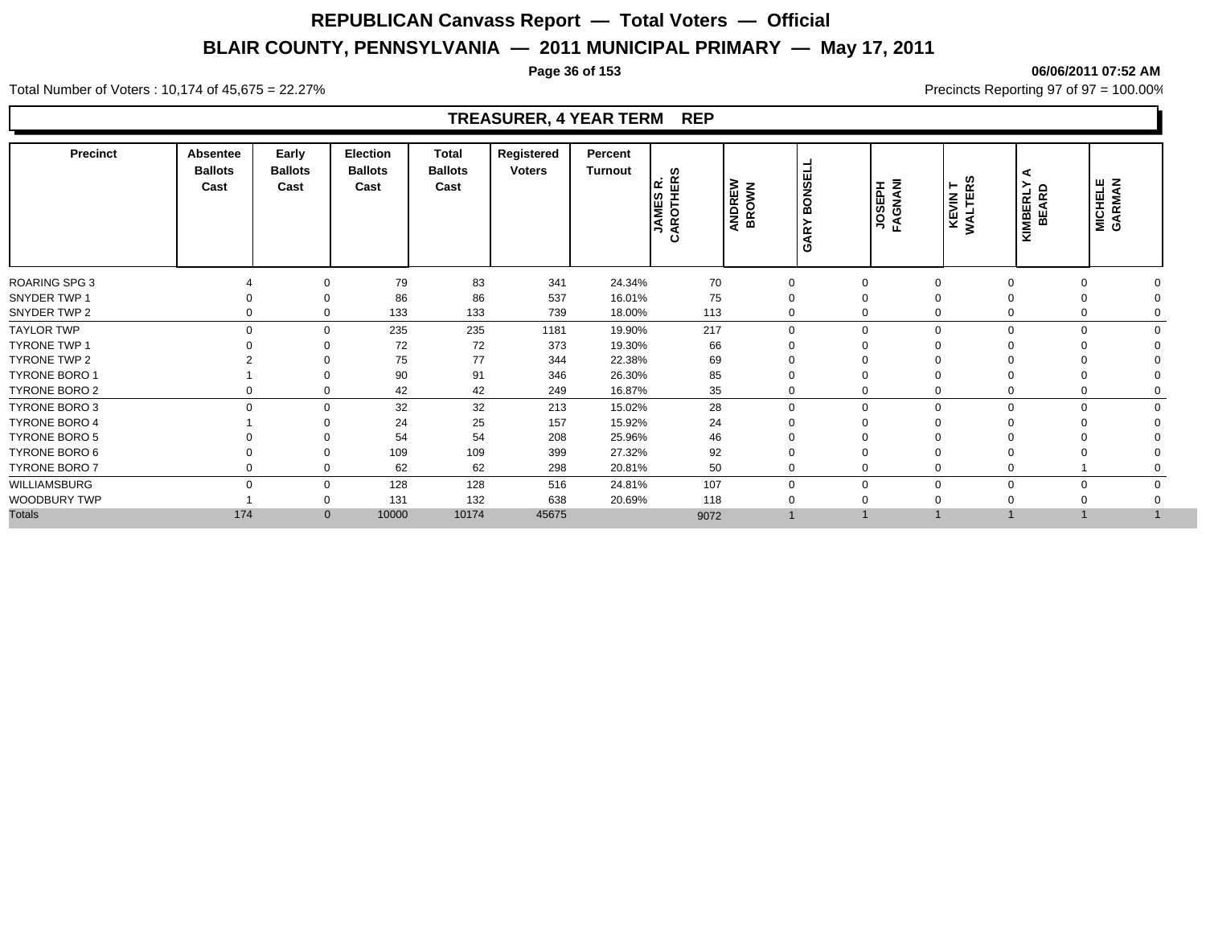### **Page 36 of 153 06/06/2011 07:52 AM**

Total Number of Voters : 10,174 of 45,675 = 22.27% **Precincts Reporting 97 of 97 = 100.00%** Precincts Reporting 97 of 97 = 100.00%

## **TREASURER, 4 YEAR TERM REP**

| <b>Precinct</b>      | Absentee<br><b>Ballots</b><br>Cast | Early<br><b>Ballots</b><br>Cast | <b>Election</b><br><b>Ballots</b><br>Cast | Total<br><b>Ballots</b><br>Cast | Registered<br><b>Voters</b> | Percent<br>Turnout | ဖာ<br>띥<br>lα<br>JAMES<br>AROTHE<br>ت | <b>BONSELL</b><br><b>ANDREW</b><br>BROWN<br>$\approx$<br>ৰ<br>פ |             | JOSEPH<br>FAGNANI | KEVIN T<br>WALTERS | <b>KIMBERLY</b><br>BEARD | <b>MICHELE</b><br>GARMAN |  |
|----------------------|------------------------------------|---------------------------------|-------------------------------------------|---------------------------------|-----------------------------|--------------------|---------------------------------------|-----------------------------------------------------------------|-------------|-------------------|--------------------|--------------------------|--------------------------|--|
| <b>ROARING SPG 3</b> |                                    | 0                               | 79                                        | 83                              | 341                         | 24.34%             | 70                                    | $\mathbf 0$                                                     | 0           |                   | 0                  |                          |                          |  |
| SNYDER TWP 1         |                                    | 0                               | 86                                        | 86                              | 537                         | 16.01%             | 75                                    | $\Omega$                                                        | 0           | $\Omega$          |                    |                          |                          |  |
| SNYDER TWP 2         | $\Omega$                           | $\mathbf 0$                     | 133                                       | 133                             | 739                         | 18.00%             | 113                                   | $\Omega$                                                        | 0           |                   | $\mathbf 0$        | $\Omega$                 |                          |  |
| <b>TAYLOR TWP</b>    | $\Omega$                           | $\mathbf 0$                     | 235                                       | 235                             | 1181                        | 19.90%             | 217                                   | $\Omega$                                                        | $\Omega$    |                   | $\mathbf{0}$       | $\Omega$                 | U                        |  |
| <b>TYRONE TWP 1</b>  |                                    | $\Omega$                        | 72                                        | 72                              | 373                         | 19.30%             | 66                                    |                                                                 | $\Omega$    |                   |                    |                          |                          |  |
| TYRONE TWP 2         |                                    | $\Omega$                        | 75                                        | 77                              | 344                         | 22.38%             | 69                                    |                                                                 | 0           | $\Omega$          |                    |                          |                          |  |
| TYRONE BORO 1        |                                    | 0                               | 90                                        | 91                              | 346                         | 26.30%             | 85                                    | $\Omega$                                                        |             | 0                 |                    |                          |                          |  |
| TYRONE BORO 2        |                                    | 0                               | 42                                        | 42                              | 249                         | 16.87%             | 35                                    | $\Omega$                                                        | 0           |                   | 0                  |                          |                          |  |
| TYRONE BORO 3        | $\Omega$                           | $\mathbf 0$                     | 32                                        | 32                              | 213                         | 15.02%             | 28                                    | $\Omega$                                                        | $\mathbf 0$ |                   | 0                  | $\Omega$<br>$\Omega$     |                          |  |
| <b>TYRONE BORO 4</b> |                                    | $\Omega$                        | 24                                        | 25                              | 157                         | 15.92%             | 24                                    | $\Omega$                                                        | 0           | $\Omega$          |                    |                          |                          |  |
| <b>TYRONE BORO 5</b> |                                    | 0                               | 54                                        | 54                              | 208                         | 25.96%             | 46                                    |                                                                 |             |                   |                    |                          |                          |  |
| TYRONE BORO 6        |                                    | $\Omega$                        | 109                                       | 109                             | 399                         | 27.32%             | 92                                    | $\Omega$                                                        |             |                   |                    |                          |                          |  |
| TYRONE BORO 7        | $\Omega$                           | 0                               | 62                                        | 62                              | 298                         | 20.81%             | 50                                    | $\Omega$                                                        | 0           |                   | $\mathbf 0$        |                          |                          |  |
| WILLIAMSBURG         | $\Omega$                           | $\mathbf 0$                     | 128                                       | 128                             | 516                         | 24.81%             | 107                                   | $\Omega$                                                        | 0           |                   | $\mathbf 0$        | $\Omega$                 |                          |  |
| <b>WOODBURY TWP</b>  |                                    | 0                               | 131                                       | 132                             | 638                         | 20.69%             | 118                                   | $\Omega$                                                        | $\Omega$    | $\mathbf 0$       |                    |                          |                          |  |
| <b>Totals</b>        | 174                                | $\mathbf{0}$                    | 10000                                     | 10174                           | 45675                       |                    | 9072                                  |                                                                 |             |                   |                    |                          |                          |  |
|                      |                                    |                                 |                                           |                                 |                             |                    |                                       |                                                                 |             |                   |                    |                          |                          |  |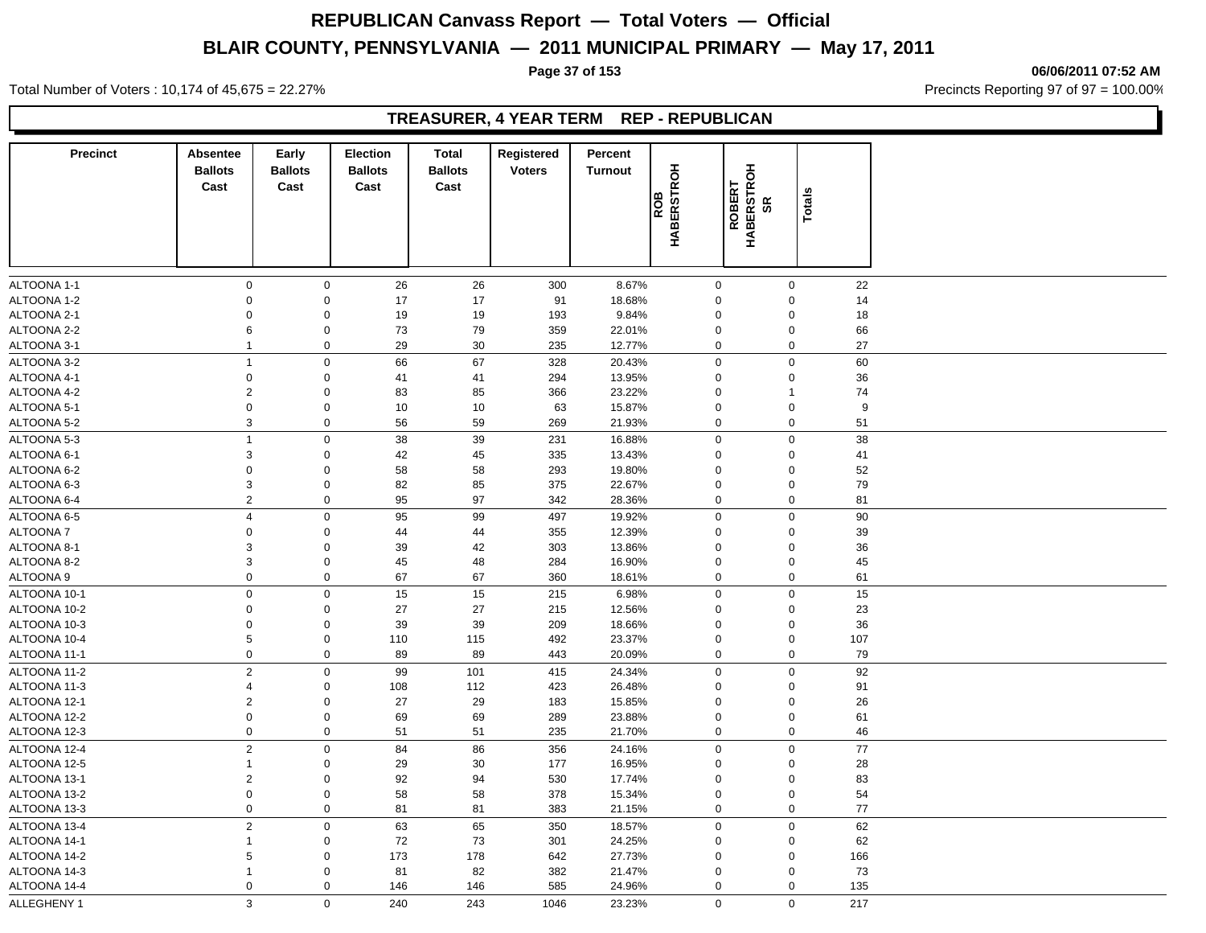Total Number of Voters : 10,174 of 45,675 = 22.27% **Precincts Reporting 97 of 97 = 100.00%** Precincts Reporting 97 of 97 = 100.00%

## **TREASURER, 4 YEAR TERM REP - REPUBLICAN**

| <b>Precinct</b> | <b>Absentee</b><br><b>Ballots</b><br>Cast | Early<br><b>Ballots</b><br>Cast | <b>Election</b><br><b>Ballots</b><br>Cast | <b>Total</b><br><b>Ballots</b><br>Cast | Registered<br><b>Voters</b> | Percent<br><b>Turnout</b> | <b>HABERSTROH</b><br><b>SC</b> | <b>ROBERT<br/>HABERSTROH<br/>SR</b> | Totals           |     |
|-----------------|-------------------------------------------|---------------------------------|-------------------------------------------|----------------------------------------|-----------------------------|---------------------------|--------------------------------|-------------------------------------|------------------|-----|
|                 |                                           |                                 |                                           |                                        |                             |                           |                                |                                     |                  |     |
| ALTOONA 1-1     | $\mathbf 0$                               | $\mathbf 0$                     | 26                                        | 26                                     | 300                         | 8.67%                     |                                | $\mathbf 0$                         | $\mathbf 0$      | 22  |
| ALTOONA 1-2     | $\mathbf 0$                               | $\mathsf 0$                     | 17                                        | 17                                     | 91                          | 18.68%                    |                                | $\mathsf 0$                         | $\mathbf 0$      | 14  |
| ALTOONA 2-1     | $\mathbf 0$                               | $\mathsf 0$                     | 19                                        | 19                                     | 193                         | 9.84%                     |                                | 0                                   | $\mathbf 0$      | 18  |
| ALTOONA 2-2     | 6                                         | $\mathsf 0$                     | 73                                        | 79                                     | 359                         | 22.01%                    |                                | $\mathbf 0$                         | $\mathbf 0$      | 66  |
| ALTOONA 3-1     | $\mathbf{1}$                              | $\mathbf 0$                     | 29                                        | 30                                     | 235                         | 12.77%                    |                                | $\pmb{0}$                           | $\mathbf 0$      | 27  |
| ALTOONA 3-2     | $\overline{1}$                            | $\mathbf 0$                     | 66                                        | 67                                     | 328                         | 20.43%                    |                                | $\mathbf 0$                         | $\mathbf 0$      | 60  |
| ALTOONA 4-1     | $\mathbf 0$                               | $\mathbf 0$                     | 41                                        | 41                                     | 294                         | 13.95%                    |                                | $\Omega$                            | $\mathbf 0$      | 36  |
| ALTOONA 4-2     | $\overline{2}$                            | $\mathbf 0$                     | 83                                        | 85                                     | 366                         | 23.22%                    |                                | $\mathbf 0$                         | $\mathbf{1}$     | 74  |
| ALTOONA 5-1     | $\mathbf 0$                               | $\mathbf 0$                     | 10                                        | 10                                     | 63                          | 15.87%                    |                                | $\mathbf 0$                         | $\mathbf 0$      | 9   |
| ALTOONA 5-2     | 3                                         | $\mathbf 0$                     | 56                                        | 59                                     | 269                         | 21.93%                    |                                | 0                                   | $\mathbf 0$      | 51  |
| ALTOONA 5-3     | $\overline{1}$                            | $\mathsf 0$                     | 38                                        | 39                                     | 231                         | 16.88%                    |                                | $\mathsf 0$                         | $\mathbf 0$      | 38  |
| ALTOONA 6-1     | 3                                         | $\mathsf 0$                     | 42                                        | 45                                     | 335                         | 13.43%                    |                                | $\mathbf 0$                         | $\mathbf 0$      | 41  |
| ALTOONA 6-2     | $\mathbf 0$                               | $\mathsf 0$                     | 58                                        | 58                                     | 293                         | 19.80%                    |                                | $\mathbf 0$                         | $\mathbf 0$      | 52  |
| ALTOONA 6-3     | 3                                         | $\mathsf 0$                     | 82                                        | 85                                     | 375                         | 22.67%                    |                                | $\mathbf 0$                         | $\mathbf 0$      | 79  |
| ALTOONA 6-4     | $\overline{2}$                            | $\mathsf 0$                     | 95                                        | 97                                     | 342                         | 28.36%                    |                                | $\mathsf 0$                         | $\mathbf 0$      | 81  |
| ALTOONA 6-5     | $\overline{4}$                            | $\mathsf 0$                     | 95                                        | 99                                     | 497                         | 19.92%                    |                                | $\mathsf 0$                         | $\mathbf 0$      | 90  |
| <b>ALTOONA7</b> | $\mathbf 0$                               | $\mathbf 0$                     | 44                                        | 44                                     | 355                         | 12.39%                    |                                | $\mathbf 0$                         | $\mathbf 0$      | 39  |
| ALTOONA 8-1     | 3                                         | $\mathsf 0$                     | 39                                        | 42                                     | 303                         | 13.86%                    |                                | $\mathbf 0$                         | $\mathbf 0$      | 36  |
| ALTOONA 8-2     | 3                                         | $\mathsf 0$                     | 45                                        | 48                                     | 284                         | 16.90%                    |                                | $\mathbf 0$                         | $\mathbf 0$      | 45  |
| ALTOONA 9       | $\boldsymbol{0}$                          | $\mathsf 0$                     | 67                                        | 67                                     | 360                         | 18.61%                    |                                | $\pmb{0}$                           | $\boldsymbol{0}$ | 61  |
| ALTOONA 10-1    | $\mathbf 0$                               | $\mathsf 0$                     | 15                                        | 15                                     | 215                         | 6.98%                     |                                | $\mathsf 0$                         | $\mathbf 0$      | 15  |
| ALTOONA 10-2    | $\Omega$                                  | $\mathbf 0$                     | 27                                        | 27                                     | 215                         | 12.56%                    |                                | $\Omega$                            | $\mathbf 0$      | 23  |
| ALTOONA 10-3    | $\mathbf 0$                               | $\mathbf 0$                     | 39                                        | 39                                     | 209                         | 18.66%                    |                                | $\mathbf 0$                         | $\mathbf 0$      | 36  |
| ALTOONA 10-4    | 5                                         | $\mathbf 0$                     | 110                                       | 115                                    | 492                         | 23.37%                    |                                | $\mathbf 0$                         | $\mathbf 0$      | 107 |
| ALTOONA 11-1    | $\mathsf 0$                               | $\mathsf 0$                     | 89                                        | 89                                     | 443                         | 20.09%                    |                                | $\mathsf 0$                         | $\mathbf 0$      | 79  |
| ALTOONA 11-2    | $\overline{2}$                            | $\mathsf 0$                     | 99                                        | 101                                    | 415                         | 24.34%                    |                                | $\mathsf 0$                         | $\mathbf 0$      | 92  |
| ALTOONA 11-3    | $\overline{4}$                            | $\mathsf 0$                     | 108                                       | 112                                    | 423                         | 26.48%                    |                                | $\mathbf 0$                         | $\mathbf 0$      | 91  |
| ALTOONA 12-1    | $\overline{2}$                            | $\mathsf 0$                     | 27                                        | 29                                     | 183                         | 15.85%                    |                                | $\mathbf 0$                         | $\mathbf 0$      | 26  |
| ALTOONA 12-2    | $\mathsf 0$                               | $\mathsf 0$                     | 69                                        | 69                                     | 289                         | 23.88%                    |                                | $\mathbf 0$                         | $\mathbf 0$      | 61  |
| ALTOONA 12-3    | $\mathbf 0$                               | $\mathbf 0$                     | 51                                        | 51                                     | 235                         | 21.70%                    |                                | $\mathbf 0$                         | $\mathbf 0$      | 46  |
| ALTOONA 12-4    | $\overline{2}$                            | $\mathbf 0$                     | 84                                        | 86                                     | 356                         | 24.16%                    |                                | $\mathbf 0$                         | $\mathbf 0$      | 77  |
| ALTOONA 12-5    | $\mathbf{1}$                              | $\mathbf 0$                     | 29                                        | 30                                     | 177                         | 16.95%                    |                                | $\mathbf 0$                         | $\mathbf 0$      | 28  |
| ALTOONA 13-1    | $\overline{2}$                            | $\mathbf 0$                     | 92                                        | 94                                     | 530                         | 17.74%                    |                                | $\mathbf 0$                         | $\mathbf 0$      | 83  |
| ALTOONA 13-2    | $\mathbf 0$                               | $\pmb{0}$                       | 58                                        | 58                                     | 378                         | 15.34%                    |                                | $\mathbf 0$                         | $\mathbf 0$      | 54  |
| ALTOONA 13-3    | $\mathbf 0$                               | $\mathsf 0$                     | 81                                        | 81                                     | 383                         | 21.15%                    |                                | 0                                   | $\mathbf 0$      | 77  |
| ALTOONA 13-4    | $\overline{2}$                            | $\mathsf 0$                     | 63                                        | 65                                     | 350                         | 18.57%                    |                                | $\mathbf 0$                         | $\mathbf 0$      | 62  |
| ALTOONA 14-1    | $\mathbf{1}$                              | $\mathbf 0$                     | 72                                        | 73                                     | 301                         | 24.25%                    |                                | 0                                   | $\mathbf 0$      | 62  |
| ALTOONA 14-2    | 5                                         | $\pmb{0}$                       | 173                                       | 178                                    | 642                         | 27.73%                    |                                | $\mathbf 0$                         | $\mathbf 0$      | 166 |
| ALTOONA 14-3    | $\mathbf{1}$                              | $\mathbf 0$                     | 81                                        | 82                                     | 382                         | 21.47%                    |                                | 0                                   | $\mathbf 0$      | 73  |
| ALTOONA 14-4    | $\mathbf 0$                               | $\mathsf 0$                     | 146                                       | 146                                    | 585                         | 24.96%                    |                                | 0                                   | $\mathbf 0$      | 135 |
| ALLEGHENY 1     | 3                                         | $\mathbf 0$                     | 240                                       | 243                                    | 1046                        | 23.23%                    |                                | $\mathbf 0$                         | $\Omega$         | 217 |

#### **Page 37 of 153 06/06/2011 07:52 AM**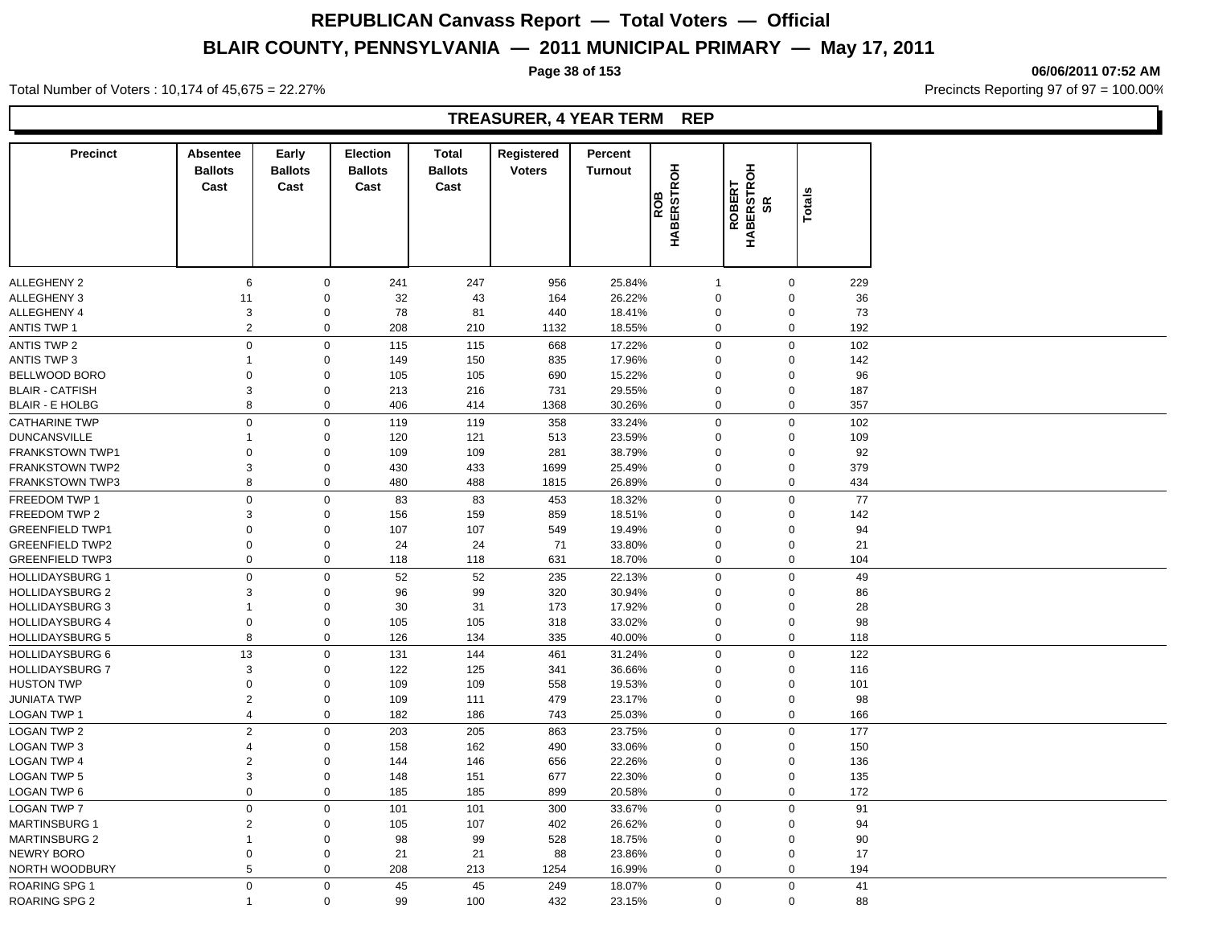**Page 38 of 153 06/06/2011 07:52 AM**

Total Number of Voters : 10,174 of 45,675 = 22.27% **Precincts Reporting 97 of 97 = 100.00%** Precincts Reporting 97 of 97 = 100.00%

## **TREASURER, 4 YEAR TERM REP**

| <b>Precinct</b>        | <b>Absentee</b><br><b>Ballots</b> | Early<br><b>Ballots</b> | <b>Election</b><br><b>Ballots</b> | <b>Total</b><br><b>Ballots</b> | Registered<br><b>Voters</b> | Percent<br><b>Turnout</b> |                          |                            |               |  |
|------------------------|-----------------------------------|-------------------------|-----------------------------------|--------------------------------|-----------------------------|---------------------------|--------------------------|----------------------------|---------------|--|
|                        | Cast                              | Cast                    | Cast                              | Cast                           |                             |                           | <b>HABERSTROH</b><br>ROB |                            | <b>Totals</b> |  |
|                        |                                   |                         |                                   |                                |                             |                           |                          | ROBERT<br>HABERSTROH<br>SR |               |  |
| <b>ALLEGHENY 2</b>     | 6                                 | $\mathbf 0$             | 241                               | 247                            | 956                         | 25.84%                    | -1                       | $\mathbf 0$                | 229           |  |
| <b>ALLEGHENY 3</b>     | 11                                | $\mathbf 0$             | 32                                | 43                             | 164                         | 26.22%                    | $\mathbf 0$              | $\mathbf 0$                | 36            |  |
| <b>ALLEGHENY 4</b>     | 3                                 | $\mathbf 0$             | 78                                | 81                             | 440                         | 18.41%                    | $\Omega$                 | $\mathbf 0$                | 73            |  |
| <b>ANTIS TWP 1</b>     | $\overline{c}$                    | $\mathsf 0$             | 208                               | 210                            | 1132                        | 18.55%                    | 0                        | $\pmb{0}$                  | 192           |  |
| <b>ANTIS TWP 2</b>     | $\mathsf 0$                       | $\mathbf 0$             | 115                               | 115                            | 668                         | 17.22%                    | $\mathbf 0$              | $\pmb{0}$                  | 102           |  |
| <b>ANTIS TWP 3</b>     | $\mathbf{1}$                      | $\mathbf 0$             | 149                               | 150                            | 835                         | 17.96%                    | $\mathbf 0$              | $\mathbf 0$                | 142           |  |
| BELLWOOD BORO          | $\mathbf 0$                       | $\mathbf 0$             | 105                               | 105                            | 690                         | 15.22%                    | $\mathbf 0$              | $\mathbf 0$                | 96            |  |
| <b>BLAIR - CATFISH</b> | 3                                 | $\mathbf 0$             | 213                               | 216                            | 731                         | 29.55%                    | $\mathbf 0$              | $\pmb{0}$                  | 187           |  |
| <b>BLAIR - E HOLBG</b> | 8                                 | $\mathbf 0$             | 406                               | 414                            | 1368                        | 30.26%                    | $\mathbf 0$              | $\mathbf 0$                | 357           |  |
| <b>CATHARINE TWP</b>   | $\mathsf 0$                       | $\mathbf 0$             | 119                               | 119                            | 358                         | 33.24%                    | $\Omega$                 | $\mathbf 0$                | 102           |  |
| <b>DUNCANSVILLE</b>    | $\mathbf{1}$                      | $\mathbf 0$             | 120                               | 121                            | 513                         | 23.59%                    | $\Omega$                 | $\mathbf 0$                | 109           |  |
| FRANKSTOWN TWP1        | 0                                 | $\mathbf 0$             | 109                               | 109                            | 281                         | 38.79%                    | $\Omega$                 | $\mathbf 0$                | 92            |  |
| <b>FRANKSTOWN TWP2</b> | 3                                 | $\mathbf 0$             | 430                               | 433                            | 1699                        | 25.49%                    | $\Omega$                 | $\mathbf 0$                | 379           |  |
| <b>FRANKSTOWN TWP3</b> | 8                                 | $\mathbf 0$             | 480                               | 488                            | 1815                        | 26.89%                    | $\mathbf 0$              | $\boldsymbol{0}$           | 434           |  |
| FREEDOM TWP 1          | $\mathsf 0$                       | $\mathbf 0$             | 83                                | 83                             | 453                         | 18.32%                    | $\mathbf 0$              | $\mathbf 0$                | 77            |  |
| FREEDOM TWP 2          | 3                                 | $\mathbf 0$             | 156                               |                                | 859                         | 18.51%                    | $\Omega$                 | $\mathbf 0$                | 142           |  |
| <b>GREENFIELD TWP1</b> | $\mathbf 0$                       | $\mathbf 0$             | 107                               | 159<br>107                     | 549                         | 19.49%                    | $\mathbf 0$              | $\mathbf 0$                | 94            |  |
| <b>GREENFIELD TWP2</b> | $\mathbf 0$                       | $\mathbf 0$             | 24                                | 24                             | 71                          | 33.80%                    | $\mathbf 0$              | $\mathbf 0$                | 21            |  |
| <b>GREENFIELD TWP3</b> | $\mathbf 0$                       | $\mathbf 0$             | 118                               | 118                            | 631                         | 18.70%                    | $\mathbf 0$              | $\mathbf 0$                | 104           |  |
|                        |                                   |                         |                                   |                                |                             |                           |                          |                            |               |  |
| <b>HOLLIDAYSBURG 1</b> | $\Omega$                          | $\mathbf 0$             | 52                                | 52                             | 235                         | 22.13%                    | $\mathbf 0$              | $\pmb{0}$                  | 49            |  |
| <b>HOLLIDAYSBURG 2</b> | 3                                 | $\mathbf 0$             | 96                                | 99                             | 320                         | 30.94%                    | $\Omega$                 | $\mathbf 0$                | 86            |  |
| <b>HOLLIDAYSBURG 3</b> | $\mathbf{1}$                      | $\mathbf 0$             | 30                                | 31                             | 173                         | 17.92%                    | $\mathbf 0$              | $\pmb{0}$                  | 28            |  |
| <b>HOLLIDAYSBURG 4</b> | $\mathbf 0$                       | $\mathbf 0$             | 105                               | 105                            | 318                         | 33.02%                    | $\mathbf 0$              | $\pmb{0}$                  | 98            |  |
| <b>HOLLIDAYSBURG 5</b> | 8                                 | $\mathbf 0$             | 126                               | 134                            | 335                         | 40.00%                    | $\mathbf 0$              | $\mathbf 0$                | 118           |  |
| <b>HOLLIDAYSBURG 6</b> | 13                                | $\mathbf 0$             | 131                               | 144                            | 461                         | 31.24%                    | $\mathbf 0$              | $\mathbf 0$                | 122           |  |
| <b>HOLLIDAYSBURG 7</b> | 3                                 | $\mathbf 0$             | 122                               | 125                            | 341                         | 36.66%                    | $\Omega$                 | $\mathbf 0$                | 116           |  |
| <b>HUSTON TWP</b>      | $\mathbf 0$                       | $\mathbf 0$             | 109                               | 109                            | 558                         | 19.53%                    | $\mathbf 0$              | $\mathbf 0$                | 101           |  |
| <b>JUNIATA TWP</b>     | $\overline{2}$                    | $\mathbf 0$             | 109                               | 111                            | 479                         | 23.17%                    | $\mathbf 0$              | $\mathbf 0$                | 98            |  |
| LOGAN TWP 1            | $\overline{4}$                    | $\mathbf 0$             | 182                               | 186                            | 743                         | 25.03%                    | $\mathbf 0$              | $\mathbf 0$                | 166           |  |
| <b>LOGAN TWP 2</b>     | 2                                 | $\mathbf 0$             | 203                               | 205                            | 863                         | 23.75%                    | $\mathbf 0$              | $\mathbf 0$                | 177           |  |
| LOGAN TWP 3            | $\overline{4}$                    | $\mathbf 0$             | 158                               | 162                            | 490                         | 33.06%                    | $\mathbf 0$              | $\mathbf 0$                | 150           |  |
| <b>LOGAN TWP 4</b>     | $\overline{2}$                    | $\mathbf 0$             | 144                               | 146                            | 656                         | 22.26%                    | $\mathbf 0$              | $\pmb{0}$                  | 136           |  |
| <b>LOGAN TWP 5</b>     | 3                                 | $\mathbf 0$             | 148                               | 151                            | 677                         | 22.30%                    | $\mathbf 0$              | $\pmb{0}$                  | 135           |  |
| LOGAN TWP 6            | $\mathsf 0$                       | $\mathbf 0$             | 185                               | 185                            | 899                         | 20.58%                    | $\mathbf 0$              | $\mathbf 0$                | 172           |  |
| <b>LOGAN TWP 7</b>     | $\mathbf 0$                       | $\mathbf 0$             | 101                               | 101                            | 300                         | 33.67%                    | $\Omega$                 | $\mathbf 0$                | 91            |  |
| <b>MARTINSBURG 1</b>   | $\overline{2}$                    | $\mathbf 0$             | 105                               | 107                            | 402                         | 26.62%                    | $\Omega$                 | $\mathbf 0$                | 94            |  |
| <b>MARTINSBURG 2</b>   | $\mathbf{1}$                      | $\mathbf 0$             | 98                                | 99                             | 528                         | 18.75%                    | $\Omega$                 | $\mathbf 0$                | 90            |  |
| <b>NEWRY BORO</b>      | $\mathbf 0$                       | $\mathbf 0$             | 21                                | 21                             | 88                          | 23.86%                    | $\mathbf 0$              | $\mathbf 0$                | 17            |  |
| NORTH WOODBURY         | 5                                 | $\mathbf 0$             | 208                               | 213                            | 1254                        | 16.99%                    | $\mathbf 0$              | $\mathbf 0$                | 194           |  |
| ROARING SPG 1          | $\mathbf 0$                       | $\mathbf 0$             | 45                                | 45                             | 249                         | 18.07%                    | $\mathbf 0$              | $\mathbf 0$                | 41            |  |
| ROARING SPG 2          | $\mathbf{1}$                      | $\mathbf 0$             | 99                                | 100                            | 432                         | 23.15%                    | $\Omega$                 | $\mathbf 0$                | 88            |  |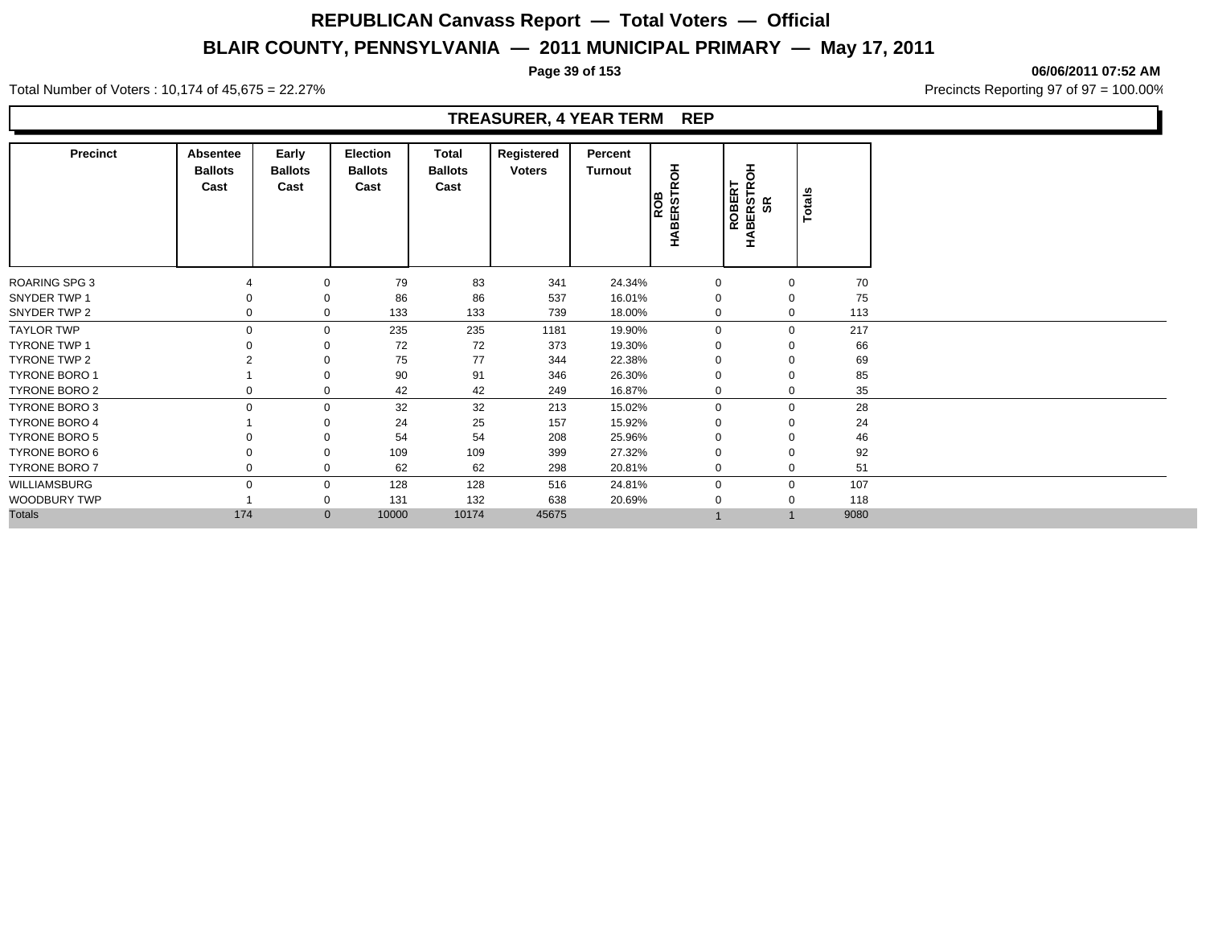**Page 39 of 153 06/06/2011 07:52 AM**

Total Number of Voters : 10,174 of 45,675 = 22.27% **Precincts Reporting 97 of 97 = 100.00%** Precincts Reporting 97 of 97 = 100.00%

## **TREASURER, 4 YEAR TERM REP**

| <b>Precinct</b>      | Absentee<br><b>Ballots</b><br>Cast | Early<br><b>Ballots</b><br>Cast | Election<br><b>Ballots</b><br>Cast | Total<br><b>Ballots</b><br>Cast | Registered<br><b>Voters</b> | Percent<br>Turnout | 풍<br><b>ROB</b><br>HABERSTRO | <b>ROBERT<br/>HABERSTROH<br/>SR</b> | Totals      |      |
|----------------------|------------------------------------|---------------------------------|------------------------------------|---------------------------------|-----------------------------|--------------------|------------------------------|-------------------------------------|-------------|------|
| ROARING SPG 3        |                                    | 0                               | 79                                 | 83                              | 341                         | 24.34%             | 0                            |                                     | 0           | 70   |
| SNYDER TWP 1         |                                    | 0                               | 86                                 | 86                              | 537                         | 16.01%             | $\mathbf 0$                  |                                     | 0           | 75   |
| SNYDER TWP 2         |                                    | $\mathbf 0$                     | 133                                | 133                             | 739                         | 18.00%             | 0                            |                                     | $\mathbf 0$ | 113  |
| <b>TAYLOR TWP</b>    |                                    | $\mathbf 0$                     | 235                                | 235                             | 1181                        | 19.90%             | $\mathbf 0$                  |                                     | $\mathbf 0$ | 217  |
| <b>TYRONE TWP 1</b>  |                                    | 0                               | 72                                 | 72                              | 373                         | 19.30%             | $\Omega$                     | $\Omega$                            |             | 66   |
| TYRONE TWP 2         |                                    | 0                               | 75                                 | 77                              | 344                         | 22.38%             | 0                            | 0                                   |             | 69   |
| <b>TYRONE BORO 1</b> |                                    | 0                               | 90                                 | 91                              | 346                         | 26.30%             | 0                            | $\mathbf 0$                         |             | 85   |
| <b>TYRONE BORO 2</b> |                                    | 0                               | 42                                 | 42                              | 249                         | 16.87%             | 0                            |                                     | 0           | 35   |
| <b>TYRONE BORO 3</b> |                                    | 0                               | 32                                 | 32                              | 213                         | 15.02%             | $\mathbf 0$                  |                                     | 0           | 28   |
| <b>TYRONE BORO 4</b> |                                    | 0                               | 24                                 | 25                              | 157                         | 15.92%             | 0                            |                                     |             | 24   |
| <b>TYRONE BORO 5</b> |                                    | 0                               | 54                                 | 54                              | 208                         | 25.96%             | 0                            |                                     |             | 46   |
| TYRONE BORO 6        |                                    | 0                               | 109                                | 109                             | 399                         | 27.32%             | $\Omega$                     | 0                                   |             | 92   |
| <b>TYRONE BORO 7</b> |                                    | 0                               | 62                                 | 62                              | 298                         | 20.81%             | 0                            |                                     | 0           | 51   |
| WILLIAMSBURG         | 0                                  | 0                               | 128                                | 128                             | 516                         | 24.81%             | 0                            |                                     | 0           | 107  |
| WOODBURY TWP         |                                    | 0                               | 131                                | 132                             | 638                         | 20.69%             | 0                            |                                     | 0           | 118  |
| <b>Totals</b>        | 174                                | $\mathbf{0}$                    | 10000                              | 10174                           | 45675                       |                    |                              | $\overline{A}$                      |             | 9080 |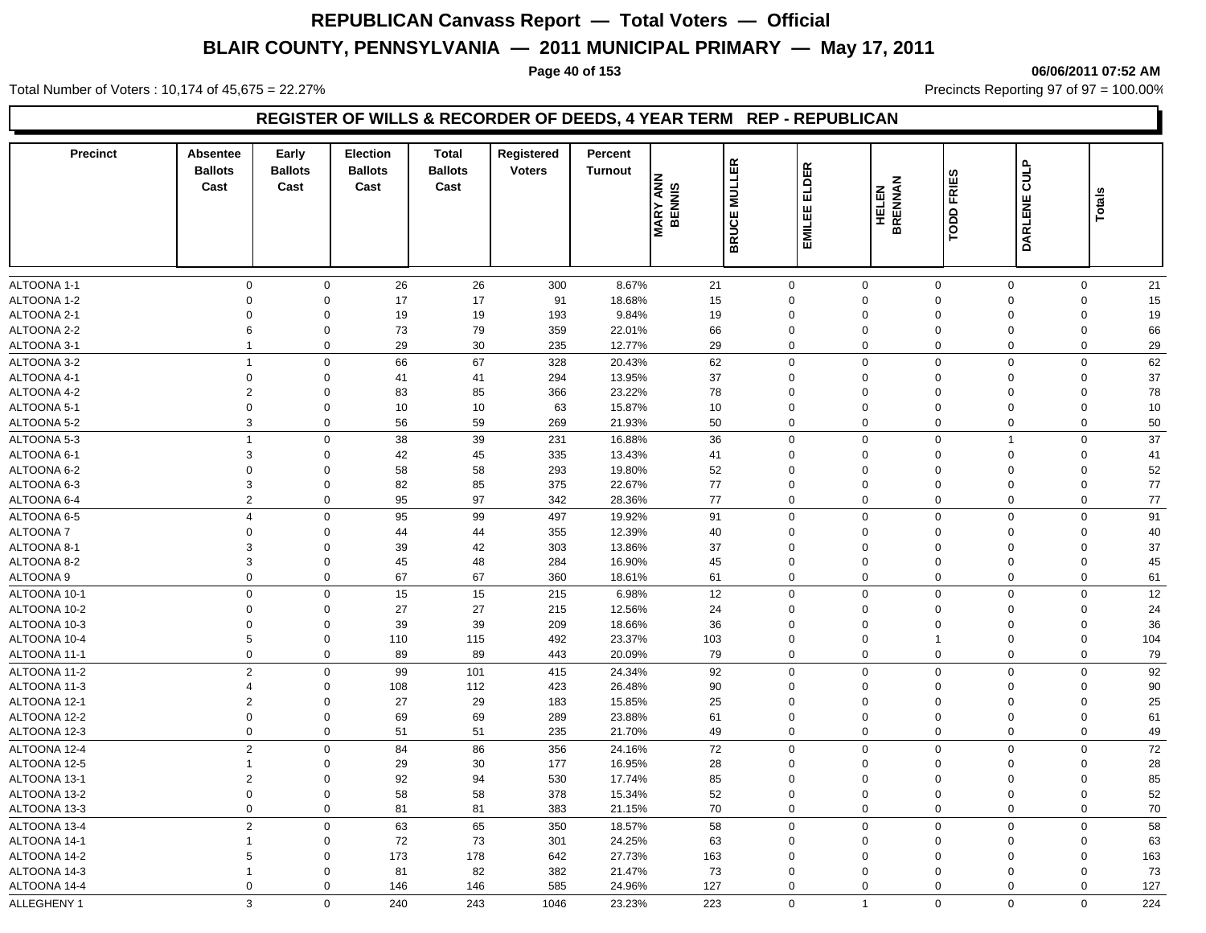Total Number of Voters : 10,174 of 45,675 = 22.27% **Precincts Reporting 97 of 97 = 100.00%** Precincts Reporting 97 of 97 = 100.00%

**Page 40 of 153 06/06/2011 07:52 AM**

## **REGISTER OF WILLS & RECORDER OF DEEDS, 4 YEAR TERM REP - REPUBLICAN**

| <b>DARLENE</b><br>EMILEE<br><b>BRUCE</b><br>ᅙ<br>26<br>21<br>0<br>$\mathbf 0$<br>26<br>300<br>8.67%<br>$\mathbf 0$<br>$\mathbf 0$<br>$\mathbf 0$<br>$\mathbf 0$<br>$\mathbf 0$<br>21<br>$\mathbf 0$<br>17<br>17<br>91<br>18.68%<br>15<br>$\Omega$<br>$\Omega$<br>$\mathbf 0$<br>15<br>$\Omega$<br>$\mathbf 0$<br>$\Omega$<br>19<br>19<br>193<br>9.84%<br>19<br>$\mathbf 0$<br>19<br>$\Omega$<br>$\mathbf 0$<br>$\mathbf 0$<br>$\Omega$<br>$\Omega$<br>$\Omega$<br>ALTOONA 2-2<br>6<br>$\mathbf 0$<br>73<br>79<br>359<br>22.01%<br>66<br>$\Omega$<br>$\mathbf 0$<br>$\Omega$<br>$\mathbf 0$<br>66<br>$\mathbf 0$<br>29<br>ALTOONA 3-1<br>$\mathbf 0$<br>29<br>30<br>235<br>12.77%<br>29<br>$\mathbf 0$<br>$\mathbf 0$<br>$\Omega$<br>$\Omega$<br>$\mathbf 0$<br>$\mathbf{1}$<br>62<br>$\overline{1}$<br>$\mathbf 0$<br>66<br>67<br>328<br>62<br>$\mathbf 0$<br>$\mathbf 0$<br>$\Omega$<br>$\mathbf 0$<br>20.43%<br>$\Omega$<br>37<br>37<br>$\mathbf 0$<br>$\mathbf 0$<br>41<br>41<br>294<br>13.95%<br>$\Omega$<br>$\Omega$<br>$\mathbf 0$<br>$\mathbf 0$<br>$\Omega$<br>$\overline{2}$<br>83<br>85<br>366<br>23.22%<br>78<br>$\Omega$<br>$\Omega$<br>$\mathbf 0$<br>78<br>$\mathbf 0$<br>$\mathbf 0$<br>$\Omega$<br>$\mathbf 0$<br>10<br>10<br>63<br>15.87%<br>10<br>$\mathbf 0$<br>$\mathbf 0$<br>10<br>0<br>0<br>$\Omega$<br>$\mathbf 0$<br>3<br>59<br>50<br>$\mathbf 0$<br>56<br>269<br>21.93%<br>50<br>0<br>$\mathbf 0$<br>$\mathbf 0$<br>$\mathbf 0$<br>0<br>37<br>$\overline{1}$<br>38<br>39<br>231<br>36<br>$\mathbf 0$<br>$\mathbf 0$<br>$\mathbf 0$<br>16.88%<br>$\mathbf 0$<br>$\Omega$<br>1<br>3<br>42<br>45<br>335<br>13.43%<br>41<br>$\Omega$<br>$\Omega$<br>$\mathbf 0$<br>41<br>$\mathbf 0$<br>$\mathbf 0$<br>$\Omega$<br>52<br>52<br>58<br>58<br>293<br>19.80%<br>$\mathbf 0$<br>$\mathbf 0$<br>$\mathbf 0$<br>$\mathbf 0$<br>$\mathbf 0$<br>$\Omega$<br>$\mathbf 0$<br>85<br>77<br>77<br>3<br>$\mathbf 0$<br>82<br>375<br>22.67%<br>$\mathbf 0$<br>$\mathbf 0$<br>$\Omega$<br>$\Omega$<br>0<br>77<br>$77 \,$<br>$\overline{2}$<br>95<br>97<br>$\Omega$<br>$\Omega$<br>342<br>28.36%<br>0<br>$\Omega$<br>$\Omega$<br>0<br>95<br>99<br>497<br>19.92%<br>91<br>$\mathbf 0$<br>$\mathbf 0$<br>$\mathbf 0$<br>$\mathbf 0$<br>91<br>$\overline{4}$<br>$\mathbf 0$<br>$\Omega$<br>44<br>44<br>355<br>12.39%<br>40<br>$\mathbf 0$<br>40<br>$\mathbf 0$<br>$\mathbf 0$<br>0<br>$\mathbf 0$<br>$\Omega$<br>$\mathbf 0$<br>37<br>37<br>3<br>39<br>42<br>303<br>13.86%<br>$\Omega$<br>$\mathbf 0$<br>$\mathbf 0$<br>0<br>$\Omega$<br>$\Omega$<br>3<br>48<br>45<br>$\mathbf 0$<br>45<br>284<br>45<br>$\mathbf 0$<br>$\Omega$<br>$\Omega$<br>0<br>16.90%<br>0<br>0<br>$\mathbf 0$<br>67<br>67<br>360<br>61<br>$\mathbf 0$<br>$\mathbf 0$<br>$\mathbf 0$<br>$\mathbf 0$<br>$\mathbf 0$<br>61<br>18.61%<br>12<br>0<br>$\mathbf 0$<br>15<br>15<br>215<br>6.98%<br>12<br>$\mathbf 0$<br>$\mathbf 0$<br>$\Omega$<br>$\overline{0}$<br>$\mathbf 0$<br>27<br>27<br>24<br>$\Omega$<br>$\mathbf 0$<br>215<br>12.56%<br>0<br>$\mathbf 0$<br>$\Omega$<br>0<br>24<br>$\Omega$<br>39<br>36<br>36<br>$\mathbf 0$<br>39<br>209<br>18.66%<br>$\Omega$<br>0<br>$\Omega$<br>0<br>$\Omega$<br>$\Omega$<br>5<br>$\mathbf 0$<br>492<br>$\mathbf 0$<br>$\mathbf 0$<br>$\mathbf 0$<br>104<br>110<br>115<br>23.37%<br>103<br>$\Omega$<br>$\overline{1}$<br>0<br>$\mathbf 0$<br>89<br>89<br>443<br>20.09%<br>79<br>$\mathbf 0$<br>$\mathbf 0$<br>$\mathbf 0$<br>$\mathbf 0$<br>$\mathbf 0$<br>79<br>$\overline{2}$<br>99<br>92<br>92<br>$\mathbf 0$<br>101<br>415<br>$\mathbf 0$<br>$\mathbf 0$<br>$\Omega$<br>$\mathbf 0$<br>24.34%<br>$\Omega$<br>90<br>$\mathbf 0$<br>108<br>112<br>423<br>26.48%<br>$\mathbf 0$<br>0<br>90<br>$\overline{4}$<br>0<br>$\Omega$<br>$\Omega$<br>$\overline{2}$<br>27<br>29<br>183<br>25<br>$\mathbf 0$<br>25<br>$\mathbf 0$<br>15.85%<br>$\Omega$<br>$\Omega$<br>$\Omega$<br>$\Omega$<br>$\mathbf 0$<br>69<br>69<br>289<br>61<br>$\mathbf 0$<br>$\mathbf 0$<br>$\mathbf 0$<br>61<br>$\mathbf 0$<br>23.88%<br>0<br>$\mathbf 0$<br>49<br>$\mathbf 0$<br>49<br>0<br>$\mathbf 0$<br>51<br>51<br>235<br>21.70%<br>0<br>$\mathbf 0$<br>$\mathbf 0$<br>$\mathbf 0$<br>$\overline{c}$<br>$\mathbf 0$<br>72<br>$\mathbf 0$<br>$72\,$<br>84<br>86<br>$\mathbf 0$<br>$\mathbf 0$<br>$\Omega$<br>$\mathsf 0$<br>356<br>24.16%<br>29<br>30<br>28<br>28<br>$\mathbf 0$<br>177<br>16.95%<br>0<br>$\Omega$<br>$\Omega$<br>$\Omega$<br>0<br>$\mathbf{1}$<br>$\overline{2}$<br>$\mathbf 0$<br>92<br>94<br>530<br>85<br>$\mathbf 0$<br>85<br>17.74%<br>0<br>$\mathbf 0$<br>$\mathbf 0$<br>$\mathbf 0$<br>58<br>58<br>378<br>52<br>$\mathbf 0$<br>52<br>$\mathbf 0$<br>$\mathbf 0$<br>15.34%<br>0<br>$\mathbf 0$<br>$\mathbf 0$<br>$\mathbf 0$<br>$\mathbf 0$<br>81<br>81<br>70<br>$\mathbf 0$<br>$\mathbf 0$<br>70<br>0<br>383<br>21.15%<br>0<br>$\mathbf 0$<br>0<br>$\overline{2}$<br>58<br>$\mathbf 0$<br>63<br>65<br>350<br>18.57%<br>58<br>$\mathbf 0$<br>$\mathbf 0$<br>$\mathbf 0$<br>$\mathbf 0$<br>$\mathbf 0$<br>72<br>73<br>301<br>24.25%<br>63<br>$\mathbf 0$<br>63<br>$\mathbf{1}$<br>$\mathbf 0$<br>0<br>$\mathbf 0$<br>$\mathbf 0$<br>$\mathbf 0$<br>173<br>178<br>642<br>163<br>5<br>$\mathbf 0$<br>27.73%<br>163<br>$\mathbf 0$<br>$\mathbf 0$<br>$\Omega$<br>$\mathbf 0$<br>0<br>82<br>382<br>73<br>73<br>$\mathbf{1}$<br>$\mathbf{0}$<br>81<br>21.47%<br>$\mathbf 0$<br>$\Omega$<br>$\Omega$<br>$\Omega$<br>$\mathbf 0$<br>$\mathbf 0$<br>585<br>127<br>$\Omega$<br>$\mathbf 0$<br>127<br>$\Omega$<br>146<br>146<br>24.96%<br>0<br>$\Omega$<br>0<br>3<br>$\mathbf 0$<br>$\mathbf{1}$ | <b>Precinct</b> | Absentee<br><b>Ballots</b><br>Cast | Early<br><b>Ballots</b><br>Cast | <b>Election</b><br><b>Ballots</b><br>Cast | <b>Total</b><br><b>Ballots</b><br>Cast | Registered<br><b>Voters</b> | Percent<br><b>Turnout</b> | <b>IRY ANNE</b><br><b>MARY</b> | <b>MULLER</b> | <b>ELDER</b> | <b>TODD FRIES</b><br><b>HELEN<br/>BRENNAN</b> | CULP        | Totals      |     |
|-----------------------------------------------------------------------------------------------------------------------------------------------------------------------------------------------------------------------------------------------------------------------------------------------------------------------------------------------------------------------------------------------------------------------------------------------------------------------------------------------------------------------------------------------------------------------------------------------------------------------------------------------------------------------------------------------------------------------------------------------------------------------------------------------------------------------------------------------------------------------------------------------------------------------------------------------------------------------------------------------------------------------------------------------------------------------------------------------------------------------------------------------------------------------------------------------------------------------------------------------------------------------------------------------------------------------------------------------------------------------------------------------------------------------------------------------------------------------------------------------------------------------------------------------------------------------------------------------------------------------------------------------------------------------------------------------------------------------------------------------------------------------------------------------------------------------------------------------------------------------------------------------------------------------------------------------------------------------------------------------------------------------------------------------------------------------------------------------------------------------------------------------------------------------------------------------------------------------------------------------------------------------------------------------------------------------------------------------------------------------------------------------------------------------------------------------------------------------------------------------------------------------------------------------------------------------------------------------------------------------------------------------------------------------------------------------------------------------------------------------------------------------------------------------------------------------------------------------------------------------------------------------------------------------------------------------------------------------------------------------------------------------------------------------------------------------------------------------------------------------------------------------------------------------------------------------------------------------------------------------------------------------------------------------------------------------------------------------------------------------------------------------------------------------------------------------------------------------------------------------------------------------------------------------------------------------------------------------------------------------------------------------------------------------------------------------------------------------------------------------------------------------------------------------------------------------------------------------------------------------------------------------------------------------------------------------------------------------------------------------------------------------------------------------------------------------------------------------------------------------------------------------------------------------------------------------------------------------------------------------------------------------------------------------------------------------------------------------------------------------------------------------------------------------------------------------------------------------------------------------------------------------------------------------------------------------------------------------------------------------------------------------------------------------------------------------------------------------------------------------------------------------------------------------------------------------------------------------------------------------------------------------------------------------------------------------------------------------------------------------------------------------------------------------------------------------------------------------------------------------------------------------------------------------------------------------------------------------------------------------------------------------------------------------------------------------------------------------------------------------------------------------------------------------------------------------------------------------------------------------------------------------------------------------------------------------------------------------|-----------------|------------------------------------|---------------------------------|-------------------------------------------|----------------------------------------|-----------------------------|---------------------------|--------------------------------|---------------|--------------|-----------------------------------------------|-------------|-------------|-----|
|                                                                                                                                                                                                                                                                                                                                                                                                                                                                                                                                                                                                                                                                                                                                                                                                                                                                                                                                                                                                                                                                                                                                                                                                                                                                                                                                                                                                                                                                                                                                                                                                                                                                                                                                                                                                                                                                                                                                                                                                                                                                                                                                                                                                                                                                                                                                                                                                                                                                                                                                                                                                                                                                                                                                                                                                                                                                                                                                                                                                                                                                                                                                                                                                                                                                                                                                                                                                                                                                                                                                                                                                                                                                                                                                                                                                                                                                                                                                                                                                                                                                                                                                                                                                                                                                                                                                                                                                                                                                                                                                                                                                                                                                                                                                                                                                                                                                                                                                                                                                                                                                                                                                                                                                                                                                                                                                                                                                                                                                                                                                                                                               |                 |                                    |                                 |                                           |                                        |                             |                           |                                |               |              |                                               |             |             |     |
|                                                                                                                                                                                                                                                                                                                                                                                                                                                                                                                                                                                                                                                                                                                                                                                                                                                                                                                                                                                                                                                                                                                                                                                                                                                                                                                                                                                                                                                                                                                                                                                                                                                                                                                                                                                                                                                                                                                                                                                                                                                                                                                                                                                                                                                                                                                                                                                                                                                                                                                                                                                                                                                                                                                                                                                                                                                                                                                                                                                                                                                                                                                                                                                                                                                                                                                                                                                                                                                                                                                                                                                                                                                                                                                                                                                                                                                                                                                                                                                                                                                                                                                                                                                                                                                                                                                                                                                                                                                                                                                                                                                                                                                                                                                                                                                                                                                                                                                                                                                                                                                                                                                                                                                                                                                                                                                                                                                                                                                                                                                                                                                               | ALTOONA 1-1     |                                    |                                 |                                           |                                        |                             |                           |                                |               |              |                                               |             |             |     |
|                                                                                                                                                                                                                                                                                                                                                                                                                                                                                                                                                                                                                                                                                                                                                                                                                                                                                                                                                                                                                                                                                                                                                                                                                                                                                                                                                                                                                                                                                                                                                                                                                                                                                                                                                                                                                                                                                                                                                                                                                                                                                                                                                                                                                                                                                                                                                                                                                                                                                                                                                                                                                                                                                                                                                                                                                                                                                                                                                                                                                                                                                                                                                                                                                                                                                                                                                                                                                                                                                                                                                                                                                                                                                                                                                                                                                                                                                                                                                                                                                                                                                                                                                                                                                                                                                                                                                                                                                                                                                                                                                                                                                                                                                                                                                                                                                                                                                                                                                                                                                                                                                                                                                                                                                                                                                                                                                                                                                                                                                                                                                                                               | ALTOONA 1-2     |                                    |                                 |                                           |                                        |                             |                           |                                |               |              |                                               |             |             |     |
|                                                                                                                                                                                                                                                                                                                                                                                                                                                                                                                                                                                                                                                                                                                                                                                                                                                                                                                                                                                                                                                                                                                                                                                                                                                                                                                                                                                                                                                                                                                                                                                                                                                                                                                                                                                                                                                                                                                                                                                                                                                                                                                                                                                                                                                                                                                                                                                                                                                                                                                                                                                                                                                                                                                                                                                                                                                                                                                                                                                                                                                                                                                                                                                                                                                                                                                                                                                                                                                                                                                                                                                                                                                                                                                                                                                                                                                                                                                                                                                                                                                                                                                                                                                                                                                                                                                                                                                                                                                                                                                                                                                                                                                                                                                                                                                                                                                                                                                                                                                                                                                                                                                                                                                                                                                                                                                                                                                                                                                                                                                                                                                               | ALTOONA 2-1     |                                    |                                 |                                           |                                        |                             |                           |                                |               |              |                                               |             |             |     |
|                                                                                                                                                                                                                                                                                                                                                                                                                                                                                                                                                                                                                                                                                                                                                                                                                                                                                                                                                                                                                                                                                                                                                                                                                                                                                                                                                                                                                                                                                                                                                                                                                                                                                                                                                                                                                                                                                                                                                                                                                                                                                                                                                                                                                                                                                                                                                                                                                                                                                                                                                                                                                                                                                                                                                                                                                                                                                                                                                                                                                                                                                                                                                                                                                                                                                                                                                                                                                                                                                                                                                                                                                                                                                                                                                                                                                                                                                                                                                                                                                                                                                                                                                                                                                                                                                                                                                                                                                                                                                                                                                                                                                                                                                                                                                                                                                                                                                                                                                                                                                                                                                                                                                                                                                                                                                                                                                                                                                                                                                                                                                                                               |                 |                                    |                                 |                                           |                                        |                             |                           |                                |               |              |                                               |             |             |     |
|                                                                                                                                                                                                                                                                                                                                                                                                                                                                                                                                                                                                                                                                                                                                                                                                                                                                                                                                                                                                                                                                                                                                                                                                                                                                                                                                                                                                                                                                                                                                                                                                                                                                                                                                                                                                                                                                                                                                                                                                                                                                                                                                                                                                                                                                                                                                                                                                                                                                                                                                                                                                                                                                                                                                                                                                                                                                                                                                                                                                                                                                                                                                                                                                                                                                                                                                                                                                                                                                                                                                                                                                                                                                                                                                                                                                                                                                                                                                                                                                                                                                                                                                                                                                                                                                                                                                                                                                                                                                                                                                                                                                                                                                                                                                                                                                                                                                                                                                                                                                                                                                                                                                                                                                                                                                                                                                                                                                                                                                                                                                                                                               |                 |                                    |                                 |                                           |                                        |                             |                           |                                |               |              |                                               |             |             |     |
|                                                                                                                                                                                                                                                                                                                                                                                                                                                                                                                                                                                                                                                                                                                                                                                                                                                                                                                                                                                                                                                                                                                                                                                                                                                                                                                                                                                                                                                                                                                                                                                                                                                                                                                                                                                                                                                                                                                                                                                                                                                                                                                                                                                                                                                                                                                                                                                                                                                                                                                                                                                                                                                                                                                                                                                                                                                                                                                                                                                                                                                                                                                                                                                                                                                                                                                                                                                                                                                                                                                                                                                                                                                                                                                                                                                                                                                                                                                                                                                                                                                                                                                                                                                                                                                                                                                                                                                                                                                                                                                                                                                                                                                                                                                                                                                                                                                                                                                                                                                                                                                                                                                                                                                                                                                                                                                                                                                                                                                                                                                                                                                               | ALTOONA 3-2     |                                    |                                 |                                           |                                        |                             |                           |                                |               |              |                                               |             |             |     |
|                                                                                                                                                                                                                                                                                                                                                                                                                                                                                                                                                                                                                                                                                                                                                                                                                                                                                                                                                                                                                                                                                                                                                                                                                                                                                                                                                                                                                                                                                                                                                                                                                                                                                                                                                                                                                                                                                                                                                                                                                                                                                                                                                                                                                                                                                                                                                                                                                                                                                                                                                                                                                                                                                                                                                                                                                                                                                                                                                                                                                                                                                                                                                                                                                                                                                                                                                                                                                                                                                                                                                                                                                                                                                                                                                                                                                                                                                                                                                                                                                                                                                                                                                                                                                                                                                                                                                                                                                                                                                                                                                                                                                                                                                                                                                                                                                                                                                                                                                                                                                                                                                                                                                                                                                                                                                                                                                                                                                                                                                                                                                                                               | ALTOONA 4-1     |                                    |                                 |                                           |                                        |                             |                           |                                |               |              |                                               |             |             |     |
|                                                                                                                                                                                                                                                                                                                                                                                                                                                                                                                                                                                                                                                                                                                                                                                                                                                                                                                                                                                                                                                                                                                                                                                                                                                                                                                                                                                                                                                                                                                                                                                                                                                                                                                                                                                                                                                                                                                                                                                                                                                                                                                                                                                                                                                                                                                                                                                                                                                                                                                                                                                                                                                                                                                                                                                                                                                                                                                                                                                                                                                                                                                                                                                                                                                                                                                                                                                                                                                                                                                                                                                                                                                                                                                                                                                                                                                                                                                                                                                                                                                                                                                                                                                                                                                                                                                                                                                                                                                                                                                                                                                                                                                                                                                                                                                                                                                                                                                                                                                                                                                                                                                                                                                                                                                                                                                                                                                                                                                                                                                                                                                               | ALTOONA 4-2     |                                    |                                 |                                           |                                        |                             |                           |                                |               |              |                                               |             |             |     |
|                                                                                                                                                                                                                                                                                                                                                                                                                                                                                                                                                                                                                                                                                                                                                                                                                                                                                                                                                                                                                                                                                                                                                                                                                                                                                                                                                                                                                                                                                                                                                                                                                                                                                                                                                                                                                                                                                                                                                                                                                                                                                                                                                                                                                                                                                                                                                                                                                                                                                                                                                                                                                                                                                                                                                                                                                                                                                                                                                                                                                                                                                                                                                                                                                                                                                                                                                                                                                                                                                                                                                                                                                                                                                                                                                                                                                                                                                                                                                                                                                                                                                                                                                                                                                                                                                                                                                                                                                                                                                                                                                                                                                                                                                                                                                                                                                                                                                                                                                                                                                                                                                                                                                                                                                                                                                                                                                                                                                                                                                                                                                                                               | ALTOONA 5-1     |                                    |                                 |                                           |                                        |                             |                           |                                |               |              |                                               |             |             |     |
|                                                                                                                                                                                                                                                                                                                                                                                                                                                                                                                                                                                                                                                                                                                                                                                                                                                                                                                                                                                                                                                                                                                                                                                                                                                                                                                                                                                                                                                                                                                                                                                                                                                                                                                                                                                                                                                                                                                                                                                                                                                                                                                                                                                                                                                                                                                                                                                                                                                                                                                                                                                                                                                                                                                                                                                                                                                                                                                                                                                                                                                                                                                                                                                                                                                                                                                                                                                                                                                                                                                                                                                                                                                                                                                                                                                                                                                                                                                                                                                                                                                                                                                                                                                                                                                                                                                                                                                                                                                                                                                                                                                                                                                                                                                                                                                                                                                                                                                                                                                                                                                                                                                                                                                                                                                                                                                                                                                                                                                                                                                                                                                               | ALTOONA 5-2     |                                    |                                 |                                           |                                        |                             |                           |                                |               |              |                                               |             |             |     |
|                                                                                                                                                                                                                                                                                                                                                                                                                                                                                                                                                                                                                                                                                                                                                                                                                                                                                                                                                                                                                                                                                                                                                                                                                                                                                                                                                                                                                                                                                                                                                                                                                                                                                                                                                                                                                                                                                                                                                                                                                                                                                                                                                                                                                                                                                                                                                                                                                                                                                                                                                                                                                                                                                                                                                                                                                                                                                                                                                                                                                                                                                                                                                                                                                                                                                                                                                                                                                                                                                                                                                                                                                                                                                                                                                                                                                                                                                                                                                                                                                                                                                                                                                                                                                                                                                                                                                                                                                                                                                                                                                                                                                                                                                                                                                                                                                                                                                                                                                                                                                                                                                                                                                                                                                                                                                                                                                                                                                                                                                                                                                                                               | ALTOONA 5-3     |                                    |                                 |                                           |                                        |                             |                           |                                |               |              |                                               |             |             |     |
|                                                                                                                                                                                                                                                                                                                                                                                                                                                                                                                                                                                                                                                                                                                                                                                                                                                                                                                                                                                                                                                                                                                                                                                                                                                                                                                                                                                                                                                                                                                                                                                                                                                                                                                                                                                                                                                                                                                                                                                                                                                                                                                                                                                                                                                                                                                                                                                                                                                                                                                                                                                                                                                                                                                                                                                                                                                                                                                                                                                                                                                                                                                                                                                                                                                                                                                                                                                                                                                                                                                                                                                                                                                                                                                                                                                                                                                                                                                                                                                                                                                                                                                                                                                                                                                                                                                                                                                                                                                                                                                                                                                                                                                                                                                                                                                                                                                                                                                                                                                                                                                                                                                                                                                                                                                                                                                                                                                                                                                                                                                                                                                               | ALTOONA 6-1     |                                    |                                 |                                           |                                        |                             |                           |                                |               |              |                                               |             |             |     |
|                                                                                                                                                                                                                                                                                                                                                                                                                                                                                                                                                                                                                                                                                                                                                                                                                                                                                                                                                                                                                                                                                                                                                                                                                                                                                                                                                                                                                                                                                                                                                                                                                                                                                                                                                                                                                                                                                                                                                                                                                                                                                                                                                                                                                                                                                                                                                                                                                                                                                                                                                                                                                                                                                                                                                                                                                                                                                                                                                                                                                                                                                                                                                                                                                                                                                                                                                                                                                                                                                                                                                                                                                                                                                                                                                                                                                                                                                                                                                                                                                                                                                                                                                                                                                                                                                                                                                                                                                                                                                                                                                                                                                                                                                                                                                                                                                                                                                                                                                                                                                                                                                                                                                                                                                                                                                                                                                                                                                                                                                                                                                                                               | ALTOONA 6-2     |                                    |                                 |                                           |                                        |                             |                           |                                |               |              |                                               |             |             |     |
|                                                                                                                                                                                                                                                                                                                                                                                                                                                                                                                                                                                                                                                                                                                                                                                                                                                                                                                                                                                                                                                                                                                                                                                                                                                                                                                                                                                                                                                                                                                                                                                                                                                                                                                                                                                                                                                                                                                                                                                                                                                                                                                                                                                                                                                                                                                                                                                                                                                                                                                                                                                                                                                                                                                                                                                                                                                                                                                                                                                                                                                                                                                                                                                                                                                                                                                                                                                                                                                                                                                                                                                                                                                                                                                                                                                                                                                                                                                                                                                                                                                                                                                                                                                                                                                                                                                                                                                                                                                                                                                                                                                                                                                                                                                                                                                                                                                                                                                                                                                                                                                                                                                                                                                                                                                                                                                                                                                                                                                                                                                                                                                               | ALTOONA 6-3     |                                    |                                 |                                           |                                        |                             |                           |                                |               |              |                                               |             |             |     |
|                                                                                                                                                                                                                                                                                                                                                                                                                                                                                                                                                                                                                                                                                                                                                                                                                                                                                                                                                                                                                                                                                                                                                                                                                                                                                                                                                                                                                                                                                                                                                                                                                                                                                                                                                                                                                                                                                                                                                                                                                                                                                                                                                                                                                                                                                                                                                                                                                                                                                                                                                                                                                                                                                                                                                                                                                                                                                                                                                                                                                                                                                                                                                                                                                                                                                                                                                                                                                                                                                                                                                                                                                                                                                                                                                                                                                                                                                                                                                                                                                                                                                                                                                                                                                                                                                                                                                                                                                                                                                                                                                                                                                                                                                                                                                                                                                                                                                                                                                                                                                                                                                                                                                                                                                                                                                                                                                                                                                                                                                                                                                                                               | ALTOONA 6-4     |                                    |                                 |                                           |                                        |                             |                           |                                |               |              |                                               |             |             |     |
|                                                                                                                                                                                                                                                                                                                                                                                                                                                                                                                                                                                                                                                                                                                                                                                                                                                                                                                                                                                                                                                                                                                                                                                                                                                                                                                                                                                                                                                                                                                                                                                                                                                                                                                                                                                                                                                                                                                                                                                                                                                                                                                                                                                                                                                                                                                                                                                                                                                                                                                                                                                                                                                                                                                                                                                                                                                                                                                                                                                                                                                                                                                                                                                                                                                                                                                                                                                                                                                                                                                                                                                                                                                                                                                                                                                                                                                                                                                                                                                                                                                                                                                                                                                                                                                                                                                                                                                                                                                                                                                                                                                                                                                                                                                                                                                                                                                                                                                                                                                                                                                                                                                                                                                                                                                                                                                                                                                                                                                                                                                                                                                               | ALTOONA 6-5     |                                    |                                 |                                           |                                        |                             |                           |                                |               |              |                                               |             |             |     |
|                                                                                                                                                                                                                                                                                                                                                                                                                                                                                                                                                                                                                                                                                                                                                                                                                                                                                                                                                                                                                                                                                                                                                                                                                                                                                                                                                                                                                                                                                                                                                                                                                                                                                                                                                                                                                                                                                                                                                                                                                                                                                                                                                                                                                                                                                                                                                                                                                                                                                                                                                                                                                                                                                                                                                                                                                                                                                                                                                                                                                                                                                                                                                                                                                                                                                                                                                                                                                                                                                                                                                                                                                                                                                                                                                                                                                                                                                                                                                                                                                                                                                                                                                                                                                                                                                                                                                                                                                                                                                                                                                                                                                                                                                                                                                                                                                                                                                                                                                                                                                                                                                                                                                                                                                                                                                                                                                                                                                                                                                                                                                                                               | <b>ALTOONA7</b> |                                    |                                 |                                           |                                        |                             |                           |                                |               |              |                                               |             |             |     |
|                                                                                                                                                                                                                                                                                                                                                                                                                                                                                                                                                                                                                                                                                                                                                                                                                                                                                                                                                                                                                                                                                                                                                                                                                                                                                                                                                                                                                                                                                                                                                                                                                                                                                                                                                                                                                                                                                                                                                                                                                                                                                                                                                                                                                                                                                                                                                                                                                                                                                                                                                                                                                                                                                                                                                                                                                                                                                                                                                                                                                                                                                                                                                                                                                                                                                                                                                                                                                                                                                                                                                                                                                                                                                                                                                                                                                                                                                                                                                                                                                                                                                                                                                                                                                                                                                                                                                                                                                                                                                                                                                                                                                                                                                                                                                                                                                                                                                                                                                                                                                                                                                                                                                                                                                                                                                                                                                                                                                                                                                                                                                                                               | ALTOONA 8-1     |                                    |                                 |                                           |                                        |                             |                           |                                |               |              |                                               |             |             |     |
|                                                                                                                                                                                                                                                                                                                                                                                                                                                                                                                                                                                                                                                                                                                                                                                                                                                                                                                                                                                                                                                                                                                                                                                                                                                                                                                                                                                                                                                                                                                                                                                                                                                                                                                                                                                                                                                                                                                                                                                                                                                                                                                                                                                                                                                                                                                                                                                                                                                                                                                                                                                                                                                                                                                                                                                                                                                                                                                                                                                                                                                                                                                                                                                                                                                                                                                                                                                                                                                                                                                                                                                                                                                                                                                                                                                                                                                                                                                                                                                                                                                                                                                                                                                                                                                                                                                                                                                                                                                                                                                                                                                                                                                                                                                                                                                                                                                                                                                                                                                                                                                                                                                                                                                                                                                                                                                                                                                                                                                                                                                                                                                               | ALTOONA 8-2     |                                    |                                 |                                           |                                        |                             |                           |                                |               |              |                                               |             |             |     |
|                                                                                                                                                                                                                                                                                                                                                                                                                                                                                                                                                                                                                                                                                                                                                                                                                                                                                                                                                                                                                                                                                                                                                                                                                                                                                                                                                                                                                                                                                                                                                                                                                                                                                                                                                                                                                                                                                                                                                                                                                                                                                                                                                                                                                                                                                                                                                                                                                                                                                                                                                                                                                                                                                                                                                                                                                                                                                                                                                                                                                                                                                                                                                                                                                                                                                                                                                                                                                                                                                                                                                                                                                                                                                                                                                                                                                                                                                                                                                                                                                                                                                                                                                                                                                                                                                                                                                                                                                                                                                                                                                                                                                                                                                                                                                                                                                                                                                                                                                                                                                                                                                                                                                                                                                                                                                                                                                                                                                                                                                                                                                                                               | ALTOONA 9       |                                    |                                 |                                           |                                        |                             |                           |                                |               |              |                                               |             |             |     |
|                                                                                                                                                                                                                                                                                                                                                                                                                                                                                                                                                                                                                                                                                                                                                                                                                                                                                                                                                                                                                                                                                                                                                                                                                                                                                                                                                                                                                                                                                                                                                                                                                                                                                                                                                                                                                                                                                                                                                                                                                                                                                                                                                                                                                                                                                                                                                                                                                                                                                                                                                                                                                                                                                                                                                                                                                                                                                                                                                                                                                                                                                                                                                                                                                                                                                                                                                                                                                                                                                                                                                                                                                                                                                                                                                                                                                                                                                                                                                                                                                                                                                                                                                                                                                                                                                                                                                                                                                                                                                                                                                                                                                                                                                                                                                                                                                                                                                                                                                                                                                                                                                                                                                                                                                                                                                                                                                                                                                                                                                                                                                                                               | ALTOONA 10-1    |                                    |                                 |                                           |                                        |                             |                           |                                |               |              |                                               |             |             |     |
|                                                                                                                                                                                                                                                                                                                                                                                                                                                                                                                                                                                                                                                                                                                                                                                                                                                                                                                                                                                                                                                                                                                                                                                                                                                                                                                                                                                                                                                                                                                                                                                                                                                                                                                                                                                                                                                                                                                                                                                                                                                                                                                                                                                                                                                                                                                                                                                                                                                                                                                                                                                                                                                                                                                                                                                                                                                                                                                                                                                                                                                                                                                                                                                                                                                                                                                                                                                                                                                                                                                                                                                                                                                                                                                                                                                                                                                                                                                                                                                                                                                                                                                                                                                                                                                                                                                                                                                                                                                                                                                                                                                                                                                                                                                                                                                                                                                                                                                                                                                                                                                                                                                                                                                                                                                                                                                                                                                                                                                                                                                                                                                               | ALTOONA 10-2    |                                    |                                 |                                           |                                        |                             |                           |                                |               |              |                                               |             |             |     |
|                                                                                                                                                                                                                                                                                                                                                                                                                                                                                                                                                                                                                                                                                                                                                                                                                                                                                                                                                                                                                                                                                                                                                                                                                                                                                                                                                                                                                                                                                                                                                                                                                                                                                                                                                                                                                                                                                                                                                                                                                                                                                                                                                                                                                                                                                                                                                                                                                                                                                                                                                                                                                                                                                                                                                                                                                                                                                                                                                                                                                                                                                                                                                                                                                                                                                                                                                                                                                                                                                                                                                                                                                                                                                                                                                                                                                                                                                                                                                                                                                                                                                                                                                                                                                                                                                                                                                                                                                                                                                                                                                                                                                                                                                                                                                                                                                                                                                                                                                                                                                                                                                                                                                                                                                                                                                                                                                                                                                                                                                                                                                                                               | ALTOONA 10-3    |                                    |                                 |                                           |                                        |                             |                           |                                |               |              |                                               |             |             |     |
|                                                                                                                                                                                                                                                                                                                                                                                                                                                                                                                                                                                                                                                                                                                                                                                                                                                                                                                                                                                                                                                                                                                                                                                                                                                                                                                                                                                                                                                                                                                                                                                                                                                                                                                                                                                                                                                                                                                                                                                                                                                                                                                                                                                                                                                                                                                                                                                                                                                                                                                                                                                                                                                                                                                                                                                                                                                                                                                                                                                                                                                                                                                                                                                                                                                                                                                                                                                                                                                                                                                                                                                                                                                                                                                                                                                                                                                                                                                                                                                                                                                                                                                                                                                                                                                                                                                                                                                                                                                                                                                                                                                                                                                                                                                                                                                                                                                                                                                                                                                                                                                                                                                                                                                                                                                                                                                                                                                                                                                                                                                                                                                               | ALTOONA 10-4    |                                    |                                 |                                           |                                        |                             |                           |                                |               |              |                                               |             |             |     |
|                                                                                                                                                                                                                                                                                                                                                                                                                                                                                                                                                                                                                                                                                                                                                                                                                                                                                                                                                                                                                                                                                                                                                                                                                                                                                                                                                                                                                                                                                                                                                                                                                                                                                                                                                                                                                                                                                                                                                                                                                                                                                                                                                                                                                                                                                                                                                                                                                                                                                                                                                                                                                                                                                                                                                                                                                                                                                                                                                                                                                                                                                                                                                                                                                                                                                                                                                                                                                                                                                                                                                                                                                                                                                                                                                                                                                                                                                                                                                                                                                                                                                                                                                                                                                                                                                                                                                                                                                                                                                                                                                                                                                                                                                                                                                                                                                                                                                                                                                                                                                                                                                                                                                                                                                                                                                                                                                                                                                                                                                                                                                                                               | ALTOONA 11-1    |                                    |                                 |                                           |                                        |                             |                           |                                |               |              |                                               |             |             |     |
|                                                                                                                                                                                                                                                                                                                                                                                                                                                                                                                                                                                                                                                                                                                                                                                                                                                                                                                                                                                                                                                                                                                                                                                                                                                                                                                                                                                                                                                                                                                                                                                                                                                                                                                                                                                                                                                                                                                                                                                                                                                                                                                                                                                                                                                                                                                                                                                                                                                                                                                                                                                                                                                                                                                                                                                                                                                                                                                                                                                                                                                                                                                                                                                                                                                                                                                                                                                                                                                                                                                                                                                                                                                                                                                                                                                                                                                                                                                                                                                                                                                                                                                                                                                                                                                                                                                                                                                                                                                                                                                                                                                                                                                                                                                                                                                                                                                                                                                                                                                                                                                                                                                                                                                                                                                                                                                                                                                                                                                                                                                                                                                               | ALTOONA 11-2    |                                    |                                 |                                           |                                        |                             |                           |                                |               |              |                                               |             |             |     |
|                                                                                                                                                                                                                                                                                                                                                                                                                                                                                                                                                                                                                                                                                                                                                                                                                                                                                                                                                                                                                                                                                                                                                                                                                                                                                                                                                                                                                                                                                                                                                                                                                                                                                                                                                                                                                                                                                                                                                                                                                                                                                                                                                                                                                                                                                                                                                                                                                                                                                                                                                                                                                                                                                                                                                                                                                                                                                                                                                                                                                                                                                                                                                                                                                                                                                                                                                                                                                                                                                                                                                                                                                                                                                                                                                                                                                                                                                                                                                                                                                                                                                                                                                                                                                                                                                                                                                                                                                                                                                                                                                                                                                                                                                                                                                                                                                                                                                                                                                                                                                                                                                                                                                                                                                                                                                                                                                                                                                                                                                                                                                                                               | ALTOONA 11-3    |                                    |                                 |                                           |                                        |                             |                           |                                |               |              |                                               |             |             |     |
|                                                                                                                                                                                                                                                                                                                                                                                                                                                                                                                                                                                                                                                                                                                                                                                                                                                                                                                                                                                                                                                                                                                                                                                                                                                                                                                                                                                                                                                                                                                                                                                                                                                                                                                                                                                                                                                                                                                                                                                                                                                                                                                                                                                                                                                                                                                                                                                                                                                                                                                                                                                                                                                                                                                                                                                                                                                                                                                                                                                                                                                                                                                                                                                                                                                                                                                                                                                                                                                                                                                                                                                                                                                                                                                                                                                                                                                                                                                                                                                                                                                                                                                                                                                                                                                                                                                                                                                                                                                                                                                                                                                                                                                                                                                                                                                                                                                                                                                                                                                                                                                                                                                                                                                                                                                                                                                                                                                                                                                                                                                                                                                               | ALTOONA 12-1    |                                    |                                 |                                           |                                        |                             |                           |                                |               |              |                                               |             |             |     |
|                                                                                                                                                                                                                                                                                                                                                                                                                                                                                                                                                                                                                                                                                                                                                                                                                                                                                                                                                                                                                                                                                                                                                                                                                                                                                                                                                                                                                                                                                                                                                                                                                                                                                                                                                                                                                                                                                                                                                                                                                                                                                                                                                                                                                                                                                                                                                                                                                                                                                                                                                                                                                                                                                                                                                                                                                                                                                                                                                                                                                                                                                                                                                                                                                                                                                                                                                                                                                                                                                                                                                                                                                                                                                                                                                                                                                                                                                                                                                                                                                                                                                                                                                                                                                                                                                                                                                                                                                                                                                                                                                                                                                                                                                                                                                                                                                                                                                                                                                                                                                                                                                                                                                                                                                                                                                                                                                                                                                                                                                                                                                                                               | ALTOONA 12-2    |                                    |                                 |                                           |                                        |                             |                           |                                |               |              |                                               |             |             |     |
|                                                                                                                                                                                                                                                                                                                                                                                                                                                                                                                                                                                                                                                                                                                                                                                                                                                                                                                                                                                                                                                                                                                                                                                                                                                                                                                                                                                                                                                                                                                                                                                                                                                                                                                                                                                                                                                                                                                                                                                                                                                                                                                                                                                                                                                                                                                                                                                                                                                                                                                                                                                                                                                                                                                                                                                                                                                                                                                                                                                                                                                                                                                                                                                                                                                                                                                                                                                                                                                                                                                                                                                                                                                                                                                                                                                                                                                                                                                                                                                                                                                                                                                                                                                                                                                                                                                                                                                                                                                                                                                                                                                                                                                                                                                                                                                                                                                                                                                                                                                                                                                                                                                                                                                                                                                                                                                                                                                                                                                                                                                                                                                               | ALTOONA 12-3    |                                    |                                 |                                           |                                        |                             |                           |                                |               |              |                                               |             |             |     |
|                                                                                                                                                                                                                                                                                                                                                                                                                                                                                                                                                                                                                                                                                                                                                                                                                                                                                                                                                                                                                                                                                                                                                                                                                                                                                                                                                                                                                                                                                                                                                                                                                                                                                                                                                                                                                                                                                                                                                                                                                                                                                                                                                                                                                                                                                                                                                                                                                                                                                                                                                                                                                                                                                                                                                                                                                                                                                                                                                                                                                                                                                                                                                                                                                                                                                                                                                                                                                                                                                                                                                                                                                                                                                                                                                                                                                                                                                                                                                                                                                                                                                                                                                                                                                                                                                                                                                                                                                                                                                                                                                                                                                                                                                                                                                                                                                                                                                                                                                                                                                                                                                                                                                                                                                                                                                                                                                                                                                                                                                                                                                                                               | ALTOONA 12-4    |                                    |                                 |                                           |                                        |                             |                           |                                |               |              |                                               |             |             |     |
|                                                                                                                                                                                                                                                                                                                                                                                                                                                                                                                                                                                                                                                                                                                                                                                                                                                                                                                                                                                                                                                                                                                                                                                                                                                                                                                                                                                                                                                                                                                                                                                                                                                                                                                                                                                                                                                                                                                                                                                                                                                                                                                                                                                                                                                                                                                                                                                                                                                                                                                                                                                                                                                                                                                                                                                                                                                                                                                                                                                                                                                                                                                                                                                                                                                                                                                                                                                                                                                                                                                                                                                                                                                                                                                                                                                                                                                                                                                                                                                                                                                                                                                                                                                                                                                                                                                                                                                                                                                                                                                                                                                                                                                                                                                                                                                                                                                                                                                                                                                                                                                                                                                                                                                                                                                                                                                                                                                                                                                                                                                                                                                               | ALTOONA 12-5    |                                    |                                 |                                           |                                        |                             |                           |                                |               |              |                                               |             |             |     |
|                                                                                                                                                                                                                                                                                                                                                                                                                                                                                                                                                                                                                                                                                                                                                                                                                                                                                                                                                                                                                                                                                                                                                                                                                                                                                                                                                                                                                                                                                                                                                                                                                                                                                                                                                                                                                                                                                                                                                                                                                                                                                                                                                                                                                                                                                                                                                                                                                                                                                                                                                                                                                                                                                                                                                                                                                                                                                                                                                                                                                                                                                                                                                                                                                                                                                                                                                                                                                                                                                                                                                                                                                                                                                                                                                                                                                                                                                                                                                                                                                                                                                                                                                                                                                                                                                                                                                                                                                                                                                                                                                                                                                                                                                                                                                                                                                                                                                                                                                                                                                                                                                                                                                                                                                                                                                                                                                                                                                                                                                                                                                                                               | ALTOONA 13-1    |                                    |                                 |                                           |                                        |                             |                           |                                |               |              |                                               |             |             |     |
|                                                                                                                                                                                                                                                                                                                                                                                                                                                                                                                                                                                                                                                                                                                                                                                                                                                                                                                                                                                                                                                                                                                                                                                                                                                                                                                                                                                                                                                                                                                                                                                                                                                                                                                                                                                                                                                                                                                                                                                                                                                                                                                                                                                                                                                                                                                                                                                                                                                                                                                                                                                                                                                                                                                                                                                                                                                                                                                                                                                                                                                                                                                                                                                                                                                                                                                                                                                                                                                                                                                                                                                                                                                                                                                                                                                                                                                                                                                                                                                                                                                                                                                                                                                                                                                                                                                                                                                                                                                                                                                                                                                                                                                                                                                                                                                                                                                                                                                                                                                                                                                                                                                                                                                                                                                                                                                                                                                                                                                                                                                                                                                               | ALTOONA 13-2    |                                    |                                 |                                           |                                        |                             |                           |                                |               |              |                                               |             |             |     |
|                                                                                                                                                                                                                                                                                                                                                                                                                                                                                                                                                                                                                                                                                                                                                                                                                                                                                                                                                                                                                                                                                                                                                                                                                                                                                                                                                                                                                                                                                                                                                                                                                                                                                                                                                                                                                                                                                                                                                                                                                                                                                                                                                                                                                                                                                                                                                                                                                                                                                                                                                                                                                                                                                                                                                                                                                                                                                                                                                                                                                                                                                                                                                                                                                                                                                                                                                                                                                                                                                                                                                                                                                                                                                                                                                                                                                                                                                                                                                                                                                                                                                                                                                                                                                                                                                                                                                                                                                                                                                                                                                                                                                                                                                                                                                                                                                                                                                                                                                                                                                                                                                                                                                                                                                                                                                                                                                                                                                                                                                                                                                                                               | ALTOONA 13-3    |                                    |                                 |                                           |                                        |                             |                           |                                |               |              |                                               |             |             |     |
|                                                                                                                                                                                                                                                                                                                                                                                                                                                                                                                                                                                                                                                                                                                                                                                                                                                                                                                                                                                                                                                                                                                                                                                                                                                                                                                                                                                                                                                                                                                                                                                                                                                                                                                                                                                                                                                                                                                                                                                                                                                                                                                                                                                                                                                                                                                                                                                                                                                                                                                                                                                                                                                                                                                                                                                                                                                                                                                                                                                                                                                                                                                                                                                                                                                                                                                                                                                                                                                                                                                                                                                                                                                                                                                                                                                                                                                                                                                                                                                                                                                                                                                                                                                                                                                                                                                                                                                                                                                                                                                                                                                                                                                                                                                                                                                                                                                                                                                                                                                                                                                                                                                                                                                                                                                                                                                                                                                                                                                                                                                                                                                               | ALTOONA 13-4    |                                    |                                 |                                           |                                        |                             |                           |                                |               |              |                                               |             |             |     |
|                                                                                                                                                                                                                                                                                                                                                                                                                                                                                                                                                                                                                                                                                                                                                                                                                                                                                                                                                                                                                                                                                                                                                                                                                                                                                                                                                                                                                                                                                                                                                                                                                                                                                                                                                                                                                                                                                                                                                                                                                                                                                                                                                                                                                                                                                                                                                                                                                                                                                                                                                                                                                                                                                                                                                                                                                                                                                                                                                                                                                                                                                                                                                                                                                                                                                                                                                                                                                                                                                                                                                                                                                                                                                                                                                                                                                                                                                                                                                                                                                                                                                                                                                                                                                                                                                                                                                                                                                                                                                                                                                                                                                                                                                                                                                                                                                                                                                                                                                                                                                                                                                                                                                                                                                                                                                                                                                                                                                                                                                                                                                                                               | ALTOONA 14-1    |                                    |                                 |                                           |                                        |                             |                           |                                |               |              |                                               |             |             |     |
|                                                                                                                                                                                                                                                                                                                                                                                                                                                                                                                                                                                                                                                                                                                                                                                                                                                                                                                                                                                                                                                                                                                                                                                                                                                                                                                                                                                                                                                                                                                                                                                                                                                                                                                                                                                                                                                                                                                                                                                                                                                                                                                                                                                                                                                                                                                                                                                                                                                                                                                                                                                                                                                                                                                                                                                                                                                                                                                                                                                                                                                                                                                                                                                                                                                                                                                                                                                                                                                                                                                                                                                                                                                                                                                                                                                                                                                                                                                                                                                                                                                                                                                                                                                                                                                                                                                                                                                                                                                                                                                                                                                                                                                                                                                                                                                                                                                                                                                                                                                                                                                                                                                                                                                                                                                                                                                                                                                                                                                                                                                                                                                               | ALTOONA 14-2    |                                    |                                 |                                           |                                        |                             |                           |                                |               |              |                                               |             |             |     |
|                                                                                                                                                                                                                                                                                                                                                                                                                                                                                                                                                                                                                                                                                                                                                                                                                                                                                                                                                                                                                                                                                                                                                                                                                                                                                                                                                                                                                                                                                                                                                                                                                                                                                                                                                                                                                                                                                                                                                                                                                                                                                                                                                                                                                                                                                                                                                                                                                                                                                                                                                                                                                                                                                                                                                                                                                                                                                                                                                                                                                                                                                                                                                                                                                                                                                                                                                                                                                                                                                                                                                                                                                                                                                                                                                                                                                                                                                                                                                                                                                                                                                                                                                                                                                                                                                                                                                                                                                                                                                                                                                                                                                                                                                                                                                                                                                                                                                                                                                                                                                                                                                                                                                                                                                                                                                                                                                                                                                                                                                                                                                                                               | ALTOONA 14-3    |                                    |                                 |                                           |                                        |                             |                           |                                |               |              |                                               |             |             |     |
|                                                                                                                                                                                                                                                                                                                                                                                                                                                                                                                                                                                                                                                                                                                                                                                                                                                                                                                                                                                                                                                                                                                                                                                                                                                                                                                                                                                                                                                                                                                                                                                                                                                                                                                                                                                                                                                                                                                                                                                                                                                                                                                                                                                                                                                                                                                                                                                                                                                                                                                                                                                                                                                                                                                                                                                                                                                                                                                                                                                                                                                                                                                                                                                                                                                                                                                                                                                                                                                                                                                                                                                                                                                                                                                                                                                                                                                                                                                                                                                                                                                                                                                                                                                                                                                                                                                                                                                                                                                                                                                                                                                                                                                                                                                                                                                                                                                                                                                                                                                                                                                                                                                                                                                                                                                                                                                                                                                                                                                                                                                                                                                               | ALTOONA 14-4    |                                    |                                 |                                           |                                        |                             |                           |                                |               |              |                                               |             |             |     |
|                                                                                                                                                                                                                                                                                                                                                                                                                                                                                                                                                                                                                                                                                                                                                                                                                                                                                                                                                                                                                                                                                                                                                                                                                                                                                                                                                                                                                                                                                                                                                                                                                                                                                                                                                                                                                                                                                                                                                                                                                                                                                                                                                                                                                                                                                                                                                                                                                                                                                                                                                                                                                                                                                                                                                                                                                                                                                                                                                                                                                                                                                                                                                                                                                                                                                                                                                                                                                                                                                                                                                                                                                                                                                                                                                                                                                                                                                                                                                                                                                                                                                                                                                                                                                                                                                                                                                                                                                                                                                                                                                                                                                                                                                                                                                                                                                                                                                                                                                                                                                                                                                                                                                                                                                                                                                                                                                                                                                                                                                                                                                                                               | ALLEGHENY 1     |                                    |                                 | 240                                       | 243                                    | 1046                        | 23.23%                    | 223                            | $\mathbf 0$   |              | $\mathbf 0$                                   | $\mathbf 0$ | $\mathbf 0$ | 224 |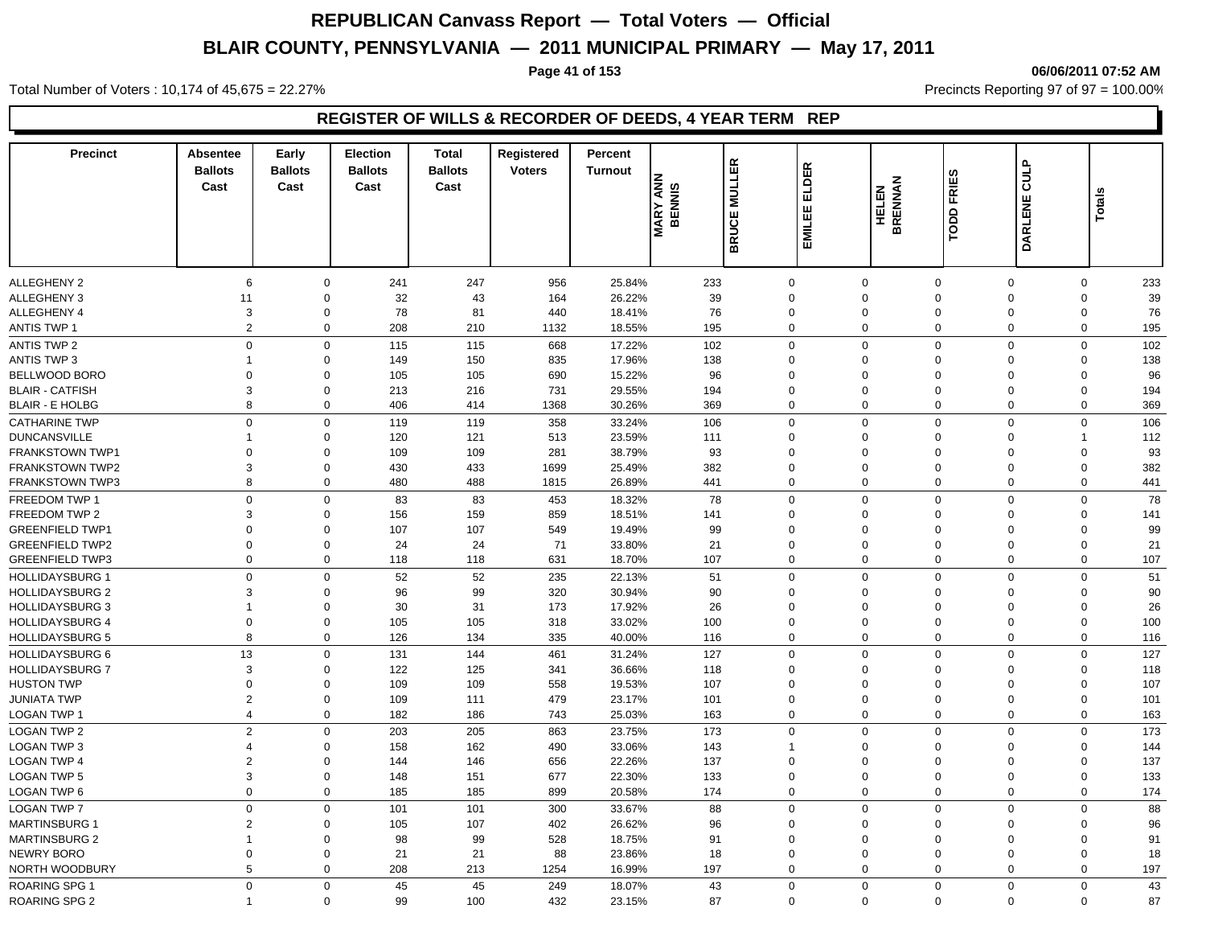**Page 41 of 153 06/06/2011 07:52 AM**

Total Number of Voters : 10,174 of 45,675 = 22.27% **Precincts Reporting 97 of 97 = 100.00%** Precincts Reporting 97 of 97 = 100.00%

## **REGISTER OF WILLS & RECORDER OF DEEDS, 4 YEAR TERM REP**

| <b>Precinct</b>                                  | <b>Absentee</b><br><b>Ballots</b><br>Cast | Early<br><b>Ballots</b><br>Cast | <b>Election</b><br><b>Ballots</b><br>Cast | <b>Total</b><br><b>Ballots</b><br>Cast | Registered<br><b>Voters</b> | Percent<br><b>Turnout</b> | <b>MARY ANN</b><br>BENNIS | <b>BRUCE MULLER</b>     | ELDER<br>EMILEE            | <b>FRIES</b><br><b>HELEN<br/>BRENNAN</b><br>TODD | <b>CULP</b><br><b>DARLENE</b> | Totals           |            |
|--------------------------------------------------|-------------------------------------------|---------------------------------|-------------------------------------------|----------------------------------------|-----------------------------|---------------------------|---------------------------|-------------------------|----------------------------|--------------------------------------------------|-------------------------------|------------------|------------|
|                                                  |                                           |                                 |                                           |                                        |                             |                           |                           |                         |                            |                                                  |                               |                  |            |
| <b>ALLEGHENY 2</b>                               | $6\phantom{1}6$                           | 0                               | 241                                       | 247                                    | 956                         | 25.84%                    | 233                       | $\mathbf 0$             | $\mathbf 0$                | $\mathbf 0$                                      | $\overline{0}$                | 0                | 233        |
| <b>ALLEGHENY 3</b>                               | 11                                        | $\mathbf 0$                     | 32                                        | 43                                     | 164                         | 26.22%                    | 39                        | $\Omega$                | $\mathbf 0$                | $\mathbf 0$                                      | $\Omega$                      | $\mathbf 0$      | 39         |
| <b>ALLEGHENY 4</b>                               | 3                                         | $\mathbf 0$                     | 78                                        | 81                                     | 440                         | 18.41%                    | 76                        | $\Omega$                | $\mathbf 0$                | $\mathbf 0$                                      | $\mathbf 0$                   | 0                | 76         |
| <b>ANTIS TWP 1</b>                               | $\overline{2}$                            | $\mathbf 0$                     | 208                                       | 210                                    | 1132                        | 18.55%                    | 195                       | $\mathbf 0$             | $\mathbf 0$                | $\mathbf 0$                                      | $\mathbf 0$                   | $\mathbf 0$      | 195        |
| <b>ANTIS TWP 2</b>                               | $\Omega$                                  | $\mathbf 0$                     | 115                                       | 115                                    | 668                         | 17.22%                    | 102                       | $\mathbf 0$             | $\mathbf 0$                | $\mathbf 0$                                      | $\Omega$                      | 0                | 102        |
| <b>ANTIS TWP 3</b>                               | $\overline{1}$                            | $\Omega$                        | 149                                       | 150                                    | 835                         | 17.96%                    | 138                       | $\Omega$                | $\mathbf 0$                | $\Omega$                                         | $\Omega$                      | $\mathbf 0$      | 138        |
| BELLWOOD BORO                                    | $\mathbf 0$                               | $\Omega$                        | 105                                       | 105                                    | 690                         | 15.22%                    | 96                        | $\Omega$                | $\mathbf 0$                | $\Omega$                                         | $\Omega$                      | 0                | 96         |
| <b>BLAIR - CATFISH</b>                           | 3                                         | $\mathbf 0$                     | 213                                       | 216                                    | 731                         | 29.55%                    | 194                       | $\Omega$                | $\mathbf 0$                | $\mathbf 0$                                      | $\Omega$                      | $\mathbf 0$      | 194        |
| <b>BLAIR - E HOLBG</b>                           | 8                                         | $\mathbf 0$                     | 406                                       | 414                                    | 1368                        | 30.26%                    | 369                       | $\mathbf 0$             | $\mathbf 0$                | $\mathbf 0$                                      | $\overline{0}$                | $\mathbf 0$      | 369        |
| <b>CATHARINE TWP</b>                             | $\overline{0}$                            | $\mathbf 0$                     | 119                                       | 119                                    | 358                         | 33.24%                    | 106                       | $\mathbf 0$             | $\mathbf 0$                | $\mathbf 0$                                      | $\Omega$                      | $\mathbf 0$      | 106        |
| <b>DUNCANSVILLE</b>                              | $\overline{1}$                            | $\mathbf 0$                     | 120                                       | 121                                    | 513                         | 23.59%                    | 111                       | $\mathbf 0$             | $\mathbf 0$                | $\mathbf 0$                                      | $\mathbf 0$                   | $\mathbf 1$      | 112        |
| <b>FRANKSTOWN TWP1</b>                           | $\overline{0}$                            | $\mathbf 0$                     | 109                                       | 109                                    | 281                         | 38.79%                    | 93                        | $\Omega$                | $\mathbf 0$                | $\Omega$                                         | $\Omega$                      | 0                | 93         |
| <b>FRANKSTOWN TWP2</b>                           | 3                                         | $\mathbf 0$                     | 430                                       | 433                                    | 1699                        | 25.49%                    | 382                       | $\mathbf 0$             | $\mathbf 0$                | $\mathbf 0$                                      | $\overline{0}$                | $\mathbf 0$      | 382        |
| <b>FRANKSTOWN TWP3</b>                           | 8                                         | $\mathbf 0$                     | 480                                       | 488                                    | 1815                        | 26.89%                    | 441                       | $\mathbf 0$             | $\mathbf 0$                | $\mathbf 0$                                      | $\mathbf 0$                   | $\mathbf 0$      | 441        |
| FREEDOM TWP 1                                    | $\Omega$                                  | $\mathbf 0$                     | 83                                        | 83                                     | 453                         | 18.32%                    | 78                        | $\Omega$                | $\mathbf 0$                | $\mathbf 0$                                      | $\Omega$                      | $\mathbf 0$      | 78         |
| <b>FREEDOM TWP 2</b>                             | 3                                         | $\Omega$                        | 156                                       | 159                                    | 859                         | 18.51%                    | 141                       | $\Omega$                | $\mathbf 0$                | $\Omega$                                         | $\Omega$                      | $\mathbf 0$      | 141        |
| <b>GREENFIELD TWP1</b>                           | $\Omega$                                  | $\Omega$                        | 107                                       | 107                                    | 549                         | 19.49%                    | 99                        | $\Omega$                | $\mathbf 0$                | $\Omega$                                         | $\Omega$                      | $\mathbf 0$      | 99         |
| <b>GREENFIELD TWP2</b>                           | $\Omega$                                  | $\mathbf 0$                     | 24                                        | 24                                     | 71                          | 33.80%                    | 21                        | $\Omega$                | $\mathbf 0$                | $\mathbf 0$                                      | $\Omega$                      | $\mathbf 0$      | 21         |
| <b>GREENFIELD TWP3</b>                           | $\mathbf 0$                               | $\mathbf 0$                     | 118                                       | 118                                    | 631                         | 18.70%                    | 107                       | $\mathbf 0$             | $\mathbf 0$                | $\mathbf 0$                                      | $\overline{0}$                | $\mathbf 0$      | 107        |
| <b>HOLLIDAYSBURG 1</b>                           | $\overline{0}$                            | $\mathbf 0$                     | 52                                        | 52                                     | 235                         | 22.13%                    | 51                        | $\Omega$                | $\mathbf 0$                | $\mathbf 0$                                      | $\Omega$                      | $\mathbf 0$      | 51         |
| <b>HOLLIDAYSBURG 2</b>                           | 3                                         | $\mathbf 0$                     | 96                                        | 99                                     | 320                         | 30.94%                    | 90                        | $\Omega$                | $\mathbf 0$                | $\mathbf 0$                                      | $\Omega$                      | 0                | 90         |
| <b>HOLLIDAYSBURG 3</b>                           | $\overline{1}$                            | $\mathbf 0$                     | 30                                        | 31                                     | 173                         | 17.92%                    | 26                        | $\Omega$                | $\mathbf 0$                | $\Omega$                                         | $\Omega$                      | $\mathbf 0$      | 26         |
| <b>HOLLIDAYSBURG 4</b>                           | $\mathbf 0$                               | $\mathbf 0$                     | 105                                       | 105                                    | 318                         | 33.02%                    | 100                       | $\mathbf 0$             | $\mathbf 0$                | $\mathbf 0$                                      | $\mathbf 0$                   | $\mathbf 0$      | 100        |
| <b>HOLLIDAYSBURG 5</b>                           | 8                                         | $\mathbf 0$                     | 126                                       | 134                                    | 335                         | 40.00%                    | 116                       | 0                       | $\mathbf 0$                | $\mathbf 0$                                      | $\mathbf 0$                   | $\mathbf 0$      | 116        |
|                                                  |                                           |                                 |                                           |                                        |                             |                           |                           |                         |                            |                                                  | $\Omega$                      |                  |            |
| <b>HOLLIDAYSBURG 6</b><br><b>HOLLIDAYSBURG 7</b> | 13<br>3                                   | 0<br>$\Omega$                   | 131<br>122                                | 144<br>125                             | 461<br>341                  | 31.24%                    | 127                       | $\mathbf 0$<br>$\Omega$ | $\mathbf 0$<br>$\mathbf 0$ | $\mathbf 0$<br>$\Omega$                          | $\Omega$                      | 0<br>$\mathbf 0$ | 127        |
| <b>HUSTON TWP</b>                                | $\mathbf 0$                               | $\Omega$                        | 109                                       | 109                                    | 558                         | 36.66%<br>19.53%          | 118<br>107                | $\Omega$                | $\mathbf 0$                | $\mathbf 0$                                      | $\Omega$                      | 0                | 118<br>107 |
| <b>JUNIATA TWP</b>                               | $\overline{2}$                            | $\mathbf 0$                     | 109                                       | 111                                    | 479                         | 23.17%                    | 101                       | $\Omega$                | $\mathbf 0$                | $\mathbf 0$                                      | $\mathbf 0$                   | $\mathbf 0$      | 101        |
| LOGAN TWP 1                                      | $\overline{4}$                            | $\mathbf 0$                     | 182                                       | 186                                    | 743                         | 25.03%                    | 163                       | $\mathbf 0$             | $\mathbf{0}$               | $\mathbf 0$                                      | $\mathbf 0$                   | $\mathbf 0$      | 163        |
|                                                  |                                           |                                 |                                           |                                        |                             |                           |                           |                         |                            |                                                  |                               |                  |            |
| <b>LOGAN TWP 2</b>                               | $\overline{2}$                            | $\mathbf 0$                     | 203                                       | 205                                    | 863                         | 23.75%                    | 173                       | $\Omega$                | $\mathbf 0$                | $\mathbf 0$                                      | $\Omega$                      | $\mathbf 0$      | 173        |
| LOGAN TWP 3                                      | $\overline{4}$                            | $\Omega$                        | 158                                       | 162                                    | 490                         | 33.06%                    | 143                       | $\mathbf{1}$            | $\mathbf 0$                | $\Omega$                                         | $\Omega$                      | 0                | 144        |
| <b>LOGAN TWP 4</b>                               | $\overline{2}$                            | $\mathbf 0$                     | 144                                       | 146                                    | 656                         | 22.26%                    | 137                       | $\Omega$                | $\mathbf 0$                | $\mathbf 0$                                      | $\mathbf 0$                   | $\mathbf 0$      | 137        |
| <b>LOGAN TWP 5</b>                               | 3                                         | $\mathbf 0$                     | 148                                       | 151                                    | 677                         | 22.30%                    | 133                       | $\mathbf 0$             | $\mathbf 0$                | $\mathbf 0$                                      | $\overline{0}$                | $\mathbf 0$      | 133        |
| LOGAN TWP 6                                      | $\mathbf 0$                               | 0                               | 185                                       | 185                                    | 899                         | 20.58%                    | 174                       | 0                       | $\mathbf 0$                | $\mathbf 0$                                      | $\mathbf 0$                   | $\mathbf 0$      | 174        |
| <b>LOGAN TWP 7</b>                               | $\Omega$                                  | $\mathbf 0$                     | 101                                       | 101                                    | 300                         | 33.67%                    | 88                        | $\Omega$                | $\mathbf 0$                | $\Omega$                                         | $\Omega$                      | $\mathbf 0$      | 88         |
| <b>MARTINSBURG 1</b>                             | $\overline{2}$                            | $\mathbf 0$                     | 105                                       | 107                                    | 402                         | 26.62%                    | 96                        | $\Omega$                | $\mathbf 0$                | $\mathbf 0$                                      | $\Omega$                      | $\mathbf 0$      | 96         |
| <b>MARTINSBURG 2</b>                             | $\overline{\mathbf{1}}$                   | $\Omega$                        | 98                                        | 99                                     | 528                         | 18.75%                    | 91                        | $\Omega$                | $\mathbf 0$                | $\mathbf 0$                                      | $\Omega$                      | $\mathbf 0$      | 91         |
| NEWRY BORO                                       | $\overline{0}$                            | $\mathbf 0$                     | 21                                        | 21                                     | 88                          | 23.86%                    | 18                        | $\Omega$                | $\mathbf 0$                | $\mathbf 0$                                      | $\mathbf 0$                   | $\mathbf 0$      | 18         |
| NORTH WOODBURY                                   | 5                                         | $\mathbf 0$                     | 208                                       | 213                                    | 1254                        | 16.99%                    | 197                       | $\mathbf 0$             | $\mathbf 0$                | $\mathbf 0$                                      | $\mathbf 0$                   | $\mathbf 0$      | 197        |
| <b>ROARING SPG 1</b>                             | $\Omega$                                  | $\mathbf 0$                     | 45                                        | 45                                     | 249                         | 18.07%                    | 43                        | $\Omega$                | $\mathbf 0$                | $\mathbf 0$                                      | $\overline{0}$                | $\mathbf 0$      | 43         |
| <b>ROARING SPG 2</b>                             | $\overline{1}$                            | $\mathbf 0$                     | 99                                        | 100                                    | 432                         | 23.15%                    | 87                        | $\mathbf 0$             | $\mathbf 0$                | $\mathbf 0$                                      | $\mathbf 0$                   | $\mathbf 0$      | 87         |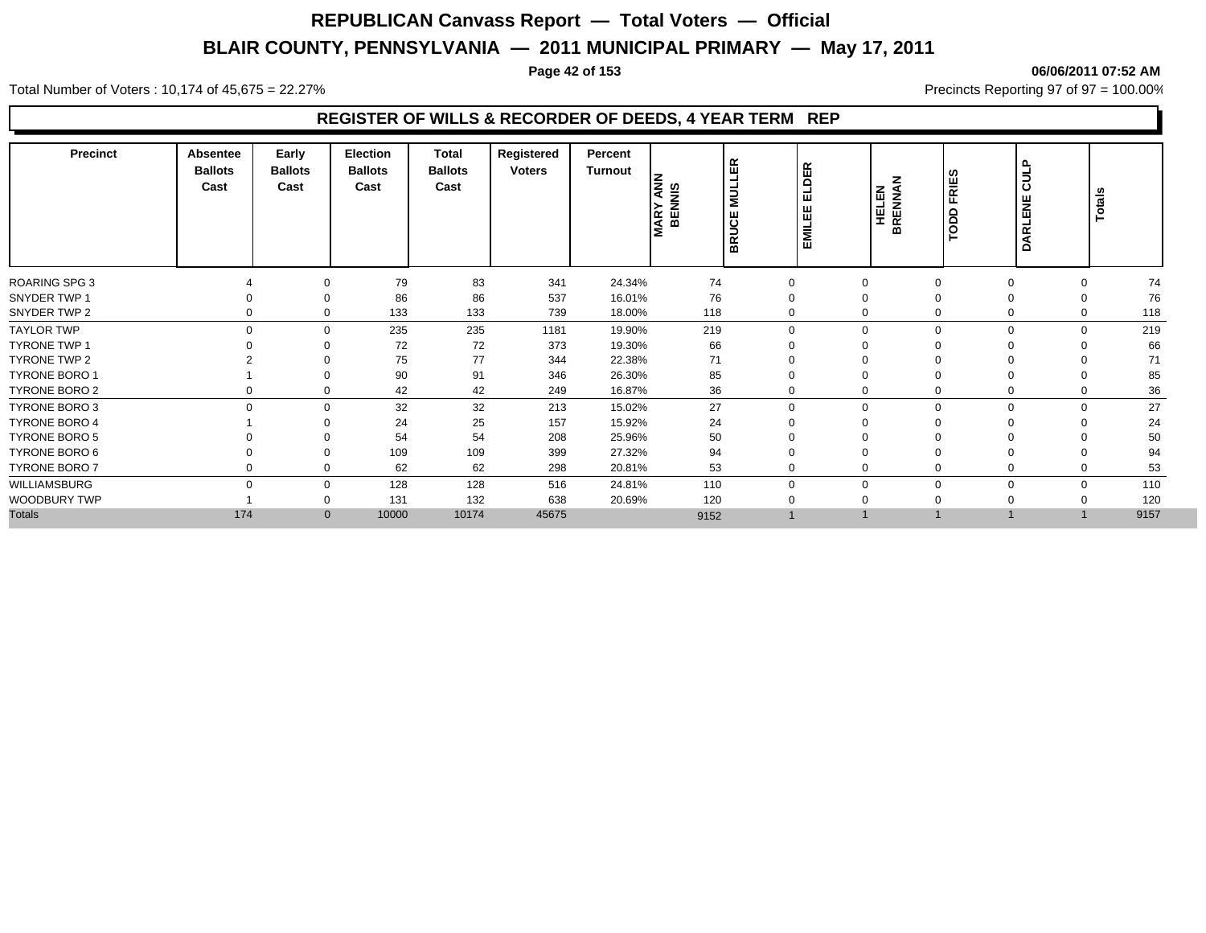#### **Page 42 of 153 06/06/2011 07:52 AM**

Total Number of Voters : 10,174 of 45,675 = 22.27% **Precincts Reporting 97 of 97 = 100.00%** Precincts Reporting 97 of 97 = 100.00%

## **REGISTER OF WILLS & RECORDER OF DEEDS, 4 YEAR TERM REP**

| <b>Precinct</b>      | <b>Absentee</b><br><b>Ballots</b><br>Cast | Early<br><b>Ballots</b><br>Cast | <b>Election</b><br><b>Ballots</b><br>Cast | <b>Total</b><br><b>Ballots</b><br>Cast | Registered<br><b>Voters</b> | Percent<br>Turnout | <b>AND</b><br>Signal<br><b>BENI</b><br><b>MARY</b> | l ස<br>ب<br><b>MULI</b><br><b>BRUCE</b> | ELDER<br>EMILEE | <b>HELEN<br/>BRENNAN</b> | TODD FRIES | <b>CULP</b><br><b>DARLENE</b> | Totals      |      |
|----------------------|-------------------------------------------|---------------------------------|-------------------------------------------|----------------------------------------|-----------------------------|--------------------|----------------------------------------------------|-----------------------------------------|-----------------|--------------------------|------------|-------------------------------|-------------|------|
| <b>ROARING SPG 3</b> |                                           | 0                               | 79                                        | 83                                     | 341                         | 24.34%             | 74                                                 | 0                                       | $\mathbf 0$     |                          |            | $\Omega$                      | 0           | 74   |
| SNYDER TWP 1         | 0                                         | $\Omega$                        | 86                                        | 86                                     | 537                         | 16.01%             | 76                                                 | 0                                       | $\Omega$        |                          |            | $\Omega$                      | $\Omega$    | 76   |
| SNYDER TWP 2         | 0                                         | $\mathbf 0$                     | 133                                       | 133                                    | 739                         | 18.00%             | 118                                                | 0                                       | $\Omega$        | $\Omega$                 |            | $\mathbf 0$                   | $\mathbf 0$ | 118  |
| <b>TAYLOR TWP</b>    | $\mathbf 0$                               | $\mathbf 0$                     | 235                                       | 235                                    | 1181                        | 19.90%             | 219                                                | $\mathbf 0$                             | $\mathbf 0$     | $\Omega$                 |            | $\Omega$                      | $\mathbf 0$ | 219  |
| <b>TYRONE TWP 1</b>  |                                           | $\Omega$                        | 72                                        | 72                                     | 373                         | 19.30%             | 66                                                 | 0                                       | $\Omega$        |                          |            |                               | $\Omega$    | 66   |
| TYRONE TWP 2         |                                           | 0                               | 75                                        | 77                                     | 344                         | 22.38%             | 71                                                 | 0                                       | $\mathbf 0$     |                          |            |                               | $\Omega$    | 71   |
| <b>TYRONE BORO 1</b> |                                           | 0                               | 90                                        | 91                                     | 346                         | 26.30%             | 85                                                 | 0                                       | $\mathbf 0$     |                          |            |                               | $\Omega$    | 85   |
| <b>TYRONE BORO 2</b> | 0                                         | 0                               | 42                                        | 42                                     | 249                         | 16.87%             | 36                                                 | 0                                       | $\mathbf 0$     |                          |            | 0                             | 0           | 36   |
| <b>TYRONE BORO 3</b> | $\mathbf 0$                               | $\mathbf 0$                     | 32                                        | 32                                     | 213                         | 15.02%             | 27                                                 | 0                                       | $\mathbf 0$     | $\Omega$                 |            | $\Omega$                      | $\mathbf 0$ | 27   |
| <b>TYRONE BORO 4</b> |                                           | $\Omega$                        | 24                                        | 25                                     | 157                         | 15.92%             | 24                                                 | $\mathbf 0$                             | $\Omega$        |                          |            |                               | $\Omega$    | 24   |
| <b>TYRONE BORO 5</b> |                                           | 0                               | 54                                        | 54                                     | 208                         | 25.96%             | 50                                                 | $\mathbf 0$                             | $\mathbf 0$     |                          |            |                               |             | 50   |
| TYRONE BORO 6        |                                           | $\Omega$                        | 109                                       | 109                                    | 399                         | 27.32%             | 94                                                 | 0                                       | $\Omega$        |                          |            |                               |             | 94   |
| <b>TYRONE BORO 7</b> | 0                                         | $\Omega$                        | 62                                        | 62                                     | 298                         | 20.81%             | 53                                                 | $\mathbf 0$                             | $\Omega$        |                          |            | $\Omega$                      | $\Omega$    | 53   |
| WILLIAMSBURG         | $\Omega$                                  | $\mathbf 0$                     | 128                                       | 128                                    | 516                         | 24.81%             | 110                                                | $\mathbf 0$                             | $\Omega$        | $\Omega$                 |            | $\Omega$                      | $\mathbf 0$ | 110  |
| WOODBURY TWP         |                                           | $\Omega$                        | 131                                       | 132                                    | 638                         | 20.69%             | 120                                                | 0                                       | $\Omega$        |                          |            |                               | $\Omega$    | 120  |
| <b>Totals</b>        | 174                                       | $\mathbf{0}$                    | 10000                                     | 10174                                  | 45675                       |                    | 9152                                               |                                         |                 |                          |            |                               |             | 9157 |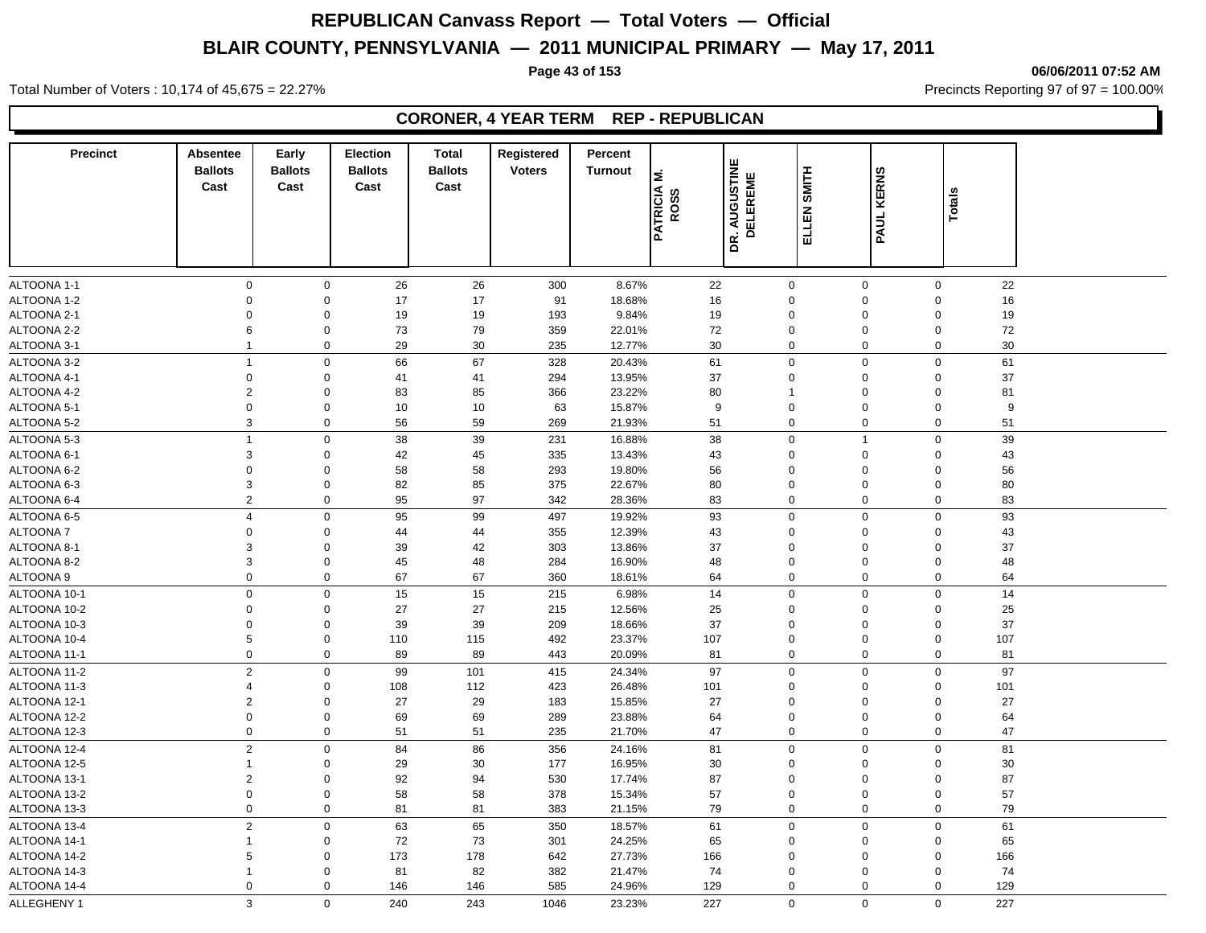**Page 43 of 153 06/06/2011 07:52 AM**

Total Number of Voters : 10,174 of 45,675 = 22.27% **Precincts Reporting 97 of 97 = 100.00%** Precincts Reporting 97 of 97 = 100.00%

#### **CORONER, 4 YEAR TERM REP - REPUBLICAN**

| <b>Precinct</b> | <b>Absentee</b><br><b>Ballots</b><br>Cast | Early<br><b>Ballots</b><br>Cast | <b>Election</b><br><b>Ballots</b><br>Cast | <b>Total</b><br><b>Ballots</b><br>Cast | Registered<br><b>Voters</b> | Percent<br><b>Turnout</b> | Σ<br><b>PATRICIA</b><br>ဖာ<br>ROS: | DR. AUGUSTINE<br>ELEREME<br>$\overline{\mathbf{C}}$ | SMITH<br>ELLEN: | <b>KERNS</b><br>PAUL I | Totals             |  |
|-----------------|-------------------------------------------|---------------------------------|-------------------------------------------|----------------------------------------|-----------------------------|---------------------------|------------------------------------|-----------------------------------------------------|-----------------|------------------------|--------------------|--|
|                 |                                           |                                 |                                           |                                        |                             |                           |                                    |                                                     |                 |                        |                    |  |
| ALTOONA 1-1     | $\mathsf 0$                               | $\mathbf 0$                     | 26                                        | 26                                     | 300                         | 8.67%                     | 22                                 | $\mathbf 0$                                         | $\mathbf 0$     | $\mathsf 0$            | 22                 |  |
| ALTOONA 1-2     | $\mathbf 0$                               | $\mathbf 0$                     | 17                                        | 17                                     | 91                          | 18.68%                    | 16                                 | 0                                                   | $\mathbf 0$     | $\Omega$               | 16                 |  |
| ALTOONA 2-1     | $\Omega$                                  | $\mathbf 0$                     | 19                                        | 19                                     | 193                         | 9.84%                     | 19                                 | 0                                                   | $\Omega$        | $\Omega$               | 19                 |  |
| ALTOONA 2-2     | 6                                         | $\mathbf 0$                     | 73                                        | 79                                     | 359                         | 22.01%                    | 72                                 | 0                                                   | $\Omega$        | $\Omega$               | 72                 |  |
| ALTOONA 3-1     | $\mathbf{1}$                              | $\mathbf 0$                     | 29                                        | 30                                     | 235                         | 12.77%                    | 30                                 | 0                                                   | $\mathbf 0$     | $\Omega$               | 30                 |  |
| ALTOONA 3-2     | $\overline{1}$                            | $\mathbf 0$                     | 66                                        | 67                                     | 328                         | 20.43%                    | 61                                 | $\mathbf 0$                                         | $\mathbf 0$     | $\mathbf 0$            | 61                 |  |
| ALTOONA 4-1     | $\mathbf 0$                               | $\mathbf 0$                     | 41                                        | 41                                     | 294                         | 13.95%                    | 37                                 | 0                                                   | $\mathbf 0$     | $\mathbf 0$            | 37                 |  |
| ALTOONA 4-2     | 2                                         | $\mathbf 0$                     | 83                                        | 85                                     | 366                         | 23.22%                    | 80                                 | $\mathbf{1}$                                        | $\Omega$        | $\Omega$               | 81                 |  |
| ALTOONA 5-1     | $\mathbf 0$                               | $\mathbf 0$                     | 10                                        | 10                                     | 63                          | 15.87%                    | 9                                  | $\mathbf 0$                                         | $\Omega$        | $\Omega$               | 9                  |  |
| ALTOONA 5-2     | 3                                         | $\mathbf 0$                     | 56                                        | 59                                     | 269                         | 21.93%                    | 51                                 | 0                                                   | $\mathbf 0$     | $\Omega$               | 51                 |  |
| ALTOONA 5-3     | $\overline{1}$                            | $\mathsf 0$                     | 38                                        | 39                                     | 231                         | 16.88%                    | 38                                 | 0                                                   | $\overline{1}$  | $\mathbf 0$            | 39                 |  |
| ALTOONA 6-1     | 3                                         | $\mathbf 0$                     | 42                                        | 45                                     | 335                         | 13.43%                    | 43                                 | 0                                                   | $\Omega$        | $\Omega$               | 43                 |  |
| ALTOONA 6-2     | $\mathbf 0$                               | $\mathbf 0$                     | 58                                        | 58                                     | 293                         | 19.80%                    | 56                                 | $\Omega$                                            | $\Omega$        | $\Omega$               | 56                 |  |
| ALTOONA 6-3     | $\mathsf 3$                               | $\mathbf 0$                     | 82                                        | 85                                     | 375                         | 22.67%                    | 80                                 | $\Omega$                                            | $\Omega$        | $\Omega$               | 80                 |  |
| ALTOONA 6-4     | $\overline{2}$                            | $\mathsf 0$                     | 95                                        | 97                                     | 342                         | 28.36%                    | 83                                 | 0                                                   | $\mathbf 0$     | $\Omega$               | 83                 |  |
| ALTOONA 6-5     | $\overline{4}$                            | $\mathbf 0$                     | 95                                        | 99                                     | 497                         | 19.92%                    | 93                                 | $\mathbf 0$                                         | $\mathbf 0$     | $\mathbf 0$            | 93                 |  |
| ALTOONA 7       | $\Omega$                                  | $\mathbf 0$                     | 44                                        | 44                                     | 355                         | 12.39%                    | 43                                 | $\Omega$                                            | $\Omega$        | $\Omega$               | 43                 |  |
| ALTOONA 8-1     | 3                                         | $\mathbf 0$                     | 39                                        | 42                                     | 303                         | 13.86%                    | 37                                 | $\Omega$                                            | $\Omega$        | $\Omega$               | 37                 |  |
| ALTOONA 8-2     | $\mathsf 3$                               | $\pmb{0}$                       | 45                                        | 48                                     | 284                         | 16.90%                    | 48                                 | $\mathbf{0}$                                        | $\mathbf 0$     | $\mathbf 0$            | 48                 |  |
| ALTOONA 9       | $\mathbf 0$                               | $\pmb{0}$                       | 67                                        | 67                                     | 360                         | 18.61%                    | 64                                 | 0                                                   | $\mathbf 0$     | $\mathbf 0$            | 64                 |  |
| ALTOONA 10-1    | $\mathsf 0$                               | $\mathsf 0$                     | 15                                        | 15                                     | 215                         | 6.98%                     | 14                                 | 0                                                   | $\mathbf 0$     | $\Omega$               | 14                 |  |
| ALTOONA 10-2    | $\mathbf 0$                               | $\mathbf 0$                     | 27                                        | 27                                     | 215                         | 12.56%                    | 25                                 | $\Omega$                                            | $\Omega$        | $\Omega$               | 25                 |  |
| ALTOONA 10-3    | $\mathbf 0$                               | $\mathbf 0$                     | 39                                        | 39                                     | 209                         | 18.66%                    | 37                                 | $\mathbf 0$                                         | $\Omega$        | $\Omega$               | 37                 |  |
| ALTOONA 10-4    | 5                                         | $\mathbf 0$                     | 110                                       | 115                                    | 492                         | 23.37%                    | 107                                | 0                                                   | $\mathbf 0$     | $\mathbf 0$            | 107                |  |
| ALTOONA 11-1    | $\mathbf 0$                               | 0                               | 89                                        | 89                                     | 443                         | 20.09%                    | 81                                 | 0                                                   | $\mathbf 0$     | $\Omega$               | 81                 |  |
| ALTOONA 11-2    | $\overline{2}$                            | $\mathsf 0$                     | 99                                        | 101                                    | 415                         | 24.34%                    | 97                                 | 0                                                   | $\mathbf 0$     | $\Omega$               | 97                 |  |
| ALTOONA 11-3    | $\overline{\mathbf{4}}$                   | $\mathbf 0$                     | 108                                       | 112                                    | 423                         | 26.48%                    | 101                                | $\mathbf 0$                                         | $\Omega$        | $\Omega$               | 101                |  |
| ALTOONA 12-1    | $\overline{2}$                            | $\mathbf 0$                     | 27                                        | 29                                     | 183                         | 15.85%                    | 27                                 | 0                                                   | $\Omega$        | $\Omega$               | 27                 |  |
| ALTOONA 12-2    | 0                                         | 0                               | 69                                        | 69                                     | 289                         | 23.88%                    | 64                                 | $\mathbf{0}$                                        | $\mathbf 0$     | $\Omega$               | 64                 |  |
| ALTOONA 12-3    | 0                                         | 0                               | 51                                        | 51                                     | 235                         | 21.70%                    | 47                                 | 0                                                   | $\mathbf 0$     | $\Omega$               | 47                 |  |
| ALTOONA 12-4    | $\overline{2}$                            | $\mathsf 0$                     | 84                                        | 86                                     | 356                         | 24.16%                    | 81                                 | $\mathbf 0$                                         | $\mathbf 0$     | $\Omega$               | 81                 |  |
| ALTOONA 12-5    | $\overline{1}$                            | $\mathbf 0$                     | 29                                        | 30                                     | 177                         | 16.95%                    | 30                                 | 0                                                   | $\Omega$        | $\mathbf 0$            | 30                 |  |
| ALTOONA 13-1    | 2                                         | $\mathbf 0$                     | 92                                        | 94                                     | 530                         | 17.74%                    | 87                                 | 0                                                   | $\Omega$        | $\mathbf 0$            | 87                 |  |
| ALTOONA 13-2    | 0                                         | 0                               | 58                                        | 58                                     | 378                         | 15.34%                    | 57                                 | 0                                                   | $\Omega$        | $\Omega$               | 57                 |  |
| ALTOONA 13-3    | $\mathsf 0$                               | $\mathsf 0$                     | 81                                        | 81                                     | 383                         | 21.15%                    | 79                                 | 0                                                   | $\mathbf 0$     | $\mathbf 0$            | 79                 |  |
| ALTOONA 13-4    | $\overline{2}$                            | $\mathsf 0$                     | 63                                        | 65                                     | 350                         | 18.57%                    | 61                                 | 0                                                   | $\mathbf 0$     | $\mathbf 0$            | 61                 |  |
| ALTOONA 14-1    | $\mathbf{1}$                              | $\mathbf 0$                     | 72                                        | 73                                     | 301                         | 24.25%                    | 65                                 | 0                                                   | $\mathbf 0$     | $\mathbf 0$            | 65                 |  |
| ALTOONA 14-2    | 5                                         | $\mathbf 0$                     | 173                                       | 178                                    | 642                         | 27.73%                    | 166                                | 0                                                   | $\Omega$        | $\mathbf 0$            | 166                |  |
| ALTOONA 14-3    | $\mathbf 1$                               | 0                               | 81                                        | 82                                     | 382                         | 21.47%                    | 74                                 | 0                                                   | $\Omega$        | $\Omega$               | 74                 |  |
| ALTOONA 14-4    | 0                                         | $\mathbf 0$                     | 146                                       | 146                                    | 585                         | 24.96%                    | 129                                | 0                                                   | $\mathbf 0$     |                        | 129<br>$\mathbf 0$ |  |
| ALLEGHENY 1     | 3                                         | $\mathbf 0$                     | 240                                       | 243                                    | 1046                        | 23.23%                    | 227                                | $\mathbf{0}$                                        | $\Omega$        |                        | $\Omega$<br>227    |  |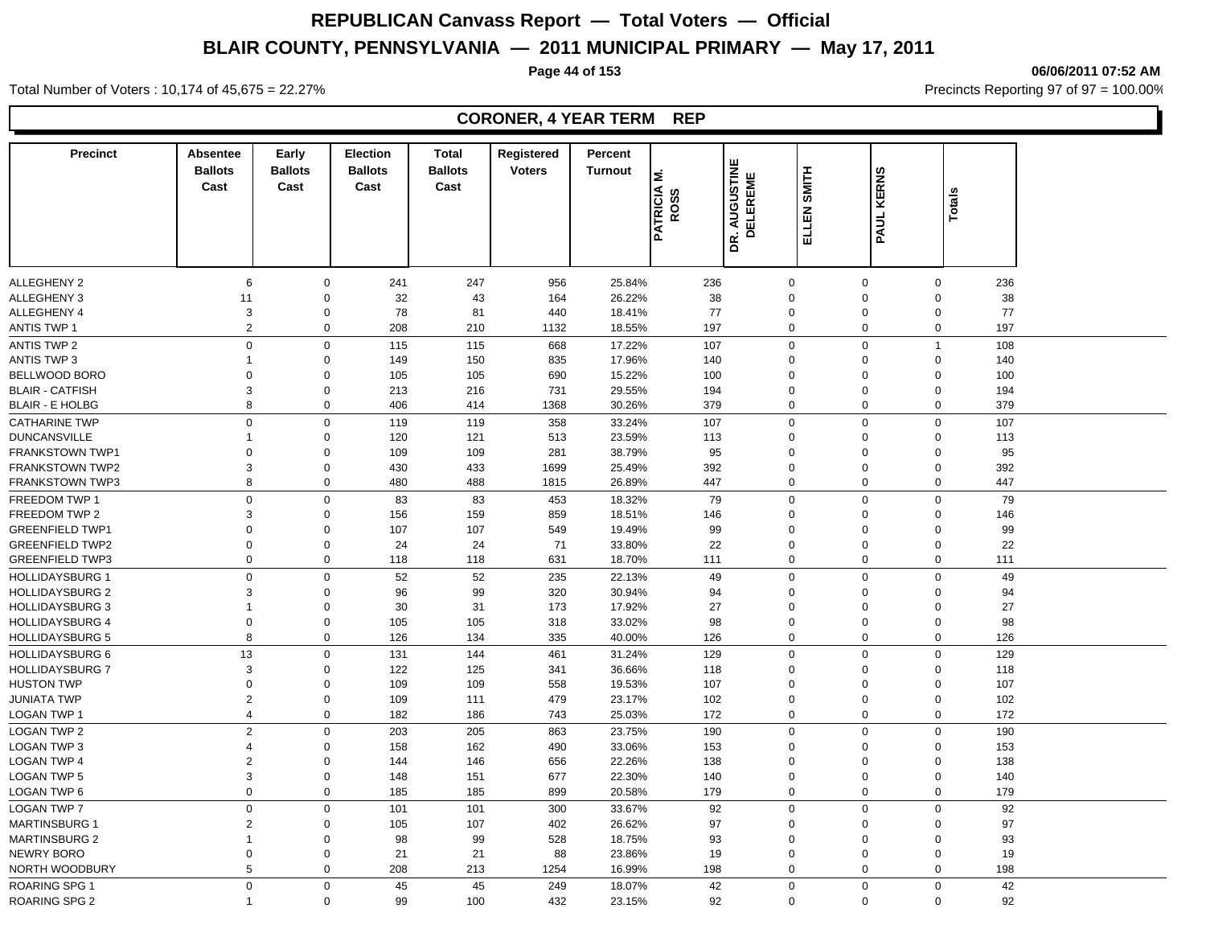**Page 44 of 153 06/06/2011 07:52 AM**

#### **Precinct Absentee Ballots Cast Cast Early Ballots Election Ballots**  Cast **Cast Total Registered Ballots**  Noters<br>
Cast<br>
Cast<br>
Cast<br>
Cast<br>
DR. AUGUSTINE<br>
DELEN SMITH<br>
PATRICIA M.<br>
DELEN SMITH<br>
PAUL KERNS Turnout<br> **Vote 1988**<br> **VOCATELY**<br> **VOCATELY**<br> **PATELY Percent THE PATRICIAL PROPERTION**<br>DELEREME<br><u>FLLEN SMITH</u> ALLEGHENY 2 6 0 241 247 956 25.84% 236 0 0 0 236 ALLEGHENY 3 11 0 32 43 164 26.22% 38 0 0 38 ALLEGHENY 4 3 0 78 81 440 18.41% 77 0 0 0 77 ANTIS TWP 1 2 0 208 210 1132 18.55% 197 0 0 0 197 ANTIS TWP 2 0 0 115 115 668 17.22% 107 0 0 1 108 ANTIS TWP 3 1 0 149 150 835 17.96% 140 0 0 0 140 BELLWOOD BORO 0 0 105 105 690 15.22% 100 0 0 0 100 BLAIR - CATFISH 3 0 213 216 731 29.55% 194 0 0 0 194 BLAIR - E HOLBG 8 0 406 414 1368 30.26% 379 0 0 0 379 CATHARINE TWP 0 0 119 119 358 33.24% 107 0 0 0 107 DUNCANSVILLE 1 0 120 121 513 23.59% 113 0 0 0 113 FRANKSTOWN TWP1 0 0 109 109 281 38.79% 95 0 0 0 95 FRANKSTOWN TWP2 3 0 430 433 1699 25.49% 392 0 0 0 392 FRANKSTOWN TWP3 8 0 480 488 1815 26.89% 447 0 0 0 447 FREEDOM TWP 1 0 0 83 83 453 18.32% 79 0 0 0 79 FREEDOM TWP 2 3 0 156 159 859 18.51% 146 0 0 0 146 GREENFIELD TWP1 0 0 107 107 549 19.49% 99 0 0 0 99 GREENFIELD TWP2 0 0 24 24 71 33.80% 22 0 0 0 22 GREENFIELD TWP3 0 0 118 118 631 18.70% 111 0 0 111 HOLLIDAYSBURG 1 0 0 52 52 235 22.13% 49 0 0 0 49 HOLLIDAYSBURG 2 3 0 96 99 320 30.94% 94 0 0 0 94 HOLLIDAYSBURG 3 1 0 30 31 173 17.92% 27 0 0 0 27 HOLLIDAYSBURG 4 0 0 105 105 318 33.02% 98 0 0 0 98 HOLLIDAYSBURG 5 8 0 126 134 335 40.00% 126 0 0 0 126 HOLLIDAYSBURG 6 13 0 131 144 461 31.24% 129 0 0 0 129 HOLLIDAYSBURG 7 3 0 122 125 341 36.66% 118 0 0 0 118 HUSTON TWP 0 0 109 109 558 19.53% 107 0 0 0 107 JUNIATA TWP 2 0 109 111 479 23.17% 102 0 0 0 102 LOGAN TWP 1 4 0 182 186 743 25.03% 172 0 0 0 172 LOGAN TWP 2 2 0 203 205 863 23.75% 190 0 0 0 190 LOGAN TWP 3 4 0 158 162 490 33.06% 153 0 0 0 153 LOGAN TWP 4 2 0 144 146 656 22.26% 138 0 0 0 138 LOGAN TWP 5 3 0 148 151 677 22.30% 140 0 0 0 140 LOGAN TWP 6 0 0 185 185 899 20.58% 179 0 0 0 179 LOGAN TWP 7 0 0 101 101 300 33.67% 92 0 0 0 92 MARTINSBURG 1 2 0 105 107 402 26.62% 97 0 0 0 97

MARTINSBURG 2 1 0 98 99 528 18.75% 93 0 93 NEWRY BORO 0 0 21 21 88 23.86% 19 0 0 0 19 NORTH WOODBURY 5 0 208 213 1254 16.99% 198 0 0 0 198 ROARING SPG 1 0 0 45 45 249 18.07% 42 0 0 42

ROARING SPG 2 1 0 99 100 432 23.15% 92 0 0 92

Total Number of Voters : 10,174 of 45,675 = 22.27% Precincts Reporting 97 of 97 = 100.00%

## **CORONER, 4 YEAR TERM REP**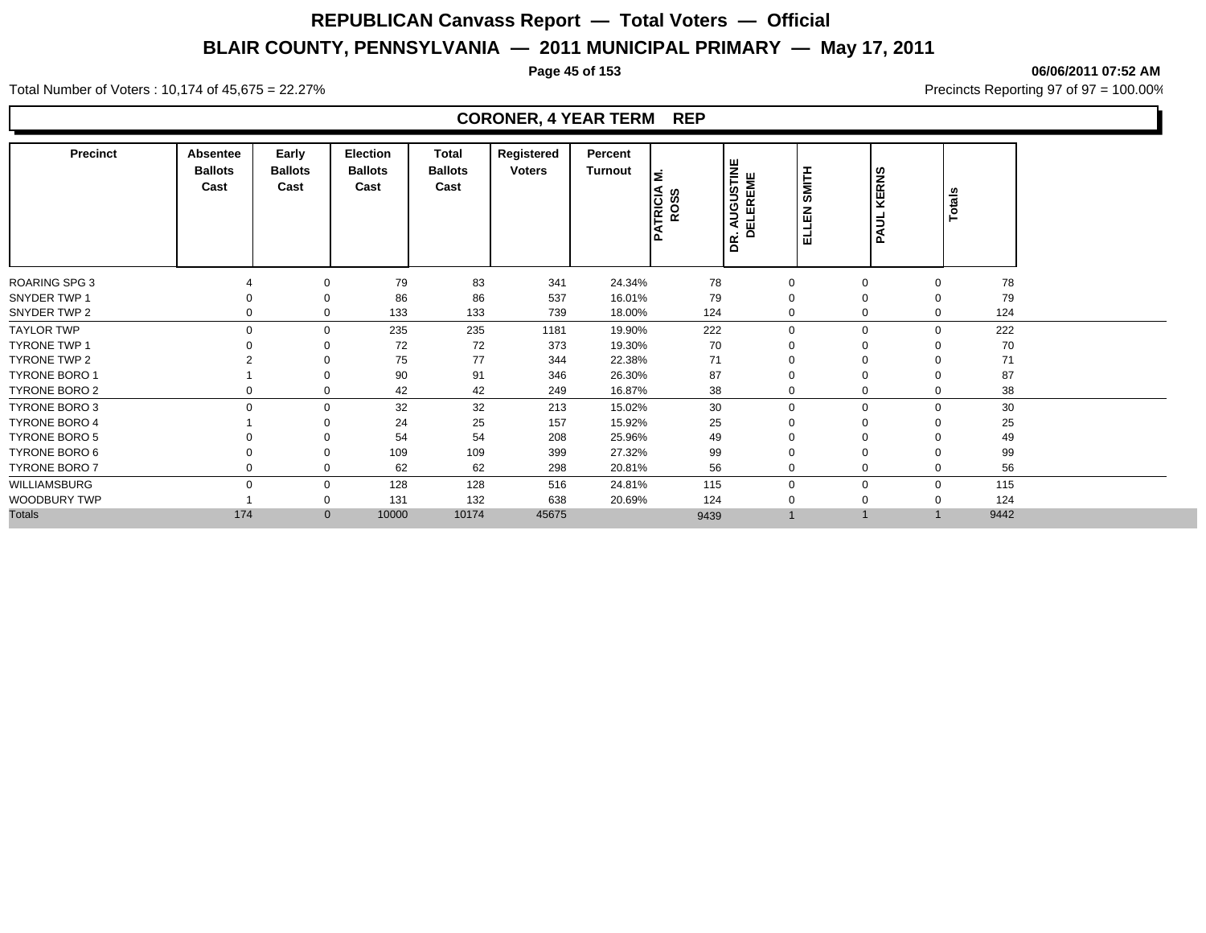**Page 45 of 153 06/06/2011 07:52 AM**

#### Total Number of Voters : 10,174 of 45,675 = 22.27% **Precincts Reporting 97 of 97 = 100.00%** Precincts Reporting 97 of 97 = 100.00%

#### **CORONER, 4 YEAR TERM REP**

| <b>Precinct</b>      | Absentee<br><b>Ballots</b><br>Cast | Early<br><b>Ballots</b><br>Cast | Election<br><b>Ballots</b><br>Cast | Total<br><b>Ballots</b><br>Cast | Registered<br><b>Voters</b> | Percent<br>Turnout | έ<br>TRICIA<br>ROSS | AUGUSTINE<br>DELEREME<br>$\bullet$<br>œ<br>$\Omega$ | SMITH<br>z<br>ய<br>긆 | KERNS<br>PAUL | <b>Totals</b> |      |
|----------------------|------------------------------------|---------------------------------|------------------------------------|---------------------------------|-----------------------------|--------------------|---------------------|-----------------------------------------------------|----------------------|---------------|---------------|------|
| <b>ROARING SPG 3</b> |                                    | 0                               | 79                                 | 83                              | 341                         | 24.34%             | 78                  | $\mathbf 0$                                         | $\Omega$             |               | $\Omega$      | 78   |
| SNYDER TWP 1         |                                    | 0                               | 86                                 | 86                              | 537                         | 16.01%             | 79                  | 0                                                   |                      |               | 0             | 79   |
| SNYDER TWP 2         | 0                                  | $\mathbf 0$                     | 133                                | 133                             | 739                         | 18.00%             | 124                 | $\mathbf 0$                                         | $\Omega$             |               | $\Omega$      | 124  |
| <b>TAYLOR TWP</b>    | $\Omega$                           | $\mathbf 0$                     | 235                                | 235                             | 1181                        | 19.90%             | 222                 | $\mathbf 0$                                         |                      | $\Omega$      | $\mathbf 0$   | 222  |
| <b>TYRONE TWP 1</b>  |                                    |                                 | 72                                 | 72                              | 373                         | 19.30%             | 70                  | $\mathbf 0$                                         |                      |               |               | 70   |
| <b>TYRONE TWP 2</b>  |                                    |                                 | 75                                 | 77                              | 344                         | 22.38%             | 71                  | $\Omega$                                            |                      |               |               | 71   |
| <b>TYRONE BORO 1</b> |                                    | $\Omega$                        | 90                                 | 91                              | 346                         | 26.30%             | 87                  | $\overline{0}$                                      |                      |               |               | 87   |
| <b>TYRONE BORO 2</b> |                                    | $\mathbf 0$                     | 42                                 | 42                              | 249                         | 16.87%             | 38                  | 0                                                   |                      |               | 0             | 38   |
| <b>TYRONE BORO 3</b> | $\Omega$                           | $\mathbf 0$                     | 32                                 | 32                              | 213                         | 15.02%             | 30                  | $\mathbf 0$                                         |                      | $\Omega$      | $\mathbf 0$   | 30   |
| <b>TYRONE BORO 4</b> |                                    |                                 | 24                                 | 25                              | 157                         | 15.92%             | 25                  | $\Omega$                                            | $\Omega$             |               | $\Omega$      | 25   |
| <b>TYRONE BORO 5</b> |                                    |                                 | 54                                 | 54                              | 208                         | 25.96%             | 49                  | $\Omega$                                            |                      |               | $\Omega$      | 49   |
| <b>TYRONE BORO 6</b> |                                    | $\Omega$                        | 109                                | 109                             | 399                         | 27.32%             | 99                  | 0                                                   |                      |               |               | 99   |
| <b>TYRONE BORO 7</b> |                                    | $\mathbf 0$                     | 62                                 | 62                              | 298                         | 20.81%             | 56                  | $\mathbf 0$                                         | $\Omega$             |               | 0             | 56   |
| WILLIAMSBURG         | $\Omega$                           | $\mathbf 0$                     | 128                                | 128                             | 516                         | 24.81%             | 115                 | $\mathbf 0$                                         | $\Omega$             |               | $\mathbf 0$   | 115  |
| WOODBURY TWP         |                                    | 0                               | 131                                | 132                             | 638                         | 20.69%             | 124                 | 0                                                   |                      |               | 0             | 124  |
| <b>Totals</b>        | 174                                | $\mathbf{0}$                    | 10000                              | 10174                           | 45675                       |                    | 9439                |                                                     |                      |               |               | 9442 |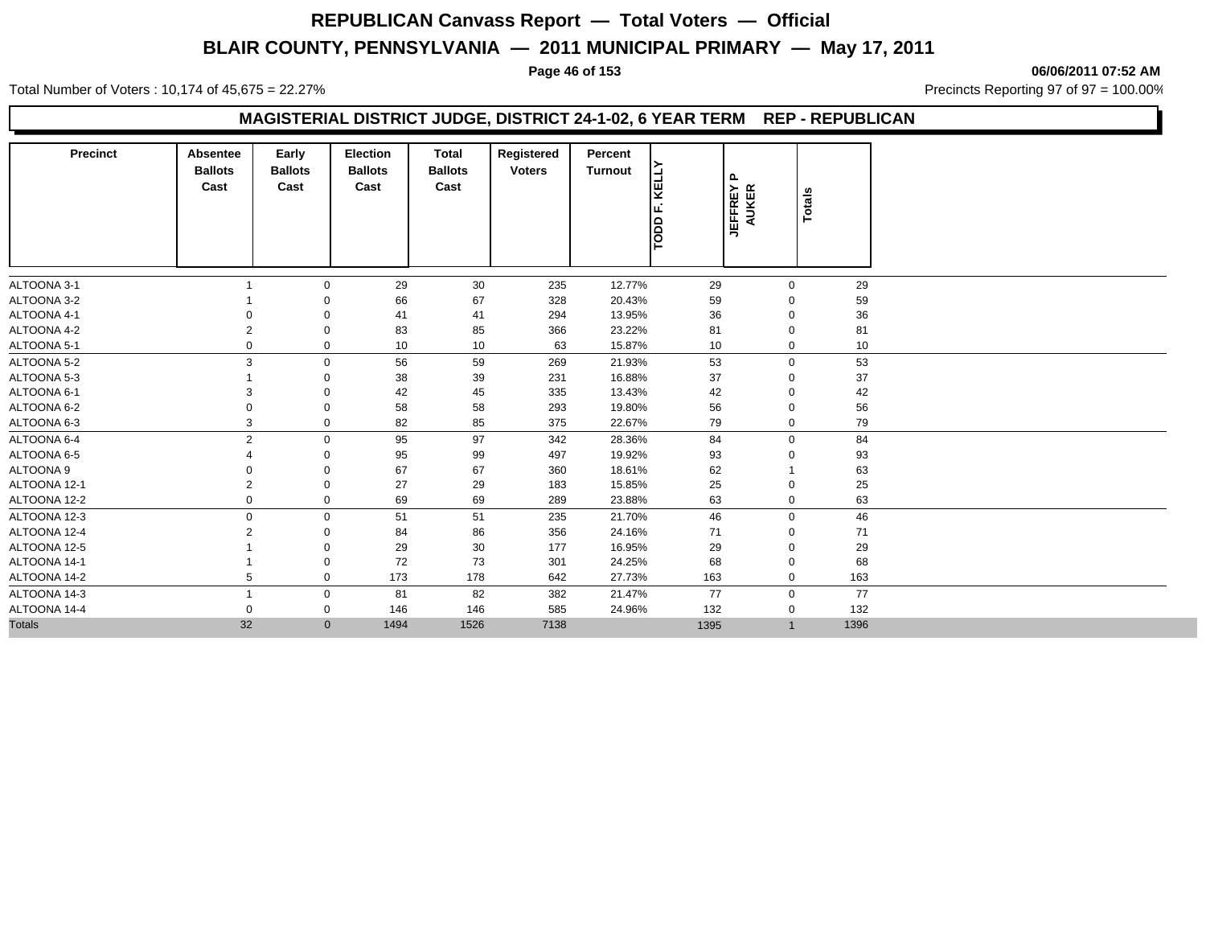Total Number of Voters : 10,174 of 45,675 = 22.27% **Precincts Reporting 97 of 97 = 100.00%** Precincts Reporting 97 of 97 = 100.00%

#### **Page 46 of 153 06/06/2011 07:52 AM**

## **MAGISTERIAL DISTRICT JUDGE, DISTRICT 24-1-02, 6 YEAR TERM REP - REPUBLICAN**

| <b>Precinct</b> | <b>Absentee</b><br><b>Ballots</b><br>Cast | Early<br><b>Ballots</b><br>Cast | <b>Election</b><br><b>Ballots</b><br>Cast | Total<br><b>Ballots</b><br>Cast | Registered<br><b>Voters</b> | Percent<br>Turnout | KELLY<br>TODD F. | ௳<br><b>JEFFREY</b><br>$\propto$<br><b>AUKEI</b> | Totals |  |
|-----------------|-------------------------------------------|---------------------------------|-------------------------------------------|---------------------------------|-----------------------------|--------------------|------------------|--------------------------------------------------|--------|--|
| ALTOONA 3-1     |                                           | $\Omega$                        | 29                                        | 30                              | 235                         | 12.77%             | 29               | $\mathbf 0$                                      | 29     |  |
| ALTOONA 3-2     |                                           |                                 | 66                                        | 67                              | 328                         | 20.43%             | 59               | $\Omega$                                         | 59     |  |
| ALTOONA 4-1     |                                           |                                 | 41                                        | 41                              | 294                         | 13.95%             | 36               | $\Omega$                                         | 36     |  |
| ALTOONA 4-2     |                                           | $\mathbf 0$                     | 83                                        | 85                              | 366                         | 23.22%             | 81               | $\mathbf 0$                                      | 81     |  |
| ALTOONA 5-1     |                                           | 0                               | 10                                        | 10                              | 63                          | 15.87%             | 10               | 0                                                | 10     |  |
| ALTOONA 5-2     | 3                                         | 0                               | 56                                        | 59                              | 269                         | 21.93%             | 53               | $\mathbf 0$                                      | 53     |  |
| ALTOONA 5-3     |                                           | $\Omega$                        | 38                                        | 39                              | 231                         | 16.88%             | 37               | $\mathbf 0$                                      | 37     |  |
| ALTOONA 6-1     | з                                         | $\Omega$                        | 42                                        | 45                              | 335                         | 13.43%             | 42               | 0                                                | 42     |  |
| ALTOONA 6-2     |                                           | $\Omega$                        | 58                                        | 58                              | 293                         | 19.80%             | 56               | 0                                                | 56     |  |
| ALTOONA 6-3     | 3                                         | $\mathbf 0$                     | 82                                        | 85                              | 375                         | 22.67%             | 79               | $\mathbf 0$                                      | 79     |  |
| ALTOONA 6-4     | $\overline{2}$                            | $\mathbf 0$                     | 95                                        | 97                              | 342                         | 28.36%             | 84               | $\mathbf 0$                                      | 84     |  |
| ALTOONA 6-5     |                                           | 0                               | 95                                        | 99                              | 497                         | 19.92%             | 93               | $\Omega$                                         | 93     |  |
| ALTOONA 9       |                                           | $\Omega$                        | 67                                        | 67                              | 360                         | 18.61%             | 62               |                                                  | 63     |  |
| ALTOONA 12-1    | 2                                         | 0                               | 27                                        | 29                              | 183                         | 15.85%             | 25               | 0                                                | 25     |  |
| ALTOONA 12-2    |                                           | $\mathbf 0$                     | 69                                        | 69                              | 289                         | 23.88%             | 63               | $\mathbf 0$                                      | 63     |  |
| ALTOONA 12-3    | $\Omega$                                  | 0                               | 51                                        | 51                              | 235                         | 21.70%             | 46               | $\mathbf 0$                                      | 46     |  |
| ALTOONA 12-4    |                                           | 0                               | 84                                        | 86                              | 356                         | 24.16%             | 71               | 0                                                | 71     |  |
| ALTOONA 12-5    |                                           | $\Omega$                        | 29                                        | 30                              | 177                         | 16.95%             | 29               | 0                                                | 29     |  |
| ALTOONA 14-1    |                                           | 0                               | 72                                        | 73                              | 301                         | 24.25%             | 68               | 0                                                | 68     |  |
| ALTOONA 14-2    | 5                                         | 0                               | 173                                       | 178                             | 642                         | 27.73%             | 163              | $\mathbf 0$                                      | 163    |  |
| ALTOONA 14-3    |                                           | $\mathbf 0$                     | 81                                        | 82                              | 382                         | 21.47%             | 77               | $\mathbf 0$                                      | 77     |  |
| ALTOONA 14-4    | O                                         | 0                               | 146                                       | 146                             | 585                         | 24.96%             | 132              | $\mathbf 0$                                      | 132    |  |
| <b>Totals</b>   | 32                                        | $\mathbf 0$                     | 1494                                      | 1526                            | 7138                        |                    | 1395             | $\mathbf{1}$                                     | 1396   |  |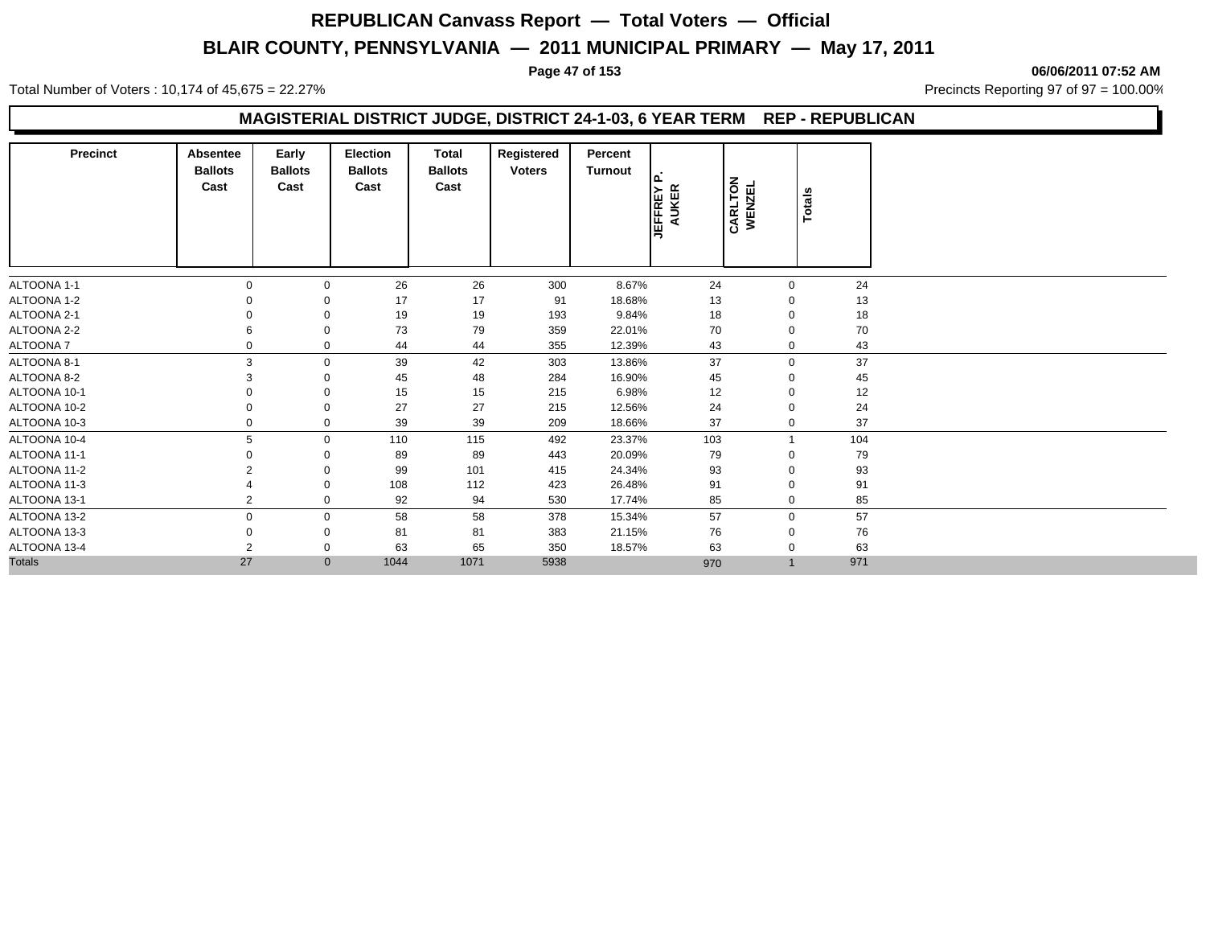Total Number of Voters : 10,174 of 45,675 = 22.27% **Precincts Reporting 97 of 97 = 100.00%** Precincts Reporting 97 of 97 = 100.00%

**Page 47 of 153 06/06/2011 07:52 AM**

## **MAGISTERIAL DISTRICT JUDGE, DISTRICT 24-1-03, 6 YEAR TERM REP - REPUBLICAN**

| <b>Precinct</b>  | Absentee<br><b>Ballots</b><br>Cast | Early<br><b>Ballots</b><br>Cast | <b>Election</b><br><b>Ballots</b><br>Cast | Total<br><b>Ballots</b><br>Cast | Registered<br><b>Voters</b> | Percent<br>Turnout | Ι۵<br><b>JEFFREY</b><br><b>AUKER</b> | CARLTON<br>WENZEL | Totals |  |
|------------------|------------------------------------|---------------------------------|-------------------------------------------|---------------------------------|-----------------------------|--------------------|--------------------------------------|-------------------|--------|--|
| ALTOONA 1-1      |                                    | 0                               | 26                                        | 26                              | 300                         | 8.67%              | 24                                   | $\mathbf 0$       | 24     |  |
| ALTOONA 1-2      |                                    |                                 | 17                                        | 17                              | 91                          | 18.68%             | 13                                   | $\Omega$          | 13     |  |
| ALTOONA 2-1      |                                    |                                 | 19                                        | 19                              | 193                         | 9.84%              | 18                                   | $\Omega$          | 18     |  |
| ALTOONA 2-2      |                                    | 0                               | 73                                        | 79                              | 359                         | 22.01%             | 70                                   | $\mathbf 0$       | 70     |  |
| <b>ALTOONA 7</b> |                                    | 0                               | 44                                        | 44                              | 355                         | 12.39%             | 43                                   | $\mathbf 0$       | 43     |  |
| ALTOONA 8-1      | 3                                  | 0                               | 39                                        | 42                              | 303                         | 13.86%             | 37                                   | $\mathbf 0$       | 37     |  |
| ALTOONA 8-2      |                                    |                                 | 45                                        | 48                              | 284                         | 16.90%             | 45                                   | 0                 | 45     |  |
| ALTOONA 10-1     |                                    |                                 | 15                                        | 15                              | 215                         | 6.98%              | 12                                   | $\Omega$          | 12     |  |
| ALTOONA 10-2     |                                    | 0                               | 27                                        | 27                              | 215                         | 12.56%             | 24                                   | 0                 | 24     |  |
| ALTOONA 10-3     |                                    | 0                               | 39                                        | 39                              | 209                         | 18.66%             | 37                                   | $\mathbf 0$       | 37     |  |
| ALTOONA 10-4     | 5                                  | $\mathbf{0}$                    | 110                                       | 115                             | 492                         | 23.37%             | 103                                  |                   | 104    |  |
| ALTOONA 11-1     |                                    |                                 | 89                                        | 89                              | 443                         | 20.09%             | 79                                   | $\Omega$          | 79     |  |
| ALTOONA 11-2     |                                    |                                 | 99                                        | 101                             | 415                         | 24.34%             | 93                                   | 0                 | 93     |  |
| ALTOONA 11-3     |                                    | 0                               | 108                                       | 112                             | 423                         | 26.48%             | 91                                   | $\mathbf 0$       | 91     |  |
| ALTOONA 13-1     | 2                                  | 0                               | 92                                        | 94                              | 530                         | 17.74%             | 85                                   | $\mathbf 0$       | 85     |  |
| ALTOONA 13-2     | 0                                  | 0                               | 58                                        | 58                              | 378                         | 15.34%             | 57                                   | $\mathbf 0$       | 57     |  |
| ALTOONA 13-3     |                                    | 0                               | 81                                        | 81                              | 383                         | 21.15%             | 76                                   | 0                 | 76     |  |
| ALTOONA 13-4     | 2                                  | 0                               | 63                                        | 65                              | 350                         | 18.57%             | 63                                   | $\mathbf 0$       | 63     |  |
| <b>Totals</b>    | 27                                 | $\mathbf{0}$                    | 1044                                      | 1071                            | 5938                        |                    | 970                                  | $\overline{1}$    | 971    |  |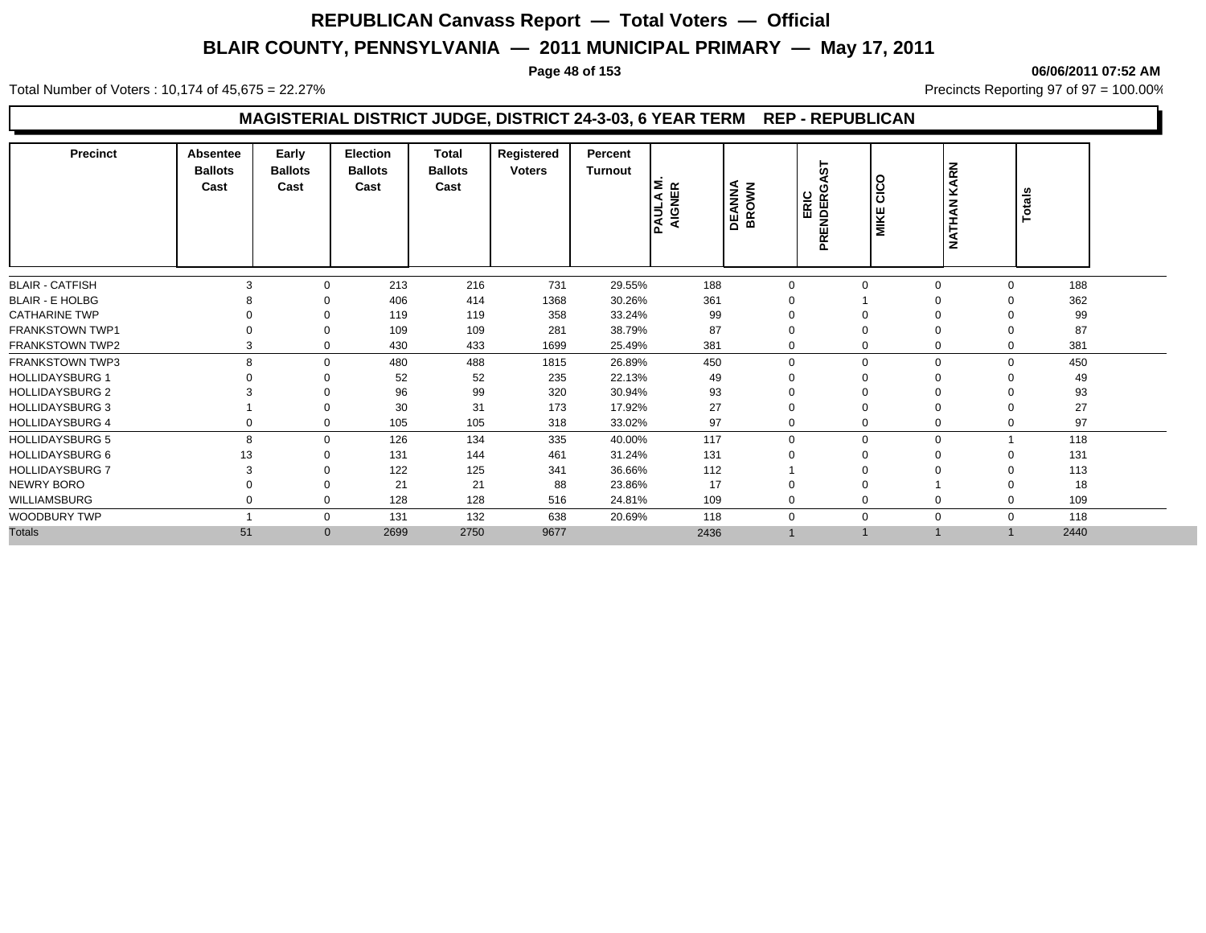**Page 48 of 153 06/06/2011 07:52 AM**

Total Number of Voters : 10,174 of 45,675 = 22.27% **Precincts Reporting 97 of 97 = 100.00%** Precincts Reporting 97 of 97 = 100.00%

## **MAGISTERIAL DISTRICT JUDGE, DISTRICT 24-3-03, 6 YEAR TERM REP - REPUBLICAN**

| <b>Precinct</b>        | <b>Absentee</b><br><b>Ballots</b><br>Cast | Early<br><b>Ballots</b><br>Cast | <b>Election</b><br><b>Ballots</b><br>Cast | Total<br><b>Ballots</b><br>Cast | Registered<br><b>Voters</b> | Percent<br><b>Turnout</b> | ا≥ ھ<br>픻<br><b>PAULA</b><br><b>Qi</b> | <b>DEANNA</b><br>BROWN | 5<br>C<br>ERIC<br>PRENDER | o<br><u>ت</u><br><b>MIKE</b> | <b>KARN</b><br><b>NATHAN</b> | Totals      |      |  |
|------------------------|-------------------------------------------|---------------------------------|-------------------------------------------|---------------------------------|-----------------------------|---------------------------|----------------------------------------|------------------------|---------------------------|------------------------------|------------------------------|-------------|------|--|
| <b>BLAIR - CATFISH</b> | 3                                         |                                 | 213                                       | 216                             | 731                         | 29.55%                    | 188                                    |                        | $\Omega$                  | $\Omega$                     | $\mathbf 0$                  | $\Omega$    | 188  |  |
| <b>BLAIR - E HOLBG</b> |                                           |                                 | 406                                       | 414                             | 1368                        | 30.26%                    | 361                                    |                        |                           |                              | $\mathbf 0$                  | 0           | 362  |  |
| <b>CATHARINE TWP</b>   |                                           |                                 | 119                                       | 119                             | 358                         | 33.24%                    | 99                                     |                        |                           | $\Omega$                     | $\Omega$                     |             | 99   |  |
| <b>FRANKSTOWN TWP1</b> |                                           |                                 | 109                                       | 109                             | 281                         | 38.79%                    | 87                                     | $\Omega$               |                           | $\Omega$                     | $\mathbf 0$                  | $\Omega$    | 87   |  |
| <b>FRANKSTOWN TWP2</b> | 3                                         |                                 | 430                                       | 433                             | 1699                        | 25.49%                    | 381                                    | $\Omega$               |                           | $\mathbf 0$                  | 0                            | $\mathbf 0$ | 381  |  |
| <b>FRANKSTOWN TWP3</b> | 8                                         |                                 | 480                                       | 488                             | 1815                        | 26.89%                    | 450                                    |                        | $\Omega$                  | $\Omega$                     | $\mathbf 0$                  | $\Omega$    | 450  |  |
| <b>HOLLIDAYSBURG 1</b> |                                           |                                 | 52                                        | 52                              | 235                         | 22.13%                    | 49                                     |                        |                           | 0                            | $\Omega$                     |             | 49   |  |
| <b>HOLLIDAYSBURG 2</b> |                                           |                                 | 96                                        | 99                              | 320                         | 30.94%                    | 93                                     |                        |                           |                              | $\Omega$                     |             | 93   |  |
| <b>HOLLIDAYSBURG 3</b> |                                           |                                 | 30                                        | 31                              | 173                         | 17.92%                    | 27                                     |                        |                           | $\Omega$                     | $\mathbf 0$                  |             | 27   |  |
| <b>HOLLIDAYSBURG 4</b> |                                           |                                 | 105                                       | 105                             | 318                         | 33.02%                    | 97                                     | $\Omega$               |                           | $\Omega$                     | $\mathbf 0$                  | $\mathbf 0$ | 97   |  |
| <b>HOLLIDAYSBURG 5</b> | 8                                         | 0                               | 126                                       | 134                             | 335                         | 40.00%                    | 117                                    |                        | $\Omega$                  | $\Omega$                     | $\mathbf 0$                  |             | 118  |  |
| <b>HOLLIDAYSBURG 6</b> | 13                                        |                                 | 131                                       | 144                             | 461                         | 31.24%                    | 131                                    |                        |                           | $\Omega$                     | $\mathbf 0$                  | $\Omega$    | 131  |  |
| <b>HOLLIDAYSBURG 7</b> | 3                                         |                                 | 122                                       | 125                             | 341                         | 36.66%                    | 112                                    |                        |                           | $\Omega$                     | $\Omega$                     |             | 113  |  |
| <b>NEWRY BORO</b>      |                                           |                                 | 21                                        | 21                              | 88                          | 23.86%                    | 17                                     |                        |                           | $\Omega$                     |                              | $\Omega$    | 18   |  |
| WILLIAMSBURG           |                                           |                                 | 128                                       | 128                             | 516                         | 24.81%                    | 109                                    | $\Omega$               |                           | $\Omega$                     | 0                            | $\mathbf 0$ | 109  |  |
| <b>WOODBURY TWP</b>    |                                           | 0                               | 131                                       | 132                             | 638                         | 20.69%                    | 118                                    |                        | $\Omega$                  | $\overline{0}$               | 0                            | $\mathbf 0$ | 118  |  |
| <b>Totals</b>          | 51                                        | $\mathbf{0}$                    | 2699                                      | 2750                            | 9677                        |                           | 2436                                   |                        |                           |                              | $\overline{1}$               |             | 2440 |  |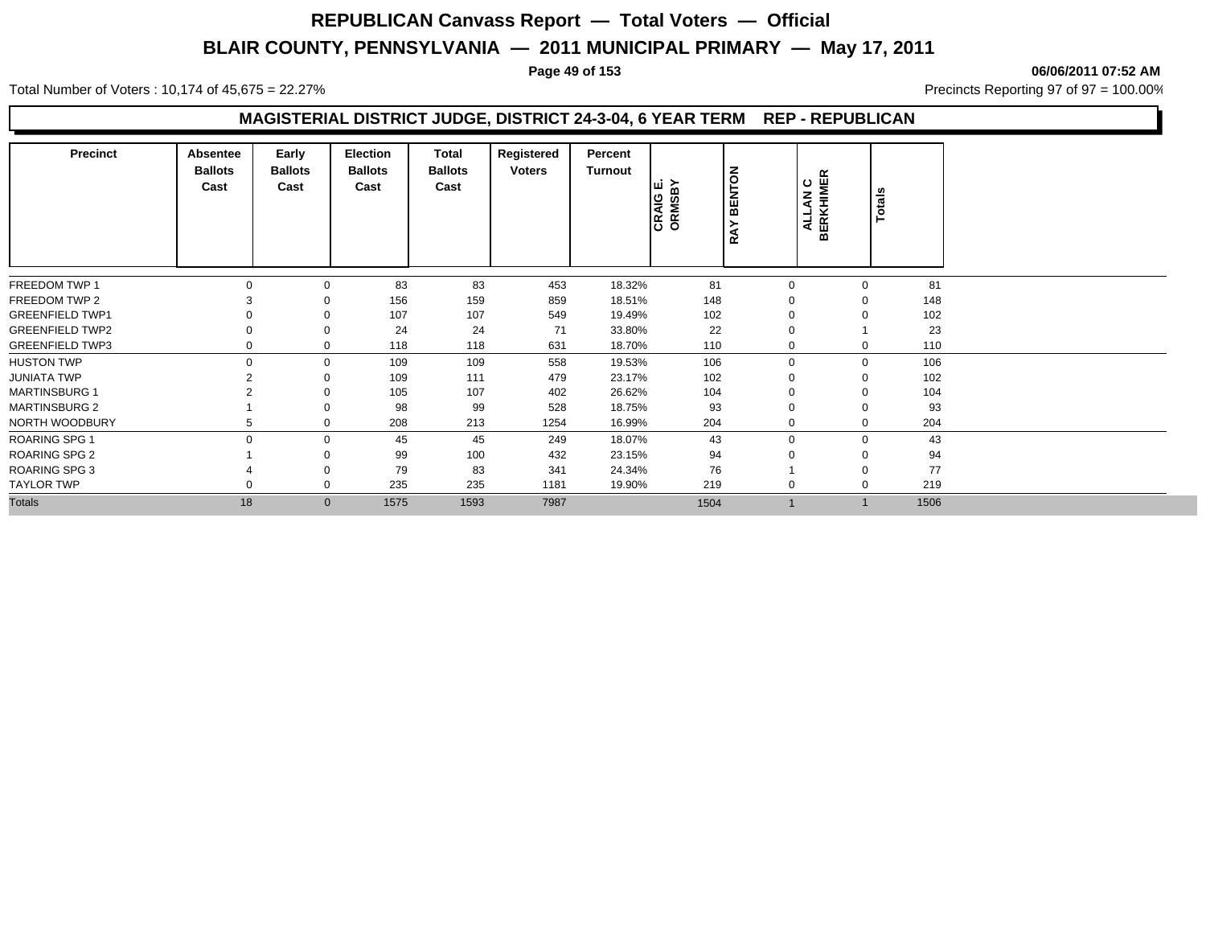Total Number of Voters : 10,174 of 45,675 = 22.27% **Precincts Reporting 97 of 97 = 100.00%** Precincts Reporting 97 of 97 = 100.00%

#### **Page 49 of 153 06/06/2011 07:52 AM**

## **MAGISTERIAL DISTRICT JUDGE, DISTRICT 24-3-04, 6 YEAR TERM REP - REPUBLICAN**

| <b>Precinct</b>        | Absentee<br><b>Ballots</b><br>Cast | Early<br><b>Ballots</b><br>Cast | Election<br><b>Ballots</b><br>Cast | Total<br><b>Ballots</b><br>Cast | Registered<br><b>Voters</b> | Percent<br><b>Turnout</b> | CRAIG E.<br>ORMSBY | <b>BENTON</b><br>≻<br><b>RA</b> | AN C<br>Η   | <b>BERKHIMER</b> | Totals |
|------------------------|------------------------------------|---------------------------------|------------------------------------|---------------------------------|-----------------------------|---------------------------|--------------------|---------------------------------|-------------|------------------|--------|
| FREEDOM TWP 1          |                                    | $\Omega$                        | 83                                 | 83                              | 453                         | 18.32%                    | 81                 |                                 | 0           | $\Omega$         | 81     |
| FREEDOM TWP 2          |                                    |                                 | 156                                | 159                             | 859                         | 18.51%                    | 148                |                                 |             | $\Omega$         | 148    |
| <b>GREENFIELD TWP1</b> |                                    |                                 | 107                                | 107                             | 549                         | 19.49%                    | 102                |                                 |             | $\Omega$         | 102    |
| <b>GREENFIELD TWP2</b> |                                    |                                 | 24                                 | 24                              | 71                          | 33.80%                    | 22                 |                                 |             |                  | 23     |
| <b>GREENFIELD TWP3</b> |                                    | 0                               | 118                                | 118                             | 631                         | 18.70%                    | 110                |                                 | $\mathbf 0$ | 0                | 110    |
| <b>HUSTON TWP</b>      | $\Omega$                           | $\mathbf 0$                     | 109                                | 109                             | 558                         | 19.53%                    | 106                |                                 | $\Omega$    | $\mathbf 0$      | 106    |
| <b>JUNIATA TWP</b>     |                                    |                                 | 109                                | 111                             | 479                         | 23.17%                    | 102                |                                 |             | $\mathbf 0$      | 102    |
| <b>MARTINSBURG 1</b>   |                                    |                                 | 105                                | 107                             | 402                         | 26.62%                    | 104                |                                 |             | $\Omega$         | 104    |
| <b>MARTINSBURG 2</b>   |                                    |                                 | 98                                 | 99                              | 528                         | 18.75%                    | 93                 |                                 |             | 0                | 93     |
| NORTH WOODBURY         |                                    | 0                               | 208                                | 213                             | 1254                        | 16.99%                    | 204                |                                 | $\mathbf 0$ | $\mathbf 0$      | 204    |
| <b>ROARING SPG 1</b>   | $\Omega$                           | $\Omega$                        | 45                                 | 45                              | 249                         | 18.07%                    | 43                 |                                 | $\Omega$    | $\Omega$         | 43     |
| <b>ROARING SPG 2</b>   |                                    |                                 | 99                                 | 100                             | 432                         | 23.15%                    | 94                 |                                 |             | $\Omega$         | 94     |
| <b>ROARING SPG 3</b>   |                                    |                                 | 79                                 | 83                              | 341                         | 24.34%                    | 76                 |                                 |             | $\Omega$         | 77     |
| <b>TAYLOR TWP</b>      |                                    | $\mathbf 0$                     | 235                                | 235                             | 1181                        | 19.90%                    | 219                |                                 | $\mathbf 0$ | $\Omega$         | 219    |
| <b>Totals</b>          | 18                                 | $\mathbf{0}$                    | 1575                               | 1593                            | 7987                        |                           | 1504               |                                 |             |                  | 1506   |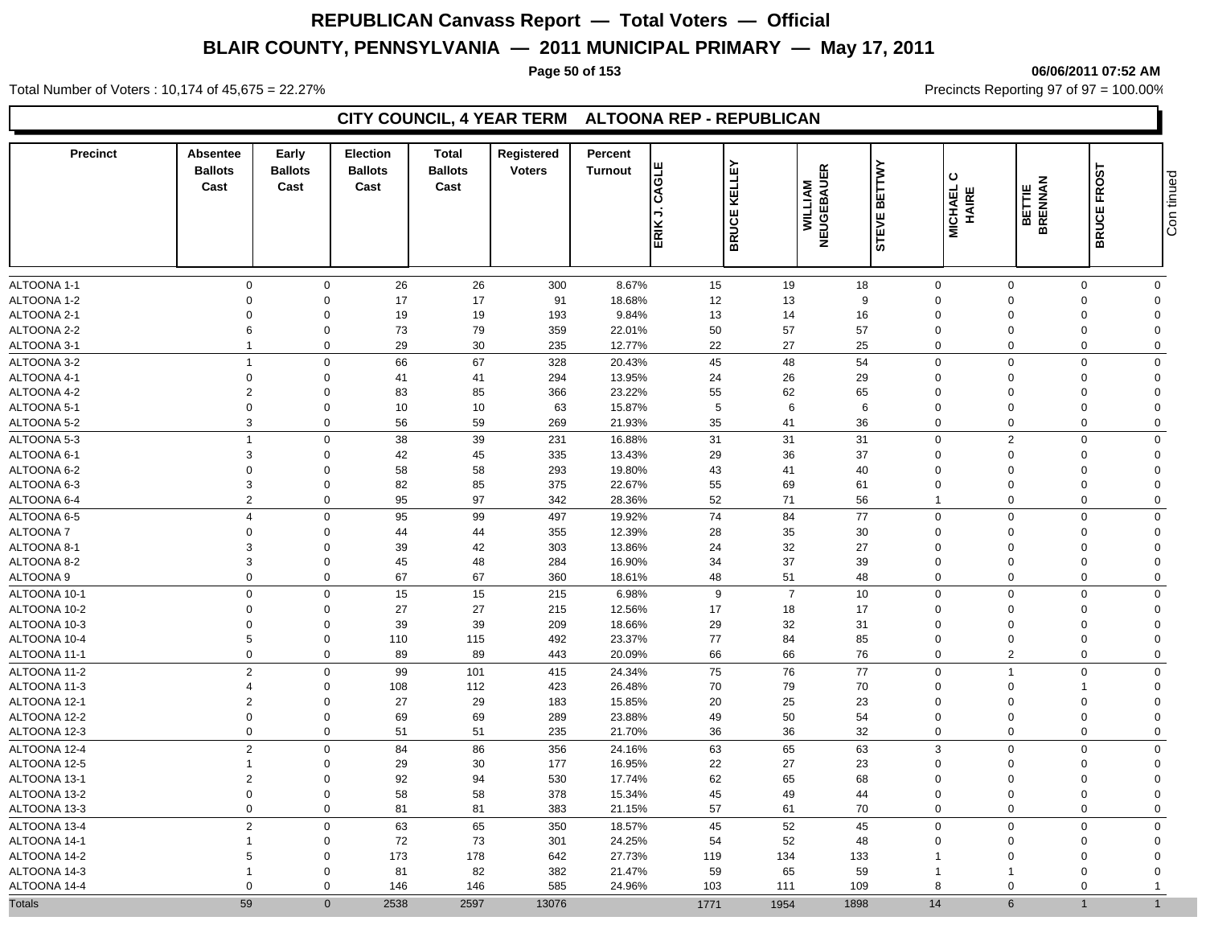#### **Page 50 of 153 06/06/2011 07:52 AM**

Total Number of Voters : 10,174 of 45,675 = 22.27% **Precincts Reporting 97 of 97 = 100.00%** Precincts Reporting 97 of 97 = 100.00%

## **CITY COUNCIL, 4 YEAR TERM ALTOONA REP - REPUBLICAN**

| <b>Precinct</b> | Absentee<br><b>Ballots</b><br>Cast | Early<br><b>Ballots</b><br>Cast | <b>Election</b><br><b>Ballots</b><br>Cast | <b>Total</b><br><b>Ballots</b><br>Cast | Registered<br><b>Voters</b> | Percent<br><b>Turnout</b> | ш<br>CAGLI<br>→<br>ERIK | KELLEY<br><b>BRUCE</b> | NEUGEBAUER<br>WILLIAM | <b>BETTWY</b><br>STEVE | ပ<br>MICHAEL<br>HAIRE   | <b>BETTIE<br/>BRENNAN</b> | <b>FROST</b><br><b>BRUCE</b> | Con tinued |
|-----------------|------------------------------------|---------------------------------|-------------------------------------------|----------------------------------------|-----------------------------|---------------------------|-------------------------|------------------------|-----------------------|------------------------|-------------------------|---------------------------|------------------------------|------------|
| ALTOONA 1-1     | $\mathbf 0$                        | $\mathbf 0$                     | 26                                        | 26                                     | 300                         | 8.67%                     | 15                      | 19                     | 18                    | $\mathbf 0$            | $\mathbf 0$             | $\Omega$                  | $\mathbf 0$                  |            |
| ALTOONA 1-2     | $\mathbf 0$                        | $\mathbf 0$                     | 17                                        | 17                                     | 91                          | 18.68%                    | 12                      | 13                     | 9                     | $\overline{0}$         | $\Omega$                | $\Omega$                  | $\mathbf 0$                  |            |
| ALTOONA 2-1     | $\Omega$                           | $\mathbf 0$                     | 19                                        | 19                                     | 193                         | 9.84%                     | 13                      | 14                     | 16                    | $\mathbf 0$            | $\Omega$                | $\Omega$                  | $\Omega$                     |            |
| ALTOONA 2-2     | 6                                  | $\mathbf 0$                     | 73                                        | 79                                     | 359                         | 22.01%                    | 50                      | 57                     | 57                    | $\mathbf 0$            | $\Omega$                | $\Omega$                  | $\Omega$                     |            |
| ALTOONA 3-1     | $\overline{1}$                     | $\mathbf 0$                     | 29                                        | 30                                     | 235                         | 12.77%                    | 22                      | 27                     | 25                    | $\mathbf 0$            | $\Omega$                | $\Omega$                  | $\mathbf 0$                  |            |
| ALTOONA 3-2     | $\overline{1}$                     | $\mathbf 0$                     | 66                                        | 67                                     | 328                         | 20.43%                    | 45                      | 48                     | 54                    | $\mathbf 0$            | $\Omega$                | $\Omega$                  | $\mathbf 0$                  |            |
| ALTOONA 4-1     | $\mathbf 0$                        | $\mathbf 0$                     | 41                                        | 41                                     | 294                         | 13.95%                    | 24                      | 26                     | 29                    | $\mathbf 0$            | $\Omega$                | $\Omega$                  | $\Omega$                     |            |
| ALTOONA 4-2     | $\overline{2}$                     | $\mathbf 0$                     | 83                                        | 85                                     | 366                         | 23.22%                    | 55                      | 62                     | 65                    | $\mathbf 0$            | $\Omega$                | $\Omega$                  | $\mathbf 0$                  |            |
| ALTOONA 5-1     | $\mathbf 0$                        | $\mathbf 0$                     | 10                                        | 10                                     | 63                          | 15.87%                    | 5                       | $\,6\,$                | $\,6\,$               | $\overline{0}$         | $\Omega$                | $\Omega$                  | $\Omega$                     |            |
| ALTOONA 5-2     | $\mathbf{3}$                       | $\mathbf 0$                     | 56                                        | 59                                     | 269                         | 21.93%                    | 35                      | 41                     | 36                    | $\mathbf 0$            | $\mathbf 0$             | $\Omega$                  | $\mathbf 0$                  |            |
| ALTOONA 5-3     | $\overline{1}$                     | $\mathbf 0$                     | 38                                        | 39                                     | 231                         | 16.88%                    | 31                      | 31                     | 31                    | $\mathbf 0$            | 2                       | $\Omega$                  | $\mathbf 0$                  |            |
| ALTOONA 6-1     | 3                                  | $\mathbf 0$                     | 42                                        | 45                                     | 335                         | 13.43%                    | 29                      | 36                     | 37                    | $\mathbf 0$            | $\Omega$                | $\Omega$                  | $\mathbf 0$                  |            |
| ALTOONA 6-2     | $\mathbf 0$                        | $\mathbf 0$                     | 58                                        | 58                                     | 293                         | 19.80%                    | 43                      | 41                     | 40                    | $\overline{0}$         | $\Omega$                | $\Omega$                  | $\mathbf 0$                  |            |
| ALTOONA 6-3     | $\mathbf{3}$                       | $\mathsf{O}\xspace$             | 82                                        | 85                                     | 375                         | 22.67%                    | 55                      | 69                     | 61                    | $\overline{0}$         | $\Omega$                | $\Omega$                  | $\Omega$                     |            |
| ALTOONA 6-4     | $\overline{2}$                     | $\mathbf 0$                     | 95                                        | 97                                     | 342                         | 28.36%                    | 52                      | 71                     | 56                    | $\overline{1}$         | $\Omega$                | $\Omega$                  | $\mathbf 0$                  |            |
| ALTOONA 6-5     | $\overline{4}$                     | $\mathbf 0$                     | 95                                        | 99                                     | 497                         | 19.92%                    | 74                      | 84                     | 77                    | $\mathbf 0$            | $\mathbf 0$             | $\Omega$                  | $\mathbf 0$                  |            |
| <b>ALTOONA7</b> | $\mathbf 0$                        | $\Omega$                        | 44                                        | 44                                     | 355                         | 12.39%                    | 28                      | 35                     | 30                    | $\overline{0}$         | $\Omega$                | $\Omega$                  | $\Omega$                     |            |
| ALTOONA 8-1     | $\mathbf{3}$                       | $\Omega$                        | 39                                        | 42                                     | 303                         | 13.86%                    | 24                      | 32                     | 27                    | $\mathbf 0$            | $\Omega$                | $\Omega$                  | $\Omega$                     |            |
| ALTOONA 8-2     | $\mathbf{3}$                       | $\mathbf 0$                     | 45                                        | 48                                     | 284                         | 16.90%                    | 34                      | 37                     | 39                    | $\overline{0}$         | $\Omega$                | $\Omega$                  | $\mathbf 0$                  |            |
| ALTOONA 9       | $\mathbf 0$                        | $\mathbf 0$                     | 67                                        | 67                                     | 360                         | 18.61%                    | 48                      | 51                     | 48                    | $\mathbf 0$            | $\Omega$                | $\mathbf 0$               | $\mathbf 0$                  |            |
| ALTOONA 10-1    | $\mathbf 0$                        | $\mathbf 0$                     | 15                                        | 15                                     | 215                         | 6.98%                     | 9                       | $\overline{7}$         | 10                    | $\overline{0}$         | $\Omega$                | $\Omega$                  | $\mathbf 0$                  |            |
| ALTOONA 10-2    | $\mathbf 0$                        | $\mathbf 0$                     | 27                                        | 27                                     | 215                         | 12.56%                    | 17                      | 18                     | 17                    | $\overline{0}$         | $\Omega$                | $\Omega$                  | $\mathbf 0$                  |            |
| ALTOONA 10-3    | $\mathbf 0$                        | $\mathbf 0$                     | 39                                        | 39                                     | 209                         | 18.66%                    | 29                      | 32                     | 31                    | $\mathbf 0$            | $\Omega$                | $\Omega$                  | $\Omega$                     |            |
| ALTOONA 10-4    | 5                                  | $\mathbf 0$                     | 110                                       | 115                                    | 492                         | 23.37%                    | 77                      | 84                     | 85                    | $\mathbf 0$            | $\Omega$                | $\Omega$                  | $\mathbf 0$                  |            |
| ALTOONA 11-1    | $\mathbf 0$                        | $\mathbf 0$                     | 89                                        | 89                                     | 443                         | 20.09%                    | 66                      | 66                     | 76                    | $\mathbf 0$            | 2                       | $\mathbf 0$               | $\mathbf 0$                  |            |
| ALTOONA 11-2    | $\overline{2}$                     | $\mathbf 0$                     | 99                                        | 101                                    | 415                         | 24.34%                    | 75                      | 76                     | 77                    | $\mathbf 0$            | $\overline{\mathbf{1}}$ | $\Omega$                  | $\mathbf 0$                  |            |
| ALTOONA 11-3    | $\overline{4}$                     | $\mathbf 0$                     | 108                                       | 112                                    | 423                         | 26.48%                    | 70                      | 79                     | 70                    | $\overline{0}$         | $\Omega$                | 1                         | $\Omega$                     |            |
| ALTOONA 12-1    | $\overline{2}$                     | $\mathbf 0$                     | 27                                        | 29                                     | 183                         | 15.85%                    | 20                      | 25                     | 23                    | $\mathbf 0$            | $\Omega$                | $\Omega$                  | $\Omega$                     |            |
| ALTOONA 12-2    | $\mathbf 0$                        | $\mathbf 0$                     | 69                                        | 69                                     | 289                         | 23.88%                    | 49                      | 50                     | 54                    | $\overline{0}$         | $\Omega$                | $\Omega$                  | $\Omega$                     |            |
| ALTOONA 12-3    | $\mathbf 0$                        | $\mathbf 0$                     | 51                                        | 51                                     | 235                         | 21.70%                    | 36                      | 36                     | 32                    | $\mathbf 0$            | $\Omega$                | $\Omega$                  | $\mathbf 0$                  |            |
| ALTOONA 12-4    | $\overline{2}$                     | $\mathbf 0$                     | 84                                        | 86                                     | 356                         | 24.16%                    | 63                      | 65                     | 63                    | 3                      | $\Omega$                | $\Omega$                  | $\mathbf 0$                  |            |
| ALTOONA 12-5    | $\overline{1}$                     | $\mathbf 0$                     | 29                                        | 30                                     | 177                         | 16.95%                    | 22                      | 27                     | 23                    | $\mathbf 0$            | $\Omega$                | $\Omega$                  | $\mathbf 0$                  |            |
| ALTOONA 13-1    | $\overline{2}$                     | $\mathbf 0$                     | 92                                        | 94                                     | 530                         | 17.74%                    | 62                      | 65                     | 68                    | $\mathbf 0$            | $\Omega$                | $\Omega$                  | $\mathbf 0$                  |            |
| ALTOONA 13-2    | $\mathbf 0$                        | $\mathbf 0$                     | 58                                        | 58                                     | 378                         | 15.34%                    | 45                      | 49                     | 44                    | $\mathbf 0$            | $\Omega$                | $\Omega$                  | $\mathbf 0$                  |            |
| ALTOONA 13-3    | $\mathbf 0$                        | $\mathbf 0$                     | 81                                        | 81                                     | 383                         | 21.15%                    | 57                      | 61                     | 70                    | $\mathbf 0$            | $\mathbf 0$             | $\Omega$                  | $\mathbf 0$                  |            |
| ALTOONA 13-4    | $\overline{2}$                     | $\mathbf 0$                     | 63                                        | 65                                     | 350                         | 18.57%                    | 45                      | 52                     | 45                    | $\mathbf 0$            | $\mathbf 0$             | $\mathbf 0$               | $\mathbf 0$                  |            |
| ALTOONA 14-1    | $\overline{1}$                     | $\mathbf 0$                     | 72                                        | 73                                     | 301                         | 24.25%                    | 54                      | 52                     | 48                    | $\mathbf 0$            | $\Omega$                | $\Omega$                  | $\Omega$                     |            |
| ALTOONA 14-2    | 5                                  | $\mathbf 0$                     | 173                                       | 178                                    | 642                         | 27.73%                    | 119                     | 134                    | 133                   | -1                     | $\Omega$                | $\Omega$                  | $\Omega$                     |            |
| ALTOONA 14-3    |                                    | $\Omega$                        | 81                                        | 82                                     | 382                         | 21.47%                    | 59                      | 65                     | 59                    |                        |                         | $\Omega$                  | $\Omega$                     |            |
| ALTOONA 14-4    | $\mathbf 0$                        | $\Omega$                        | 146                                       | 146                                    | 585                         | 24.96%                    | 103                     | 111                    | 109                   | 8                      | $\Omega$                | $\Omega$                  |                              |            |
| <b>Totals</b>   | 59                                 | $\Omega$                        | 2538                                      | 2597                                   | 13076                       |                           | 1771                    | 1954                   | 1898                  | 14                     | 6                       |                           | $\overline{1}$               |            |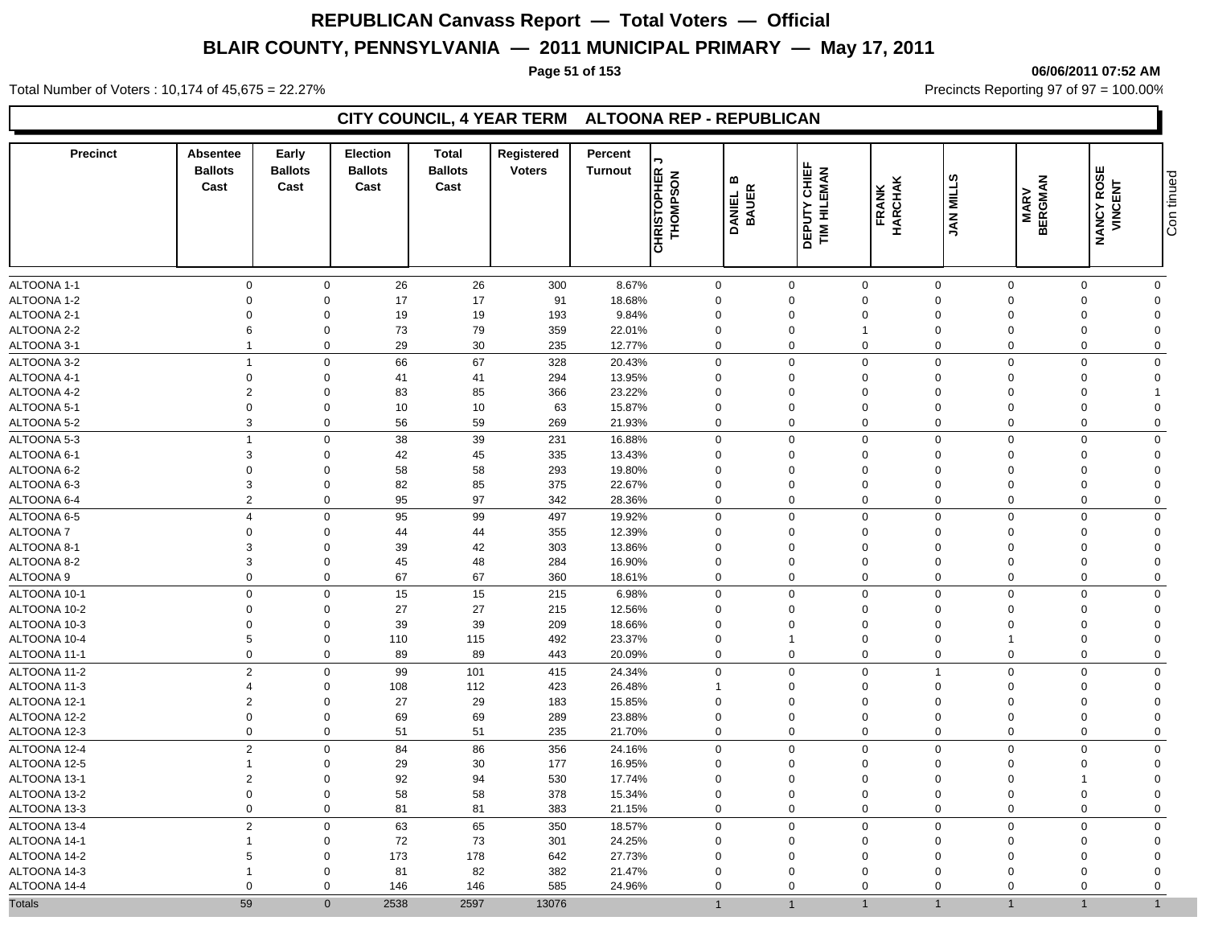#### **Page 51 of 153 06/06/2011 07:52 AM**

Total Number of Voters : 10,174 of 45,675 = 22.27% **Precincts Reporting 97 of 97 = 100.00%** Precincts Reporting 97 of 97 = 100.00%

## **CITY COUNCIL, 4 YEAR TERM ALTOONA REP - REPUBLICAN**

| $\mathbf 0$<br>$\mathbf 0$<br>26<br>26<br>300<br>8.67%<br>$\mathbf 0$<br>$\mathbf{0}$<br>$\mathbf 0$<br>$\mathbf 0$<br>$\Omega$<br>$\mathbf 0$<br>$\mathbf 0$<br>17<br>17<br>18.68%<br>$\mathbf 0$<br>$\Omega$<br>$\mathbf 0$<br>91<br>$\Omega$<br>$\Omega$<br>$\Omega$<br>$\Omega$<br>$\Omega$<br>$\Omega$<br>19<br>19<br>$\Omega$<br>$\Omega$<br>193<br>9.84%<br>$\Omega$<br>$\Omega$<br>$\Omega$<br>$\Omega$<br>$\Omega$<br>$\Omega$<br>73<br>79<br>6<br>$\mathbf 0$<br>359<br>22.01%<br>0<br>$\Omega$<br>$\Omega$<br>$\Omega$<br>$\Omega$<br>$\mathbf 0$<br>$\overline{1}$<br>$\mathbf 0$<br>29<br>30<br>$\overline{1}$<br>235<br>12.77%<br>0<br>$\mathbf 0$<br>$\mathbf 0$<br>$\mathbf 0$<br>$\Omega$<br>$\Omega$<br>$\mathbf 0$<br>67<br>$\mathbf 0$<br>66<br>328<br>20.43%<br>$\Omega$<br>$\mathbf 0$<br>$\overline{1}$<br>$\mathbf 0$<br>$\Omega$<br>$\Omega$<br>$\Omega$<br>$\mathbf 0$<br>$\mathbf 0$<br>$\mathbf 0$<br>41<br>41<br>294<br>13.95%<br>$\Omega$<br>$\mathbf 0$<br>$\Omega$<br>$\mathbf 0$<br>$\Omega$<br>$\Omega$<br>$\Omega$<br>85<br>23.22%<br>$\overline{2}$<br>$\mathbf 0$<br>83<br>366<br>$\mathbf 0$<br>$\mathbf 0$<br>$\Omega$<br>$\Omega$<br>$\mathbf 0$<br>$\Omega$<br>$\mathbf 0$<br>$\mathbf 0$<br>10<br>10<br>63<br>15.87%<br>$\mathbf 0$<br>$\mathbf 0$<br>0<br>$\overline{0}$<br>$\Omega$<br>$\Omega$<br>$\Omega$<br>3<br>56<br>59<br>$\mathbf 0$<br>$\mathbf 0$<br>269<br>21.93%<br>0<br>$\mathbf 0$<br>$\mathbf 0$<br>$\mathbf 0$<br>$\Omega$<br>$\mathbf 0$<br>ALTOONA 5-3<br>$\overline{1}$<br>38<br>39<br>$\mathbf 0$<br>231<br>16.88%<br>$\mathbf 0$<br>$\mathbf 0$<br>$\mathbf 0$<br>$\mathbf 0$<br>$\mathbf 0$<br>$\Omega$<br>$\Omega$<br>3<br>$\mathbf 0$<br>42<br>45<br>335<br>13.43%<br>$\mathbf 0$<br>$\mathbf 0$<br>$\overline{0}$<br>$\mathbf 0$<br>$\Omega$<br>$\Omega$<br>$\Omega$<br>$\mathbf 0$<br>58<br>58<br>293<br>19.80%<br>$\mathbf 0$<br>$\mathbf 0$<br>0<br>$\mathbf 0$<br>$\mathbf 0$<br>$\Omega$<br>$\Omega$<br>$\Omega$<br>3<br>82<br>85<br>$\mathbf 0$<br>375<br>22.67%<br>$\mathbf 0$<br>$\mathbf 0$<br>$\mathbf 0$<br>$\Omega$<br>$\Omega$<br>$\mathbf 0$<br>$\Omega$<br>$\overline{2}$<br>$\mathbf 0$<br>95<br>97<br>$\mathbf 0$<br>342<br>28.36%<br>$\mathbf 0$<br>$\mathbf 0$<br>$\Omega$<br>$\mathbf 0$<br>$\mathbf 0$<br>$\Omega$<br>95<br>99<br>$\mathbf 0$<br>$\mathbf 0$<br>$\overline{4}$<br>$\mathbf 0$<br>497<br>19.92%<br>$\mathbf 0$<br>$\mathbf 0$<br>$\mathbf 0$<br>$\mathbf 0$<br>$\mathbf 0$<br>$\mathbf 0$<br>44<br>44<br>12.39%<br>$\mathbf 0$<br>355<br>$\mathbf 0$<br>$\mathbf 0$<br>$\mathbf 0$<br>$\mathbf 0$<br>$\mathbf 0$<br>$\Omega$<br>$\Omega$<br>3<br>39<br>42<br>303<br>13.86%<br>$\mathbf 0$<br>$\mathbf 0$<br>$\mathbf 0$<br>0<br>$\mathbf 0$<br>$\Omega$<br>$\Omega$<br>$\Omega$<br>3<br>48<br>$\mathbf 0$<br>45<br>284<br>16.90%<br>0<br>0<br>$\mathbf 0$<br>$\overline{0}$<br>$\Omega$<br>$\Omega$<br>$\Omega$<br>$\Omega$<br>67<br>67<br>$\mathbf 0$<br>$\mathbf 0$<br>360<br>$\mathbf 0$<br>$\mathbf 0$<br>$\Omega$<br>$\mathbf 0$<br>$\Omega$<br>18.61%<br>$\mathbf 0$<br>$\boldsymbol{0}$<br>15<br>15<br>6.98%<br>$\mathbf 0$<br>$\mathbf 0$<br>$\mathbf 0$<br>$\mathbf 0$<br>215<br>0<br>$\Omega$<br>$\Omega$<br>$\Omega$<br>ALTOONA 10-2<br>$\mathbf 0$<br>27<br>27<br>12.56%<br>$\mathbf 0$<br>215<br>$\mathbf 0$<br>0<br>$\mathbf 0$<br>$\mathbf 0$<br>$\mathbf 0$<br>$\Omega$<br>$\Omega$<br>$\mathbf 0$<br>39<br>39<br>$\mathbf 0$<br>209<br>18.66%<br>$\mathbf 0$<br>0<br>$\mathbf 0$<br>$\mathbf 0$<br>$\mathbf 0$<br>$\Omega$<br>$\mathbf 0$<br>5<br>$\mathbf 0$<br>115<br>$\mathbf 0$<br>110<br>492<br>23.37%<br>$\mathbf 0$<br>$\mathbf 0$<br>$\mathbf 0$<br>$\Omega$<br>1<br>$\mathbf 0$<br>89<br>89<br>$\mathbf 0$<br>$\mathbf 0$<br>$\mathbf 0$<br>443<br>20.09%<br>$\mathbf 0$<br>$\mathbf 0$<br>$\mathbf 0$<br>$\mathbf 0$<br>$\mathbf 0$<br>ALTOONA 11-2<br>$\overline{2}$<br>$\mathbf 0$<br>99<br>101<br>24.34%<br>$\mathsf{O}\xspace$<br>$\mathbf 0$<br>$\mathbf 0$<br>$\mathbf 0$<br>415<br>$\overline{1}$<br>$\Omega$<br>$\Omega$<br>$\mathbf 0$<br>108<br>112<br>423<br>26.48%<br>0<br>$\mathbf 0$<br>$\Omega$<br>$\Omega$<br>$\overline{4}$<br>$\mathbf{1}$<br>$\Omega$<br>$\Omega$<br>$\overline{2}$<br>27<br>29<br>$\Omega$<br>183<br>15.85%<br>$\Omega$<br>$\mathbf 0$<br>$\Omega$<br>$\Omega$<br>$\Omega$<br>$\Omega$<br>$\Omega$<br>$\mathbf 0$<br>$\mathbf 0$<br>69<br>69<br>$\mathbf 0$<br>289<br>23.88%<br>$\mathbf 0$<br>0<br>$\overline{0}$<br>$\mathbf 0$<br>$\Omega$<br>$\Omega$<br>$\mathbf 0$<br>$\mathbf 0$<br>51<br>51<br>235<br>$\mathbf 0$<br>$\mathbf 0$<br>$\mathbf 0$<br>$\mathbf 0$<br>$\mathbf 0$<br>$\mathbf 0$<br>21.70%<br>$\mathbf 0$<br>$\overline{2}$<br>84<br>86<br>$\mathbf 0$<br>356<br>24.16%<br>$\mathbf 0$<br>$\mathbf 0$<br>$\mathbf 0$<br>$\mathbf 0$<br>$\Omega$<br>$\Omega$<br>$\mathbf 0$<br>30<br>$\mathbf 0$<br>29<br>16.95%<br>$\mathbf 0$<br>$\mathbf 0$<br>$\overline{1}$<br>177<br>$\mathbf 0$<br>$\Omega$<br>$\Omega$<br>$\Omega$<br>$\Omega$<br>$\overline{2}$<br>92<br>94<br>$\mathbf 0$<br>530<br>17.74%<br>0<br>$\mathbf 0$<br>$\Omega$<br>$\Omega$<br>$\mathbf 0$<br>$\Omega$<br>1<br>58<br>$\mathbf 0$<br>$\mathbf 0$<br>58<br>378<br>$\mathbf 0$<br>$\overline{0}$<br>$\mathbf 0$<br>$\Omega$<br>$\mathbf 0$<br>15.34%<br>$\Omega$<br>$\Omega$<br>$\mathbf 0$<br>$\mathbf 0$<br>81<br>81<br>$\mathbf 0$<br>383<br>21.15%<br>$\mathbf 0$<br>$\mathbf 0$<br>$\Omega$<br>$\Omega$<br>$\mathbf 0$<br>$\mathbf 0$<br>$\overline{2}$<br>63<br>65<br>$\mathbf 0$<br>$\mathbf 0$<br>18.57%<br>$\mathbf 0$<br>$\mathbf 0$<br>$\Omega$<br>350<br>$\mathbf 0$<br>$\Omega$<br>$\Omega$<br>72<br>73<br>$\mathbf 0$<br>301<br>24.25%<br>$\mathbf 0$<br>$\mathbf 0$<br>$\mathbf 0$<br>$\Omega$<br>$\Omega$<br>$\Omega$<br>-1<br>$\Omega$<br>173<br>178<br>5<br>$\mathbf 0$<br>642<br>27.73%<br>$\Omega$<br>$\mathbf 0$<br>$\Omega$<br>$\Omega$<br>$\Omega$<br>$\Omega$<br>$\Omega$<br>82<br>$\Omega$<br>81<br>382<br>21.47%<br>$\mathbf 0$<br>$\mathbf 0$<br>$\mathbf 0$<br>$\Omega$<br>$\Omega$<br>$\Omega$<br>$\Omega$<br>585<br>$\Omega$<br>$\mathbf 0$<br>$\mathbf 0$<br>146<br>146<br>24.96%<br>$\mathbf 0$<br>$\Omega$<br>$\Omega$<br>$\Omega$<br>$\Omega$<br>$\Omega$<br>59<br>$\Omega$<br>$\overline{1}$<br>$\overline{1}$ | <b>Precinct</b> | <b>Absentee</b><br><b>Ballots</b><br>Cast | Early<br><b>Ballots</b><br>Cast | <b>Election</b><br><b>Ballots</b><br>Cast | <b>Total</b><br><b>Ballots</b><br>Cast | Registered<br><b>Voters</b> | Percent<br><b>Turnout</b> | ∍<br><b>CHRISTOPHER.</b><br>THOMPSON | m<br>DANIEL E<br>BAUER | <b>DEPUTY CHIEF</b><br>TIM HILEMAN | <b>FRANK<br/>HARCHAK</b> | JAN MILLS | <b>BERGMAN</b><br><b>MARV</b> | ш<br><b>NANCY ROSE<br/>VINCENT</b> | Con tinued |
|---------------------------------------------------------------------------------------------------------------------------------------------------------------------------------------------------------------------------------------------------------------------------------------------------------------------------------------------------------------------------------------------------------------------------------------------------------------------------------------------------------------------------------------------------------------------------------------------------------------------------------------------------------------------------------------------------------------------------------------------------------------------------------------------------------------------------------------------------------------------------------------------------------------------------------------------------------------------------------------------------------------------------------------------------------------------------------------------------------------------------------------------------------------------------------------------------------------------------------------------------------------------------------------------------------------------------------------------------------------------------------------------------------------------------------------------------------------------------------------------------------------------------------------------------------------------------------------------------------------------------------------------------------------------------------------------------------------------------------------------------------------------------------------------------------------------------------------------------------------------------------------------------------------------------------------------------------------------------------------------------------------------------------------------------------------------------------------------------------------------------------------------------------------------------------------------------------------------------------------------------------------------------------------------------------------------------------------------------------------------------------------------------------------------------------------------------------------------------------------------------------------------------------------------------------------------------------------------------------------------------------------------------------------------------------------------------------------------------------------------------------------------------------------------------------------------------------------------------------------------------------------------------------------------------------------------------------------------------------------------------------------------------------------------------------------------------------------------------------------------------------------------------------------------------------------------------------------------------------------------------------------------------------------------------------------------------------------------------------------------------------------------------------------------------------------------------------------------------------------------------------------------------------------------------------------------------------------------------------------------------------------------------------------------------------------------------------------------------------------------------------------------------------------------------------------------------------------------------------------------------------------------------------------------------------------------------------------------------------------------------------------------------------------------------------------------------------------------------------------------------------------------------------------------------------------------------------------------------------------------------------------------------------------------------------------------------------------------------------------------------------------------------------------------------------------------------------------------------------------------------------------------------------------------------------------------------------------------------------------------------------------------------------------------------------------------------------------------------------------------------------------------------------------------------------------------------------------------------------------------------------------------------------------------------------------------------------------------------------------------------------------------------------------------------------------------------------------------------------------------------------------------------------------------------------------------------------------------------------------------------------------------------------------------------------------------------------------------------------------------------------------------------------------------------------------------------------------------------------------------------------------------------------------------------------------------------------------------------------------------------------------------------------------------------------------------------------------------------------------------------------------------------------------------------------------------------------------------------------------------------------------------------------------------------------------------------------------------------------------------------------------------------------------------------------------------------------------------------------------------------------------------------------------------------------------------------------------------------------------------------------------------------------------------------------------|-----------------|-------------------------------------------|---------------------------------|-------------------------------------------|----------------------------------------|-----------------------------|---------------------------|--------------------------------------|------------------------|------------------------------------|--------------------------|-----------|-------------------------------|------------------------------------|------------|
|                                                                                                                                                                                                                                                                                                                                                                                                                                                                                                                                                                                                                                                                                                                                                                                                                                                                                                                                                                                                                                                                                                                                                                                                                                                                                                                                                                                                                                                                                                                                                                                                                                                                                                                                                                                                                                                                                                                                                                                                                                                                                                                                                                                                                                                                                                                                                                                                                                                                                                                                                                                                                                                                                                                                                                                                                                                                                                                                                                                                                                                                                                                                                                                                                                                                                                                                                                                                                                                                                                                                                                                                                                                                                                                                                                                                                                                                                                                                                                                                                                                                                                                                                                                                                                                                                                                                                                                                                                                                                                                                                                                                                                                                                                                                                                                                                                                                                                                                                                                                                                                                                                                                                                                                                                                                                                                                                                                                                                                                                                                                                                                                                                                                                                                                                                                                                                                                                                                                                                                                                                                                                                                                                                                                                                                                                                               | ALTOONA 1-1     |                                           |                                 |                                           |                                        |                             |                           |                                      |                        |                                    |                          |           |                               |                                    |            |
|                                                                                                                                                                                                                                                                                                                                                                                                                                                                                                                                                                                                                                                                                                                                                                                                                                                                                                                                                                                                                                                                                                                                                                                                                                                                                                                                                                                                                                                                                                                                                                                                                                                                                                                                                                                                                                                                                                                                                                                                                                                                                                                                                                                                                                                                                                                                                                                                                                                                                                                                                                                                                                                                                                                                                                                                                                                                                                                                                                                                                                                                                                                                                                                                                                                                                                                                                                                                                                                                                                                                                                                                                                                                                                                                                                                                                                                                                                                                                                                                                                                                                                                                                                                                                                                                                                                                                                                                                                                                                                                                                                                                                                                                                                                                                                                                                                                                                                                                                                                                                                                                                                                                                                                                                                                                                                                                                                                                                                                                                                                                                                                                                                                                                                                                                                                                                                                                                                                                                                                                                                                                                                                                                                                                                                                                                                               | ALTOONA 1-2     |                                           |                                 |                                           |                                        |                             |                           |                                      |                        |                                    |                          |           |                               |                                    |            |
|                                                                                                                                                                                                                                                                                                                                                                                                                                                                                                                                                                                                                                                                                                                                                                                                                                                                                                                                                                                                                                                                                                                                                                                                                                                                                                                                                                                                                                                                                                                                                                                                                                                                                                                                                                                                                                                                                                                                                                                                                                                                                                                                                                                                                                                                                                                                                                                                                                                                                                                                                                                                                                                                                                                                                                                                                                                                                                                                                                                                                                                                                                                                                                                                                                                                                                                                                                                                                                                                                                                                                                                                                                                                                                                                                                                                                                                                                                                                                                                                                                                                                                                                                                                                                                                                                                                                                                                                                                                                                                                                                                                                                                                                                                                                                                                                                                                                                                                                                                                                                                                                                                                                                                                                                                                                                                                                                                                                                                                                                                                                                                                                                                                                                                                                                                                                                                                                                                                                                                                                                                                                                                                                                                                                                                                                                                               | ALTOONA 2-1     |                                           |                                 |                                           |                                        |                             |                           |                                      |                        |                                    |                          |           |                               |                                    |            |
|                                                                                                                                                                                                                                                                                                                                                                                                                                                                                                                                                                                                                                                                                                                                                                                                                                                                                                                                                                                                                                                                                                                                                                                                                                                                                                                                                                                                                                                                                                                                                                                                                                                                                                                                                                                                                                                                                                                                                                                                                                                                                                                                                                                                                                                                                                                                                                                                                                                                                                                                                                                                                                                                                                                                                                                                                                                                                                                                                                                                                                                                                                                                                                                                                                                                                                                                                                                                                                                                                                                                                                                                                                                                                                                                                                                                                                                                                                                                                                                                                                                                                                                                                                                                                                                                                                                                                                                                                                                                                                                                                                                                                                                                                                                                                                                                                                                                                                                                                                                                                                                                                                                                                                                                                                                                                                                                                                                                                                                                                                                                                                                                                                                                                                                                                                                                                                                                                                                                                                                                                                                                                                                                                                                                                                                                                                               | ALTOONA 2-2     |                                           |                                 |                                           |                                        |                             |                           |                                      |                        |                                    |                          |           |                               |                                    |            |
|                                                                                                                                                                                                                                                                                                                                                                                                                                                                                                                                                                                                                                                                                                                                                                                                                                                                                                                                                                                                                                                                                                                                                                                                                                                                                                                                                                                                                                                                                                                                                                                                                                                                                                                                                                                                                                                                                                                                                                                                                                                                                                                                                                                                                                                                                                                                                                                                                                                                                                                                                                                                                                                                                                                                                                                                                                                                                                                                                                                                                                                                                                                                                                                                                                                                                                                                                                                                                                                                                                                                                                                                                                                                                                                                                                                                                                                                                                                                                                                                                                                                                                                                                                                                                                                                                                                                                                                                                                                                                                                                                                                                                                                                                                                                                                                                                                                                                                                                                                                                                                                                                                                                                                                                                                                                                                                                                                                                                                                                                                                                                                                                                                                                                                                                                                                                                                                                                                                                                                                                                                                                                                                                                                                                                                                                                                               | ALTOONA 3-1     |                                           |                                 |                                           |                                        |                             |                           |                                      |                        |                                    |                          |           |                               |                                    |            |
|                                                                                                                                                                                                                                                                                                                                                                                                                                                                                                                                                                                                                                                                                                                                                                                                                                                                                                                                                                                                                                                                                                                                                                                                                                                                                                                                                                                                                                                                                                                                                                                                                                                                                                                                                                                                                                                                                                                                                                                                                                                                                                                                                                                                                                                                                                                                                                                                                                                                                                                                                                                                                                                                                                                                                                                                                                                                                                                                                                                                                                                                                                                                                                                                                                                                                                                                                                                                                                                                                                                                                                                                                                                                                                                                                                                                                                                                                                                                                                                                                                                                                                                                                                                                                                                                                                                                                                                                                                                                                                                                                                                                                                                                                                                                                                                                                                                                                                                                                                                                                                                                                                                                                                                                                                                                                                                                                                                                                                                                                                                                                                                                                                                                                                                                                                                                                                                                                                                                                                                                                                                                                                                                                                                                                                                                                                               | ALTOONA 3-2     |                                           |                                 |                                           |                                        |                             |                           |                                      |                        |                                    |                          |           |                               |                                    |            |
|                                                                                                                                                                                                                                                                                                                                                                                                                                                                                                                                                                                                                                                                                                                                                                                                                                                                                                                                                                                                                                                                                                                                                                                                                                                                                                                                                                                                                                                                                                                                                                                                                                                                                                                                                                                                                                                                                                                                                                                                                                                                                                                                                                                                                                                                                                                                                                                                                                                                                                                                                                                                                                                                                                                                                                                                                                                                                                                                                                                                                                                                                                                                                                                                                                                                                                                                                                                                                                                                                                                                                                                                                                                                                                                                                                                                                                                                                                                                                                                                                                                                                                                                                                                                                                                                                                                                                                                                                                                                                                                                                                                                                                                                                                                                                                                                                                                                                                                                                                                                                                                                                                                                                                                                                                                                                                                                                                                                                                                                                                                                                                                                                                                                                                                                                                                                                                                                                                                                                                                                                                                                                                                                                                                                                                                                                                               | ALTOONA 4-1     |                                           |                                 |                                           |                                        |                             |                           |                                      |                        |                                    |                          |           |                               |                                    |            |
|                                                                                                                                                                                                                                                                                                                                                                                                                                                                                                                                                                                                                                                                                                                                                                                                                                                                                                                                                                                                                                                                                                                                                                                                                                                                                                                                                                                                                                                                                                                                                                                                                                                                                                                                                                                                                                                                                                                                                                                                                                                                                                                                                                                                                                                                                                                                                                                                                                                                                                                                                                                                                                                                                                                                                                                                                                                                                                                                                                                                                                                                                                                                                                                                                                                                                                                                                                                                                                                                                                                                                                                                                                                                                                                                                                                                                                                                                                                                                                                                                                                                                                                                                                                                                                                                                                                                                                                                                                                                                                                                                                                                                                                                                                                                                                                                                                                                                                                                                                                                                                                                                                                                                                                                                                                                                                                                                                                                                                                                                                                                                                                                                                                                                                                                                                                                                                                                                                                                                                                                                                                                                                                                                                                                                                                                                                               | ALTOONA 4-2     |                                           |                                 |                                           |                                        |                             |                           |                                      |                        |                                    |                          |           |                               |                                    |            |
|                                                                                                                                                                                                                                                                                                                                                                                                                                                                                                                                                                                                                                                                                                                                                                                                                                                                                                                                                                                                                                                                                                                                                                                                                                                                                                                                                                                                                                                                                                                                                                                                                                                                                                                                                                                                                                                                                                                                                                                                                                                                                                                                                                                                                                                                                                                                                                                                                                                                                                                                                                                                                                                                                                                                                                                                                                                                                                                                                                                                                                                                                                                                                                                                                                                                                                                                                                                                                                                                                                                                                                                                                                                                                                                                                                                                                                                                                                                                                                                                                                                                                                                                                                                                                                                                                                                                                                                                                                                                                                                                                                                                                                                                                                                                                                                                                                                                                                                                                                                                                                                                                                                                                                                                                                                                                                                                                                                                                                                                                                                                                                                                                                                                                                                                                                                                                                                                                                                                                                                                                                                                                                                                                                                                                                                                                                               | ALTOONA 5-1     |                                           |                                 |                                           |                                        |                             |                           |                                      |                        |                                    |                          |           |                               |                                    |            |
|                                                                                                                                                                                                                                                                                                                                                                                                                                                                                                                                                                                                                                                                                                                                                                                                                                                                                                                                                                                                                                                                                                                                                                                                                                                                                                                                                                                                                                                                                                                                                                                                                                                                                                                                                                                                                                                                                                                                                                                                                                                                                                                                                                                                                                                                                                                                                                                                                                                                                                                                                                                                                                                                                                                                                                                                                                                                                                                                                                                                                                                                                                                                                                                                                                                                                                                                                                                                                                                                                                                                                                                                                                                                                                                                                                                                                                                                                                                                                                                                                                                                                                                                                                                                                                                                                                                                                                                                                                                                                                                                                                                                                                                                                                                                                                                                                                                                                                                                                                                                                                                                                                                                                                                                                                                                                                                                                                                                                                                                                                                                                                                                                                                                                                                                                                                                                                                                                                                                                                                                                                                                                                                                                                                                                                                                                                               | ALTOONA 5-2     |                                           |                                 |                                           |                                        |                             |                           |                                      |                        |                                    |                          |           |                               |                                    |            |
|                                                                                                                                                                                                                                                                                                                                                                                                                                                                                                                                                                                                                                                                                                                                                                                                                                                                                                                                                                                                                                                                                                                                                                                                                                                                                                                                                                                                                                                                                                                                                                                                                                                                                                                                                                                                                                                                                                                                                                                                                                                                                                                                                                                                                                                                                                                                                                                                                                                                                                                                                                                                                                                                                                                                                                                                                                                                                                                                                                                                                                                                                                                                                                                                                                                                                                                                                                                                                                                                                                                                                                                                                                                                                                                                                                                                                                                                                                                                                                                                                                                                                                                                                                                                                                                                                                                                                                                                                                                                                                                                                                                                                                                                                                                                                                                                                                                                                                                                                                                                                                                                                                                                                                                                                                                                                                                                                                                                                                                                                                                                                                                                                                                                                                                                                                                                                                                                                                                                                                                                                                                                                                                                                                                                                                                                                                               |                 |                                           |                                 |                                           |                                        |                             |                           |                                      |                        |                                    |                          |           |                               |                                    |            |
|                                                                                                                                                                                                                                                                                                                                                                                                                                                                                                                                                                                                                                                                                                                                                                                                                                                                                                                                                                                                                                                                                                                                                                                                                                                                                                                                                                                                                                                                                                                                                                                                                                                                                                                                                                                                                                                                                                                                                                                                                                                                                                                                                                                                                                                                                                                                                                                                                                                                                                                                                                                                                                                                                                                                                                                                                                                                                                                                                                                                                                                                                                                                                                                                                                                                                                                                                                                                                                                                                                                                                                                                                                                                                                                                                                                                                                                                                                                                                                                                                                                                                                                                                                                                                                                                                                                                                                                                                                                                                                                                                                                                                                                                                                                                                                                                                                                                                                                                                                                                                                                                                                                                                                                                                                                                                                                                                                                                                                                                                                                                                                                                                                                                                                                                                                                                                                                                                                                                                                                                                                                                                                                                                                                                                                                                                                               | ALTOONA 6-1     |                                           |                                 |                                           |                                        |                             |                           |                                      |                        |                                    |                          |           |                               |                                    |            |
|                                                                                                                                                                                                                                                                                                                                                                                                                                                                                                                                                                                                                                                                                                                                                                                                                                                                                                                                                                                                                                                                                                                                                                                                                                                                                                                                                                                                                                                                                                                                                                                                                                                                                                                                                                                                                                                                                                                                                                                                                                                                                                                                                                                                                                                                                                                                                                                                                                                                                                                                                                                                                                                                                                                                                                                                                                                                                                                                                                                                                                                                                                                                                                                                                                                                                                                                                                                                                                                                                                                                                                                                                                                                                                                                                                                                                                                                                                                                                                                                                                                                                                                                                                                                                                                                                                                                                                                                                                                                                                                                                                                                                                                                                                                                                                                                                                                                                                                                                                                                                                                                                                                                                                                                                                                                                                                                                                                                                                                                                                                                                                                                                                                                                                                                                                                                                                                                                                                                                                                                                                                                                                                                                                                                                                                                                                               | ALTOONA 6-2     |                                           |                                 |                                           |                                        |                             |                           |                                      |                        |                                    |                          |           |                               |                                    |            |
|                                                                                                                                                                                                                                                                                                                                                                                                                                                                                                                                                                                                                                                                                                                                                                                                                                                                                                                                                                                                                                                                                                                                                                                                                                                                                                                                                                                                                                                                                                                                                                                                                                                                                                                                                                                                                                                                                                                                                                                                                                                                                                                                                                                                                                                                                                                                                                                                                                                                                                                                                                                                                                                                                                                                                                                                                                                                                                                                                                                                                                                                                                                                                                                                                                                                                                                                                                                                                                                                                                                                                                                                                                                                                                                                                                                                                                                                                                                                                                                                                                                                                                                                                                                                                                                                                                                                                                                                                                                                                                                                                                                                                                                                                                                                                                                                                                                                                                                                                                                                                                                                                                                                                                                                                                                                                                                                                                                                                                                                                                                                                                                                                                                                                                                                                                                                                                                                                                                                                                                                                                                                                                                                                                                                                                                                                                               | ALTOONA 6-3     |                                           |                                 |                                           |                                        |                             |                           |                                      |                        |                                    |                          |           |                               |                                    |            |
|                                                                                                                                                                                                                                                                                                                                                                                                                                                                                                                                                                                                                                                                                                                                                                                                                                                                                                                                                                                                                                                                                                                                                                                                                                                                                                                                                                                                                                                                                                                                                                                                                                                                                                                                                                                                                                                                                                                                                                                                                                                                                                                                                                                                                                                                                                                                                                                                                                                                                                                                                                                                                                                                                                                                                                                                                                                                                                                                                                                                                                                                                                                                                                                                                                                                                                                                                                                                                                                                                                                                                                                                                                                                                                                                                                                                                                                                                                                                                                                                                                                                                                                                                                                                                                                                                                                                                                                                                                                                                                                                                                                                                                                                                                                                                                                                                                                                                                                                                                                                                                                                                                                                                                                                                                                                                                                                                                                                                                                                                                                                                                                                                                                                                                                                                                                                                                                                                                                                                                                                                                                                                                                                                                                                                                                                                                               | ALTOONA 6-4     |                                           |                                 |                                           |                                        |                             |                           |                                      |                        |                                    |                          |           |                               |                                    |            |
|                                                                                                                                                                                                                                                                                                                                                                                                                                                                                                                                                                                                                                                                                                                                                                                                                                                                                                                                                                                                                                                                                                                                                                                                                                                                                                                                                                                                                                                                                                                                                                                                                                                                                                                                                                                                                                                                                                                                                                                                                                                                                                                                                                                                                                                                                                                                                                                                                                                                                                                                                                                                                                                                                                                                                                                                                                                                                                                                                                                                                                                                                                                                                                                                                                                                                                                                                                                                                                                                                                                                                                                                                                                                                                                                                                                                                                                                                                                                                                                                                                                                                                                                                                                                                                                                                                                                                                                                                                                                                                                                                                                                                                                                                                                                                                                                                                                                                                                                                                                                                                                                                                                                                                                                                                                                                                                                                                                                                                                                                                                                                                                                                                                                                                                                                                                                                                                                                                                                                                                                                                                                                                                                                                                                                                                                                                               | ALTOONA 6-5     |                                           |                                 |                                           |                                        |                             |                           |                                      |                        |                                    |                          |           |                               |                                    |            |
|                                                                                                                                                                                                                                                                                                                                                                                                                                                                                                                                                                                                                                                                                                                                                                                                                                                                                                                                                                                                                                                                                                                                                                                                                                                                                                                                                                                                                                                                                                                                                                                                                                                                                                                                                                                                                                                                                                                                                                                                                                                                                                                                                                                                                                                                                                                                                                                                                                                                                                                                                                                                                                                                                                                                                                                                                                                                                                                                                                                                                                                                                                                                                                                                                                                                                                                                                                                                                                                                                                                                                                                                                                                                                                                                                                                                                                                                                                                                                                                                                                                                                                                                                                                                                                                                                                                                                                                                                                                                                                                                                                                                                                                                                                                                                                                                                                                                                                                                                                                                                                                                                                                                                                                                                                                                                                                                                                                                                                                                                                                                                                                                                                                                                                                                                                                                                                                                                                                                                                                                                                                                                                                                                                                                                                                                                                               | ALTOONA 7       |                                           |                                 |                                           |                                        |                             |                           |                                      |                        |                                    |                          |           |                               |                                    |            |
|                                                                                                                                                                                                                                                                                                                                                                                                                                                                                                                                                                                                                                                                                                                                                                                                                                                                                                                                                                                                                                                                                                                                                                                                                                                                                                                                                                                                                                                                                                                                                                                                                                                                                                                                                                                                                                                                                                                                                                                                                                                                                                                                                                                                                                                                                                                                                                                                                                                                                                                                                                                                                                                                                                                                                                                                                                                                                                                                                                                                                                                                                                                                                                                                                                                                                                                                                                                                                                                                                                                                                                                                                                                                                                                                                                                                                                                                                                                                                                                                                                                                                                                                                                                                                                                                                                                                                                                                                                                                                                                                                                                                                                                                                                                                                                                                                                                                                                                                                                                                                                                                                                                                                                                                                                                                                                                                                                                                                                                                                                                                                                                                                                                                                                                                                                                                                                                                                                                                                                                                                                                                                                                                                                                                                                                                                                               | ALTOONA 8-1     |                                           |                                 |                                           |                                        |                             |                           |                                      |                        |                                    |                          |           |                               |                                    |            |
|                                                                                                                                                                                                                                                                                                                                                                                                                                                                                                                                                                                                                                                                                                                                                                                                                                                                                                                                                                                                                                                                                                                                                                                                                                                                                                                                                                                                                                                                                                                                                                                                                                                                                                                                                                                                                                                                                                                                                                                                                                                                                                                                                                                                                                                                                                                                                                                                                                                                                                                                                                                                                                                                                                                                                                                                                                                                                                                                                                                                                                                                                                                                                                                                                                                                                                                                                                                                                                                                                                                                                                                                                                                                                                                                                                                                                                                                                                                                                                                                                                                                                                                                                                                                                                                                                                                                                                                                                                                                                                                                                                                                                                                                                                                                                                                                                                                                                                                                                                                                                                                                                                                                                                                                                                                                                                                                                                                                                                                                                                                                                                                                                                                                                                                                                                                                                                                                                                                                                                                                                                                                                                                                                                                                                                                                                                               | ALTOONA 8-2     |                                           |                                 |                                           |                                        |                             |                           |                                      |                        |                                    |                          |           |                               |                                    |            |
|                                                                                                                                                                                                                                                                                                                                                                                                                                                                                                                                                                                                                                                                                                                                                                                                                                                                                                                                                                                                                                                                                                                                                                                                                                                                                                                                                                                                                                                                                                                                                                                                                                                                                                                                                                                                                                                                                                                                                                                                                                                                                                                                                                                                                                                                                                                                                                                                                                                                                                                                                                                                                                                                                                                                                                                                                                                                                                                                                                                                                                                                                                                                                                                                                                                                                                                                                                                                                                                                                                                                                                                                                                                                                                                                                                                                                                                                                                                                                                                                                                                                                                                                                                                                                                                                                                                                                                                                                                                                                                                                                                                                                                                                                                                                                                                                                                                                                                                                                                                                                                                                                                                                                                                                                                                                                                                                                                                                                                                                                                                                                                                                                                                                                                                                                                                                                                                                                                                                                                                                                                                                                                                                                                                                                                                                                                               | ALTOONA 9       |                                           |                                 |                                           |                                        |                             |                           |                                      |                        |                                    |                          |           |                               |                                    |            |
|                                                                                                                                                                                                                                                                                                                                                                                                                                                                                                                                                                                                                                                                                                                                                                                                                                                                                                                                                                                                                                                                                                                                                                                                                                                                                                                                                                                                                                                                                                                                                                                                                                                                                                                                                                                                                                                                                                                                                                                                                                                                                                                                                                                                                                                                                                                                                                                                                                                                                                                                                                                                                                                                                                                                                                                                                                                                                                                                                                                                                                                                                                                                                                                                                                                                                                                                                                                                                                                                                                                                                                                                                                                                                                                                                                                                                                                                                                                                                                                                                                                                                                                                                                                                                                                                                                                                                                                                                                                                                                                                                                                                                                                                                                                                                                                                                                                                                                                                                                                                                                                                                                                                                                                                                                                                                                                                                                                                                                                                                                                                                                                                                                                                                                                                                                                                                                                                                                                                                                                                                                                                                                                                                                                                                                                                                                               | ALTOONA 10-1    |                                           |                                 |                                           |                                        |                             |                           |                                      |                        |                                    |                          |           |                               |                                    |            |
|                                                                                                                                                                                                                                                                                                                                                                                                                                                                                                                                                                                                                                                                                                                                                                                                                                                                                                                                                                                                                                                                                                                                                                                                                                                                                                                                                                                                                                                                                                                                                                                                                                                                                                                                                                                                                                                                                                                                                                                                                                                                                                                                                                                                                                                                                                                                                                                                                                                                                                                                                                                                                                                                                                                                                                                                                                                                                                                                                                                                                                                                                                                                                                                                                                                                                                                                                                                                                                                                                                                                                                                                                                                                                                                                                                                                                                                                                                                                                                                                                                                                                                                                                                                                                                                                                                                                                                                                                                                                                                                                                                                                                                                                                                                                                                                                                                                                                                                                                                                                                                                                                                                                                                                                                                                                                                                                                                                                                                                                                                                                                                                                                                                                                                                                                                                                                                                                                                                                                                                                                                                                                                                                                                                                                                                                                                               |                 |                                           |                                 |                                           |                                        |                             |                           |                                      |                        |                                    |                          |           |                               |                                    |            |
|                                                                                                                                                                                                                                                                                                                                                                                                                                                                                                                                                                                                                                                                                                                                                                                                                                                                                                                                                                                                                                                                                                                                                                                                                                                                                                                                                                                                                                                                                                                                                                                                                                                                                                                                                                                                                                                                                                                                                                                                                                                                                                                                                                                                                                                                                                                                                                                                                                                                                                                                                                                                                                                                                                                                                                                                                                                                                                                                                                                                                                                                                                                                                                                                                                                                                                                                                                                                                                                                                                                                                                                                                                                                                                                                                                                                                                                                                                                                                                                                                                                                                                                                                                                                                                                                                                                                                                                                                                                                                                                                                                                                                                                                                                                                                                                                                                                                                                                                                                                                                                                                                                                                                                                                                                                                                                                                                                                                                                                                                                                                                                                                                                                                                                                                                                                                                                                                                                                                                                                                                                                                                                                                                                                                                                                                                                               | ALTOONA 10-3    |                                           |                                 |                                           |                                        |                             |                           |                                      |                        |                                    |                          |           |                               |                                    |            |
|                                                                                                                                                                                                                                                                                                                                                                                                                                                                                                                                                                                                                                                                                                                                                                                                                                                                                                                                                                                                                                                                                                                                                                                                                                                                                                                                                                                                                                                                                                                                                                                                                                                                                                                                                                                                                                                                                                                                                                                                                                                                                                                                                                                                                                                                                                                                                                                                                                                                                                                                                                                                                                                                                                                                                                                                                                                                                                                                                                                                                                                                                                                                                                                                                                                                                                                                                                                                                                                                                                                                                                                                                                                                                                                                                                                                                                                                                                                                                                                                                                                                                                                                                                                                                                                                                                                                                                                                                                                                                                                                                                                                                                                                                                                                                                                                                                                                                                                                                                                                                                                                                                                                                                                                                                                                                                                                                                                                                                                                                                                                                                                                                                                                                                                                                                                                                                                                                                                                                                                                                                                                                                                                                                                                                                                                                                               | ALTOONA 10-4    |                                           |                                 |                                           |                                        |                             |                           |                                      |                        |                                    |                          |           |                               |                                    |            |
|                                                                                                                                                                                                                                                                                                                                                                                                                                                                                                                                                                                                                                                                                                                                                                                                                                                                                                                                                                                                                                                                                                                                                                                                                                                                                                                                                                                                                                                                                                                                                                                                                                                                                                                                                                                                                                                                                                                                                                                                                                                                                                                                                                                                                                                                                                                                                                                                                                                                                                                                                                                                                                                                                                                                                                                                                                                                                                                                                                                                                                                                                                                                                                                                                                                                                                                                                                                                                                                                                                                                                                                                                                                                                                                                                                                                                                                                                                                                                                                                                                                                                                                                                                                                                                                                                                                                                                                                                                                                                                                                                                                                                                                                                                                                                                                                                                                                                                                                                                                                                                                                                                                                                                                                                                                                                                                                                                                                                                                                                                                                                                                                                                                                                                                                                                                                                                                                                                                                                                                                                                                                                                                                                                                                                                                                                                               | ALTOONA 11-1    |                                           |                                 |                                           |                                        |                             |                           |                                      |                        |                                    |                          |           |                               |                                    |            |
|                                                                                                                                                                                                                                                                                                                                                                                                                                                                                                                                                                                                                                                                                                                                                                                                                                                                                                                                                                                                                                                                                                                                                                                                                                                                                                                                                                                                                                                                                                                                                                                                                                                                                                                                                                                                                                                                                                                                                                                                                                                                                                                                                                                                                                                                                                                                                                                                                                                                                                                                                                                                                                                                                                                                                                                                                                                                                                                                                                                                                                                                                                                                                                                                                                                                                                                                                                                                                                                                                                                                                                                                                                                                                                                                                                                                                                                                                                                                                                                                                                                                                                                                                                                                                                                                                                                                                                                                                                                                                                                                                                                                                                                                                                                                                                                                                                                                                                                                                                                                                                                                                                                                                                                                                                                                                                                                                                                                                                                                                                                                                                                                                                                                                                                                                                                                                                                                                                                                                                                                                                                                                                                                                                                                                                                                                                               |                 |                                           |                                 |                                           |                                        |                             |                           |                                      |                        |                                    |                          |           |                               |                                    |            |
|                                                                                                                                                                                                                                                                                                                                                                                                                                                                                                                                                                                                                                                                                                                                                                                                                                                                                                                                                                                                                                                                                                                                                                                                                                                                                                                                                                                                                                                                                                                                                                                                                                                                                                                                                                                                                                                                                                                                                                                                                                                                                                                                                                                                                                                                                                                                                                                                                                                                                                                                                                                                                                                                                                                                                                                                                                                                                                                                                                                                                                                                                                                                                                                                                                                                                                                                                                                                                                                                                                                                                                                                                                                                                                                                                                                                                                                                                                                                                                                                                                                                                                                                                                                                                                                                                                                                                                                                                                                                                                                                                                                                                                                                                                                                                                                                                                                                                                                                                                                                                                                                                                                                                                                                                                                                                                                                                                                                                                                                                                                                                                                                                                                                                                                                                                                                                                                                                                                                                                                                                                                                                                                                                                                                                                                                                                               | ALTOONA 11-3    |                                           |                                 |                                           |                                        |                             |                           |                                      |                        |                                    |                          |           |                               |                                    |            |
|                                                                                                                                                                                                                                                                                                                                                                                                                                                                                                                                                                                                                                                                                                                                                                                                                                                                                                                                                                                                                                                                                                                                                                                                                                                                                                                                                                                                                                                                                                                                                                                                                                                                                                                                                                                                                                                                                                                                                                                                                                                                                                                                                                                                                                                                                                                                                                                                                                                                                                                                                                                                                                                                                                                                                                                                                                                                                                                                                                                                                                                                                                                                                                                                                                                                                                                                                                                                                                                                                                                                                                                                                                                                                                                                                                                                                                                                                                                                                                                                                                                                                                                                                                                                                                                                                                                                                                                                                                                                                                                                                                                                                                                                                                                                                                                                                                                                                                                                                                                                                                                                                                                                                                                                                                                                                                                                                                                                                                                                                                                                                                                                                                                                                                                                                                                                                                                                                                                                                                                                                                                                                                                                                                                                                                                                                                               | ALTOONA 12-1    |                                           |                                 |                                           |                                        |                             |                           |                                      |                        |                                    |                          |           |                               |                                    |            |
|                                                                                                                                                                                                                                                                                                                                                                                                                                                                                                                                                                                                                                                                                                                                                                                                                                                                                                                                                                                                                                                                                                                                                                                                                                                                                                                                                                                                                                                                                                                                                                                                                                                                                                                                                                                                                                                                                                                                                                                                                                                                                                                                                                                                                                                                                                                                                                                                                                                                                                                                                                                                                                                                                                                                                                                                                                                                                                                                                                                                                                                                                                                                                                                                                                                                                                                                                                                                                                                                                                                                                                                                                                                                                                                                                                                                                                                                                                                                                                                                                                                                                                                                                                                                                                                                                                                                                                                                                                                                                                                                                                                                                                                                                                                                                                                                                                                                                                                                                                                                                                                                                                                                                                                                                                                                                                                                                                                                                                                                                                                                                                                                                                                                                                                                                                                                                                                                                                                                                                                                                                                                                                                                                                                                                                                                                                               | ALTOONA 12-2    |                                           |                                 |                                           |                                        |                             |                           |                                      |                        |                                    |                          |           |                               |                                    |            |
|                                                                                                                                                                                                                                                                                                                                                                                                                                                                                                                                                                                                                                                                                                                                                                                                                                                                                                                                                                                                                                                                                                                                                                                                                                                                                                                                                                                                                                                                                                                                                                                                                                                                                                                                                                                                                                                                                                                                                                                                                                                                                                                                                                                                                                                                                                                                                                                                                                                                                                                                                                                                                                                                                                                                                                                                                                                                                                                                                                                                                                                                                                                                                                                                                                                                                                                                                                                                                                                                                                                                                                                                                                                                                                                                                                                                                                                                                                                                                                                                                                                                                                                                                                                                                                                                                                                                                                                                                                                                                                                                                                                                                                                                                                                                                                                                                                                                                                                                                                                                                                                                                                                                                                                                                                                                                                                                                                                                                                                                                                                                                                                                                                                                                                                                                                                                                                                                                                                                                                                                                                                                                                                                                                                                                                                                                                               | ALTOONA 12-3    |                                           |                                 |                                           |                                        |                             |                           |                                      |                        |                                    |                          |           |                               |                                    |            |
|                                                                                                                                                                                                                                                                                                                                                                                                                                                                                                                                                                                                                                                                                                                                                                                                                                                                                                                                                                                                                                                                                                                                                                                                                                                                                                                                                                                                                                                                                                                                                                                                                                                                                                                                                                                                                                                                                                                                                                                                                                                                                                                                                                                                                                                                                                                                                                                                                                                                                                                                                                                                                                                                                                                                                                                                                                                                                                                                                                                                                                                                                                                                                                                                                                                                                                                                                                                                                                                                                                                                                                                                                                                                                                                                                                                                                                                                                                                                                                                                                                                                                                                                                                                                                                                                                                                                                                                                                                                                                                                                                                                                                                                                                                                                                                                                                                                                                                                                                                                                                                                                                                                                                                                                                                                                                                                                                                                                                                                                                                                                                                                                                                                                                                                                                                                                                                                                                                                                                                                                                                                                                                                                                                                                                                                                                                               | ALTOONA 12-4    |                                           |                                 |                                           |                                        |                             |                           |                                      |                        |                                    |                          |           |                               |                                    |            |
|                                                                                                                                                                                                                                                                                                                                                                                                                                                                                                                                                                                                                                                                                                                                                                                                                                                                                                                                                                                                                                                                                                                                                                                                                                                                                                                                                                                                                                                                                                                                                                                                                                                                                                                                                                                                                                                                                                                                                                                                                                                                                                                                                                                                                                                                                                                                                                                                                                                                                                                                                                                                                                                                                                                                                                                                                                                                                                                                                                                                                                                                                                                                                                                                                                                                                                                                                                                                                                                                                                                                                                                                                                                                                                                                                                                                                                                                                                                                                                                                                                                                                                                                                                                                                                                                                                                                                                                                                                                                                                                                                                                                                                                                                                                                                                                                                                                                                                                                                                                                                                                                                                                                                                                                                                                                                                                                                                                                                                                                                                                                                                                                                                                                                                                                                                                                                                                                                                                                                                                                                                                                                                                                                                                                                                                                                                               | ALTOONA 12-5    |                                           |                                 |                                           |                                        |                             |                           |                                      |                        |                                    |                          |           |                               |                                    |            |
|                                                                                                                                                                                                                                                                                                                                                                                                                                                                                                                                                                                                                                                                                                                                                                                                                                                                                                                                                                                                                                                                                                                                                                                                                                                                                                                                                                                                                                                                                                                                                                                                                                                                                                                                                                                                                                                                                                                                                                                                                                                                                                                                                                                                                                                                                                                                                                                                                                                                                                                                                                                                                                                                                                                                                                                                                                                                                                                                                                                                                                                                                                                                                                                                                                                                                                                                                                                                                                                                                                                                                                                                                                                                                                                                                                                                                                                                                                                                                                                                                                                                                                                                                                                                                                                                                                                                                                                                                                                                                                                                                                                                                                                                                                                                                                                                                                                                                                                                                                                                                                                                                                                                                                                                                                                                                                                                                                                                                                                                                                                                                                                                                                                                                                                                                                                                                                                                                                                                                                                                                                                                                                                                                                                                                                                                                                               | ALTOONA 13-1    |                                           |                                 |                                           |                                        |                             |                           |                                      |                        |                                    |                          |           |                               |                                    |            |
|                                                                                                                                                                                                                                                                                                                                                                                                                                                                                                                                                                                                                                                                                                                                                                                                                                                                                                                                                                                                                                                                                                                                                                                                                                                                                                                                                                                                                                                                                                                                                                                                                                                                                                                                                                                                                                                                                                                                                                                                                                                                                                                                                                                                                                                                                                                                                                                                                                                                                                                                                                                                                                                                                                                                                                                                                                                                                                                                                                                                                                                                                                                                                                                                                                                                                                                                                                                                                                                                                                                                                                                                                                                                                                                                                                                                                                                                                                                                                                                                                                                                                                                                                                                                                                                                                                                                                                                                                                                                                                                                                                                                                                                                                                                                                                                                                                                                                                                                                                                                                                                                                                                                                                                                                                                                                                                                                                                                                                                                                                                                                                                                                                                                                                                                                                                                                                                                                                                                                                                                                                                                                                                                                                                                                                                                                                               | ALTOONA 13-2    |                                           |                                 |                                           |                                        |                             |                           |                                      |                        |                                    |                          |           |                               |                                    |            |
|                                                                                                                                                                                                                                                                                                                                                                                                                                                                                                                                                                                                                                                                                                                                                                                                                                                                                                                                                                                                                                                                                                                                                                                                                                                                                                                                                                                                                                                                                                                                                                                                                                                                                                                                                                                                                                                                                                                                                                                                                                                                                                                                                                                                                                                                                                                                                                                                                                                                                                                                                                                                                                                                                                                                                                                                                                                                                                                                                                                                                                                                                                                                                                                                                                                                                                                                                                                                                                                                                                                                                                                                                                                                                                                                                                                                                                                                                                                                                                                                                                                                                                                                                                                                                                                                                                                                                                                                                                                                                                                                                                                                                                                                                                                                                                                                                                                                                                                                                                                                                                                                                                                                                                                                                                                                                                                                                                                                                                                                                                                                                                                                                                                                                                                                                                                                                                                                                                                                                                                                                                                                                                                                                                                                                                                                                                               | ALTOONA 13-3    |                                           |                                 |                                           |                                        |                             |                           |                                      |                        |                                    |                          |           |                               |                                    |            |
|                                                                                                                                                                                                                                                                                                                                                                                                                                                                                                                                                                                                                                                                                                                                                                                                                                                                                                                                                                                                                                                                                                                                                                                                                                                                                                                                                                                                                                                                                                                                                                                                                                                                                                                                                                                                                                                                                                                                                                                                                                                                                                                                                                                                                                                                                                                                                                                                                                                                                                                                                                                                                                                                                                                                                                                                                                                                                                                                                                                                                                                                                                                                                                                                                                                                                                                                                                                                                                                                                                                                                                                                                                                                                                                                                                                                                                                                                                                                                                                                                                                                                                                                                                                                                                                                                                                                                                                                                                                                                                                                                                                                                                                                                                                                                                                                                                                                                                                                                                                                                                                                                                                                                                                                                                                                                                                                                                                                                                                                                                                                                                                                                                                                                                                                                                                                                                                                                                                                                                                                                                                                                                                                                                                                                                                                                                               | ALTOONA 13-4    |                                           |                                 |                                           |                                        |                             |                           |                                      |                        |                                    |                          |           |                               |                                    |            |
|                                                                                                                                                                                                                                                                                                                                                                                                                                                                                                                                                                                                                                                                                                                                                                                                                                                                                                                                                                                                                                                                                                                                                                                                                                                                                                                                                                                                                                                                                                                                                                                                                                                                                                                                                                                                                                                                                                                                                                                                                                                                                                                                                                                                                                                                                                                                                                                                                                                                                                                                                                                                                                                                                                                                                                                                                                                                                                                                                                                                                                                                                                                                                                                                                                                                                                                                                                                                                                                                                                                                                                                                                                                                                                                                                                                                                                                                                                                                                                                                                                                                                                                                                                                                                                                                                                                                                                                                                                                                                                                                                                                                                                                                                                                                                                                                                                                                                                                                                                                                                                                                                                                                                                                                                                                                                                                                                                                                                                                                                                                                                                                                                                                                                                                                                                                                                                                                                                                                                                                                                                                                                                                                                                                                                                                                                                               | ALTOONA 14-1    |                                           |                                 |                                           |                                        |                             |                           |                                      |                        |                                    |                          |           |                               |                                    |            |
|                                                                                                                                                                                                                                                                                                                                                                                                                                                                                                                                                                                                                                                                                                                                                                                                                                                                                                                                                                                                                                                                                                                                                                                                                                                                                                                                                                                                                                                                                                                                                                                                                                                                                                                                                                                                                                                                                                                                                                                                                                                                                                                                                                                                                                                                                                                                                                                                                                                                                                                                                                                                                                                                                                                                                                                                                                                                                                                                                                                                                                                                                                                                                                                                                                                                                                                                                                                                                                                                                                                                                                                                                                                                                                                                                                                                                                                                                                                                                                                                                                                                                                                                                                                                                                                                                                                                                                                                                                                                                                                                                                                                                                                                                                                                                                                                                                                                                                                                                                                                                                                                                                                                                                                                                                                                                                                                                                                                                                                                                                                                                                                                                                                                                                                                                                                                                                                                                                                                                                                                                                                                                                                                                                                                                                                                                                               | ALTOONA 14-2    |                                           |                                 |                                           |                                        |                             |                           |                                      |                        |                                    |                          |           |                               |                                    |            |
|                                                                                                                                                                                                                                                                                                                                                                                                                                                                                                                                                                                                                                                                                                                                                                                                                                                                                                                                                                                                                                                                                                                                                                                                                                                                                                                                                                                                                                                                                                                                                                                                                                                                                                                                                                                                                                                                                                                                                                                                                                                                                                                                                                                                                                                                                                                                                                                                                                                                                                                                                                                                                                                                                                                                                                                                                                                                                                                                                                                                                                                                                                                                                                                                                                                                                                                                                                                                                                                                                                                                                                                                                                                                                                                                                                                                                                                                                                                                                                                                                                                                                                                                                                                                                                                                                                                                                                                                                                                                                                                                                                                                                                                                                                                                                                                                                                                                                                                                                                                                                                                                                                                                                                                                                                                                                                                                                                                                                                                                                                                                                                                                                                                                                                                                                                                                                                                                                                                                                                                                                                                                                                                                                                                                                                                                                                               | ALTOONA 14-3    |                                           |                                 |                                           |                                        |                             |                           |                                      |                        |                                    |                          |           |                               |                                    |            |
|                                                                                                                                                                                                                                                                                                                                                                                                                                                                                                                                                                                                                                                                                                                                                                                                                                                                                                                                                                                                                                                                                                                                                                                                                                                                                                                                                                                                                                                                                                                                                                                                                                                                                                                                                                                                                                                                                                                                                                                                                                                                                                                                                                                                                                                                                                                                                                                                                                                                                                                                                                                                                                                                                                                                                                                                                                                                                                                                                                                                                                                                                                                                                                                                                                                                                                                                                                                                                                                                                                                                                                                                                                                                                                                                                                                                                                                                                                                                                                                                                                                                                                                                                                                                                                                                                                                                                                                                                                                                                                                                                                                                                                                                                                                                                                                                                                                                                                                                                                                                                                                                                                                                                                                                                                                                                                                                                                                                                                                                                                                                                                                                                                                                                                                                                                                                                                                                                                                                                                                                                                                                                                                                                                                                                                                                                                               | ALTOONA 14-4    |                                           |                                 |                                           |                                        |                             |                           |                                      |                        |                                    |                          |           |                               |                                    |            |
|                                                                                                                                                                                                                                                                                                                                                                                                                                                                                                                                                                                                                                                                                                                                                                                                                                                                                                                                                                                                                                                                                                                                                                                                                                                                                                                                                                                                                                                                                                                                                                                                                                                                                                                                                                                                                                                                                                                                                                                                                                                                                                                                                                                                                                                                                                                                                                                                                                                                                                                                                                                                                                                                                                                                                                                                                                                                                                                                                                                                                                                                                                                                                                                                                                                                                                                                                                                                                                                                                                                                                                                                                                                                                                                                                                                                                                                                                                                                                                                                                                                                                                                                                                                                                                                                                                                                                                                                                                                                                                                                                                                                                                                                                                                                                                                                                                                                                                                                                                                                                                                                                                                                                                                                                                                                                                                                                                                                                                                                                                                                                                                                                                                                                                                                                                                                                                                                                                                                                                                                                                                                                                                                                                                                                                                                                                               | <b>Totals</b>   |                                           |                                 | 2538                                      | 2597                                   | 13076                       |                           |                                      |                        |                                    |                          |           |                               |                                    |            |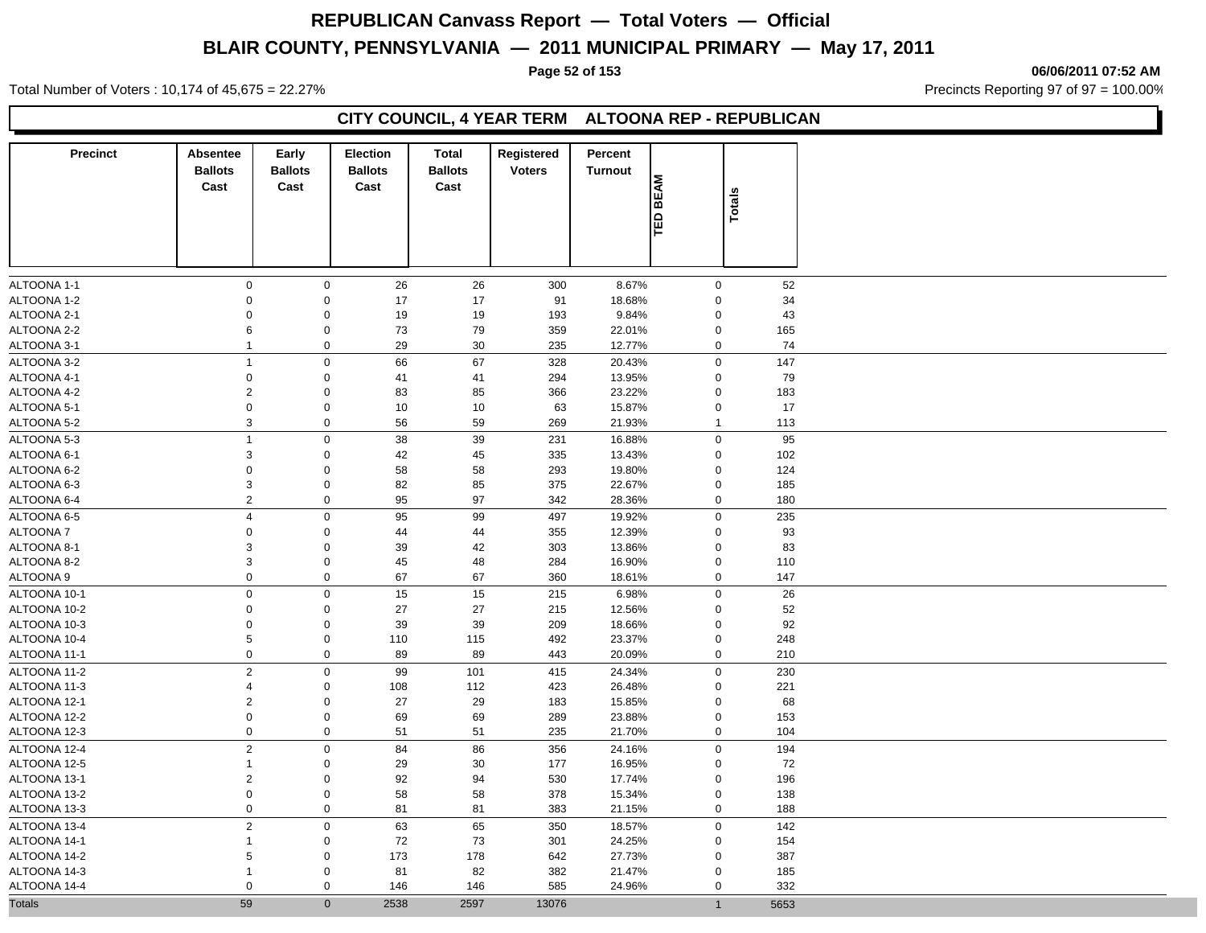**Page 52 of 153 06/06/2011 07:52 AM**

Total Number of Voters : 10,174 of 45,675 = 22.27% **Precincts Reporting 97 of 97 = 100.00%** Precincts Reporting 97 of 97 = 100.00%

## **CITY COUNCIL, 4 YEAR TERM ALTOONA REP - REPUBLICAN**

| <b>BEAM</b><br>Totals<br>ÎВ<br>$\pmb{0}$<br>26<br>52<br>ALTOONA 1-1<br>$\mathbf 0$<br>26<br>300<br>8.67%<br>$\mathbf 0$<br>ALTOONA 1-2<br>$\mathbf 0$<br>$\mathbf 0$<br>17<br>17<br>91<br>18.68%<br>$\mathbf 0$<br>34<br>ALTOONA 2-1<br>$\mathbf 0$<br>$\mathbf 0$<br>19<br>19<br>193<br>9.84%<br>$\mathbf 0$<br>43<br>ALTOONA 2-2<br>6<br>$\mathbf 0$<br>73<br>79<br>359<br>22.01%<br>$\mathbf 0$<br>165<br>ALTOONA 3-1<br>$\mathbf 0$<br>29<br>30<br>235<br>12.77%<br>$\mathbf 0$<br>74<br>1<br>$\overline{1}$<br>$\mathbf 0$<br>66<br>67<br>328<br>$\mathbf 0$<br>147<br>ALTOONA 3-2<br>20.43%<br>ALTOONA 4-1<br>$\pmb{0}$<br>$\boldsymbol{0}$<br>41<br>294<br>13.95%<br>79<br>41<br>$\mathbf 0$<br>ALTOONA 4-2<br>$\overline{2}$<br>$\mathbf 0$<br>83<br>85<br>366<br>23.22%<br>$\mathbf 0$<br>183<br>ALTOONA 5-1<br>$\pmb{0}$<br>$\boldsymbol{0}$<br>10<br>17<br>10<br>63<br>15.87%<br>$\mathbf 0$<br>ALTOONA 5-2<br>3<br>$\mathbf 0$<br>56<br>59<br>269<br>21.93%<br>113<br>$\mathbf{1}$<br>$\mathbf 0$<br>ALTOONA 5-3<br>$\mathbf{1}$<br>38<br>39<br>231<br>$\mathbf 0$<br>95<br>16.88%<br>ALTOONA 6-1<br>$\mathsf 3$<br>$\mathbf 0$<br>45<br>335<br>13.43%<br>102<br>42<br>$\mathbf 0$<br>124<br>ALTOONA 6-2<br>$\pmb{0}$<br>$\mathbf 0$<br>58<br>58<br>293<br>19.80%<br>$\mathbf 0$<br>3<br>$\mathbf 0$<br>82<br>85<br>375<br>22.67%<br>185<br>ALTOONA 6-3<br>$\mathbf 0$<br>$\boldsymbol{2}$<br>$\mathbf 0$<br>95<br>97<br>180<br>ALTOONA 6-4<br>342<br>28.36%<br>$\pmb{0}$<br>$\overline{4}$<br>$\mathbf 0$<br>95<br>99<br>497<br>19.92%<br>$\mathbf 0$<br>235<br>ALTOONA 6-5<br><b>ALTOONA7</b><br>$\pmb{0}$<br>$\mathbf 0$<br>44<br>44<br>355<br>12.39%<br>$\mathbf 0$<br>93<br>$\mathsf{O}\xspace$<br>42<br>303<br>ALTOONA 8-1<br>3<br>39<br>13.86%<br>$\mathbf 0$<br>83<br>ALTOONA 8-2<br>3<br>$\mathbf 0$<br>45<br>48<br>284<br>16.90%<br>$\pmb{0}$<br>110<br>$\mathbf 0$<br>$\mathbf 0$<br>ALTOONA 9<br>67<br>67<br>360<br>$\pmb{0}$<br>147<br>18.61%<br>$\pmb{0}$<br>$\mathbf 0$<br>15<br>15<br>26<br>ALTOONA 10-1<br>215<br>6.98%<br>$\mathbf 0$<br>ALTOONA 10-2<br>$\boldsymbol{0}$<br>$\mathbf 0$<br>27<br>27<br>215<br>12.56%<br>$\mathbf 0$<br>52<br>ALTOONA 10-3<br>$\boldsymbol{0}$<br>$\mathbf 0$<br>39<br>39<br>209<br>18.66%<br>92<br>$\mathbf 0$<br>$\mathsf{O}\xspace$<br>ALTOONA 10-4<br>5<br>492<br>110<br>115<br>23.37%<br>$\mathbf 0$<br>248<br>$\mathbf 0$<br>$\mathbf 0$<br>89<br>89<br>443<br>20.09%<br>$\mathbf 0$<br>210<br>ALTOONA 11-1<br>$\overline{2}$<br>$\mathbf 0$<br>99<br>415<br>230<br>ALTOONA 11-2<br>101<br>24.34%<br>$\mathbf 0$<br>ALTOONA 11-3<br>$\mathbf 0$<br>221<br>4<br>108<br>112<br>423<br>26.48%<br>$\mathbf 0$<br>$\sqrt{2}$<br>$\mathbf 0$<br>ALTOONA 12-1<br>27<br>29<br>183<br>15.85%<br>$\mathbf 0$<br>68<br>$\boldsymbol{0}$<br>$\mathbf 0$<br>ALTOONA 12-2<br>69<br>69<br>289<br>23.88%<br>$\mathbf 0$<br>153<br>$\mathbf 0$<br>$\mathbf 0$<br>ALTOONA 12-3<br>51<br>51<br>235<br>21.70%<br>$\mathbf 0$<br>104<br>ALTOONA 12-4<br>$\overline{2}$<br>$\mathbf 0$<br>84<br>194<br>86<br>356<br>24.16%<br>$\mathbf 0$<br>ALTOONA 12-5<br>$\mathbf 0$<br>29<br>30<br>177<br>16.95%<br>72<br>1<br>0<br>$\overline{2}$<br>$\mathbf 0$<br>ALTOONA 13-1<br>92<br>94<br>530<br>17.74%<br>$\mathbf 0$<br>196<br>$\mathsf{O}\xspace$<br>$\pmb{0}$<br>378<br>ALTOONA 13-2<br>58<br>58<br>15.34%<br>$\mathbf 0$<br>138<br>$\mathbf 0$<br>$\mathbf 0$<br>81<br>383<br>21.15%<br>$\mathbf 0$<br>188<br>ALTOONA 13-3<br>81<br>$\overline{2}$<br>ALTOONA 13-4<br>$\mathbf 0$<br>63<br>65<br>350<br>18.57%<br>$\mathbf 0$<br>142<br>ALTOONA 14-1<br>$\mathbf 0$<br>72<br>73<br>301<br>24.25%<br>154<br>1<br>0<br>$\mathbf 0$<br>ALTOONA 14-2<br>5<br>173<br>178<br>642<br>27.73%<br>387<br>0<br>$\mathsf{O}\xspace$<br>82<br>21.47%<br>ALTOONA 14-3<br>81<br>382<br>$\mathbf 0$<br>185<br>1<br>ALTOONA 14-4<br>$\pmb{0}$<br>$\mathbf 0$<br>585<br>332<br>146<br>146<br>24.96%<br>$\mathbf 0$<br>$\mathbf{0}$<br>$\overline{1}$ | <b>Precinct</b> | Absentee<br><b>Ballots</b><br>Cast | Early<br><b>Ballots</b><br>Cast | <b>Election</b><br><b>Ballots</b><br>Cast | <b>Total</b><br><b>Ballots</b><br>Cast | Registered<br><b>Voters</b> | Percent<br><b>Turnout</b> |  |      |
|-----------------------------------------------------------------------------------------------------------------------------------------------------------------------------------------------------------------------------------------------------------------------------------------------------------------------------------------------------------------------------------------------------------------------------------------------------------------------------------------------------------------------------------------------------------------------------------------------------------------------------------------------------------------------------------------------------------------------------------------------------------------------------------------------------------------------------------------------------------------------------------------------------------------------------------------------------------------------------------------------------------------------------------------------------------------------------------------------------------------------------------------------------------------------------------------------------------------------------------------------------------------------------------------------------------------------------------------------------------------------------------------------------------------------------------------------------------------------------------------------------------------------------------------------------------------------------------------------------------------------------------------------------------------------------------------------------------------------------------------------------------------------------------------------------------------------------------------------------------------------------------------------------------------------------------------------------------------------------------------------------------------------------------------------------------------------------------------------------------------------------------------------------------------------------------------------------------------------------------------------------------------------------------------------------------------------------------------------------------------------------------------------------------------------------------------------------------------------------------------------------------------------------------------------------------------------------------------------------------------------------------------------------------------------------------------------------------------------------------------------------------------------------------------------------------------------------------------------------------------------------------------------------------------------------------------------------------------------------------------------------------------------------------------------------------------------------------------------------------------------------------------------------------------------------------------------------------------------------------------------------------------------------------------------------------------------------------------------------------------------------------------------------------------------------------------------------------------------------------------------------------------------------------------------------------------------------------------------------------------------------------------------------------------------------------------------------------------------------------------------------------------------------------------------------------------------------------------------------------------------------------------------------------------------------------------------------------------------------------|-----------------|------------------------------------|---------------------------------|-------------------------------------------|----------------------------------------|-----------------------------|---------------------------|--|------|
|                                                                                                                                                                                                                                                                                                                                                                                                                                                                                                                                                                                                                                                                                                                                                                                                                                                                                                                                                                                                                                                                                                                                                                                                                                                                                                                                                                                                                                                                                                                                                                                                                                                                                                                                                                                                                                                                                                                                                                                                                                                                                                                                                                                                                                                                                                                                                                                                                                                                                                                                                                                                                                                                                                                                                                                                                                                                                                                                                                                                                                                                                                                                                                                                                                                                                                                                                                                                                                                                                                                                                                                                                                                                                                                                                                                                                                                                                                                                                                                   |                 |                                    |                                 |                                           |                                        |                             |                           |  |      |
| <b>Totals</b>                                                                                                                                                                                                                                                                                                                                                                                                                                                                                                                                                                                                                                                                                                                                                                                                                                                                                                                                                                                                                                                                                                                                                                                                                                                                                                                                                                                                                                                                                                                                                                                                                                                                                                                                                                                                                                                                                                                                                                                                                                                                                                                                                                                                                                                                                                                                                                                                                                                                                                                                                                                                                                                                                                                                                                                                                                                                                                                                                                                                                                                                                                                                                                                                                                                                                                                                                                                                                                                                                                                                                                                                                                                                                                                                                                                                                                                                                                                                                                     |                 |                                    |                                 |                                           |                                        |                             |                           |  |      |
|                                                                                                                                                                                                                                                                                                                                                                                                                                                                                                                                                                                                                                                                                                                                                                                                                                                                                                                                                                                                                                                                                                                                                                                                                                                                                                                                                                                                                                                                                                                                                                                                                                                                                                                                                                                                                                                                                                                                                                                                                                                                                                                                                                                                                                                                                                                                                                                                                                                                                                                                                                                                                                                                                                                                                                                                                                                                                                                                                                                                                                                                                                                                                                                                                                                                                                                                                                                                                                                                                                                                                                                                                                                                                                                                                                                                                                                                                                                                                                                   |                 |                                    |                                 |                                           |                                        |                             |                           |  |      |
|                                                                                                                                                                                                                                                                                                                                                                                                                                                                                                                                                                                                                                                                                                                                                                                                                                                                                                                                                                                                                                                                                                                                                                                                                                                                                                                                                                                                                                                                                                                                                                                                                                                                                                                                                                                                                                                                                                                                                                                                                                                                                                                                                                                                                                                                                                                                                                                                                                                                                                                                                                                                                                                                                                                                                                                                                                                                                                                                                                                                                                                                                                                                                                                                                                                                                                                                                                                                                                                                                                                                                                                                                                                                                                                                                                                                                                                                                                                                                                                   |                 |                                    |                                 |                                           |                                        |                             |                           |  |      |
|                                                                                                                                                                                                                                                                                                                                                                                                                                                                                                                                                                                                                                                                                                                                                                                                                                                                                                                                                                                                                                                                                                                                                                                                                                                                                                                                                                                                                                                                                                                                                                                                                                                                                                                                                                                                                                                                                                                                                                                                                                                                                                                                                                                                                                                                                                                                                                                                                                                                                                                                                                                                                                                                                                                                                                                                                                                                                                                                                                                                                                                                                                                                                                                                                                                                                                                                                                                                                                                                                                                                                                                                                                                                                                                                                                                                                                                                                                                                                                                   |                 |                                    |                                 |                                           |                                        |                             |                           |  |      |
|                                                                                                                                                                                                                                                                                                                                                                                                                                                                                                                                                                                                                                                                                                                                                                                                                                                                                                                                                                                                                                                                                                                                                                                                                                                                                                                                                                                                                                                                                                                                                                                                                                                                                                                                                                                                                                                                                                                                                                                                                                                                                                                                                                                                                                                                                                                                                                                                                                                                                                                                                                                                                                                                                                                                                                                                                                                                                                                                                                                                                                                                                                                                                                                                                                                                                                                                                                                                                                                                                                                                                                                                                                                                                                                                                                                                                                                                                                                                                                                   |                 |                                    |                                 |                                           |                                        |                             |                           |  |      |
|                                                                                                                                                                                                                                                                                                                                                                                                                                                                                                                                                                                                                                                                                                                                                                                                                                                                                                                                                                                                                                                                                                                                                                                                                                                                                                                                                                                                                                                                                                                                                                                                                                                                                                                                                                                                                                                                                                                                                                                                                                                                                                                                                                                                                                                                                                                                                                                                                                                                                                                                                                                                                                                                                                                                                                                                                                                                                                                                                                                                                                                                                                                                                                                                                                                                                                                                                                                                                                                                                                                                                                                                                                                                                                                                                                                                                                                                                                                                                                                   |                 |                                    |                                 |                                           |                                        |                             |                           |  |      |
|                                                                                                                                                                                                                                                                                                                                                                                                                                                                                                                                                                                                                                                                                                                                                                                                                                                                                                                                                                                                                                                                                                                                                                                                                                                                                                                                                                                                                                                                                                                                                                                                                                                                                                                                                                                                                                                                                                                                                                                                                                                                                                                                                                                                                                                                                                                                                                                                                                                                                                                                                                                                                                                                                                                                                                                                                                                                                                                                                                                                                                                                                                                                                                                                                                                                                                                                                                                                                                                                                                                                                                                                                                                                                                                                                                                                                                                                                                                                                                                   |                 |                                    |                                 |                                           |                                        |                             |                           |  |      |
|                                                                                                                                                                                                                                                                                                                                                                                                                                                                                                                                                                                                                                                                                                                                                                                                                                                                                                                                                                                                                                                                                                                                                                                                                                                                                                                                                                                                                                                                                                                                                                                                                                                                                                                                                                                                                                                                                                                                                                                                                                                                                                                                                                                                                                                                                                                                                                                                                                                                                                                                                                                                                                                                                                                                                                                                                                                                                                                                                                                                                                                                                                                                                                                                                                                                                                                                                                                                                                                                                                                                                                                                                                                                                                                                                                                                                                                                                                                                                                                   |                 |                                    |                                 |                                           |                                        |                             |                           |  |      |
|                                                                                                                                                                                                                                                                                                                                                                                                                                                                                                                                                                                                                                                                                                                                                                                                                                                                                                                                                                                                                                                                                                                                                                                                                                                                                                                                                                                                                                                                                                                                                                                                                                                                                                                                                                                                                                                                                                                                                                                                                                                                                                                                                                                                                                                                                                                                                                                                                                                                                                                                                                                                                                                                                                                                                                                                                                                                                                                                                                                                                                                                                                                                                                                                                                                                                                                                                                                                                                                                                                                                                                                                                                                                                                                                                                                                                                                                                                                                                                                   |                 |                                    |                                 |                                           |                                        |                             |                           |  |      |
|                                                                                                                                                                                                                                                                                                                                                                                                                                                                                                                                                                                                                                                                                                                                                                                                                                                                                                                                                                                                                                                                                                                                                                                                                                                                                                                                                                                                                                                                                                                                                                                                                                                                                                                                                                                                                                                                                                                                                                                                                                                                                                                                                                                                                                                                                                                                                                                                                                                                                                                                                                                                                                                                                                                                                                                                                                                                                                                                                                                                                                                                                                                                                                                                                                                                                                                                                                                                                                                                                                                                                                                                                                                                                                                                                                                                                                                                                                                                                                                   |                 |                                    |                                 |                                           |                                        |                             |                           |  |      |
|                                                                                                                                                                                                                                                                                                                                                                                                                                                                                                                                                                                                                                                                                                                                                                                                                                                                                                                                                                                                                                                                                                                                                                                                                                                                                                                                                                                                                                                                                                                                                                                                                                                                                                                                                                                                                                                                                                                                                                                                                                                                                                                                                                                                                                                                                                                                                                                                                                                                                                                                                                                                                                                                                                                                                                                                                                                                                                                                                                                                                                                                                                                                                                                                                                                                                                                                                                                                                                                                                                                                                                                                                                                                                                                                                                                                                                                                                                                                                                                   |                 |                                    |                                 |                                           |                                        |                             |                           |  |      |
|                                                                                                                                                                                                                                                                                                                                                                                                                                                                                                                                                                                                                                                                                                                                                                                                                                                                                                                                                                                                                                                                                                                                                                                                                                                                                                                                                                                                                                                                                                                                                                                                                                                                                                                                                                                                                                                                                                                                                                                                                                                                                                                                                                                                                                                                                                                                                                                                                                                                                                                                                                                                                                                                                                                                                                                                                                                                                                                                                                                                                                                                                                                                                                                                                                                                                                                                                                                                                                                                                                                                                                                                                                                                                                                                                                                                                                                                                                                                                                                   |                 |                                    |                                 |                                           |                                        |                             |                           |  |      |
|                                                                                                                                                                                                                                                                                                                                                                                                                                                                                                                                                                                                                                                                                                                                                                                                                                                                                                                                                                                                                                                                                                                                                                                                                                                                                                                                                                                                                                                                                                                                                                                                                                                                                                                                                                                                                                                                                                                                                                                                                                                                                                                                                                                                                                                                                                                                                                                                                                                                                                                                                                                                                                                                                                                                                                                                                                                                                                                                                                                                                                                                                                                                                                                                                                                                                                                                                                                                                                                                                                                                                                                                                                                                                                                                                                                                                                                                                                                                                                                   |                 |                                    |                                 |                                           |                                        |                             |                           |  |      |
|                                                                                                                                                                                                                                                                                                                                                                                                                                                                                                                                                                                                                                                                                                                                                                                                                                                                                                                                                                                                                                                                                                                                                                                                                                                                                                                                                                                                                                                                                                                                                                                                                                                                                                                                                                                                                                                                                                                                                                                                                                                                                                                                                                                                                                                                                                                                                                                                                                                                                                                                                                                                                                                                                                                                                                                                                                                                                                                                                                                                                                                                                                                                                                                                                                                                                                                                                                                                                                                                                                                                                                                                                                                                                                                                                                                                                                                                                                                                                                                   |                 |                                    |                                 |                                           |                                        |                             |                           |  |      |
|                                                                                                                                                                                                                                                                                                                                                                                                                                                                                                                                                                                                                                                                                                                                                                                                                                                                                                                                                                                                                                                                                                                                                                                                                                                                                                                                                                                                                                                                                                                                                                                                                                                                                                                                                                                                                                                                                                                                                                                                                                                                                                                                                                                                                                                                                                                                                                                                                                                                                                                                                                                                                                                                                                                                                                                                                                                                                                                                                                                                                                                                                                                                                                                                                                                                                                                                                                                                                                                                                                                                                                                                                                                                                                                                                                                                                                                                                                                                                                                   |                 |                                    |                                 |                                           |                                        |                             |                           |  |      |
|                                                                                                                                                                                                                                                                                                                                                                                                                                                                                                                                                                                                                                                                                                                                                                                                                                                                                                                                                                                                                                                                                                                                                                                                                                                                                                                                                                                                                                                                                                                                                                                                                                                                                                                                                                                                                                                                                                                                                                                                                                                                                                                                                                                                                                                                                                                                                                                                                                                                                                                                                                                                                                                                                                                                                                                                                                                                                                                                                                                                                                                                                                                                                                                                                                                                                                                                                                                                                                                                                                                                                                                                                                                                                                                                                                                                                                                                                                                                                                                   |                 |                                    |                                 |                                           |                                        |                             |                           |  |      |
|                                                                                                                                                                                                                                                                                                                                                                                                                                                                                                                                                                                                                                                                                                                                                                                                                                                                                                                                                                                                                                                                                                                                                                                                                                                                                                                                                                                                                                                                                                                                                                                                                                                                                                                                                                                                                                                                                                                                                                                                                                                                                                                                                                                                                                                                                                                                                                                                                                                                                                                                                                                                                                                                                                                                                                                                                                                                                                                                                                                                                                                                                                                                                                                                                                                                                                                                                                                                                                                                                                                                                                                                                                                                                                                                                                                                                                                                                                                                                                                   |                 |                                    |                                 |                                           |                                        |                             |                           |  |      |
|                                                                                                                                                                                                                                                                                                                                                                                                                                                                                                                                                                                                                                                                                                                                                                                                                                                                                                                                                                                                                                                                                                                                                                                                                                                                                                                                                                                                                                                                                                                                                                                                                                                                                                                                                                                                                                                                                                                                                                                                                                                                                                                                                                                                                                                                                                                                                                                                                                                                                                                                                                                                                                                                                                                                                                                                                                                                                                                                                                                                                                                                                                                                                                                                                                                                                                                                                                                                                                                                                                                                                                                                                                                                                                                                                                                                                                                                                                                                                                                   |                 |                                    |                                 |                                           |                                        |                             |                           |  |      |
|                                                                                                                                                                                                                                                                                                                                                                                                                                                                                                                                                                                                                                                                                                                                                                                                                                                                                                                                                                                                                                                                                                                                                                                                                                                                                                                                                                                                                                                                                                                                                                                                                                                                                                                                                                                                                                                                                                                                                                                                                                                                                                                                                                                                                                                                                                                                                                                                                                                                                                                                                                                                                                                                                                                                                                                                                                                                                                                                                                                                                                                                                                                                                                                                                                                                                                                                                                                                                                                                                                                                                                                                                                                                                                                                                                                                                                                                                                                                                                                   |                 |                                    |                                 |                                           |                                        |                             |                           |  |      |
|                                                                                                                                                                                                                                                                                                                                                                                                                                                                                                                                                                                                                                                                                                                                                                                                                                                                                                                                                                                                                                                                                                                                                                                                                                                                                                                                                                                                                                                                                                                                                                                                                                                                                                                                                                                                                                                                                                                                                                                                                                                                                                                                                                                                                                                                                                                                                                                                                                                                                                                                                                                                                                                                                                                                                                                                                                                                                                                                                                                                                                                                                                                                                                                                                                                                                                                                                                                                                                                                                                                                                                                                                                                                                                                                                                                                                                                                                                                                                                                   |                 |                                    |                                 |                                           |                                        |                             |                           |  |      |
|                                                                                                                                                                                                                                                                                                                                                                                                                                                                                                                                                                                                                                                                                                                                                                                                                                                                                                                                                                                                                                                                                                                                                                                                                                                                                                                                                                                                                                                                                                                                                                                                                                                                                                                                                                                                                                                                                                                                                                                                                                                                                                                                                                                                                                                                                                                                                                                                                                                                                                                                                                                                                                                                                                                                                                                                                                                                                                                                                                                                                                                                                                                                                                                                                                                                                                                                                                                                                                                                                                                                                                                                                                                                                                                                                                                                                                                                                                                                                                                   |                 |                                    |                                 |                                           |                                        |                             |                           |  |      |
|                                                                                                                                                                                                                                                                                                                                                                                                                                                                                                                                                                                                                                                                                                                                                                                                                                                                                                                                                                                                                                                                                                                                                                                                                                                                                                                                                                                                                                                                                                                                                                                                                                                                                                                                                                                                                                                                                                                                                                                                                                                                                                                                                                                                                                                                                                                                                                                                                                                                                                                                                                                                                                                                                                                                                                                                                                                                                                                                                                                                                                                                                                                                                                                                                                                                                                                                                                                                                                                                                                                                                                                                                                                                                                                                                                                                                                                                                                                                                                                   |                 |                                    |                                 |                                           |                                        |                             |                           |  |      |
|                                                                                                                                                                                                                                                                                                                                                                                                                                                                                                                                                                                                                                                                                                                                                                                                                                                                                                                                                                                                                                                                                                                                                                                                                                                                                                                                                                                                                                                                                                                                                                                                                                                                                                                                                                                                                                                                                                                                                                                                                                                                                                                                                                                                                                                                                                                                                                                                                                                                                                                                                                                                                                                                                                                                                                                                                                                                                                                                                                                                                                                                                                                                                                                                                                                                                                                                                                                                                                                                                                                                                                                                                                                                                                                                                                                                                                                                                                                                                                                   |                 |                                    |                                 |                                           |                                        |                             |                           |  |      |
|                                                                                                                                                                                                                                                                                                                                                                                                                                                                                                                                                                                                                                                                                                                                                                                                                                                                                                                                                                                                                                                                                                                                                                                                                                                                                                                                                                                                                                                                                                                                                                                                                                                                                                                                                                                                                                                                                                                                                                                                                                                                                                                                                                                                                                                                                                                                                                                                                                                                                                                                                                                                                                                                                                                                                                                                                                                                                                                                                                                                                                                                                                                                                                                                                                                                                                                                                                                                                                                                                                                                                                                                                                                                                                                                                                                                                                                                                                                                                                                   |                 |                                    |                                 |                                           |                                        |                             |                           |  |      |
|                                                                                                                                                                                                                                                                                                                                                                                                                                                                                                                                                                                                                                                                                                                                                                                                                                                                                                                                                                                                                                                                                                                                                                                                                                                                                                                                                                                                                                                                                                                                                                                                                                                                                                                                                                                                                                                                                                                                                                                                                                                                                                                                                                                                                                                                                                                                                                                                                                                                                                                                                                                                                                                                                                                                                                                                                                                                                                                                                                                                                                                                                                                                                                                                                                                                                                                                                                                                                                                                                                                                                                                                                                                                                                                                                                                                                                                                                                                                                                                   |                 |                                    |                                 |                                           |                                        |                             |                           |  |      |
|                                                                                                                                                                                                                                                                                                                                                                                                                                                                                                                                                                                                                                                                                                                                                                                                                                                                                                                                                                                                                                                                                                                                                                                                                                                                                                                                                                                                                                                                                                                                                                                                                                                                                                                                                                                                                                                                                                                                                                                                                                                                                                                                                                                                                                                                                                                                                                                                                                                                                                                                                                                                                                                                                                                                                                                                                                                                                                                                                                                                                                                                                                                                                                                                                                                                                                                                                                                                                                                                                                                                                                                                                                                                                                                                                                                                                                                                                                                                                                                   |                 |                                    |                                 |                                           |                                        |                             |                           |  |      |
|                                                                                                                                                                                                                                                                                                                                                                                                                                                                                                                                                                                                                                                                                                                                                                                                                                                                                                                                                                                                                                                                                                                                                                                                                                                                                                                                                                                                                                                                                                                                                                                                                                                                                                                                                                                                                                                                                                                                                                                                                                                                                                                                                                                                                                                                                                                                                                                                                                                                                                                                                                                                                                                                                                                                                                                                                                                                                                                                                                                                                                                                                                                                                                                                                                                                                                                                                                                                                                                                                                                                                                                                                                                                                                                                                                                                                                                                                                                                                                                   |                 |                                    |                                 |                                           |                                        |                             |                           |  |      |
|                                                                                                                                                                                                                                                                                                                                                                                                                                                                                                                                                                                                                                                                                                                                                                                                                                                                                                                                                                                                                                                                                                                                                                                                                                                                                                                                                                                                                                                                                                                                                                                                                                                                                                                                                                                                                                                                                                                                                                                                                                                                                                                                                                                                                                                                                                                                                                                                                                                                                                                                                                                                                                                                                                                                                                                                                                                                                                                                                                                                                                                                                                                                                                                                                                                                                                                                                                                                                                                                                                                                                                                                                                                                                                                                                                                                                                                                                                                                                                                   |                 |                                    |                                 |                                           |                                        |                             |                           |  |      |
|                                                                                                                                                                                                                                                                                                                                                                                                                                                                                                                                                                                                                                                                                                                                                                                                                                                                                                                                                                                                                                                                                                                                                                                                                                                                                                                                                                                                                                                                                                                                                                                                                                                                                                                                                                                                                                                                                                                                                                                                                                                                                                                                                                                                                                                                                                                                                                                                                                                                                                                                                                                                                                                                                                                                                                                                                                                                                                                                                                                                                                                                                                                                                                                                                                                                                                                                                                                                                                                                                                                                                                                                                                                                                                                                                                                                                                                                                                                                                                                   |                 |                                    |                                 |                                           |                                        |                             |                           |  |      |
|                                                                                                                                                                                                                                                                                                                                                                                                                                                                                                                                                                                                                                                                                                                                                                                                                                                                                                                                                                                                                                                                                                                                                                                                                                                                                                                                                                                                                                                                                                                                                                                                                                                                                                                                                                                                                                                                                                                                                                                                                                                                                                                                                                                                                                                                                                                                                                                                                                                                                                                                                                                                                                                                                                                                                                                                                                                                                                                                                                                                                                                                                                                                                                                                                                                                                                                                                                                                                                                                                                                                                                                                                                                                                                                                                                                                                                                                                                                                                                                   |                 |                                    |                                 |                                           |                                        |                             |                           |  |      |
|                                                                                                                                                                                                                                                                                                                                                                                                                                                                                                                                                                                                                                                                                                                                                                                                                                                                                                                                                                                                                                                                                                                                                                                                                                                                                                                                                                                                                                                                                                                                                                                                                                                                                                                                                                                                                                                                                                                                                                                                                                                                                                                                                                                                                                                                                                                                                                                                                                                                                                                                                                                                                                                                                                                                                                                                                                                                                                                                                                                                                                                                                                                                                                                                                                                                                                                                                                                                                                                                                                                                                                                                                                                                                                                                                                                                                                                                                                                                                                                   |                 |                                    |                                 |                                           |                                        |                             |                           |  |      |
|                                                                                                                                                                                                                                                                                                                                                                                                                                                                                                                                                                                                                                                                                                                                                                                                                                                                                                                                                                                                                                                                                                                                                                                                                                                                                                                                                                                                                                                                                                                                                                                                                                                                                                                                                                                                                                                                                                                                                                                                                                                                                                                                                                                                                                                                                                                                                                                                                                                                                                                                                                                                                                                                                                                                                                                                                                                                                                                                                                                                                                                                                                                                                                                                                                                                                                                                                                                                                                                                                                                                                                                                                                                                                                                                                                                                                                                                                                                                                                                   |                 |                                    |                                 |                                           |                                        |                             |                           |  |      |
|                                                                                                                                                                                                                                                                                                                                                                                                                                                                                                                                                                                                                                                                                                                                                                                                                                                                                                                                                                                                                                                                                                                                                                                                                                                                                                                                                                                                                                                                                                                                                                                                                                                                                                                                                                                                                                                                                                                                                                                                                                                                                                                                                                                                                                                                                                                                                                                                                                                                                                                                                                                                                                                                                                                                                                                                                                                                                                                                                                                                                                                                                                                                                                                                                                                                                                                                                                                                                                                                                                                                                                                                                                                                                                                                                                                                                                                                                                                                                                                   |                 |                                    |                                 |                                           |                                        |                             |                           |  |      |
|                                                                                                                                                                                                                                                                                                                                                                                                                                                                                                                                                                                                                                                                                                                                                                                                                                                                                                                                                                                                                                                                                                                                                                                                                                                                                                                                                                                                                                                                                                                                                                                                                                                                                                                                                                                                                                                                                                                                                                                                                                                                                                                                                                                                                                                                                                                                                                                                                                                                                                                                                                                                                                                                                                                                                                                                                                                                                                                                                                                                                                                                                                                                                                                                                                                                                                                                                                                                                                                                                                                                                                                                                                                                                                                                                                                                                                                                                                                                                                                   |                 |                                    |                                 |                                           |                                        |                             |                           |  |      |
|                                                                                                                                                                                                                                                                                                                                                                                                                                                                                                                                                                                                                                                                                                                                                                                                                                                                                                                                                                                                                                                                                                                                                                                                                                                                                                                                                                                                                                                                                                                                                                                                                                                                                                                                                                                                                                                                                                                                                                                                                                                                                                                                                                                                                                                                                                                                                                                                                                                                                                                                                                                                                                                                                                                                                                                                                                                                                                                                                                                                                                                                                                                                                                                                                                                                                                                                                                                                                                                                                                                                                                                                                                                                                                                                                                                                                                                                                                                                                                                   |                 |                                    |                                 |                                           |                                        |                             |                           |  |      |
|                                                                                                                                                                                                                                                                                                                                                                                                                                                                                                                                                                                                                                                                                                                                                                                                                                                                                                                                                                                                                                                                                                                                                                                                                                                                                                                                                                                                                                                                                                                                                                                                                                                                                                                                                                                                                                                                                                                                                                                                                                                                                                                                                                                                                                                                                                                                                                                                                                                                                                                                                                                                                                                                                                                                                                                                                                                                                                                                                                                                                                                                                                                                                                                                                                                                                                                                                                                                                                                                                                                                                                                                                                                                                                                                                                                                                                                                                                                                                                                   |                 |                                    |                                 |                                           |                                        |                             |                           |  |      |
|                                                                                                                                                                                                                                                                                                                                                                                                                                                                                                                                                                                                                                                                                                                                                                                                                                                                                                                                                                                                                                                                                                                                                                                                                                                                                                                                                                                                                                                                                                                                                                                                                                                                                                                                                                                                                                                                                                                                                                                                                                                                                                                                                                                                                                                                                                                                                                                                                                                                                                                                                                                                                                                                                                                                                                                                                                                                                                                                                                                                                                                                                                                                                                                                                                                                                                                                                                                                                                                                                                                                                                                                                                                                                                                                                                                                                                                                                                                                                                                   |                 |                                    |                                 |                                           |                                        |                             |                           |  |      |
|                                                                                                                                                                                                                                                                                                                                                                                                                                                                                                                                                                                                                                                                                                                                                                                                                                                                                                                                                                                                                                                                                                                                                                                                                                                                                                                                                                                                                                                                                                                                                                                                                                                                                                                                                                                                                                                                                                                                                                                                                                                                                                                                                                                                                                                                                                                                                                                                                                                                                                                                                                                                                                                                                                                                                                                                                                                                                                                                                                                                                                                                                                                                                                                                                                                                                                                                                                                                                                                                                                                                                                                                                                                                                                                                                                                                                                                                                                                                                                                   |                 |                                    |                                 |                                           |                                        |                             |                           |  |      |
|                                                                                                                                                                                                                                                                                                                                                                                                                                                                                                                                                                                                                                                                                                                                                                                                                                                                                                                                                                                                                                                                                                                                                                                                                                                                                                                                                                                                                                                                                                                                                                                                                                                                                                                                                                                                                                                                                                                                                                                                                                                                                                                                                                                                                                                                                                                                                                                                                                                                                                                                                                                                                                                                                                                                                                                                                                                                                                                                                                                                                                                                                                                                                                                                                                                                                                                                                                                                                                                                                                                                                                                                                                                                                                                                                                                                                                                                                                                                                                                   |                 |                                    |                                 |                                           |                                        |                             |                           |  |      |
|                                                                                                                                                                                                                                                                                                                                                                                                                                                                                                                                                                                                                                                                                                                                                                                                                                                                                                                                                                                                                                                                                                                                                                                                                                                                                                                                                                                                                                                                                                                                                                                                                                                                                                                                                                                                                                                                                                                                                                                                                                                                                                                                                                                                                                                                                                                                                                                                                                                                                                                                                                                                                                                                                                                                                                                                                                                                                                                                                                                                                                                                                                                                                                                                                                                                                                                                                                                                                                                                                                                                                                                                                                                                                                                                                                                                                                                                                                                                                                                   |                 |                                    |                                 |                                           |                                        |                             |                           |  |      |
|                                                                                                                                                                                                                                                                                                                                                                                                                                                                                                                                                                                                                                                                                                                                                                                                                                                                                                                                                                                                                                                                                                                                                                                                                                                                                                                                                                                                                                                                                                                                                                                                                                                                                                                                                                                                                                                                                                                                                                                                                                                                                                                                                                                                                                                                                                                                                                                                                                                                                                                                                                                                                                                                                                                                                                                                                                                                                                                                                                                                                                                                                                                                                                                                                                                                                                                                                                                                                                                                                                                                                                                                                                                                                                                                                                                                                                                                                                                                                                                   |                 | 59                                 |                                 | 2538                                      | 2597                                   | 13076                       |                           |  | 5653 |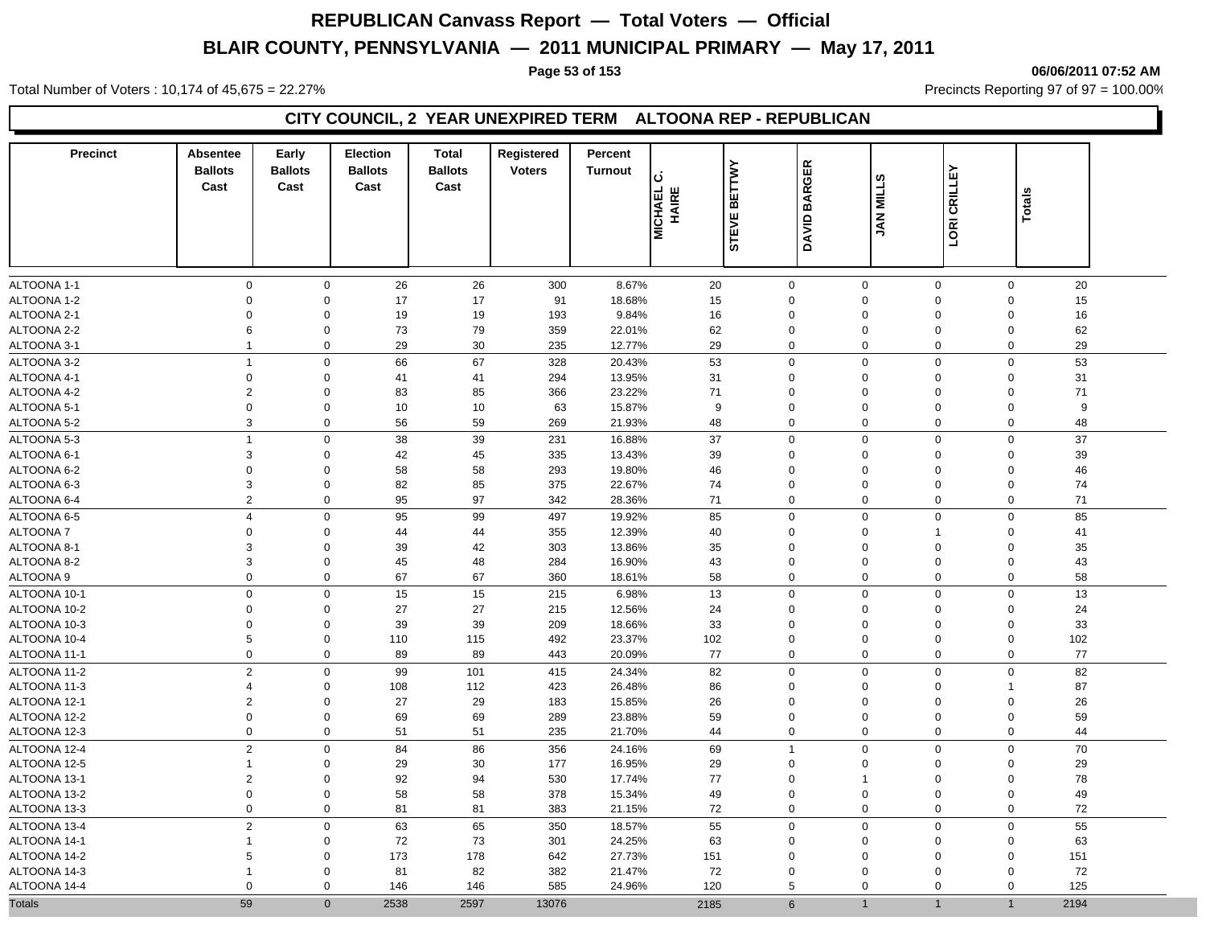Total Number of Voters : 10,174 of 45,675 = 22.27% **Precincts Reporting 97 of 97 = 100.00%** Precincts Reporting 97 of 97 = 100.00%

## **CITY COUNCIL, 2 YEAR UNEXPIRED TERM ALTOONA REP - REPUBLICAN**

| <b>Precinct</b> | Absentee<br><b>Ballots</b> | Early<br><b>Ballots</b> | <b>Election</b><br><b>Ballots</b> | <b>Total</b><br><b>Ballots</b> | Registered<br><b>Voters</b> | Percent<br><b>Turnout</b> | ن                       | <b>BETTWY</b> |                          |                  |              |                        |  |
|-----------------|----------------------------|-------------------------|-----------------------------------|--------------------------------|-----------------------------|---------------------------|-------------------------|---------------|--------------------------|------------------|--------------|------------------------|--|
|                 | Cast                       | Cast                    | Cast                              | Cast                           |                             |                           | <b>MICHAEL</b><br>HAIRE | <b>STEVE</b>  | <b>BARGER</b><br>DAVID I | <b>JAN MILLS</b> | LORI CRILLEY | <b>Totals</b>          |  |
|                 |                            |                         |                                   |                                |                             |                           |                         |               |                          |                  |              |                        |  |
| ALTOONA 1-1     | $\mathbf{0}$               | $\mathbf 0$             | 26                                | 26                             | 300                         | 8.67%                     | 20                      | $\mathbf 0$   | $\mathbf 0$              | $\mathbf 0$      |              | $\mathbf 0$<br>20      |  |
| ALTOONA 1-2     | 0                          | $\Omega$                | 17                                | 17                             | 91                          | 18.68%                    | 15                      | $\mathbf 0$   | $\mathbf 0$              | $\Omega$         |              | $\mathbf 0$<br>15      |  |
| ALTOONA 2-1     | 0                          | $\Omega$                | 19                                | 19                             | 193                         | 9.84%                     | 16                      | $\mathbf 0$   | $\Omega$                 | $\Omega$         |              | 16<br>$\Omega$         |  |
| ALTOONA 2-2     | 6                          | $\mathbf 0$             | 73                                | 79                             | 359                         | 22.01%                    | 62                      | $\mathbf 0$   | $\mathbf 0$              | $\Omega$         |              | $\mathbf 0$<br>62      |  |
| ALTOONA 3-1     | $\mathbf{1}$               | $\Omega$                | 29                                | 30                             | 235                         | 12.77%                    | 29                      | $\mathbf 0$   | $\pmb{0}$                | $\mathbf 0$      |              | 29<br>$\Omega$         |  |
| ALTOONA 3-2     | $\overline{1}$             | $\Omega$                | 66                                | 67                             | 328                         | 20.43%                    | 53                      | $\mathbf 0$   | $\mathbf 0$              | $\Omega$         |              | 53<br>$\mathbf 0$      |  |
| ALTOONA 4-1     | 0                          | $\Omega$                | 41                                | 41                             | 294                         | 13.95%                    | 31                      | $\mathbf 0$   | $\mathbf 0$              | $\mathbf 0$      |              | 31<br>$\mathbf 0$      |  |
| ALTOONA 4-2     | 2                          | $\Omega$                | 83                                | 85                             | 366                         | 23.22%                    | 71                      | $\mathbf 0$   | $\mathbf 0$              | $\mathbf 0$      |              | 71<br>$\mathbf 0$      |  |
| ALTOONA 5-1     | 0                          | $\Omega$                | 10                                | 10                             | 63                          | 15.87%                    | 9                       | $\mathbf 0$   | $\mathbf 0$              | $\mathbf 0$      |              | $\Omega$<br>9          |  |
| ALTOONA 5-2     | 3                          | $\mathsf 0$             | 56                                | 59                             | 269                         | 21.93%                    | 48                      | $\Omega$      | $\mathbf 0$              | $\mathbf 0$      |              | 48<br>$\Omega$         |  |
| ALTOONA 5-3     | $\mathbf{1}$               | $\mathbf 0$             | 38                                | 39                             | 231                         | 16.88%                    | 37                      | $\mathbf 0$   | $\mathbf 0$              | 0                |              | 37<br>$\mathsf 0$      |  |
| ALTOONA 6-1     | 3                          | $\mathbf 0$             | 42                                | 45                             | 335                         | 13.43%                    | 39                      | $\mathbf 0$   | $\mathbf 0$              | $\mathbf 0$      |              | 39<br>$\mathbf 0$      |  |
| ALTOONA 6-2     | 0                          | 0                       | 58                                | 58                             | 293                         | 19.80%                    | 46                      | $\mathbf 0$   | $\mathbf 0$              | $\mathbf 0$      |              | 46<br>$\Omega$         |  |
| ALTOONA 6-3     | 3                          | $\mathbf 0$             | 82                                | 85                             | 375                         | 22.67%                    | 74                      | $\mathbf 0$   | $\mathbf 0$              | $\mathbf 0$      |              | 74<br>$\mathbf 0$      |  |
| ALTOONA 6-4     | $\overline{2}$             | $\Omega$                | 95                                | 97                             | 342                         | 28.36%                    | 71                      | $\mathbf 0$   | $\mathbf 0$              | $\mathbf 0$      |              | 71<br>$\Omega$         |  |
| ALTOONA 6-5     | $\overline{4}$             | $\Omega$                | 95                                | 99                             | 497                         | 19.92%                    | 85                      | $\mathbf 0$   | $\mathbf 0$              | $\mathbf{0}$     |              | $\mathbf 0$<br>85      |  |
| <b>ALTOONA7</b> | 0                          | $\Omega$                | 44                                | 44                             | 355                         | 12.39%                    | 40                      | $\mathbf 0$   | $\mathbf 0$              | $\mathbf{1}$     |              | 41<br>$\Omega$         |  |
| ALTOONA 8-1     | 3                          | $\Omega$                | 39                                | 42                             | 303                         | 13.86%                    | 35                      | $\mathbf 0$   | $\mathbf 0$              | $\Omega$         |              | 35<br>$\Omega$         |  |
| ALTOONA 8-2     | 3                          | 0                       | 45                                | 48                             | 284                         | 16.90%                    | 43                      | $\mathbf 0$   | $\mathbf 0$              | $\mathbf 0$      |              | 43<br>0                |  |
| ALTOONA 9       | $\mathbf{0}$               | $\mathbf 0$             | 67                                | 67                             | 360                         | 18.61%                    | 58                      | $\mathbf 0$   | $\mathbf 0$              | $\mathbf 0$      |              | 58<br>$\mathbf 0$      |  |
| ALTOONA 10-1    | 0                          | $\mathbf 0$             | 15                                | 15                             | 215                         | 6.98%                     | 13                      | $\mathbf 0$   | $\pmb{0}$                | 0                |              | 13<br>$\mathbf 0$      |  |
| ALTOONA 10-2    | 0                          | $\mathbf 0$             | 27                                | 27                             | 215                         | 12.56%                    | 24                      | $\mathbf 0$   | $\mathbf 0$              | $\mathbf 0$      |              | 24<br>$\mathbf 0$      |  |
| ALTOONA 10-3    | 0                          | $\mathbf 0$             | 39                                | 39                             | 209                         | 18.66%                    | 33                      | $\mathbf 0$   | $\mathbf 0$              | $\mathbf 0$      |              | 33<br>$\mathbf 0$      |  |
| ALTOONA 10-4    | 5                          | $\mathbf 0$             | 110                               | 115                            | 492                         | 23.37%                    | 102                     | $\mathbf 0$   | $\mathbf 0$              | $\mathbf 0$      |              | $\mathbf 0$<br>102     |  |
| ALTOONA 11-1    | $\mathbf 0$                | $\mathbf 0$             | 89                                | 89                             | 443                         | 20.09%                    | 77                      | $\mathbf 0$   | $\mathbf 0$              | $\mathbf 0$      |              | 77<br>$\mathbf 0$      |  |
| ALTOONA 11-2    | $\overline{2}$             | $\mathbf 0$             | 99                                | 101                            | 415                         | 24.34%                    | 82                      | $\mathbf 0$   | $\mathbf 0$              | $\Omega$         |              | 82<br>$\mathbf 0$      |  |
| ALTOONA 11-3    | 4                          | $\Omega$                | 108                               | 112                            | 423                         | 26.48%                    | 86                      | $\mathbf 0$   | $\mathbf 0$              | 0                |              | 87<br>-1               |  |
| ALTOONA 12-1    | $\overline{2}$             | $\Omega$                | 27                                | 29                             | 183                         | 15.85%                    | 26                      | $\mathbf 0$   | $\mathbf 0$              | $\Omega$         |              | 26<br>$\Omega$         |  |
| ALTOONA 12-2    | 0                          | $\Omega$                | 69                                | 69                             | 289                         | 23.88%                    | 59                      | $\mathbf 0$   | $\mathbf 0$              | $\Omega$         |              | 59<br>$\Omega$         |  |
| ALTOONA 12-3    | $\mathbf{0}$               | $\mathbf 0$             | 51                                | 51                             | 235                         | 21.70%                    | 44                      | $\mathbf 0$   | $\mathbf 0$              | $\mathbf 0$      |              | 44<br>$\mathbf 0$      |  |
| ALTOONA 12-4    | $\overline{2}$             | $\Omega$                | 84                                | 86                             | 356                         | 24.16%                    | 69                      | $\mathbf{1}$  | $\mathbf 0$              | $\mathbf 0$      |              | 70<br>$\mathbf 0$      |  |
| ALTOONA 12-5    | $\mathbf 1$                | $\mathbf 0$             | 29                                | 30                             | 177                         | 16.95%                    | 29                      | $\mathbf 0$   | $\mathbf 0$              | $\mathbf 0$      |              | 29<br>$\mathbf 0$      |  |
| ALTOONA 13-1    | $\overline{2}$             | $\mathbf 0$             | 92                                | 94                             | 530                         | 17.74%                    | 77                      | $\mathbf 0$   | $\overline{1}$           | $\mathbf 0$      |              | 78<br>$\mathbf 0$      |  |
| ALTOONA 13-2    | 0                          | $\mathbf 0$             | 58                                | 58                             | 378                         | 15.34%                    | 49                      | $\mathbf 0$   | $\pmb{0}$                | $\Omega$         |              | $\mathbf 0$<br>49      |  |
| ALTOONA 13-3    | 0                          | $\mathbf 0$             | 81                                | 81                             | 383                         | 21.15%                    | 72                      | $\mathbf 0$   | $\mathbf 0$              | 0                |              | $\mathbf 0$<br>72      |  |
|                 |                            |                         |                                   |                                |                             |                           |                         |               |                          |                  |              |                        |  |
| ALTOONA 13-4    | $\overline{c}$             | $\mathbf 0$             | 63                                | 65                             | 350                         | 18.57%                    | 55                      | $\mathbf 0$   | $\mathbf 0$              | $\Omega$         |              | 55<br>$\mathbf 0$      |  |
| ALTOONA 14-1    | 1                          | $\mathbf 0$             | 72                                | 73                             | 301                         | 24.25%                    | 63                      | $\mathbf 0$   | $\mathbf 0$              | $\mathbf 0$      |              | 63<br>$\Omega$         |  |
| ALTOONA 14-2    | 5                          | $\mathbf 0$             | 173                               | 178                            | 642                         | 27.73%                    | 151                     | $\mathbf 0$   | $\mathbf 0$              | $\Omega$         |              | $\Omega$<br>151        |  |
| ALTOONA 14-3    | 1                          | $\Omega$                | 81                                | 82                             | 382                         | 21.47%                    | 72                      | $\mathbf 0$   | $\Omega$                 | $\Omega$         |              | 72<br>$\Omega$         |  |
| ALTOONA 14-4    | 0                          | $\mathsf 0$             | 146                               | 146                            | 585                         | 24.96%                    | 120                     | 5             | $\mathbf 0$              | 0                |              | 125<br>$\Omega$        |  |
| <b>Totals</b>   | 59                         | $\overline{0}$          | 2538                              | 2597                           | 13076                       |                           | 2185                    | 6             | 1                        | $\mathbf{1}$     |              | 2194<br>$\overline{1}$ |  |

**Page 53 of 153 06/06/2011 07:52 AM**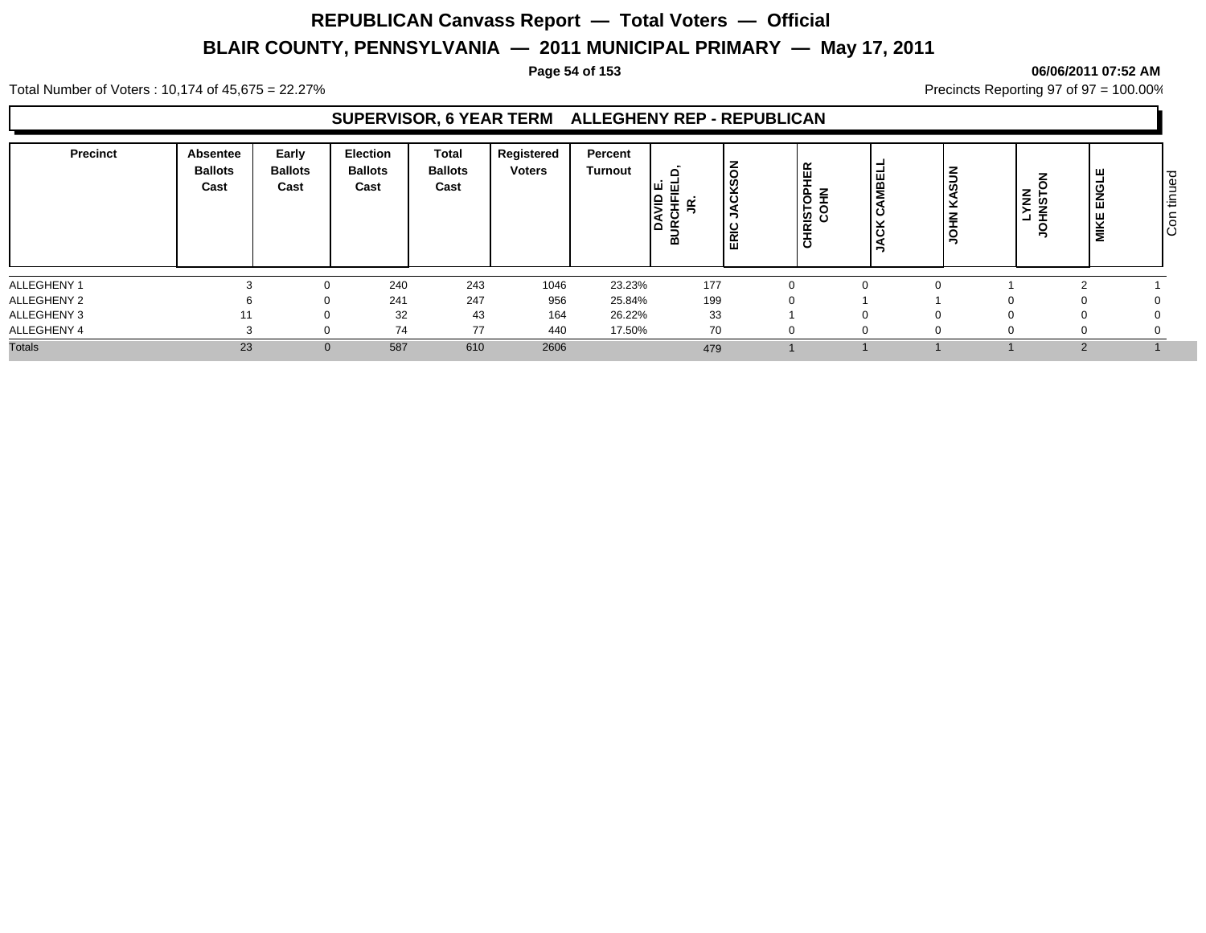**Page 54 of 153 06/06/2011 07:52 AM**

Total Number of Voters : 10,174 of 45,675 = 22.27% **Precincts Reporting 97 of 97 = 100.00%** Precincts Reporting 97 of 97 = 100.00%

#### **SUPERVISOR, 6 YEAR TERM ALLEGHENY REP - REPUBLICAN**

| 23.23%<br>177<br>243<br>240<br>1046<br>0<br>247<br>199<br>241<br>956<br>25.84%<br>32<br>43<br>33<br>164<br>26.22%<br>∩<br>77<br>74<br>440<br>70<br>17.50%<br>0<br>23<br>587<br>610<br>2606<br>$\Omega$ | <b>Precinct</b> | Absentee<br><b>Ballots</b><br>Cast | Early<br><b>Ballots</b><br>Cast | <b>Election</b><br><b>Ballots</b><br>Cast | <b>Total</b><br><b>Ballots</b><br>Cast | Registered<br><b>Voters</b> | Percent<br>Turnout | $\Omega$<br>ш<br>-<br>-<br>≃ | $\checkmark$<br>ပ<br>-<br>$\overline{\phantom{a}}$<br> | 띥<br>-<br>$\overline{6}$<br><b>ISTO</b><br>$\propto$<br>$\overline{\phantom{0}}$ | Ιš<br>-<br>  ဟ<br>E | <b>NRIST</b><br>្នំទី<br>$\circ$ | щ<br>-<br>œ<br>ž<br>ш<br>MIKE | ∣ ರ<br>മ<br>יים<br>∍<br>$\circ$<br>Ιō |
|--------------------------------------------------------------------------------------------------------------------------------------------------------------------------------------------------------|-----------------|------------------------------------|---------------------------------|-------------------------------------------|----------------------------------------|-----------------------------|--------------------|------------------------------|--------------------------------------------------------|----------------------------------------------------------------------------------|---------------------|----------------------------------|-------------------------------|---------------------------------------|
|                                                                                                                                                                                                        | ALLEGHENY 1     |                                    |                                 |                                           |                                        |                             |                    |                              |                                                        |                                                                                  |                     |                                  |                               |                                       |
|                                                                                                                                                                                                        | ALLEGHENY 2     |                                    |                                 |                                           |                                        |                             |                    |                              |                                                        |                                                                                  |                     |                                  |                               |                                       |
|                                                                                                                                                                                                        | ALLEGHENY 3     |                                    |                                 |                                           |                                        |                             |                    |                              |                                                        |                                                                                  |                     |                                  |                               |                                       |
|                                                                                                                                                                                                        | ALLEGHENY 4     |                                    |                                 |                                           |                                        |                             |                    |                              |                                                        |                                                                                  |                     |                                  |                               |                                       |
|                                                                                                                                                                                                        | <b>Totals</b>   |                                    |                                 |                                           |                                        |                             |                    | 479                          |                                                        |                                                                                  |                     |                                  |                               |                                       |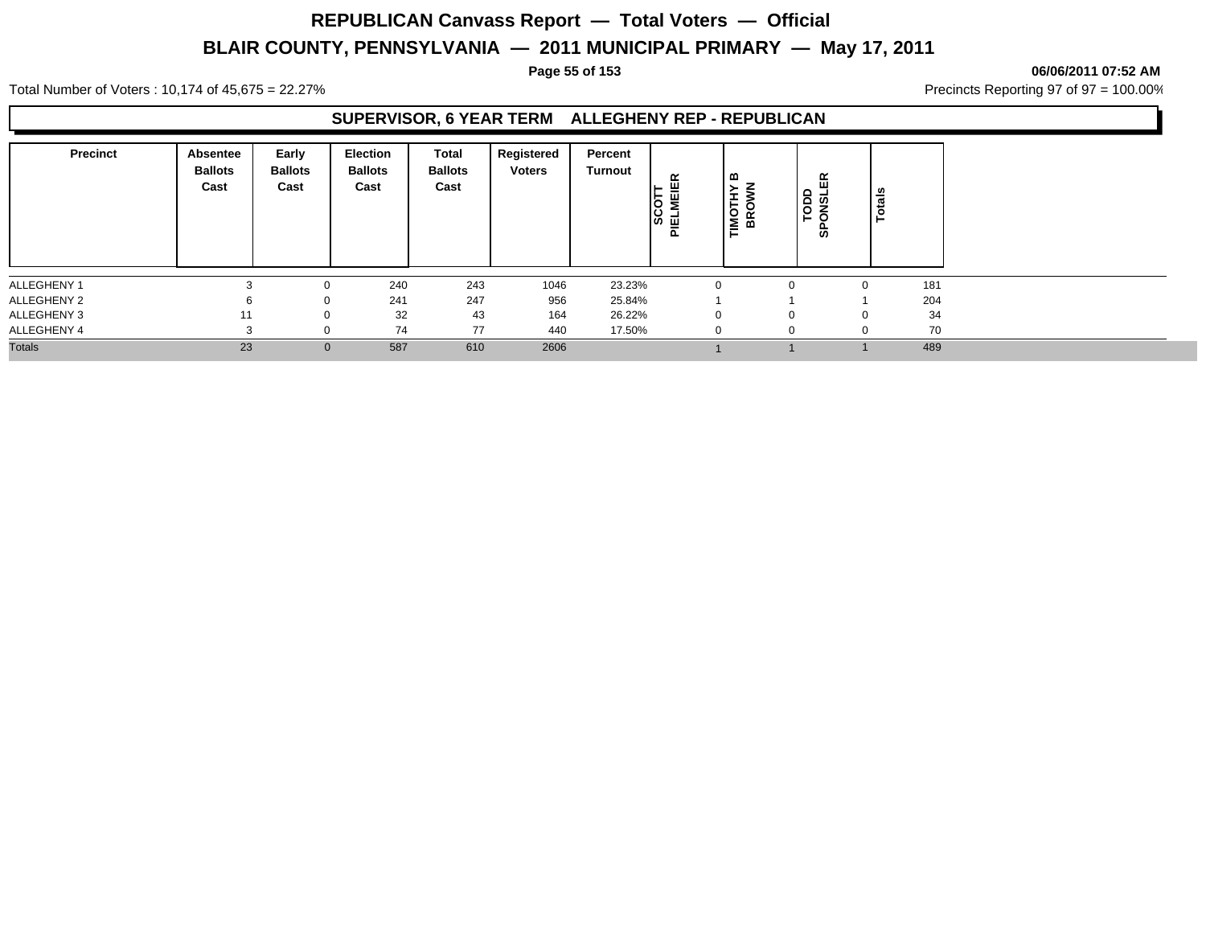#### **Page 55 of 153 06/06/2011 07:52 AM**

Total Number of Voters : 10,174 of 45,675 = 22.27% **Precincts Reporting 97 of 97 = 100.00%** Precincts Reporting 97 of 97 = 100.00%

#### **SUPERVISOR, 6 YEAR TERM ALLEGHENY REP - REPUBLICAN**

| <b>Precinct</b> | Absentee<br><b>Ballots</b><br>Cast | Early<br><b>Ballots</b><br>Cast | <b>Election</b><br><b>Ballots</b><br>Cast | Total<br><b>Ballots</b><br>Cast | Registered<br><b>Voters</b> | Percent<br>Turnout | $\propto$<br>MEIE<br><b>SCOT</b><br><b>IELME</b><br>௳ | മ<br><b>IMOTHY</b><br>BROWN | $\propto$<br>ш<br><b>TODD</b><br>QUOT<br>ທ | otals |     |
|-----------------|------------------------------------|---------------------------------|-------------------------------------------|---------------------------------|-----------------------------|--------------------|-------------------------------------------------------|-----------------------------|--------------------------------------------|-------|-----|
| ALLEGHENY 1     |                                    | 0                               | 240                                       | 243                             | 1046                        | 23.23%             | $\Omega$                                              |                             | $\Omega$                                   | 0     | 181 |
| ALLEGHENY 2     | h                                  | 0                               | 241                                       | 247                             | 956                         | 25.84%             |                                                       |                             |                                            |       | 204 |
| ALLEGHENY 3     | 11                                 | 0                               | 32                                        | 43                              | 164                         | 26.22%             | $\mathbf 0$                                           |                             | $\Omega$                                   | 0     | 34  |
| ALLEGHENY 4     |                                    |                                 | 74                                        | 77                              | 440                         | 17.50%             |                                                       |                             | $\Omega$                                   |       | 70  |
| <b>Totals</b>   | 23                                 | $\mathbf{0}$                    | 587                                       | 610                             | 2606                        |                    |                                                       |                             |                                            |       | 489 |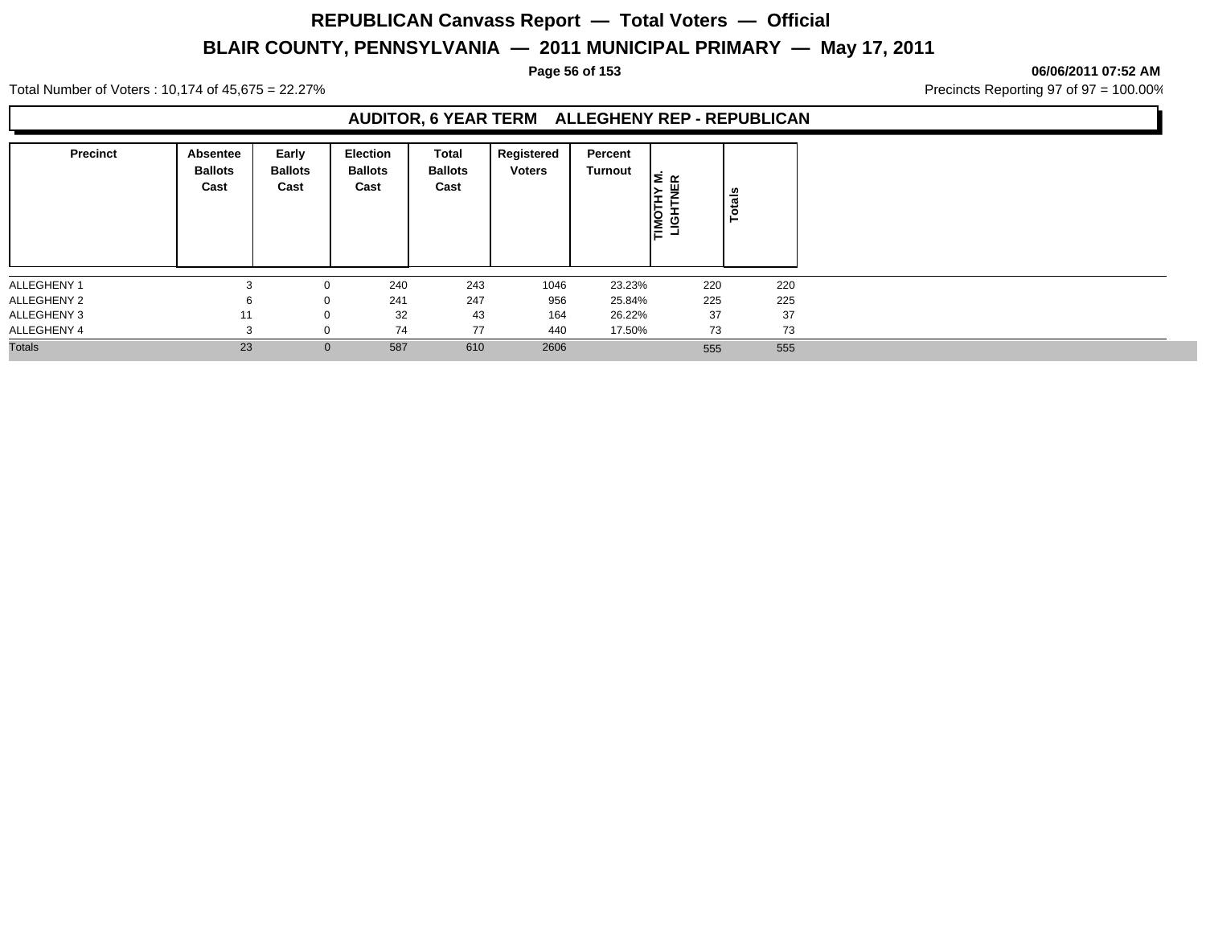#### **Page 56 of 153 06/06/2011 07:52 AM**

Total Number of Voters : 10,174 of 45,675 = 22.27% **Precincts Reporting 97 of 97 = 100.00%** Precincts Reporting 97 of 97 = 100.00%

## **AUDITOR, 6 YEAR TERM ALLEGHENY REP - REPUBLICAN**

| <b>Precinct</b> | Absentee<br><b>Ballots</b><br>Cast | Early<br><b>Ballots</b><br>Cast | Election<br><b>Ballots</b><br>Cast | Total<br><b>Ballots</b><br>Cast | Registered<br><b>Voters</b> | Percent<br><b>Turnout</b> | <b>HYM.</b><br>TNER<br><b>TIMOTHY</b><br>LIGHTNE | Totals |
|-----------------|------------------------------------|---------------------------------|------------------------------------|---------------------------------|-----------------------------|---------------------------|--------------------------------------------------|--------|
| ALLEGHENY 1     |                                    |                                 | 240                                | 243                             | 1046                        | 23.23%                    | 220                                              | 220    |
| ALLEGHENY 2     |                                    | 0                               | 241                                | 247                             | 956                         | 25.84%                    | 225                                              | 225    |
| ALLEGHENY 3     | 11                                 | $\Omega$                        | 32                                 | 43                              | 164                         | 26.22%                    | 37                                               | 37     |
| ALLEGHENY 4     |                                    |                                 | 74                                 | 77                              | 440                         | 17.50%                    | 73                                               | 73     |
| <b>Totals</b>   | 23                                 | $\mathbf{0}$                    | 587                                | 610                             | 2606                        |                           | 555                                              | 555    |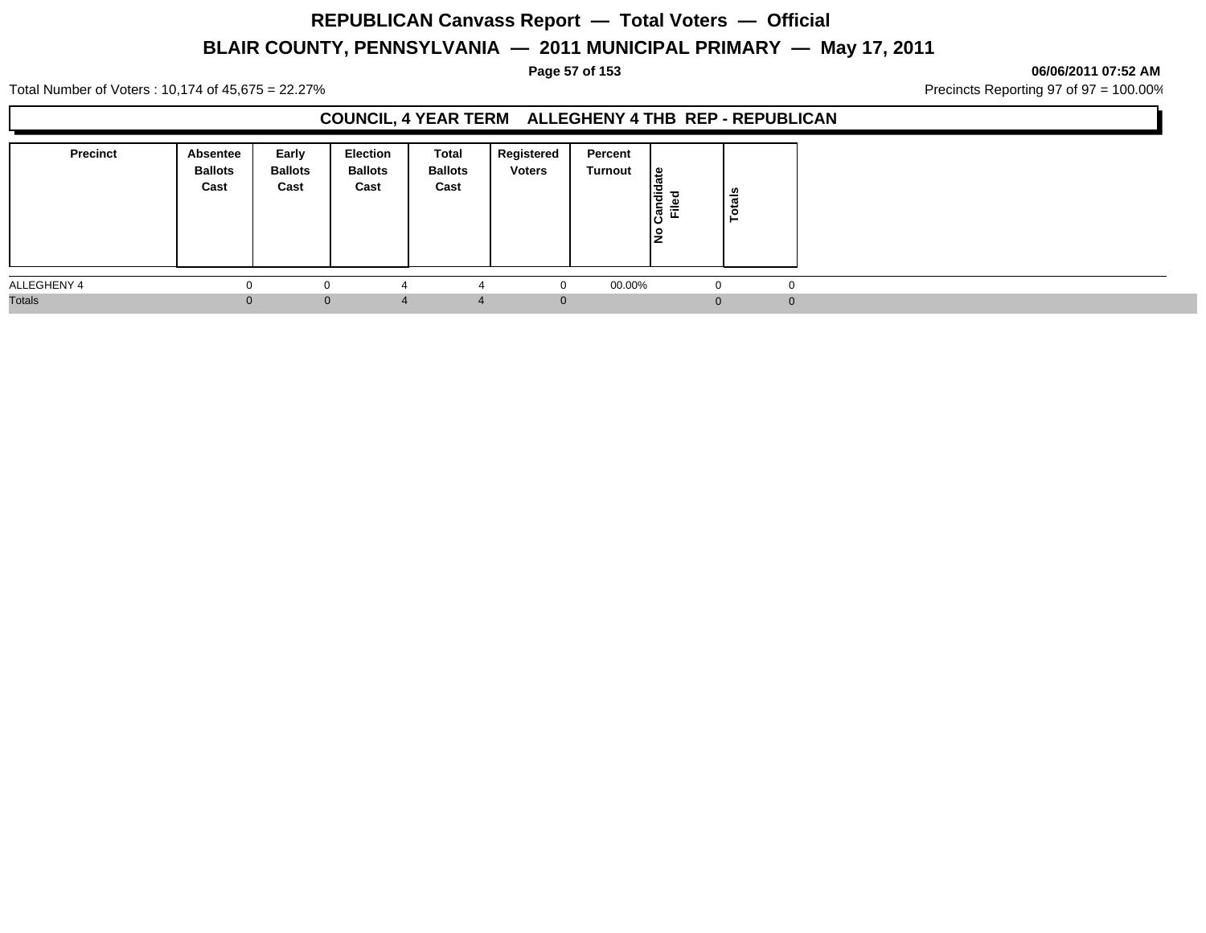**Page 57 of 153 06/06/2011 07:52 AM**

Total Number of Voters : 10,174 of 45,675 = 22.27% **Precincts Reporting 97 of 97 = 100.00%** Precincts Reporting 97 of 97 = 100.00%

## **COUNCIL, 4 YEAR TERM ALLEGHENY 4 THB REP - REPUBLICAN**

| <b>Precinct</b> | Absentee<br><b>Ballots</b><br>Cast | Early<br><b>Ballots</b><br>Cast | <b>Election</b><br><b>Ballots</b><br>Cast | Total<br><b>Ballots</b><br>Cast | Registered<br><b>Voters</b> | Percent<br>Turnout | ا ≅<br>andid<br>Filed<br>ن١<br>ıз | Totals |             |
|-----------------|------------------------------------|---------------------------------|-------------------------------------------|---------------------------------|-----------------------------|--------------------|-----------------------------------|--------|-------------|
| ALLEGHENY 4     | $\Omega$                           | $\Omega$                        |                                           |                                 | $\Omega$                    | 00.00%             | - U                               |        | $\mathbf 0$ |
| <b>Totals</b>   |                                    | $\mathbf{0}$                    | 4                                         |                                 | 0                           |                    | $\Omega$                          |        | $\Omega$    |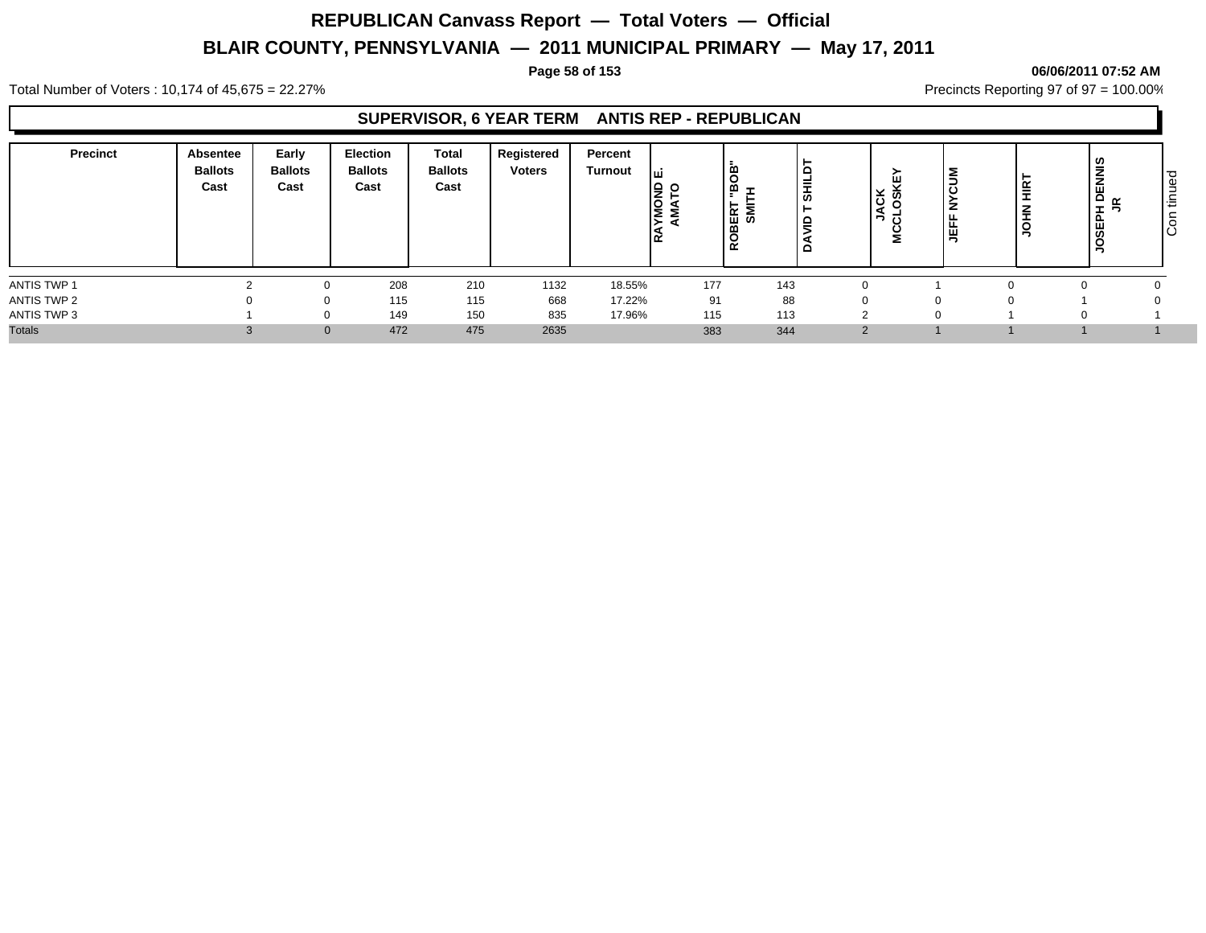#### **Page 58 of 153 06/06/2011 07:52 AM**

Total Number of Voters : 10,174 of 45,675 = 22.27% **Precincts Reporting 97 of 97 = 100.00%** Precincts Reporting 97 of 97 = 100.00%

## **SUPERVISOR, 6 YEAR TERM ANTIS REP - REPUBLICAN**

| <b>Precinct</b> | Absentee<br><b>Ballots</b><br>Cast | Early<br><b>Ballots</b><br>Cast | <b>Election</b><br><b>Ballots</b><br>Cast | Total<br><b>Ballots</b><br>Cast | Registered<br><b>Voters</b> | Percent<br>Turnout | lş.<br>$\circ$<br>ΙO<br>lΣ Σ | -<br>ER<br>S⊠<br>$\alpha$ | c<br>-<br>동<br>▫<br>-<br>. . | ¥ ⊽̀<br>$\overline{\phantom{0}}$<br>- U<br>2 | ∣≧<br>ں ا<br>∼<br>EFF<br>∍ | <b>HIRT</b><br>HOL | <b>NNIS</b><br>$\circ$<br>$\alpha$<br>준<br>ш<br>ഗ | ಾ<br>$\Omega$<br>-<br>ŀΞ<br>ΙO |
|-----------------|------------------------------------|---------------------------------|-------------------------------------------|---------------------------------|-----------------------------|--------------------|------------------------------|---------------------------|------------------------------|----------------------------------------------|----------------------------|--------------------|---------------------------------------------------|--------------------------------|
| ANTIS TWP 1     |                                    |                                 | 208                                       | 210                             | 1132                        | 18.55%             | 177                          | 143                       |                              |                                              |                            |                    |                                                   |                                |
| ANTIS TWP 2     |                                    |                                 | 115                                       | 115                             | 668                         | 17.22%             | 91                           | 88                        |                              | $\Omega$                                     |                            |                    |                                                   |                                |
| ANTIS TWP 3     |                                    |                                 | 149                                       | 150                             | 835                         | 17.96%             | 115                          | 113                       |                              | $\sim$                                       |                            |                    |                                                   |                                |
| <b>Totals</b>   |                                    | $\Omega$                        | 472                                       | 475                             | 2635                        |                    | 383                          | 344                       |                              | 2                                            |                            |                    |                                                   |                                |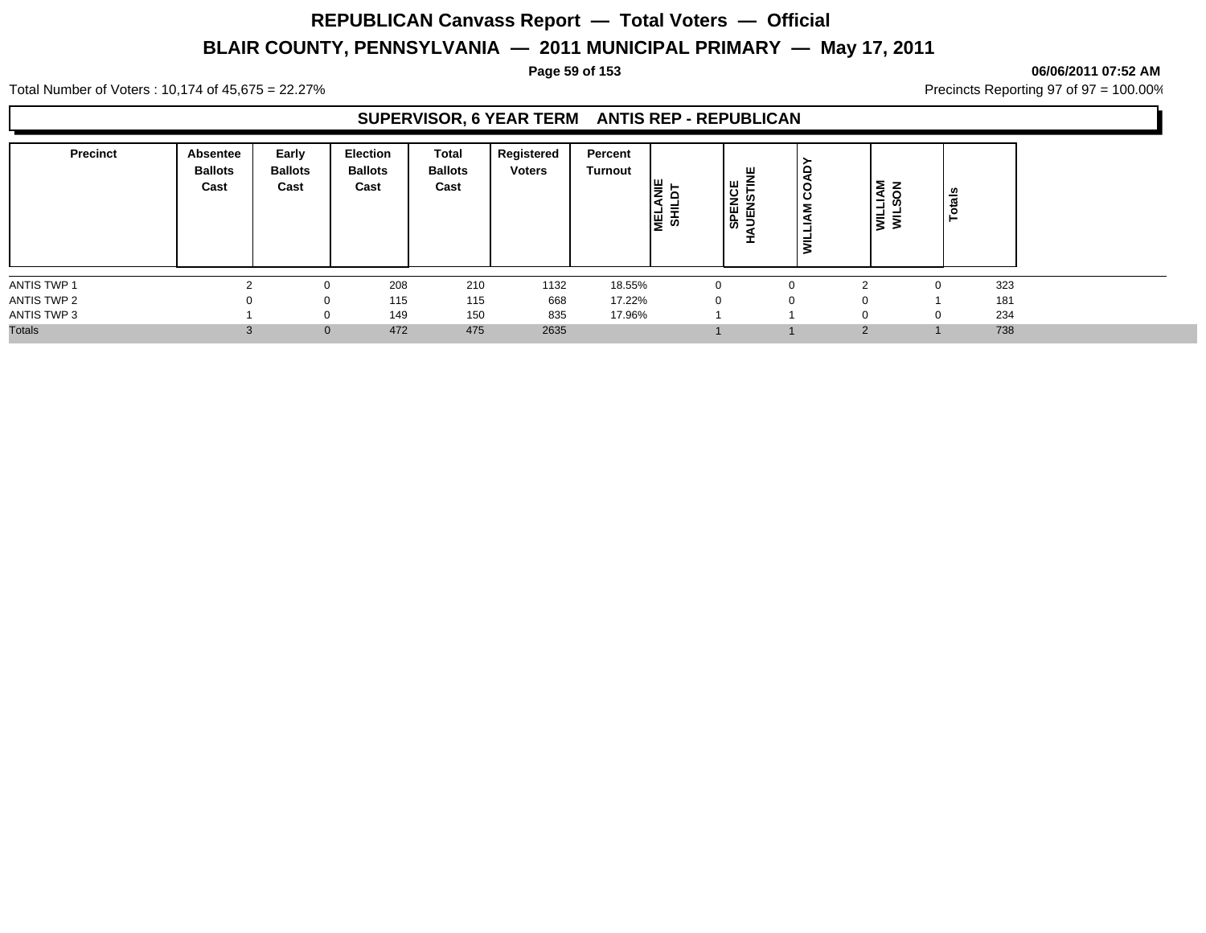#### **Page 59 of 153 06/06/2011 07:52 AM**

Total Number of Voters : 10,174 of 45,675 = 22.27% **Precincts Reporting 97 of 97 = 100.00%** Precincts Reporting 97 of 97 = 100.00%

## **SUPERVISOR, 6 YEAR TERM ANTIS REP - REPUBLICAN**

| <b>Precinct</b> | Absentee<br><b>Ballots</b><br>Cast | Early<br><b>Ballots</b><br>Cast | <b>Election</b><br><b>Ballots</b><br>Cast | <b>Total</b><br><b>Ballots</b><br>Cast | Registered<br><b>Voters</b> | Percent<br>Turnout | ٣,<br>1월 옆 | ш<br><b>SPENCE</b><br>=<br><b>in</b><br>Ě | COAD<br>$\tilde{A}$<br>⊐ |          | <b>NOS</b><br>-<br>$\vec{s}$<br>-<br>₹ | ais<br>ಕ |     |
|-----------------|------------------------------------|---------------------------------|-------------------------------------------|----------------------------------------|-----------------------------|--------------------|------------|-------------------------------------------|--------------------------|----------|----------------------------------------|----------|-----|
| ANTIS TWP 1     |                                    | 0                               | 208                                       | 210                                    | 1132                        | 18.55%             |            |                                           | $\Omega$                 |          |                                        |          | 323 |
| ANTIS TWP 2     | $\Omega$                           | 0                               | 115                                       | 115                                    | 668                         | 17.22%             | $\Omega$   |                                           | $\Omega$                 |          |                                        |          | 181 |
| ANTIS TWP 3     |                                    | 0                               | 149                                       | 150                                    | 835                         | 17.96%             |            |                                           |                          |          |                                        |          | 234 |
| <b>Totals</b>   |                                    | $\mathbf{0}$                    | 472                                       | 475                                    | 2635                        |                    |            |                                           |                          | $\Omega$ |                                        |          | 738 |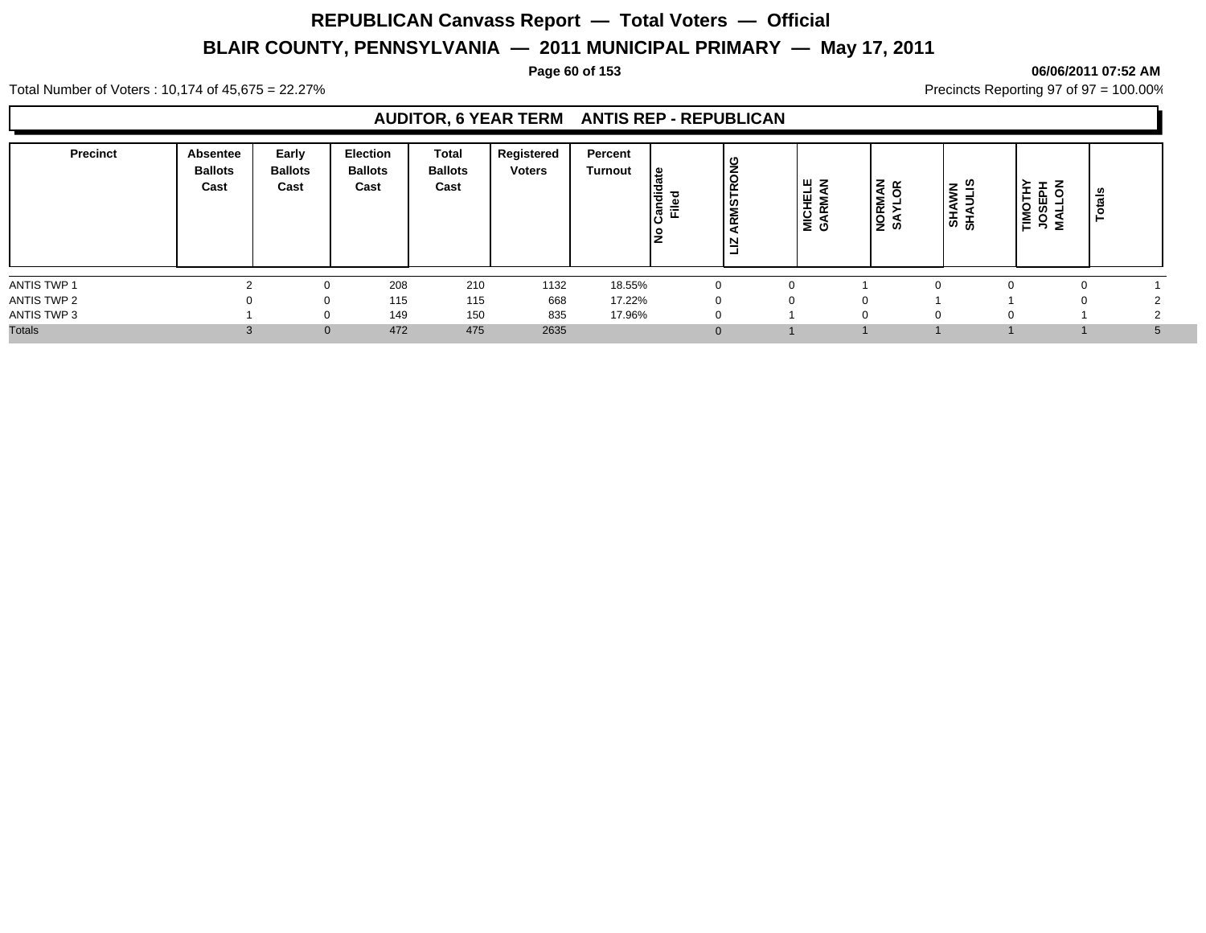#### **Page 60 of 153 06/06/2011 07:52 AM**

Total Number of Voters : 10,174 of 45,675 = 22.27% **Precincts Reporting 97 of 97 = 100.00%** Precincts Reporting 97 of 97 = 100.00%

### **AUDITOR, 6 YEAR TERM ANTIS REP - REPUBLICAN**

| 208<br>210<br>1132<br>18.55%<br>$\Omega$<br><sup>0</sup><br>115<br>668<br>17.22%<br>115<br>0<br>$\Omega$<br>150<br>835<br>17.96%<br>149<br>$\Omega$<br>475<br>472<br>2635 | <b>Precinct</b> | Absentee<br><b>Ballots</b><br>Cast | Early<br><b>Ballots</b><br>Cast | <b>Election</b><br><b>Ballots</b><br>Cast | Total<br><b>Ballots</b><br>Cast | Registered<br><b>Voters</b> | Percent<br><b>Turnout</b> | ہ ا<br>Candi<br>Filed<br>١ž | <b>RMSTRONG</b><br>ਰ<br>⊵ | <b>WZ</b><br>ET<br>NSI<br>$\overline{\alpha}$<br><b>__</b><br><b>DIE</b><br>GAF | <b>NORMAN</b><br>SAYLOR | l≅ ∄<br><b>AHS</b> | z<br>DOSI<br>USS<br>ş | ឹ |
|---------------------------------------------------------------------------------------------------------------------------------------------------------------------------|-----------------|------------------------------------|---------------------------------|-------------------------------------------|---------------------------------|-----------------------------|---------------------------|-----------------------------|---------------------------|---------------------------------------------------------------------------------|-------------------------|--------------------|-----------------------|---|
| ANTIS TWP 2<br>ANTIS TWP 3<br><b>Totals</b>                                                                                                                               | ANTIS TWP 1     |                                    |                                 |                                           |                                 |                             |                           |                             |                           |                                                                                 |                         |                    |                       |   |
|                                                                                                                                                                           |                 |                                    |                                 |                                           |                                 |                             |                           |                             |                           |                                                                                 |                         |                    |                       |   |
|                                                                                                                                                                           |                 |                                    |                                 |                                           |                                 |                             |                           |                             |                           |                                                                                 |                         |                    |                       |   |
|                                                                                                                                                                           |                 |                                    |                                 |                                           |                                 |                             |                           |                             |                           |                                                                                 |                         |                    |                       |   |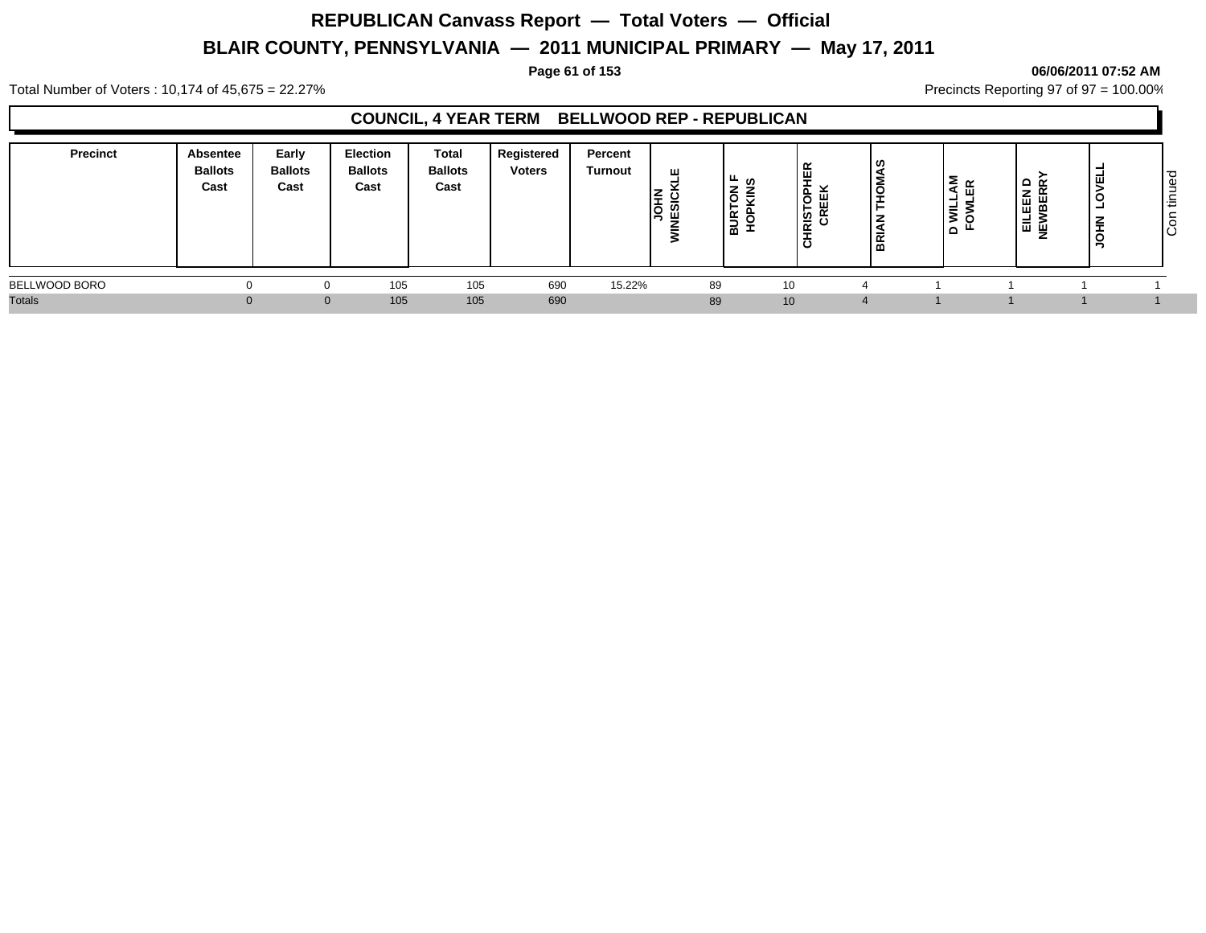#### **Page 61 of 153 06/06/2011 07:52 AM**

Total Number of Voters : 10,174 of 45,675 = 22.27% **Precincts Reporting 97 of 97 = 100.00%** Precincts Reporting 97 of 97 = 100.00%

## **COUNCIL, 4 YEAR TERM BELLWOOD REP - REPUBLICAN**

| <b>Precinct</b> | Absentee<br><b>Ballots</b><br>Cast | Early<br><b>Ballots</b><br>Cast | Election<br><b>Ballots</b><br>Cast | Total<br><b>Ballots</b><br>Cast | Registered<br><b>Voters</b> | Percent<br><b>Turnout</b> | ш<br>ı≝<br>Iğ | · ⊥∟<br>-<br>-<br>ъ.<br>◡<br>≃<br>-<br> | ឆ្ន ឌ<br>- | ၊ ဖ<br>õ<br>⋍<br>  또 | ξ α<br>ய<br>۰<br>$\overline{\overline{\overline{}}}\overline{\overline{\overline{}}}$<br>$\Omega$ | ≏ ≃<br>즶<br>H,<br>ш<br>ᆝᄇᅠᆸᅌᆞᇣ<br>z | z<br>- | ت<br>ധ<br>13<br>ΙÖ |
|-----------------|------------------------------------|---------------------------------|------------------------------------|---------------------------------|-----------------------------|---------------------------|---------------|-----------------------------------------|------------|----------------------|---------------------------------------------------------------------------------------------------|-------------------------------------|--------|--------------------|
| BELLWOOD BORO   |                                    |                                 | 105                                | 105                             | 690                         | 15.22%                    | 89            |                                         | 10         |                      |                                                                                                   |                                     |        |                    |
| <b>Totals</b>   |                                    |                                 | 105                                | 105                             | 690                         |                           | 89            |                                         | 10         |                      |                                                                                                   |                                     |        |                    |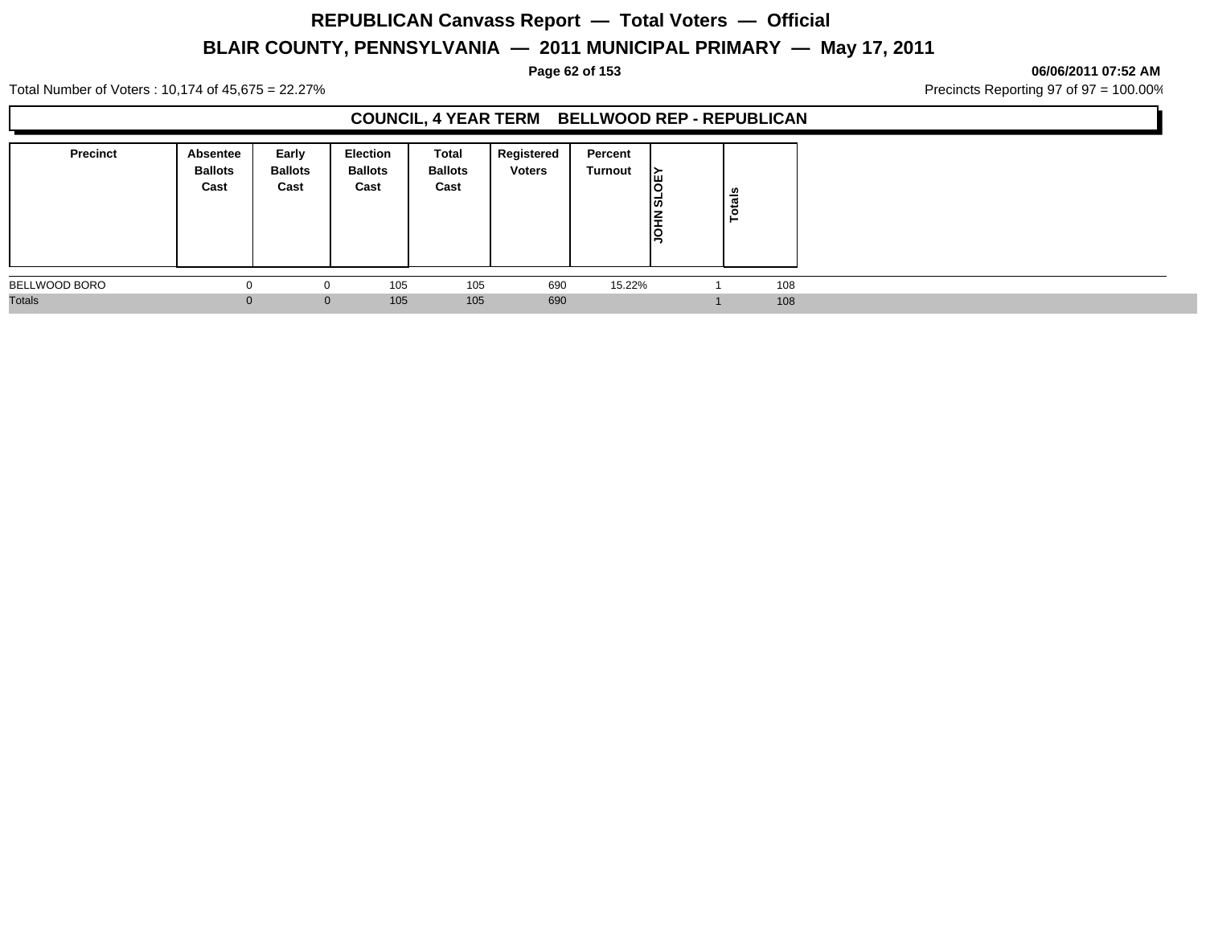#### **Page 62 of 153 06/06/2011 07:52 AM**

Total Number of Voters : 10,174 of 45,675 = 22.27% **Precincts Reporting 97 of 97 = 100.00%** Precincts Reporting 97 of 97 = 100.00%

## **COUNCIL, 4 YEAR TERM BELLWOOD REP - REPUBLICAN**

| <b>Precinct</b> | <b>Absentee</b><br><b>Ballots</b><br>Cast | Early<br><b>Ballots</b><br>Cast | Election<br><b>Ballots</b><br>Cast | Total<br><b>Ballots</b><br>Cast | Registered<br><b>Voters</b> | Percent<br><b>Turnout</b> | ▸<br>Iш<br> ದ<br><b>NH</b> | otals<br>► |  |
|-----------------|-------------------------------------------|---------------------------------|------------------------------------|---------------------------------|-----------------------------|---------------------------|----------------------------|------------|--|
| BELLWOOD BORO   |                                           | v                               | 105                                | 105                             | 690                         | 15.22%                    |                            | 108        |  |
| <b>Totals</b>   |                                           | $\mathbf 0$                     | 105                                | 105                             | 690                         |                           |                            | 108        |  |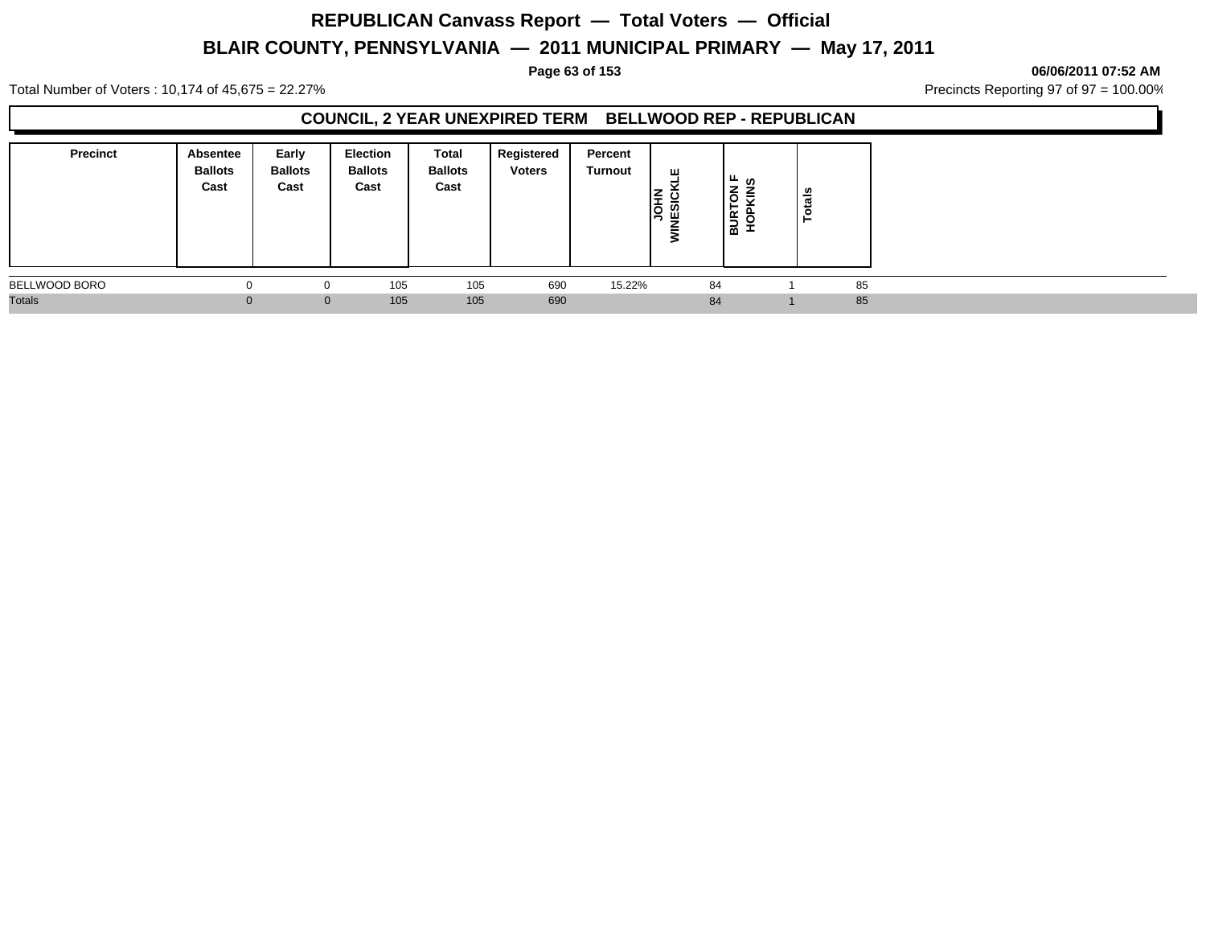Total Number of Voters : 10,174 of 45,675 = 22.27% **Precincts Reporting 97 of 97 = 100.00%** Precincts Reporting 97 of 97 = 100.00%

## **COUNCIL, 2 YEAR UNEXPIRED TERM BELLWOOD REP - REPUBLICAN**

| Precinct      | Absentee<br><b>Ballots</b><br>Cast | Early<br><b>Ballots</b><br>Cast | Election<br><b>Ballots</b><br>Cast | Total<br><b>Ballots</b><br>Cast | Registered<br><b>Voters</b> | Percent<br>Turnout | ш<br>ن ≩ا<br>ទី ឆ្នឺ | ്⊬ ഗ<br>Ιš<br>≂<br><b>BURT</b> | otals |  |
|---------------|------------------------------------|---------------------------------|------------------------------------|---------------------------------|-----------------------------|--------------------|----------------------|--------------------------------|-------|--|
| BELLWOOD BORO | O                                  | 0                               | 105                                | 105                             | 690                         | 15.22%             | 84                   |                                | 85    |  |
| <b>Totals</b> |                                    | $\mathbf{0}$                    | 105                                | 105                             | 690                         |                    | 84                   |                                | 85    |  |

#### **Page 63 of 153 06/06/2011 07:52 AM**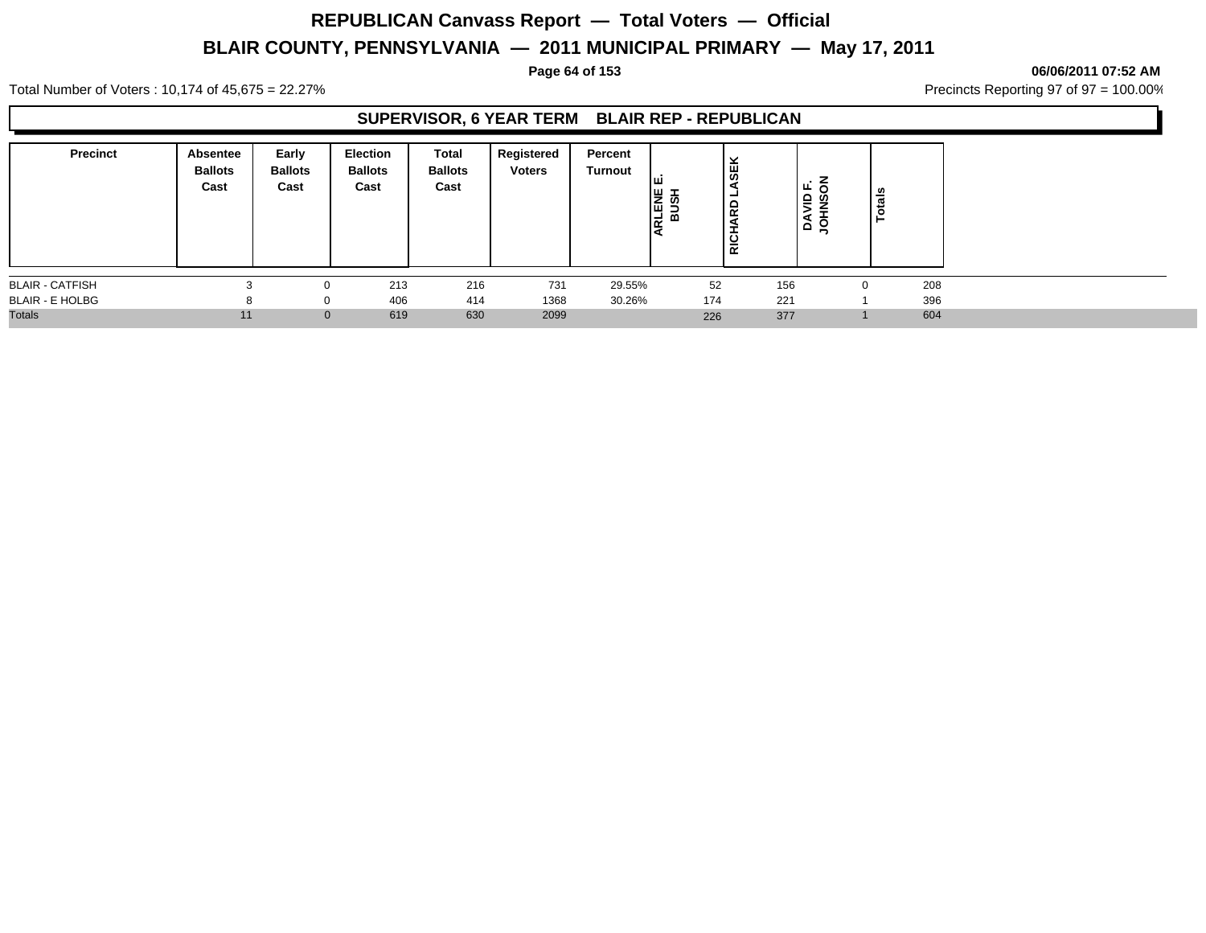# **REPUBLICAN Canvass Report — Total Voters — Official**

# **BLAIR COUNTY, PENNSYLVANIA — 2011 MUNICIPAL PRIMARY — May 17, 2011**

#### **Page 64 of 153 06/06/2011 07:52 AM**

Total Number of Voters : 10,174 of 45,675 = 22.27% **Precincts Reporting 97 of 97 = 100.00%** Precincts Reporting 97 of 97 = 100.00%

## **SUPERVISOR, 6 YEAR TERM BLAIR REP - REPUBLICAN**

| <b>Precinct</b>        | Absentee<br><b>Ballots</b><br>Cast | Early<br><b>Ballots</b><br>Cast | <b>Election</b><br><b>Ballots</b><br>Cast | Total<br><b>Ballots</b><br>Cast | Registered<br><b>Voters</b> | Percent<br>Turnout | Iш<br><b>HELE</b><br>BUSH<br>E | <b>SEK</b><br>ᆜ<br><b>Q</b><br>÷<br><b>RICH</b> | щ.<br> ≦ 5<br> | otals |  |
|------------------------|------------------------------------|---------------------------------|-------------------------------------------|---------------------------------|-----------------------------|--------------------|--------------------------------|-------------------------------------------------|----------------|-------|--|
| <b>BLAIR - CATFISH</b> |                                    |                                 | 213                                       | 216                             | 731                         | 29.55%             | 52                             |                                                 | 156            | 208   |  |
| <b>BLAIR - E HOLBG</b> |                                    | $\Omega$                        | 406                                       | 414                             | 1368                        | 30.26%             | 174                            |                                                 | 221            | 396   |  |
| <b>Totals</b>          | 11                                 | $\mathbf{0}$                    | 619                                       | 630                             | 2099                        |                    | 226                            |                                                 | 377            | 604   |  |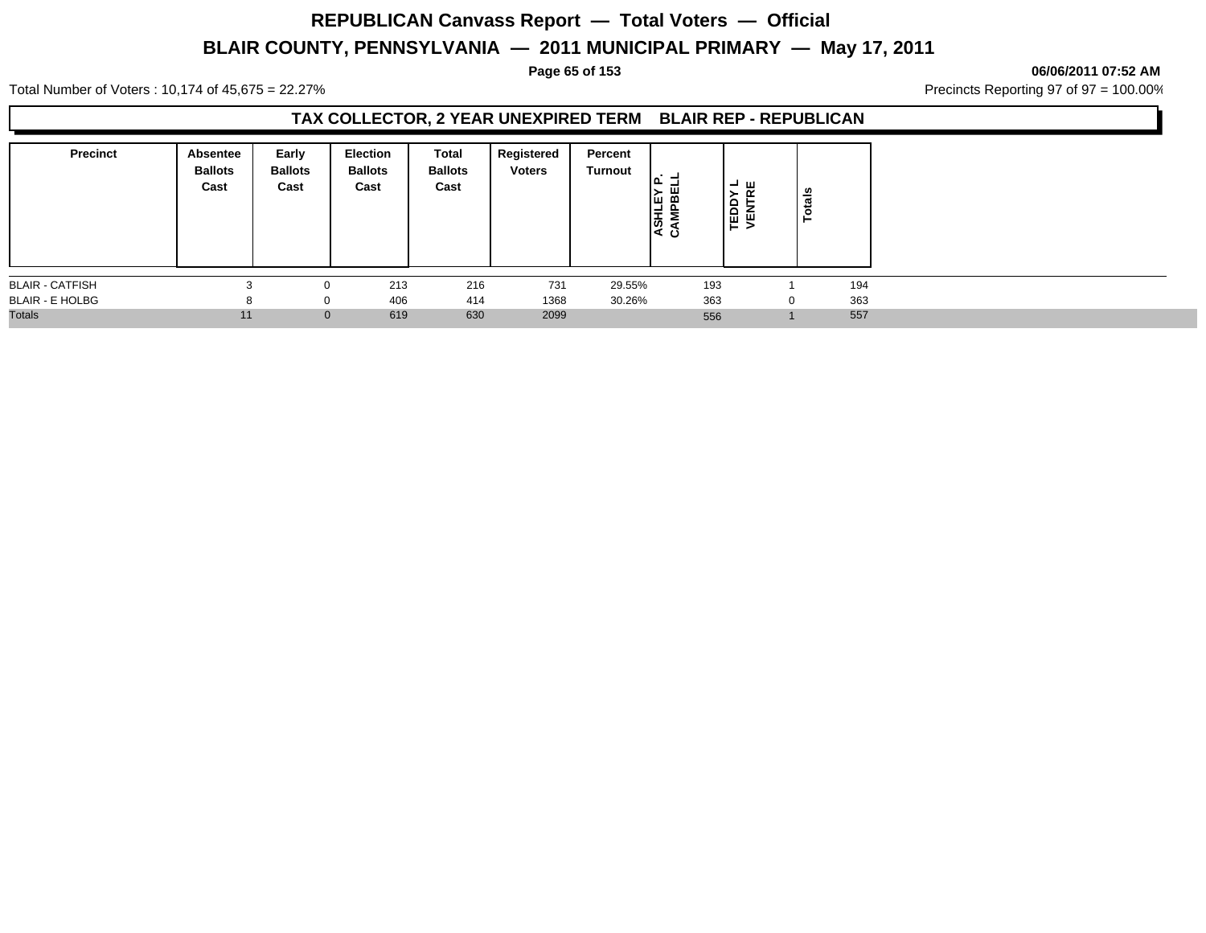#### **Page 65 of 153 06/06/2011 07:52 AM**

Total Number of Voters : 10,174 of 45,675 = 22.27% **Precincts Reporting 97 of 97 = 100.00%** Precincts Reporting 97 of 97 = 100.00%

## **TAX COLLECTOR, 2 YEAR UNEXPIRED TERM BLAIR REP - REPUBLICAN**

| <b>Precinct</b>        | Absentee<br><b>Ballots</b><br>Cast | Early<br><b>Ballots</b><br>Cast | <b>Election</b><br><b>Ballots</b><br>Cast | Total<br><b>Ballots</b><br>Cast | Registered<br><b>Voters</b> | Percent<br>Turnout | ۱۵∟<br>뗾া<br><b>ASHL</b> | . → ш<br><b>TEDDY</b><br>VENTRI | otals<br>- |     |
|------------------------|------------------------------------|---------------------------------|-------------------------------------------|---------------------------------|-----------------------------|--------------------|--------------------------|---------------------------------|------------|-----|
| <b>BLAIR - CATFISH</b> |                                    | $\Omega$                        | 213                                       | 216                             | 731                         | 29.55%             | 193                      |                                 |            | 194 |
| <b>BLAIR - E HOLBG</b> | ŏ                                  | $\Omega$                        | 406                                       | 414                             | 1368                        | 30.26%             | 363                      |                                 | $\Omega$   | 363 |
| <b>Totals</b>          | 11                                 | $\mathbf{0}$                    | 619                                       | 630                             | 2099                        |                    | 556                      |                                 |            | 557 |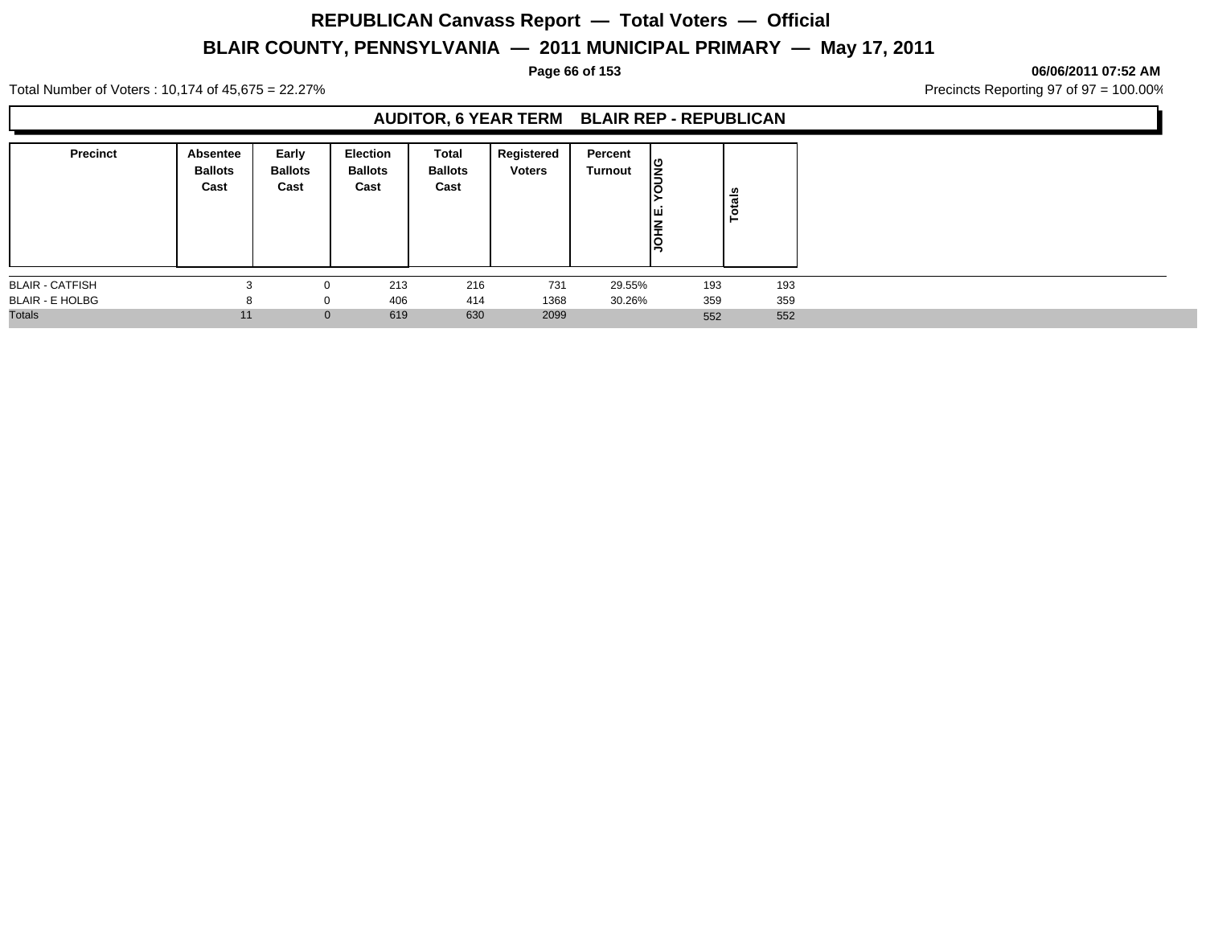#### **Page 66 of 153 06/06/2011 07:52 AM**

Total Number of Voters : 10,174 of 45,675 = 22.27% **Precincts Reporting 97 of 97 = 100.00%** Precincts Reporting 97 of 97 = 100.00%

## **AUDITOR, 6 YEAR TERM BLAIR REP - REPUBLICAN**

| <b>Precinct</b>        | Absentee<br><b>Ballots</b><br>Cast | Early<br><b>Ballots</b><br>Cast | Election<br><b>Ballots</b><br>Cast | Total<br><b>Ballots</b><br>Cast | Registered<br><b>Voters</b> | Percent<br><b>Turnout</b> | <b>SND</b><br>טו<br>ш<br><b>NHOL</b> | <b>Totals</b> |
|------------------------|------------------------------------|---------------------------------|------------------------------------|---------------------------------|-----------------------------|---------------------------|--------------------------------------|---------------|
| <b>BLAIR - CATFISH</b> |                                    |                                 | 213                                | 216                             | 731                         | 29.55%                    | 193                                  | 193           |
| <b>BLAIR - E HOLBG</b> | 8                                  | 0                               | 406                                | 414                             | 1368                        | 30.26%                    | 359                                  | 359           |
| <b>Totals</b>          | 11                                 |                                 | 619<br>$\mathbf{0}$                | 630                             | 2099                        |                           | 552                                  | 552           |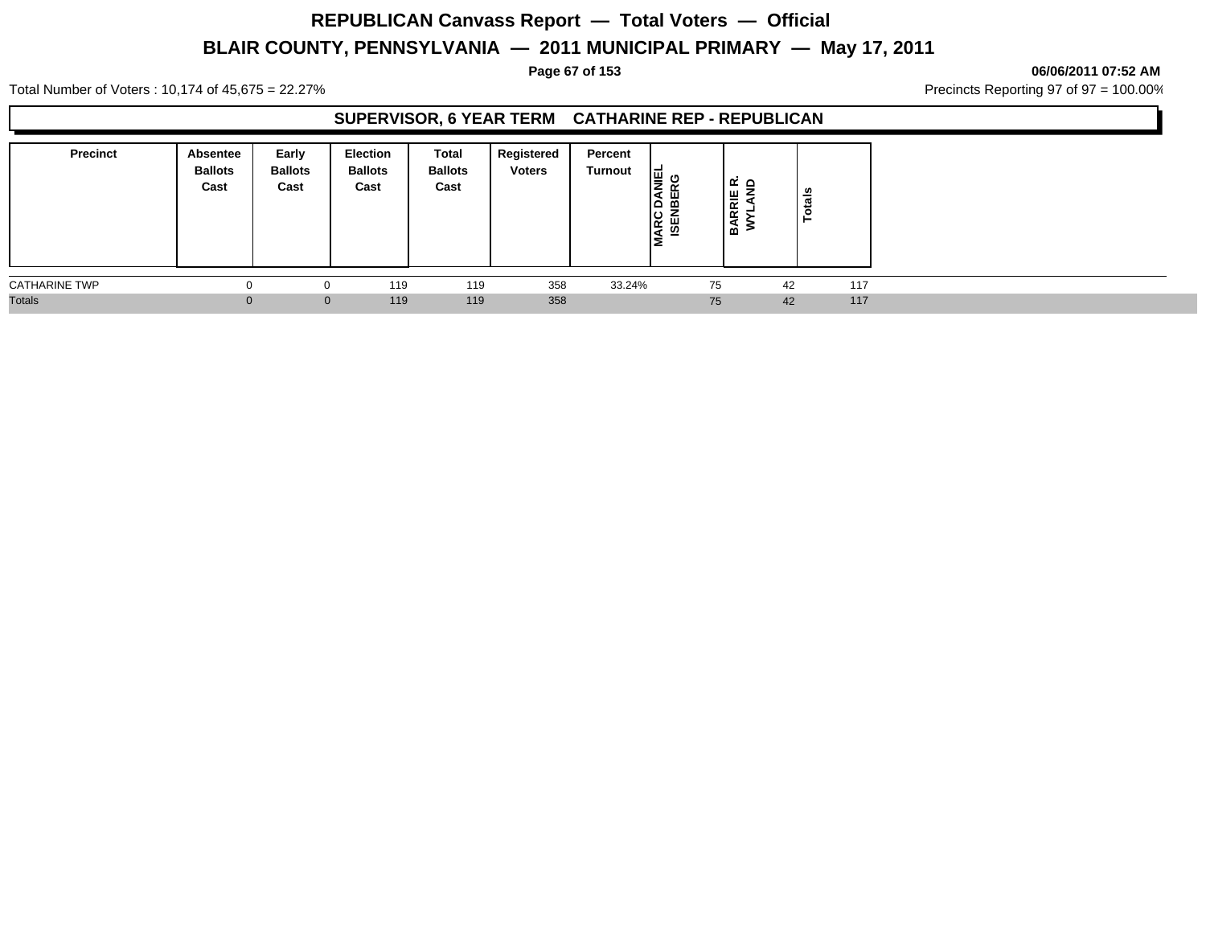#### **Page 67 of 153 06/06/2011 07:52 AM**

Total Number of Voters : 10,174 of 45,675 = 22.27% **Precincts Reporting 97 of 97 = 100.00%** Precincts Reporting 97 of 97 = 100.00%

## **SUPERVISOR, 6 YEAR TERM CATHARINE REP - REPUBLICAN**

| <b>Precinct</b>      | Absentee<br><b>Ballots</b><br>Cast | Early<br><b>Ballots</b><br>Cast | Election<br><b>Ballots</b><br>Cast | <b>Total</b><br><b>Ballots</b><br>Cast | Registered<br><b>Voters</b> | Percent<br><b>Turnout</b> | ہ ≝ا<br>ш<br>ι۹<br>ᅙ<br>۱۵<br><b>MARC</b><br>ISEN | ه نه<br><b>IRRIE</b><br>å | otals<br>⊢ |     |
|----------------------|------------------------------------|---------------------------------|------------------------------------|----------------------------------------|-----------------------------|---------------------------|---------------------------------------------------|---------------------------|------------|-----|
| <b>CATHARINE TWP</b> |                                    |                                 | 119                                | 119                                    | 358                         | 33.24%                    |                                                   | 75                        | 42         | 117 |
| <b>Totals</b>        |                                    |                                 | 119<br>$\overline{0}$              | 119                                    | 358                         |                           |                                                   | 75                        | 42         | 117 |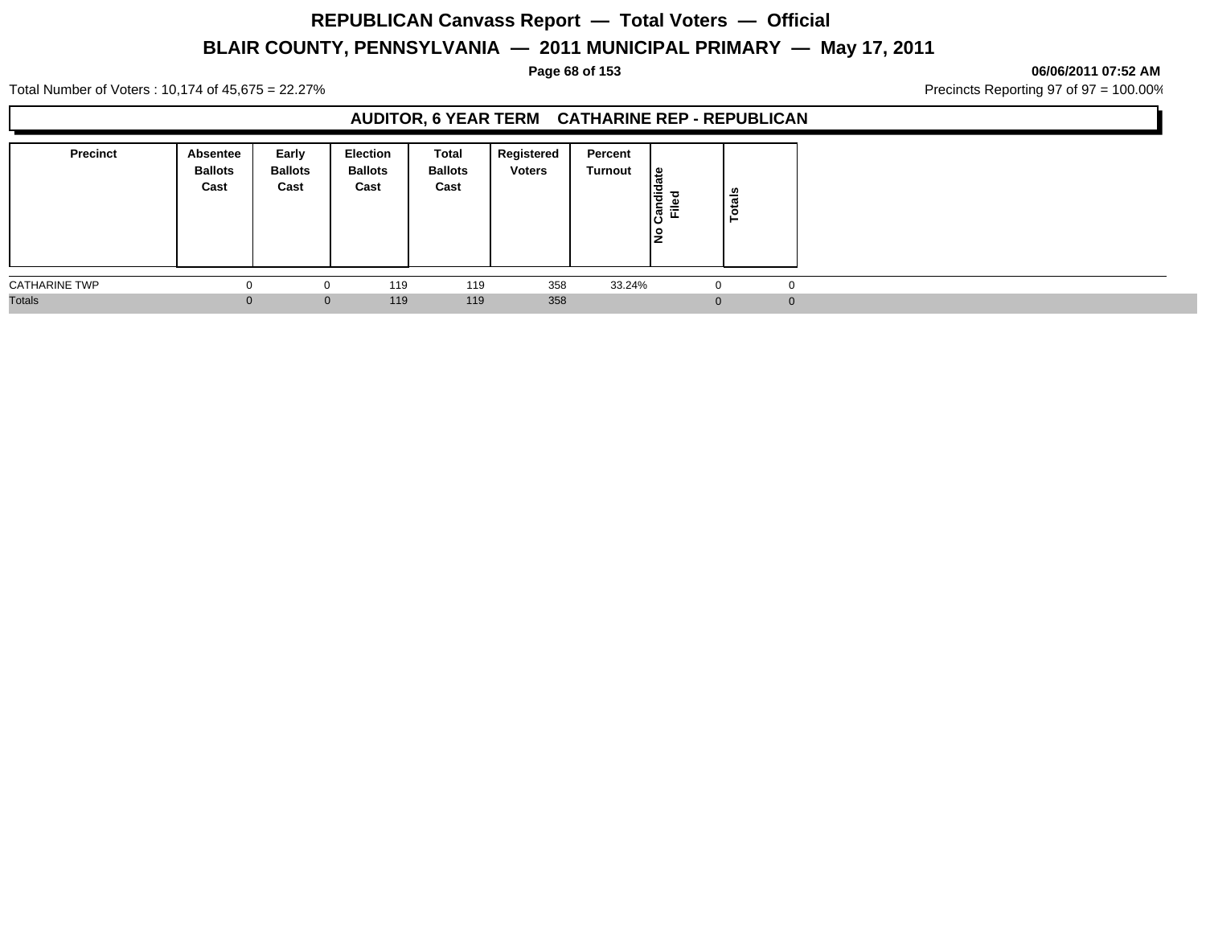#### **Page 68 of 153 06/06/2011 07:52 AM**

Total Number of Voters : 10,174 of 45,675 = 22.27% **Precincts Reporting 97 of 97 = 100.00%** Precincts Reporting 97 of 97 = 100.00%

## **AUDITOR, 6 YEAR TERM CATHARINE REP - REPUBLICAN**

| <b>Precinct</b>      | Absentee<br><b>Ballots</b><br>Cast | Early<br><b>Ballots</b><br>Cast | Election<br><b>Ballots</b><br>Cast | Total<br><b>Ballots</b><br>Cast | Registered<br><b>Voters</b> | Percent<br><b>Turnout</b> | ا≅<br>Ιš<br>Ѣ<br>ne.<br>Ē<br>טו<br>١ş | $\frac{1}{\pi}$<br>- |  |
|----------------------|------------------------------------|---------------------------------|------------------------------------|---------------------------------|-----------------------------|---------------------------|---------------------------------------|----------------------|--|
| <b>CATHARINE TWP</b> |                                    | J.                              | 119                                | 119                             | 358                         | 33.24%                    | $\overline{0}$                        |                      |  |
| <b>Totals</b>        |                                    |                                 | 119<br>$\mathbf{0}$                | 119                             | 358                         |                           | $\Omega$                              |                      |  |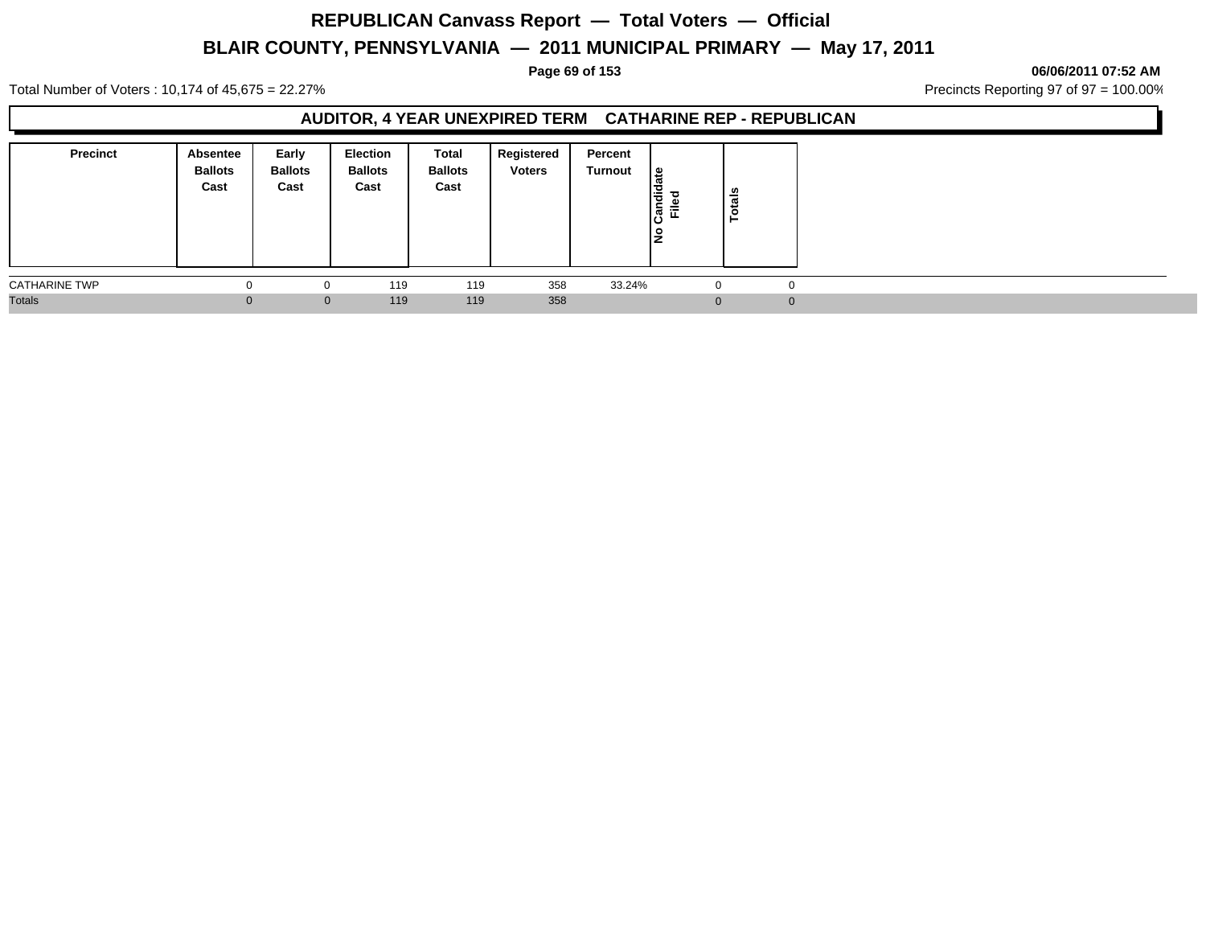#### **Page 69 of 153 06/06/2011 07:52 AM**

Total Number of Voters : 10,174 of 45,675 = 22.27% **Precincts Reporting 97 of 97 = 100.00%** Precincts Reporting 97 of 97 = 100.00%

## **AUDITOR, 4 YEAR UNEXPIRED TERM CATHARINE REP - REPUBLICAN**

| Precinct             | <b>Absentee</b><br><b>Ballots</b><br>Cast | Early<br><b>Ballots</b><br>Cast | <b>Election</b><br><b>Ballots</b><br>Cast | Total<br><b>Ballots</b><br>Cast | Registered<br><b>Voters</b> | Percent<br>Turnout | ீ<br>Candi<br>Filed<br>l是 | $\frac{1}{2}$<br>Ö |          |
|----------------------|-------------------------------------------|---------------------------------|-------------------------------------------|---------------------------------|-----------------------------|--------------------|---------------------------|--------------------|----------|
| <b>CATHARINE TWP</b> | 0                                         | 0                               | 119                                       | 119                             | 358                         | 33.24%             |                           |                    | 0        |
| <b>Totals</b>        |                                           | $\mathbf{0}$                    | 119                                       | 119                             | 358                         |                    | $\Omega$                  |                    | $\Omega$ |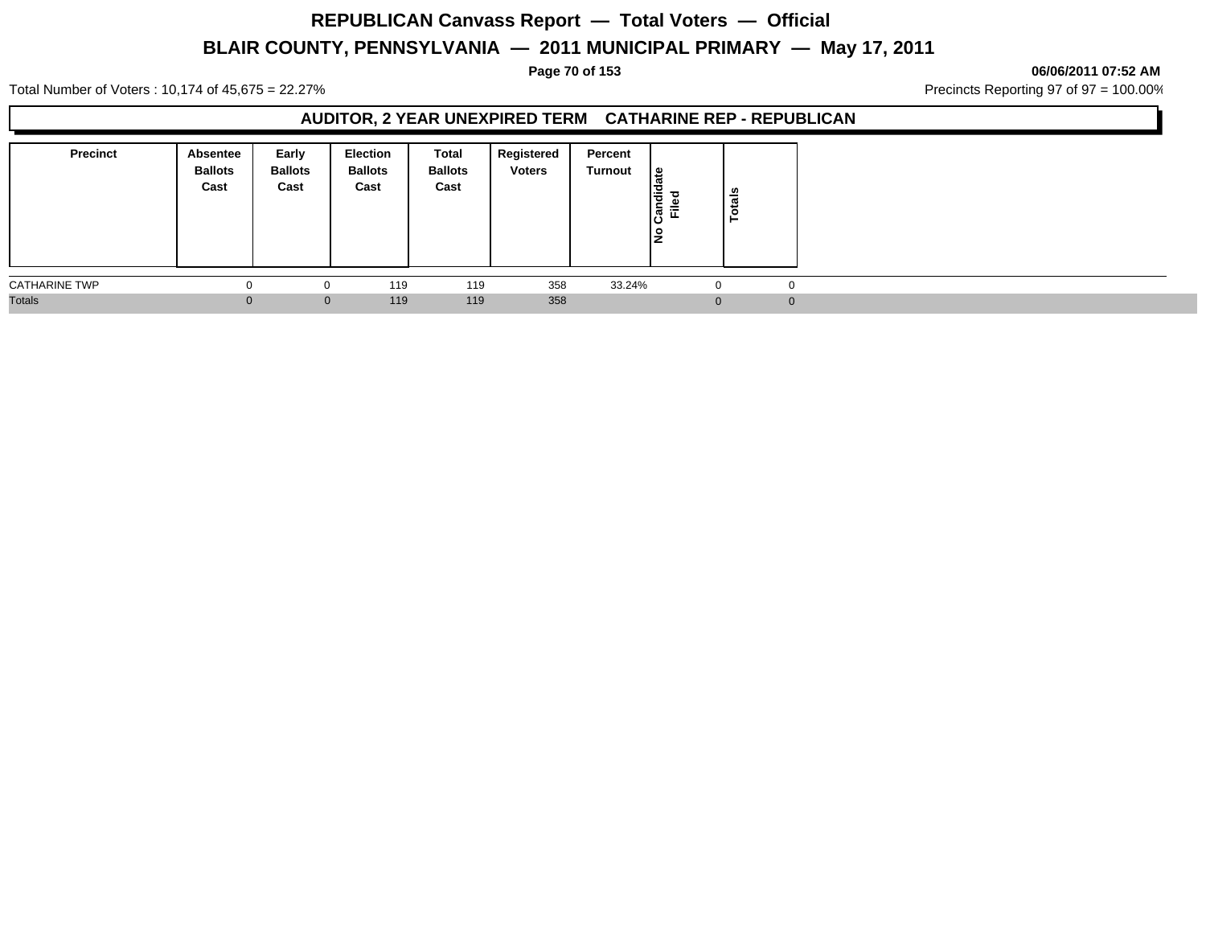#### **Page 70 of 153 06/06/2011 07:52 AM**

Total Number of Voters : 10,174 of 45,675 = 22.27% **Precincts Reporting 97 of 97 = 100.00%** Precincts Reporting 97 of 97 = 100.00%

## **AUDITOR, 2 YEAR UNEXPIRED TERM CATHARINE REP - REPUBLICAN**

| <b>Precinct</b>      | Absentee<br><b>Ballots</b><br>Cast | Early<br><b>Ballots</b><br>Cast | Election<br><b>Ballots</b><br>Cast | Total<br><b>Ballots</b><br>Cast | Registered<br><b>Voters</b> | Percent<br>Turnout | ا ≅<br>jang<br><u>ី</u><br>ن١<br>١ş | នី<br>مّ |          |
|----------------------|------------------------------------|---------------------------------|------------------------------------|---------------------------------|-----------------------------|--------------------|-------------------------------------|----------|----------|
| <b>CATHARINE TWP</b> |                                    | $\Omega$                        | 119                                | 119                             | 358                         | 33.24%             | 0                                   |          | 0        |
| <b>Totals</b>        |                                    | $\mathbf{0}$                    | 119                                | 119                             | 358                         |                    | $\Omega$                            |          | $\Omega$ |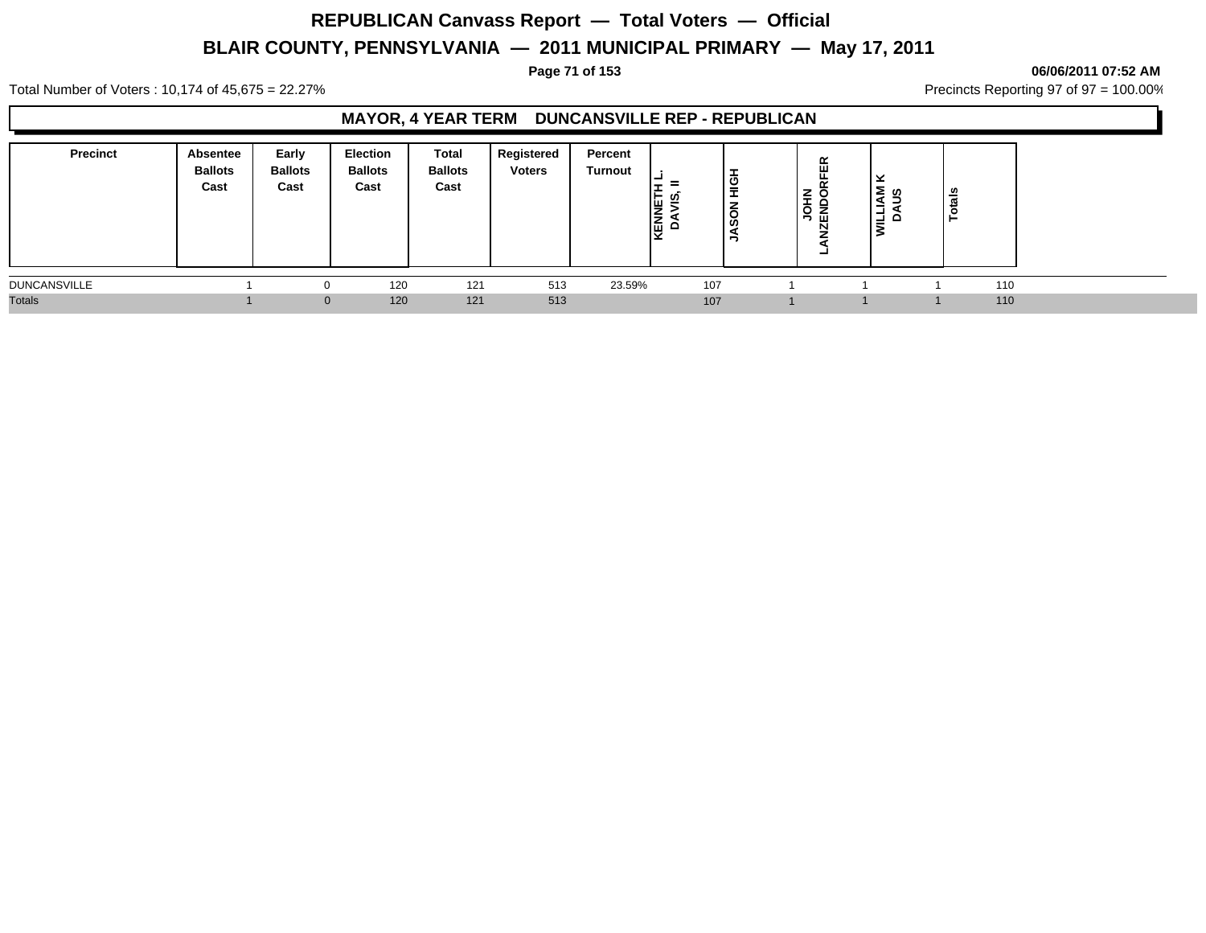**Page 71 of 153 06/06/2011 07:52 AM**

Total Number of Voters : 10,174 of 45,675 = 22.27% **Precincts Reporting 97 of 97 = 100.00%** Precincts Reporting 97 of 97 = 100.00%

## **MAYOR, 4 YEAR TERM DUNCANSVILLE REP - REPUBLICAN**

| <b>Precinct</b>     | Absentee<br><b>Ballots</b><br>Cast | Early<br><b>Ballots</b><br>Cast | Election<br><b>Ballots</b><br>Cast | <b>Total</b><br><b>Ballots</b><br>Cast | Registered<br><b>Voters</b> | Percent<br><b>Turnout</b> | <b>KENNETI<br/>DAVIS,</b> | $\frac{6}{5}$<br>–<br>ဝွ<br>Е. | ∛ ≩ַ<br><u>៑ ទី ដី</u> | ×<br> Σ ທ<br>-<br>2 | _∽ |     |
|---------------------|------------------------------------|---------------------------------|------------------------------------|----------------------------------------|-----------------------------|---------------------------|---------------------------|--------------------------------|------------------------|---------------------|----|-----|
| <b>DUNCANSVILLE</b> |                                    |                                 | 120                                | 121                                    | 513                         | 23.59%                    |                           | 107                            |                        |                     |    | 110 |
| <b>Totals</b>       |                                    | $\mathbf{0}$                    | 120                                | 121                                    | 513                         |                           |                           | 107                            |                        |                     |    | 110 |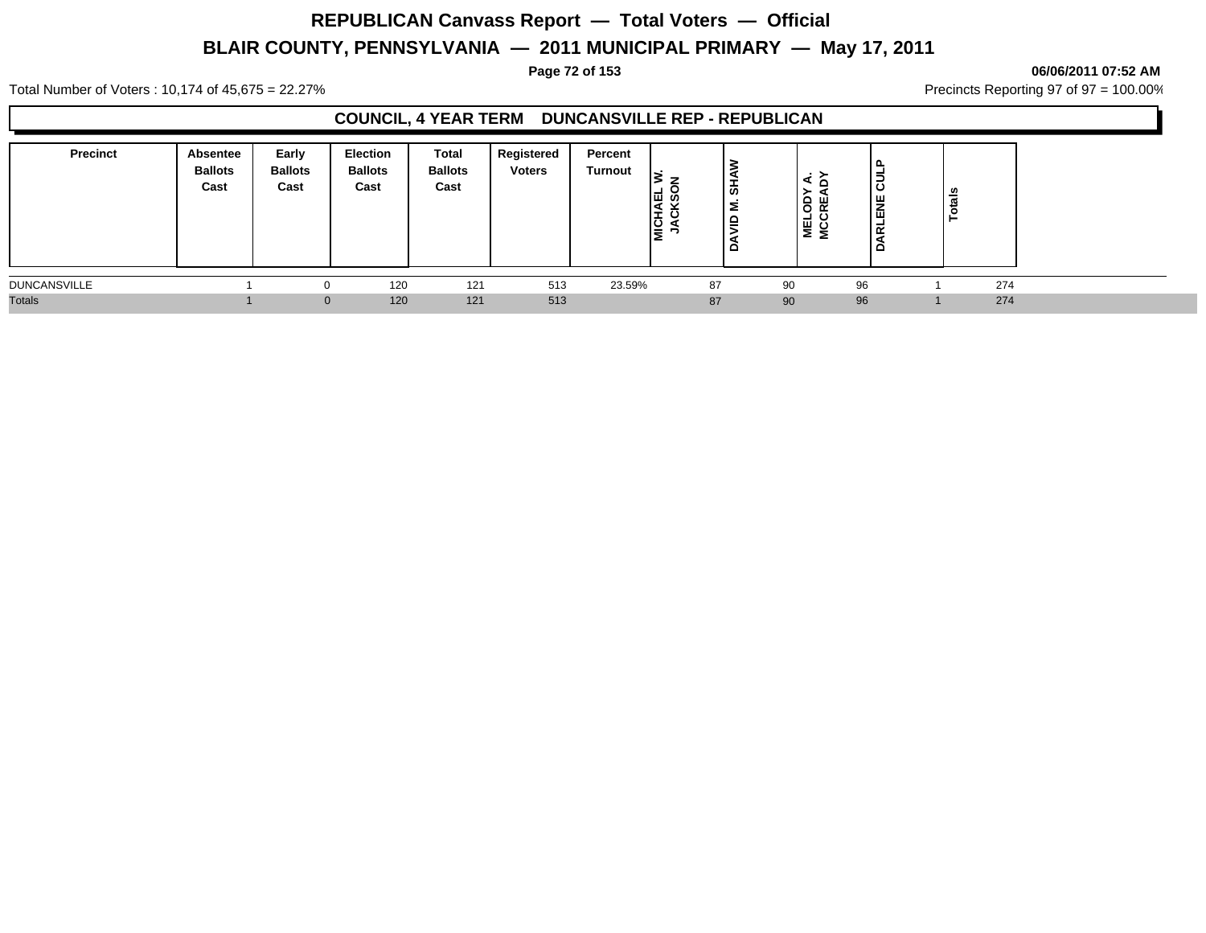**Page 72 of 153 06/06/2011 07:52 AM**

Total Number of Voters : 10,174 of 45,675 = 22.27% **Precincts Reporting 97 of 97 = 100.00%** Precincts Reporting 97 of 97 = 100.00%

## **COUNCIL, 4 YEAR TERM DUNCANSVILLE REP - REPUBLICAN**

| <b>Precinct</b>     | Absentee<br><b>Ballots</b><br>Cast | Early<br><b>Ballots</b><br>Cast | Election<br><b>Ballots</b><br>Cast | Total<br><b>Ballots</b><br>Cast | Registered<br><b>Voters</b> | Percent<br><b>Turnout</b> | ∣ਜ਼ ਲ<br>$\frac{1}{2}$ | ぁ<br>Σ<br>$\approx$<br>≏ | ் ப<br>Ō<br>MEL <sup>O</sup> | lā<br>ENE<br>∣ ∝<br>$\sim$ | - 67 |     |
|---------------------|------------------------------------|---------------------------------|------------------------------------|---------------------------------|-----------------------------|---------------------------|------------------------|--------------------------|------------------------------|----------------------------|------|-----|
| <b>DUNCANSVILLE</b> |                                    |                                 | 120                                | 121                             | 513                         | 23.59%                    |                        | 87                       | 90                           | 96                         |      | 274 |
| <b>Totals</b>       |                                    |                                 | 120<br>$\overline{0}$              | 121                             | 513                         |                           |                        | 87                       | 90                           | 96                         |      | 274 |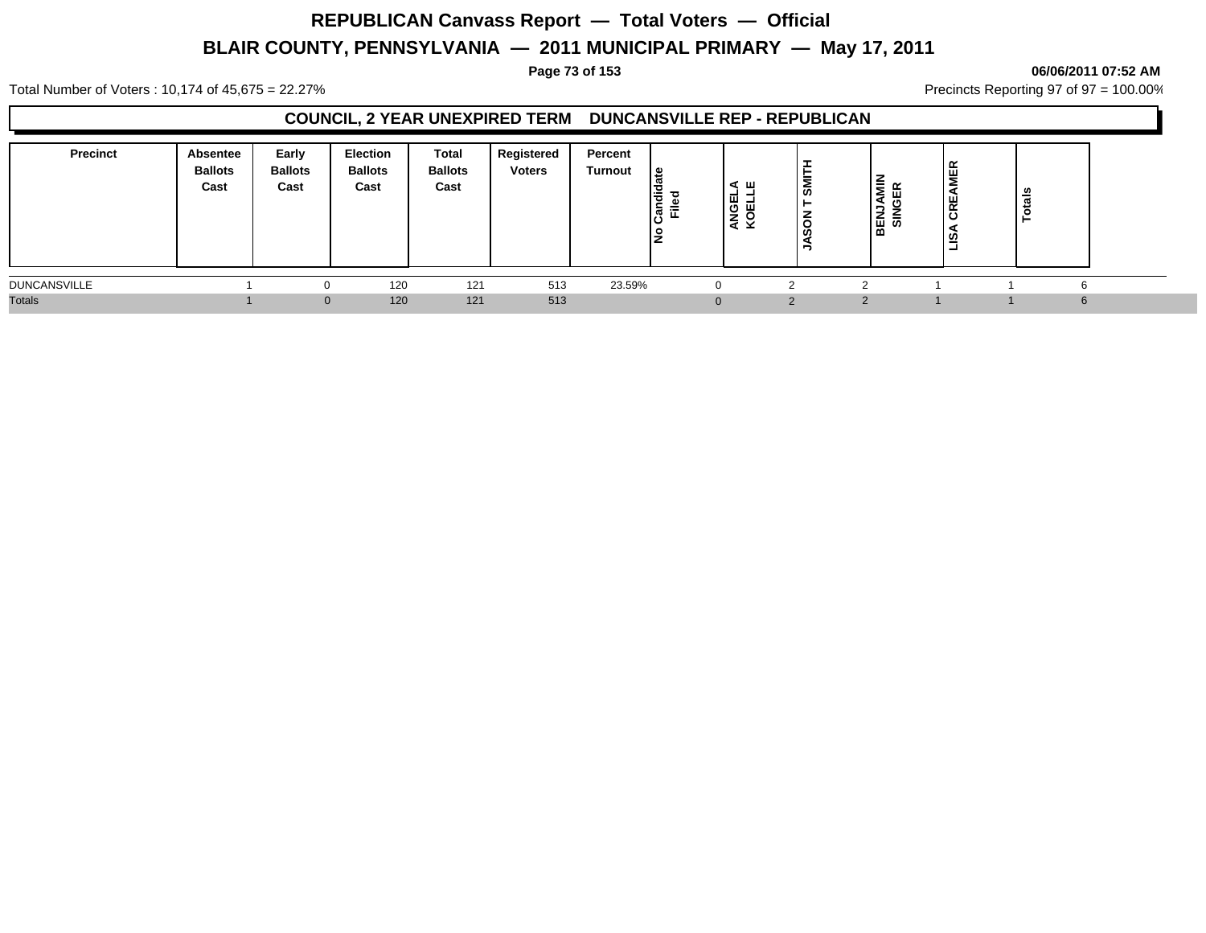### **Page 73 of 153 06/06/2011 07:52 AM**

Total Number of Voters : 10,174 of 45,675 = 22.27% **Precincts Reporting 97 of 97 = 100.00%** Precincts Reporting 97 of 97 = 100.00%

## **COUNCIL, 2 YEAR UNEXPIRED TERM DUNCANSVILLE REP - REPUBLICAN**

| <b>Precinct</b>     | Absentee<br><b>Ballots</b><br>Cast | Early<br><b>Ballots</b><br>Cast | Election<br><b>Ballots</b><br>Cast | Total<br><b>Ballots</b><br>Cast | Registered<br><b>Voters</b> | Percent<br>Turnout | ၊ ဗ<br>l o<br>-<br>로 했<br>ΙŽ | ∢ ш<br>-<br>ANGEI<br>KOELI | <b>SMI</b><br>⇁ | İ<br>ш<br>∍ | ш.<br>ш<br>$\sim$<br>ທ<br>- | - |   |
|---------------------|------------------------------------|---------------------------------|------------------------------------|---------------------------------|-----------------------------|--------------------|------------------------------|----------------------------|-----------------|-------------|-----------------------------|---|---|
| <b>DUNCANSVILLE</b> |                                    |                                 | 120                                | 121                             | 513                         | 23.59%             |                              | 0                          |                 |             |                             |   | 6 |
| <b>Totals</b>       |                                    | $\Omega$                        | 120                                | 121                             | 513                         |                    |                              | $\Omega$                   | ⌒               |             |                             |   | 6 |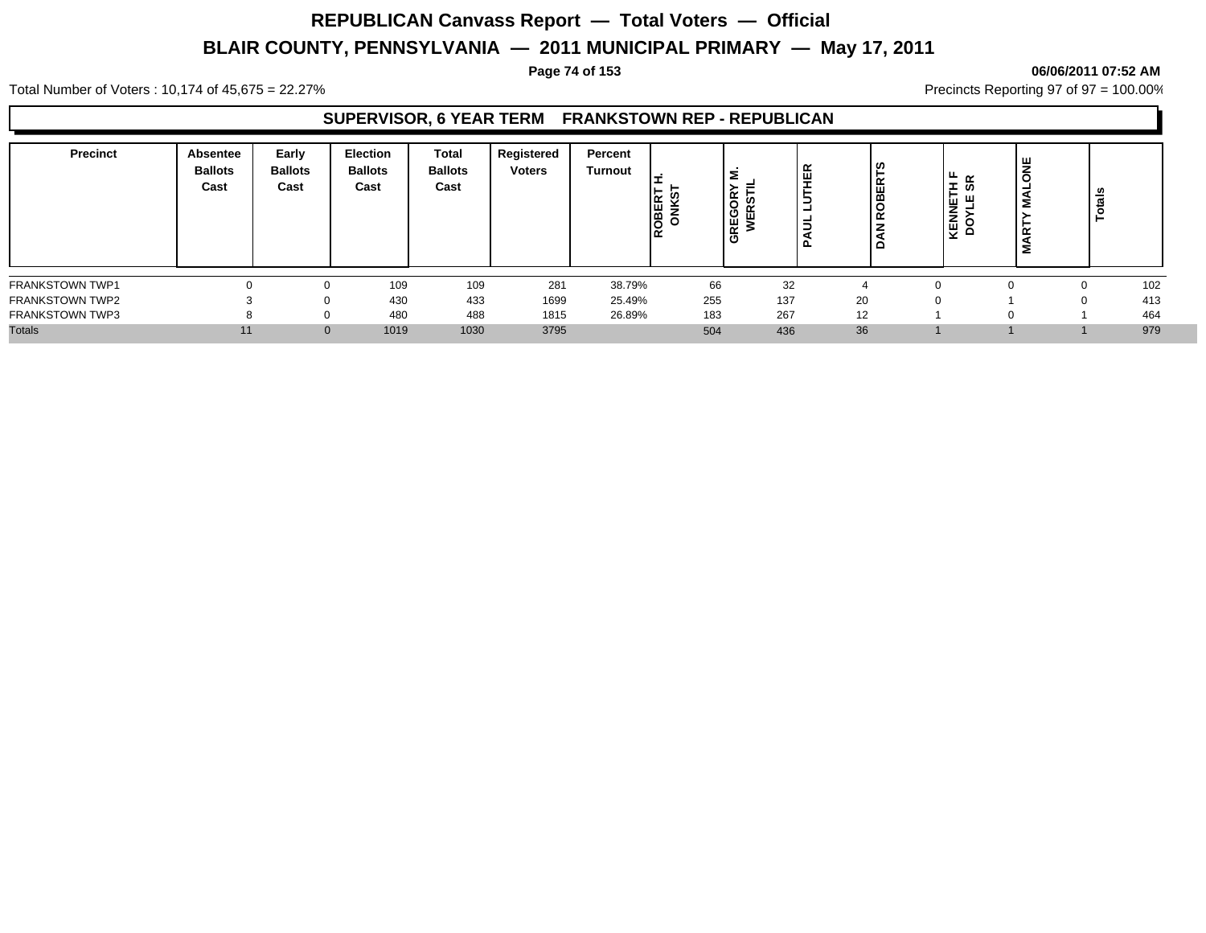### **Page 74 of 153 06/06/2011 07:52 AM**

Total Number of Voters : 10,174 of 45,675 = 22.27% **Precincts Reporting 97 of 97 = 100.00%** Precincts Reporting 97 of 97 = 100.00%

### **SUPERVISOR, 6 YEAR TERM FRANKSTOWN REP - REPUBLICAN**

| <b>Precinct</b>        | Absentee<br><b>Ballots</b><br>Cast | Early<br><b>Ballots</b><br>Cast | <b>Election</b><br><b>Ballots</b><br>Cast | Total<br><b>Ballots</b><br>Cast | Registered<br><b>Voters</b> | Percent<br><b>Turnout</b> | ⊩<br>li≃ ଓ<br>ROBEI | ∣≅<br>$\alpha$<br>. O<br>$\cdots$<br>밑 | 띥<br>-<br>Ξ<br>ո | ဖို<br><b>ROBERT</b><br>ப | <u>н.</u><br>$\alpha$<br>E<br>ഗ<br>►<br>। ⊡ ਘ<br><b>KENNE</b><br>DOYL | œ | ಕ<br>Ë |     |
|------------------------|------------------------------------|---------------------------------|-------------------------------------------|---------------------------------|-----------------------------|---------------------------|---------------------|----------------------------------------|------------------|---------------------------|-----------------------------------------------------------------------|---|--------|-----|
| FRANKSTOWN TWP1        |                                    |                                 | 109                                       | 109                             | 281                         | 38.79%                    | 66                  | 32                                     |                  |                           |                                                                       |   |        | 102 |
| <b>FRANKSTOWN TWP2</b> |                                    | $\Omega$                        | 430                                       | 433                             | 1699                        | 25.49%                    | 255                 | 137                                    |                  | 20                        |                                                                       |   | 0      | 413 |
| <b>FRANKSTOWN TWP3</b> |                                    | $\Omega$                        | 480                                       | 488                             | 1815                        | 26.89%                    | 183                 | 267                                    |                  | 12                        |                                                                       |   |        | 464 |
| <b>Totals</b>          | 11                                 |                                 | 1019                                      | 1030                            | 3795                        |                           | 504                 | 436                                    |                  | 36                        |                                                                       |   |        | 979 |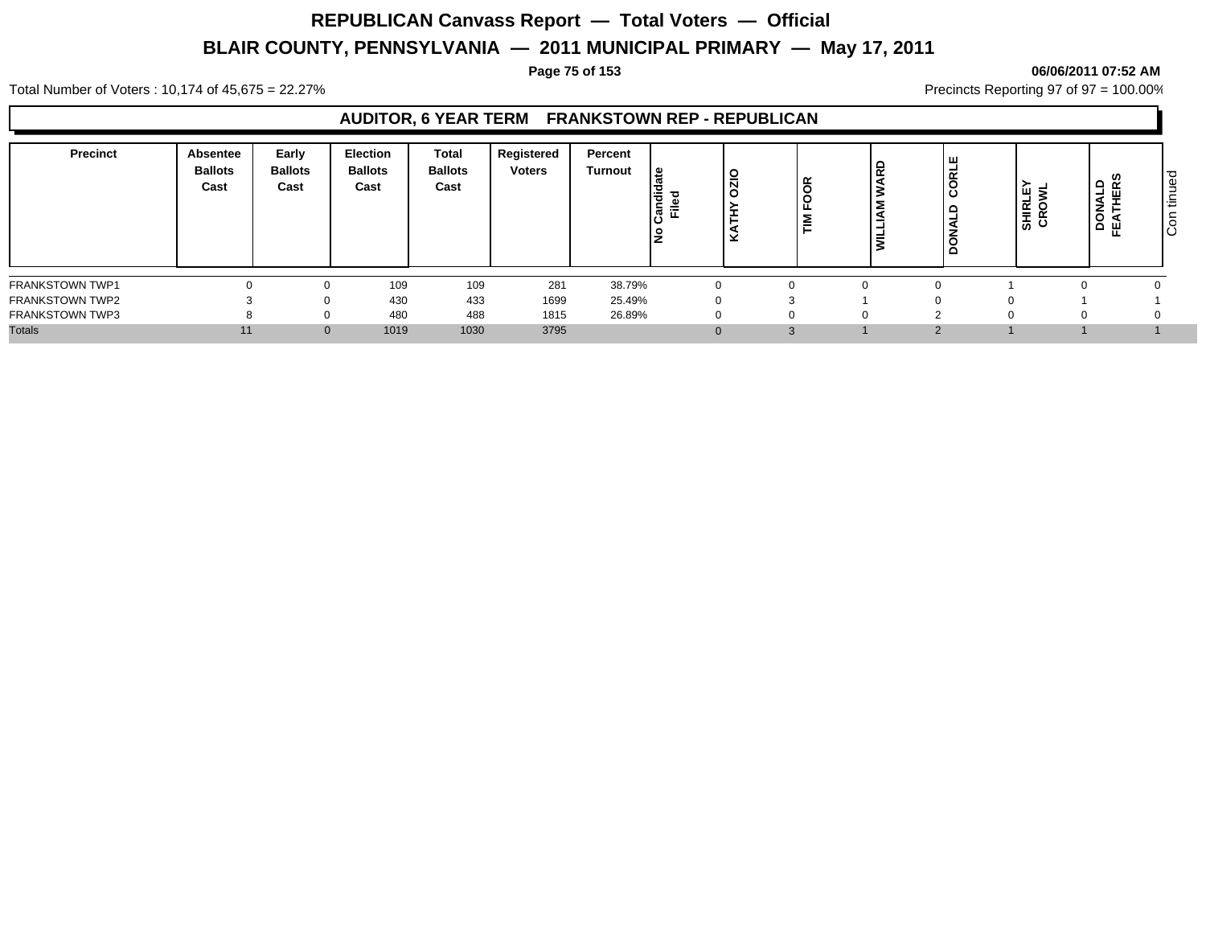### **Page 75 of 153 06/06/2011 07:52 AM**

Total Number of Voters : 10,174 of 45,675 = 22.27% **Precincts Reporting 97 of 97 = 100.00%** Precincts Reporting 97 of 97 = 100.00%

## **AUDITOR, 6 YEAR TERM FRANKSTOWN REP - REPUBLICAN**

| 109<br>281<br>38.79%<br>109<br>$\Omega$<br>433<br>430<br>1699<br>25.49%<br>$\mathbf{0}$<br>488<br>480<br>1815<br>26.89%<br>$\mathbf{0}$<br>3795<br>1019<br>1030<br>11<br>3<br>$\Omega$ | <b>Precinct</b>        | <b>Absentee</b><br><b>Ballots</b><br>Cast | Early<br><b>Ballots</b><br>Cast | <b>Election</b><br><b>Ballots</b><br>Cast | <b>Total</b><br><b>Ballots</b><br>Cast | Registered<br><b>Voters</b> | Percent<br>Turnout | g<br>lə<br>⊆<br>$\overline{\phantom{0}}$<br>$\boldsymbol{\omega}$<br>၊ပ<br>١ş | O<br>- | -- | 윤 | č | <b>SHIRLE</b><br>CROWL | ဖ<br>≏<br>À<br>ய<br>$\circ$ | ਹ<br>Φ<br>۰<br>$\overline{\phantom{a}}$<br>造<br>o |
|----------------------------------------------------------------------------------------------------------------------------------------------------------------------------------------|------------------------|-------------------------------------------|---------------------------------|-------------------------------------------|----------------------------------------|-----------------------------|--------------------|-------------------------------------------------------------------------------|--------|----|---|---|------------------------|-----------------------------|---------------------------------------------------|
| <b>FRANKSTOWN TWP2</b><br><b>FRANKSTOWN TWP3</b><br><b>Totals</b>                                                                                                                      | <b>FRANKSTOWN TWP1</b> |                                           |                                 |                                           |                                        |                             |                    |                                                                               |        |    |   |   |                        |                             |                                                   |
|                                                                                                                                                                                        |                        |                                           |                                 |                                           |                                        |                             |                    |                                                                               |        |    |   |   |                        |                             |                                                   |
|                                                                                                                                                                                        |                        |                                           |                                 |                                           |                                        |                             |                    |                                                                               |        |    |   |   |                        |                             |                                                   |
|                                                                                                                                                                                        |                        |                                           |                                 |                                           |                                        |                             |                    |                                                                               |        |    |   |   |                        |                             |                                                   |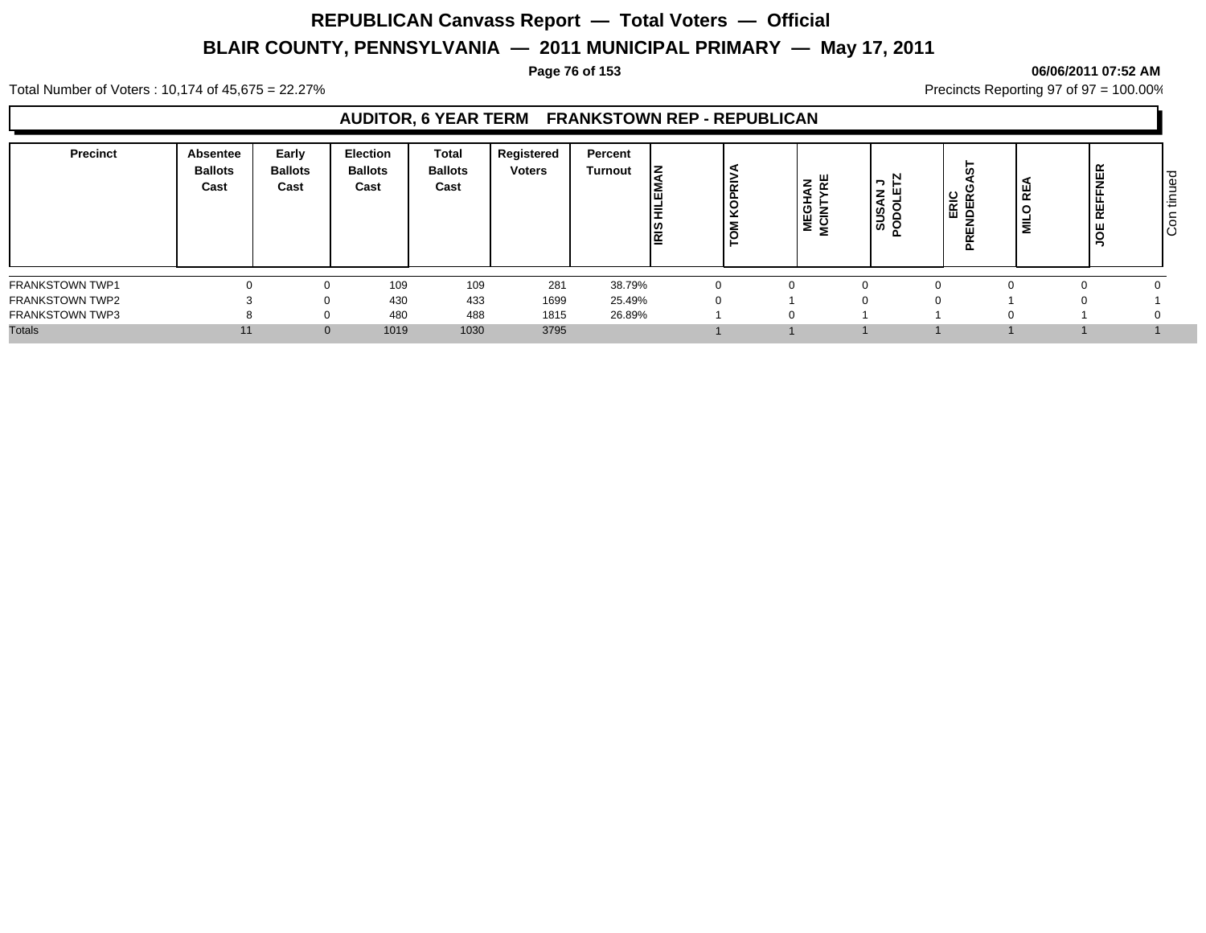### **Page 76 of 153 06/06/2011 07:52 AM**

Total Number of Voters : 10,174 of 45,675 = 22.27% **Precincts Reporting 97 of 97 = 100.00%** Precincts Reporting 97 of 97 = 100.00%

## **AUDITOR, 6 YEAR TERM FRANKSTOWN REP - REPUBLICAN**

| 109<br>38.79%<br>109<br>281<br>433<br>430<br>1699<br>25.49%<br>$\Omega$<br>$\Omega$<br>488<br>26.89%<br>480<br>1815<br>3795<br>1019<br>1030<br>11<br>$\Omega$ | <b>Precinct</b>        | Absentee<br><b>Ballots</b><br>Cast | Early<br><b>Ballots</b><br>Cast | <b>Election</b><br><b>Ballots</b><br>Cast | <b>Total</b><br><b>Ballots</b><br>Cast | Registered<br><b>Voters</b> | Percent<br>Turnout | ΙZ<br>Ι≡<br>Ιã | <b>PRI</b><br>$\circ$<br>$\checkmark$<br>ж. | <b>AN</b><br>YRE<br>ぁ<br>NE<br>NCII | N<br>ּ ר'<br>'ع ا<br><b>NSOO</b> | 5<br>o<br>ERIC<br>JDERO<br>PREI | 빝<br>$\circ$<br>릏 | <b>NER</b><br>ш<br>$\alpha$ | ு<br>Φ<br>–<br>造<br>O<br>ΙÖ |
|---------------------------------------------------------------------------------------------------------------------------------------------------------------|------------------------|------------------------------------|---------------------------------|-------------------------------------------|----------------------------------------|-----------------------------|--------------------|----------------|---------------------------------------------|-------------------------------------|----------------------------------|---------------------------------|-------------------|-----------------------------|-----------------------------|
|                                                                                                                                                               | <b>FRANKSTOWN TWP1</b> |                                    |                                 |                                           |                                        |                             |                    |                |                                             |                                     |                                  |                                 |                   |                             |                             |
|                                                                                                                                                               | <b>FRANKSTOWN TWP2</b> |                                    |                                 |                                           |                                        |                             |                    |                |                                             |                                     |                                  |                                 |                   |                             |                             |
|                                                                                                                                                               | <b>FRANKSTOWN TWP3</b> |                                    |                                 |                                           |                                        |                             |                    |                |                                             |                                     |                                  |                                 |                   |                             |                             |
|                                                                                                                                                               | <b>Totals</b>          |                                    |                                 |                                           |                                        |                             |                    |                |                                             |                                     |                                  |                                 |                   |                             |                             |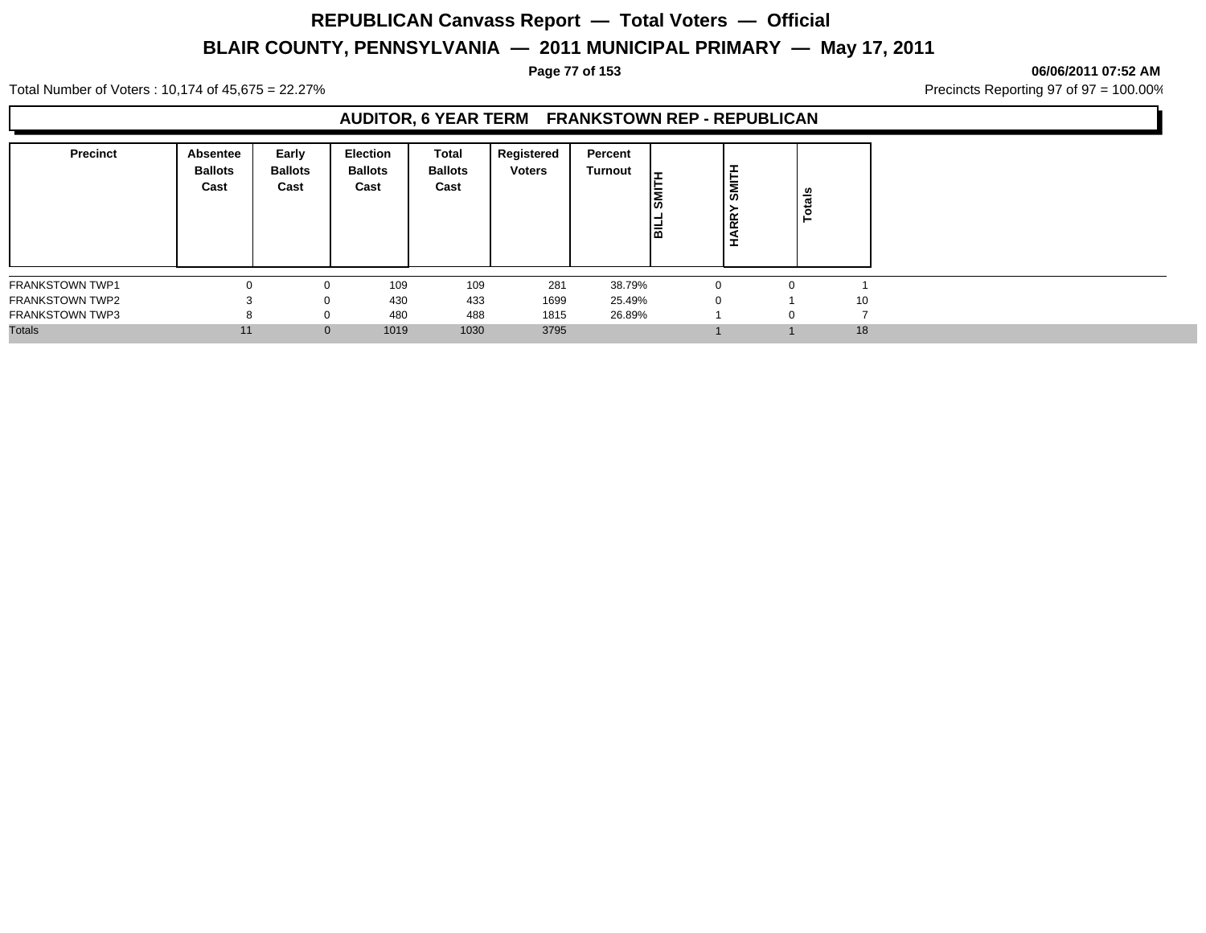### **Page 77 of 153 06/06/2011 07:52 AM**

Total Number of Voters : 10,174 of 45,675 = 22.27% **Precincts Reporting 97 of 97 = 100.00%** Precincts Reporting 97 of 97 = 100.00%

## **AUDITOR, 6 YEAR TERM FRANKSTOWN REP - REPUBLICAN**

| <b>Precinct</b>        | <b>Absentee</b><br><b>Ballots</b><br>Cast | Early<br><b>Ballots</b><br>Cast | Election<br><b>Ballots</b><br>Cast | Total<br><b>Ballots</b><br>Cast | Registered<br><b>Voters</b> | Percent<br>Turnout | -<br>l≅<br>崗 | , ≖<br>SMIT<br>$\overline{\mathbf{R}}$<br>Î |          | otals |
|------------------------|-------------------------------------------|---------------------------------|------------------------------------|---------------------------------|-----------------------------|--------------------|--------------|---------------------------------------------|----------|-------|
| <b>FRANKSTOWN TWP1</b> |                                           | 0                               | 109                                | 109                             | 281                         | 38.79%             |              |                                             | $\Omega$ |       |
| <b>FRANKSTOWN TWP2</b> |                                           | $\Omega$                        | 430                                | 433                             | 1699                        | 25.49%             |              | $\Omega$                                    |          | 10    |
| <b>FRANKSTOWN TWP3</b> | 8                                         | $\mathbf{0}$                    | 480                                | 488                             | 1815                        | 26.89%             |              |                                             | $\Omega$ |       |
| <b>Totals</b>          | 11                                        | $\mathbf{0}$                    | 1019                               | 1030                            | 3795                        |                    |              |                                             |          | 18    |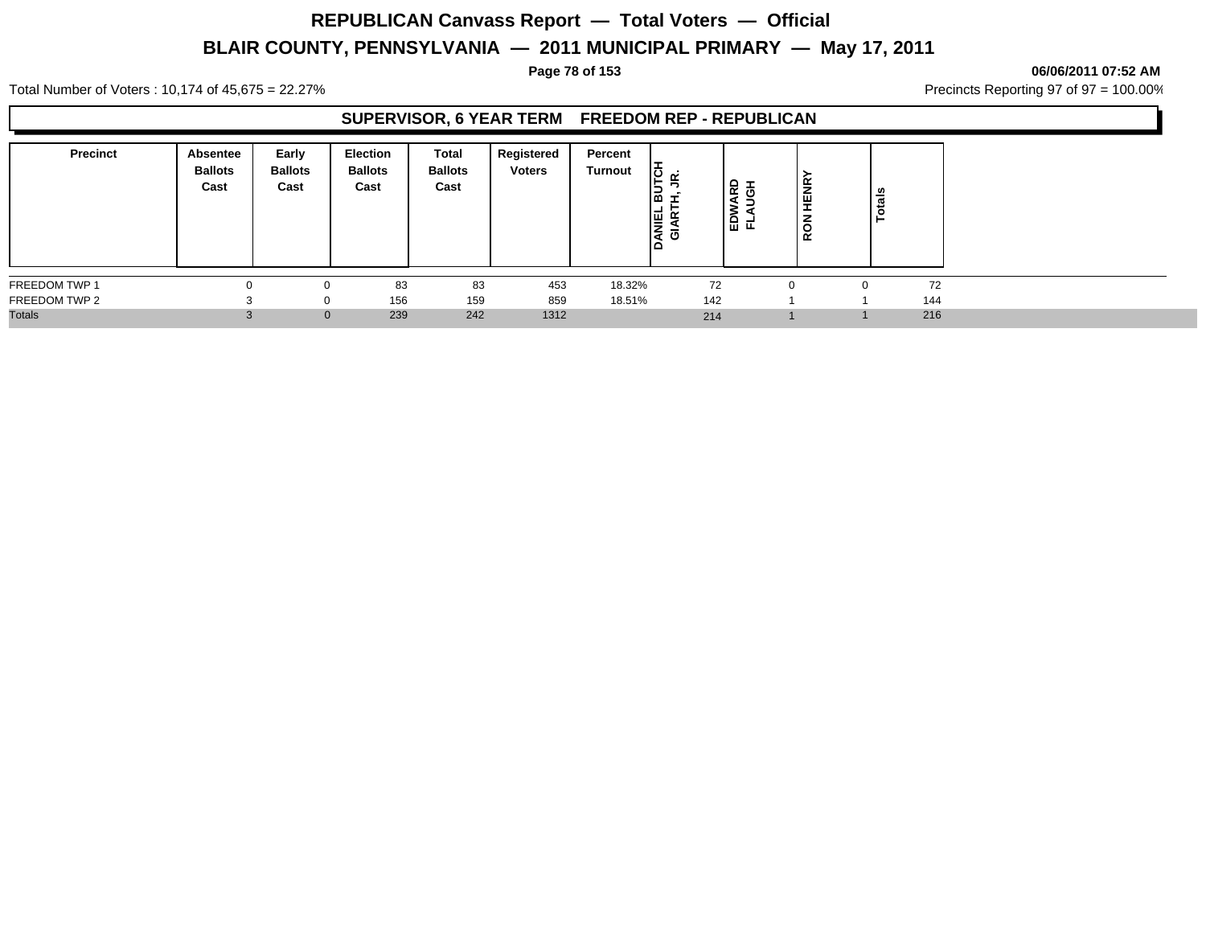### **Page 78 of 153 06/06/2011 07:52 AM**

Total Number of Voters : 10,174 of 45,675 = 22.27% **Precincts Reporting 97 of 97 = 100.00%** Precincts Reporting 97 of 97 = 100.00%

## **SUPERVISOR, 6 YEAR TERM FREEDOM REP - REPUBLICAN**

| <b>Precinct</b> | <b>Absentee</b><br><b>Ballots</b><br>Cast | Early<br><b>Ballots</b><br>Cast | <b>Election</b><br><b>Ballots</b><br>Cast | Total<br><b>Ballots</b><br>Cast | Registered<br><b>Voters</b> | Percent<br><b>Turnout</b> | Ë<br>≝<br>۱œ<br>DANIEL<br>GIART | 로 울<br>υ<br>⋖<br>EDW.<br>FLAL | <b>FENR</b><br><b>RON</b> | otals |     |
|-----------------|-------------------------------------------|---------------------------------|-------------------------------------------|---------------------------------|-----------------------------|---------------------------|---------------------------------|-------------------------------|---------------------------|-------|-----|
| FREEDOM TWP 1   |                                           |                                 | 83                                        | 83                              | 453                         | 18.32%                    |                                 | 72                            | $\Omega$                  |       | 72  |
| FREEDOM TWP 2   |                                           |                                 | 156                                       | 159                             | 859                         | 18.51%                    | 142                             |                               |                           |       | 144 |
| <b>Totals</b>   |                                           | $\overline{0}$                  | 239                                       | 242                             | 1312                        |                           | 214                             |                               |                           |       | 216 |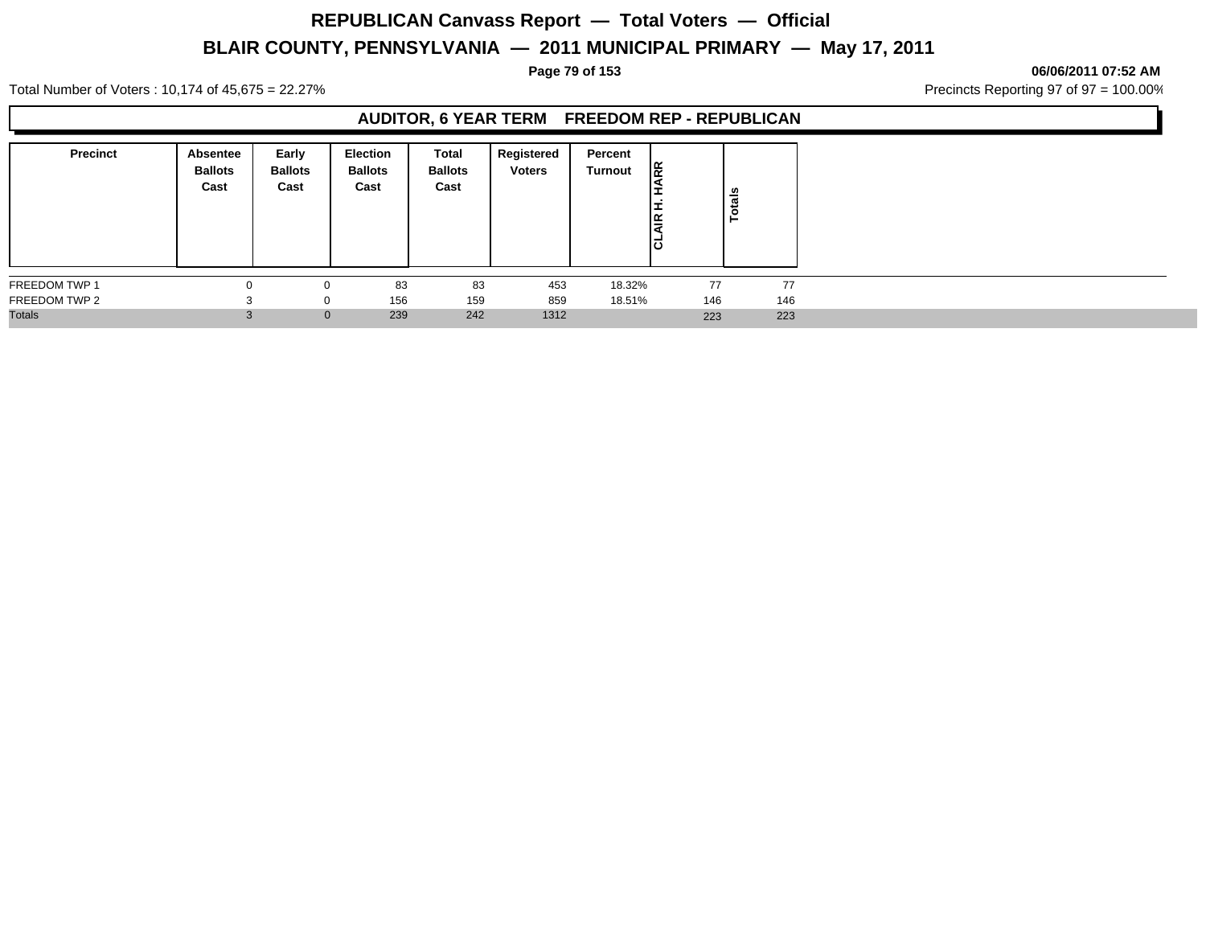### **Page 79 of 153 06/06/2011 07:52 AM**

Total Number of Voters : 10,174 of 45,675 = 22.27% **Precincts Reporting 97 of 97 = 100.00%** Precincts Reporting 97 of 97 = 100.00%

### **AUDITOR, 6 YEAR TERM FREEDOM REP - REPUBLICAN**

| <b>Precinct</b> | Absentee<br><b>Ballots</b><br>Cast | Early<br><b>Ballots</b><br>Cast | <b>Election</b><br><b>Ballots</b><br>Cast | Total<br><b>Ballots</b><br>Cast | Registered<br><b>Voters</b> | Percent<br>Turnout | ᅊ<br>١Ĕ<br>lō | Totals |
|-----------------|------------------------------------|---------------------------------|-------------------------------------------|---------------------------------|-----------------------------|--------------------|---------------|--------|
| FREEDOM TWP 1   |                                    |                                 | 83                                        | 83                              | 453                         | 18.32%             | 77            | 77     |
| FREEDOM TWP 2   |                                    |                                 | 156                                       | 159                             | 859                         | 18.51%             | 146           | 146    |
| <b>Totals</b>   | $\sim$                             | $\mathbf{0}$                    | 239                                       | 242                             | 1312                        |                    | 223           | 223    |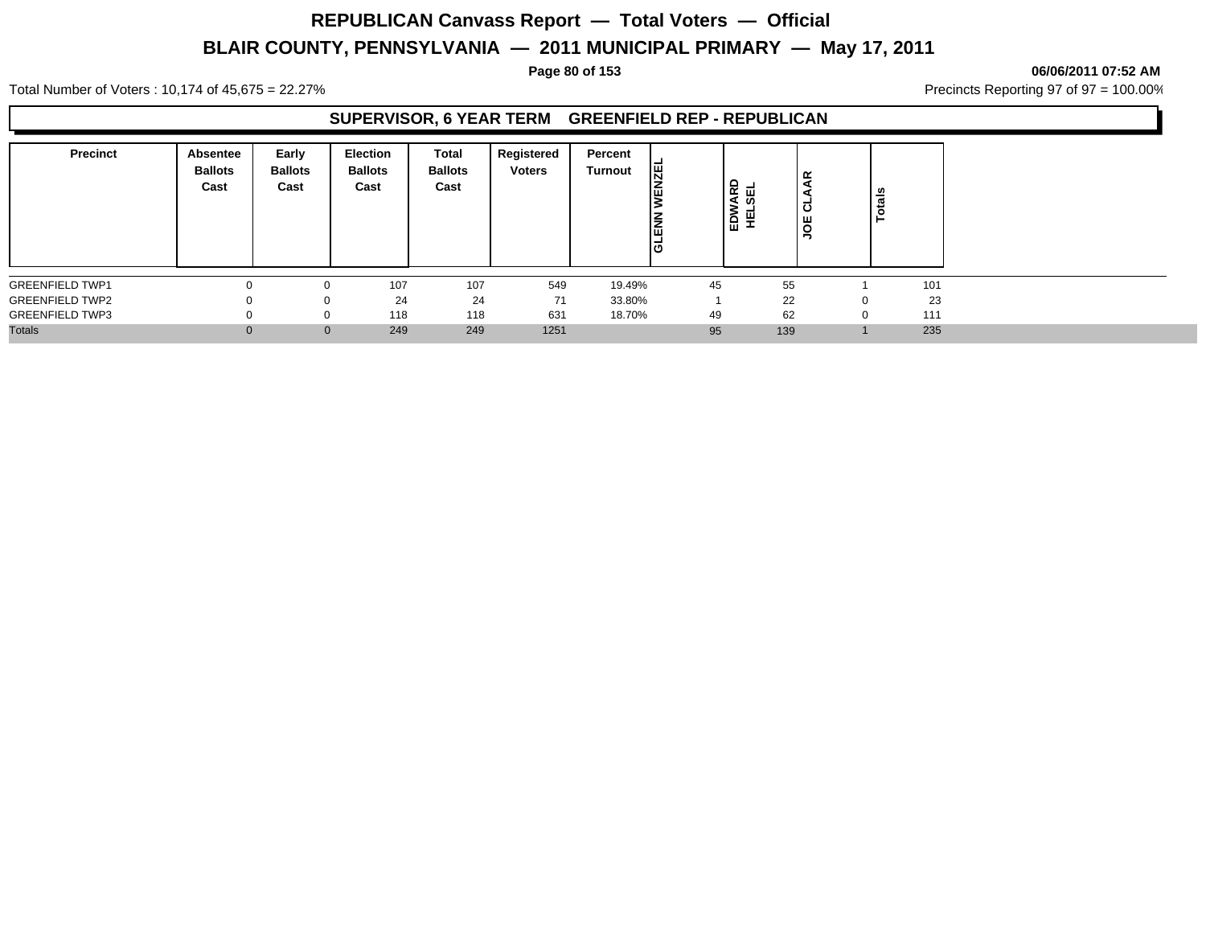### **Page 80 of 153 06/06/2011 07:52 AM**

Total Number of Voters : 10,174 of 45,675 = 22.27% **Precincts Reporting 97 of 97 = 100.00%** Precincts Reporting 97 of 97 = 100.00%

### **SUPERVISOR, 6 YEAR TERM GREENFIELD REP - REPUBLICAN**

| <b>Precinct</b>        | Absentee<br><b>Ballots</b><br>Cast | Early<br><b>Ballots</b><br>Cast | <b>Election</b><br><b>Ballots</b><br>Cast | <b>Total</b><br><b>Ballots</b><br>Cast | Registered<br><b>Voters</b> | Percent<br>Turnout | 罔  | EDWARD<br>₩<br>핖 | AAR<br>۰<br>್<br><b>JOE</b> |   | _∽  |
|------------------------|------------------------------------|---------------------------------|-------------------------------------------|----------------------------------------|-----------------------------|--------------------|----|------------------|-----------------------------|---|-----|
| <b>GREENFIELD TWP1</b> | $\Omega$                           | $\Omega$                        | 107                                       | 107                                    | 549                         | 19.49%             | 45 |                  | 55                          |   | 101 |
| <b>GREENFIELD TWP2</b> | $\Omega$                           |                                 | 24<br>$\Omega$                            | 24                                     | 71                          | 33.80%             |    |                  | 22                          |   | 23  |
| <b>GREENFIELD TWP3</b> | $\Omega$                           |                                 | 118<br>0                                  | 118                                    | 631                         | 18.70%             | 49 |                  | 62                          | 0 | 111 |
| <b>Totals</b>          | $\Omega$                           |                                 | 249<br>$\mathbf{0}$                       | 249                                    | 1251                        |                    | 95 |                  | 139                         |   | 235 |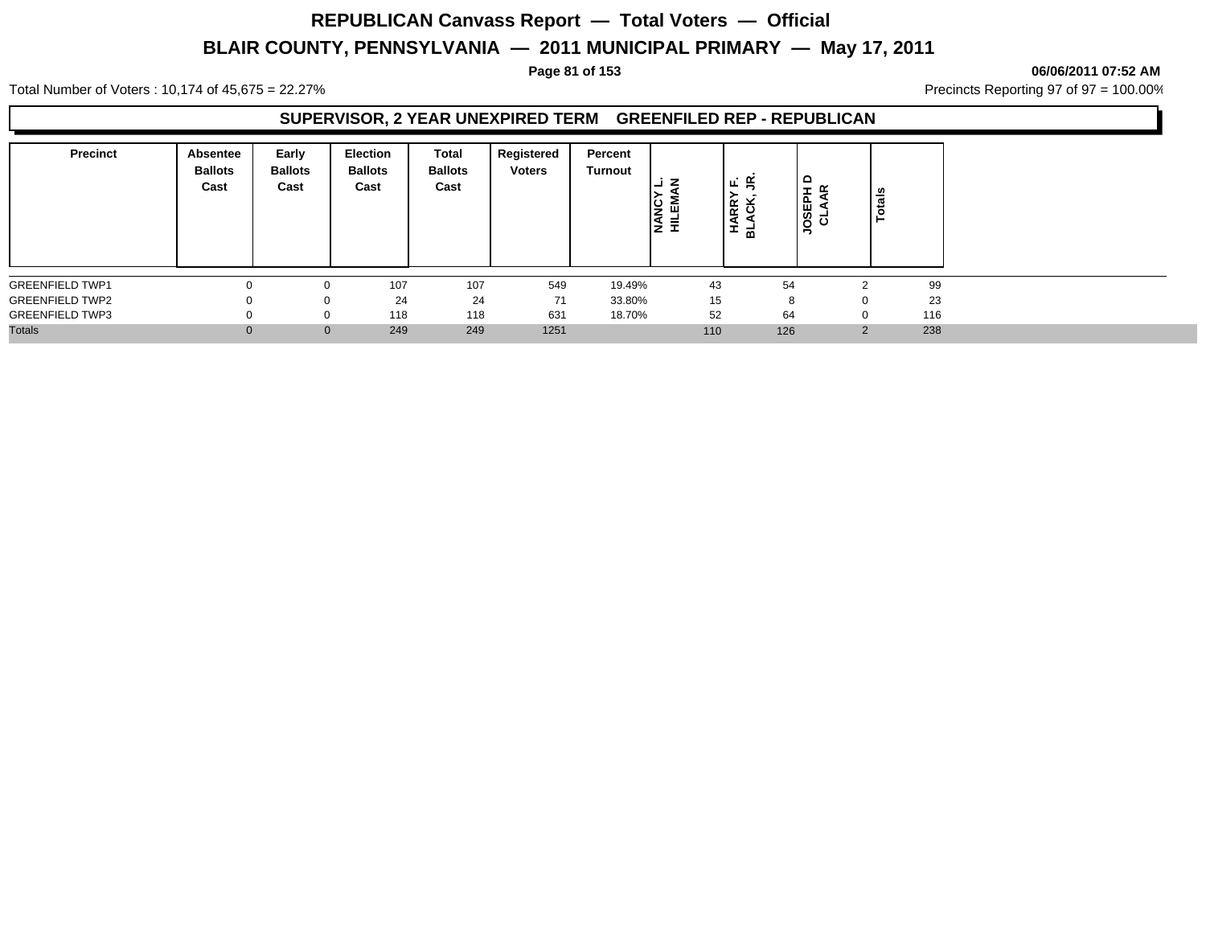## **REPUBLICAN Canvass Report — Total Voters — Official**

## **BLAIR COUNTY, PENNSYLVANIA — 2011 MUNICIPAL PRIMARY — May 17, 2011**

**Page 81 of 153 06/06/2011 07:52 AM**

Total Number of Voters : 10,174 of 45,675 = 22.27% **Precincts Reporting 97 of 97 = 100.00%** Precincts Reporting 97 of 97 = 100.00%

## **SUPERVISOR, 2 YEAR UNEXPIRED TERM GREENFILED REP - REPUBLICAN**

| <b>Precinct</b>        | <b>Absentee</b><br><b>Ballots</b><br>Cast | Early<br><b>Ballots</b><br>Cast | <b>Election</b><br><b>Ballots</b><br>Cast | Total<br><b>Ballots</b><br>Cast | Registered<br><b>Voters</b> | Percent<br><b>Turnout</b> | ⋰<br>Ιĝ<br>Ι≨<br>Ξ. | ∣ ⊾∶ ≝<br>×<br><b>RR</b><br>옾<br>ᆱ | $\circ$<br>$ \alpha$<br>ᅀ<br><b>ATO</b><br>CTV | ឹ<br>ਠ             |     |
|------------------------|-------------------------------------------|---------------------------------|-------------------------------------------|---------------------------------|-----------------------------|---------------------------|---------------------|------------------------------------|------------------------------------------------|--------------------|-----|
| <b>GREENFIELD TWP1</b> |                                           |                                 | 107                                       | 107                             | 549                         | 19.49%                    | 43                  |                                    | 54                                             |                    | 99  |
| <b>GREENFIELD TWP2</b> |                                           | 0                               | 24                                        | 24                              | 71                          | 33.80%                    | 15                  |                                    | 8                                              | 0                  | 23  |
| <b>GREENFIELD TWP3</b> |                                           | 0                               | 118                                       | 118                             | 631                         | 18.70%                    | 52                  |                                    | 64                                             |                    | 116 |
| <b>Totals</b>          |                                           | $\mathbf{0}$                    | 249                                       | 249                             | 1251                        |                           | 110                 |                                    | 126                                            | $\sim$<br><u>,</u> | 238 |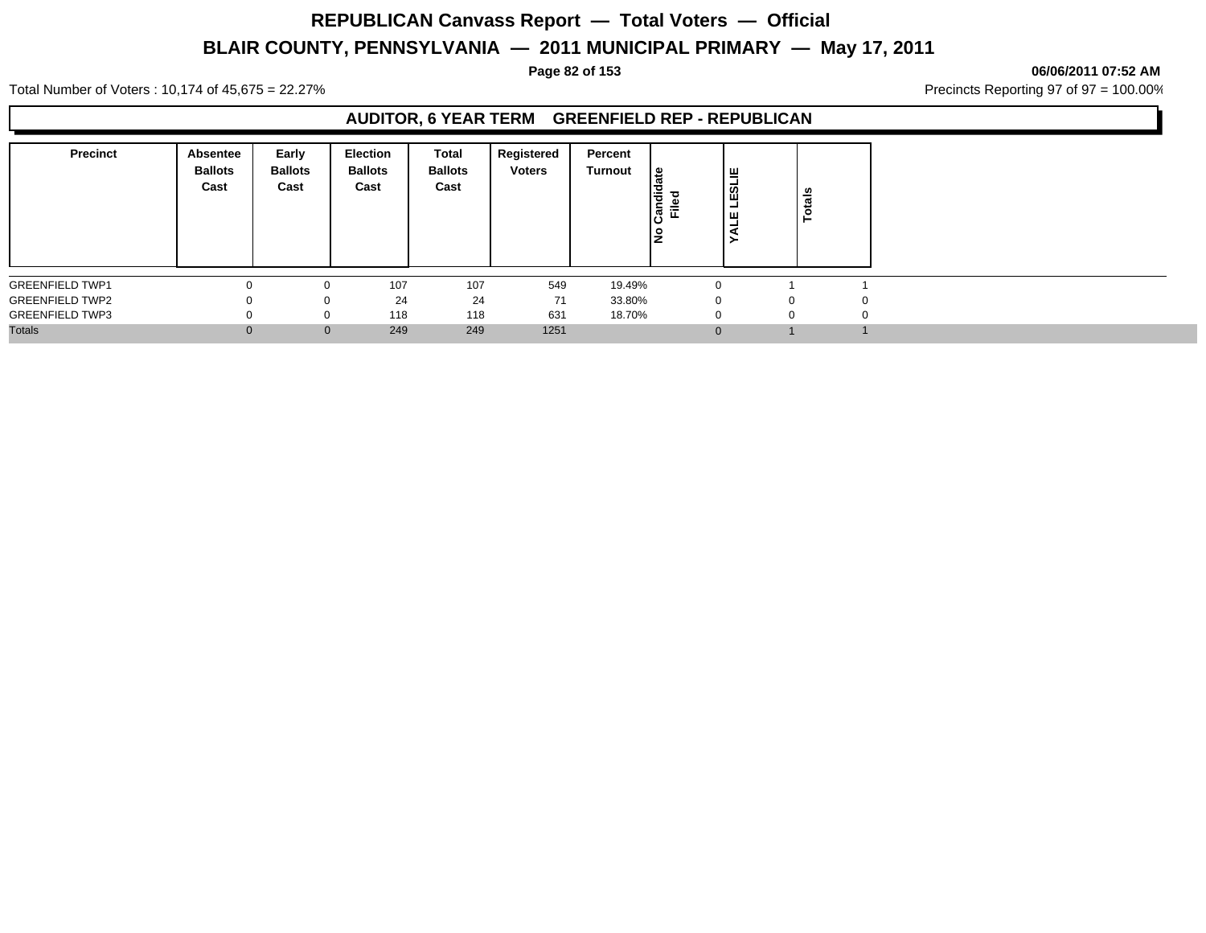**Page 82 of 153 06/06/2011 07:52 AM**

Total Number of Voters : 10,174 of 45,675 = 22.27% **Precincts Reporting 97 of 97 = 100.00%** Precincts Reporting 97 of 97 = 100.00%

## **AUDITOR, 6 YEAR TERM GREENFIELD REP - REPUBLICAN**

| <b>Precinct</b>        | Absentee<br><b>Ballots</b><br>Cast | Early<br><b>Ballots</b><br>Cast | Election<br><b>Ballots</b><br>Cast | Total<br><b>Ballots</b><br>Cast | Registered<br><b>Voters</b> | Percent<br>Turnout | டீ<br>andid<br>Filed<br>١ş | ∣≝<br> ឌ<br>-<br>ш<br>- | otals    |   |
|------------------------|------------------------------------|---------------------------------|------------------------------------|---------------------------------|-----------------------------|--------------------|----------------------------|-------------------------|----------|---|
| <b>GREENFIELD TWP1</b> | $\Omega$                           | $\Omega$                        | 107                                | 107                             | 549                         | 19.49%             |                            | $\Omega$                |          |   |
| <b>GREENFIELD TWP2</b> | $\Omega$                           | 0                               | 24                                 | 24                              | 71                          | 33.80%             |                            | 0                       | 0        | 0 |
| <b>GREENFIELD TWP3</b> |                                    | $\Omega$                        | 118                                | 118                             | 631                         | 18.70%             |                            | $\Omega$                | $\Omega$ |   |
| <b>Totals</b>          |                                    | $\mathbf{0}$                    | 249                                | 249                             | 1251                        |                    |                            | $\Omega$                |          |   |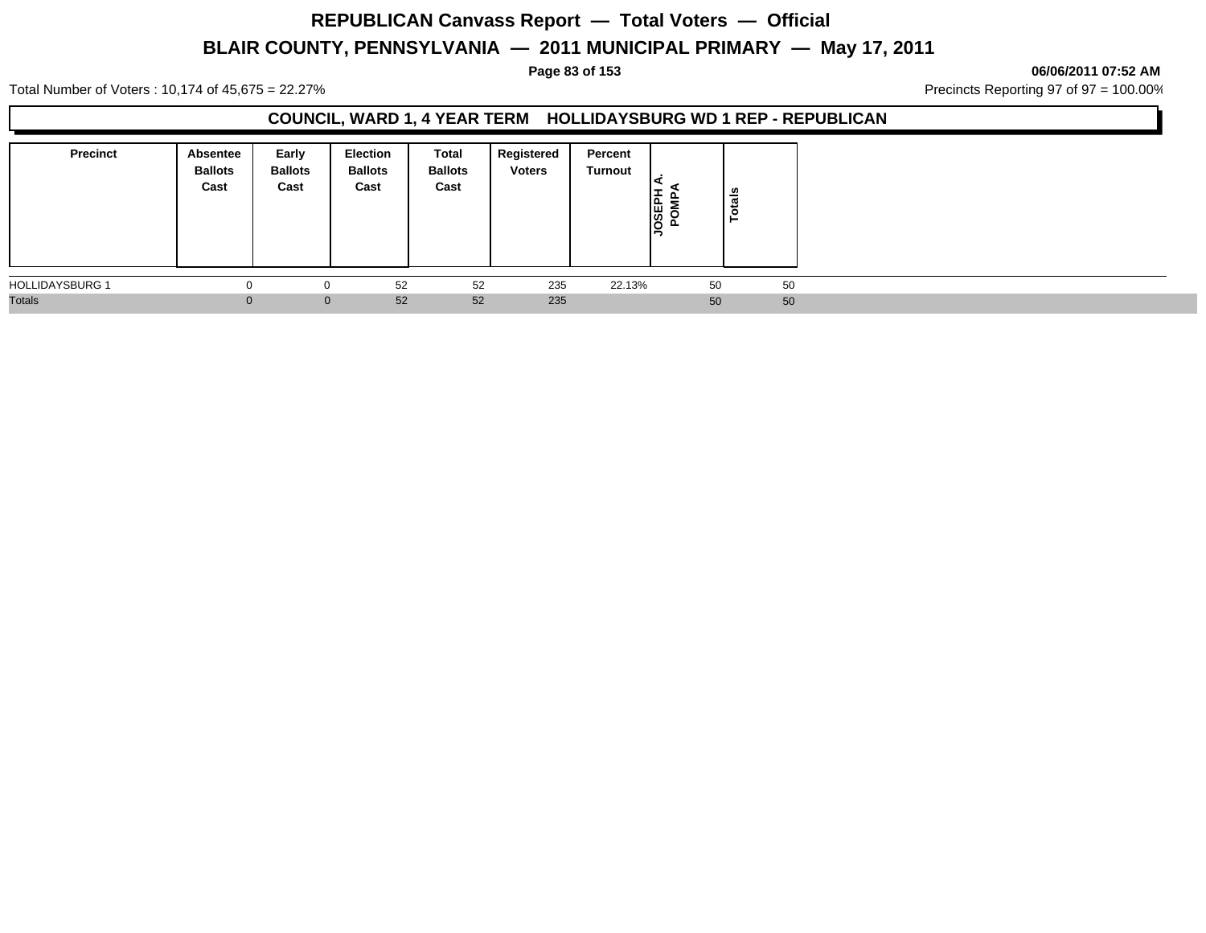**Page 83 of 153 06/06/2011 07:52 AM**

Total Number of Voters : 10,174 of 45,675 = 22.27% **Precincts Reporting 97 of 97 = 100.00%** Precincts Reporting 97 of 97 = 100.00%

### **COUNCIL, WARD 1, 4 YEAR TERM HOLLIDAYSBURG WD 1 REP - REPUBLICAN**

| <b>Precinct</b>        | Absentee<br><b>Ballots</b><br>Cast | Early<br><b>Ballots</b><br>Cast | Election<br><b>Ballots</b><br>Cast | Total<br><b>Ballots</b><br>Cast | Registered<br><b>Voters</b> | Percent<br>Turnout | <b>GSEP</b><br>௨ | otals<br>- |  |
|------------------------|------------------------------------|---------------------------------|------------------------------------|---------------------------------|-----------------------------|--------------------|------------------|------------|--|
| <b>HOLLIDAYSBURG 1</b> |                                    | $\Omega$                        | 52                                 | 52                              | 235                         | 22.13%             | 50               | 50         |  |
| <b>Totals</b>          | $\Omega$                           | $\mathbf{0}$                    | 52                                 | 52                              | 235                         |                    | 50               | 50         |  |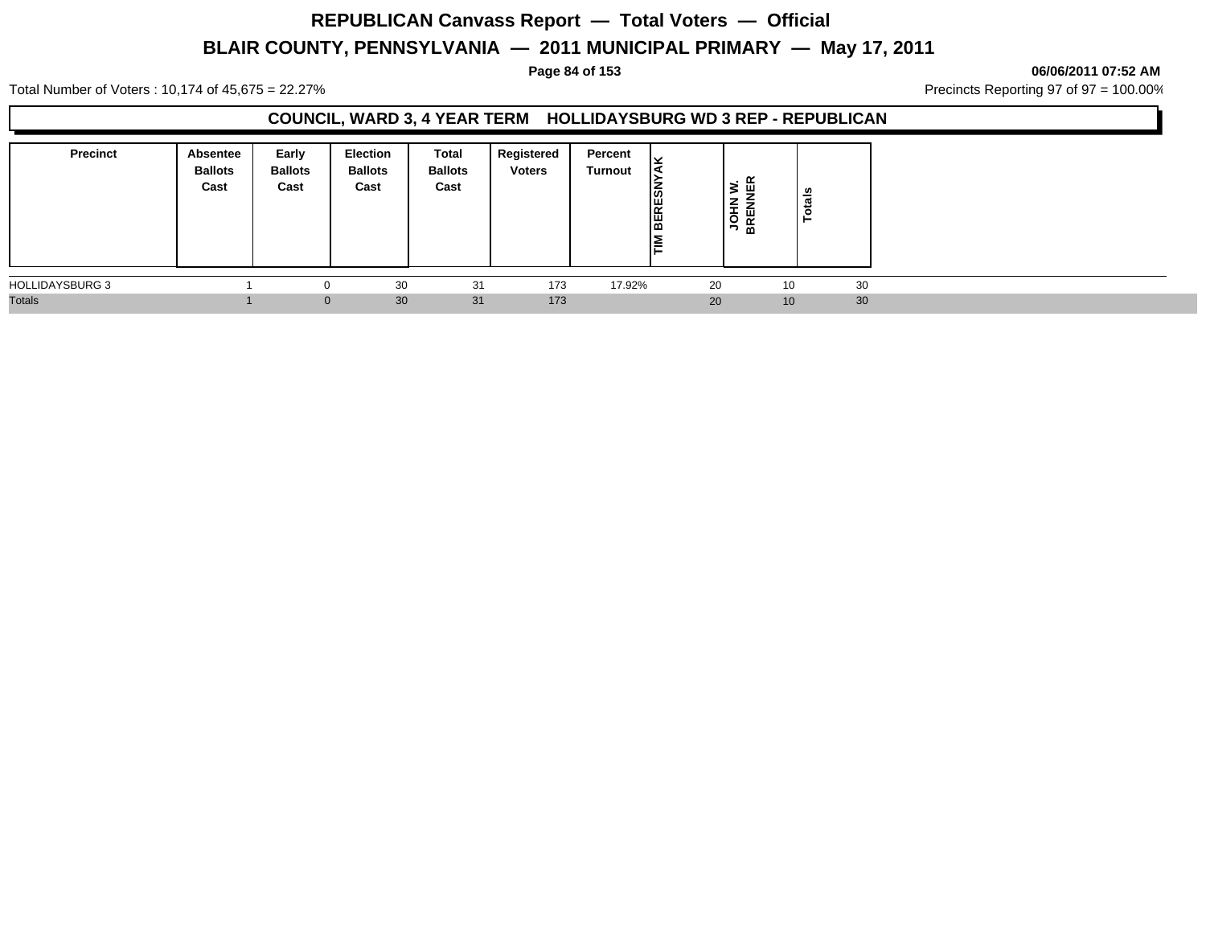# **REPUBLICAN Canvass Report — Total Voters — Official**

## **BLAIR COUNTY, PENNSYLVANIA — 2011 MUNICIPAL PRIMARY — May 17, 2011**

**Page 84 of 153 06/06/2011 07:52 AM**

Total Number of Voters : 10,174 of 45,675 = 22.27% **Precincts Reporting 97 of 97 = 100.00%** Precincts Reporting 97 of 97 = 100.00%

## **COUNCIL, WARD 3, 4 YEAR TERM HOLLIDAYSBURG WD 3 REP - REPUBLICAN**

| <b>Precinct</b>        | <b>Absentee</b><br><b>Ballots</b><br>Cast | Early<br><b>Ballots</b><br>Cast | <b>Election</b><br><b>Ballots</b><br>Cast | Total<br><b>Ballots</b><br>Cast | Registered<br><b>Voters</b> | Percent<br><b>Turnout</b> | v<br>14<br><b>BERESN</b><br>l≅ | . ≃<br>š.<br>ш<br><b>JOHN</b><br>BRENN | tais<br>$\bullet$<br>► |    |  |
|------------------------|-------------------------------------------|---------------------------------|-------------------------------------------|---------------------------------|-----------------------------|---------------------------|--------------------------------|----------------------------------------|------------------------|----|--|
| <b>HOLLIDAYSBURG 3</b> |                                           |                                 | 30                                        | 31                              | 173                         | 17.92%                    | 20                             |                                        | 10                     | 30 |  |
| <b>Totals</b>          |                                           |                                 | 30<br>$\Omega$                            | 31                              | 173                         |                           | 20                             |                                        | 10                     | 30 |  |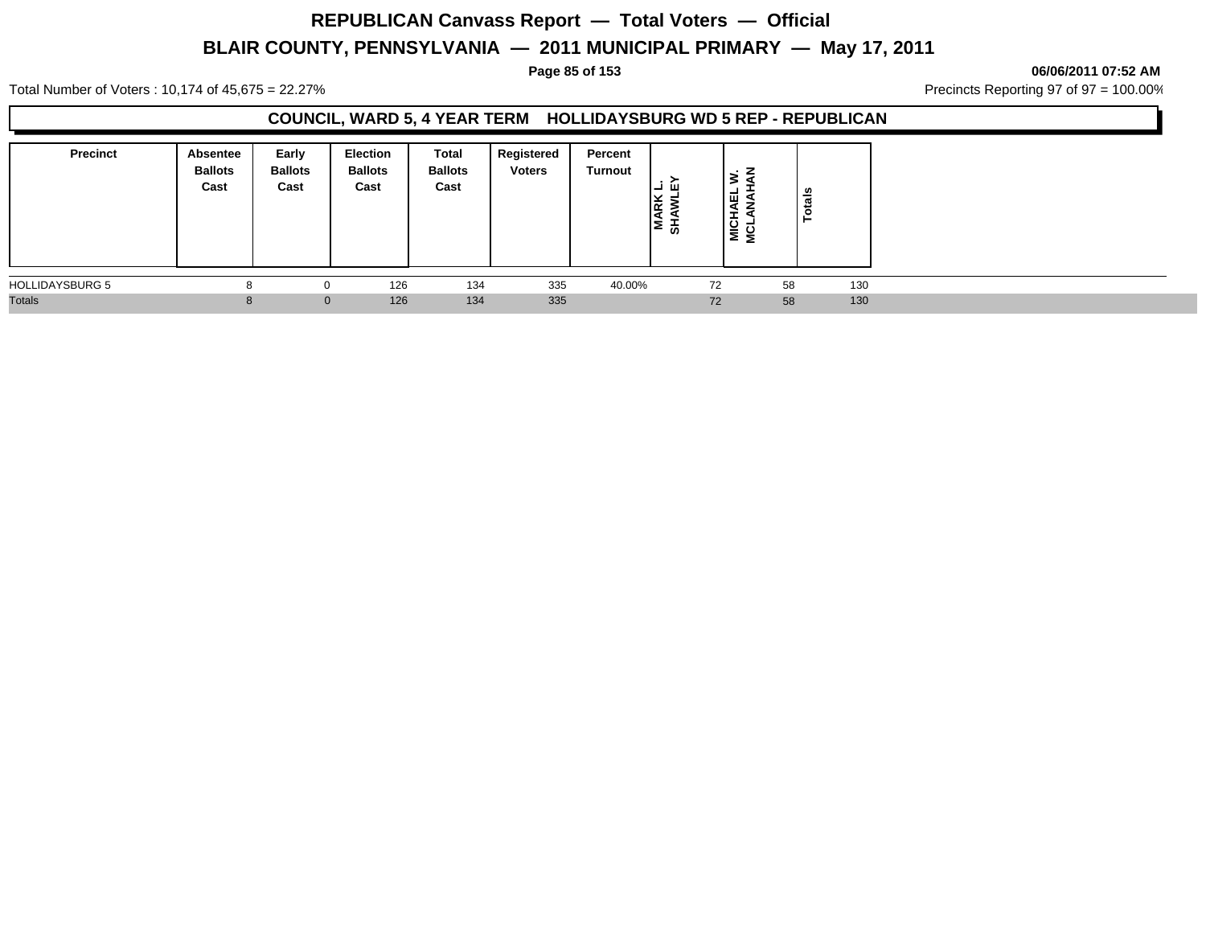### **Page 85 of 153 06/06/2011 07:52 AM**

Total Number of Voters : 10,174 of 45,675 = 22.27% **Precincts Reporting 97 of 97 = 100.00%** Precincts Reporting 97 of 97 = 100.00%

### **COUNCIL, WARD 5, 4 YEAR TERM HOLLIDAYSBURG WD 5 REP - REPUBLICAN**

| <b>Precinct</b>        | Absentee<br><b>Ballots</b><br>Cast | Early<br><b>Ballots</b><br>Cast | <b>Election</b><br><b>Ballots</b><br>Cast | <b>Total</b><br><b>Ballots</b><br>Cast | Registered<br><b>Voters</b> | Percent<br>Turnout | ய<br>I≶ ≩<br>. е<br>∣≅ ∓ | ١ų<br>₹<br>NET<br>NET | otals<br>- |     |  |
|------------------------|------------------------------------|---------------------------------|-------------------------------------------|----------------------------------------|-----------------------------|--------------------|--------------------------|-----------------------|------------|-----|--|
| <b>HOLLIDAYSBURG 5</b> |                                    |                                 | 126                                       | 134                                    | 335                         | 40.00%             |                          | 72                    | 58         | 130 |  |
| <b>Totals</b>          |                                    | $\mathbf{0}$                    | 126                                       | 134                                    | 335                         |                    |                          | 72                    | 58         | 130 |  |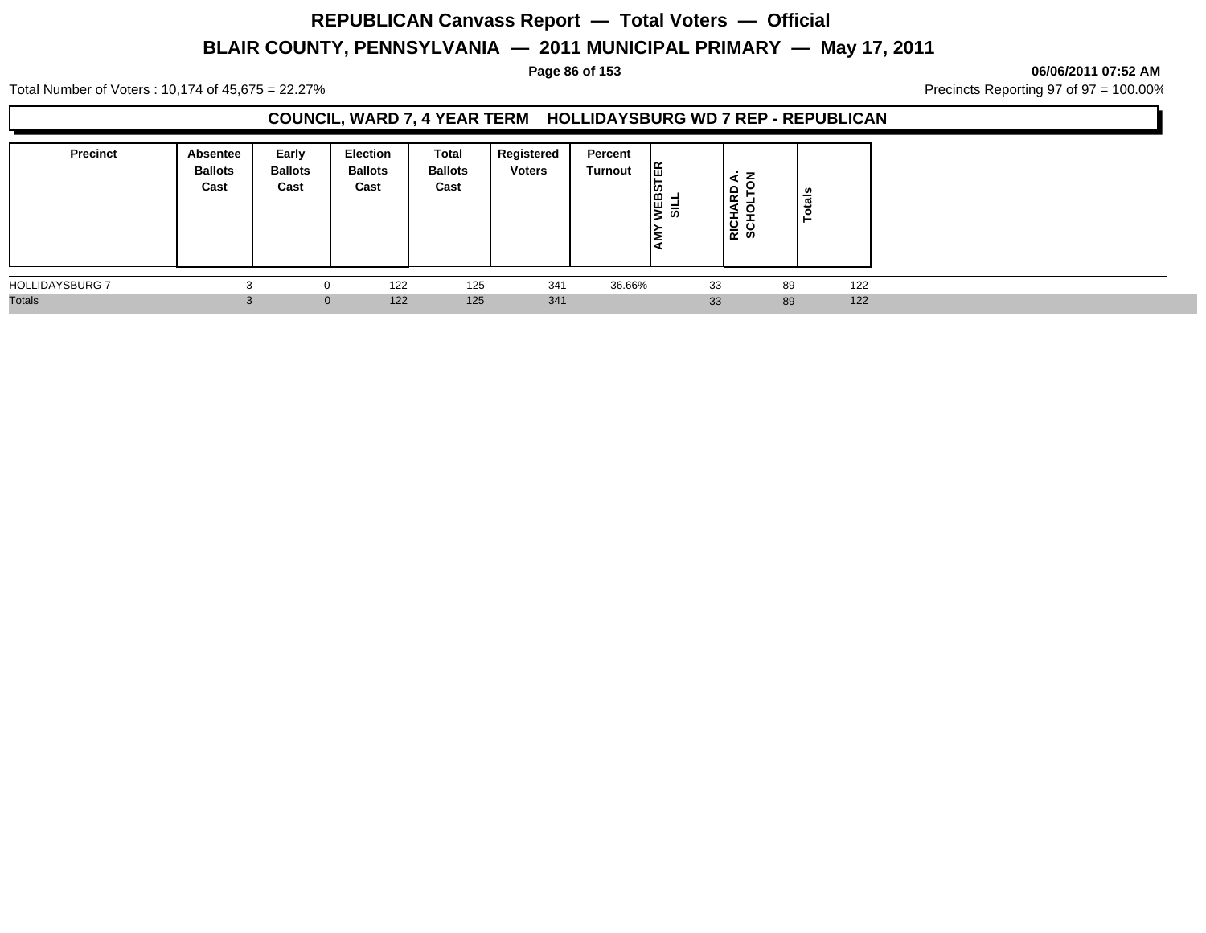### **Page 86 of 153 06/06/2011 07:52 AM**

Total Number of Voters : 10,174 of 45,675 = 22.27% **Precincts Reporting 97 of 97 = 100.00%** Precincts Reporting 97 of 97 = 100.00%

## **COUNCIL, WARD 7, 4 YEAR TERM HOLLIDAYSBURG WD 7 REP - REPUBLICAN**

| <b>Precinct</b>        | <b>Absentee</b><br><b>Ballots</b><br>Cast | Early<br><b>Ballots</b><br>Cast | <b>Election</b><br><b>Ballots</b><br>Cast | Total<br><b>Ballots</b><br>Cast | Registered<br><b>Voters</b> | Percent<br>Turnout | ER<br>SILT<br><b>ANERS</b><br>∣≅<br>Id | ⋖<br>6<br>RICHA<br>SCHO | otals<br>► |     |  |
|------------------------|-------------------------------------------|---------------------------------|-------------------------------------------|---------------------------------|-----------------------------|--------------------|----------------------------------------|-------------------------|------------|-----|--|
| <b>HOLLIDAYSBURG 7</b> |                                           |                                 | 122                                       | 125                             | 341                         | 36.66%             | 33                                     |                         | 89         | 122 |  |
| <b>Totals</b>          |                                           | $\overline{0}$                  | 122                                       | 125                             | 341                         |                    | 33                                     |                         | 89         | 122 |  |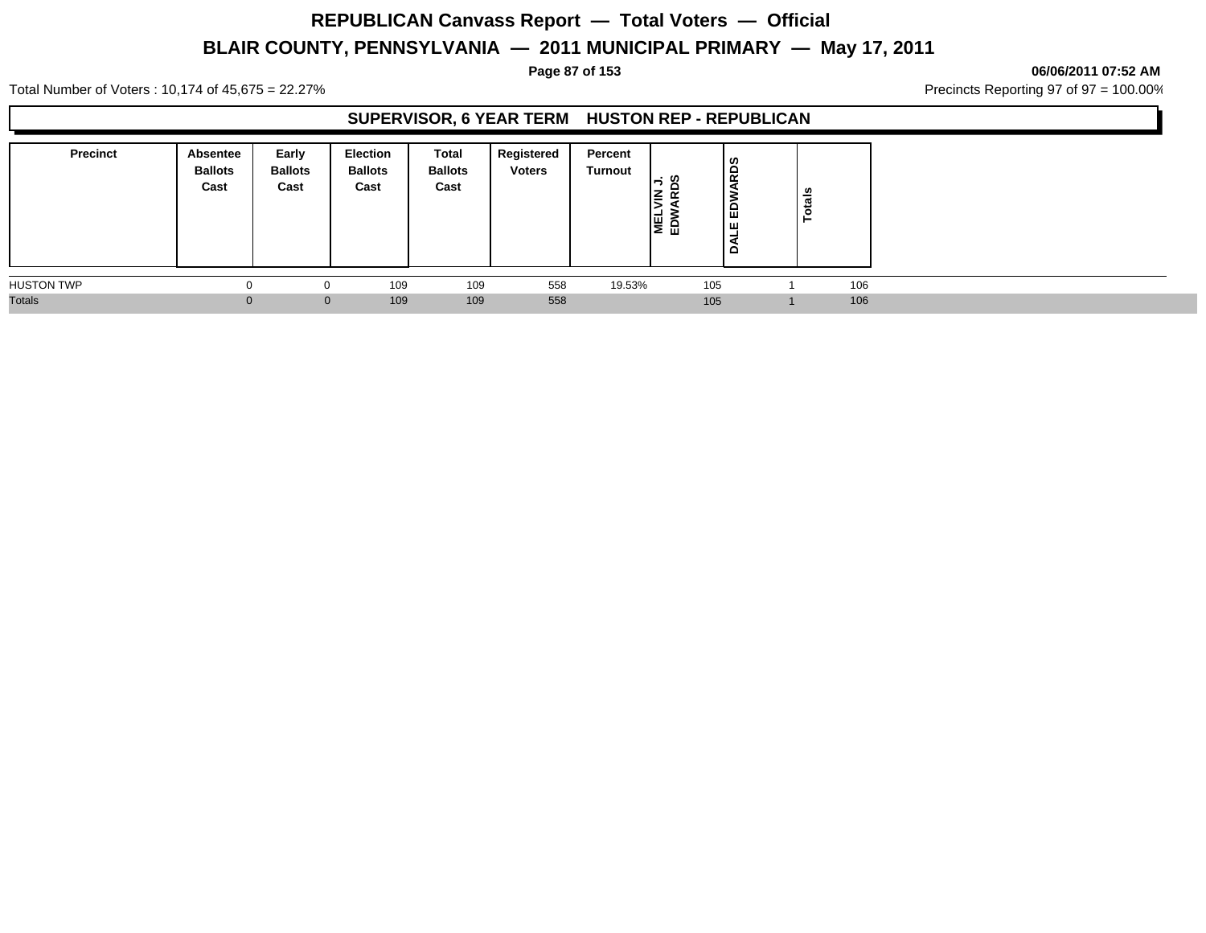### **Page 87 of 153 06/06/2011 07:52 AM**

Total Number of Voters : 10,174 of 45,675 = 22.27% **Precincts Reporting 97 of 97 = 100.00%** Precincts Reporting 97 of 97 = 100.00%

## **SUPERVISOR, 6 YEAR TERM HUSTON REP - REPUBLICAN**

| <b>Precinct</b>   | Absentee<br><b>Ballots</b><br>Cast | Early<br><b>Ballots</b><br>Cast | Election<br><b>Ballots</b><br>Cast | <b>Total</b><br><b>Ballots</b><br>Cast | <b>Registered</b><br><b>Voters</b> | Percent<br>Turnout | -: ທ<br>I≧.<br>$\alpha$<br>통일 | <b>RDS</b><br>e<br>ш<br>≏ | Totals |     |  |
|-------------------|------------------------------------|---------------------------------|------------------------------------|----------------------------------------|------------------------------------|--------------------|-------------------------------|---------------------------|--------|-----|--|
| <b>HUSTON TWP</b> |                                    |                                 | 109                                | 109                                    | 558                                | 19.53%             | 105                           |                           |        | 106 |  |
| <b>Totals</b>     | 0                                  | $\Omega$                        | 109                                | 109                                    | 558                                |                    | 105                           |                           |        | 106 |  |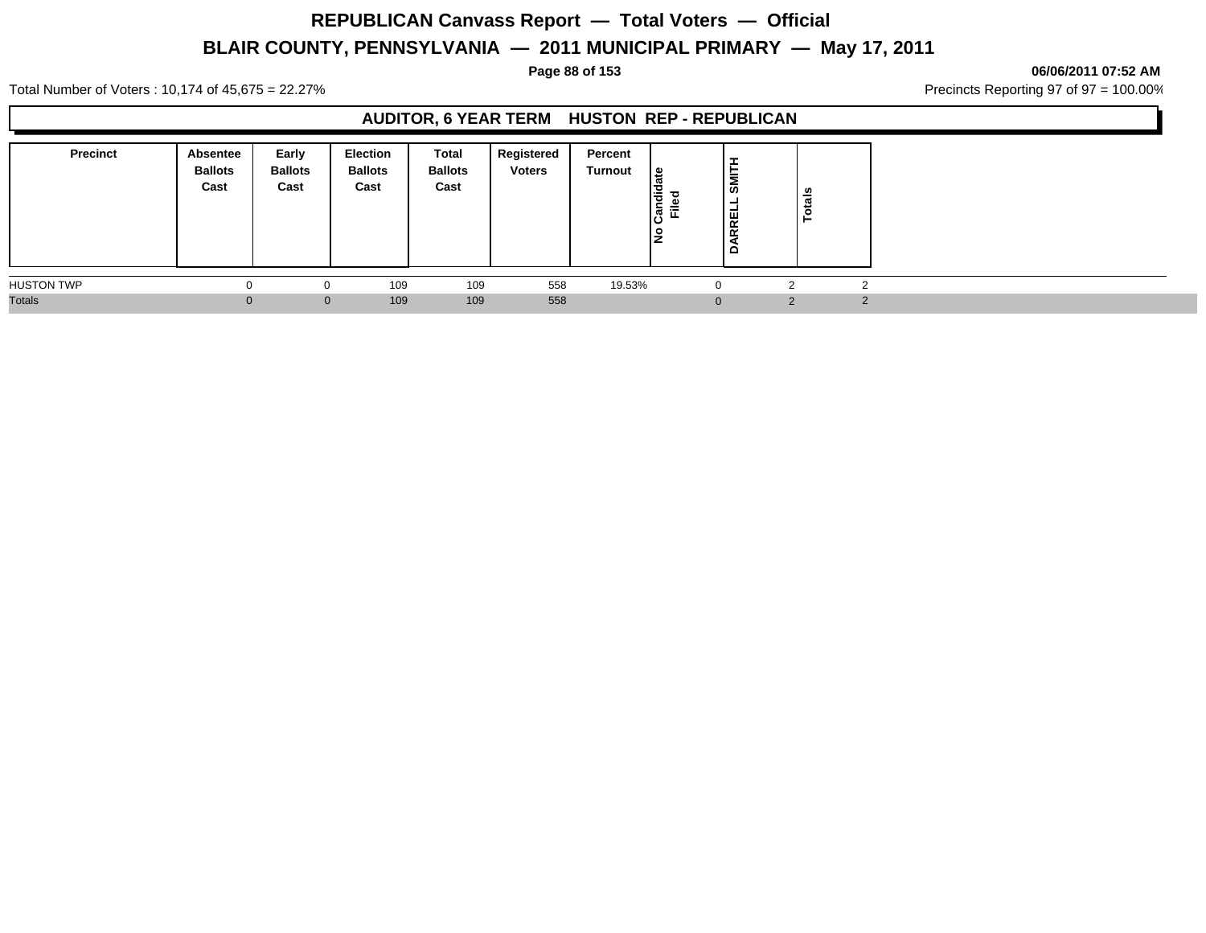**Page 88 of 153 06/06/2011 07:52 AM**

Total Number of Voters : 10,174 of 45,675 = 22.27% **Precincts Reporting 97 of 97 = 100.00%** Precincts Reporting 97 of 97 = 100.00%

## **AUDITOR, 6 YEAR TERM HUSTON REP - REPUBLICAN**

| <b>Precinct</b>   | Absentee<br><b>Ballots</b><br>Cast | Early<br><b>Ballots</b><br>Cast | Election<br><b>Ballots</b><br>Cast | Total<br><b>Ballots</b><br>Cast | Registered<br><b>Voters</b> | Percent<br>Turnout | ' ഇ<br>laid<br>ᇃ<br> ອັື້ ⊯ັ | l≅<br>RREL<br>≏ | otals<br>► |  |
|-------------------|------------------------------------|---------------------------------|------------------------------------|---------------------------------|-----------------------------|--------------------|------------------------------|-----------------|------------|--|
| <b>HUSTON TWP</b> | $\Omega$                           |                                 | 109                                | 109                             | 558                         | 19.53%             |                              |                 |            |  |
| <b>Totals</b>     | $\Omega$                           | $\mathbf{0}$                    | 109                                | 109                             | 558                         |                    |                              |                 | $\Omega$   |  |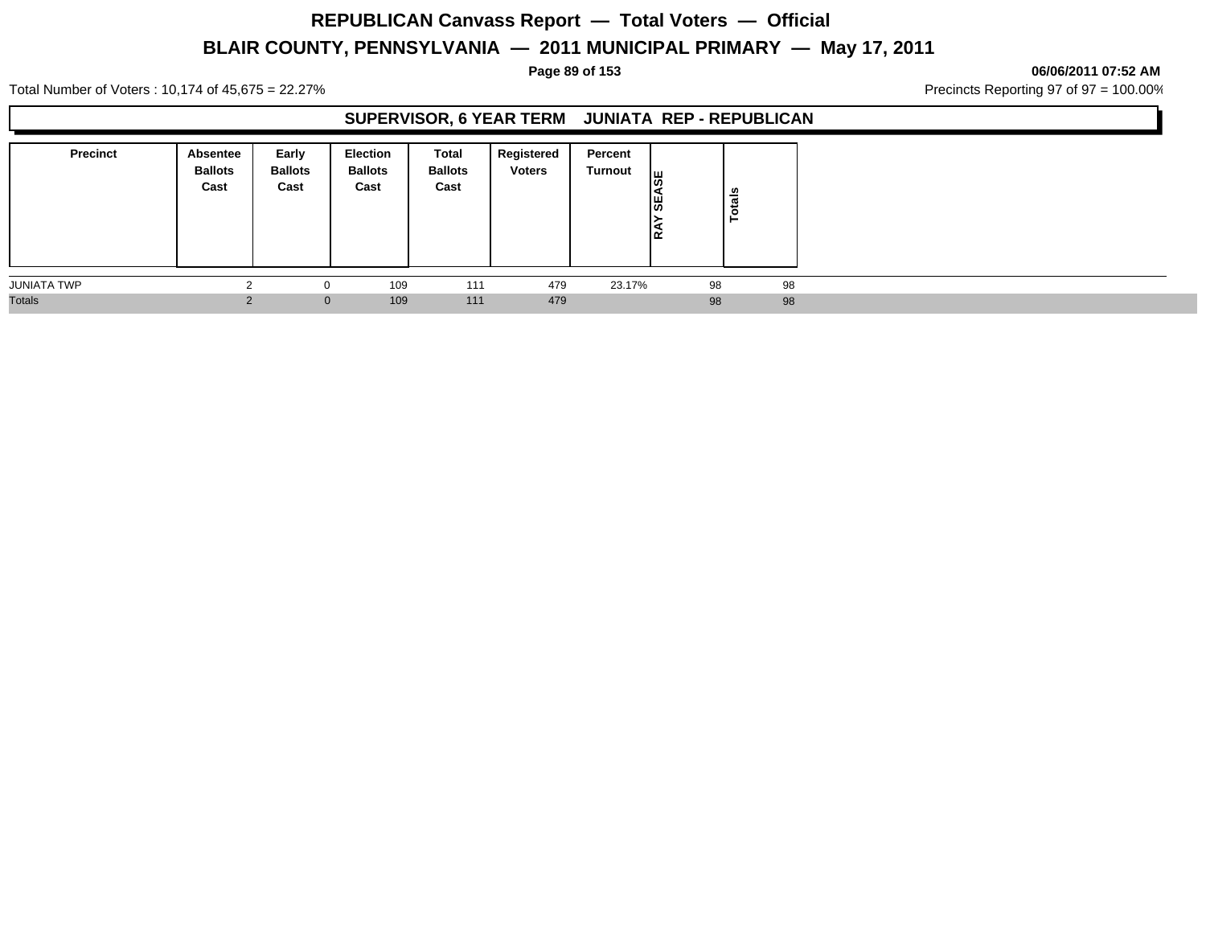### **Page 89 of 153 06/06/2011 07:52 AM**

Total Number of Voters : 10,174 of 45,675 = 22.27% **Precincts Reporting 97 of 97 = 100.00%** Precincts Reporting 97 of 97 = 100.00%

## **SUPERVISOR, 6 YEAR TERM JUNIATA REP - REPUBLICAN**

| <b>Precinct</b>    | Absentee<br><b>Ballots</b><br>Cast | Early<br><b>Ballots</b><br>Cast | Election<br><b>Ballots</b><br>Cast | Total<br><b>Ballots</b><br>Cast | Registered<br><b>Voters</b> | Percent<br>Turnout | ₩<br><b>SEA</b><br>19<br>۱œ | otals<br>► |  |
|--------------------|------------------------------------|---------------------------------|------------------------------------|---------------------------------|-----------------------------|--------------------|-----------------------------|------------|--|
| <b>JUNIATA TWP</b> |                                    |                                 | 109                                | 111                             | 479                         | 23.17%             | 98                          | 98         |  |
| <b>Totals</b>      |                                    | $\mathbf{0}$                    | 109                                | 111                             | 479                         |                    | 98                          | 98         |  |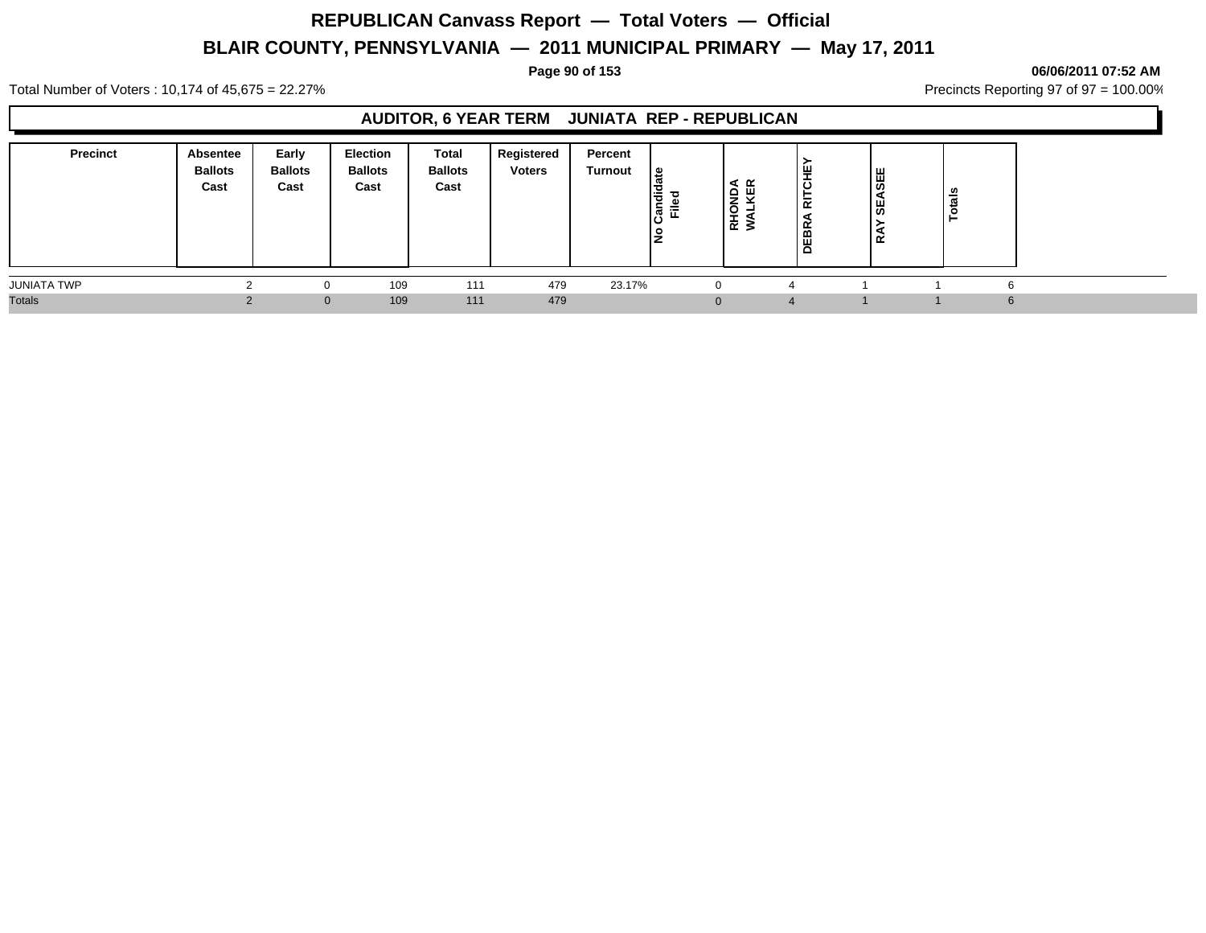**Page 90 of 153 06/06/2011 07:52 AM**

Total Number of Voters : 10,174 of 45,675 = 22.27% **Precincts Reporting 97 of 97 = 100.00%** Precincts Reporting 97 of 97 = 100.00%

## **AUDITOR, 6 YEAR TERM JUNIATA REP - REPUBLICAN**

| <b>Precinct</b> | Absentee<br><b>Ballots</b><br>Cast | Early<br><b>Ballots</b><br>Cast | <b>Election</b><br><b>Ballots</b><br>Cast | Total<br><b>Ballots</b><br>Cast | Registered<br><b>Voters</b> | Percent<br><b>Turnout</b> | 9  <br>ത<br>I÷<br>ခြံ<br>Ě | HONDA<br>ALKER<br>ᄒ | ш<br>ō<br>듦<br>$\blacktriangleleft$<br><b>DEBR</b> | ASEE<br>l₩<br>≃ | - 67 |    |
|-----------------|------------------------------------|---------------------------------|-------------------------------------------|---------------------------------|-----------------------------|---------------------------|----------------------------|---------------------|----------------------------------------------------|-----------------|------|----|
| JUNIATA TWP     |                                    |                                 | 109                                       | 111                             | 479                         | 23.17%                    |                            | $\Omega$            |                                                    |                 |      | 'n |
| <b>Totals</b>   |                                    | $\overline{0}$                  | 109                                       | 111                             | 479                         |                           |                            | $\Omega$            |                                                    |                 |      | 6  |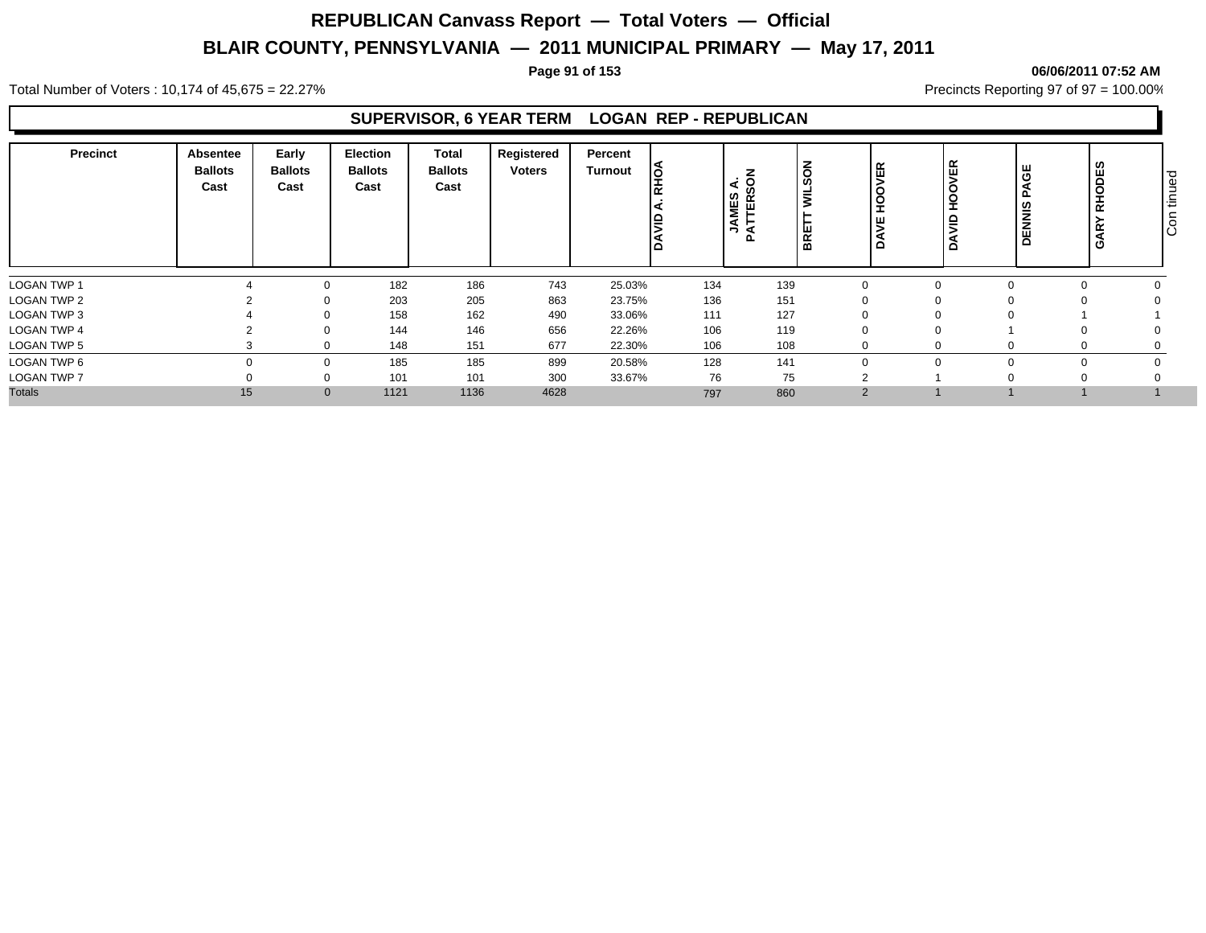### **Page 91 of 153 06/06/2011 07:52 AM**

Total Number of Voters : 10,174 of 45,675 = 22.27% **Precincts Reporting 97 of 97 = 100.00%** Precincts Reporting 97 of 97 = 100.00%

## **SUPERVISOR, 6 YEAR TERM LOGAN REP - REPUBLICAN**

| <b>Precinct</b>    | Absentee<br><b>Ballots</b><br>Cast | Early<br><b>Ballots</b><br>Cast | <b>Election</b><br><b>Ballots</b><br>Cast | Total<br><b>Ballots</b><br>Cast | Registered<br>Voters | Percent<br><b>Turnout</b> | lò  | $\frac{1}{2}$ SON<br>⋖<br>ທ<br>$\propto$<br><b>AME</b><br>ш<br>┕<br>►<br>я<br>௳ | ທ<br>$\vec{z}$<br><b>R</b> | 띥<br>ш      | ER<br>브<br>$\Omega$ | AGE<br>௳<br><b>DENNIS</b> | ທ<br>RHODE:<br><b>GAR</b> | ס ו<br>$\mathbf{\underline{\Phi}}$<br>┙<br>۱Ē<br>$\circ$<br>Ιō |
|--------------------|------------------------------------|---------------------------------|-------------------------------------------|---------------------------------|----------------------|---------------------------|-----|---------------------------------------------------------------------------------|----------------------------|-------------|---------------------|---------------------------|---------------------------|----------------------------------------------------------------|
| <b>LOGAN TWP 1</b> |                                    |                                 | 182                                       | 186                             | 743                  | 25.03%                    | 134 | 139                                                                             |                            | 0           |                     |                           |                           |                                                                |
| <b>LOGAN TWP 2</b> |                                    |                                 | 203                                       | 205                             | 863                  | 23.75%                    | 136 | 151                                                                             |                            | 0           |                     |                           |                           |                                                                |
| LOGAN TWP 3        |                                    |                                 | 158                                       | 162                             | 490                  | 33.06%                    | 111 | 127                                                                             |                            | 0           | - ( )               |                           |                           |                                                                |
| <b>LOGAN TWP 4</b> |                                    |                                 | 144                                       | 146                             | 656                  | 22.26%                    | 106 | 119                                                                             |                            | $\mathbf 0$ |                     |                           |                           |                                                                |
| <b>LOGAN TWP 5</b> |                                    |                                 | 148                                       | 151                             | 677                  | 22.30%                    | 106 | 108                                                                             |                            | 0           |                     |                           |                           |                                                                |
| LOGAN TWP 6        |                                    |                                 | 185                                       | 185                             | 899                  | 20.58%                    | 128 | 141                                                                             |                            | $\Omega$    |                     |                           |                           |                                                                |
| <b>LOGAN TWP 7</b> |                                    |                                 | 101                                       | 101                             | 300                  | 33.67%                    | 76  |                                                                                 | 75                         | $\sim$      |                     |                           |                           |                                                                |
| <b>Totals</b>      | 15                                 |                                 | 1121<br>$\mathbf{0}$                      | 1136                            | 4628                 |                           | 797 | 860                                                                             |                            | 2           |                     |                           |                           |                                                                |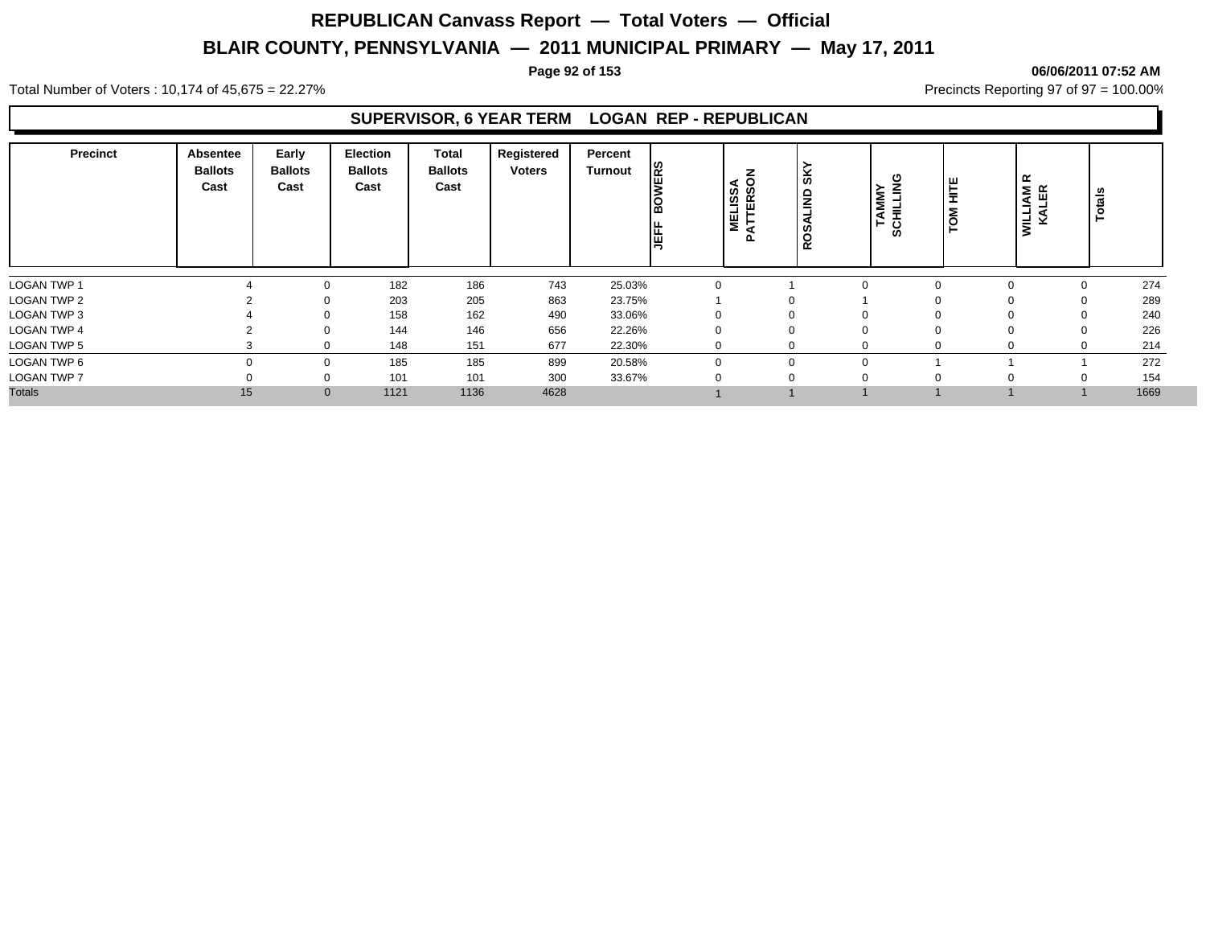### **Page 92 of 153 06/06/2011 07:52 AM**

Total Number of Voters : 10,174 of 45,675 = 22.27% **Precincts Reporting 97 of 97 = 100.00%** Precincts Reporting 97 of 97 = 100.00%

## **SUPERVISOR, 6 YEAR TERM LOGAN REP - REPUBLICAN**

| <b>Precinct</b>    | Absentee<br><b>Ballots</b><br>Cast | Early<br><b>Ballots</b><br>Cast | <b>Election</b><br><b>Ballots</b><br>Cast | <b>Total</b><br><b>Ballots</b><br>Cast | Registered<br><b>Voters</b> | Percent<br>Turnout | <b>VERS</b><br>ခြ<br>墙 | 'న ౭<br>៓ឨ<br><b>MEL</b> | İκ<br>۱ę<br>-<br>$\overline{\phantom{0}}$<br><b>SO</b><br><b>R</b> | TAMMY<br>SCHILLING | HITE<br>$\overline{P}$ | $\propto$<br><b>WILLIAM</b><br>KALER | Totals |      |
|--------------------|------------------------------------|---------------------------------|-------------------------------------------|----------------------------------------|-----------------------------|--------------------|------------------------|--------------------------|--------------------------------------------------------------------|--------------------|------------------------|--------------------------------------|--------|------|
| LOGAN TWP 1        |                                    | 0                               | 182                                       | 186                                    | 743                         | 25.03%             |                        |                          |                                                                    | $\Omega$           |                        | $\Omega$                             | 0      | 274  |
| LOGAN TWP 2        |                                    | 0                               | 203                                       | 205                                    | 863                         | 23.75%             |                        |                          | U                                                                  |                    |                        | O                                    | 0      | 289  |
| <b>LOGAN TWP 3</b> |                                    | 0                               | 158                                       | 162                                    | 490                         | 33.06%             |                        |                          | $\mathbf{0}$                                                       | 0                  |                        | $\Omega$                             | 0      | 240  |
| <b>LOGAN TWP 4</b> |                                    | 0                               | 144                                       | 146                                    | 656                         | 22.26%             |                        |                          | 0                                                                  | $\mathbf 0$        |                        | $\Omega$                             | 0      | 226  |
| LOGAN TWP 5        |                                    | 0                               | 148                                       | 151                                    | 677                         | 22.30%             |                        |                          | 0                                                                  | $\Omega$           |                        | 0                                    | 0      | 214  |
| LOGAN TWP 6        |                                    | $\Omega$                        | 185                                       | 185                                    | 899                         | 20.58%             |                        |                          | $\mathbf{0}$                                                       | $\Omega$           |                        |                                      |        | 272  |
| <b>LOGAN TWP 7</b> |                                    | 0                               | 101                                       | 101                                    | 300                         | 33.67%             |                        |                          | 0                                                                  | $\Omega$           |                        |                                      | 0      | 154  |
| <b>Totals</b>      | 15                                 | $\mathbf{0}$                    | 1121                                      | 1136                                   | 4628                        |                    |                        |                          |                                                                    |                    |                        |                                      |        | 1669 |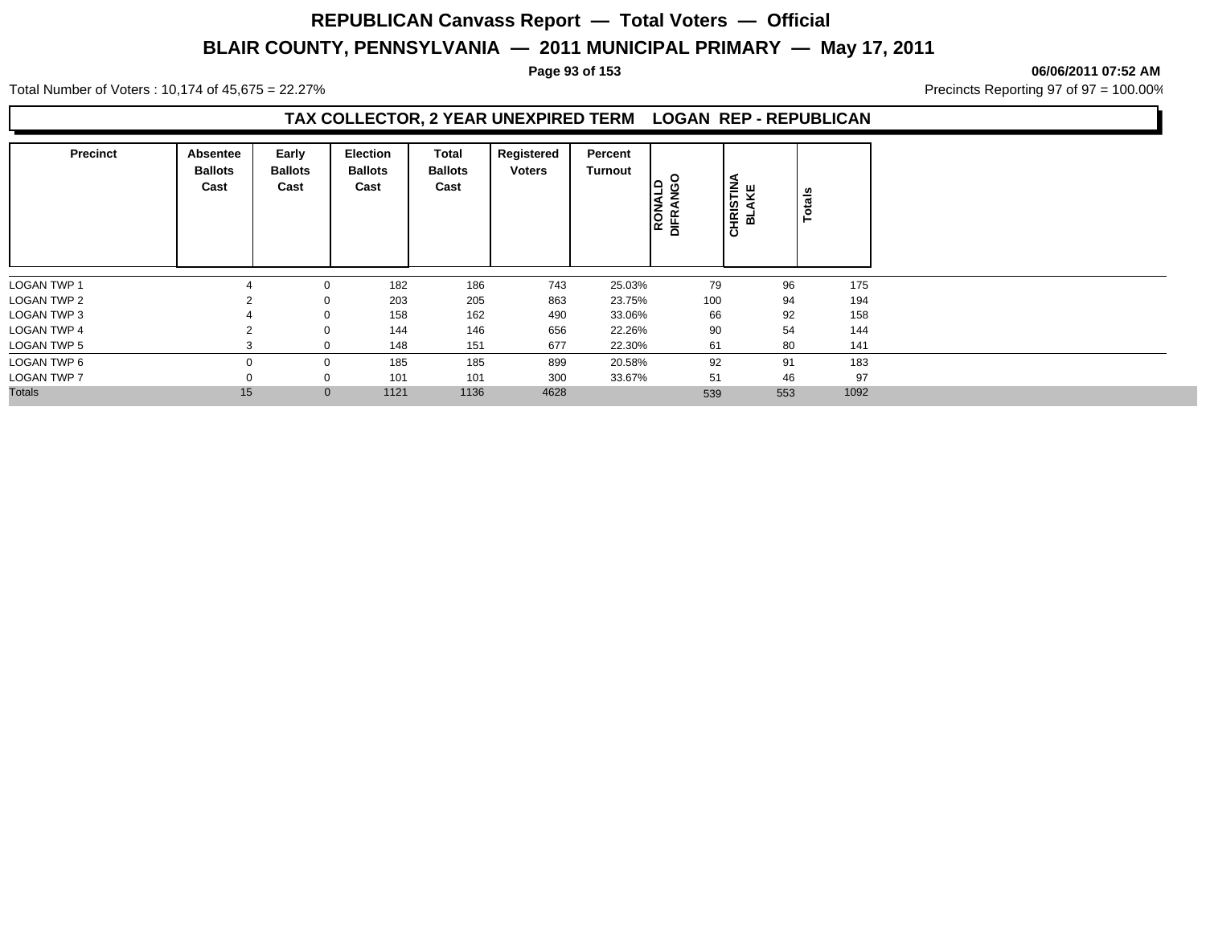### **Page 93 of 153 06/06/2011 07:52 AM**

Total Number of Voters : 10,174 of 45,675 = 22.27% **Precincts Reporting 97 of 97 = 100.00%** Precincts Reporting 97 of 97 = 100.00%

## **TAX COLLECTOR, 2 YEAR UNEXPIRED TERM LOGAN REP - REPUBLICAN**

| <b>Precinct</b>    | Absentee<br><b>Ballots</b><br>Cast | Early<br><b>Ballots</b><br>Cast | Election<br><b>Ballots</b><br>Cast | Total<br><b>Ballots</b><br>Cast | Registered<br><b>Voters</b> | Percent<br>Turnout | $\circ$<br>RONALD<br>DIFRANGC | <b>CHRISTINA</b><br>BLAKE | otals<br>Ě |
|--------------------|------------------------------------|---------------------------------|------------------------------------|---------------------------------|-----------------------------|--------------------|-------------------------------|---------------------------|------------|
| <b>LOGAN TWP 1</b> |                                    | 0                               | 182                                | 186                             | 743                         | 25.03%             | 79                            | 96                        | 175        |
| <b>LOGAN TWP 2</b> |                                    | $\mathbf 0$                     | 203                                | 205                             | 863                         | 23.75%             | 100                           | 94                        | 194        |
| <b>LOGAN TWP 3</b> |                                    | $\mathbf 0$                     | 158                                | 162                             | 490                         | 33.06%             | 66                            | 92                        | 158        |
| <b>LOGAN TWP 4</b> |                                    | 0                               | 144                                | 146                             | 656                         | 22.26%             | 90                            | 54                        | 144        |
| <b>LOGAN TWP 5</b> |                                    | $\mathbf 0$                     | 148                                | 151                             | 677                         | 22.30%             | 61                            | 80                        | 141        |
| LOGAN TWP 6        | $\Omega$                           | 0                               | 185                                | 185                             | 899                         | 20.58%             | 92                            | 91                        | 183        |
| <b>LOGAN TWP 7</b> |                                    | 0                               | 101                                | 101                             | 300                         | 33.67%             | 51                            | 46                        | 97         |
| <b>Totals</b>      | 15                                 | $\mathbf{0}$                    | 1121                               | 1136                            | 4628                        |                    | 539                           | 553                       | 1092       |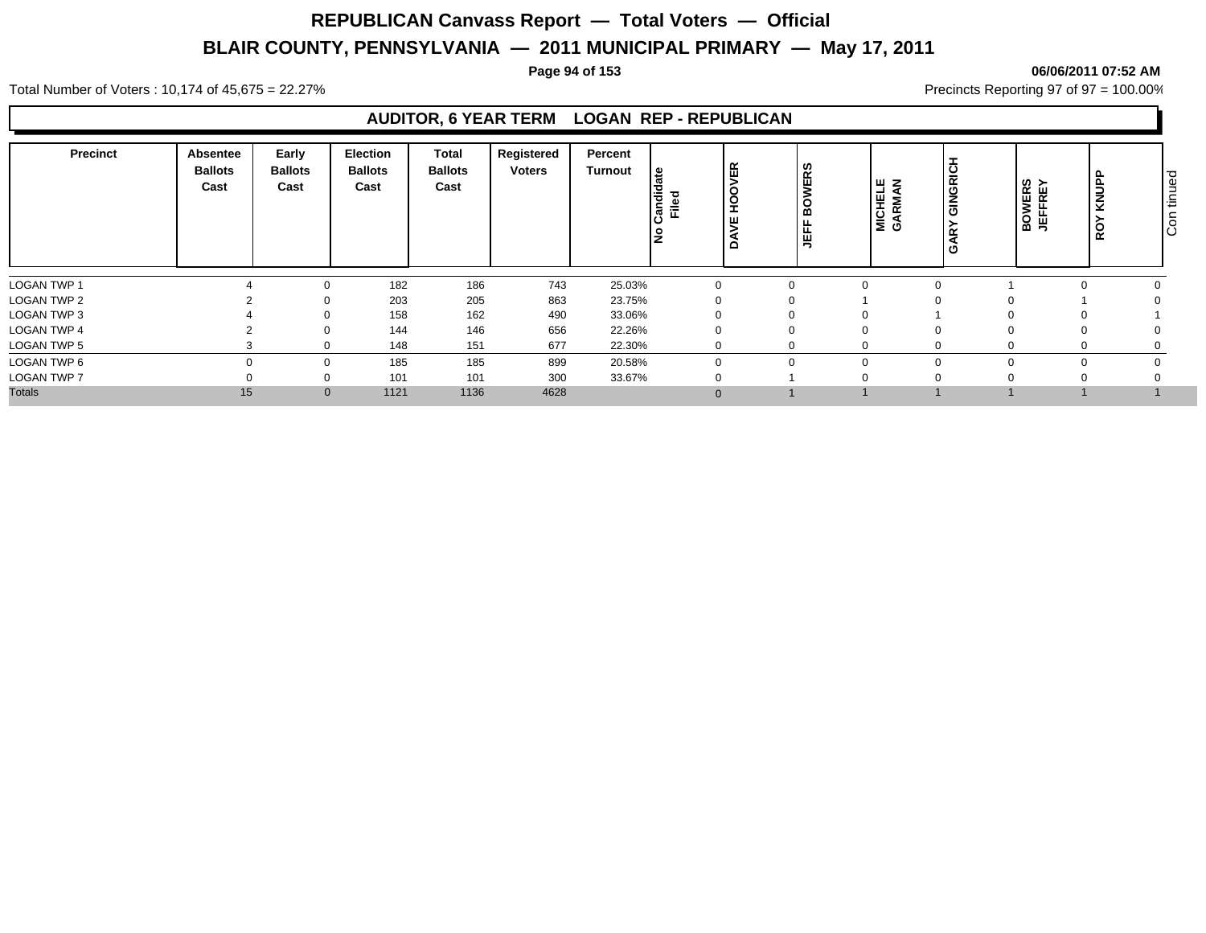### **Page 94 of 153 06/06/2011 07:52 AM**

Total Number of Voters : 10,174 of 45,675 = 22.27% **Precincts Reporting 97 of 97 = 100.00%** Precincts Reporting 97 of 97 = 100.00%

## **AUDITOR, 6 YEAR TERM LOGAN REP - REPUBLICAN**

| <b>Precinct</b>    | Absentee<br><b>Ballots</b><br>Cast | Early<br><b>Ballots</b><br>Cast | Election<br><b>Ballots</b><br>Cast | Total<br><b>Ballots</b><br>Cast | Registered<br><b>Voters</b> | Percent<br>Turnout | ೭<br>landi<br>Filed | 띥<br>- | <b>WERS</b><br>щ.<br>ட<br>' ⊞ | I w z<br>MICHEL<br>GARMAI | GINGRI<br>∣⊊<br>ر ا | <b>BOWERS</b><br>JEFFREY | KNUPP<br>≻<br><b>RO</b> | $\overline{\circ}$<br>Š<br>$\subset$<br>÷<br>$\circ$<br>ΙO |
|--------------------|------------------------------------|---------------------------------|------------------------------------|---------------------------------|-----------------------------|--------------------|---------------------|--------|-------------------------------|---------------------------|---------------------|--------------------------|-------------------------|------------------------------------------------------------|
| <b>LOGAN TWP 1</b> |                                    |                                 | 182<br>$\Omega$                    | 186                             | 743                         | 25.03%             | $\mathbf 0$         |        | 0                             | $\Omega$                  |                     |                          |                         |                                                            |
| LOGAN TWP 2        |                                    |                                 | 203                                | 205                             | 863                         | 23.75%             | 0                   |        | $\Omega$                      |                           |                     |                          |                         |                                                            |
| LOGAN TWP 3        |                                    |                                 | 158                                | 162                             | 490                         | 33.06%             |                     |        |                               | $\Omega$                  |                     |                          |                         |                                                            |
| <b>LOGAN TWP 4</b> |                                    |                                 | 144                                | 146                             | 656                         | 22.26%             |                     |        |                               |                           |                     |                          |                         |                                                            |
| LOGAN TWP 5        |                                    |                                 | 148<br>0                           | 151                             | 677                         | 22.30%             | 0                   |        | 0                             | $\Omega$                  |                     |                          |                         |                                                            |
| LOGAN TWP 6        |                                    |                                 | 185<br>$\Omega$                    | 185                             | 899                         | 20.58%             | 0                   |        | $\Omega$                      | $\Omega$                  |                     |                          |                         |                                                            |
| <b>LOGAN TWP 7</b> |                                    |                                 | 101                                | 101                             | 300                         | 33.67%             | $\mathbf 0$         |        |                               | $\Omega$                  |                     |                          |                         |                                                            |
| <b>Totals</b>      | 15                                 |                                 | 1121<br>$\mathbf{0}$               | 1136                            | 4628                        |                    |                     |        |                               |                           |                     |                          |                         |                                                            |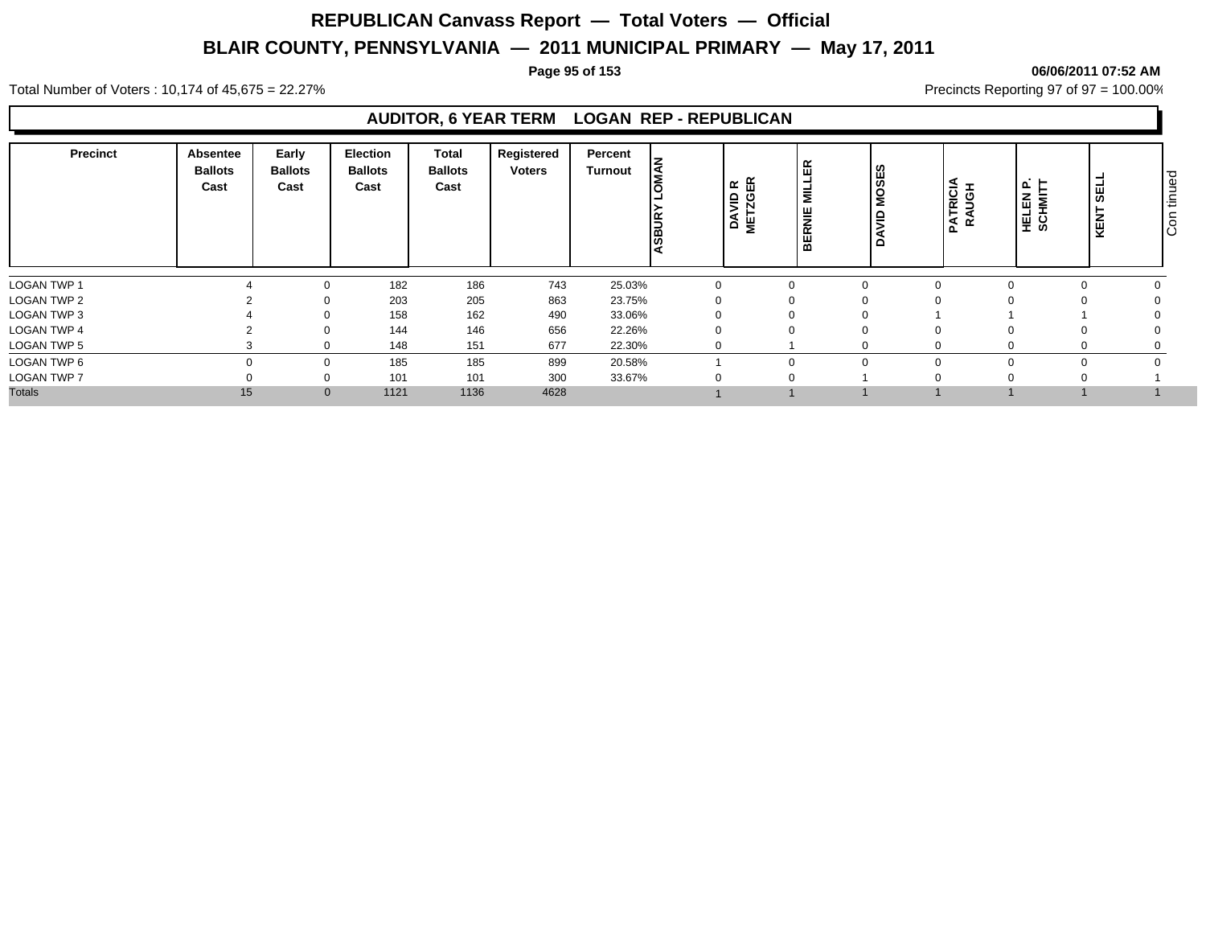### **Page 95 of 153 06/06/2011 07:52 AM**

Total Number of Voters : 10,174 of 45,675 = 22.27% **Precincts Reporting 97 of 97 = 100.00%** Precincts Reporting 97 of 97 = 100.00%

## **AUDITOR, 6 YEAR TERM LOGAN REP - REPUBLICAN**

| <b>Precinct</b>    | Absentee<br><b>Ballots</b><br>Cast | Early<br><b>Ballots</b><br>Cast | <b>Election</b><br><b>Ballots</b><br>Cast | Total<br><b>Ballots</b><br>Cast | Registered<br><b>Voters</b> | Percent<br>Turnout | l≦<br>ASBUF | D R<br>GER<br>)<br>이 오<br><b>AS</b> | E<br>RNIE<br>님 | <b>OSES</b><br>Σ<br>-<br>$\Omega$ | <b>PATRICIA</b><br>RAUGH | <b>HELEN P.<br/>SCHMITT</b> | ۰<br>ទី<br>►<br>KENT | $\overline{\circ}$<br>tinue<br>$\circ$<br>Iō |
|--------------------|------------------------------------|---------------------------------|-------------------------------------------|---------------------------------|-----------------------------|--------------------|-------------|-------------------------------------|----------------|-----------------------------------|--------------------------|-----------------------------|----------------------|----------------------------------------------|
| <b>LOGAN TWP 1</b> |                                    | $\Omega$                        | 182                                       | 186                             | 743                         | 25.03%             | $\mathbf 0$ |                                     | 0              | $\Omega$                          |                          |                             |                      |                                              |
| LOGAN TWP 2        |                                    |                                 | 203                                       | 205                             | 863                         | 23.75%             | 0           |                                     | $\Omega$       | 0                                 |                          |                             |                      |                                              |
| LOGAN TWP 3        |                                    |                                 | 158                                       | 162                             | 490                         | 33.06%             |             |                                     |                | 0                                 |                          |                             |                      |                                              |
| <b>LOGAN TWP 4</b> |                                    |                                 | 144                                       | 146                             | 656                         | 22.26%             |             |                                     |                |                                   |                          |                             |                      |                                              |
| LOGAN TWP 5        |                                    | $\Omega$                        | 148                                       | 151                             | 677                         | 22.30%             | 0           |                                     |                |                                   |                          |                             |                      |                                              |
| LOGAN TWP 6        |                                    | 0                               | 185                                       | 185                             | 899                         | 20.58%             |             |                                     |                |                                   |                          |                             |                      |                                              |
| <b>LOGAN TWP 7</b> |                                    |                                 | 101                                       | 101                             | 300                         | 33.67%             | 0           |                                     | $\Omega$       |                                   |                          |                             |                      |                                              |
| <b>Totals</b>      | 15                                 |                                 | 1121<br>$\mathbf{0}$                      | 1136                            | 4628                        |                    |             |                                     |                |                                   |                          |                             |                      |                                              |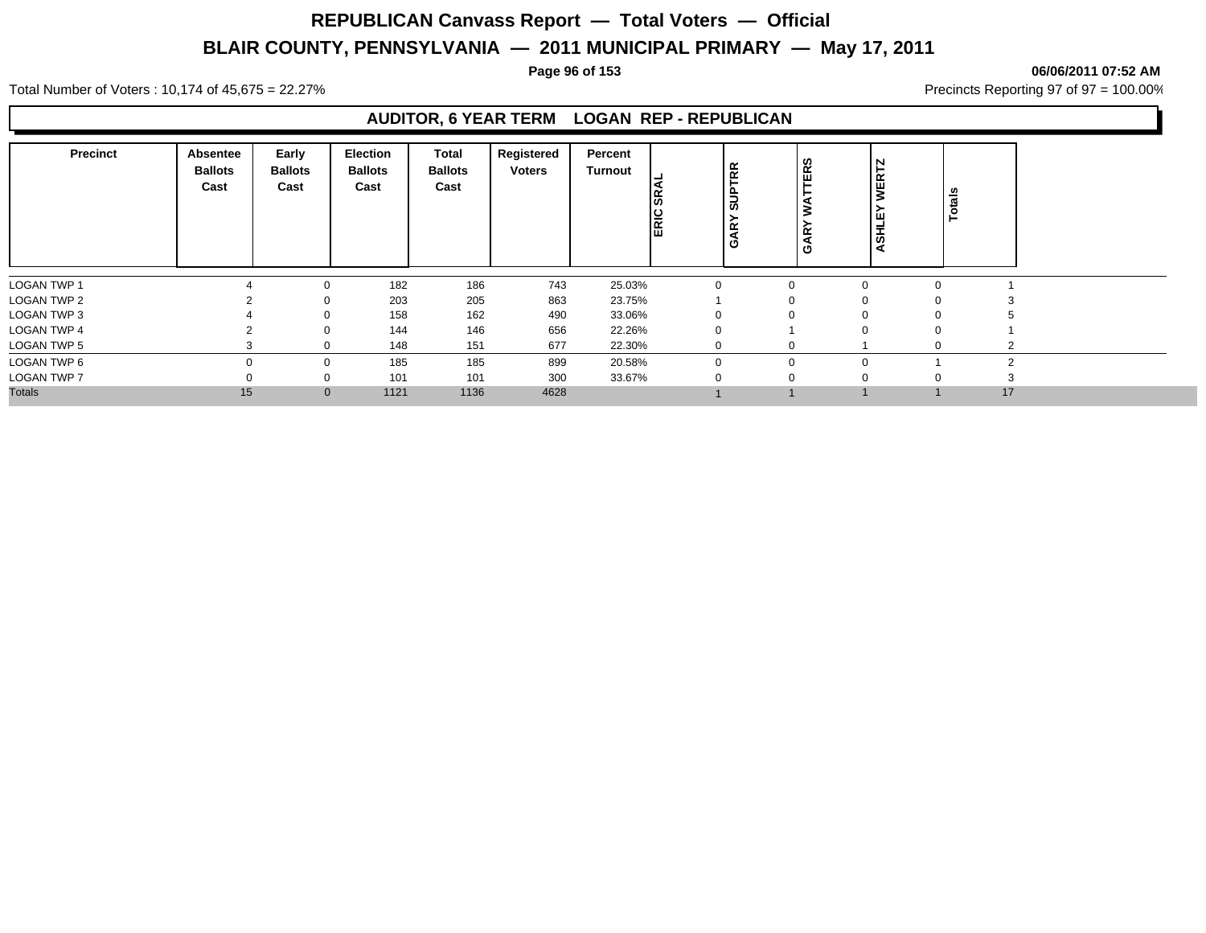### **Page 96 of 153 06/06/2011 07:52 AM**

Total Number of Voters : 10,174 of 45,675 = 22.27% **Precincts Reporting 97 of 97 = 100.00%** Precincts Reporting 97 of 97 = 100.00%

## **AUDITOR, 6 YEAR TERM LOGAN REP - REPUBLICAN**

| <b>Precinct</b>    | Absentee<br><b>Ballots</b><br>Cast | Early<br><b>Ballots</b><br>Cast | <b>Election</b><br><b>Ballots</b><br>Cast | Total<br><b>Ballots</b><br>Cast | Registered<br><b>Voters</b> | Percent<br>Turnout | န္တ<br><b>ERIC</b> | ₿<br>ທ<br>ğ<br>Ő | <b>TERS</b><br>$\alpha$<br>O | N<br>WERT.<br>ш<br><b>ASHL</b> |             | Totals |  |
|--------------------|------------------------------------|---------------------------------|-------------------------------------------|---------------------------------|-----------------------------|--------------------|--------------------|------------------|------------------------------|--------------------------------|-------------|--------|--|
| <b>LOGAN TWP 1</b> |                                    |                                 | 182                                       | 186                             | 743                         | 25.03%             |                    |                  | $\mathbf 0$                  |                                | $\mathbf 0$ |        |  |
| <b>LOGAN TWP 2</b> |                                    |                                 | 203                                       | 205                             | 863                         | 23.75%             |                    |                  | $\mathbf 0$                  |                                | $\Omega$    |        |  |
| LOGAN TWP 3        |                                    |                                 | 158                                       | 162                             | 490                         | 33.06%             |                    |                  | $\Omega$                     |                                | $\Omega$    |        |  |
| <b>LOGAN TWP 4</b> |                                    |                                 | 144                                       | 146                             | 656                         | 22.26%             |                    |                  |                              |                                | 0           |        |  |
| <b>LOGAN TWP 5</b> |                                    | 0                               | 148                                       | 151                             | 677                         | 22.30%             |                    |                  | 0                            |                                | $\Omega$    |        |  |
| LOGAN TWP 6        |                                    | $\mathbf 0$                     | 185                                       | 185                             | 899                         | 20.58%             |                    |                  | $\mathbf 0$                  |                                |             |        |  |
| LOGAN TWP 7        |                                    |                                 | 101                                       | 101                             | 300                         | 33.67%             |                    |                  | 0                            |                                | $\Omega$    |        |  |
| <b>Totals</b>      | 15                                 | $\mathbf{0}$                    | 1121                                      | 1136                            | 4628                        |                    |                    |                  |                              |                                |             | 17     |  |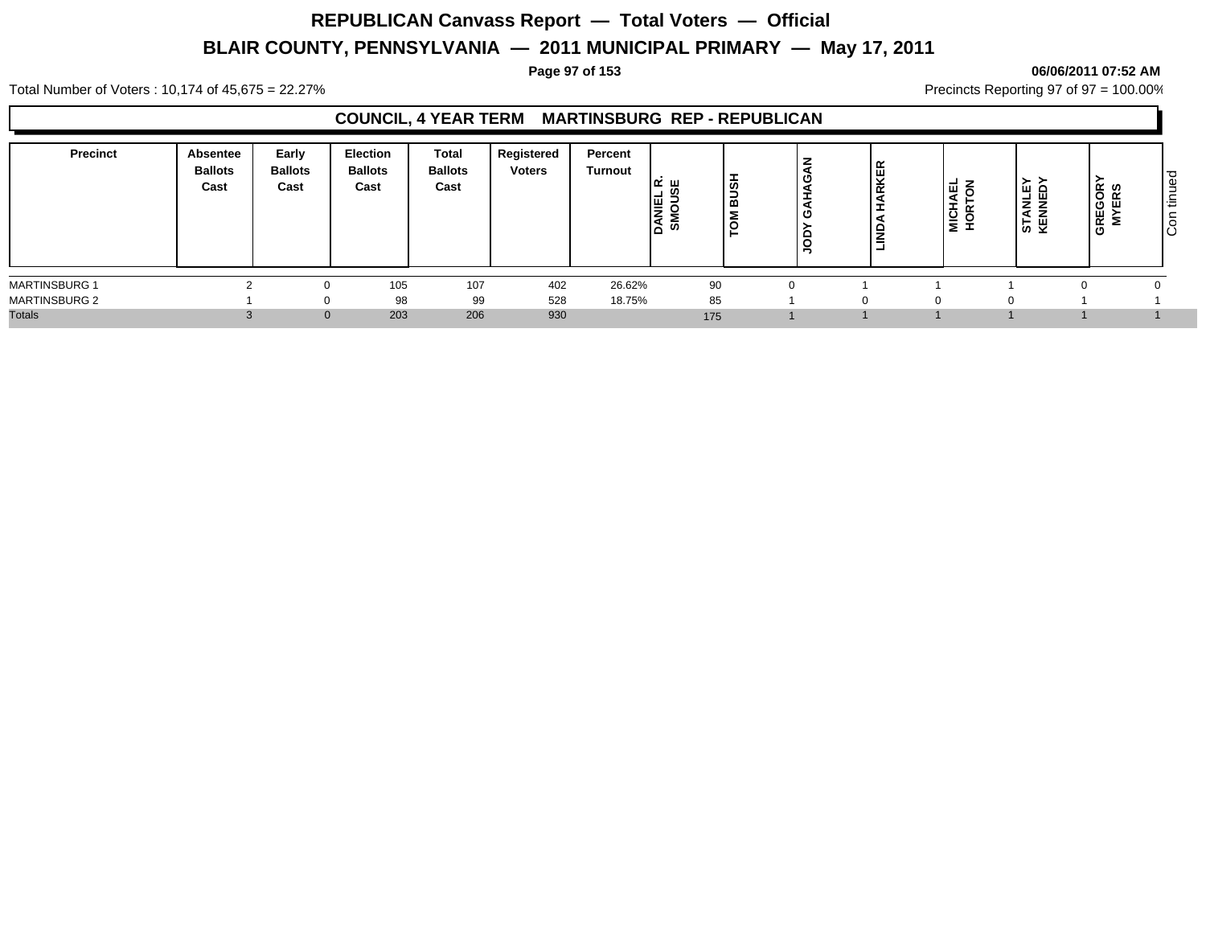### **Page 97 of 153 06/06/2011 07:52 AM**

Total Number of Voters : 10,174 of 45,675 = 22.27% **Precincts Reporting 97 of 97 = 100.00%** Precincts Reporting 97 of 97 = 100.00%

## **COUNCIL, 4 YEAR TERM MARTINSBURG REP - REPUBLICAN**

| <b>Precinct</b>      | <b>Absentee</b><br><b>Ballots</b><br>Cast | Early<br><b>Ballots</b><br>Cast | <b>Election</b><br><b>Ballots</b><br>Cast | <b>Total</b><br><b>Ballots</b><br>Cast | Registered<br><b>Voters</b> | Percent<br>Turnout | ומ ∟<br><b>DANIEL</b> | ഗ<br>≃ | <b>ER</b><br>준<br>$\Box$<br>-<br>=<br>- | $\rightarrow$<br>司<br><b>MICHA</b><br>HORTO | .≻ ><br>ہ سا<br>ш<br>Z Ž<br>하 주 | ້⊄ ທ<br>ີ | ರ<br>ഉ<br>-<br>造<br>$\circ$ |
|----------------------|-------------------------------------------|---------------------------------|-------------------------------------------|----------------------------------------|-----------------------------|--------------------|-----------------------|--------|-----------------------------------------|---------------------------------------------|---------------------------------|-----------|-----------------------------|
| <b>MARTINSBURG 1</b> |                                           |                                 | 105                                       | 107                                    | 402                         | 26.62%             | 90                    |        |                                         |                                             |                                 |           |                             |
| <b>MARTINSBURG 2</b> |                                           |                                 | 98                                        | 99                                     | 528                         | 18.75%             | 85                    |        |                                         |                                             |                                 |           |                             |
| <b>Totals</b>        |                                           | $\Omega$                        | 203                                       | 206                                    | 930                         |                    | 175                   |        |                                         |                                             |                                 |           |                             |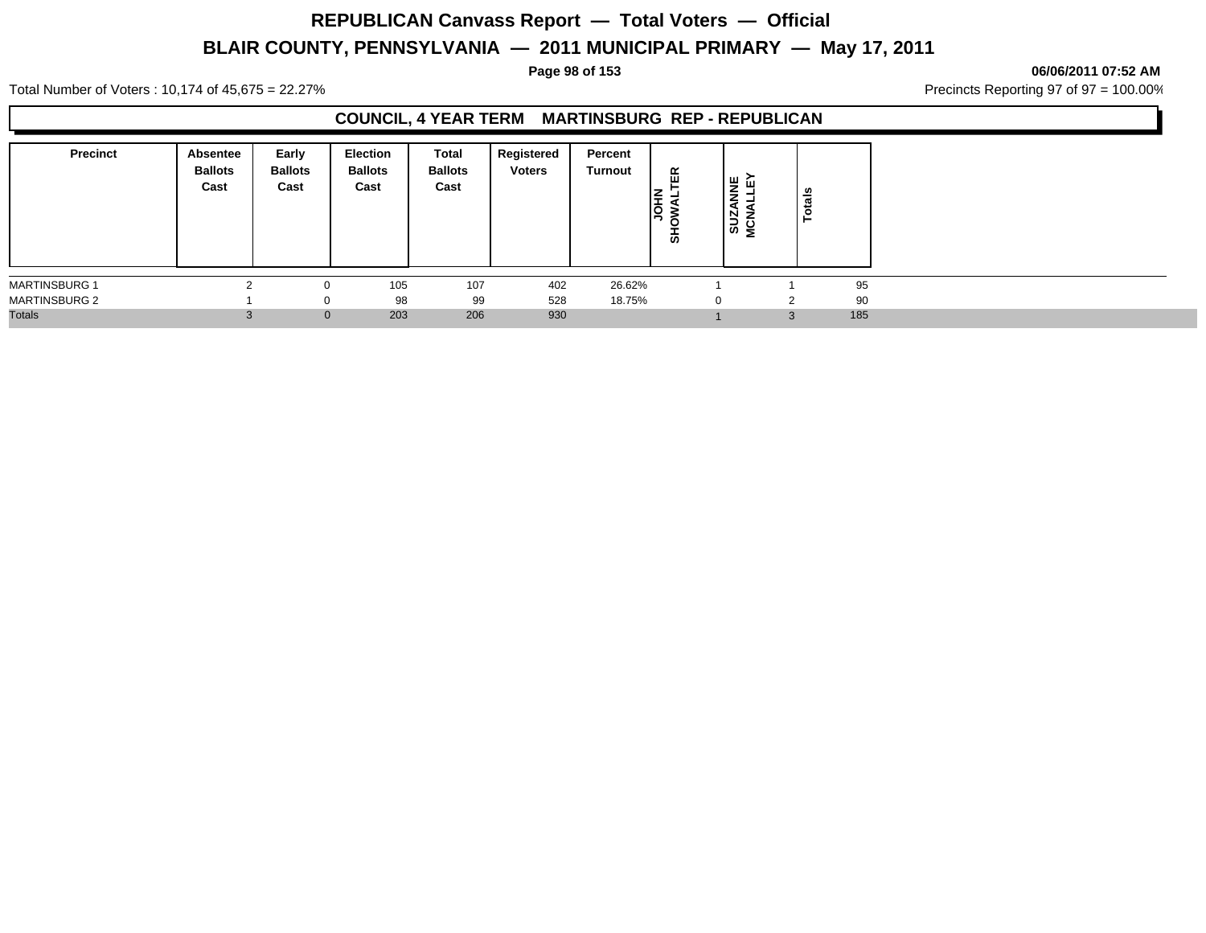### **Page 98 of 153 06/06/2011 07:52 AM**

Total Number of Voters : 10,174 of 45,675 = 22.27% **Precincts Reporting 97 of 97 = 100.00%** Precincts Reporting 97 of 97 = 100.00%

## **COUNCIL, 4 YEAR TERM MARTINSBURG REP - REPUBLICAN**

| <b>Precinct</b>      | <b>Absentee</b><br><b>Ballots</b><br>Cast | Early<br><b>Ballots</b><br>Cast | <b>Election</b><br><b>Ballots</b><br>Cast | <b>Total</b><br><b>Ballots</b><br>Cast | Registered<br><b>Voters</b> | Percent<br>Turnout | 띥<br><b>NHO</b><br>ぁ | 보 군<br>∸<br>. .<br><b>SUZA</b><br>MCNA | otals  |     |
|----------------------|-------------------------------------------|---------------------------------|-------------------------------------------|----------------------------------------|-----------------------------|--------------------|----------------------|----------------------------------------|--------|-----|
| <b>MARTINSBURG 1</b> |                                           |                                 | 105                                       | 107                                    | 402                         | 26.62%             |                      |                                        |        | 95  |
| <b>MARTINSBURG 2</b> |                                           | $\Omega$                        | 98                                        | 99                                     | 528                         | 18.75%             |                      | $\Omega$                               | 2      | 90  |
| <b>Totals</b>        |                                           | $\mathbf{0}$                    | 203                                       | 206                                    | 930                         |                    |                      |                                        | $\sim$ | 185 |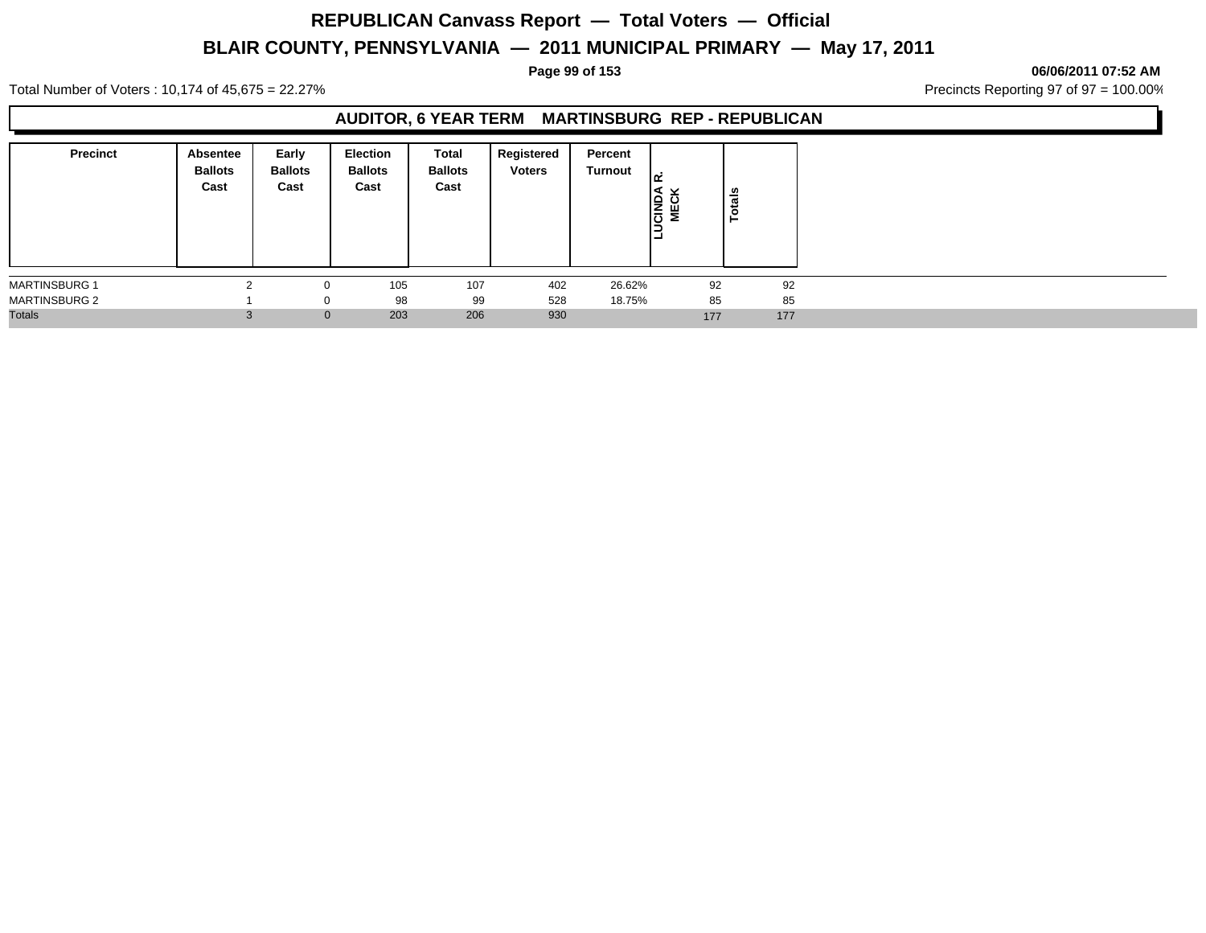**Page 99 of 153 06/06/2011 07:52 AM**

Total Number of Voters : 10,174 of 45,675 = 22.27% **Precincts Reporting 97 of 97 = 100.00%** Precincts Reporting 97 of 97 = 100.00%

## **AUDITOR, 6 YEAR TERM MARTINSBURG REP - REPUBLICAN**

| <b>Precinct</b>      | Absentee<br><b>Ballots</b><br>Cast | Early<br><b>Ballots</b><br>Cast | <b>Election</b><br><b>Ballots</b><br>Cast | Total<br><b>Ballots</b><br>Cast | Registered<br><b>Voters</b> | Percent<br>Turnout | غەا<br><b>CIND</b><br>MECI | otals<br>⊢ |
|----------------------|------------------------------------|---------------------------------|-------------------------------------------|---------------------------------|-----------------------------|--------------------|----------------------------|------------|
| <b>MARTINSBURG 1</b> |                                    | $\Omega$                        | 105                                       | 107                             | 402                         | 26.62%             | 92                         | 92         |
| <b>MARTINSBURG 2</b> |                                    |                                 | 98                                        | 99                              | 528                         | 18.75%             | 85                         | 85         |
| <b>Totals</b>        |                                    | $\mathbf 0$                     | 203                                       | 206                             | 930                         |                    | 177                        | 177        |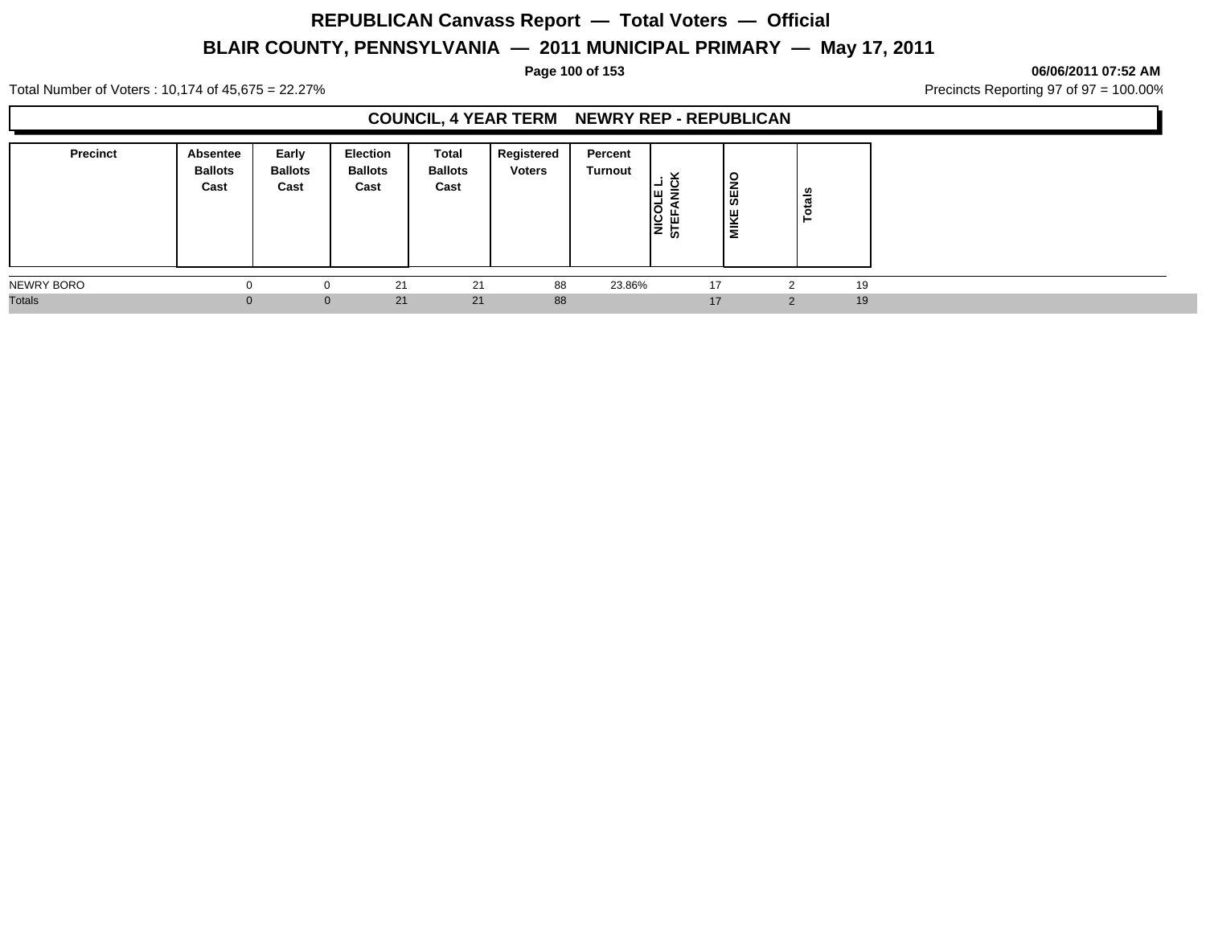### **Page 100 of 153 06/06/2011 07:52 AM**

Total Number of Voters : 10,174 of 45,675 = 22.27% **Precincts Reporting 97 of 97 = 100.00%** Precincts Reporting 97 of 97 = 100.00%

## **COUNCIL, 4 YEAR TERM NEWRY REP - REPUBLICAN**

| <b>Precinct</b> | Absentee<br><b>Ballots</b><br>Cast | Early<br><b>Ballots</b><br>Cast | <b>Election</b><br><b>Ballots</b><br>Cast | <b>Total</b><br><b>Ballots</b><br>Cast | Registered<br><b>Voters</b> | Percent<br><b>Turnout</b> | $\checkmark$<br>IШ ラ<br>NICOL<br>STEFA | SENO<br>MIKE | otals<br>⊢    |    |  |
|-----------------|------------------------------------|---------------------------------|-------------------------------------------|----------------------------------------|-----------------------------|---------------------------|----------------------------------------|--------------|---------------|----|--|
| NEWRY BORO      |                                    |                                 | 21                                        | 21                                     | 88                          | 23.86%                    | 17                                     |              |               | 19 |  |
| <b>Totals</b>   |                                    | $\Omega$                        | 21                                        | 21                                     | 88                          |                           | 17                                     |              | $\mathcal{P}$ | 19 |  |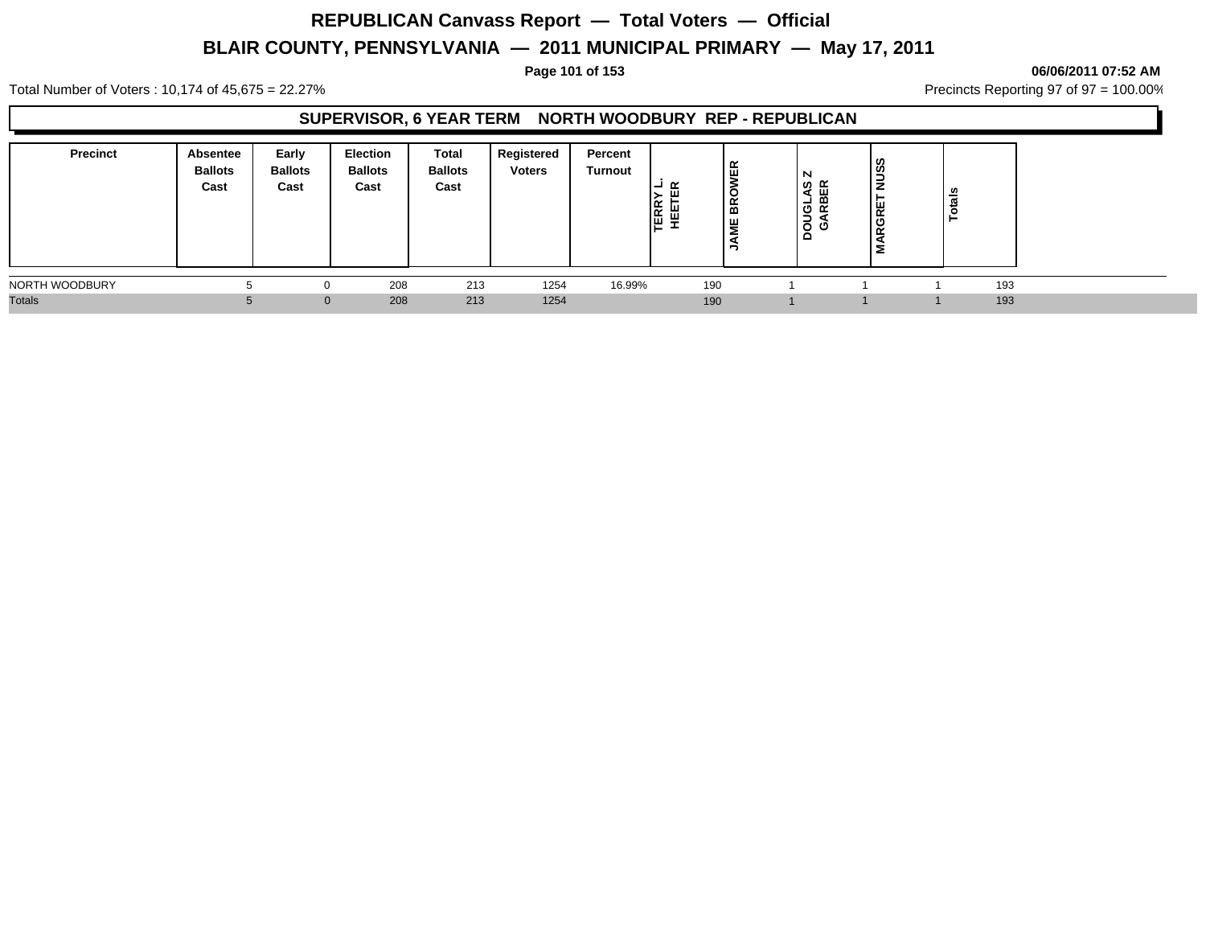### **Page 101 of 153 06/06/2011 07:52 AM**

Total Number of Voters : 10,174 of 45,675 = 22.27% **Precincts Reporting 97 of 97 = 100.00%** Precincts Reporting 97 of 97 = 100.00%

## **SUPERVISOR, 6 YEAR TERM NORTH WOODBURY REP - REPUBLICAN**

| <b>Precinct</b> | <b>Absentee</b><br><b>Ballots</b><br>Cast | Early<br><b>Ballots</b><br>Cast | <b>Election</b><br><b>Ballots</b><br>Cast | Total<br><b>Ballots</b><br>Cast | Registered<br><b>Voters</b> | Percent<br>Turnout | ≃<br>ш<br><b>LEEL</b><br>HELL | ER<br>BRO<br>쁳 | N<br>ທ ∝<br>ய<br>മ<br>-<br>O<br> 5 శ<br>$\Box$ | <b>SUN</b><br>ய<br>∝<br>l C<br>-<br>ᅟᅟ<br>Σ. |     |  |
|-----------------|-------------------------------------------|---------------------------------|-------------------------------------------|---------------------------------|-----------------------------|--------------------|-------------------------------|----------------|------------------------------------------------|----------------------------------------------|-----|--|
| NORTH WOODBURY  |                                           |                                 | 208                                       | 213                             | 1254                        | 16.99%             |                               | 190            |                                                |                                              | 193 |  |
| <b>Totals</b>   |                                           | $\mathbf{0}$                    | 208                                       | 213                             | 1254                        |                    |                               | 190            |                                                |                                              | 193 |  |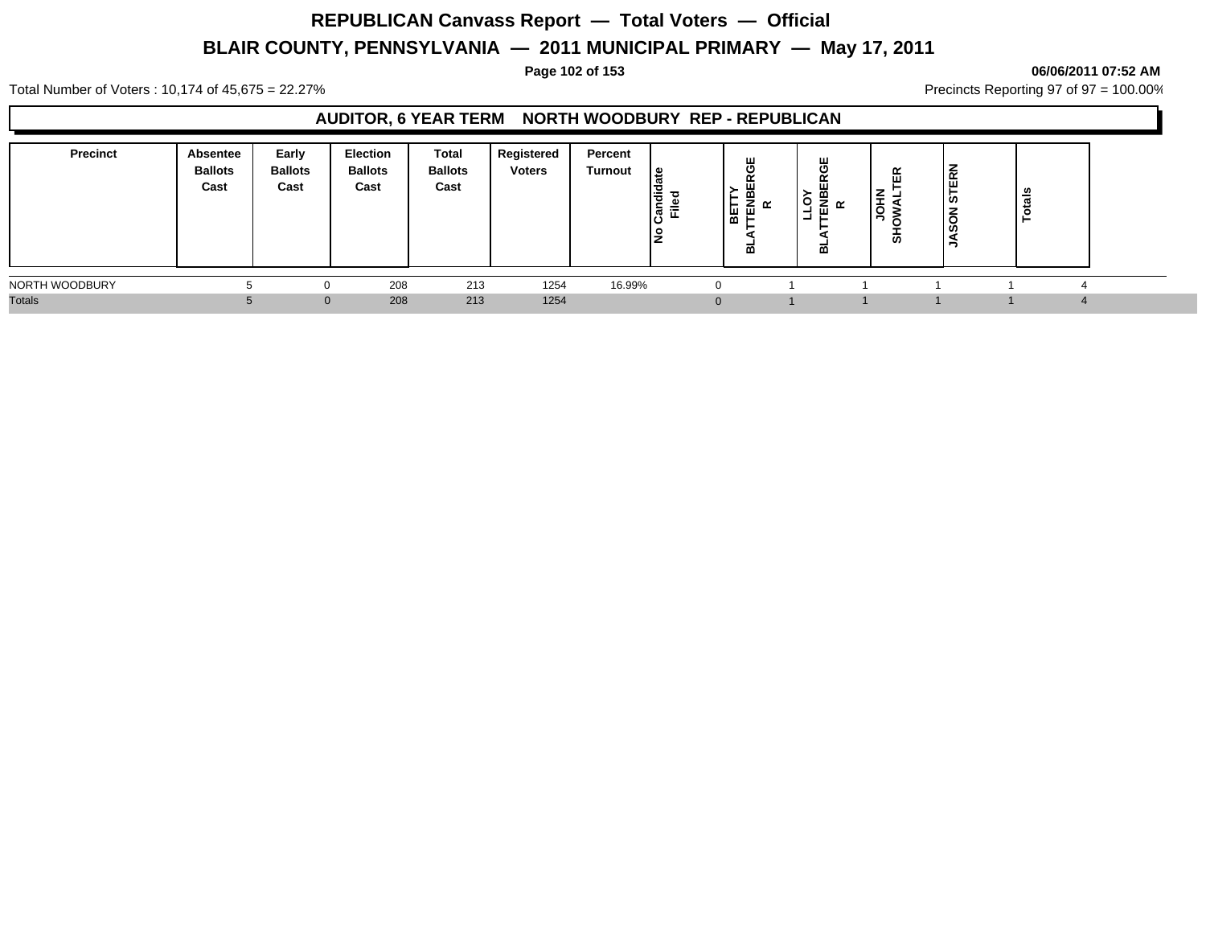### **Page 102 of 153 06/06/2011 07:52 AM**

Total Number of Voters : 10,174 of 45,675 = 22.27% **Precincts Reporting 97 of 97 = 100.00%** Precincts Reporting 97 of 97 = 100.00%

## **AUDITOR, 6 YEAR TERM NORTH WOODBURY REP - REPUBLICAN**

| <b>Precinct</b> | Absentee<br><b>Ballots</b><br>Cast | Early<br><b>Ballots</b><br>Cast | Election<br><b>Ballots</b><br>Cast | Total<br><b>Ballots</b><br>Cast | Registered<br><b>Voters</b> | Percent<br>Turnout | ≅ ا<br>١÷<br>-<br>原正<br>ΙŻ | ш<br>O<br>œ<br>ш<br>m<br>=<br>용편<br>≃ | ш<br>금 ፱ ∝<br>-- | ≃<br>ш<br>-<br>c<br>க | $\sim$<br>ட<br>ш<br>ທ<br><b>SC</b> | - |  |
|-----------------|------------------------------------|---------------------------------|------------------------------------|---------------------------------|-----------------------------|--------------------|----------------------------|---------------------------------------|------------------|-----------------------|------------------------------------|---|--|
| NORTH WOODBURY  |                                    |                                 | 208                                | 213                             | 1254                        | 16.99%             | τ.                         |                                       |                  |                       |                                    |   |  |
| <b>Totals</b>   |                                    | $\Omega$                        | 208                                | 213                             | 1254                        |                    | υ                          |                                       |                  |                       |                                    |   |  |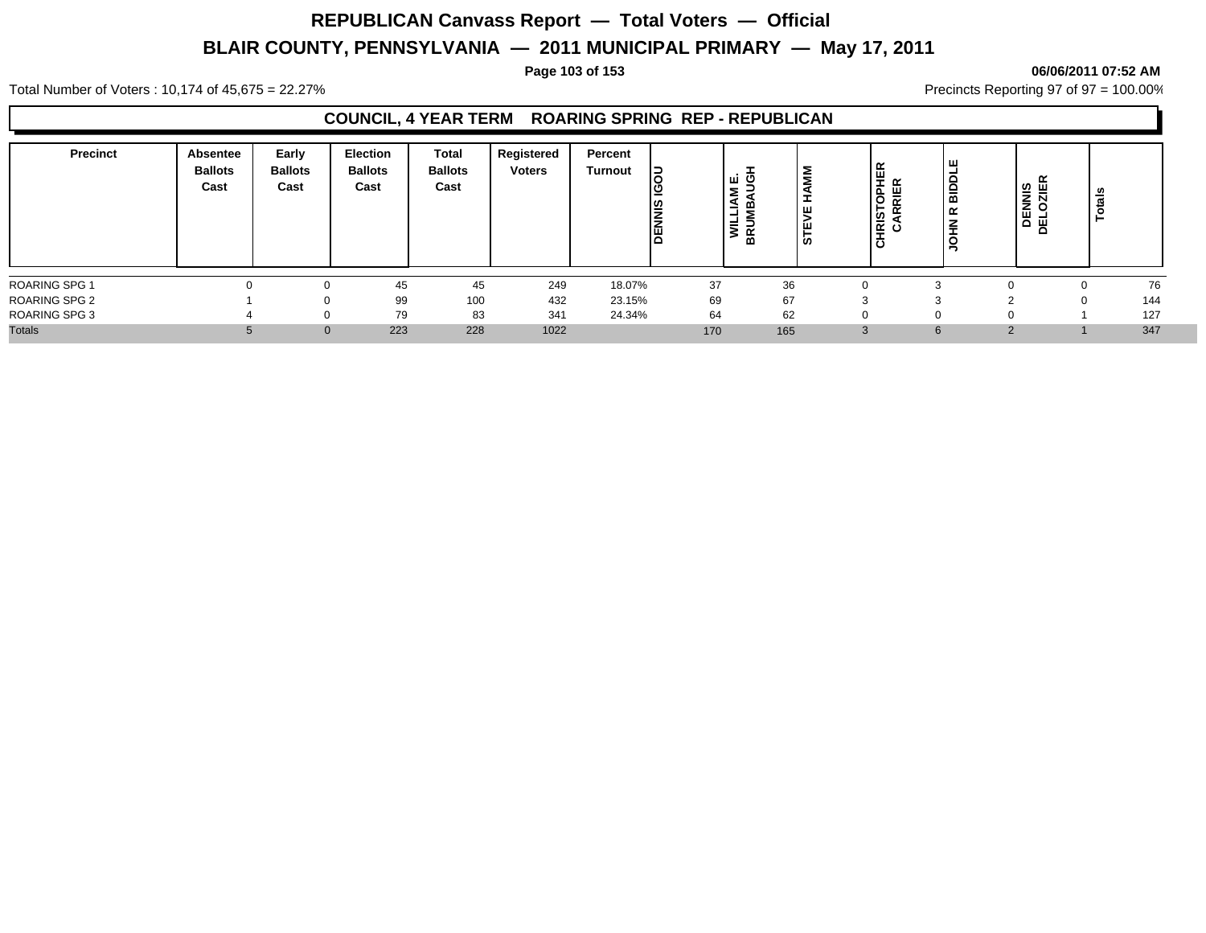### **Page 103 of 153 06/06/2011 07:52 AM**

Total Number of Voters : 10,174 of 45,675 = 22.27% **Precincts Reporting 97 of 97 = 100.00%** Precincts Reporting 97 of 97 = 100.00%

## **COUNCIL, 4 YEAR TERM ROARING SPRING REP - REPUBLICAN**

| <b>Precinct</b>      | <b>Absentee</b><br><b>Ballots</b><br>Cast | Early<br><b>Ballots</b><br>Cast | <b>Election</b><br><b>Ballots</b><br>Cast | <b>Total</b><br><b>Ballots</b><br>Cast | Registered<br><b>Voters</b> | Percent<br><b>Turnout</b> | 15<br><u>ט</u> ן<br><b>DENNIS</b> | ی نس ا<br>Σ<br>≤<br>-<br>-<br>Ī<br>⋒ | Σ<br>Ξ<br>ш<br>ш<br><b>in</b> | ίĘ<br><b>CARRIER</b><br>CARRIER<br>$\overline{O}$ | ш<br>lage<br>≃<br>∣≩<br>ㅊ | <b>DENNIS<br/>FLOZIER</b><br>$\Omega$ | ≝<br>$\mathbf{a}$ |     |
|----------------------|-------------------------------------------|---------------------------------|-------------------------------------------|----------------------------------------|-----------------------------|---------------------------|-----------------------------------|--------------------------------------|-------------------------------|---------------------------------------------------|---------------------------|---------------------------------------|-------------------|-----|
| <b>ROARING SPG 1</b> |                                           |                                 | 45                                        | 45                                     | 249                         | 18.07%                    | 37                                | 36                                   |                               |                                                   |                           |                                       |                   | 76  |
| <b>ROARING SPG 2</b> |                                           | <sup>0</sup>                    | 99                                        | 100                                    | 432                         | 23.15%                    | 69                                | 67                                   | $\sim$                        |                                                   |                           |                                       | 0                 | 144 |
| <b>ROARING SPG 3</b> |                                           | $\Omega$                        | 79                                        | 83                                     | 341                         | 24.34%                    | 64                                | 62                                   |                               |                                                   |                           |                                       |                   | 127 |
| <b>Totals</b>        |                                           |                                 | 223                                       | 228                                    | 1022                        |                           | 170                               | 165                                  |                               | $\sim$<br>5.                                      |                           |                                       |                   | 347 |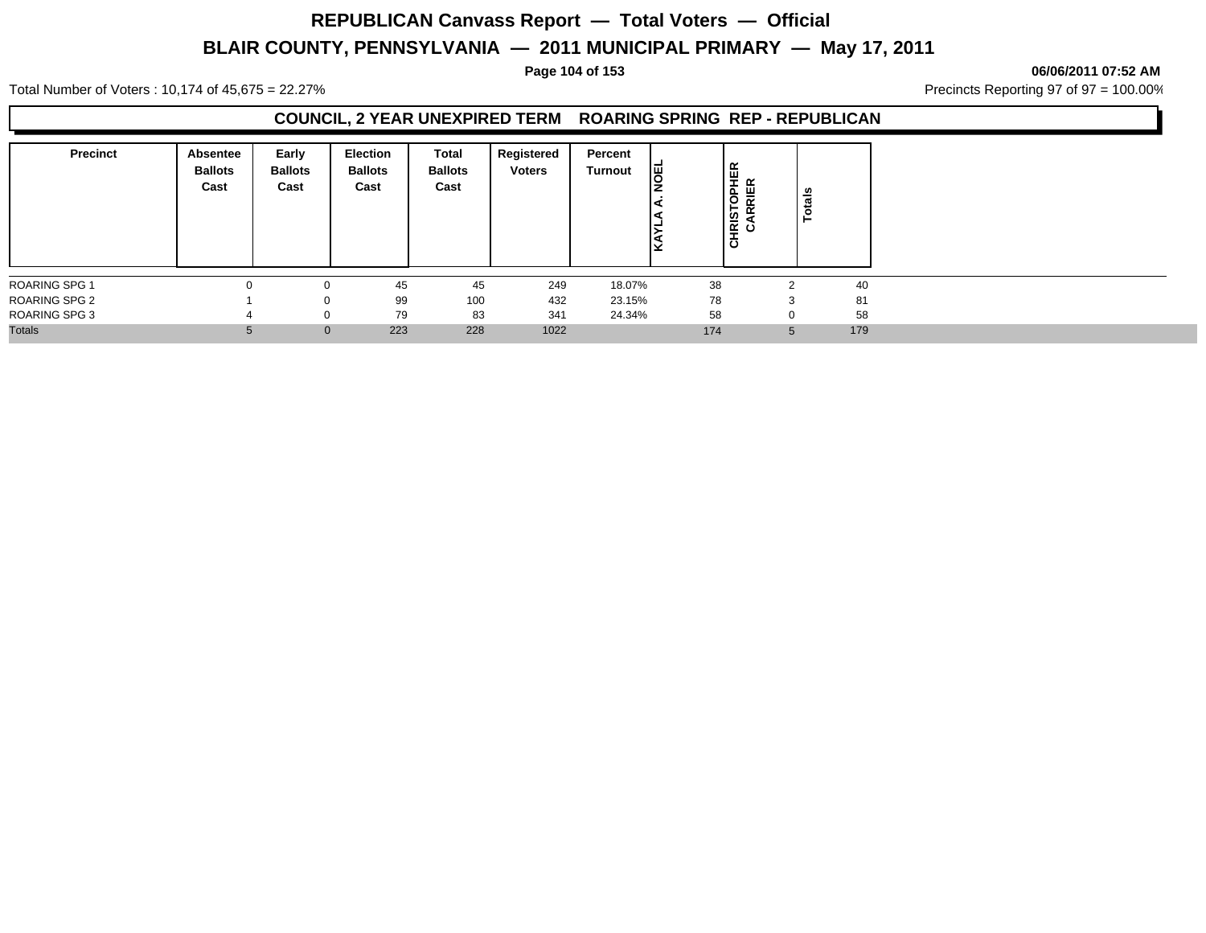# **REPUBLICAN Canvass Report — Total Voters — Official**

## **BLAIR COUNTY, PENNSYLVANIA — 2011 MUNICIPAL PRIMARY — May 17, 2011**

**Page 104 of 153 06/06/2011 07:52 AM**

Total Number of Voters : 10,174 of 45,675 = 22.27% **Precincts Reporting 97 of 97 = 100.00%** Precincts Reporting 97 of 97 = 100.00%

## **COUNCIL, 2 YEAR UNEXPIRED TERM ROARING SPRING REP - REPUBLICAN**

| <b>Precinct</b>      | Absentee<br><b>Ballots</b><br>Cast | Early<br><b>Ballots</b><br>Cast | <b>Election</b><br><b>Ballots</b><br>Cast | Total<br><b>Ballots</b><br>Cast | Registered<br><b>Voters</b> | Percent<br>Turnout | 똉   | <b>HRISTOPHER</b><br>CARRIER<br>ō |              | <b>Totals</b> |
|----------------------|------------------------------------|---------------------------------|-------------------------------------------|---------------------------------|-----------------------------|--------------------|-----|-----------------------------------|--------------|---------------|
| <b>ROARING SPG 1</b> | $\Omega$                           |                                 | 45                                        | 45                              | 249                         | 18.07%             | 38  |                                   | ◠            | 40            |
| <b>ROARING SPG 2</b> |                                    |                                 | 99                                        | 100                             | 432                         | 23.15%             | 78  |                                   | 3            | 81            |
| <b>ROARING SPG 3</b> |                                    |                                 | 79                                        | 83                              | 341                         | 24.34%             | 58  |                                   |              | 58            |
| <b>Totals</b>        |                                    | $\mathbf{0}$                    | 223                                       | 228                             | 1022                        |                    | 174 |                                   | <sub>5</sub> | 179           |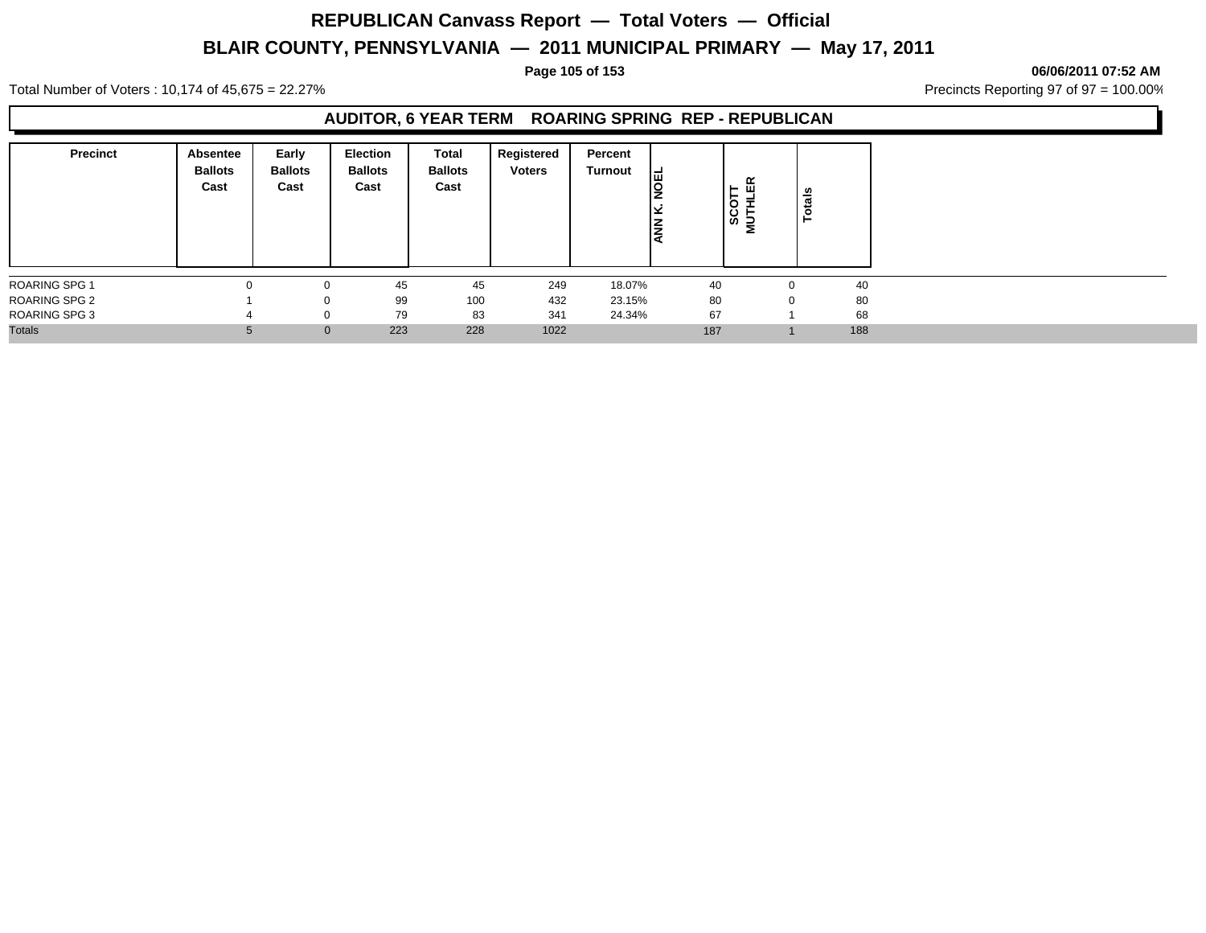### **Page 105 of 153 06/06/2011 07:52 AM**

Total Number of Voters : 10,174 of 45,675 = 22.27% **Precincts Reporting 97 of 97 = 100.00%** Precincts Reporting 97 of 97 = 100.00%

## **AUDITOR, 6 YEAR TERM ROARING SPRING REP - REPUBLICAN**

| <b>Precinct</b>      | <b>Absentee</b><br><b>Ballots</b><br>Cast | Early<br><b>Ballots</b><br>Cast | <b>Election</b><br><b>Ballots</b><br>Cast | Total<br><b>Ballots</b><br>Cast | Registered<br><b>Voters</b> | Percent<br>Turnout | ایتا<br><b>NA</b> | 띥<br>$-$<br>►<br>$rac{1}{\sqrt{2}}$ | otals<br>Ě  |     |
|----------------------|-------------------------------------------|---------------------------------|-------------------------------------------|---------------------------------|-----------------------------|--------------------|-------------------|-------------------------------------|-------------|-----|
| <b>ROARING SPG 1</b> |                                           | 0                               | 45                                        | 45                              | 249                         | 18.07%             | 40                |                                     | $\Omega$    | 40  |
| <b>ROARING SPG 2</b> |                                           | 0                               | 99                                        | 100                             | 432                         | 23.15%             | 80                |                                     | $\mathbf 0$ | 80  |
| ROARING SPG 3        |                                           | 0                               | 79                                        | 83                              | 341                         | 24.34%             | 67                |                                     |             | 68  |
| <b>Totals</b>        |                                           | $\mathbf{0}$                    | 223                                       | 228                             | 1022                        |                    | 187               |                                     |             | 188 |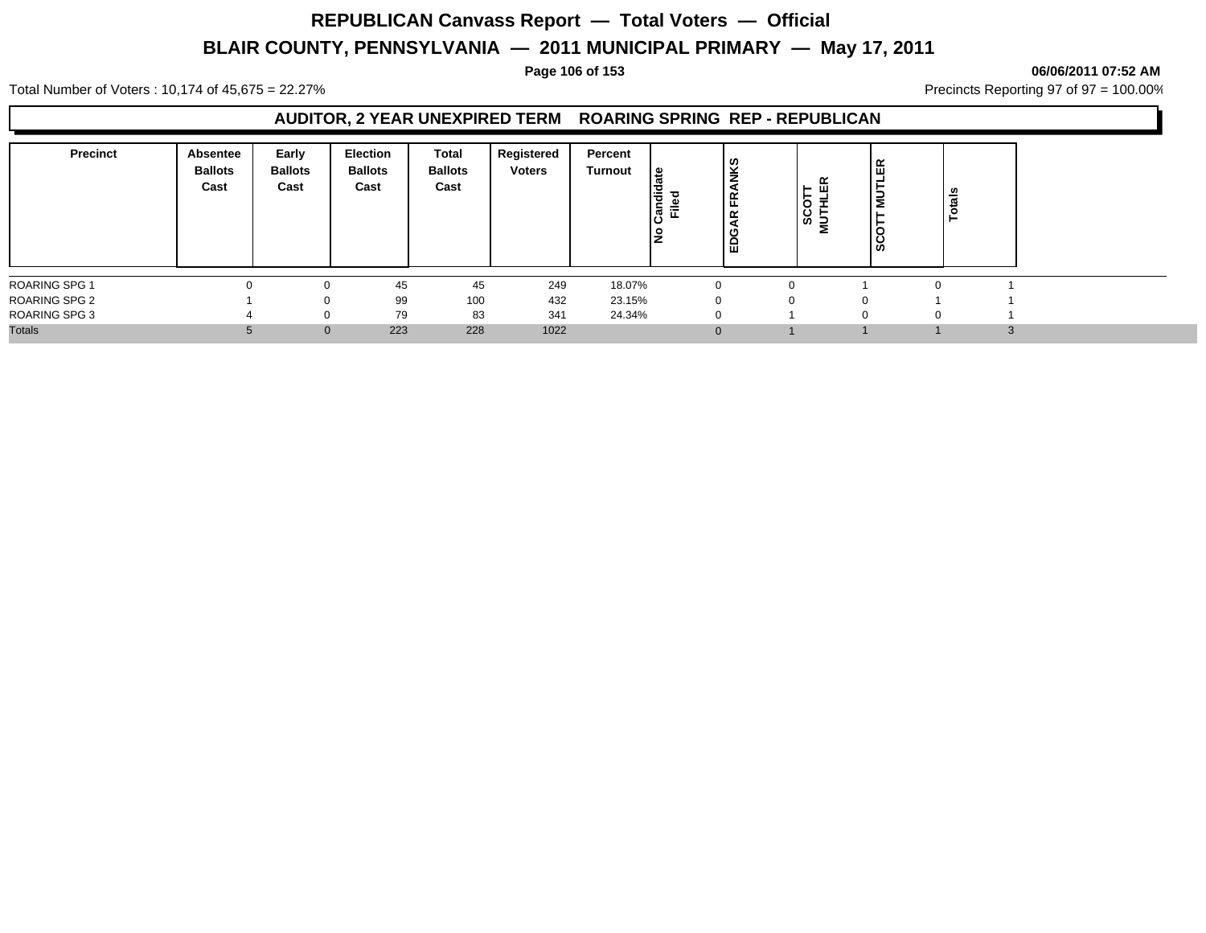### **Page 106 of 153 06/06/2011 07:52 AM**

Total Number of Voters : 10,174 of 45,675 = 22.27% **Precincts Reporting 97 of 97 = 100.00%** Precincts Reporting 97 of 97 = 100.00%

### **AUDITOR, 2 YEAR UNEXPIRED TERM ROARING SPRING REP - REPUBLICAN**

| <b>Precinct</b>      | Absentee<br><b>Ballots</b><br>Cast | Early<br><b>Ballots</b><br>Cast | <b>Election</b><br><b>Ballots</b><br>Cast | Total<br><b>Ballots</b><br>Cast | Registered<br><b>Voters</b> | Percent<br>Turnout | l€<br><b>Pipue</b><br>ъ<br>。<br>三 | <b>NKS</b><br>띥<br>$\propto$<br>∣ដ | $\alpha$<br>$\blacksquare$<br><b>SSE</b><br>Σ | . ம<br>İΞ<br><u>ဖ</u> | ≝ |              |
|----------------------|------------------------------------|---------------------------------|-------------------------------------------|---------------------------------|-----------------------------|--------------------|-----------------------------------|------------------------------------|-----------------------------------------------|-----------------------|---|--------------|
| ROARING SPG 1        |                                    |                                 | 45                                        | 45                              | 249                         | 18.07%             |                                   |                                    |                                               |                       |   |              |
| <b>ROARING SPG 2</b> |                                    |                                 | 99                                        | 100                             | 432                         | 23.15%             |                                   |                                    | 0                                             |                       |   |              |
| <b>ROARING SPG 3</b> |                                    |                                 | 79                                        | 83                              | 341                         | 24.34%             |                                   | $\Omega$                           |                                               |                       |   |              |
| <b>Totals</b>        |                                    | $\Omega$                        | 223                                       | 228                             | 1022                        |                    |                                   | $\Omega$                           |                                               |                       |   | $\sim$<br>C. |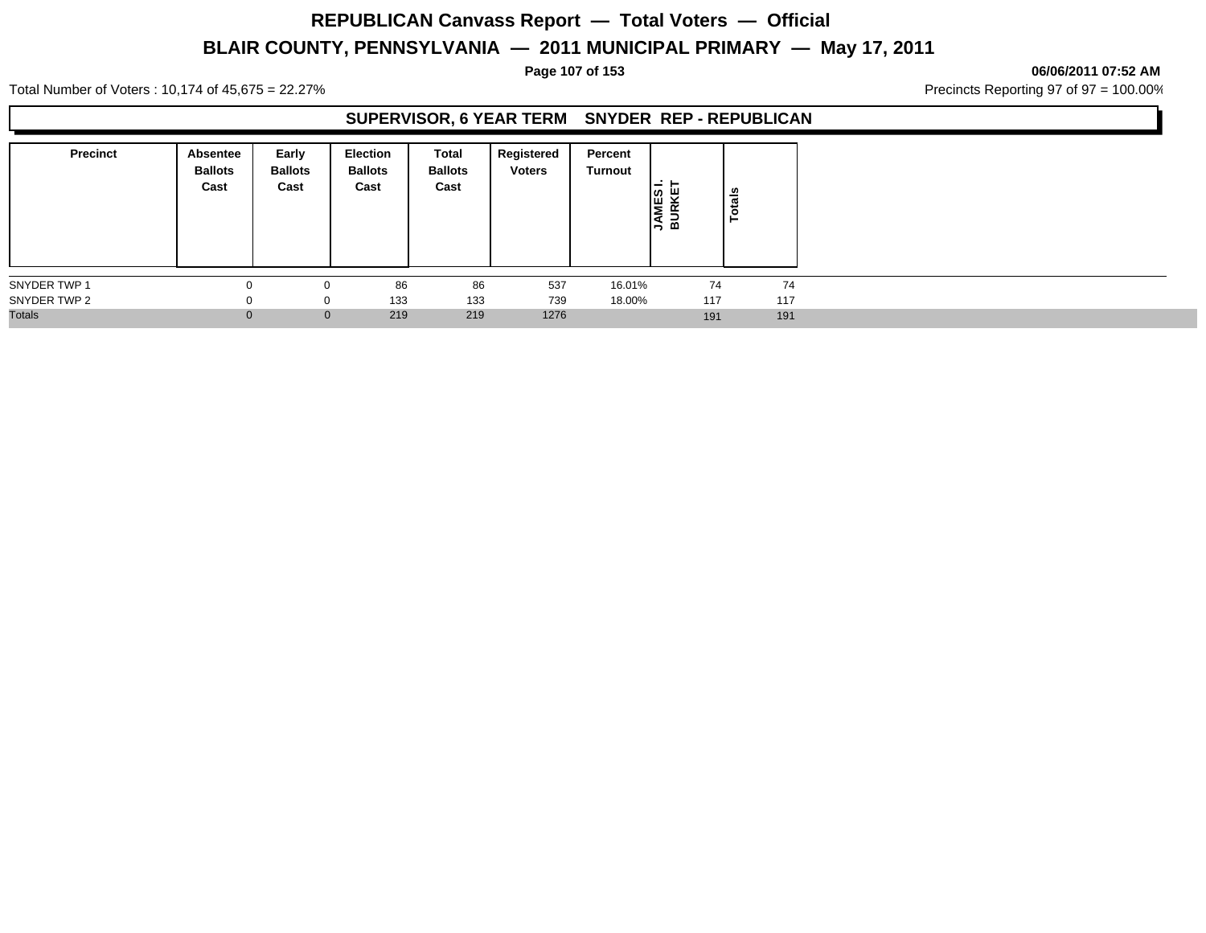### **Page 107 of 153 06/06/2011 07:52 AM**

Total Number of Voters : 10,174 of 45,675 = 22.27% **Precincts Reporting 97 of 97 = 100.00%** Precincts Reporting 97 of 97 = 100.00%

### **SUPERVISOR, 6 YEAR TERM SNYDER REP - REPUBLICAN**

| <b>Precinct</b> | Absentee<br><b>Ballots</b><br>Cast | Early<br><b>Ballots</b><br>Cast | <b>Election</b><br><b>Ballots</b><br>Cast | Total<br><b>Ballots</b><br>Cast | Registered<br><b>Voters</b> | Percent<br>Turnout | -<br><b>MES</b><br>JRKE<br>∣≼ ਕ | otals<br>⊢ |
|-----------------|------------------------------------|---------------------------------|-------------------------------------------|---------------------------------|-----------------------------|--------------------|---------------------------------|------------|
| SNYDER TWP 1    |                                    |                                 | 86                                        | 86                              | 537                         | 16.01%             | 74                              | 74         |
| SNYDER TWP 2    |                                    | 0                               | 133                                       | 133                             | 739                         | 18.00%             | 117                             | 117        |
| <b>Totals</b>   | $\Omega$                           | $\mathbf 0$                     | 219                                       | 219                             | 1276                        |                    | 191                             | 191        |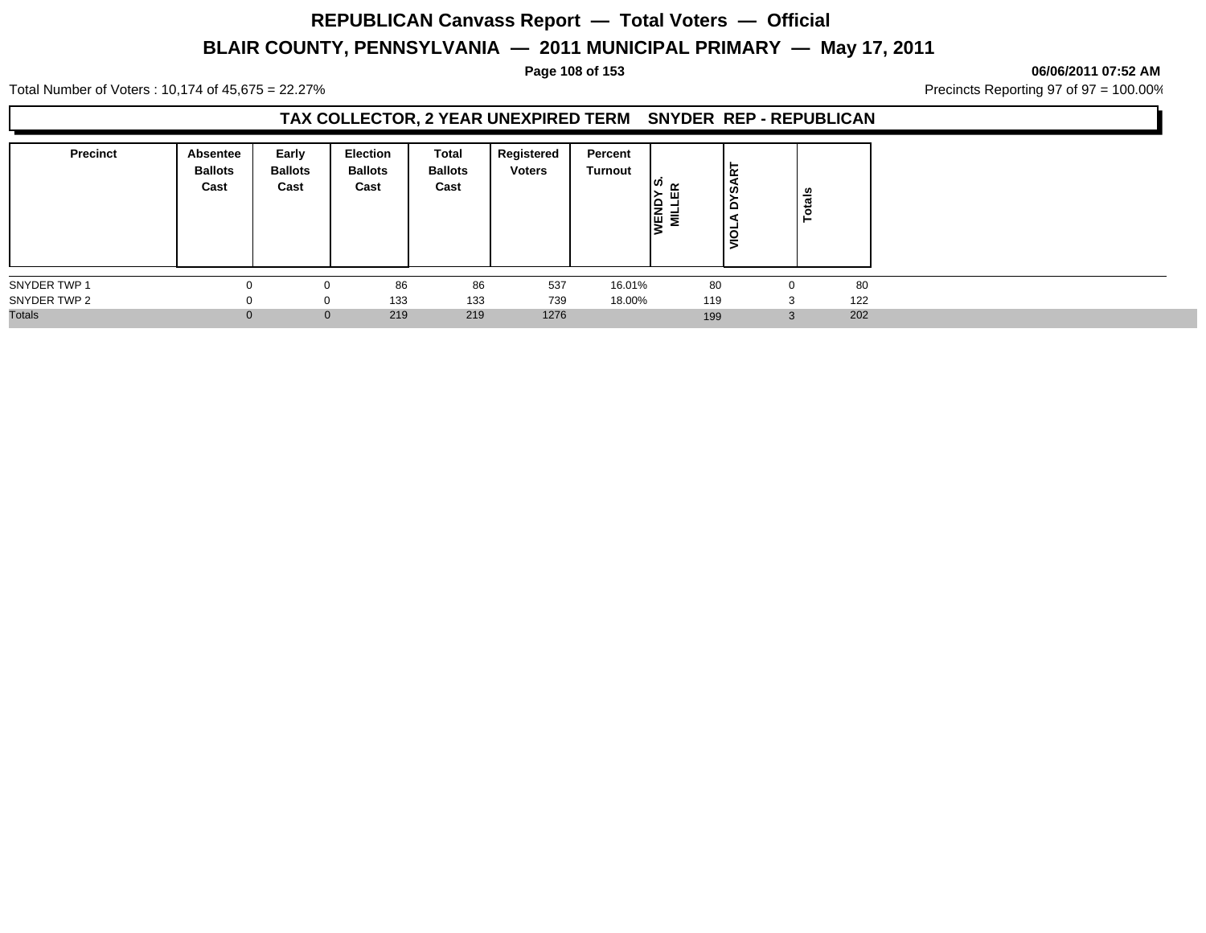## **REPUBLICAN Canvass Report — Total Voters — Official**

## **BLAIR COUNTY, PENNSYLVANIA — 2011 MUNICIPAL PRIMARY — May 17, 2011**

### **Page 108 of 153 06/06/2011 07:52 AM**

Total Number of Voters : 10,174 of 45,675 = 22.27% **Precincts Reporting 97 of 97 = 100.00%** Precincts Reporting 97 of 97 = 100.00%

## **TAX COLLECTOR, 2 YEAR UNEXPIRED TERM SNYDER REP - REPUBLICAN**

| <b>Precinct</b> | Absentee<br><b>Ballots</b><br>Cast | Early<br><b>Ballots</b><br>Cast | <b>Election</b><br><b>Ballots</b><br>Cast | Total<br><b>Ballots</b><br>Cast | Registered<br><b>Voters</b> | Percent<br>Turnout | ⊿ ™<br>ш<br>Ιê<br>Ē.<br>ıч | ∣∝<br>တ<br>-<br>-<br>◡ | otals<br>- |     |
|-----------------|------------------------------------|---------------------------------|-------------------------------------------|---------------------------------|-----------------------------|--------------------|----------------------------|------------------------|------------|-----|
| SNYDER TWP 1    |                                    |                                 | 86                                        | 86                              | 537                         | 16.01%             | 80                         |                        | 0          | 80  |
| SNYDER TWP 2    |                                    | 0                               | 133                                       | 133                             | 739                         | 18.00%             | 119                        |                        | 3          | 122 |
| <b>Totals</b>   |                                    | $\mathbf{0}$                    | 219                                       | 219                             | 1276                        |                    | 199                        |                        |            | 202 |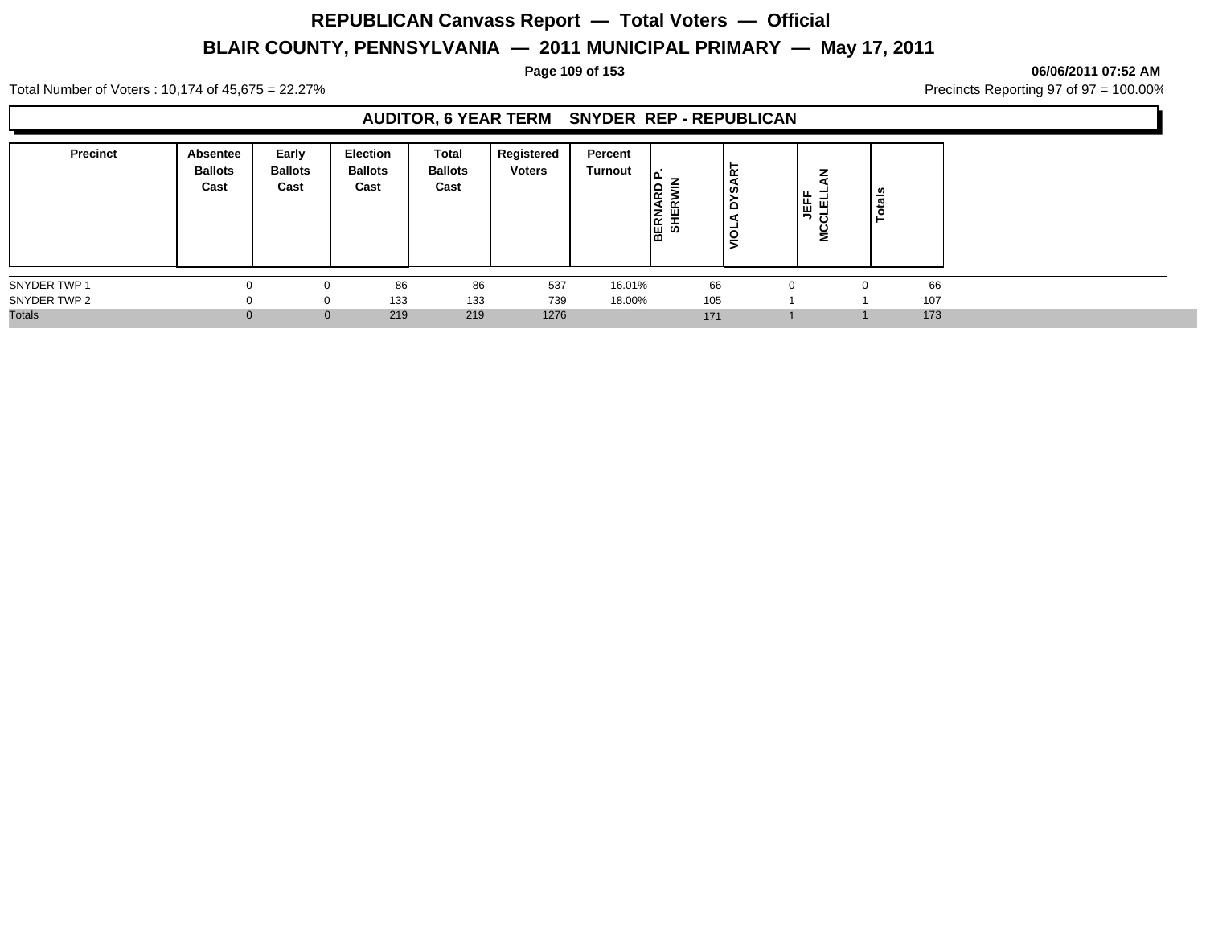#### **Page 109 of 153 06/06/2011 07:52 AM**

Total Number of Voters : 10,174 of 45,675 = 22.27% **Precincts Reporting 97 of 97 = 100.00%** Precincts Reporting 97 of 97 = 100.00%

### **AUDITOR, 6 YEAR TERM SNYDER REP - REPUBLICAN**

| <b>Precinct</b> | Absentee<br><b>Ballots</b><br>Cast | Early<br><b>Ballots</b><br>Cast | <b>Election</b><br><b>Ballots</b><br>Cast | <b>Total</b><br><b>Ballots</b><br>Cast | Registered<br><b>Voters</b> | Percent<br>Turnout | ١۵<br><b>BERNARD</b><br>SHERWIN | ΙĀ<br>Š<br>$\Omega$<br>š | <b>JEFF</b><br>CLELL<br>2 | otals |     |
|-----------------|------------------------------------|---------------------------------|-------------------------------------------|----------------------------------------|-----------------------------|--------------------|---------------------------------|--------------------------|---------------------------|-------|-----|
| SNYDER TWP 1    |                                    |                                 | 86                                        | 86                                     | 537                         | 16.01%             |                                 | 66                       | $\Omega$                  |       | 66  |
| SNYDER TWP 2    |                                    |                                 | 133                                       | 133                                    | 739                         | 18.00%             | 105                             |                          |                           |       | 107 |
| <b>Totals</b>   |                                    | $\overline{0}$                  | 219                                       | 219                                    | 1276                        |                    | 171                             |                          |                           |       | 173 |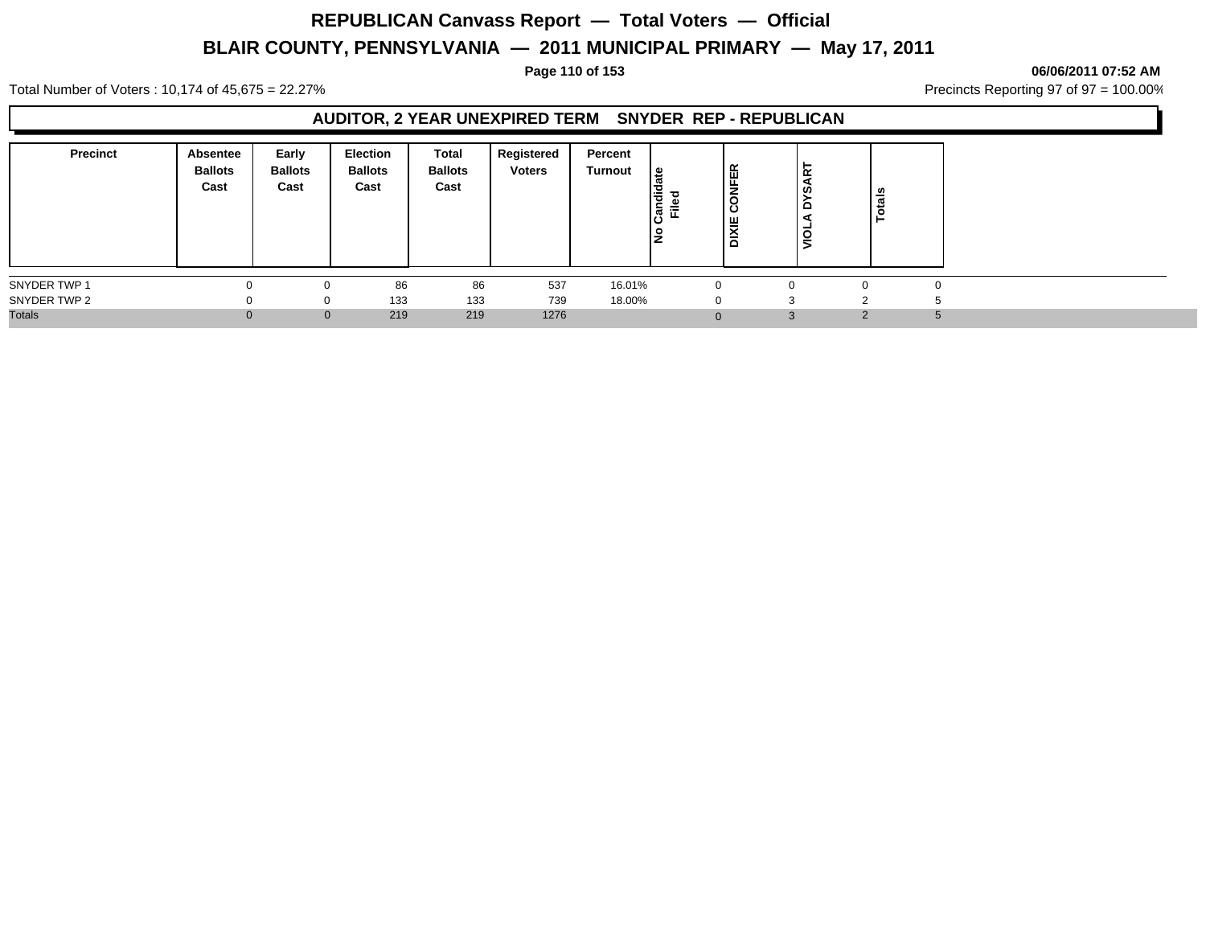### **Page 110 of 153 06/06/2011 07:52 AM**

Total Number of Voters : 10,174 of 45,675 = 22.27% **Precincts Reporting 97 of 97 = 100.00%** Precincts Reporting 97 of 97 = 100.00%

### **AUDITOR, 2 YEAR UNEXPIRED TERM SNYDER REP - REPUBLICAN**

| <b>Precinct</b> | Absentee<br><b>Ballots</b><br>Cast | Early<br><b>Ballots</b><br>Cast | Election<br><b>Ballots</b><br>Cast | Total<br><b>Ballots</b><br>Cast | Registered<br><b>Voters</b> | Percent<br>Turnout | ¦≌<br>∣ਵੈਂ<br><u>ام</u><br>ā | <b>VFER</b><br>$\circ$<br>ن<br>XΙΕ<br>ã | Ĕ<br>  ဟ<br>۰<br>gl | នឹ<br>÷ |   |
|-----------------|------------------------------------|---------------------------------|------------------------------------|---------------------------------|-----------------------------|--------------------|------------------------------|-----------------------------------------|---------------------|---------|---|
| SNYDER TWP 1    |                                    |                                 | 86                                 | 86                              | 537                         | 16.01%             |                              | $\Omega$                                | n                   |         |   |
| SNYDER TWP 2    |                                    | $\Omega$                        | 133                                | 133                             | 739                         | 18.00%             |                              | $\Omega$                                |                     |         |   |
| <b>Totals</b>   |                                    | $\mathbf{0}$                    | 219                                | 219                             | 1276                        |                    |                              |                                         | $\Omega$            | $\sim$  | 5 |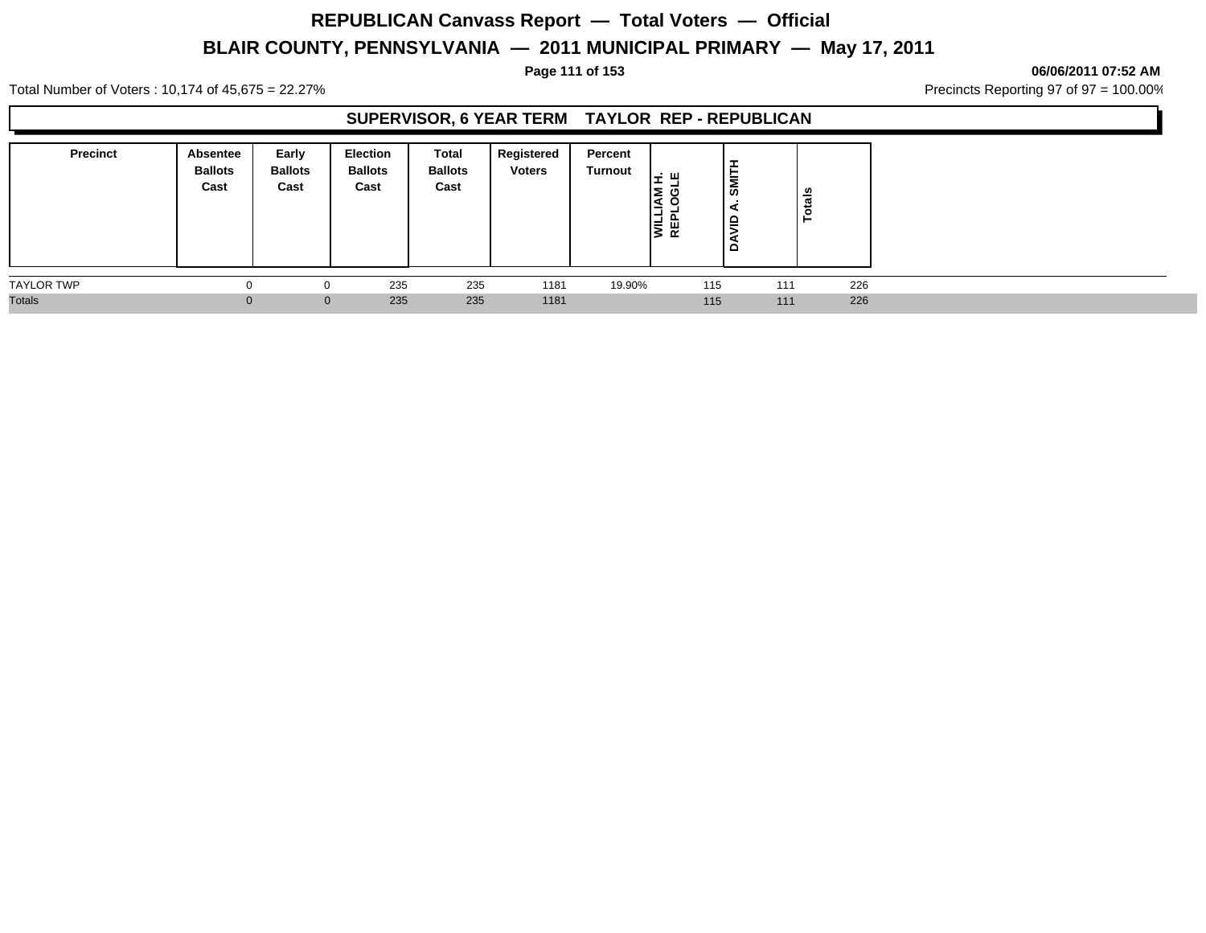**Page 111 of 153 06/06/2011 07:52 AM**

Total Number of Voters : 10,174 of 45,675 = 22.27% **Precincts Reporting 97 of 97 = 100.00%** Precincts Reporting 97 of 97 = 100.00%

### **SUPERVISOR, 6 YEAR TERM TAYLOR REP - REPUBLICAN**

| <b>Precinct</b>   | <b>Absentee</b><br><b>Ballots</b><br>Cast | Early<br><b>Ballots</b><br>Cast | <b>Election</b><br><b>Ballots</b><br>Cast | Total<br><b>Ballots</b><br>Cast | Registered<br><b>Voters</b> | Percent<br><b>Turnout</b> | ÷ш.<br>lΣ<br>ט<br>ıФ<br>이 기 | ÷<br>亡<br><b>IMI</b><br>을<br>$\Omega$ | Totals     |  |
|-------------------|-------------------------------------------|---------------------------------|-------------------------------------------|---------------------------------|-----------------------------|---------------------------|-----------------------------|---------------------------------------|------------|--|
| <b>TAYLOR TWP</b> |                                           |                                 | 235                                       | 235                             | 1181                        | 19.90%                    | 115                         |                                       | 226<br>111 |  |
| <b>Totals</b>     |                                           |                                 | 235<br>$\overline{0}$                     | 235                             | 1181                        |                           | 115                         |                                       | 226<br>111 |  |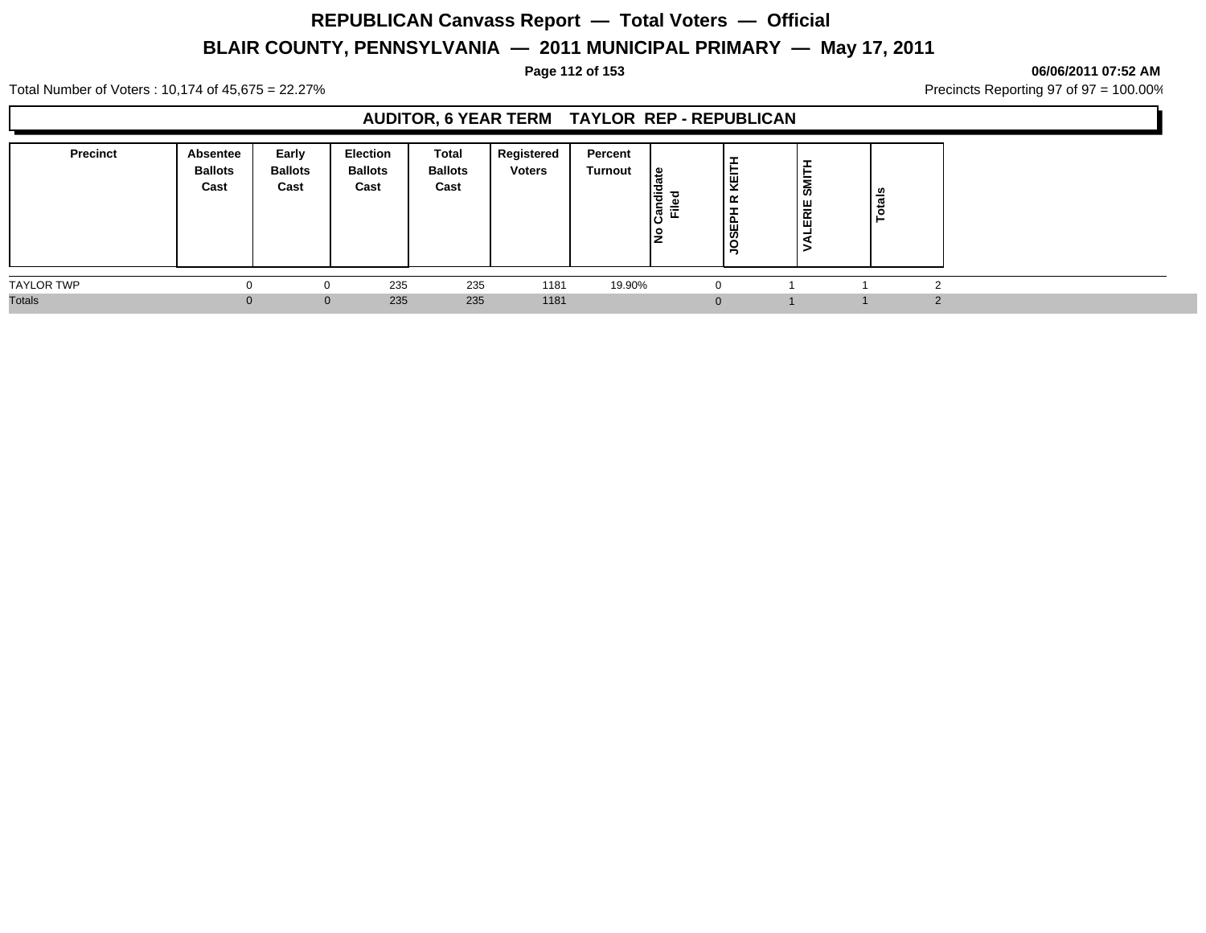**Page 112 of 153 06/06/2011 07:52 AM**

Total Number of Voters : 10,174 of 45,675 = 22.27% **Precincts Reporting 97 of 97 = 100.00%** Precincts Reporting 97 of 97 = 100.00%

### **AUDITOR, 6 YEAR TERM TAYLOR REP - REPUBLICAN**

| <b>Precinct</b>   | Absentee<br><b>Ballots</b><br>Cast | Early<br><b>Ballots</b><br>Cast | Election<br><b>Ballots</b><br>Cast | <b>Total</b><br><b>Ballots</b><br>Cast | <b>Registered</b><br><b>Voters</b> | Percent<br><b>Turnout</b> | ഇ<br>Candi<br>ᇃ<br>Φ<br>Ē | ÷<br>KEIT<br>≃<br><b>SEP</b><br>ğ | -<br>SMITH<br>ALERIE | els |            |
|-------------------|------------------------------------|---------------------------------|------------------------------------|----------------------------------------|------------------------------------|---------------------------|---------------------------|-----------------------------------|----------------------|-----|------------|
| <b>TAYLOR TWP</b> | 0                                  |                                 | 235                                | 235                                    | 1181                               | 19.90%                    |                           | -0                                |                      |     | $\sqrt{2}$ |
| <b>Totals</b>     | 0.                                 | $\mathbf{0}$                    | 235                                | 235                                    | 1181                               |                           |                           |                                   |                      |     | $\Omega$   |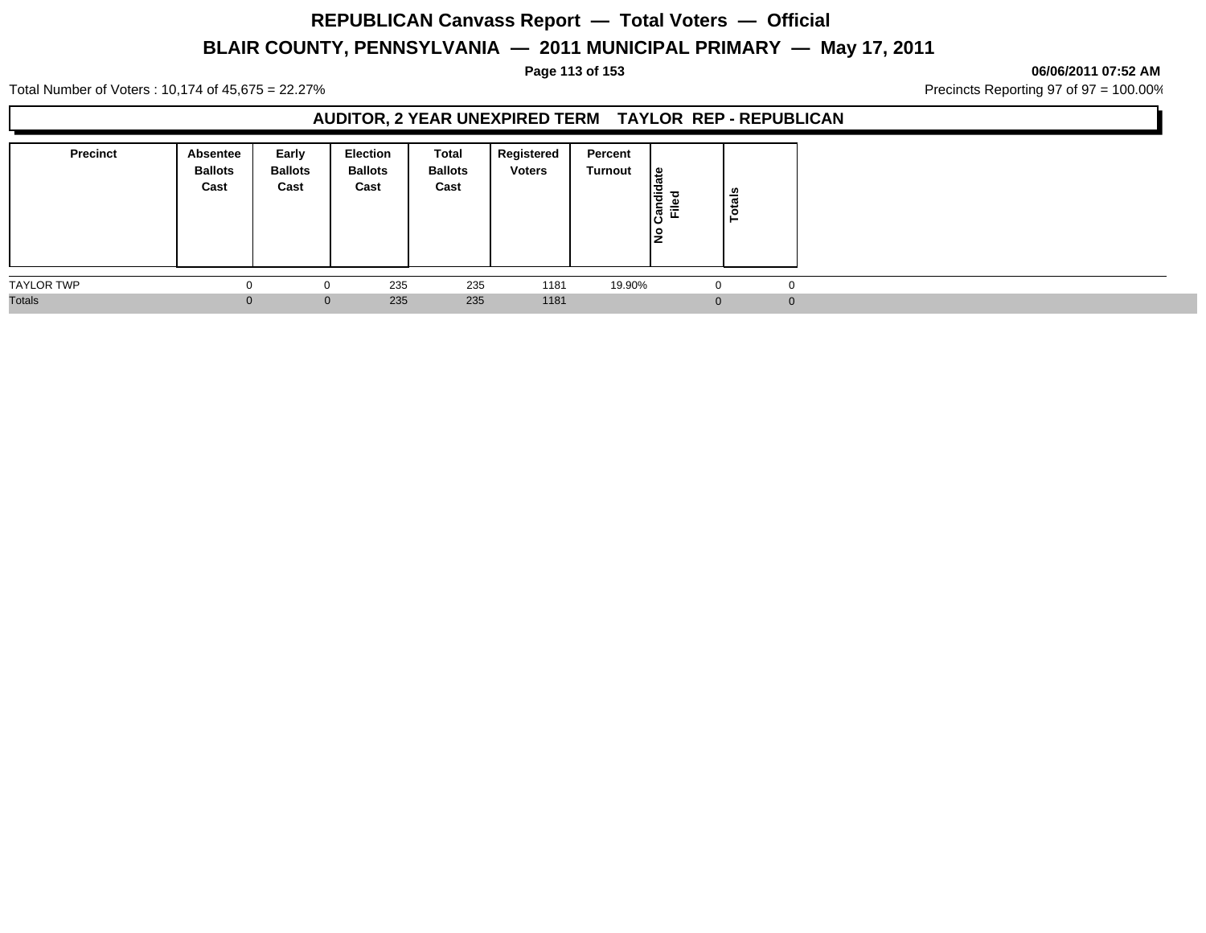### **Page 113 of 153 06/06/2011 07:52 AM**

Total Number of Voters : 10,174 of 45,675 = 22.27% **Precincts Reporting 97 of 97 = 100.00%** Precincts Reporting 97 of 97 = 100.00%

### **AUDITOR, 2 YEAR UNEXPIRED TERM TAYLOR REP - REPUBLICAN**

| <b>Precinct</b>   | Absentee<br><b>Ballots</b><br>Cast | Early<br><b>Ballots</b><br>Cast | <b>Election</b><br><b>Ballots</b><br>Cast | Total<br><b>Ballots</b><br>Cast | Registered<br><b>Voters</b> | Percent<br>Turnout | <sub>සි</sub><br>Candid<br>Filed | Totals   |
|-------------------|------------------------------------|---------------------------------|-------------------------------------------|---------------------------------|-----------------------------|--------------------|----------------------------------|----------|
| <b>TAYLOR TWP</b> |                                    | $\mathbf{0}$                    | 235                                       | 235                             | 1181                        | 19.90%             | $\mathbf{0}$                     |          |
| <b>Totals</b>     | 0                                  | $\mathbf 0$                     | 235                                       | 235                             | 1181                        |                    | $\Omega$                         | $\Omega$ |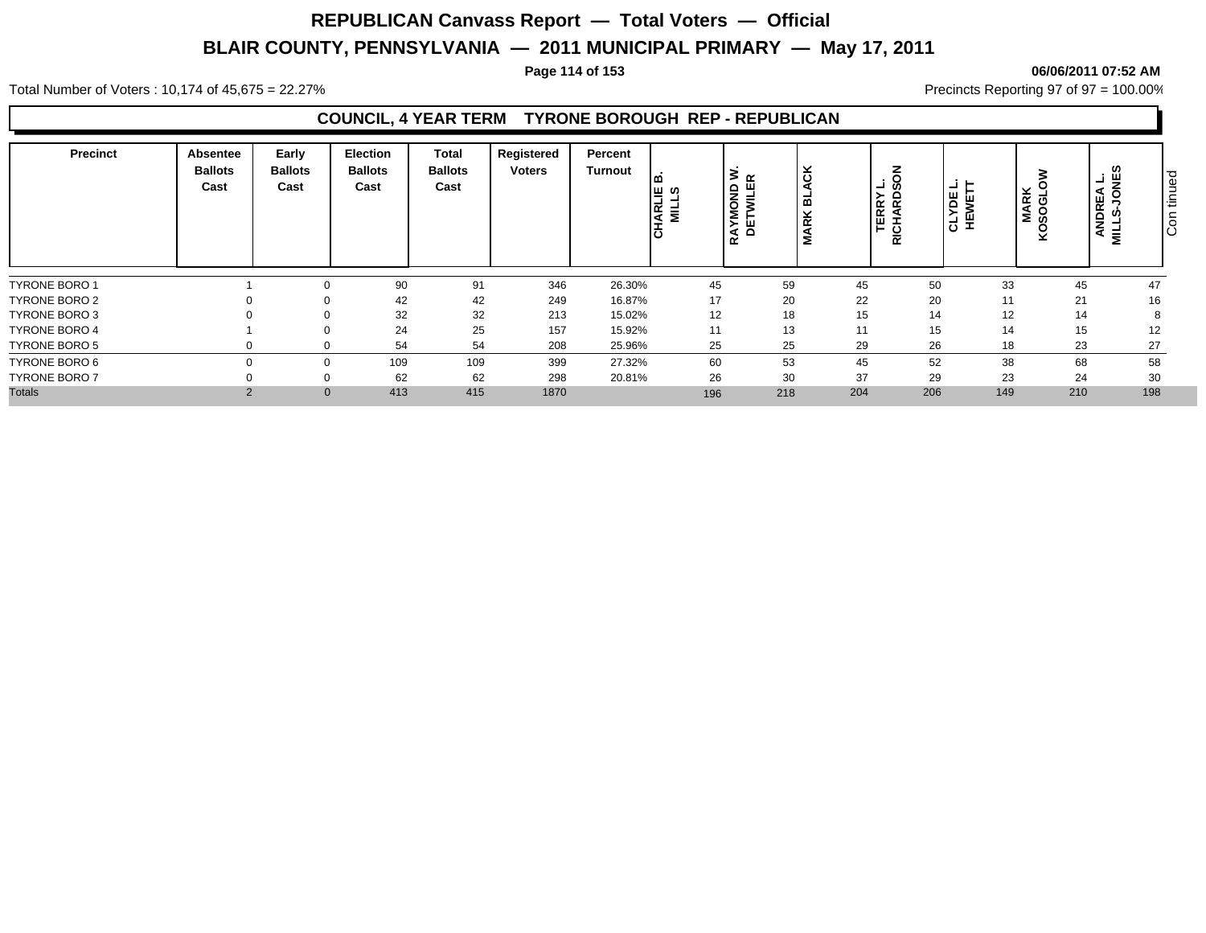### **Page 114 of 153 06/06/2011 07:52 AM**

Total Number of Voters : 10,174 of 45,675 = 22.27% **Precincts Reporting 97 of 97 = 100.00%** Precincts Reporting 97 of 97 = 100.00%

### **COUNCIL, 4 YEAR TERM TYRONE BOROUGH REP - REPUBLICAN**

| <b>Precinct</b>      | <b>Absentee</b><br><b>Ballots</b><br>Cast | Early<br><b>Ballots</b><br>Cast | Election<br><b>Ballots</b><br>Cast | <b>Total</b><br><b>Ballots</b><br>Cast | Registered<br><b>Voters</b> | Percent<br>Turnout | ⊔္မ္း ဟု<br><b>CHARI</b><br>MIL | $\alpha$<br>ш<br>$\frac{1}{5}$<br>ᆯ<br>><br>Š<br>뷤<br>$\alpha$ | ιš<br>ᆱ<br>⊻<br>$\alpha$ |     | . ō<br>┙<br>TERRY<br>RICHARDS | , ⊒i ⊫ j<br>CLYDE<br>HEWET | <b>MARK</b><br>SOGLC<br><u>ç</u> |     | و نـ<br>ס ו<br>ANDREA<br>l÷<br>ΙÖ<br>Ē | ğ<br>$\overline{\phantom{0}}$<br>$\overline{O}$ |
|----------------------|-------------------------------------------|---------------------------------|------------------------------------|----------------------------------------|-----------------------------|--------------------|---------------------------------|----------------------------------------------------------------|--------------------------|-----|-------------------------------|----------------------------|----------------------------------|-----|----------------------------------------|-------------------------------------------------|
| <b>TYRONE BORO 1</b> |                                           |                                 | 90                                 | 91                                     | 346                         | 26.30%             | 45                              |                                                                | 59                       | 45  | 50                            |                            | 33                               | 45  | 47                                     |                                                 |
| <b>TYRONE BORO 2</b> |                                           | $\Omega$                        | 42                                 | 42                                     | 249                         | 16.87%             | 17                              |                                                                | 20                       | 22  | 20                            |                            | 11                               | 21  | 16                                     |                                                 |
| TYRONE BORO 3        |                                           |                                 | 32                                 | 32                                     | 213                         | 15.02%             | 12                              |                                                                | 18                       | 15  | 14                            |                            | 12                               | 14  |                                        |                                                 |
| <b>TYRONE BORO 4</b> |                                           |                                 | 24                                 | 25                                     | 157                         | 15.92%             | 11                              |                                                                | 13                       | 11  | 15                            |                            | 14                               | 15  | 12                                     |                                                 |
| <b>TYRONE BORO 5</b> |                                           |                                 | 54                                 | 54                                     | 208                         | 25.96%             | 25                              |                                                                | 25                       | 29  | 26                            |                            | 18                               | 23  | 27                                     |                                                 |
| TYRONE BORO 6        |                                           |                                 | 109                                | 109                                    | 399                         | 27.32%             | 60                              |                                                                | 53                       | 45  | 52                            |                            | 38                               | 68  | 58                                     |                                                 |
| <b>TYRONE BORO 7</b> |                                           |                                 | 62                                 | 62                                     | 298                         | 20.81%             | 26                              |                                                                | 30                       | 37  | 29                            |                            | 23                               | 24  | 30                                     |                                                 |
| <b>Totals</b>        | $\overline{2}$                            |                                 | 413<br>$\mathbf{0}$                | 415                                    | 1870                        |                    | 196                             |                                                                | 218                      | 204 | 206                           |                            | 149                              | 210 | 198                                    |                                                 |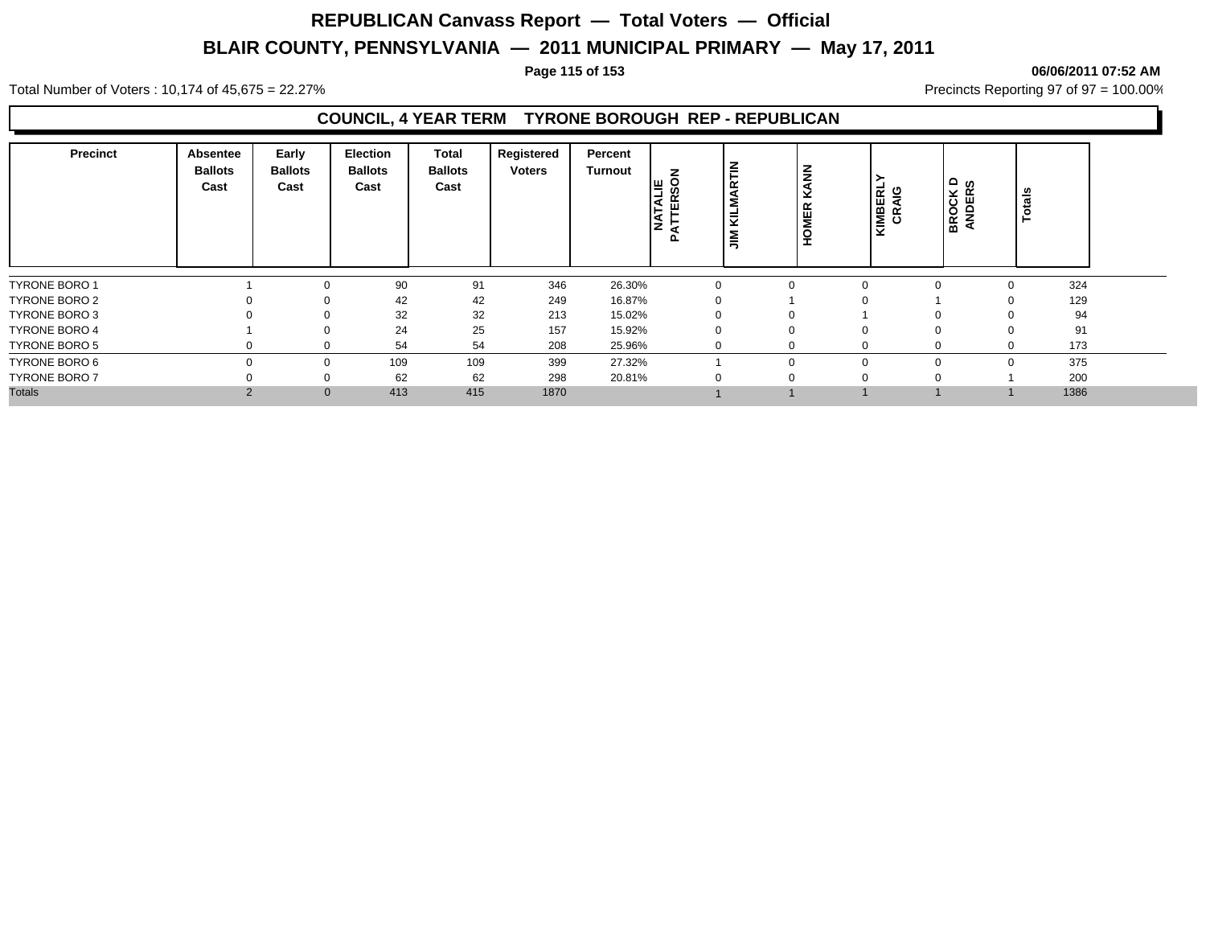#### **Page 115 of 153 06/06/2011 07:52 AM**

Total Number of Voters : 10,174 of 45,675 = 22.27% **Precincts Reporting 97 of 97 = 100.00%** Precincts Reporting 97 of 97 = 100.00%

### **COUNCIL, 4 YEAR TERM TYRONE BOROUGH REP - REPUBLICAN**

| <b>Precinct</b>      | Absentee<br><b>Ballots</b><br>Cast | Early<br><b>Ballots</b><br>Cast | <b>Election</b><br><b>Ballots</b><br>Cast | Total<br><b>Ballots</b><br>Cast | Registered<br><b>Voters</b> | Percent<br>Turnout | z<br>l≡ ⊗<br>₹<br>≃<br>ш<br>ΪŠ<br>മ | 즡<br>$\overline{\phantom{0}}$<br>≧ | $\sum_{k=1}^{N}$<br>×<br><b>MER</b><br>훞 | KIMBERLY<br>CRAIG | ≏ ഗ<br>⊻ ∝<br><b>BROCH</b> | Totals   |      |  |
|----------------------|------------------------------------|---------------------------------|-------------------------------------------|---------------------------------|-----------------------------|--------------------|-------------------------------------|------------------------------------|------------------------------------------|-------------------|----------------------------|----------|------|--|
| <b>TYRONE BORO 1</b> |                                    |                                 | 90                                        | 91                              | 346                         | 26.30%             |                                     |                                    |                                          | $\Omega$          |                            |          | 324  |  |
| TYRONE BORO 2        |                                    |                                 | 42                                        | 42                              | 249                         | 16.87%             |                                     |                                    |                                          | $\Omega$          |                            |          | 129  |  |
| TYRONE BORO 3        |                                    |                                 | 32                                        | 32                              | 213                         | 15.02%             |                                     |                                    | $\Omega$                                 |                   | 0                          |          | 94   |  |
| <b>TYRONE BORO 4</b> |                                    |                                 | 24                                        | 25                              | 157                         | 15.92%             |                                     |                                    | $\Omega$                                 | $\Omega$          | 0                          |          | 91   |  |
| TYRONE BORO 5        |                                    |                                 | 54                                        | 54                              | 208                         | 25.96%             |                                     |                                    | $\Omega$                                 | -0                | 0                          | $\Omega$ | 173  |  |
| TYRONE BORO 6        |                                    | $\Omega$                        | 109                                       | 109                             | 399                         | 27.32%             |                                     |                                    | $\Omega$                                 | $\Omega$          | $\mathbf 0$                | $\Omega$ | 375  |  |
| <b>TYRONE BORO 7</b> |                                    |                                 | 62                                        | 62                              | 298                         | 20.81%             |                                     |                                    |                                          | $\Omega$          |                            |          | 200  |  |
| <b>Totals</b>        | $\overline{2}$                     |                                 | 413                                       | 415                             | 1870                        |                    |                                     |                                    |                                          |                   |                            |          | 1386 |  |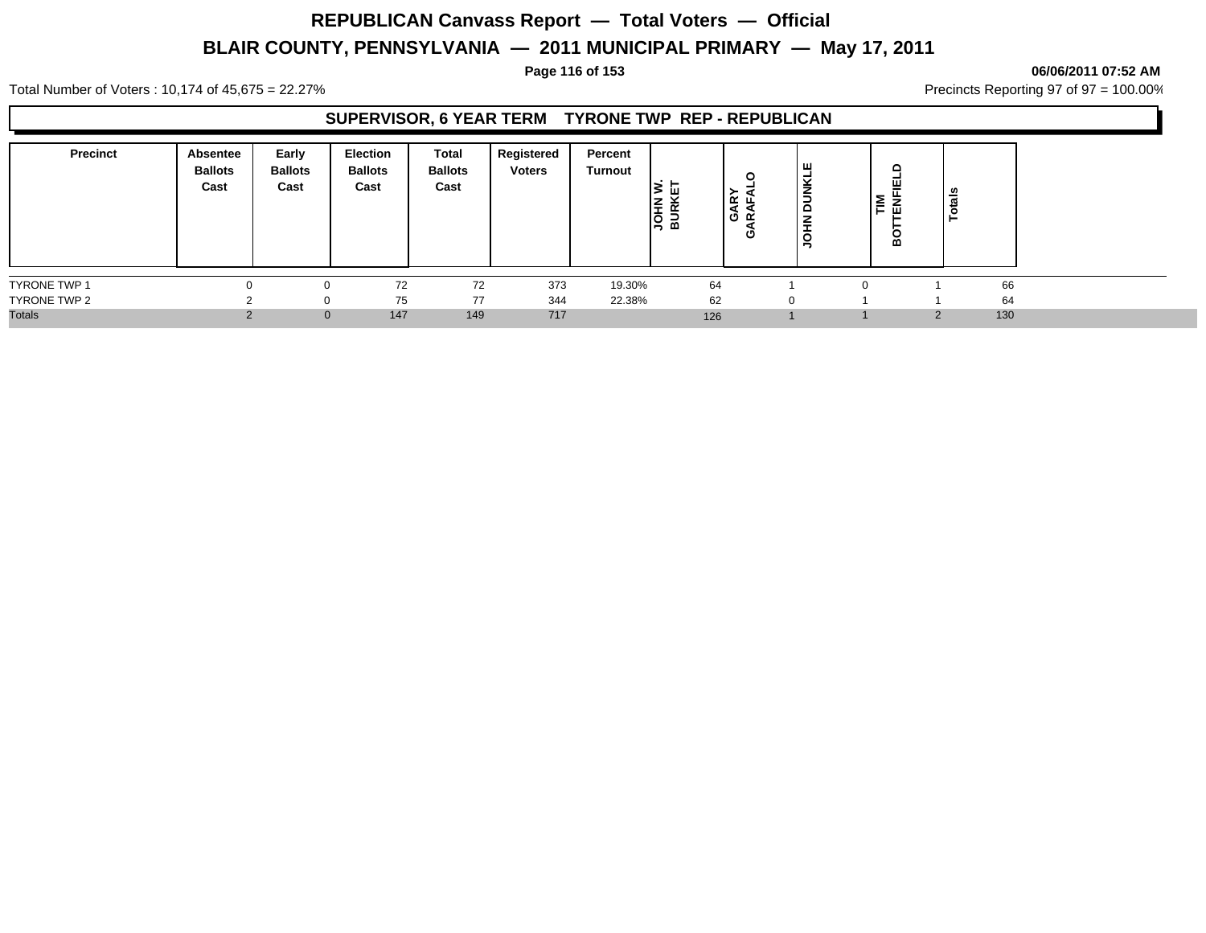#### **Page 116 of 153 06/06/2011 07:52 AM**

Total Number of Voters : 10,174 of 45,675 = 22.27% **Precincts Reporting 97 of 97 = 100.00%** Precincts Reporting 97 of 97 = 100.00%

### **SUPERVISOR, 6 YEAR TERM TYRONE TWP REP - REPUBLICAN**

| <b>Precinct</b>     | Absentee<br><b>Ballots</b><br>Cast | Early<br><b>Ballots</b><br>Cast | Election<br><b>Ballots</b><br>Cast | Total<br><b>Ballots</b><br>Cast | Registered<br><b>Voters</b> | Percent<br>Turnout | ш<br><b>RE</b><br>BUR<br>BUR | ≻<br>GAR'<br>RAFJ<br>c | ш<br>Ξ<br>z<br>÷ | $\Omega$<br>쁘<br>-<br>⇁<br>'≗<br>╺<br>-<br>Ö<br>ه | otals |  |
|---------------------|------------------------------------|---------------------------------|------------------------------------|---------------------------------|-----------------------------|--------------------|------------------------------|------------------------|------------------|---------------------------------------------------|-------|--|
| <b>TYRONE TWP 1</b> |                                    | $\Omega$                        | 72                                 | 72                              | 373                         | 19.30%             | 64                           |                        |                  |                                                   | 66    |  |
| TYRONE TWP 2        |                                    | $\Omega$                        | 75                                 | 77                              | 344                         | 22.38%             | 62                           |                        |                  |                                                   | 64    |  |
| <b>Totals</b>       |                                    | $\mathbf 0$                     | 147                                | 149                             | 717                         |                    | 126                          |                        |                  | C                                                 | 130   |  |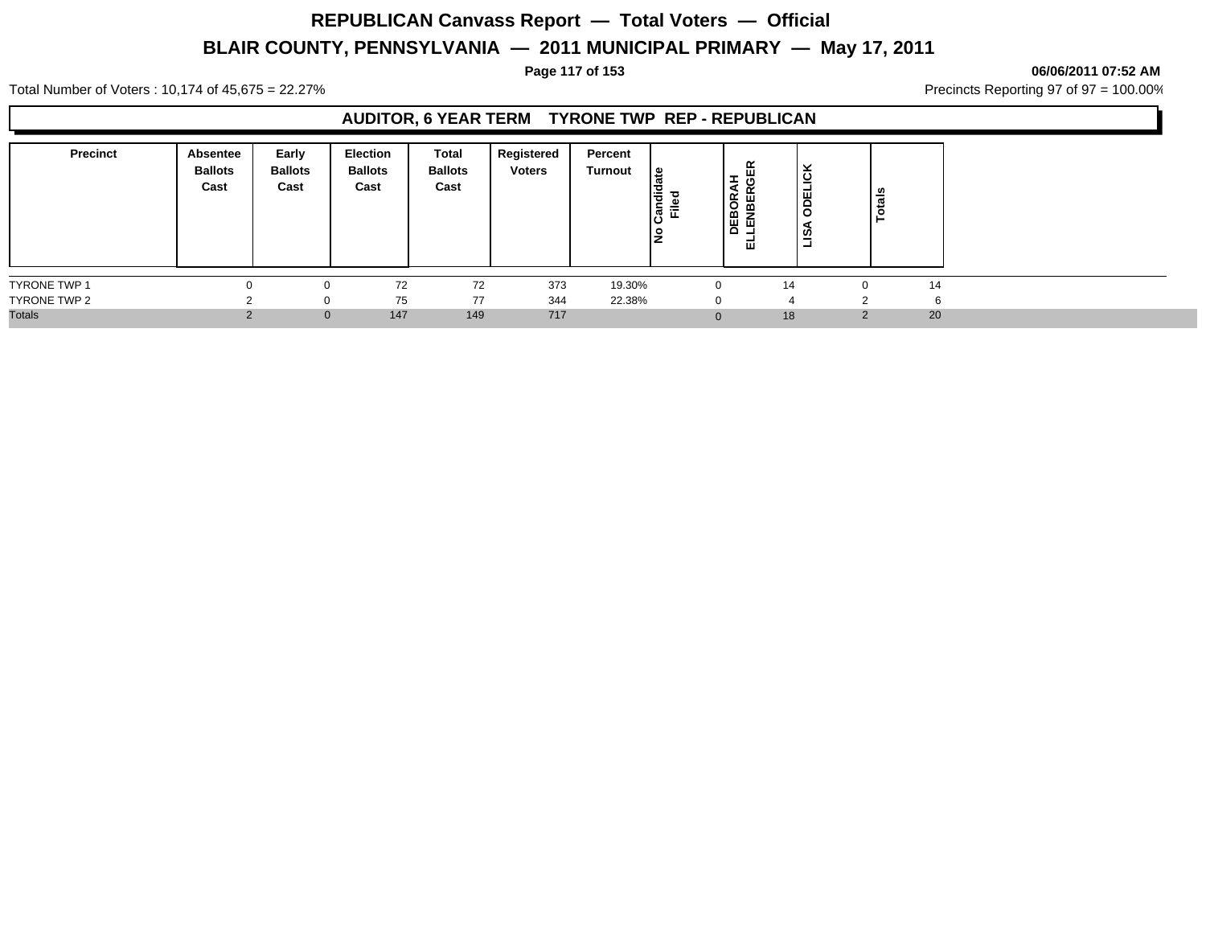#### **Page 117 of 153 06/06/2011 07:52 AM**

Total Number of Voters : 10,174 of 45,675 = 22.27% **Precincts Reporting 97 of 97 = 100.00%** Precincts Reporting 97 of 97 = 100.00%

### **AUDITOR, 6 YEAR TERM TYRONE TWP REP - REPUBLICAN**

| <b>Precinct</b>     | <b>Absentee</b><br><b>Ballots</b><br>Cast | Early<br><b>Ballots</b><br>Cast | <b>Election</b><br><b>Ballots</b><br>Cast | Total<br><b>Ballots</b><br>Cast | Registered<br><b>Voters</b> | Percent<br>Turnout | ீ<br>andio<br>Filed | 띥<br>玉<br>DEBORA<br>LENBERO<br>ᇳ | ⊻<br>DELICI<br>$\circ$<br>я<br>قت | otals |    |
|---------------------|-------------------------------------------|---------------------------------|-------------------------------------------|---------------------------------|-----------------------------|--------------------|---------------------|----------------------------------|-----------------------------------|-------|----|
| <b>TYRONE TWP 1</b> |                                           | n                               | 72                                        | 72                              | 373                         | 19.30%             |                     |                                  | 14                                |       | 14 |
| TYRONE TWP 2        |                                           | 0                               | 75                                        | 77                              | 344                         | 22.38%             |                     |                                  | 4                                 |       | G  |
| <b>Totals</b>       |                                           | $\mathbf{0}$                    | 147                                       | 149                             | 717                         |                    |                     | $\Omega$                         | 18                                | ົ     | 20 |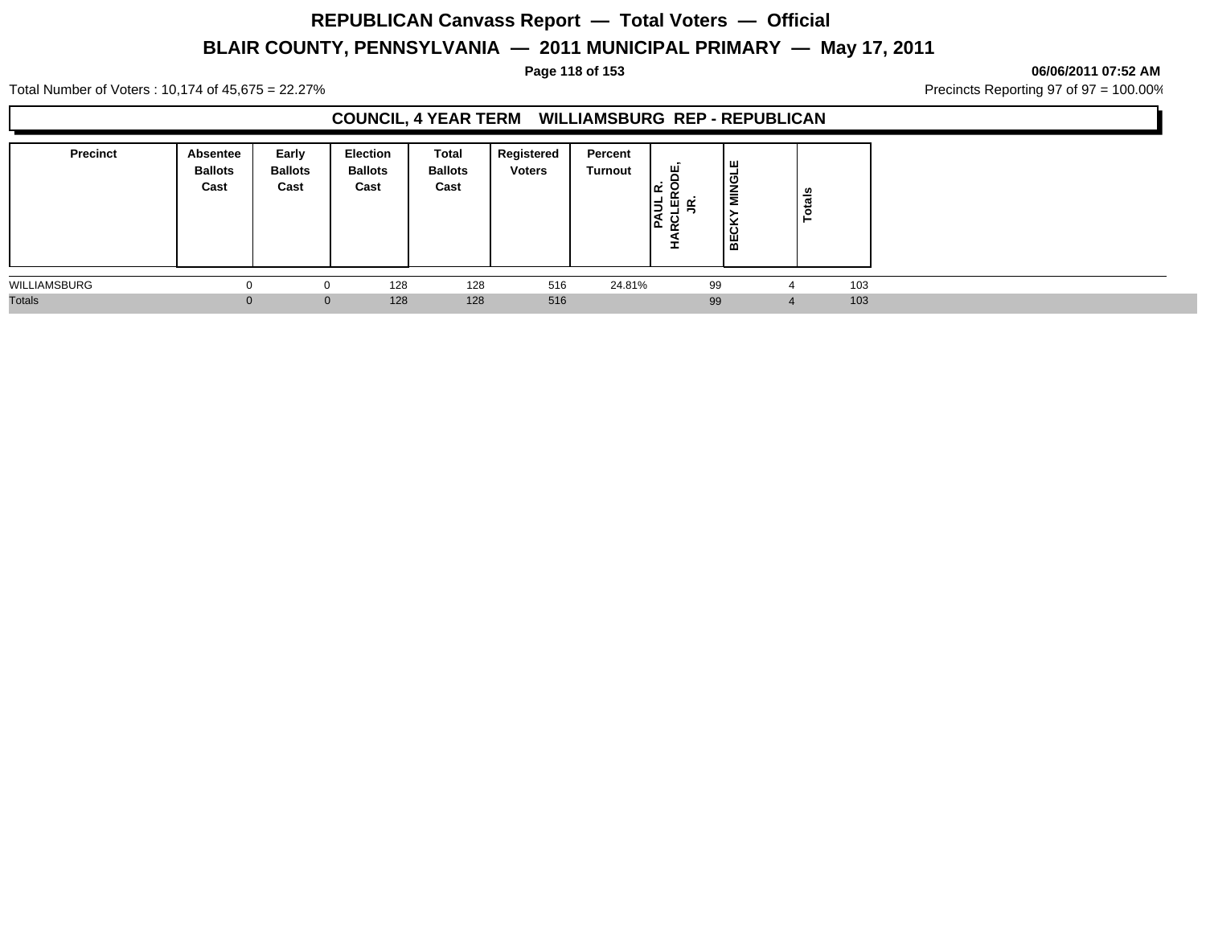#### **Page 118 of 153 06/06/2011 07:52 AM**

Total Number of Voters : 10,174 of 45,675 = 22.27% **Precincts Reporting 97 of 97 = 100.00%** Precincts Reporting 97 of 97 = 100.00%

### **COUNCIL, 4 YEAR TERM WILLIAMSBURG REP - REPUBLICAN**

| <b>Precinct</b> | Absentee<br><b>Ballots</b><br>Cast | Early<br><b>Ballots</b><br>Cast | <b>Election</b><br><b>Ballots</b><br>Cast | Total<br><b>Ballots</b><br>Cast | Registered<br><b>Voters</b> | Percent<br>Turnout | 晋<br>اعدا<br>1월 몇 억<br>-<br>آ ڪا<br>œ<br>ᅩ | Iщ<br><b>MINGL</b><br>ັ<br>$\overline{BC}$ | otals<br>- |  |
|-----------------|------------------------------------|---------------------------------|-------------------------------------------|---------------------------------|-----------------------------|--------------------|--------------------------------------------|--------------------------------------------|------------|--|
| WILLIAMSBURG    | O                                  | 0                               | 128                                       | 128                             | 516                         | 24.81%             | 99                                         |                                            | 103<br>4   |  |
| <b>Totals</b>   |                                    | $\mathbf{0}$                    | 128                                       | 128                             | 516                         |                    | 99                                         |                                            | 103        |  |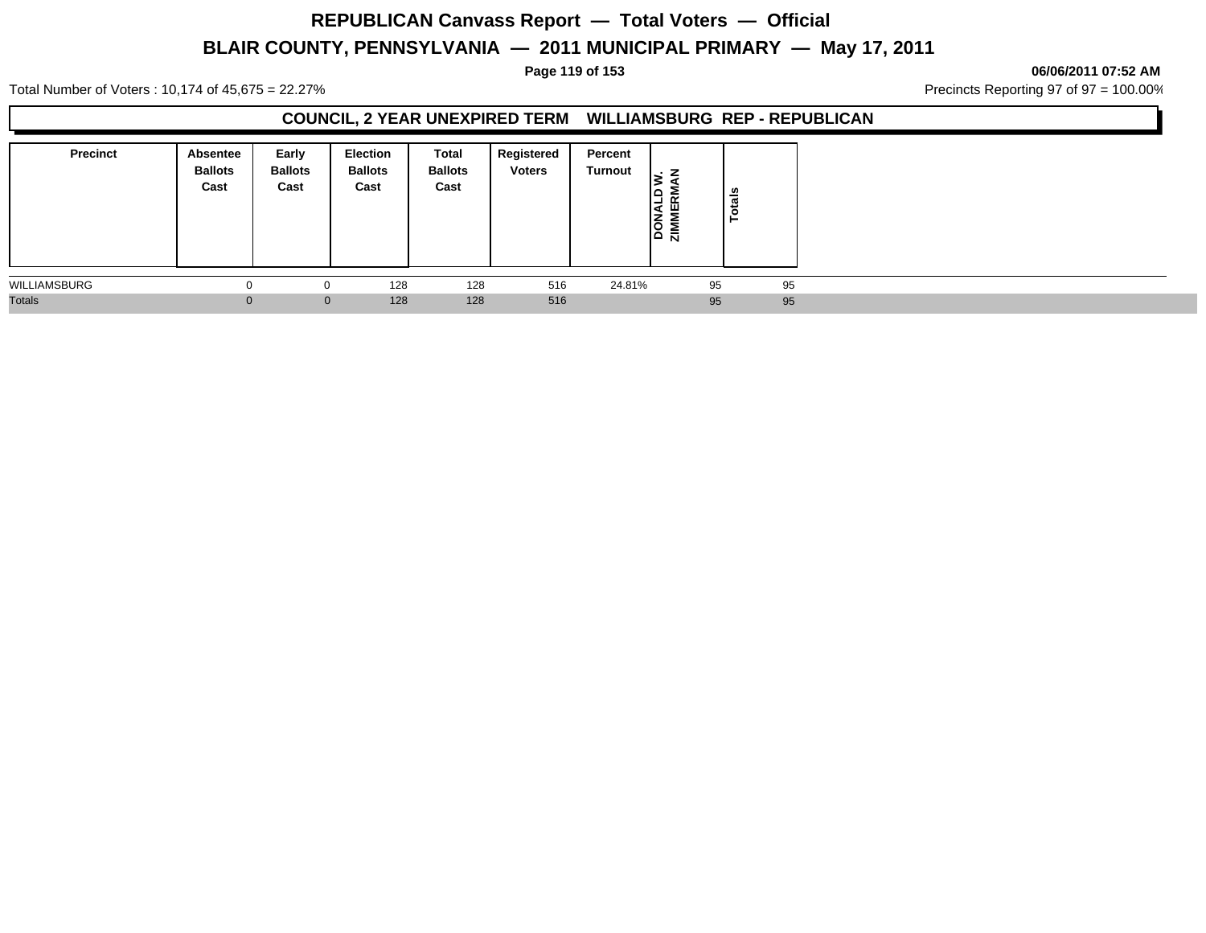# **REPUBLICAN Canvass Report — Total Voters — Official**

# **BLAIR COUNTY, PENNSYLVANIA — 2011 MUNICIPAL PRIMARY — May 17, 2011**

**Page 119 of 153 06/06/2011 07:52 AM**

Total Number of Voters : 10,174 of 45,675 = 22.27% **Precincts Reporting 97 of 97 = 100.00%** Precincts Reporting 97 of 97 = 100.00%

### **COUNCIL, 2 YEAR UNEXPIRED TERM WILLIAMSBURG REP - REPUBLICAN**

| <b>Precinct</b> | <b>Absentee</b><br><b>Ballots</b><br>Cast | Early<br><b>Ballots</b><br>Cast | <b>Election</b><br><b>Ballots</b><br>Cast | Total<br><b>Ballots</b><br>Cast | Registered<br><b>Voters</b> | Percent<br>Turnout | z<br>阻<br>$\frac{1}{2}$ | Totals |    |
|-----------------|-------------------------------------------|---------------------------------|-------------------------------------------|---------------------------------|-----------------------------|--------------------|-------------------------|--------|----|
| WILLIAMSBURG    | $\Omega$                                  | $\mathbf{0}$                    | 128                                       | 128                             | 516                         | 24.81%             | 95                      |        | 95 |
| <b>Totals</b>   | 0                                         | $\mathbf{0}$                    | 128                                       | 128                             | 516                         |                    | 95                      |        | 95 |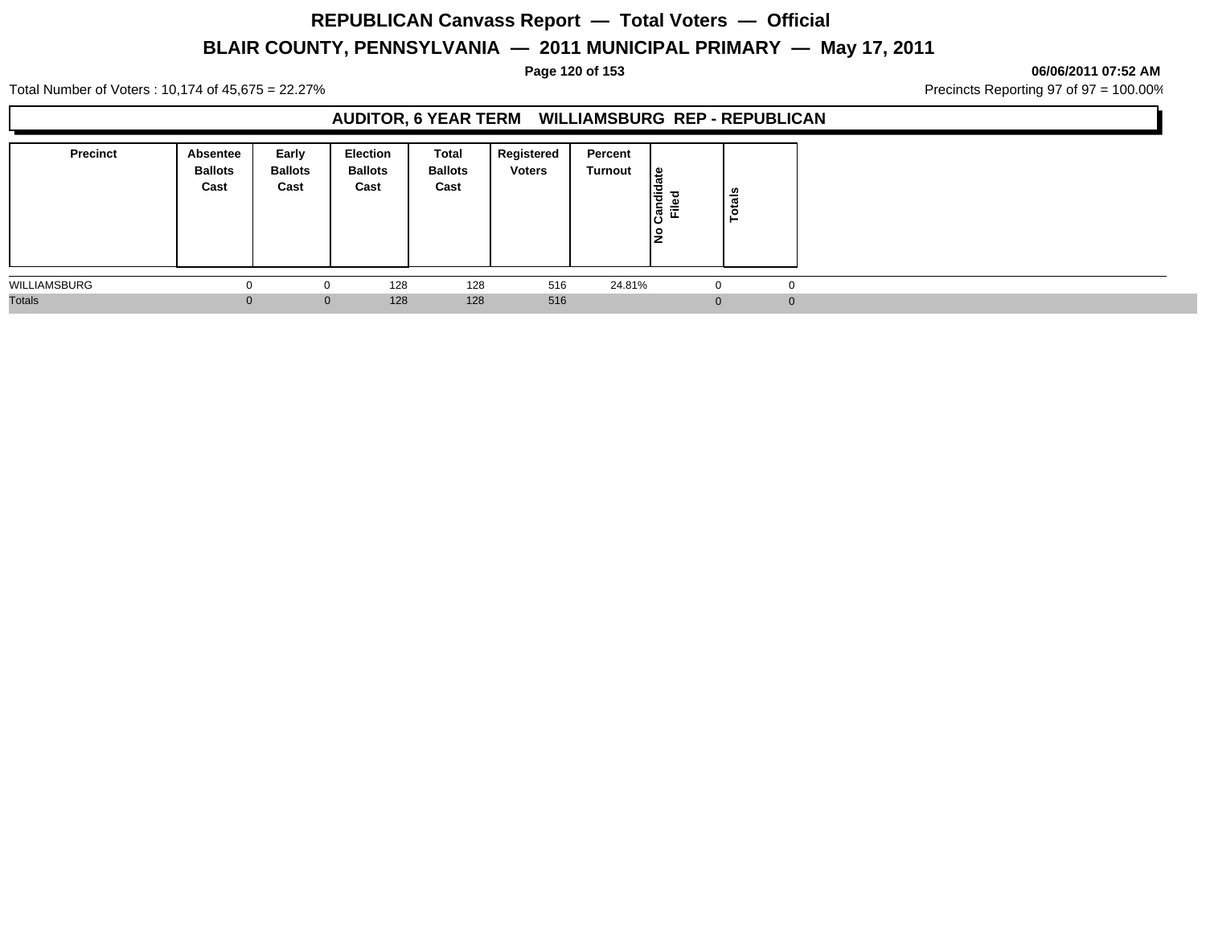#### **Page 120 of 153 06/06/2011 07:52 AM**

Total Number of Voters : 10,174 of 45,675 = 22.27% **Precincts Reporting 97 of 97 = 100.00%** Precincts Reporting 97 of 97 = 100.00%

### **AUDITOR, 6 YEAR TERM WILLIAMSBURG REP - REPUBLICAN**

| <b>Precinct</b> | Absentee<br><b>Ballots</b><br>Cast | Early<br><b>Ballots</b><br>Cast | <b>Election</b><br><b>Ballots</b><br>Cast | Total<br><b>Ballots</b><br>Cast | Registered<br><b>Voters</b> | Percent<br>Turnout | ∣≌<br>œ<br>I÷<br>ခြံ<br>Ē | otals<br>► |
|-----------------|------------------------------------|---------------------------------|-------------------------------------------|---------------------------------|-----------------------------|--------------------|---------------------------|------------|
| WILLIAMSBURG    |                                    |                                 | 128                                       | 128                             | 516                         | 24.81%             | 0                         |            |
| <b>Totals</b>   |                                    | $\mathbf{0}$                    | 128                                       | 128                             | 516                         |                    | $\Omega$                  |            |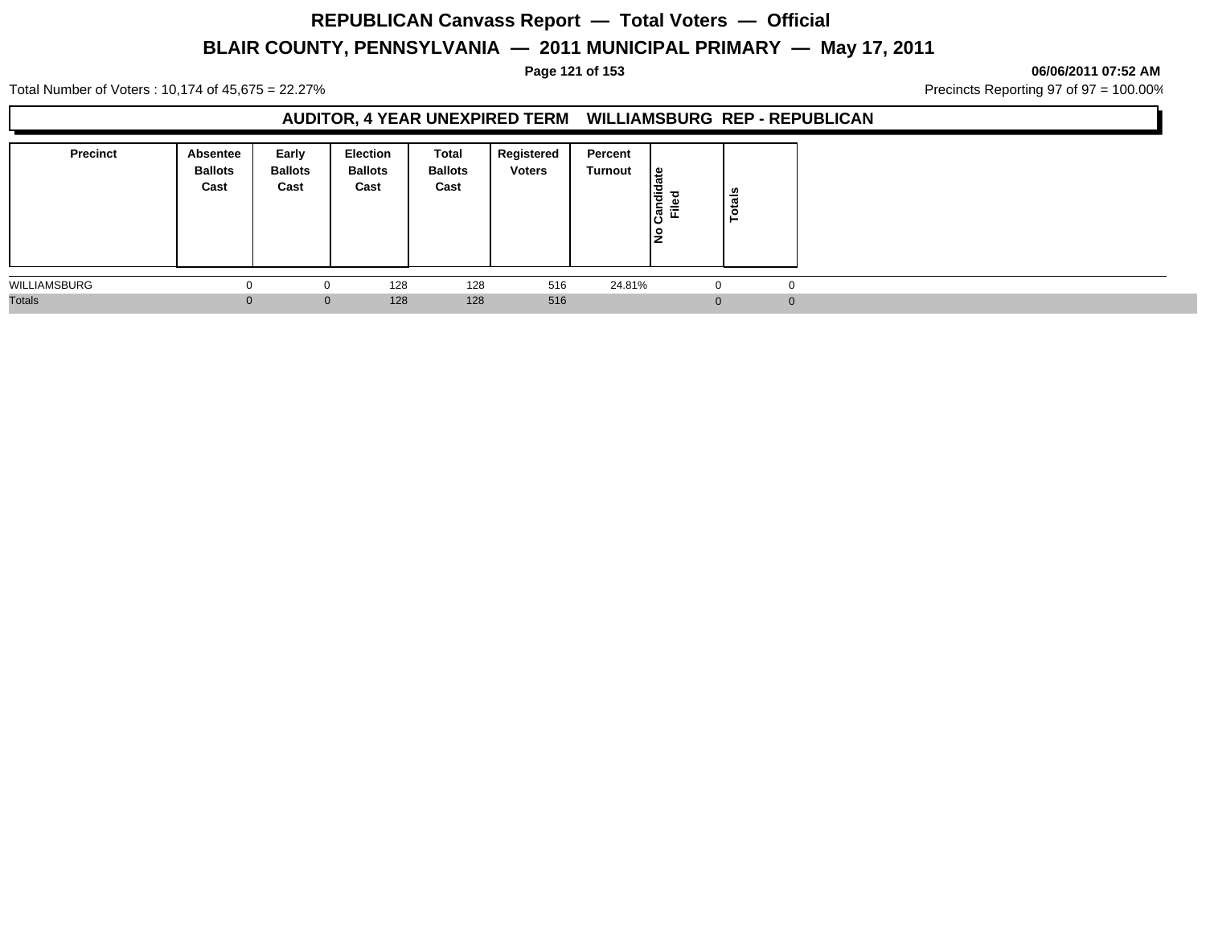# **REPUBLICAN Canvass Report — Total Voters — Official**

# **BLAIR COUNTY, PENNSYLVANIA — 2011 MUNICIPAL PRIMARY — May 17, 2011**

**Page 121 of 153 06/06/2011 07:52 AM**

Total Number of Voters : 10,174 of 45,675 = 22.27% **Precincts Reporting 97 of 97 = 100.00%** Precincts Reporting 97 of 97 = 100.00%

### **AUDITOR, 4 YEAR UNEXPIRED TERM WILLIAMSBURG REP - REPUBLICAN**

| <b>Precinct</b> | Absentee<br><b>Ballots</b><br>Cast | Early<br><b>Ballots</b><br>Cast | Election<br><b>Ballots</b><br>Cast | Total<br><b>Ballots</b><br>Cast | Registered<br><b>Voters</b> | Percent<br>Turnout | Candidate<br>Filed<br>۹ | <b>Totals</b> |  |
|-----------------|------------------------------------|---------------------------------|------------------------------------|---------------------------------|-----------------------------|--------------------|-------------------------|---------------|--|
| WILLIAMSBURG    |                                    | 0                               | 128                                | 128                             | 516                         | 24.81%             | $\mathbf{0}$            |               |  |
| <b>Totals</b>   | $\Omega$                           | $\mathbf{0}$                    | 128                                | 128                             | 516                         |                    | $\Omega$                | $\Omega$      |  |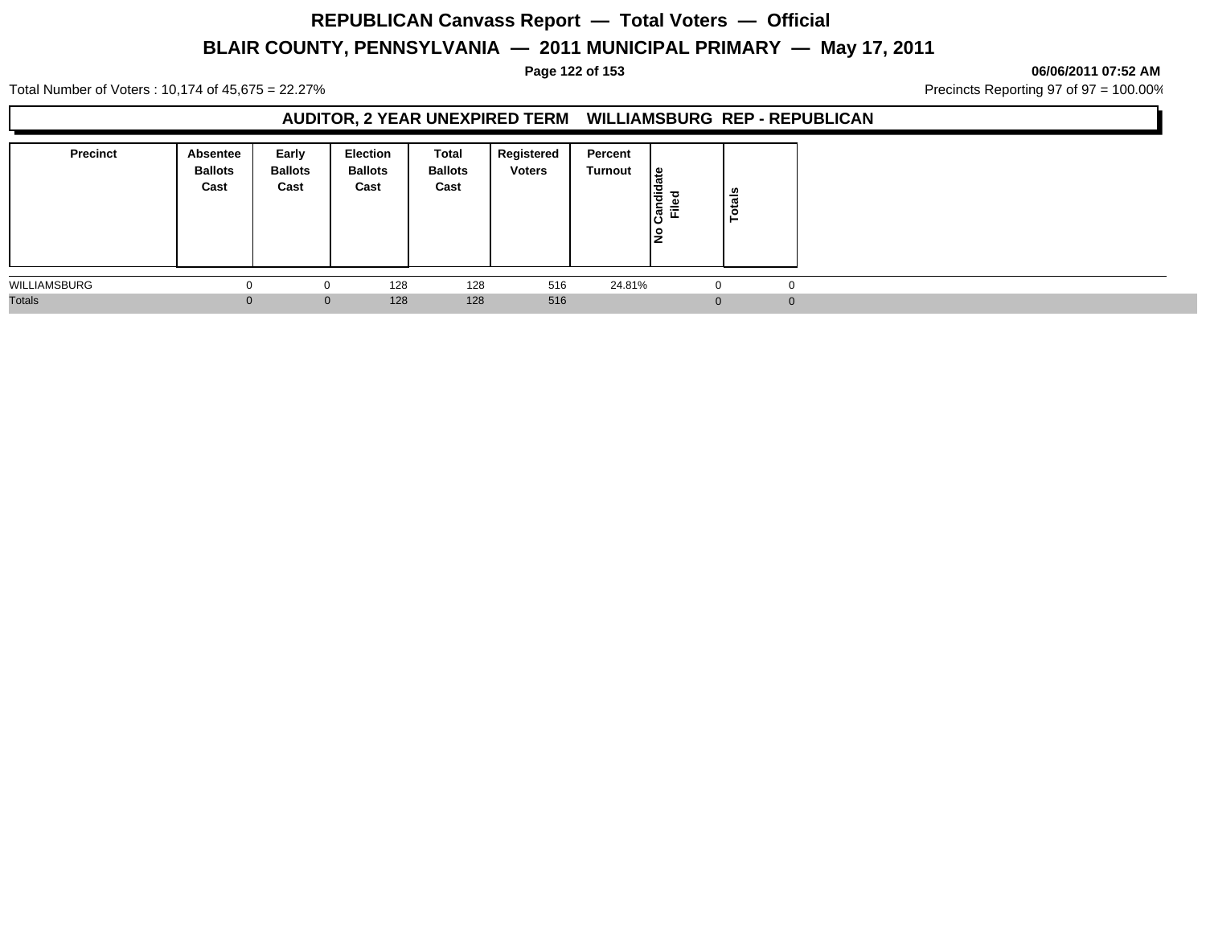# **REPUBLICAN Canvass Report — Total Voters — Official**

# **BLAIR COUNTY, PENNSYLVANIA — 2011 MUNICIPAL PRIMARY — May 17, 2011**

### **Page 122 of 153 06/06/2011 07:52 AM**

Total Number of Voters : 10,174 of 45,675 = 22.27% **Precincts Reporting 97 of 97 = 100.00%** Precincts Reporting 97 of 97 = 100.00%

### **AUDITOR, 2 YEAR UNEXPIRED TERM WILLIAMSBURG REP - REPUBLICAN**

| <b>Precinct</b> | Absentee<br><b>Ballots</b><br>Cast | Early<br><b>Ballots</b><br>Cast | Election<br><b>Ballots</b><br>Cast | Total<br><b>Ballots</b><br>Cast | Registered<br><b>Voters</b> | Percent<br>Turnout | Candidate<br>Filed<br>۹ | <b>Totals</b> |  |
|-----------------|------------------------------------|---------------------------------|------------------------------------|---------------------------------|-----------------------------|--------------------|-------------------------|---------------|--|
| WILLIAMSBURG    |                                    | 0                               | 128                                | 128                             | 516                         | 24.81%             | $\mathbf{0}$            |               |  |
| <b>Totals</b>   | $\Omega$                           | $\mathbf{0}$                    | 128                                | 128                             | 516                         |                    | $\Omega$                | $\Omega$      |  |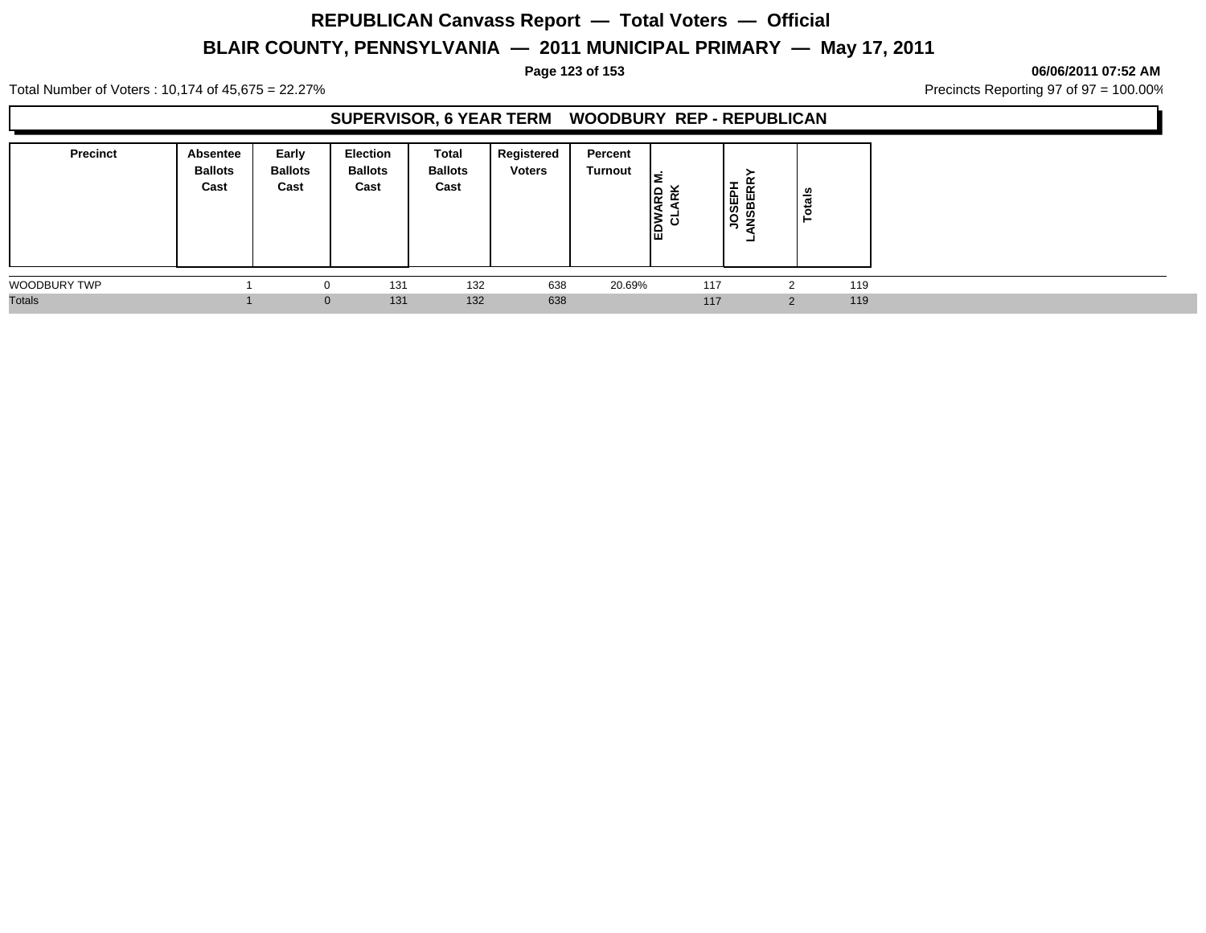**Page 123 of 153 06/06/2011 07:52 AM**

Total Number of Voters : 10,174 of 45,675 = 22.27% **Precincts Reporting 97 of 97 = 100.00%** Precincts Reporting 97 of 97 = 100.00%

### **SUPERVISOR, 6 YEAR TERM WOODBURY REP - REPUBLICAN**

| <b>Precinct</b>     | Absentee<br><b>Ballots</b><br>Cast | Early<br><b>Ballots</b><br>Cast | <b>Election</b><br><b>Ballots</b><br>Cast | Total<br><b>Ballots</b><br>Cast | Registered<br><b>Voters</b> | Percent<br>Turnout | ls.<br>춘<br>$\overline{E}$ | $\alpha$<br><b>JOSEPH</b><br>NSBERR<br>- | u<br>ē   |     |
|---------------------|------------------------------------|---------------------------------|-------------------------------------------|---------------------------------|-----------------------------|--------------------|----------------------------|------------------------------------------|----------|-----|
| <b>WOODBURY TWP</b> |                                    | $\Omega$                        | 131                                       | 132                             | 638                         | 20.69%             | 117                        |                                          | າ        | 119 |
| <b>Totals</b>       |                                    | $\mathbf{0}$                    | 131                                       | 132                             | 638                         |                    | 117                        |                                          | $\Omega$ | 119 |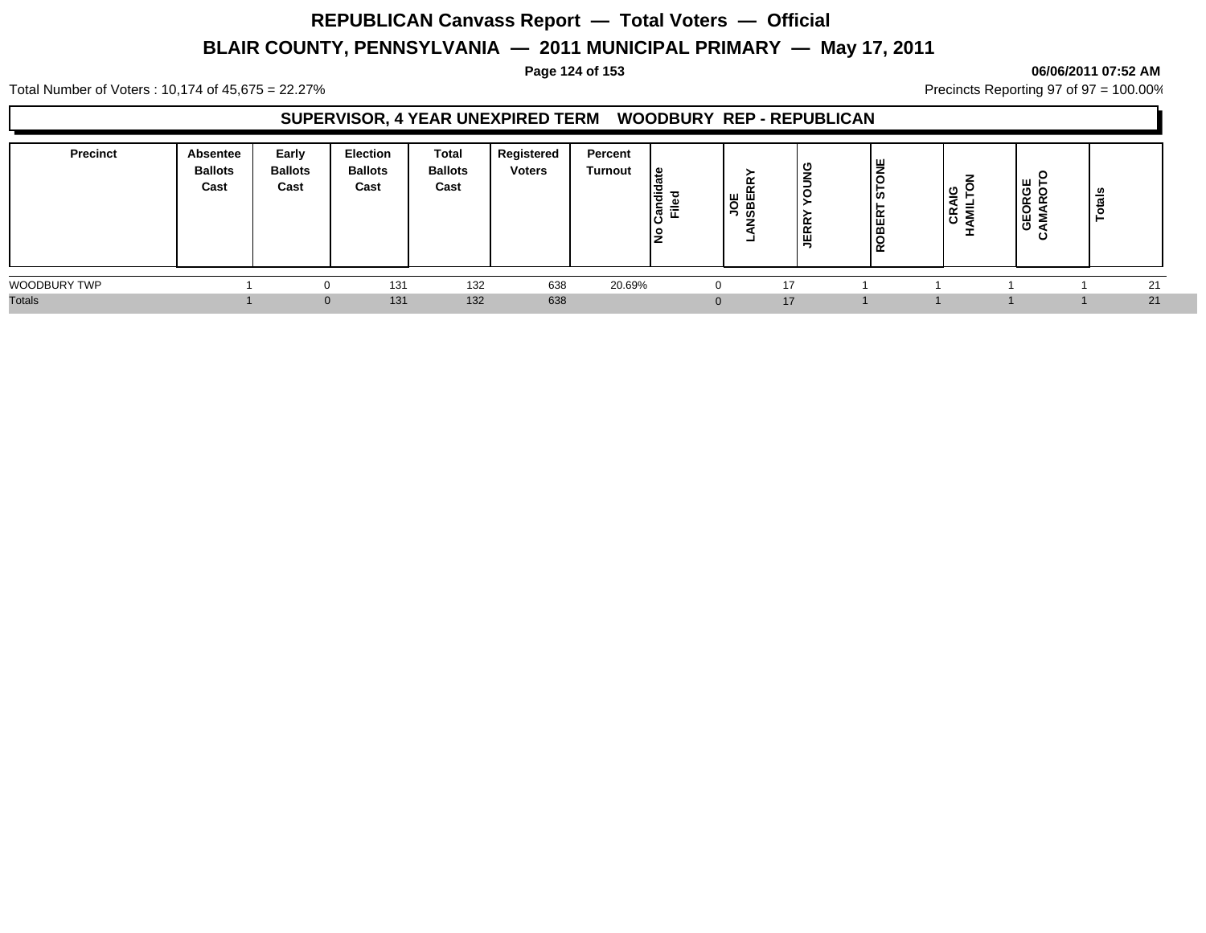### **Page 124 of 153 06/06/2011 07:52 AM**

Total Number of Voters : 10,174 of 45,675 = 22.27% **Precincts Reporting 97 of 97 = 100.00%** Precincts Reporting 97 of 97 = 100.00%

### **SUPERVISOR, 4 YEAR UNEXPIRED TERM WOODBURY REP - REPUBLICAN**

| Precinct      | <b>Absentee</b><br><b>Ballots</b><br>Cast | Early<br><b>Ballots</b><br>Cast | <b>Election</b><br><b>Ballots</b><br>Cast | <b>Total</b><br><b>Ballots</b><br>Cast | Registered<br><b>Voters</b> | Percent<br>Turnout | ہ ا<br>Candi<br>Filed<br>0 | ୴<br>- | с<br>-<br>$\alpha$<br>$\sim$<br>ш | ய<br>-<br>ິທ<br>ER<br>œ<br>່≃ | 응급<br>∣੬ ≅ੁ<br>7 | <br><b>RGI</b><br>VRO<br>ບ<br>$\cdots$<br>ଞ<br>∼ | ≗<br><b>__</b><br>œ |  |
|---------------|-------------------------------------------|---------------------------------|-------------------------------------------|----------------------------------------|-----------------------------|--------------------|----------------------------|--------|-----------------------------------|-------------------------------|------------------|--------------------------------------------------|---------------------|--|
| WOODBURY TWP  |                                           |                                 | 131                                       | 132                                    | 638                         | 20.69%             |                            |        | 17                                |                               |                  |                                                  | 21                  |  |
| <b>Totals</b> |                                           |                                 | 131                                       | 132                                    | 638                         |                    |                            |        | 17                                |                               |                  |                                                  | 21                  |  |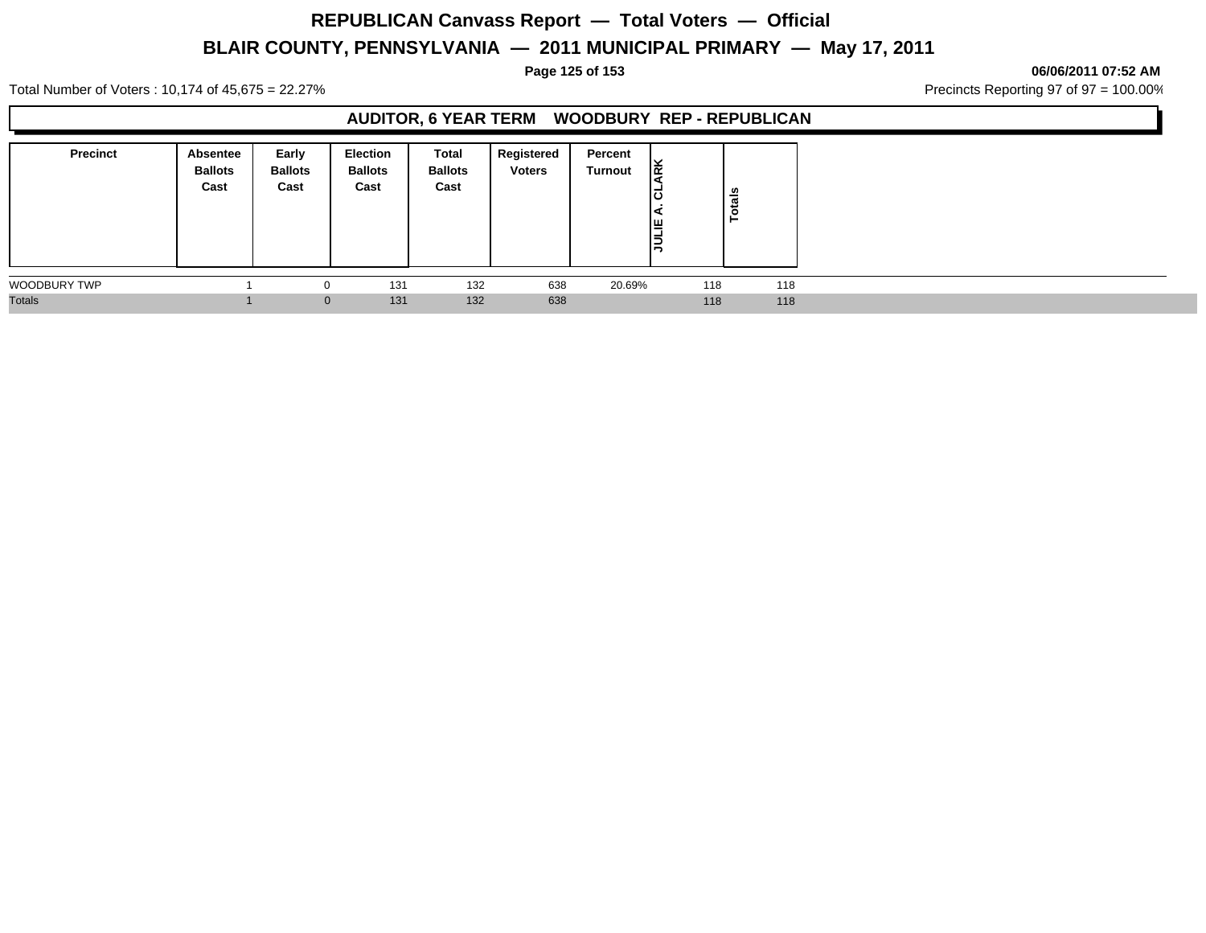**Page 125 of 153 06/06/2011 07:52 AM**

Total Number of Voters : 10,174 of 45,675 = 22.27% **Precincts Reporting 97 of 97 = 100.00%** Precincts Reporting 97 of 97 = 100.00%

### **AUDITOR, 6 YEAR TERM WOODBURY REP - REPUBLICAN**

| <b>Precinct</b>     | Absentee<br><b>Ballots</b><br>Cast | Early<br><b>Ballots</b><br>Cast | <b>Election</b><br><b>Ballots</b><br>Cast | <b>Total</b><br><b>Ballots</b><br>Cast | Registered<br><b>Voters</b> | Percent<br><b>Turnout</b> | Ιğ<br>'<<br>ιō<br>I≝<br>Ιă | ន់<br>Tot |  |
|---------------------|------------------------------------|---------------------------------|-------------------------------------------|----------------------------------------|-----------------------------|---------------------------|----------------------------|-----------|--|
| <b>WOODBURY TWP</b> |                                    |                                 | 131                                       | 132                                    | 638                         | 20.69%                    | 118                        | 118       |  |
| <b>Totals</b>       |                                    |                                 | 131<br>$\overline{0}$                     | 132                                    | 638                         |                           | 118                        | 118       |  |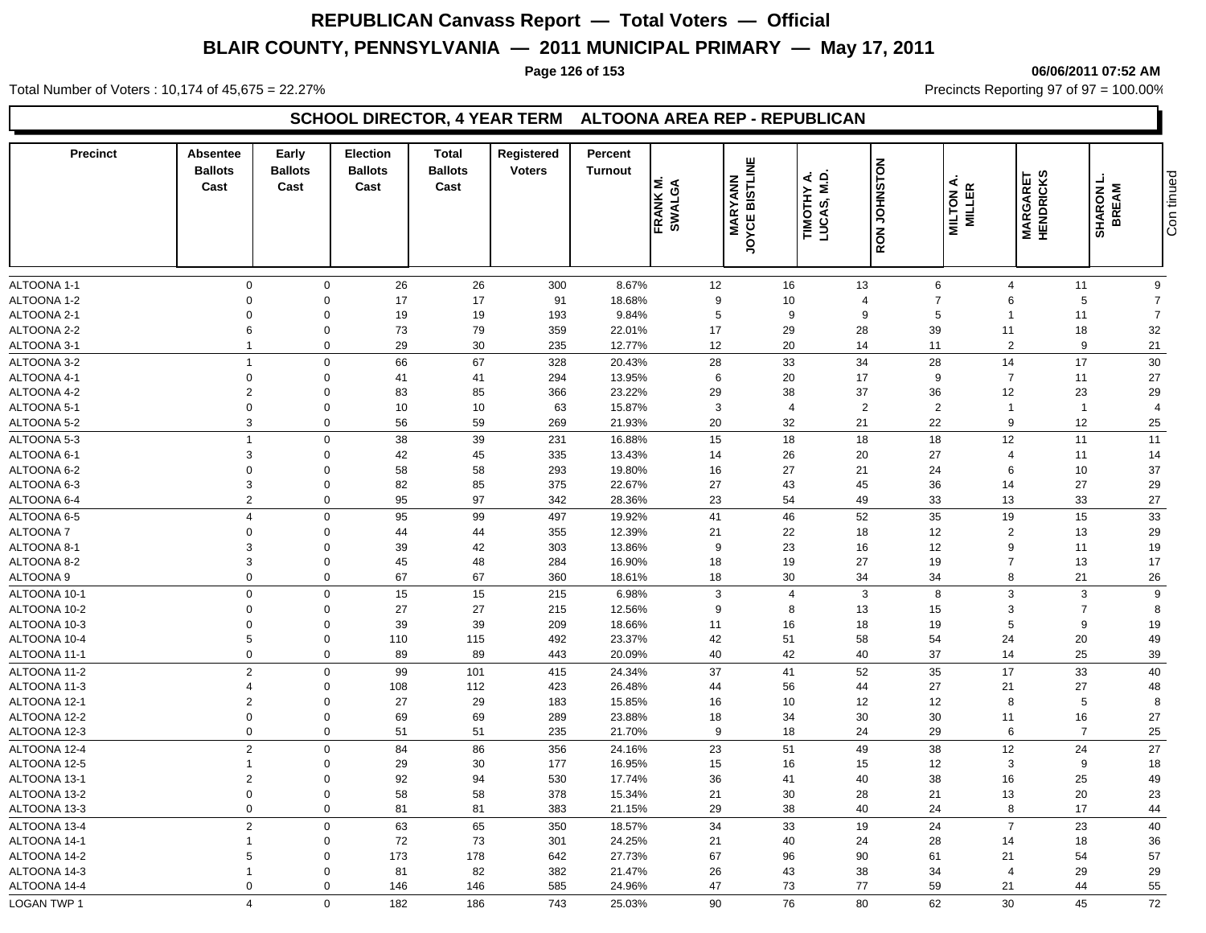#### **Page 126 of 153 06/06/2011 07:52 AM**

Total Number of Voters : 10,174 of 45,675 = 22.27% **Precincts Reporting 97 of 97 = 100.00%** Precincts Reporting 97 of 97 = 100.00%

### **SCHOOL DIRECTOR, 4 YEAR TERM ALTOONA AREA REP - REPUBLICAN**

| <b>Precinct</b> | <b>Absentee</b><br><b>Ballots</b><br>Cast | Early<br><b>Ballots</b><br>Cast | <b>Election</b><br><b>Ballots</b><br>Cast | <b>Total</b><br><b>Ballots</b><br>Cast | Registered<br><b>Voters</b> | Percent<br><b>Turnout</b> | ≤<br>FRANK M.<br>SWALGA | JOYCE BISTLINE<br><b>MARYANN</b> | TIMOTHY A.<br>LUCAS, M.D. | <b>RON JOHNSTON</b> | MILTON A.<br><b>MILLER</b> | <b>MARGARET</b><br>HENDRICKS | <b>SHARON L</b><br>BREAM | Con tinued     |
|-----------------|-------------------------------------------|---------------------------------|-------------------------------------------|----------------------------------------|-----------------------------|---------------------------|-------------------------|----------------------------------|---------------------------|---------------------|----------------------------|------------------------------|--------------------------|----------------|
| ALTOONA 1-1     | $\mathbf 0$                               | $\mathbf 0$                     | 26                                        | 26                                     | 300                         | 8.67%                     | 12                      | 16                               |                           | 13                  | 6                          | $\overline{4}$               | 11                       | 9              |
| ALTOONA 1-2     | $\Omega$                                  | $\mathbf 0$                     | 17                                        | 17                                     | 91                          | 18.68%                    | 9                       | 10                               |                           | $\overline{4}$      | $\overline{7}$             | 6                            | 5                        | $\overline{7}$ |
| ALTOONA 2-1     | $\Omega$                                  | $\mathbf 0$                     | 19                                        | 19                                     | 193                         | 9.84%                     | 5                       |                                  | 9                         | 9                   | 5                          | -1                           | 11                       | $\overline{7}$ |
| ALTOONA 2-2     | 6                                         | $\mathbf 0$                     | 73                                        | 79                                     | 359                         | 22.01%                    | 17                      | 29                               |                           | 28                  | 39                         | 11                           | 18                       | 32             |
| ALTOONA 3-1     | $\overline{1}$                            | $\mathbf 0$                     | 29                                        | 30                                     | 235                         | 12.77%                    | 12                      | 20                               |                           | 14                  | 11                         | 2                            | 9                        | 21             |
| ALTOONA 3-2     | $\overline{1}$                            | $\mathbf 0$                     | 66                                        | 67                                     | 328                         | 20.43%                    | 28                      | 33                               |                           | 34                  | 28                         | 14                           | 17                       | 30             |
| ALTOONA 4-1     | $\mathbf 0$                               | $\mathbf 0$                     | 41                                        | 41                                     | 294                         | 13.95%                    | 6                       | 20                               |                           | 17                  | 9                          | $\overline{7}$               | 11                       | 27             |
| ALTOONA 4-2     | $\overline{2}$                            | $\Omega$                        | 83                                        | 85                                     | 366                         | 23.22%                    | 29                      | 38                               |                           | 37                  | 36                         | 12                           | 23                       | 29             |
| ALTOONA 5-1     | $\mathbf 0$                               | $\mathbf 0$                     | 10                                        | 10                                     | 63                          | 15.87%                    | 3                       |                                  | $\overline{4}$            | 2                   | 2                          | -1                           | $\overline{1}$           | $\overline{4}$ |
| ALTOONA 5-2     | 3                                         | $\mathbf 0$                     | 56                                        | 59                                     | 269                         | 21.93%                    | 20                      | 32                               |                           | 21                  | 22                         | 9                            | 12                       | 25             |
| ALTOONA 5-3     | $\overline{1}$                            | $\mathbf 0$                     | 38                                        | 39                                     | 231                         | 16.88%                    | 15                      | 18                               |                           | 18                  | 18                         | 12                           | 11                       | 11             |
| ALTOONA 6-1     | 3                                         | $\Omega$                        | 42                                        | 45                                     | 335                         | 13.43%                    | 14                      | 26                               |                           | 20                  | 27                         | $\overline{4}$               | 11                       | 14             |
| ALTOONA 6-2     | $\mathbf 0$                               | $\mathbf 0$                     | 58                                        | 58                                     | 293                         | 19.80%                    | 16                      | 27                               |                           | 21                  | 24                         | 6                            | 10                       | 37             |
| ALTOONA 6-3     | 3                                         | $\mathbf 0$                     | 82                                        | 85                                     | 375                         | 22.67%                    | 27                      | 43                               |                           | 45                  | 36                         | 14                           | 27                       | 29             |
| ALTOONA 6-4     | $\overline{2}$                            | $\Omega$                        | 95                                        | 97                                     | 342                         | 28.36%                    | 23                      | 54                               |                           | 49                  | 33                         | 13                           | 33                       | 27             |
| ALTOONA 6-5     | $\overline{4}$                            | $\mathbf 0$                     | 95                                        | 99                                     | 497                         | 19.92%                    | 41                      | 46                               |                           | 52                  | 35                         | 19                           | 15                       | 33             |
| <b>ALTOONA7</b> | $\mathbf 0$                               | $\mathbf 0$                     | 44                                        | 44                                     | 355                         | 12.39%                    | 21                      | 22                               |                           | 18                  | 12                         | $\overline{2}$               | 13                       | 29             |
| ALTOONA 8-1     | 3                                         | $\mathbf 0$                     | 39                                        | 42                                     | 303                         | 13.86%                    | 9                       | 23                               |                           | 16                  | 12                         | 9                            | 11                       | 19             |
| ALTOONA 8-2     | 3                                         | $\Omega$                        | 45                                        | 48                                     | 284                         | 16.90%                    | 18                      | 19                               |                           | 27                  | 19                         | $\overline{7}$               | 13                       | 17             |
| ALTOONA 9       | $\Omega$                                  | $\Omega$                        | 67                                        | 67                                     | 360                         | 18.61%                    | 18                      | 30                               |                           | 34                  | 34                         | 8                            | 21                       | 26             |
| ALTOONA 10-1    | $\mathbf 0$                               | $\mathbf 0$                     | 15                                        | 15                                     | 215                         | 6.98%                     | 3                       |                                  | $\overline{4}$            | $\mathbf{3}$        | 8                          | 3                            | 3                        | 9              |
| ALTOONA 10-2    | $\mathbf 0$                               | $\mathbf 0$                     | 27                                        | 27                                     | 215                         | 12.56%                    | 9                       |                                  | 8                         | 13                  | 15                         | 3                            | $\overline{7}$           | 8              |
| ALTOONA 10-3    | $\mathbf 0$                               | $\mathbf 0$                     | 39                                        | 39                                     | 209                         | 18.66%                    | 11                      | 16                               |                           | 18                  | 19                         | 5                            | 9                        | 19             |
| ALTOONA 10-4    | 5                                         | $\mathbf 0$                     | 110                                       | 115                                    | 492                         | 23.37%                    | 42                      | 51                               |                           | 58                  | 54                         | 24                           | 20                       | 49             |
| ALTOONA 11-1    | $\mathbf 0$                               | $\mathbf 0$                     | 89                                        | 89                                     | 443                         | 20.09%                    | 40                      | 42                               |                           | 40                  | 37                         | 14                           | 25                       | $39\,$         |
| ALTOONA 11-2    | $\overline{2}$                            | $\mathbf 0$                     | 99                                        | 101                                    | 415                         | 24.34%                    | 37                      | 41                               |                           | 52                  | 35                         | 17                           | 33                       | 40             |
| ALTOONA 11-3    | $\overline{4}$                            | $\mathbf 0$                     | 108                                       | 112                                    | 423                         | 26.48%                    | 44                      | 56                               |                           | 44                  | 27                         | 21                           | 27                       | 48             |
| ALTOONA 12-1    | $\overline{2}$                            | $\Omega$                        | 27                                        | 29                                     | 183                         | 15.85%                    | 16                      | 10                               |                           | 12                  | 12                         | 8                            | 5                        | 8              |
| ALTOONA 12-2    | $\Omega$                                  | $\Omega$                        | 69                                        | 69                                     | 289                         | 23.88%                    | 18                      | 34                               |                           | 30                  | 30                         | 11                           | 16                       | 27             |
| ALTOONA 12-3    | $\mathbf 0$                               | $\mathbf 0$                     | 51                                        | 51                                     | 235                         | 21.70%                    | 9                       | 18                               |                           | 24                  | 29                         | 6                            | $\overline{7}$           | 25             |
| ALTOONA 12-4    | $\overline{2}$                            | $\mathbf 0$                     | 84                                        | 86                                     | 356                         | 24.16%                    | 23                      | 51                               |                           | 49                  | 38                         | 12                           | 24                       | $27\,$         |
| ALTOONA 12-5    | $\overline{1}$                            | $\mathbf 0$                     | 29                                        | 30                                     | 177                         | 16.95%                    | 15                      | 16                               |                           | 15                  | 12                         | 3                            | 9                        | 18             |
| ALTOONA 13-1    | $\overline{2}$                            | $\Omega$                        | 92                                        | 94                                     | 530                         | 17.74%                    | 36                      | 41                               |                           | 40                  | 38                         | 16                           | 25                       | 49             |
| ALTOONA 13-2    | $\mathbf 0$                               | $\mathbf 0$                     | 58                                        | 58                                     | 378                         | 15.34%                    | 21                      | 30                               |                           | 28                  | 21                         | 13                           | 20                       | 23             |
| ALTOONA 13-3    | $\mathbf 0$                               | $\mathbf 0$                     | 81                                        | 81                                     | 383                         | 21.15%                    | 29                      | 38                               |                           | 40                  | 24                         | 8                            | 17                       | 44             |
| ALTOONA 13-4    | $\overline{2}$                            | $\Omega$                        | 63                                        | 65                                     | 350                         | 18.57%                    | 34                      | 33                               |                           | 19                  | 24                         | $\overline{7}$               | 23                       | 40             |
| ALTOONA 14-1    | $\overline{1}$                            | $\Omega$                        | 72                                        | 73                                     | 301                         | 24.25%                    | 21                      | 40                               |                           | 24                  | 28                         | 14                           | 18                       | 36             |
| ALTOONA 14-2    | 5                                         | $\mathbf 0$                     | 173                                       | 178                                    | 642                         | 27.73%                    | 67                      | 96                               |                           | 90                  | 61                         | 21                           | 54                       | 57             |
| ALTOONA 14-3    | $\mathbf{1}$                              | $\mathbf 0$                     | 81                                        | 82                                     | 382                         | 21.47%                    | 26                      | 43                               |                           | 38                  | 34                         | $\overline{4}$               | 29                       | 29             |
| ALTOONA 14-4    | $\mathbf 0$                               | $\Omega$                        | 146                                       | 146                                    | 585                         | 24.96%                    | 47                      | 73                               |                           | 77                  | 59                         | 21                           | 44                       | 55             |
| LOGAN TWP 1     | $\overline{\mathbf{A}}$                   | $\Omega$                        | 182                                       | 186                                    | 743                         | 25.03%                    | 90                      | 76                               |                           | 80                  | 62                         | 30                           | 45                       | $72\,$         |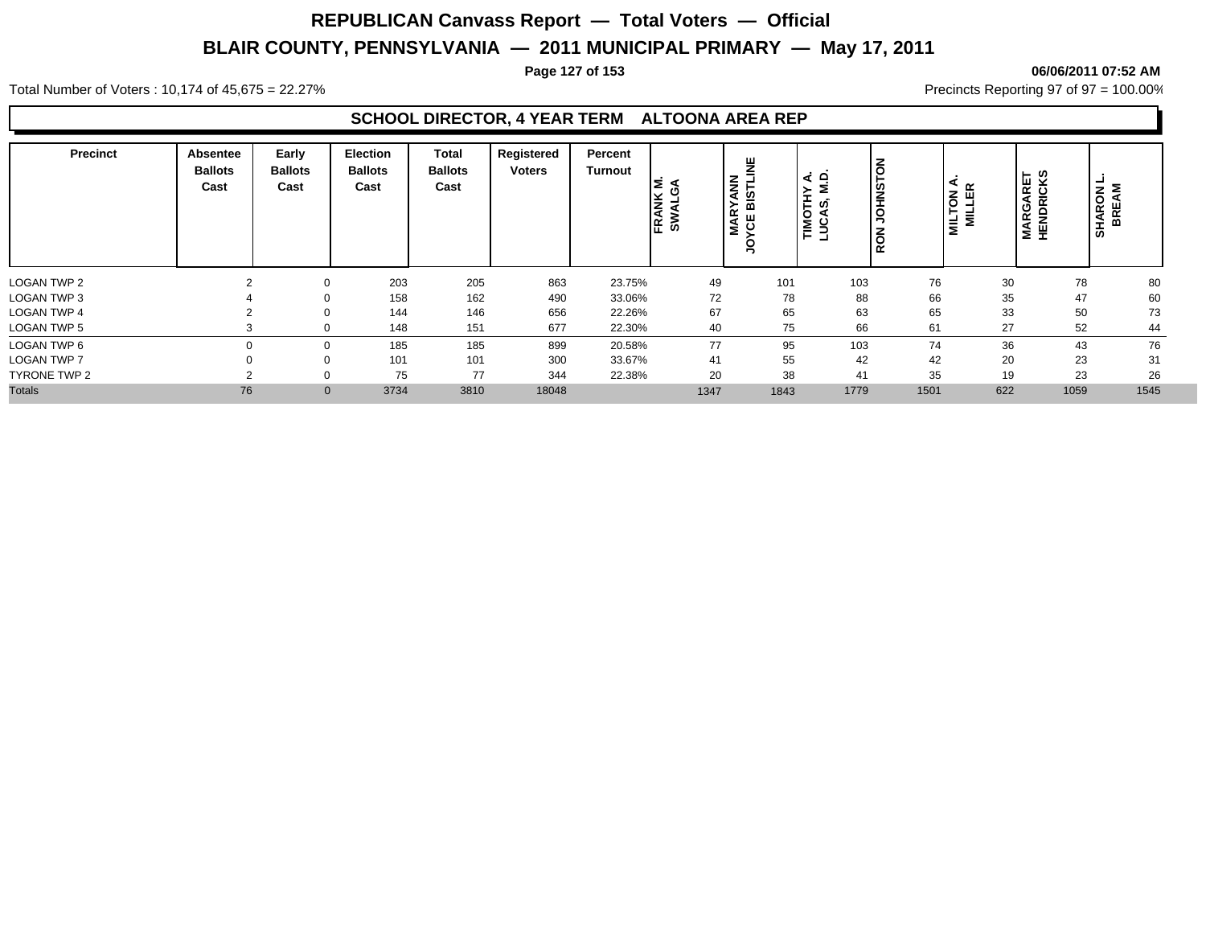#### **Page 127 of 153 06/06/2011 07:52 AM**

Total Number of Voters : 10,174 of 45,675 = 22.27% **Precincts Reporting 97 of 97 = 100.00%** Precincts Reporting 97 of 97 = 100.00%

### **SCHOOL DIRECTOR, 4 YEAR TERM ALTOONA AREA REP**

| <b>Precinct</b>    | Absentee<br><b>Ballots</b><br>Cast | Early<br><b>Ballots</b><br>Cast | <b>Election</b><br><b>Ballots</b><br>Cast | <b>Total</b><br><b>Ballots</b><br>Cast | Registered<br><b>Voters</b> | Percent<br>Turnout | FRANK<br>్య | ¥<br><b>MARYANN<br/>YCE BISTLII</b> | ۾<br>⋖<br>Σ<br>TIMOTHY<br>LUCAS, M. | <b>UOHNSTON</b><br>RON |      | ⋖<br>$\propto$<br>NOT<br>니니티<br>$\overline{\mathbf{z}}$<br>≣ | <b>MARGARET</b><br>HENDRICKS | <b>SHARON</b><br>BREAM |
|--------------------|------------------------------------|---------------------------------|-------------------------------------------|----------------------------------------|-----------------------------|--------------------|-------------|-------------------------------------|-------------------------------------|------------------------|------|--------------------------------------------------------------|------------------------------|------------------------|
| LOGAN TWP 2        |                                    |                                 | 203                                       | 205                                    | 863                         | 23.75%             | 49          | 101                                 |                                     | 103                    | 76   | 30                                                           | 78                           | 80                     |
| <b>LOGAN TWP 3</b> |                                    | 0                               | 158                                       | 162                                    | 490                         | 33.06%             | 72          | 78                                  |                                     | 88                     | 66   | 35                                                           | 47                           |                        |
| <b>LOGAN TWP 4</b> |                                    | $\Omega$                        | 144                                       | 146                                    | 656                         | 22.26%             | 67          | 65                                  |                                     | 63                     | 65   | 33                                                           | 50                           |                        |
| <b>LOGAN TWP 5</b> |                                    |                                 | 148                                       | 151                                    | 677                         | 22.30%             | 40          | 75                                  |                                     | 66                     | 61   | 27                                                           | 52                           |                        |
| LOGAN TWP 6        |                                    | $\mathbf 0$                     | 185                                       | 185                                    | 899                         | 20.58%             | 77          | 95                                  |                                     | 103                    | 74   | 36                                                           | 43                           |                        |
| <b>LOGAN TWP 7</b> |                                    | 0                               | 101                                       | 101                                    | 300                         | 33.67%             | 41          | 55                                  |                                     | 42                     | 42   | 20                                                           | 23                           |                        |
| TYRONE TWP 2       |                                    |                                 | 75                                        | 77                                     | 344                         | 22.38%             | 20          | 38                                  |                                     | 41                     | 35   | 19                                                           | 23                           |                        |
| <b>Totals</b>      | 76                                 | $\mathbf{0}$                    | 3734                                      | 3810                                   | 18048                       |                    | 1347        | 1843                                | 1779                                |                        | 1501 | 622                                                          | 1059                         | 1545                   |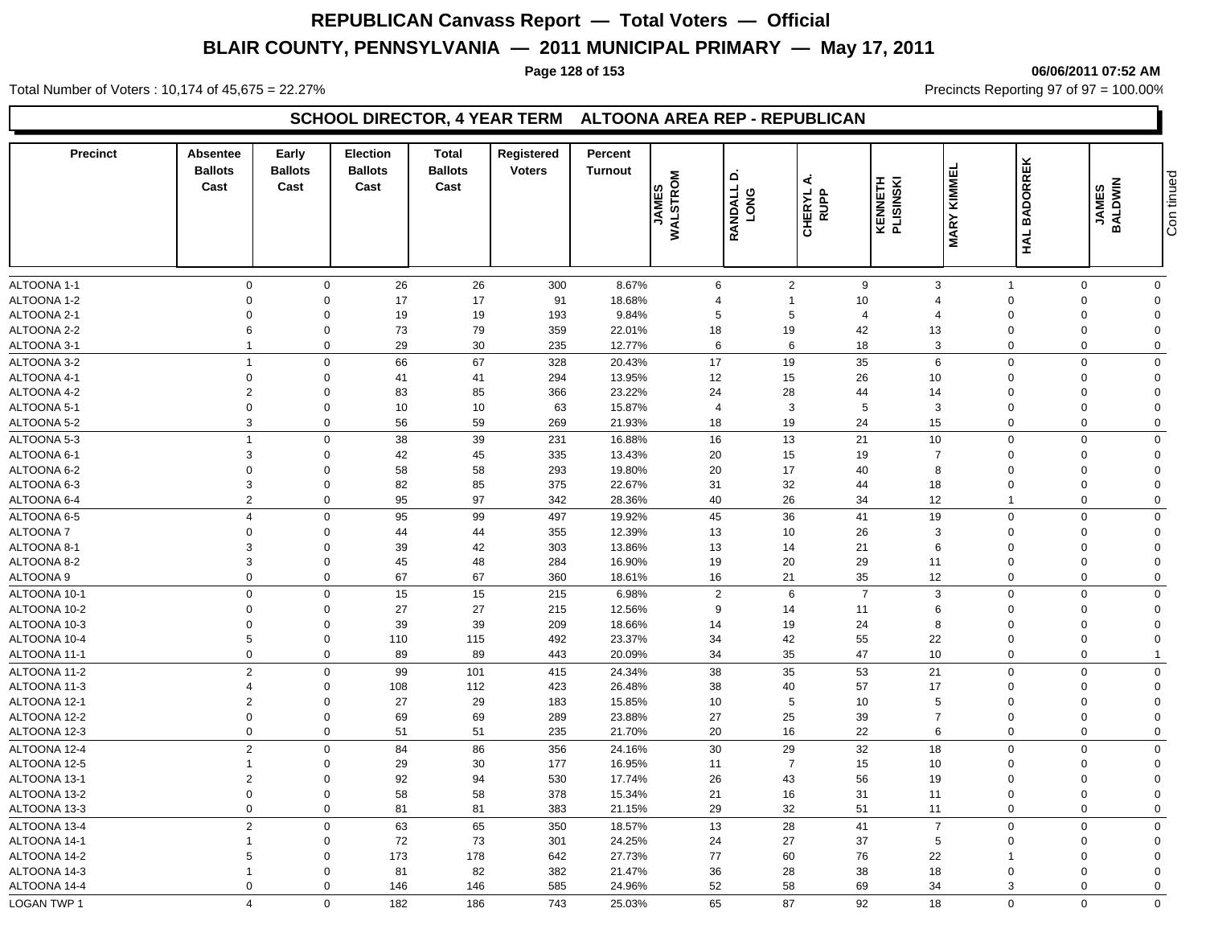#### **Page 128 of 153 06/06/2011 07:52 AM**

Total Number of Voters : 10,174 of 45,675 = 22.27% **Precincts Reporting 97 of 97 = 100.00%** Precincts Reporting 97 of 97 = 100.00%

### **SCHOOL DIRECTOR, 4 YEAR TERM ALTOONA AREA REP - REPUBLICAN**

| <b>Precinct</b>    | <b>Absentee</b><br><b>Ballots</b><br>Cast | Early<br><b>Ballots</b><br>Cast | <b>Election</b><br><b>Ballots</b><br>Cast | <b>Total</b><br><b>Ballots</b><br>Cast | Registered<br><b>Voters</b> | Percent<br><b>Turnout</b> | JAMES<br>WALSTROM | ۵<br>RANDALL<br><b>DNG</b> | ⋖<br>CHERYL<br>RUPP | <b>KENNETH</b><br>PLISINSKI | <b>MARY KIMMEL</b> | <b>BADORREK</b><br>HAL | JAMES<br>BALDWIN | Con tinued     |
|--------------------|-------------------------------------------|---------------------------------|-------------------------------------------|----------------------------------------|-----------------------------|---------------------------|-------------------|----------------------------|---------------------|-----------------------------|--------------------|------------------------|------------------|----------------|
| ALTOONA 1-1        | $\mathbf 0$                               | $\mathbf 0$                     | 26                                        | 26                                     | 300                         | 8.67%                     | 6                 |                            | $\overline{2}$      | 9                           | 3                  | $\overline{1}$         | 0                | $\mathbf 0$    |
| ALTOONA 1-2        | $\mathbf 0$                               | $\mathbf 0$                     | 17                                        | 17                                     | 91                          | 18.68%                    | $\overline{4}$    |                            | $\mathbf{1}$        | 10                          | $\overline{4}$     | $\Omega$               | $\Omega$         | $\mathbf 0$    |
| ALTOONA 2-1        | $\overline{0}$                            | $\mathbf 0$                     | 19                                        | 19                                     | 193                         | 9.84%                     | 5                 |                            | 5                   | $\overline{a}$              | $\overline{4}$     | $\Omega$               | $\mathbf 0$      | $\mathbf 0$    |
| ALTOONA 2-2        | 6                                         | $\mathbf 0$                     | 73                                        | 79                                     | 359                         | 22.01%                    | 18                | 19                         |                     | 42                          | 13                 | $\Omega$               | $\mathbf 0$      | $\Omega$       |
| ALTOONA 3-1        | $\overline{1}$                            | $\mathbf 0$                     | 29                                        | 30                                     | 235                         | 12.77%                    | 6                 |                            | 6                   | 18                          | 3                  | $\mathbf 0$            | $\mathbf 0$      | $\mathbf 0$    |
| ALTOONA 3-2        | $\overline{1}$                            | $\mathbf 0$                     | 66                                        | 67                                     | 328                         | 20.43%                    | 17                | 19                         |                     | 35                          | 6                  | $\Omega$               | $\Omega$         | $\mathbf 0$    |
| ALTOONA 4-1        | $\boldsymbol{0}$                          | $\mathbf 0$                     | 41                                        | 41                                     | 294                         | 13.95%                    | 12                | 15                         |                     | 26                          | 10                 | $\Omega$               | $\Omega$         | $\mathbf 0$    |
| ALTOONA 4-2        | $\overline{2}$                            | $\Omega$                        | 83                                        | 85                                     | 366                         | 23.22%                    | 24                | 28                         |                     | 44                          | 14                 | $\Omega$               | $\Omega$         | $\Omega$       |
| ALTOONA 5-1        | $\mathbf 0$                               | $\mathbf 0$                     | 10                                        | 10                                     | 63                          | 15.87%                    | $\overline{4}$    |                            | 3                   | 5                           | 3                  | $\Omega$               | $\Omega$         | $\mathbf 0$    |
| ALTOONA 5-2        | 3                                         | $\mathbf 0$                     | 56                                        | 59                                     | 269                         | 21.93%                    | 18                | 19                         |                     | 24                          | 15                 | $\mathbf 0$            | $\mathbf 0$      | $\mathbf 0$    |
| ALTOONA 5-3        | $\overline{1}$                            | $\mathbf 0$                     | 38                                        | 39                                     | 231                         | 16.88%                    | 16                | 13                         |                     | 21                          | 10                 | $\Omega$               | $\Omega$         | $\mathbf 0$    |
| ALTOONA 6-1        | 3                                         | $\mathbf 0$                     | 42                                        | 45                                     | 335                         | 13.43%                    | 20                | 15                         |                     | 19                          | $\overline{7}$     | $\Omega$               | $\Omega$         | $\mathbf 0$    |
| ALTOONA 6-2        | $\Omega$                                  | $\mathbf 0$                     | 58                                        | 58                                     | 293                         | 19.80%                    | 20                | 17                         |                     | 40                          | 8                  | $\Omega$               | $\Omega$         | $\mathbf 0$    |
| ALTOONA 6-3        | 3                                         | $\mathbf 0$                     | 82                                        | 85                                     | 375                         | 22.67%                    | 31                | 32                         |                     | 44                          | 18                 | $\Omega$               | $\Omega$         | $\mathbf 0$    |
| ALTOONA 6-4        | $\overline{2}$                            | $\mathbf 0$                     | 95                                        | 97                                     | 342                         | 28.36%                    | 40                | 26                         |                     | 34                          | 12                 | -1                     | $\mathbf 0$      | $\mathbf 0$    |
| ALTOONA 6-5        | $\overline{4}$                            | $\mathbf 0$                     | 95                                        | 99                                     | 497                         | 19.92%                    | 45                | 36                         |                     | 41                          | 19                 | $\mathbf 0$            | $\Omega$         | $\mathbf 0$    |
| <b>ALTOONA7</b>    | $\mathbf 0$                               | $\mathbf 0$                     | 44                                        | 44                                     | 355                         | 12.39%                    | 13                | 10                         |                     | 26                          | 3                  | $\Omega$               | $\Omega$         | $\mathbf 0$    |
| ALTOONA 8-         | 3                                         | $\mathbf 0$                     | 39                                        | 42                                     | 303                         | 13.86%                    | 13                | 14                         |                     | 21                          | 6                  | $\Omega$               | $\Omega$         | $\Omega$       |
| ALTOONA 8-2        | 3                                         | $\mathbf 0$                     | 45                                        | 48                                     | 284                         | 16.90%                    | 19                | 20                         |                     | 29                          | 11                 | $\Omega$               | $\Omega$         | $\mathbf 0$    |
| ALTOONA 9          | $\mathbf 0$                               | $\mathbf 0$                     | 67                                        | 67                                     | 360                         | 18.61%                    | 16                | 21                         |                     | 35                          | 12                 | $\mathbf 0$            | $\Omega$         | $\mathbf 0$    |
| ALTOONA 10-1       | $\mathbf 0$                               | $\mathbf 0$                     | 15                                        | 15                                     | 215                         | 6.98%                     | $\sqrt{2}$        |                            | 6                   | $\overline{7}$              | 3                  | $\mathbf 0$            | $\mathbf 0$      | $\mathbf 0$    |
| ALTOONA 10-2       | $\mathbf 0$                               | $\mathbf 0$                     | 27                                        | 27                                     | 215                         | 12.56%                    | 9                 | 14                         |                     | 11                          | 6                  | $\Omega$               | $\overline{0}$   | $\Omega$       |
| ALTOONA 10-3       | $\mathbf 0$                               | $\mathbf 0$                     | 39                                        | 39                                     | 209                         | 18.66%                    | 14                | 19                         |                     | 24                          | 8                  | $\Omega$               | $\Omega$         | $\mathbf 0$    |
| ALTOONA 10-4       | 5                                         | $\mathbf 0$                     | 110                                       | 115                                    | 492                         | 23.37%                    | 34                | 42                         |                     | 55                          | 22                 | $\Omega$               | $\Omega$         | $\Omega$       |
| ALTOONA 11-1       | $\mathbf 0$                               | $\mathbf 0$                     | 89                                        | 89                                     | 443                         | 20.09%                    | 34                | 35                         |                     | 47                          | 10                 | $\mathbf 0$            | $\mathbf 0$      | $\overline{1}$ |
| ALTOONA 11-2       | $\overline{2}$                            | $\mathbf 0$                     | 99                                        | 101                                    | 415                         | 24.34%                    | 38                | 35                         |                     | 53                          | 21                 | $\Omega$               | $\Omega$         | $\mathbf 0$    |
| ALTOONA 11-3       | $\overline{4}$                            | $\mathbf 0$                     | 108                                       | 112                                    | 423                         | 26.48%                    | 38                | 40                         |                     | 57                          | 17                 | $\Omega$               | $\Omega$         | $\mathbf 0$    |
| ALTOONA 12-1       | $\overline{2}$                            | $\mathbf 0$                     | 27                                        | 29                                     | 183                         | 15.85%                    | 10                |                            | 5                   | 10                          | 5                  | $\Omega$               | $\Omega$         | $\mathbf 0$    |
| ALTOONA 12-2       | $\mathbf 0$                               | $\mathbf 0$                     | 69                                        | 69                                     | 289                         | 23.88%                    | 27                | 25                         |                     | 39                          | $\overline{7}$     | $\Omega$               | $\Omega$         | $\mathbf 0$    |
| ALTOONA 12-3       | $\mathbf 0$                               | $\mathbf 0$                     | 51                                        | 51                                     | 235                         | 21.70%                    | 20                | 16                         |                     | 22                          | 6                  | $\mathbf 0$            | $\Omega$         | $\mathbf 0$    |
| ALTOONA 12-4       | $\overline{2}$                            | $\mathbf 0$                     | 84                                        | 86                                     | 356                         | 24.16%                    | 30                | 29                         |                     | 32                          | 18                 | $\Omega$               | $\mathbf 0$      | $\mathbf 0$    |
| ALTOONA 12-5       | $\overline{1}$                            | $\mathbf 0$                     | 29                                        | 30                                     | 177                         | 16.95%                    | 11                |                            | $\overline{7}$      | 15                          | 10                 | $\Omega$               | $\Omega$         | $\mathbf 0$    |
| ALTOONA 13-1       | $\overline{2}$                            | $\mathbf 0$                     | 92                                        | 94                                     | 530                         | 17.74%                    | 26                | 43                         |                     | 56                          | 19                 | $\Omega$               | $\Omega$         | $\mathbf 0$    |
| ALTOONA 13-2       | $\Omega$                                  | $\mathbf 0$                     | 58                                        | 58                                     | 378                         | 15.34%                    | 21                | 16                         |                     | 31                          | 11                 | $\Omega$               | $\Omega$         | $\mathbf 0$    |
| ALTOONA 13-3       | $\mathbf 0$                               | $\mathbf 0$                     | 81                                        | 81                                     | 383                         | 21.15%                    | 29                | 32                         |                     | 51                          | 11                 | $\mathbf 0$            | $\Omega$         | $\mathbf 0$    |
| ALTOONA 13-4       | $\overline{2}$                            | $\mathbf 0$                     | 63                                        | 65                                     | 350                         | 18.57%                    | 13                | 28                         |                     | 41                          | $\overline{7}$     | $\Omega$               | $\mathbf 0$      | $\mathbf 0$    |
| ALTOONA 14-1       | $\mathbf{1}$                              | $\mathbf 0$                     | 72                                        | 73                                     | 301                         | 24.25%                    | 24                | 27                         |                     | 37                          | 5                  | $\Omega$               | $\Omega$         | $\mathbf 0$    |
| ALTOONA 14-2       | 5                                         | $\mathbf 0$                     | 173                                       | 178                                    | 642                         | 27.73%                    | 77                | 60                         |                     | 76                          | 22                 |                        | $\Omega$         | $\Omega$       |
| ALTOONA 14-3       |                                           | $\Omega$                        | 81                                        | 82                                     | 382                         | 21.47%                    | 36                | 28                         |                     | 38                          | 18                 | $\Omega$               | $\Omega$         | $\Omega$       |
| ALTOONA 14-4       | $\Omega$                                  | $\Omega$                        | 146                                       | 146                                    | 585                         | 24.96%                    | 52                | 58                         |                     | 69                          | 34                 | 3                      | $\Omega$         | $\Omega$       |
| <b>LOGAN TWP 1</b> | $\overline{4}$                            | $\mathbf 0$                     | 182                                       | 186                                    | 743                         | 25.03%                    | 65                | 87                         |                     | 92                          | 18                 | $\mathbf 0$            | $\mathbf 0$      | $\mathbf 0$    |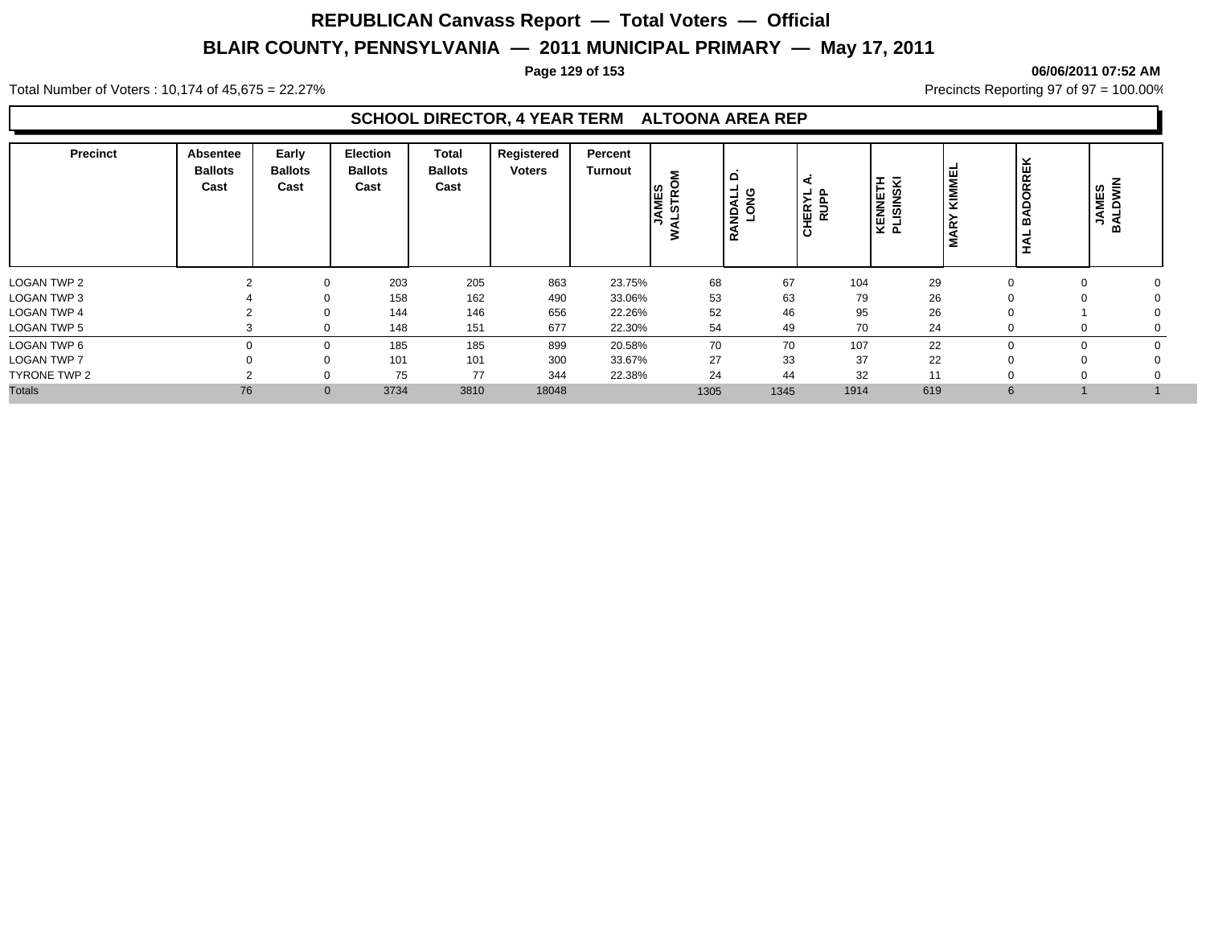#### **Page 129 of 153 06/06/2011 07:52 AM**

Total Number of Voters : 10,174 of 45,675 = 22.27% **Precincts Reporting 97 of 97 = 100.00%** Precincts Reporting 97 of 97 = 100.00%

### **SCHOOL DIRECTOR, 4 YEAR TERM ALTOONA AREA REP**

| <b>Precinct</b>    | Absentee<br><b>Ballots</b><br>Cast | Early<br><b>Ballots</b><br>Cast | <b>Election</b><br><b>Ballots</b><br>Cast | Total<br><b>Ballots</b><br>Cast | Registered<br><b>Voters</b> | Percent<br>Turnout | Šδ<br>JAMES<br>VALSTRO<br>₹ | $\Omega$<br>-<br><b>ANDALI</b><br>൷ | ⋖<br>HERYL<br>RUPP<br>$\overline{\mathbf{o}}$ | KENNETH<br>PLISINSKI | ш<br>$\overline{\alpha}$<br>$\overline{\alpha}$<br>$\sqrt{2}$<br>ರ<br>$\sim$<br>£ | <b>JAMES</b><br>മ |  |
|--------------------|------------------------------------|---------------------------------|-------------------------------------------|---------------------------------|-----------------------------|--------------------|-----------------------------|-------------------------------------|-----------------------------------------------|----------------------|-----------------------------------------------------------------------------------|-------------------|--|
| <b>LOGAN TWP 2</b> |                                    | $\Omega$                        | 203                                       | 205                             | 863                         | 23.75%             | 68                          | 67                                  | 104                                           | 29                   |                                                                                   |                   |  |
| LOGAN TWP 3        |                                    |                                 | 158                                       | 162                             | 490                         | 33.06%             | 53                          | 63                                  | 79                                            | 26                   |                                                                                   |                   |  |
| <b>LOGAN TWP 4</b> |                                    | $\Omega$                        | 144                                       | 146                             | 656                         | 22.26%             | 52                          | 46                                  | 95                                            | 26                   |                                                                                   |                   |  |
| <b>LOGAN TWP 5</b> |                                    | $\Omega$                        | 148                                       | 151                             | 677                         | 22.30%             | 54                          | 49                                  | 70                                            | 24                   |                                                                                   |                   |  |
| LOGAN TWP 6        |                                    | $\Omega$                        | 185                                       | 185                             | 899                         | 20.58%             | 70                          | 70                                  | 107                                           | 22                   |                                                                                   |                   |  |
| <b>LOGAN TWP 7</b> |                                    |                                 | 101                                       | 101                             | 300                         | 33.67%             | 27                          | 33                                  | 37                                            | 22                   |                                                                                   |                   |  |
| TYRONE TWP 2       |                                    | $\Omega$                        | 75                                        | 77                              | 344                         | 22.38%             | 24                          | 44                                  | 32                                            | 11                   |                                                                                   |                   |  |
| <b>Totals</b>      | 76                                 | $\mathbf{0}$                    | 3734                                      | 3810                            | 18048                       |                    | 1305                        | 1345                                | 1914                                          | 619                  | 6                                                                                 |                   |  |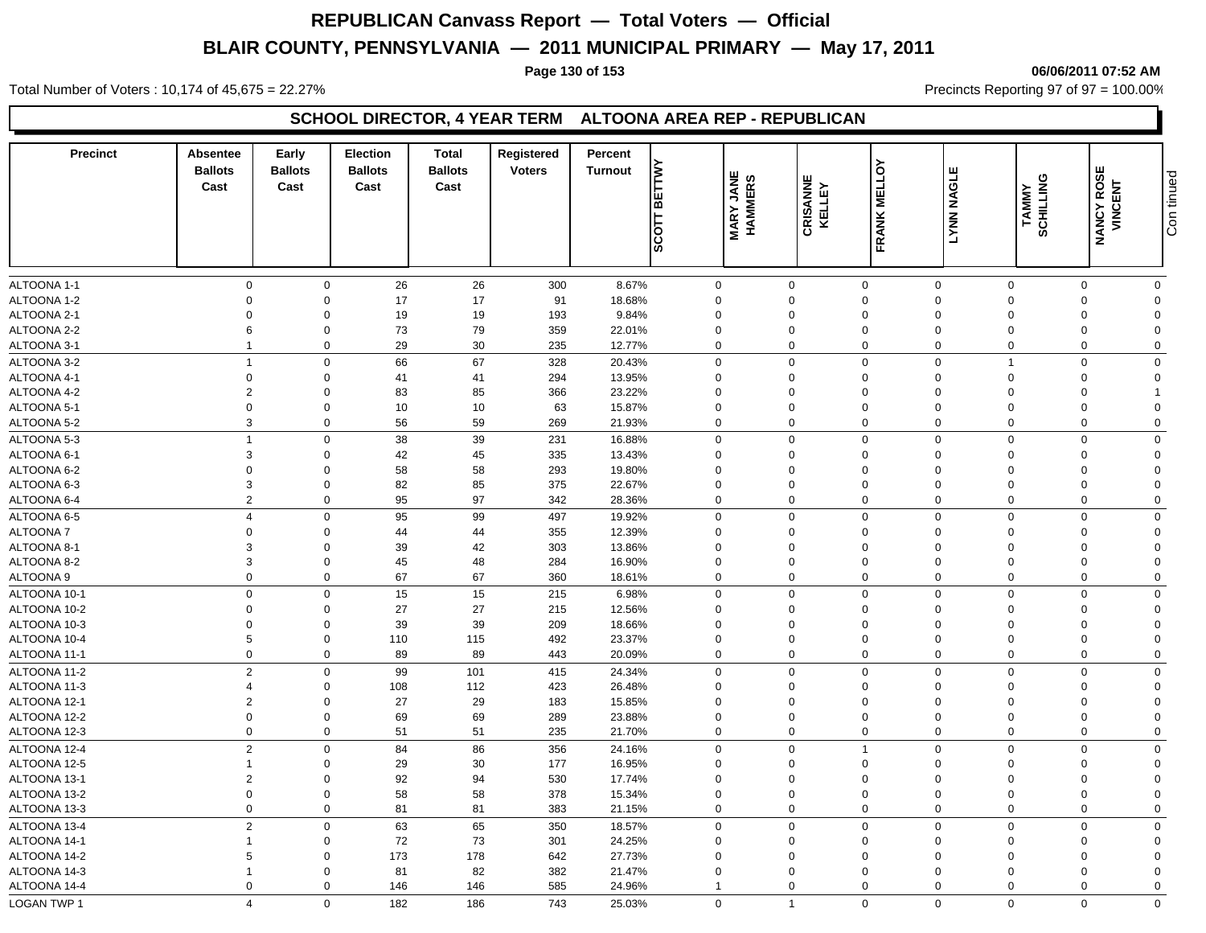#### **Page 130 of 153 06/06/2011 07:52 AM**

Total Number of Voters : 10,174 of 45,675 = 22.27% **Precincts Reporting 97 of 97 = 100.00%** Precincts Reporting 97 of 97 = 100.00%

### **SCHOOL DIRECTOR, 4 YEAR TERM ALTOONA AREA REP - REPUBLICAN**

| <b>Precinct</b>              | <b>Absentee</b><br><b>Ballots</b><br>Cast | Early<br><b>Ballots</b><br>Cast | <b>Election</b><br><b>Ballots</b><br>Cast | <b>Total</b><br><b>Ballots</b><br>Cast | Registered<br><b>Voters</b> | Percent<br>Turnout | <b>BETTW</b><br>$rac{1}{\sqrt{2}}$ | <b>MARY JANE</b><br><b>HAMMERS</b> | <b>CRISANNE</b><br>KELLEY | $\delta$<br><b>FRANK MELL</b> | <b>LYNN NAGLE</b> | <b>SCHILLING</b><br><b>TAMMY</b> | ш<br><b>NANCY ROSE<br/>VINCENT</b> | Con tinued     |
|------------------------------|-------------------------------------------|---------------------------------|-------------------------------------------|----------------------------------------|-----------------------------|--------------------|------------------------------------|------------------------------------|---------------------------|-------------------------------|-------------------|----------------------------------|------------------------------------|----------------|
| ALTOONA 1-1                  | $\mathbf 0$                               | $\mathbf 0$                     | 26                                        | 26                                     | 300                         | 8.67%              |                                    | $\mathbf 0$                        | $\mathbf 0$               | $\mathbf 0$                   | $\mathbf 0$       | $\mathbf 0$                      | $\mathbf 0$                        | $\mathbf 0$    |
| ALTOONA 1-2                  | $\Omega$                                  | $\mathbf 0$                     | 17                                        | 17                                     | 91                          | 18.68%             |                                    | $\mathbf 0$                        | $\mathbf 0$               | $\mathbf 0$                   | $\mathbf 0$       | $\Omega$                         | $\Omega$                           | $\mathbf 0$    |
| ALTOONA 2-1                  | $\Omega$                                  | $\mathbf 0$                     | 19                                        | 19                                     | 193                         | 9.84%              |                                    | $\mathbf 0$                        | 0                         | $\mathbf 0$                   | $\Omega$          | $\Omega$                         | $\Omega$                           | $\Omega$       |
| ALTOONA 2-2                  | 6                                         | $\mathbf 0$                     | 73                                        | 79                                     | 359                         | 22.01%             |                                    | $\mathbf 0$                        | 0                         | $\mathbf 0$                   | $\Omega$          | $\Omega$                         | $\Omega$                           | $\Omega$       |
| ALTOONA 3-1                  | $\overline{1}$                            | $\mathbf 0$                     | 29                                        | 30                                     | 235                         | 12.77%             |                                    | $\mathbf 0$                        | $\mathbf 0$               | $\mathbf 0$                   | $\Omega$          | $\Omega$                         | $\mathbf 0$                        | $\mathbf 0$    |
| ALTOONA 3-2                  | $\overline{1}$                            | $\mathbf 0$                     | 66                                        | 67                                     | 328                         | 20.43%             |                                    | $\mathbf 0$                        | $\mathbf 0$               | $\mathbf 0$                   | $\mathbf 0$       | $\overline{1}$                   | $\mathbf 0$                        | $\Omega$       |
| ALTOONA 4-1                  | $\mathbf 0$                               | $\mathbf 0$                     | 41                                        | 41                                     | 294                         | 13.95%             |                                    | $\mathbf 0$                        | $\mathbf 0$               | $\mathbf 0$                   | $\mathbf 0$       | $\Omega$                         | $\mathbf 0$                        | $\Omega$       |
| ALTOONA 4-2                  | $\overline{2}$                            | $\mathbf 0$                     | 83                                        | 85                                     | 366                         | 23.22%             |                                    | $\Omega$                           | $\Omega$                  | $\mathbf 0$                   | $\Omega$          | $\Omega$                         | $\Omega$                           |                |
| ALTOONA 5-1                  | $\mathbf 0$                               | $\mathbf 0$                     | 10                                        | 10                                     | 63                          | 15.87%             |                                    | $\mathbf 0$                        | $\mathbf 0$               | $\mathbf 0$                   | $\Omega$          | $\Omega$                         | $\Omega$                           | $\Omega$       |
| ALTOONA 5-2                  | 3                                         | $\mathbf 0$                     | 56                                        | 59                                     | 269                         | 21.93%             |                                    | $\mathbf 0$                        | $\Omega$                  | $\mathbf 0$                   | $\Omega$          | $\Omega$                         | 0                                  | $\mathbf 0$    |
| ALTOONA 5-3                  | $\overline{1}$                            | $\mathbf 0$                     | 38                                        | 39                                     | 231                         | 16.88%             |                                    | $\mathbf 0$                        | $\mathbf 0$               | $\mathbf 0$                   | $\mathbf 0$       | $\Omega$                         | $\Omega$                           | $\mathbf 0$    |
| ALTOONA 6-1                  | 3                                         | $\mathbf 0$                     | 42                                        | 45                                     | 335                         | 13.43%             |                                    | $\mathbf 0$                        | $\mathbf 0$               | $\mathbf 0$                   | $\mathbf 0$       | $\Omega$                         | $\Omega$                           | $\mathbf 0$    |
| ALTOONA 6-2                  | $\Omega$                                  | $\mathbf 0$                     | 58                                        | 58                                     | 293                         | 19.80%             |                                    | $\mathbf 0$                        | $\mathbf 0$               | $\mathbf 0$                   | $\Omega$          | $\Omega$                         | $\Omega$                           | $\Omega$       |
| ALTOONA 6-3                  | 3                                         | $\mathbf 0$                     | 82                                        | 85                                     | 375                         | 22.67%             |                                    | $\mathbf 0$                        | $\mathbf 0$               | $\mathbf 0$                   | $\Omega$          | $\Omega$                         | $\Omega$                           | $\mathbf 0$    |
| ALTOONA 6-4                  | $\overline{2}$                            | $\mathbf 0$                     | 95                                        | 97                                     | 342                         | 28.36%             |                                    | 0                                  | $\mathbf 0$               | $\mathbf 0$                   | $\Omega$          | $\Omega$                         | $\mathbf 0$                        | $\mathbf 0$    |
| ALTOONA 6-5                  | $\overline{4}$                            | $\mathsf 0$                     | 95                                        | 99                                     | 497                         | 19.92%             |                                    | $\mathbf 0$                        | $\mathbf 0$               | $\mathbf 0$                   | $\mathbf 0$       | $\mathbf 0$                      | $\Omega$                           | $\mathbf 0$    |
| <b>ALTOONA7</b>              | $\Omega$                                  | $\mathbf 0$                     | 44                                        | 44                                     | 355                         | 12.39%             |                                    | $\mathbf 0$                        | $\mathbf 0$               | $\mathbf 0$                   | $\Omega$          | $\Omega$                         | $\Omega$                           | $\Omega$       |
| ALTOONA 8-1                  | 3                                         | $\mathbf 0$                     | 39                                        | 42                                     | 303                         | 13.86%             |                                    | $\Omega$                           | $\mathbf 0$               | $\mathbf 0$                   | $\Omega$          | $\Omega$                         | $\Omega$                           | $\Omega$       |
| ALTOONA 8-2                  | 3                                         | $\mathbf 0$                     | 45                                        | 48                                     | 284                         | 16.90%             |                                    | $\mathbf 0$                        | $\mathbf 0$               | $\mathbf 0$                   | $\Omega$          | $\Omega$                         | $\Omega$                           | $\mathbf 0$    |
| ALTOONA 9                    | $\Omega$                                  | $\mathbf 0$                     | 67                                        | 67                                     | 360                         | 18.61%             |                                    | $\mathbf 0$                        | $\mathbf 0$               | $\mathbf 0$                   | 0                 | $\Omega$                         | $\Omega$                           | $\mathbf 0$    |
| ALTOONA 10-1                 | $\mathbf 0$                               | $\mathsf 0$                     | 15                                        | 15                                     | 215                         | 6.98%              |                                    | $\mathbf 0$                        | $\mathbf 0$               | $\mathbf 0$                   | $\mathbf 0$       | $\mathbf 0$                      | $\mathbf 0$                        | $\mathbf 0$    |
| ALTOONA 10-2                 | $\mathbf 0$                               | $\mathbf 0$                     | 27                                        | 27                                     | 215                         | 12.56%             |                                    | $\mathbf 0$                        | $\mathbf 0$               | $\mathbf 0$                   | $\Omega$          | $\Omega$                         | $\Omega$                           | $\Omega$       |
| ALTOONA 10-3                 | $\mathbf 0$                               | $\mathbf 0$                     | 39                                        | 39                                     | 209                         | 18.66%             |                                    | $\mathbf 0$                        | $\mathbf 0$               | $\mathbf 0$                   | $\Omega$          | $\Omega$                         | $\Omega$                           | $\Omega$       |
| ALTOONA 10-4                 | 5                                         | $\mathbf 0$                     | 110                                       | 115                                    | 492                         | 23.37%             |                                    | $\mathbf 0$                        | $\mathbf 0$               | $\mathbf 0$                   | $\mathbf 0$       | $\Omega$                         | $\Omega$                           | $\Omega$       |
| ALTOONA 11-1                 | $\mathbf 0$                               | $\mathbf 0$                     | 89                                        | 89                                     | 443                         | 20.09%             |                                    | $\mathbf 0$                        | $\mathbf 0$               | $\mathbf 0$                   | $\mathbf 0$       | $\mathbf 0$                      | $\Omega$                           | $\mathbf 0$    |
| ALTOONA 11-2                 | $\overline{2}$                            | $\mathbf 0$                     | 99                                        | 101                                    | 415                         |                    |                                    | $\mathbf 0$                        | $\mathbf 0$               | $\mathbf 0$                   | $\Omega$          | $\mathbf 0$                      | $\mathbf 0$                        | $\mathbf 0$    |
| ALTOONA 11-3                 | $\overline{4}$                            | $\mathbf 0$                     | 108                                       | 112                                    | 423                         | 24.34%<br>26.48%   |                                    | $\mathbf 0$                        | $\mathbf 0$               | $\mathbf 0$                   | $\Omega$          | $\Omega$                         | $\Omega$                           | $\overline{0}$ |
| ALTOONA 12-1                 | $\overline{2}$                            | $\mathbf 0$                     | 27                                        | 29                                     | 183                         | 15.85%             |                                    | $\mathbf 0$                        | $\Omega$                  | $\mathbf 0$                   | $\Omega$          | $\Omega$                         | $\Omega$                           | $\Omega$       |
| ALTOONA 12-2                 | $\Omega$                                  | $\mathbf 0$                     | 69                                        | 69                                     | 289                         | 23.88%             |                                    | $\mathbf 0$                        | $\Omega$                  | $\mathbf 0$                   | $\Omega$          | $\Omega$                         | $\Omega$                           | $\Omega$       |
| ALTOONA 12-3                 | $\mathbf 0$                               | $\mathbf 0$                     | 51                                        | 51                                     | 235                         | 21.70%             |                                    | $\mathbf 0$                        | $\mathbf 0$               | $\mathbf 0$                   | $\mathbf 0$       | $\Omega$                         | $\Omega$                           | $\mathbf{0}$   |
| ALTOONA 12-4                 | 2                                         | $\mathbf 0$                     | 84                                        | 86                                     |                             |                    |                                    | $\mathbf 0$                        | $\mathbf 0$               | $\overline{1}$                | $\mathbf 0$       | $\mathbf 0$                      | $\mathbf 0$                        | $\mathbf 0$    |
| ALTOONA 12-5                 | $\mathbf{1}$                              | $\mathbf 0$                     | 29                                        | 30                                     | 356<br>177                  | 24.16%<br>16.95%   |                                    | $\mathbf 0$                        | $\mathbf 0$               | $\mathbf 0$                   | $\Omega$          | $\Omega$                         | $\Omega$                           | $\Omega$       |
|                              |                                           | $\mathbf 0$                     |                                           |                                        |                             |                    |                                    |                                    |                           |                               | $\Omega$          | $\Omega$                         | $\Omega$                           | $\Omega$       |
| ALTOONA 13-1<br>ALTOONA 13-2 | $\overline{2}$<br>$\mathbf 0$             | $\mathbf 0$                     | 92<br>58                                  | 94<br>58                               | 530<br>378                  | 17.74%<br>15.34%   |                                    | $\mathbf 0$<br>$\mathbf 0$         | 0<br>$\Omega$             | $\mathbf 0$<br>$\mathbf 0$    | $\mathbf 0$       | $\Omega$                         | $\Omega$                           | $\Omega$       |
| ALTOONA 13-3                 | $\mathbf 0$                               | $\mathbf 0$                     | 81                                        | 81                                     | 383                         | 21.15%             |                                    | $\mathbf 0$                        | $\Omega$                  | $\mathbf 0$                   | $\Omega$          | $\mathbf 0$                      | $\Omega$                           | $\mathbf 0$    |
|                              |                                           |                                 |                                           |                                        |                             |                    |                                    |                                    |                           |                               |                   |                                  |                                    |                |
| ALTOONA 13-4                 | $\overline{2}$                            | $\mathbf 0$                     | 63                                        | 65                                     | 350                         | 18.57%             |                                    | $\mathbf 0$                        | $\mathbf 0$               | $\mathbf 0$                   | $\Omega$          | $\Omega$                         | 0                                  | $\mathbf 0$    |
| ALTOONA 14-1                 | $\mathbf{1}$                              | $\mathbf 0$                     | 72                                        | 73                                     | 301                         | 24.25%             |                                    | $\mathbf 0$                        | 0                         | $\mathbf 0$                   | $\Omega$          | $\Omega$                         | $\Omega$                           | $\mathbf 0$    |
| ALTOONA 14-2                 | 5                                         | $\mathbf 0$                     | 173                                       | 178                                    | 642                         | 27.73%             |                                    | $\mathbf 0$                        | $\Omega$                  | $\mathbf 0$                   | $\Omega$          | $\Omega$                         | $\Omega$                           | $\Omega$       |
| ALTOONA 14-3                 | $\mathbf{1}$                              | $\mathbf 0$                     | 81                                        | 82                                     | 382                         | 21.47%             |                                    | $\mathbf 0$                        | $\Omega$                  | $\mathbf 0$                   | $\Omega$          | $\Omega$                         | $\Omega$                           | $\Omega$       |
| ALTOONA 14-4                 | $\Omega$                                  | $\mathbf 0$                     | 146                                       | 146                                    | 585                         | 24.96%             |                                    | $\mathbf{1}$                       | $\Omega$                  | $\mathbf 0$                   | $\Omega$          | $\Omega$                         | $\Omega$                           | $\mathbf 0$    |
| LOGAN TWP 1                  | $\overline{4}$                            | $\mathbf 0$                     | 182                                       | 186                                    | 743                         | 25.03%             |                                    | $\mathbf 0$                        | $\overline{1}$            | $\mathbf 0$                   | $\mathbf 0$       | $\Omega$                         | 0                                  | $\mathbf 0$    |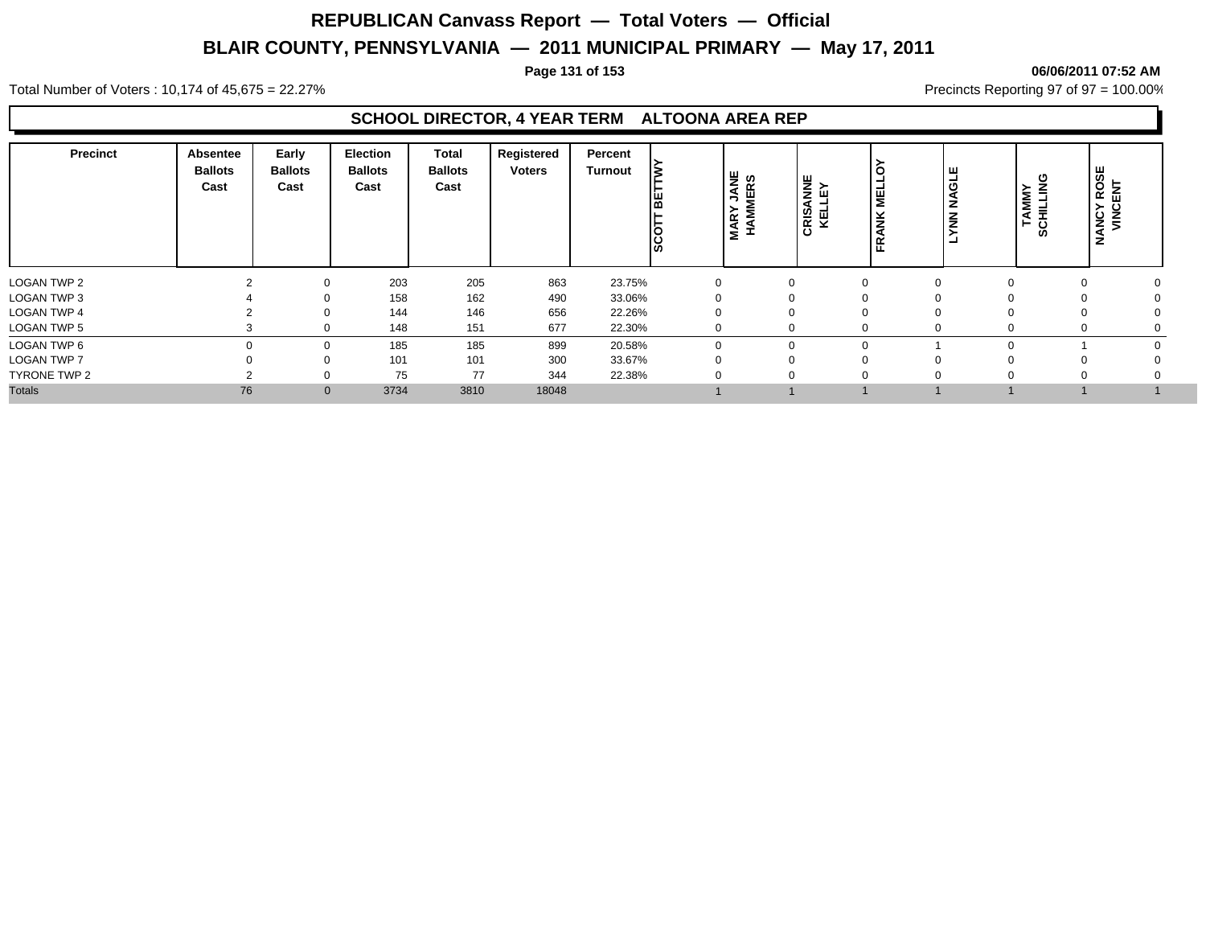#### **Page 131 of 153 06/06/2011 07:52 AM**

Total Number of Voters : 10,174 of 45,675 = 22.27% **Precincts Reporting 97 of 97 = 100.00%** Precincts Reporting 97 of 97 = 100.00%

### **SCHOOL DIRECTOR, 4 YEAR TERM ALTOONA AREA REP**

| <b>Precinct</b>     | <b>Absentee</b><br><b>Ballots</b><br>Cast | Early<br><b>Ballots</b><br>Cast | <b>Election</b><br><b>Ballots</b><br>Cast | <b>Total</b><br><b>Ballots</b><br>Cast | Registered<br><b>Voters</b> | Percent<br>Turnout | l≳<br>ᄜ<br><b>SSS</b> | <b>JANE</b><br>MERS<br><b>MAR</b> | )<br>보 기<br>미<br>CRIS, | ME1<br>ž<br>œ<br>щ | ய<br><b>NAGL</b><br>Ιš | ပ<br><b>TAMMY</b><br>CHILLING<br>ဖာ | $T$ ROSE<br>ANCY<br>VINCI |
|---------------------|-------------------------------------------|---------------------------------|-------------------------------------------|----------------------------------------|-----------------------------|--------------------|-----------------------|-----------------------------------|------------------------|--------------------|------------------------|-------------------------------------|---------------------------|
| <b>LOGAN TWP 2</b>  |                                           | $\Omega$                        | 203                                       | 205                                    | 863                         | 23.75%             |                       |                                   |                        |                    |                        |                                     |                           |
| LOGAN TWP 3         |                                           | $\Omega$                        | 158                                       | 162                                    | 490                         | 33.06%             |                       |                                   | 0                      |                    |                        | 0                                   |                           |
| LOGAN TWP 4         |                                           | $\Omega$                        | 144                                       | 146                                    | 656                         | 22.26%             |                       |                                   | 0                      |                    |                        | $\Omega$                            |                           |
| <b>LOGAN TWP 5</b>  |                                           | $\Omega$                        | 148                                       | 151                                    | 677                         | 22.30%             |                       |                                   | $\Omega$               |                    |                        | 0                                   |                           |
| LOGAN TWP 6         |                                           | $\Omega$                        | 185                                       | 185                                    | 899                         | 20.58%             |                       |                                   | 0                      | $\Omega$           | O                      |                                     |                           |
| <b>LOGAN TWP 7</b>  |                                           | $\Omega$                        | 101                                       | 101                                    | 300                         | 33.67%             |                       |                                   |                        |                    |                        |                                     |                           |
| <b>TYRONE TWP 2</b> |                                           |                                 | 75                                        | 77                                     | 344                         | 22.38%             |                       |                                   | 0                      |                    |                        |                                     |                           |
| <b>Totals</b>       | 76                                        | $\mathbf{0}$                    | 3734                                      | 3810                                   | 18048                       |                    |                       |                                   |                        |                    |                        |                                     |                           |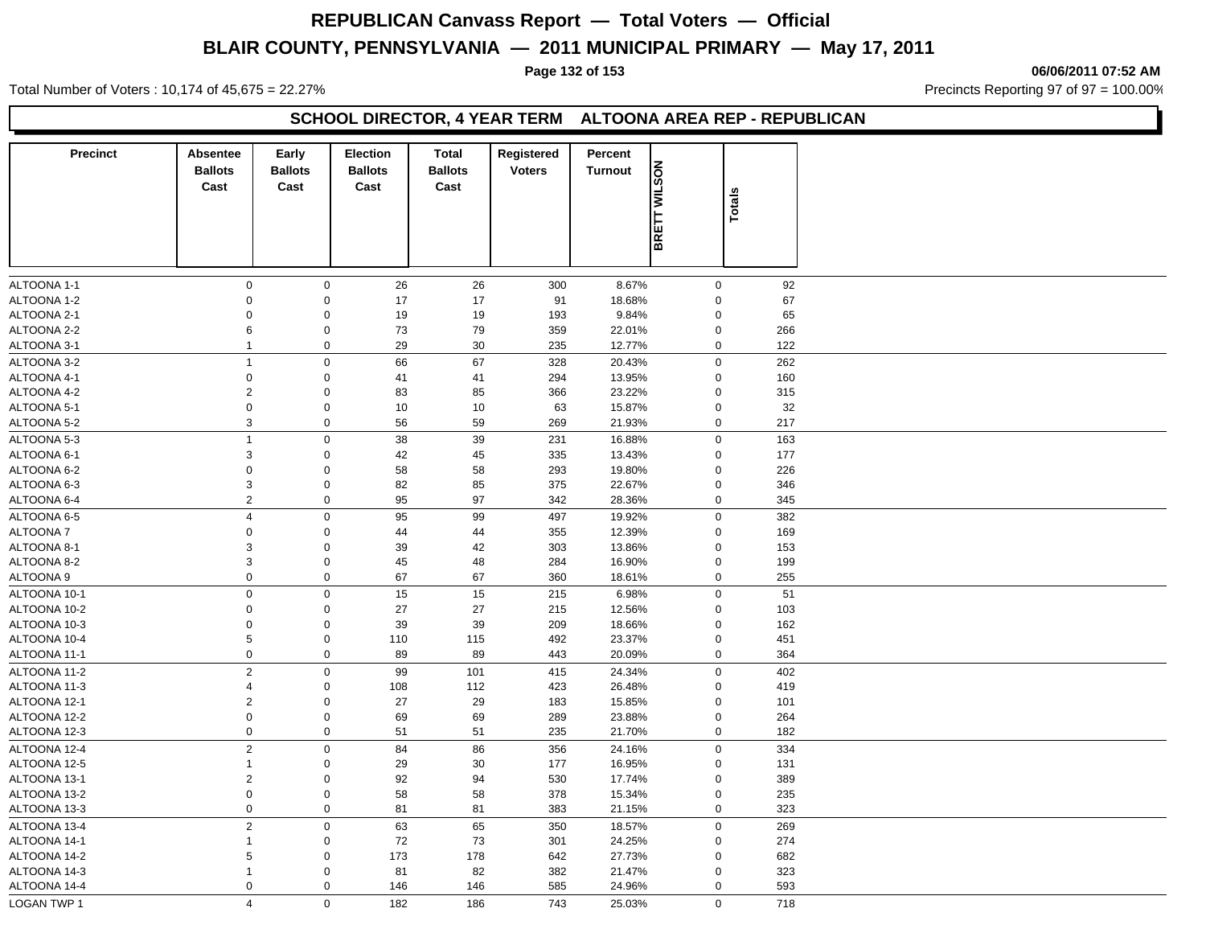#### **Page 132 of 153 06/06/2011 07:52 AM**

Total Number of Voters : 10,174 of 45,675 = 22.27% **Precincts Reporting 97 of 97 = 100.00%** Precincts Reporting 97 of 97 = 100.00%

### **SCHOOL DIRECTOR, 4 YEAR TERM ALTOONA AREA REP - REPUBLICAN**

| <b>Precinct</b> | Absentee       | Early          | Election       | <b>Total</b>   | Registered    | Percent        |              |             |     |
|-----------------|----------------|----------------|----------------|----------------|---------------|----------------|--------------|-------------|-----|
|                 | <b>Ballots</b> | <b>Ballots</b> | <b>Ballots</b> | <b>Ballots</b> | <b>Voters</b> | <b>Turnout</b> | BRETT WILSON |             |     |
|                 | Cast           | Cast           | Cast           | Cast           |               |                |              | Totals      |     |
|                 |                |                |                |                |               |                |              |             |     |
|                 |                |                |                |                |               |                |              |             |     |
|                 |                |                |                |                |               |                |              |             |     |
|                 |                |                |                |                |               |                |              |             |     |
| ALTOONA 1-1     | $\mathbf 0$    | $\mathbf 0$    | 26             | 26             | 300           | 8.67%          |              | $\mathbf 0$ | 92  |
| ALTOONA 1-2     | $\mathbf 0$    | $\mathbf 0$    | 17             | 17             | 91            | 18.68%         |              | $\mathbf 0$ | 67  |
| ALTOONA 2-1     | $\mathbf 0$    | $\mathbf 0$    | 19             | 19             | 193           | 9.84%          |              | $\mathbf 0$ | 65  |
| ALTOONA 2-2     | 6              | $\mathbf 0$    | 73             | 79             | 359           | 22.01%         |              | $\pmb{0}$   | 266 |
| ALTOONA 3-1     | $\overline{1}$ | $\mathbf 0$    | 29             | 30             | 235           | 12.77%         |              | $\mathbf 0$ | 122 |
| ALTOONA 3-2     | $\mathbf{1}$   | $\pmb{0}$      | 66             | 67             | 328           | 20.43%         |              | $\mathbf 0$ | 262 |
| ALTOONA 4-1     | $\mathbf 0$    | $\mathbf 0$    | 41             | 41             | 294           | 13.95%         |              | 0           | 160 |
| ALTOONA 4-2     | $\mathbf 2$    | $\mathbf 0$    | 83             | 85             | 366           | 23.22%         |              | $\mathbf 0$ | 315 |
| ALTOONA 5-1     | $\mathbf 0$    | $\mathbf 0$    | 10             | 10             | 63            | 15.87%         |              | $\mathbf 0$ | 32  |
| ALTOONA 5-2     | 3              | $\mathbf 0$    | 56             | 59             | 269           | 21.93%         |              | $\mathbf 0$ | 217 |
| ALTOONA 5-3     | $\mathbf{1}$   | $\mathsf 0$    | 38             | 39             | 231           | 16.88%         |              | $\mathbf 0$ | 163 |
| ALTOONA 6-1     | 3              | $\mathbf 0$    | 42             | 45             | 335           | 13.43%         |              | $\mathbf 0$ | 177 |
| ALTOONA 6-2     | $\mathbf 0$    | $\mathbf 0$    | 58             | 58             | 293           | 19.80%         |              | $\mathbf 0$ | 226 |
| ALTOONA 6-3     | 3              | $\mathbf 0$    | 82             | 85             | 375           | 22.67%         |              | $\mathbf 0$ | 346 |
| ALTOONA 6-4     | $\overline{2}$ | $\mathbf 0$    | 95             | 97             | 342           | 28.36%         |              | $\mathbf 0$ | 345 |
| ALTOONA 6-5     | $\overline{4}$ | $\mathbf 0$    | 95             | 99             | 497           | 19.92%         |              | $\mathbf 0$ | 382 |
| ALTOONA 7       | $\mathbf 0$    | $\mathbf 0$    | 44             | 44             | 355           | 12.39%         |              | $\mathbf 0$ | 169 |
| ALTOONA 8-1     | 3              | $\mathbf 0$    | 39             | 42             | 303           | 13.86%         |              | $\mathbf 0$ | 153 |
| ALTOONA 8-2     | 3              | $\mathbf 0$    | 45             | 48             | 284           | 16.90%         |              | $\mathbf 0$ | 199 |
| ALTOONA 9       | $\pmb{0}$      | $\mathsf 0$    | 67             | 67             | 360           | 18.61%         |              | $\mathbf 0$ | 255 |
| ALTOONA 10-1    | $\mathbf 0$    | $\mathbf 0$    | 15             | 15             | 215           | 6.98%          |              | $\mathbf 0$ | 51  |
| ALTOONA 10-2    | $\mathbf 0$    | $\mathbf 0$    | 27             | 27             | 215           | 12.56%         |              | $\mathbf 0$ | 103 |
| ALTOONA 10-3    | $\mathbf 0$    | $\mathbf 0$    | 39             | 39             | 209           | 18.66%         |              | $\mathbf 0$ | 162 |
| ALTOONA 10-4    | 5              | $\mathbf 0$    | 110            | 115            | 492           | 23.37%         |              | $\mathbf 0$ | 451 |
| ALTOONA 11-1    | $\mathbf 0$    | $\mathsf 0$    | 89             | 89             | 443           | 20.09%         |              | $\mathbf 0$ | 364 |
| ALTOONA 11-2    | $\overline{2}$ | $\pmb{0}$      | 99             | 101            | 415           | 24.34%         |              | $\mathbf 0$ | 402 |
| ALTOONA 11-3    | $\overline{4}$ | $\mathbf 0$    | 108            | 112            | 423           | 26.48%         |              | $\mathbf 0$ | 419 |
| ALTOONA 12-1    | $\overline{c}$ | $\mathbf 0$    | 27             | 29             | 183           | 15.85%         |              | $\mathbf 0$ | 101 |
| ALTOONA 12-2    | $\mathbf 0$    | $\mathbf 0$    | 69             | 69             | 289           | 23.88%         |              | $\mathbf 0$ | 264 |
| ALTOONA 12-3    | $\mathbf 0$    | $\mathbf 0$    | 51             | 51             | 235           | 21.70%         |              | $\mathbf 0$ | 182 |
| ALTOONA 12-4    | $\overline{2}$ | $\mathbf 0$    | 84             | 86             | 356           | 24.16%         |              | $\mathbf 0$ | 334 |
| ALTOONA 12-5    | $\mathbf{1}$   | $\mathbf 0$    | 29             | 30             | 177           | 16.95%         |              | 0           | 131 |
| ALTOONA 13-1    | $\overline{2}$ | $\mathbf 0$    | 92             | 94             | 530           | 17.74%         |              | $\mathbf 0$ | 389 |
| ALTOONA 13-2    | $\mathbf 0$    | $\mathbf 0$    | 58             | 58             | 378           | 15.34%         |              | $\mathbf 0$ | 235 |
| ALTOONA 13-3    | $\mathbf 0$    | $\mathbf 0$    | 81             | 81             | 383           | 21.15%         |              | $\mathbf 0$ | 323 |
| ALTOONA 13-4    | $\overline{2}$ | $\mathbf 0$    | 63             | 65             | 350           | 18.57%         |              | $\mathbf 0$ | 269 |
| ALTOONA 14-1    | 1              | $\mathbf 0$    | 72             | 73             | 301           | 24.25%         |              | 0           | 274 |
| ALTOONA 14-2    | 5              | $\mathbf 0$    | 173            | 178            | 642           | 27.73%         |              | 0           | 682 |
| ALTOONA 14-3    | $\mathbf{1}$   | $\mathbf 0$    | 81             | 82             | 382           | 21.47%         |              | $\mathbf 0$ | 323 |
| ALTOONA 14-4    | $\mathbf 0$    | $\mathbf 0$    | 146            | 146            | 585           | 24.96%         |              | $\mathbf 0$ | 593 |
| LOGAN TWP 1     | $\overline{4}$ | $\mathbf 0$    | 182            | 186            | 743           | 25.03%         |              | $\mathbf 0$ | 718 |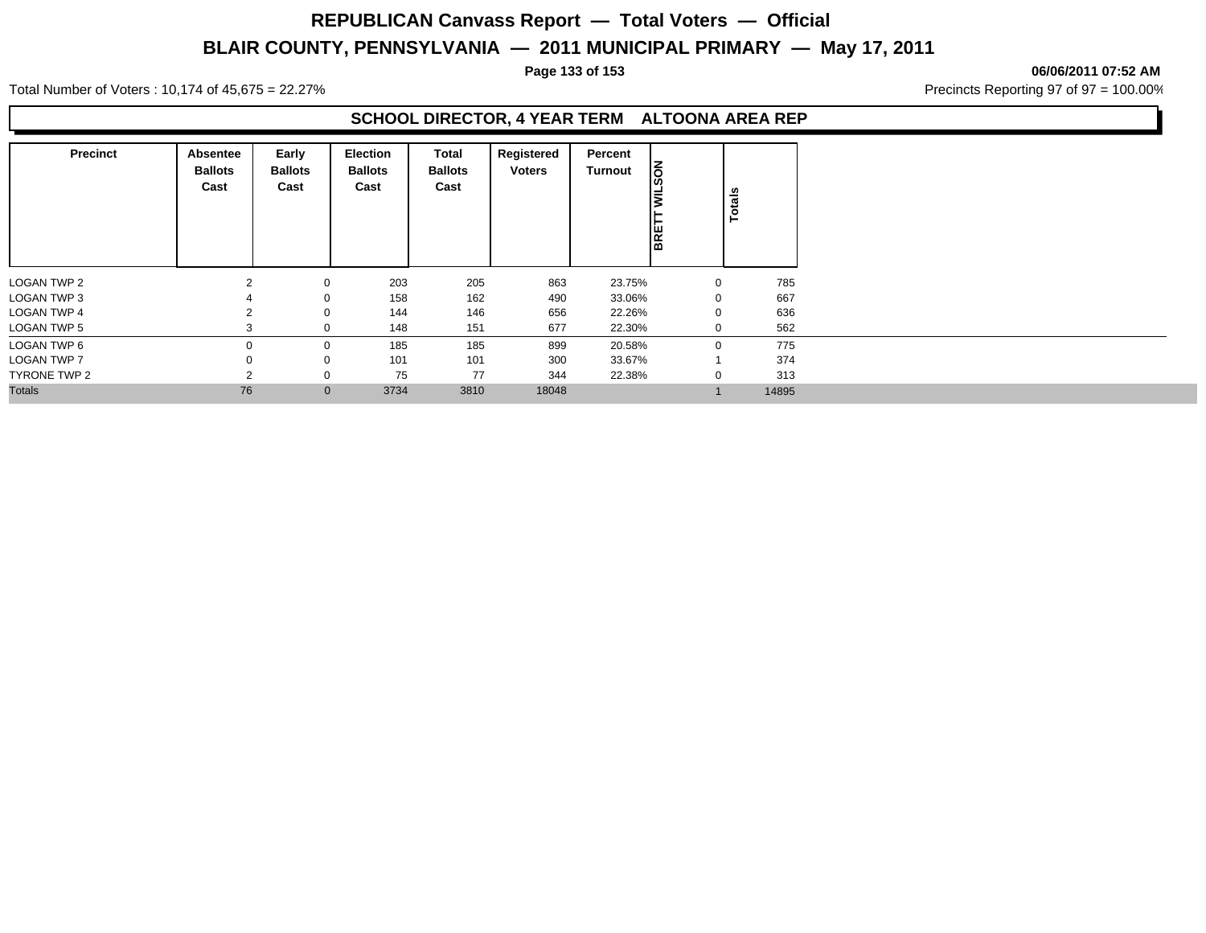**Page 133 of 153 06/06/2011 07:52 AM**

Total Number of Voters : 10,174 of 45,675 = 22.27% **Precincts Reporting 97 of 97 = 100.00%** Precincts Reporting 97 of 97 = 100.00%

### **SCHOOL DIRECTOR, 4 YEAR TERM ALTOONA AREA REP**

| <b>Precinct</b>    | Absentee<br><b>Ballots</b><br>Cast                                                                                                                                                                                                                                     | Early<br><b>Ballots</b><br>Cast | <b>Election</b><br><b>Ballots</b><br>Cast | Total<br><b>Ballots</b><br>Cast | Registered<br><b>Voters</b> | Percent<br>Turnout | <b>Nos</b><br>₹ | Totals |       |
|--------------------|------------------------------------------------------------------------------------------------------------------------------------------------------------------------------------------------------------------------------------------------------------------------|---------------------------------|-------------------------------------------|---------------------------------|-----------------------------|--------------------|-----------------|--------|-------|
| LOGAN TWP 2        |                                                                                                                                                                                                                                                                        |                                 |                                           | 205                             | 863                         |                    |                 |        | 785   |
| <b>LOGAN TWP 3</b> |                                                                                                                                                                                                                                                                        |                                 |                                           | 162                             | 490                         |                    |                 |        | 667   |
| <b>LOGAN TWP 4</b> | BRET<br>203<br>23.75%<br>2<br>0<br>0<br>158<br>$\mathbf 0$<br>33.06%<br>$\mathbf 0$<br>636<br>146<br>656<br>144<br>0<br>22.26%<br>$\mathbf 0$<br>151<br>677<br>562<br>0<br>148<br>22.30%<br>0<br>3<br>185<br>775<br>185<br>899<br>$\mathbf 0$<br>20.58%<br>$\mathbf 0$ |                                 |                                           |                                 |                             |                    |                 |        |       |
| <b>LOGAN TWP 5</b> |                                                                                                                                                                                                                                                                        |                                 |                                           |                                 |                             |                    |                 |        |       |
| LOGAN TWP 6        |                                                                                                                                                                                                                                                                        |                                 |                                           |                                 |                             |                    |                 |        |       |
| <b>LOGAN TWP 7</b> |                                                                                                                                                                                                                                                                        | 0                               | 101                                       | 101                             | 300                         | 33.67%             |                 |        | 374   |
| TYRONE TWP 2       | っ                                                                                                                                                                                                                                                                      | 0                               | 75                                        | 77                              | 344                         | 22.38%             | 0               |        | 313   |
| <b>Totals</b>      | 76                                                                                                                                                                                                                                                                     | $\mathbf{0}$                    | 3734                                      | 3810                            | 18048                       |                    |                 |        | 14895 |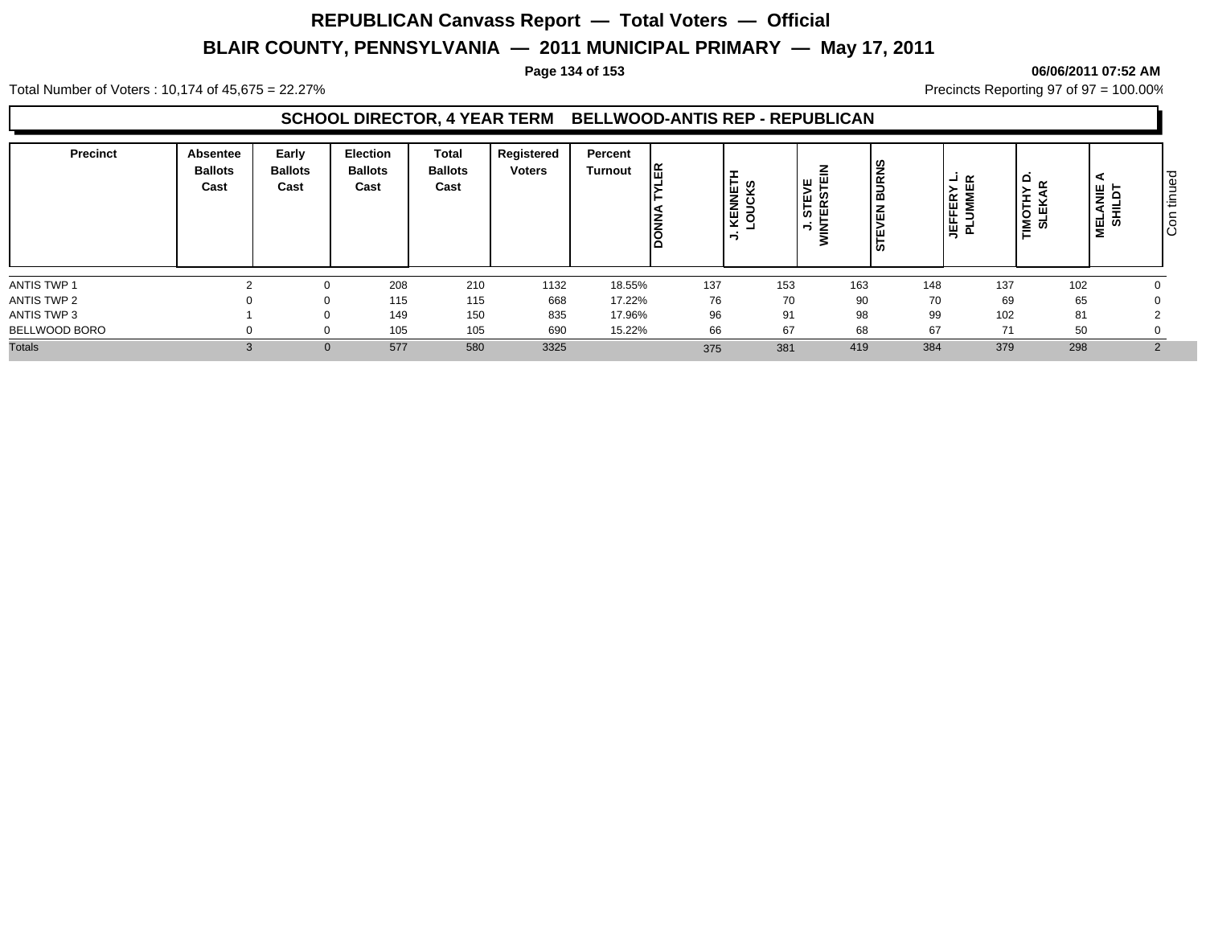#### **Page 134 of 153 06/06/2011 07:52 AM**

Total Number of Voters : 10,174 of 45,675 = 22.27% **Precincts Reporting 97 of 97 = 100.00%** Precincts Reporting 97 of 97 = 100.00%

### **SCHOOL DIRECTOR, 4 YEAR TERM BELLWOOD-ANTIS REP - REPUBLICAN**

| <b>Precinct</b> | Absentee<br><b>Ballots</b><br>Cast | Early<br><b>Ballots</b><br>Cast | <b>Election</b><br><b>Ballots</b><br>Cast | <b>Total</b><br><b>Ballots</b><br>Cast | Registered<br><b>Voters</b> | Percent<br>Turnout | Æ.  | ⊢<br>ທ<br>ž<br>ပ<br>∍<br>섶 | ٣<br>ທ<br>-<br>⊔ נש' | ၟႍ<br>$\overline{\mathbf{g}}$<br>മ<br>즚<br><b>in</b> | ∣ → ≃<br><b>JEFFERY</b><br>PLUMMEI | ہ ا<br>$\propto$<br>TIMOTHY<br>SLEKAF | ⋖<br>ANIE<br>"<br>-<br>ᇦᅘ | ס ו<br>ு இ<br>$\sim$<br>-<br>ا≐ا<br>$\circ$<br>ΙO |
|-----------------|------------------------------------|---------------------------------|-------------------------------------------|----------------------------------------|-----------------------------|--------------------|-----|----------------------------|----------------------|------------------------------------------------------|------------------------------------|---------------------------------------|---------------------------|---------------------------------------------------|
| ANTIS TWP 1     |                                    |                                 | 208                                       | 210                                    | 1132                        | 18.55%             | 137 | 153                        | 163                  | 148                                                  | 137                                | 102                                   |                           |                                                   |
| ANTIS TWP 2     |                                    |                                 | 115                                       | 115                                    | 668                         | 17.22%             | 76  | 70                         | 90                   | 70                                                   | 69                                 | 65                                    |                           |                                                   |
| ANTIS TWP 3     |                                    |                                 | 149                                       | 150                                    | 835                         | 17.96%             | 96  | 91                         | 98                   | 99                                                   | 102                                | 81                                    |                           |                                                   |
| BELLWOOD BORO   |                                    |                                 | 105                                       | 105                                    | 690                         | 15.22%             | 66  | 67                         | 68                   | 67                                                   | 71                                 | 50                                    |                           |                                                   |
| <b>Totals</b>   |                                    | $\Omega$                        | 577                                       | 580                                    | 3325                        |                    | 375 | 381                        | 419                  | 384                                                  | 379                                | 298                                   |                           |                                                   |
|                 |                                    |                                 |                                           |                                        |                             |                    |     |                            |                      |                                                      |                                    |                                       |                           |                                                   |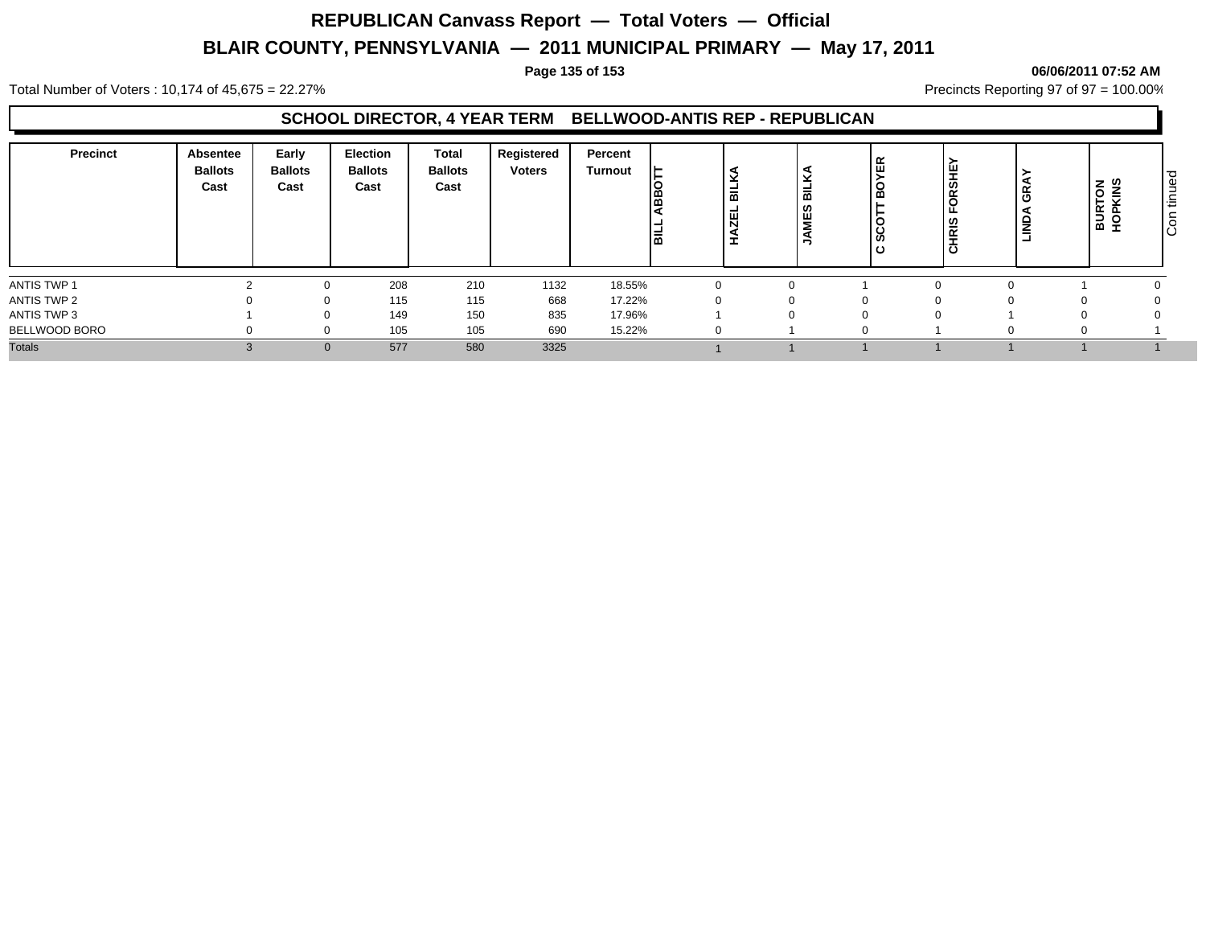### **Page 135 of 153 06/06/2011 07:52 AM**

Total Number of Voters : 10,174 of 45,675 = 22.27% **Precincts Reporting 97 of 97 = 100.00%** Precincts Reporting 97 of 97 = 100.00%

### **SCHOOL DIRECTOR, 4 YEAR TERM BELLWOOD-ANTIS REP - REPUBLICAN**

| <b>Precinct</b> | Absentee<br><b>Ballots</b><br>Cast | Early<br><b>Ballots</b><br>Cast | Election<br><b>Ballots</b><br>Cast | <b>Total</b><br><b>Ballots</b><br>Cast | Registered<br><b>Voters</b> | Percent<br>Turnout |          | = | =<br>≃ | ≃ | ∣≝<br><b>RSH</b><br><b>RIS</b><br>త | <br>।<br>6RA<br><b>MONIT</b> | <b>TON</b><br>KINS | ס ו<br>ΙФ<br>۰<br>-<br>I∖≣<br>$\circ$<br>Iō |
|-----------------|------------------------------------|---------------------------------|------------------------------------|----------------------------------------|-----------------------------|--------------------|----------|---|--------|---|-------------------------------------|------------------------------|--------------------|---------------------------------------------|
| ANTIS TWP 1     |                                    |                                 | 208                                | 210                                    | 1132                        | 18.55%             | $\Omega$ |   |        |   |                                     |                              |                    |                                             |
| ANTIS TWP 2     |                                    |                                 | 115                                | 115                                    | 668                         | 17.22%             |          |   |        | 0 |                                     |                              |                    |                                             |
| ANTIS TWP 3     |                                    |                                 | 149                                | 150                                    | 835                         | 17.96%             |          |   |        | 0 |                                     |                              |                    |                                             |
| BELLWOOD BORO   |                                    |                                 | 105                                | 105                                    | 690                         | 15.22%             |          |   |        |   |                                     |                              |                    |                                             |
| <b>Totals</b>   |                                    | $\Omega$                        | 577                                | 580                                    | 3325                        |                    |          |   |        |   |                                     |                              |                    |                                             |
|                 |                                    |                                 |                                    |                                        |                             |                    |          |   |        |   |                                     |                              |                    |                                             |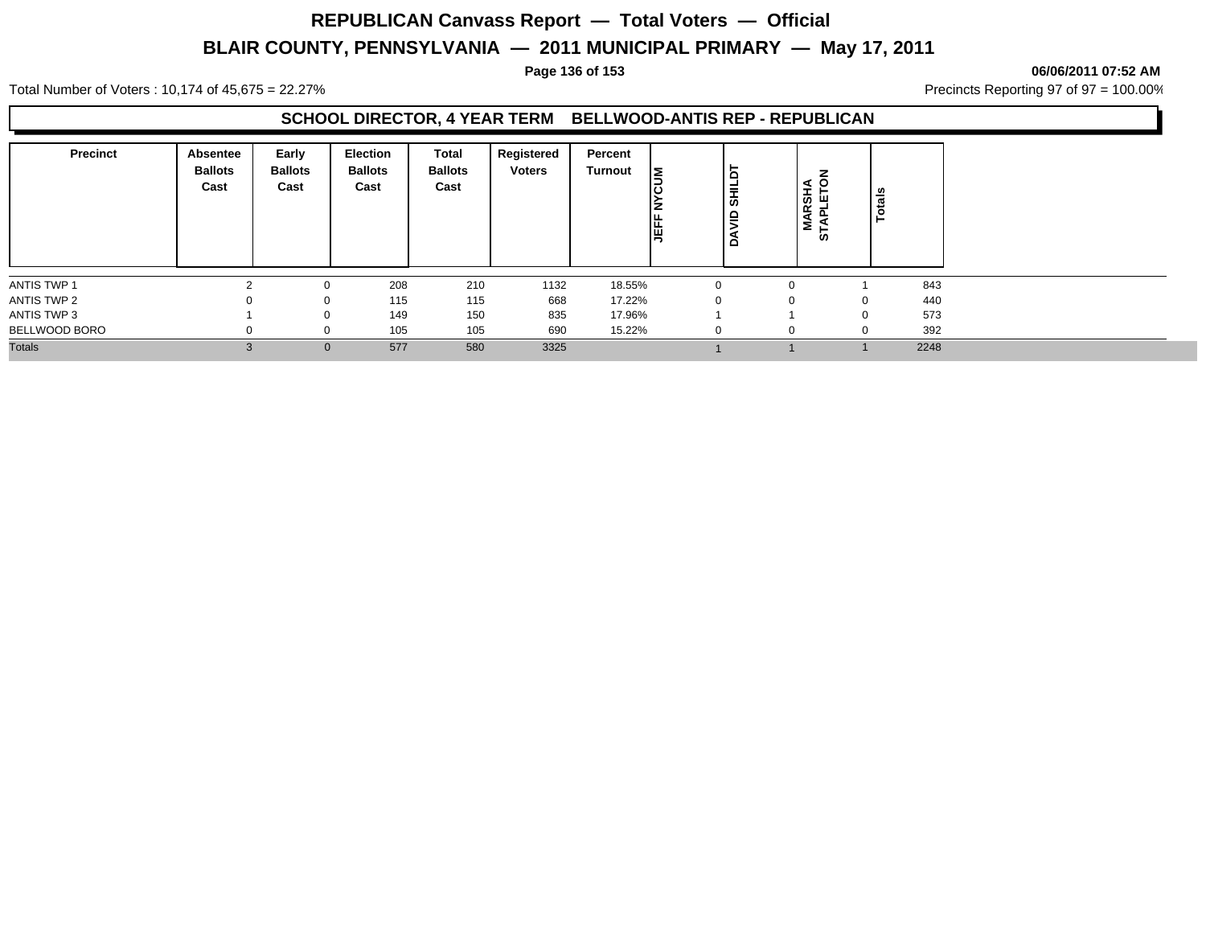#### **Page 136 of 153 06/06/2011 07:52 AM**

Total Number of Voters : 10,174 of 45,675 = 22.27% **Precincts Reporting 97 of 97 = 100.00%** Precincts Reporting 97 of 97 = 100.00%

### **SCHOOL DIRECTOR, 4 YEAR TERM BELLWOOD-ANTIS REP - REPUBLICAN**

| <b>Precinct</b> | Absentee<br><b>Ballots</b><br>Cast | Early<br><b>Ballots</b><br>Cast | <b>Election</b><br><b>Ballots</b><br>Cast | Total<br><b>Ballots</b><br>Cast | Registered<br><b>Voters</b> | Percent<br>Turnout | lΣ | Б,<br><b>SHILI</b><br>∣e<br>$\Omega$ | <b>MARSHA</b><br>TAPLETOI<br>ທ | otals    |      |
|-----------------|------------------------------------|---------------------------------|-------------------------------------------|---------------------------------|-----------------------------|--------------------|----|--------------------------------------|--------------------------------|----------|------|
| ANTIS TWP 1     |                                    |                                 | 208                                       | 210                             | 1132                        | 18.55%             |    |                                      | 0                              |          | 843  |
| ANTIS TWP 2     |                                    |                                 | 115                                       | 115                             | 668                         | 17.22%             |    |                                      | 0                              |          | 440  |
| ANTIS TWP 3     |                                    |                                 | 149                                       | 150                             | 835                         | 17.96%             |    |                                      |                                | $\Omega$ | 573  |
| BELLWOOD BORO   |                                    |                                 | 105                                       | 105                             | 690                         | 15.22%             |    | -0                                   | $\mathbf{0}$                   |          | 392  |
| <b>Totals</b>   | $\mathcal{B}$                      | $\Omega$                        | 577                                       | 580                             | 3325                        |                    |    |                                      |                                |          | 2248 |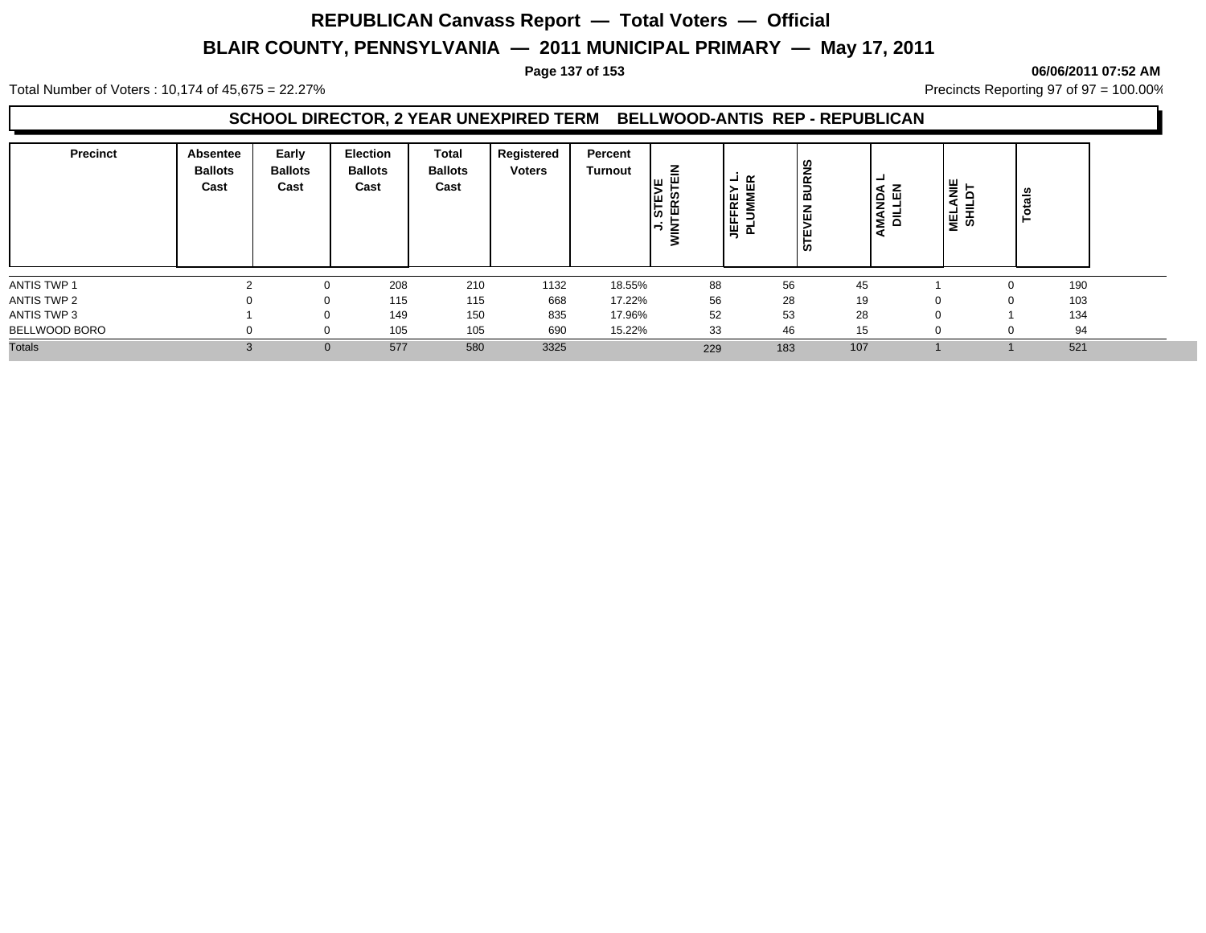#### Total Number of Voters : 10,174 of 45,675 = 22.27% **Precincts Reporting 97 of 97 = 100.00%** Precincts Reporting 97 of 97 = 100.00%

### **SCHOOL DIRECTOR, 2 YEAR UNEXPIRED TERM BELLWOOD-ANTIS REP - REPUBLICAN**

| <b>Precinct</b> | Absentee<br><b>Ballots</b><br>Cast | Early<br><b>Ballots</b><br>Cast | <b>Election</b><br><b>Ballots</b><br>Cast | <b>Total</b><br><b>Ballots</b><br>Cast | Registered<br><b>Voters</b> | Percent<br>Turnout | 즒<br>ш<br>STEN<br>TERS<br>∍ | $\alpha$<br>-<br><b>JEFFREY I<br/>PLUMMER</b> | <b>BURNS</b><br>몺<br><b>STE</b> | −<br>15 교<br>Š<br>- | 뽇<br>–<br>을 하 | otals |  |
|-----------------|------------------------------------|---------------------------------|-------------------------------------------|----------------------------------------|-----------------------------|--------------------|-----------------------------|-----------------------------------------------|---------------------------------|---------------------|---------------|-------|--|
| ANTIS TWP 1     |                                    |                                 | 208                                       | 210                                    | 1132                        | 18.55%             | 88                          | 56                                            | 45                              |                     | n             | 190   |  |
| ANTIS TWP 2     |                                    |                                 | 115                                       | 115                                    | 668                         | 17.22%             | 56                          | 28                                            | 19                              |                     | 0             | 103   |  |
| ANTIS TWP 3     |                                    |                                 | 149                                       | 150                                    | 835                         | 17.96%             | 52                          | 53                                            | 28                              |                     |               | 134   |  |
| BELLWOOD BORO   | $\Omega$                           |                                 | 105                                       | 105                                    | 690                         | 15.22%             | 33                          | 46                                            | 15                              |                     | n             | 94    |  |
| <b>Totals</b>   | $\sim$<br>C.                       | 0                               | 577                                       | 580                                    | 3325                        |                    | 229                         | 183                                           | 107                             |                     |               | 521   |  |

#### **Page 137 of 153 06/06/2011 07:52 AM**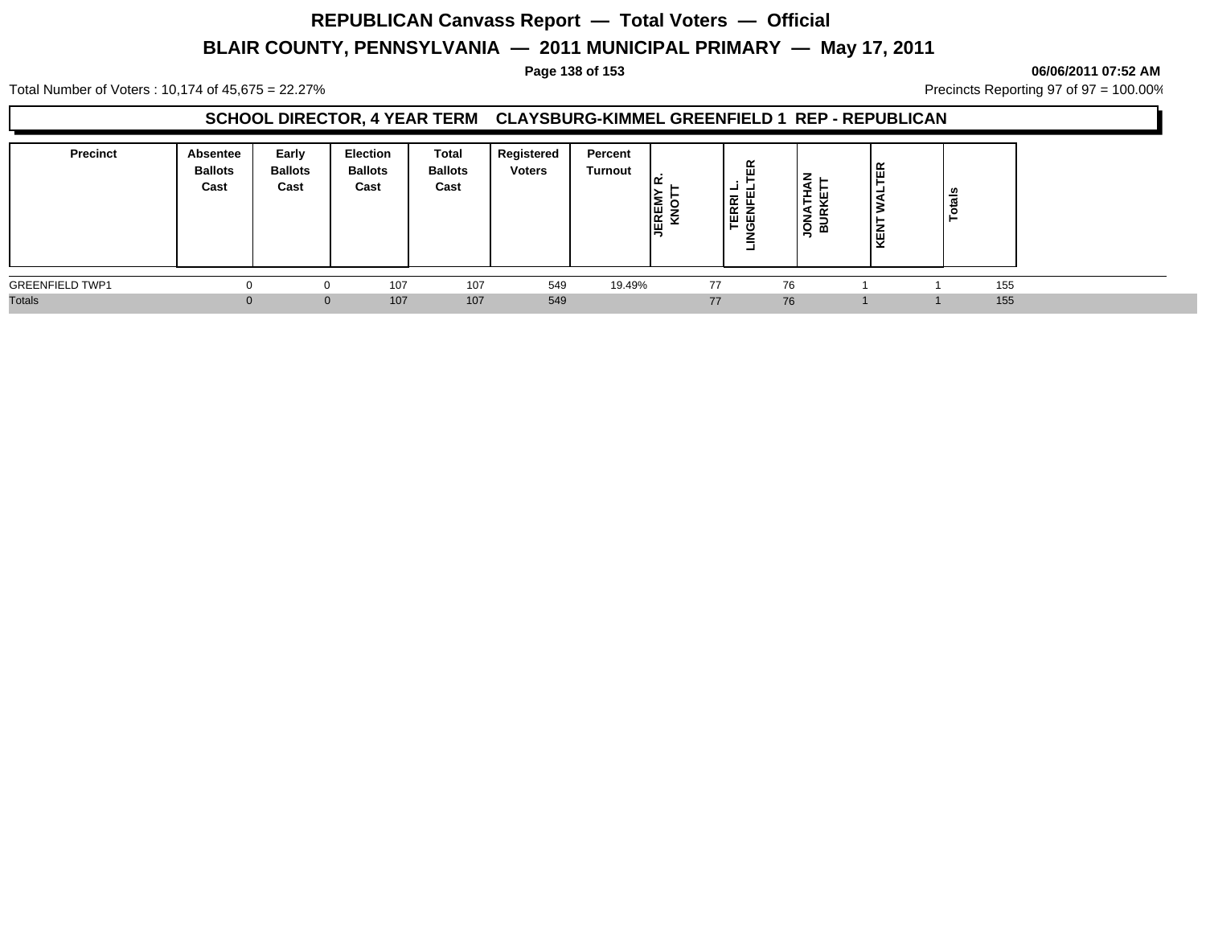Total Number of Voters : 10,174 of 45,675 = 22.27% 2.27% Precincts Reporting 97 of 97 = 100.00%

### **SCHOOL DIRECTOR, 4 YEAR TERM CLAYSBURG-KIMMEL GREENFIELD 1 REP - REPUBLICAN**

| <b>Precinct</b><br>Absentee<br><b>Ballots</b><br>Cast | Early<br><b>Ballots</b><br>Cast | <b>Election</b><br><b>Ballots</b><br>Cast | Total<br><b>Ballots</b><br>Cast | Registered<br><b>Voters</b> | Percent<br>Turnout | <b>EE</b><br>KX | ≃<br>RRI<br>NFE<br>画面<br>ඏ<br>►. | ш<br><b>.</b><br>z<br>$\overline{\phantom{a}}$<br>≃<br>⊻ | 띥<br>é | otals |  |
|-------------------------------------------------------|---------------------------------|-------------------------------------------|---------------------------------|-----------------------------|--------------------|-----------------|----------------------------------|----------------------------------------------------------|--------|-------|--|
| <b>GREENFIELD TWP1</b>                                |                                 | 107                                       | 107                             | 549                         | 19.49%             | 77              | 76                               |                                                          |        | 155   |  |
| <b>Totals</b>                                         |                                 | 107<br>$\mathbf{0}$                       | 107                             | 549                         |                    | 77              | 76                               |                                                          |        | 155   |  |

#### **Page 138 of 153 06/06/2011 07:52 AM**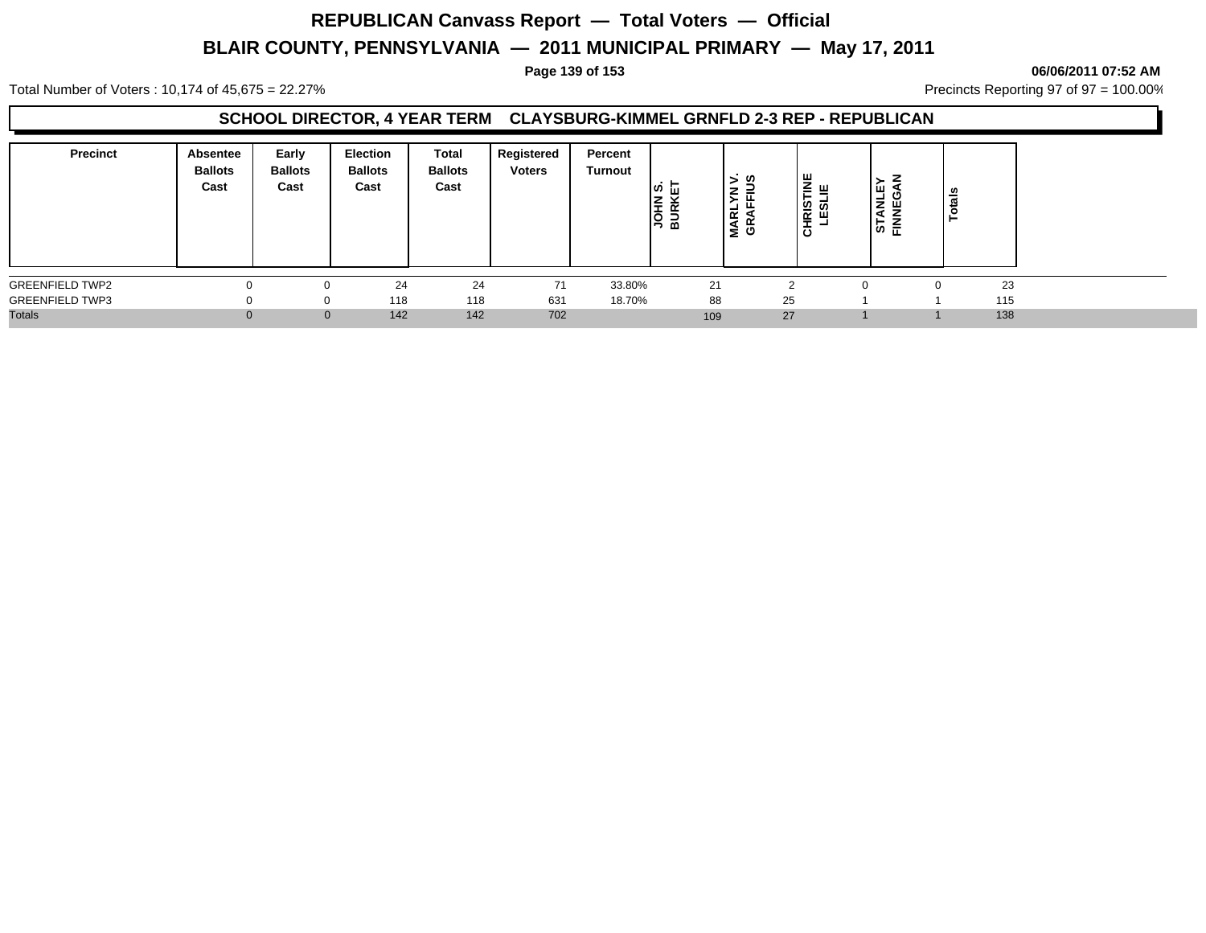#### Total Number of Voters : 10,174 of 45,675 = 22.27% **Precincts Reporting 97 of 97 = 100.00%** Precincts Reporting 97 of 97 = 100.00%

### **SCHOOL DIRECTOR, 4 YEAR TERM CLAYSBURG-KIMMEL GRNFLD 2-3 REP - REPUBLICAN**

| <b>Precinct</b>        | Absentee<br><b>Ballots</b><br>Cast | Early<br><b>Ballots</b><br>Cast | Election<br><b>Ballots</b><br>Cast | <b>Total</b><br><b>Ballots</b><br>Cast | Registered<br><b>Voters</b> | Percent<br>Turnout | ∣ທ  ⊔<br><b>JOHN</b><br>BURKI | ゞの<br>⇁<br>ᆜ<br>œ<br>≃<br>≷ ⊕ | │≝ ୷<br>ᇀ<br><u>ី ខ</u><br>ш<br>阜 | 7<br>ш<br>z<br>ш<br>≂<br>⋖<br>∼<br>⇁<br>╘<br>훈<br>ທ | <b>S</b><br>त्त<br>ਠ |  |
|------------------------|------------------------------------|---------------------------------|------------------------------------|----------------------------------------|-----------------------------|--------------------|-------------------------------|-------------------------------|-----------------------------------|-----------------------------------------------------|----------------------|--|
| <b>GREENFIELD TWP2</b> |                                    |                                 | 24                                 | 24                                     | 71                          | 33.80%             | 21                            |                               |                                   |                                                     | 23                   |  |
| <b>GREENFIELD TWP3</b> |                                    | 0                               | 118                                | 118                                    | 631                         | 18.70%             | 88                            | 25                            |                                   |                                                     | 115                  |  |
| <b>Totals</b>          |                                    | $\mathbf{0}$                    | 142                                | 142                                    | 702                         |                    | 109                           | 27                            |                                   |                                                     | 138                  |  |

#### **Page 139 of 153 06/06/2011 07:52 AM**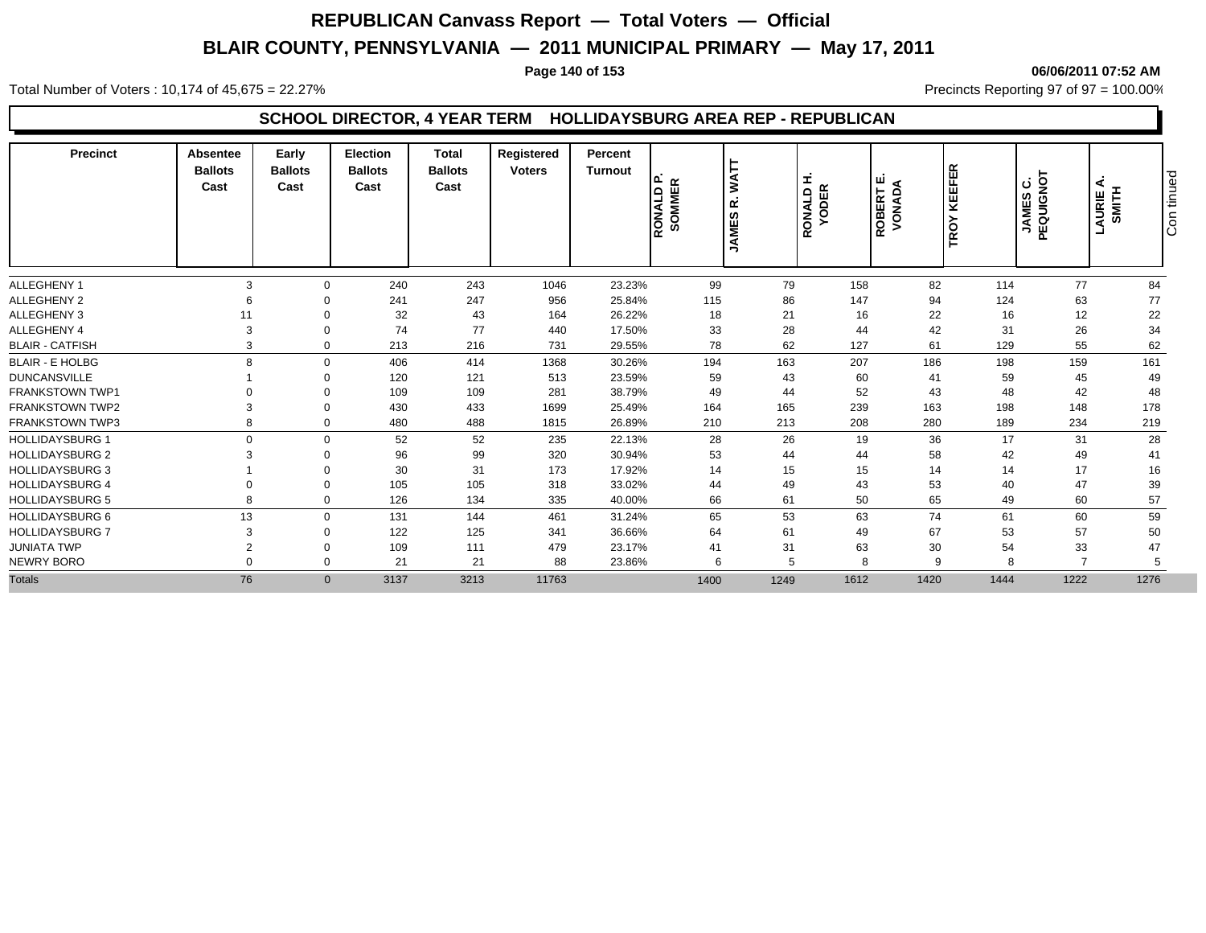#### **Page 140 of 153 06/06/2011 07:52 AM**

Total Number of Voters : 10,174 of 45,675 = 22.27% **Precincts Reporting 97 of 97 = 100.00%** Precincts Reporting 97 of 97 = 100.00%

### **SCHOOL DIRECTOR, 4 YEAR TERM HOLLIDAYSBURG AREA REP - REPUBLICAN**

| Precinct               | <b>Absentee</b><br><b>Ballots</b><br>Cast | Early<br><b>Ballots</b><br>Cast | <b>Election</b><br><b>Ballots</b><br>Cast | <b>Total</b><br><b>Ballots</b><br>Cast | Registered<br><b>Voters</b> | Percent<br><b>Turnout</b> | ௳<br>$\propto$<br><b>QTWOLS</b><br>SOMME | Š<br>œ<br><b>SC</b><br><b>ANE</b><br>∍ | ᆂ<br><b>YODER</b><br>RONALD | ш<br><b>AONADA</b><br>LBBERT | <b>KEEFER</b><br>TROY | JAMES C.<br>PEQUIGNOT | ⋖<br>AURIE A | tinued<br>ခြ |
|------------------------|-------------------------------------------|---------------------------------|-------------------------------------------|----------------------------------------|-----------------------------|---------------------------|------------------------------------------|----------------------------------------|-----------------------------|------------------------------|-----------------------|-----------------------|--------------|--------------|
| <b>ALLEGHENY 1</b>     | 3                                         | $\Omega$                        | 240                                       | 243                                    | 1046                        | 23.23%                    | 99                                       | 79                                     | 158                         | 82                           | 114                   | 77                    | 84           |              |
| ALLEGHENY 2            | 6                                         |                                 | 241                                       | 247                                    | 956                         | 25.84%                    | 115                                      | 86                                     | 147                         | 94                           | 124                   | 63                    | 77           |              |
| ALLEGHENY 3            | 11                                        | $\Omega$                        | 32                                        | 43                                     | 164                         | 26.22%                    | 18                                       | 21                                     | 16                          | 22                           | 16                    | 12                    | 22           |              |
| ALLEGHENY 4            | 3                                         | 0                               | 74                                        | 77                                     | 440                         | 17.50%                    | 33                                       | 28                                     | 44                          | 42                           | 31                    | 26                    | 34           |              |
| <b>BLAIR - CATFISH</b> | 3                                         | $\Omega$                        | 213                                       | 216                                    | 731                         | 29.55%                    | 78                                       | 62                                     | 127                         | 61                           | 129                   | 55                    | 62           |              |
| <b>BLAIR - E HOLBG</b> | $\mathbf{R}$                              | $\Omega$                        | 406                                       | 414                                    | 1368                        | 30.26%                    | 194                                      | 163                                    | 207                         | 186                          | 198                   | 159                   | 161          |              |
| <b>DUNCANSVILLE</b>    |                                           | $\Omega$                        | 120                                       | 121                                    | 513                         | 23.59%                    | 59                                       | 43                                     | 60                          | 41                           | 59                    | 45                    | 49           |              |
| <b>FRANKSTOWN TWP1</b> |                                           | $\Omega$                        | 109                                       | 109                                    | 281                         | 38.79%                    | 49                                       | 44                                     | 52                          | 43                           | 48                    | 42                    | 48           |              |
| <b>FRANKSTOWN TWP2</b> | 3                                         | $\Omega$                        | 430                                       | 433                                    | 1699                        | 25.49%                    | 164                                      | 165                                    | 239                         | 163                          | 198                   | 148                   | 178          |              |
| <b>FRANKSTOWN TWP3</b> | R                                         | $\Omega$                        | 480                                       | 488                                    | 1815                        | 26.89%                    | 210                                      | 213                                    | 208                         | 280                          | 189                   | 234                   | 219          |              |
| <b>HOLLIDAYSBURG 1</b> | $\Omega$                                  | $\Omega$                        | 52                                        | 52                                     | 235                         | 22.13%                    | 28                                       | 26                                     | 19                          | 36                           | 17                    | 31                    | 28           |              |
| <b>HOLLIDAYSBURG 2</b> |                                           | $\Omega$                        | 96                                        | 99                                     | 320                         | 30.94%                    | 53                                       | 44                                     | 44                          | 58                           | 42                    | 49                    | 41           |              |
| <b>HOLLIDAYSBURG 3</b> |                                           | $\Omega$                        | 30                                        | 31                                     | 173                         | 17.92%                    | 14                                       | 15                                     | 15                          | 14                           | 14                    | 17                    | 16           |              |
| <b>HOLLIDAYSBURG 4</b> |                                           | $\Omega$                        | 105                                       | 105                                    | 318                         | 33.02%                    | 44                                       | 49                                     | 43                          | 53                           | 40                    | 47                    | 39           |              |
| <b>HOLLIDAYSBURG 5</b> | $\mathsf{R}$                              | $\mathbf 0$                     | 126                                       | 134                                    | 335                         | 40.00%                    | 66                                       | 61                                     | 50                          | 65                           | 49                    | 60                    | 57           |              |
| <b>HOLLIDAYSBURG 6</b> | 13                                        | $\Omega$                        | 131                                       | 144                                    | 461                         | 31.24%                    | 65                                       | 53                                     | 63                          | 74                           | 61                    | 60                    | 59           |              |
| <b>HOLLIDAYSBURG 7</b> | 3                                         | $\Omega$                        | 122                                       | 125                                    | 341                         | 36.66%                    | 64                                       | 61                                     | 49                          | 67                           | 53                    | 57                    | 50           |              |
| <b>JUNIATA TWP</b>     | $\overline{2}$                            | $\Omega$                        | 109                                       | 111                                    | 479                         | 23.17%                    | 41                                       | 31                                     | 63                          | 30                           | 54                    | 33                    | 47           |              |
| NEWRY BORO             |                                           | $\Omega$                        | 21                                        | 21                                     | 88                          | 23.86%                    | 6                                        | 5                                      | 8                           | 9                            |                       |                       | 5            |              |
| <b>Totals</b>          | 76                                        | $\mathbf{0}$                    | 3137                                      | 3213                                   | 11763                       |                           | 1400                                     | 1249                                   | 1612                        | 1420                         | 1444                  | 1222                  | 1276         |              |
|                        |                                           |                                 |                                           |                                        |                             |                           |                                          |                                        |                             |                              |                       |                       |              |              |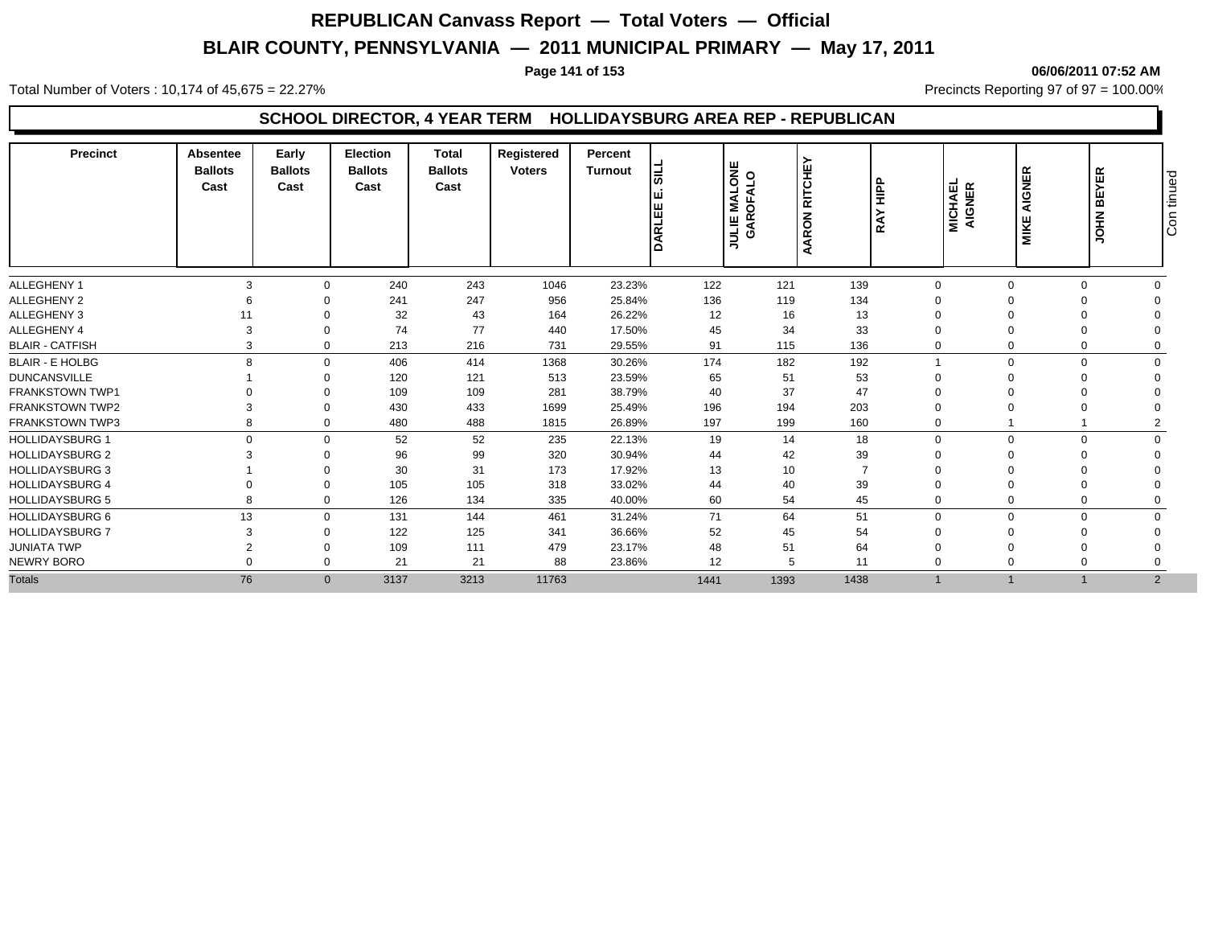#### **Page 141 of 153 06/06/2011 07:52 AM**

Total Number of Voters : 10,174 of 45,675 = 22.27% **Precincts Reporting 97 of 97 = 100.00%** Precincts Reporting 97 of 97 = 100.00%

### **SCHOOL DIRECTOR, 4 YEAR TERM HOLLIDAYSBURG AREA REP - REPUBLICAN**

| <b>Precinct</b>        | Absentee<br><b>Ballots</b><br>Cast | Early<br><b>Ballots</b><br>Cast | Election<br><b>Ballots</b><br>Cast | <b>Total</b><br><b>Ballots</b><br>Cast | Registered<br><b>Voters</b> | Percent<br><b>Turnout</b> | 넓<br>DARLEI | <b>ULIE MALONE<br/>GAROFALO</b><br><b>JULIE</b> | <b>RITCHE</b><br>AARON | $rac{p}{\pm}$<br>Ř | MICHAEL<br>AIGNER | <b>AIGNER</b><br><b>MIKE</b> | <b>BEYER</b><br><b>NHOL</b> | tinued<br>ခြ |
|------------------------|------------------------------------|---------------------------------|------------------------------------|----------------------------------------|-----------------------------|---------------------------|-------------|-------------------------------------------------|------------------------|--------------------|-------------------|------------------------------|-----------------------------|--------------|
| ALLEGHENY 1            | 3                                  | $\Omega$                        | 240                                | 243                                    | 1046                        | 23.23%                    | 122         | 121                                             | 139                    | $\Omega$           | $\Omega$          |                              |                             |              |
| ALLEGHENY 2            |                                    |                                 | 241                                | 247                                    | 956                         | 25.84%                    | 136         | 119                                             | 134                    |                    |                   |                              |                             |              |
| <b>ALLEGHENY 3</b>     |                                    |                                 | 32                                 | 43                                     | 164                         | 26.22%                    | 12          | 16                                              | 13                     | $\Omega$           |                   |                              |                             |              |
| ALLEGHENY 4            |                                    | $\Omega$                        | 74                                 | 77                                     | 440                         | 17.50%                    | 45          | 34                                              | 33                     | $\Omega$           |                   |                              |                             |              |
| <b>BLAIR - CATFISH</b> | 3                                  | $\Omega$                        | 213                                | 216                                    | 731                         | 29.55%                    | 91          | 115                                             | 136                    | $\Omega$           |                   |                              |                             |              |
| <b>BLAIR - E HOLBG</b> | R                                  | $\Omega$                        | 406                                | 414                                    | 1368                        | 30.26%                    | 174         | 182                                             | 192                    |                    | $\Omega$          |                              |                             |              |
| <b>DUNCANSVILLE</b>    |                                    | $\Omega$                        | 120                                | 121                                    | 513                         | 23.59%                    | 65          | 51                                              | 53                     |                    |                   |                              |                             |              |
| <b>FRANKSTOWN TWP1</b> |                                    |                                 | 109                                | 109                                    | 281                         | 38.79%                    | 40          | 37                                              | 47                     |                    |                   |                              |                             |              |
| <b>FRANKSTOWN TWP2</b> |                                    | $\Omega$                        | 430                                | 433                                    | 1699                        | 25.49%                    | 196         | 194                                             | 203                    |                    |                   |                              |                             |              |
| <b>FRANKSTOWN TWP3</b> |                                    | $\Omega$                        | 480                                | 488                                    | 1815                        | 26.89%                    | 197         | 199                                             | 160                    | 0                  |                   |                              |                             |              |
| <b>HOLLIDAYSBURG 1</b> | $\Omega$                           | $\Omega$                        | 52                                 | 52                                     | 235                         | 22.13%                    | 19          | 14                                              | 18                     | $\Omega$           | $\Omega$          |                              |                             |              |
| <b>HOLLIDAYSBURG 2</b> |                                    |                                 | 96                                 | 99                                     | 320                         | 30.94%                    | 44          | 42                                              | 39                     |                    |                   |                              |                             |              |
| <b>HOLLIDAYSBURG 3</b> |                                    |                                 | 30                                 | 31                                     | 173                         | 17.92%                    | 13          | 10                                              | $\overline{7}$         |                    |                   |                              |                             |              |
| <b>HOLLIDAYSBURG 4</b> |                                    |                                 | 105                                | 105                                    | 318                         | 33.02%                    | 44          | 40                                              | 39                     |                    |                   |                              |                             |              |
| <b>HOLLIDAYSBURG 5</b> |                                    | 0                               | 126                                | 134                                    | 335                         | 40.00%                    | 60          | 54                                              | 45                     | $\overline{0}$     |                   |                              |                             |              |
| <b>HOLLIDAYSBURG 6</b> | 13                                 | $\Omega$                        | 131                                | 144                                    | 461                         | 31.24%                    | 71          | 64                                              | 51                     | $\overline{0}$     | $\Omega$          |                              |                             |              |
| <b>HOLLIDAYSBURG 7</b> | 3                                  | $\Omega$                        | 122                                | 125                                    | 341                         | 36.66%                    | 52          | 45                                              | 54                     | $\Omega$           |                   |                              |                             |              |
| <b>JUNIATA TWP</b>     | $\Omega$                           | $\Omega$                        | 109                                | 111                                    | 479                         | 23.17%                    | 48          | 51                                              | 64                     |                    |                   |                              |                             |              |
| NEWRY BORO             |                                    | $\Omega$                        | 21                                 | 21                                     | 88                          | 23.86%                    | 12          | 5                                               | 11                     | 0                  |                   |                              |                             |              |
| <b>Totals</b>          | 76                                 |                                 | $\mathbf{0}$<br>3137               | 3213                                   | 11763                       |                           | 1441        | 1393                                            | 1438                   |                    |                   |                              | $\overline{2}$              |              |
|                        |                                    |                                 |                                    |                                        |                             |                           |             |                                                 |                        |                    |                   |                              |                             |              |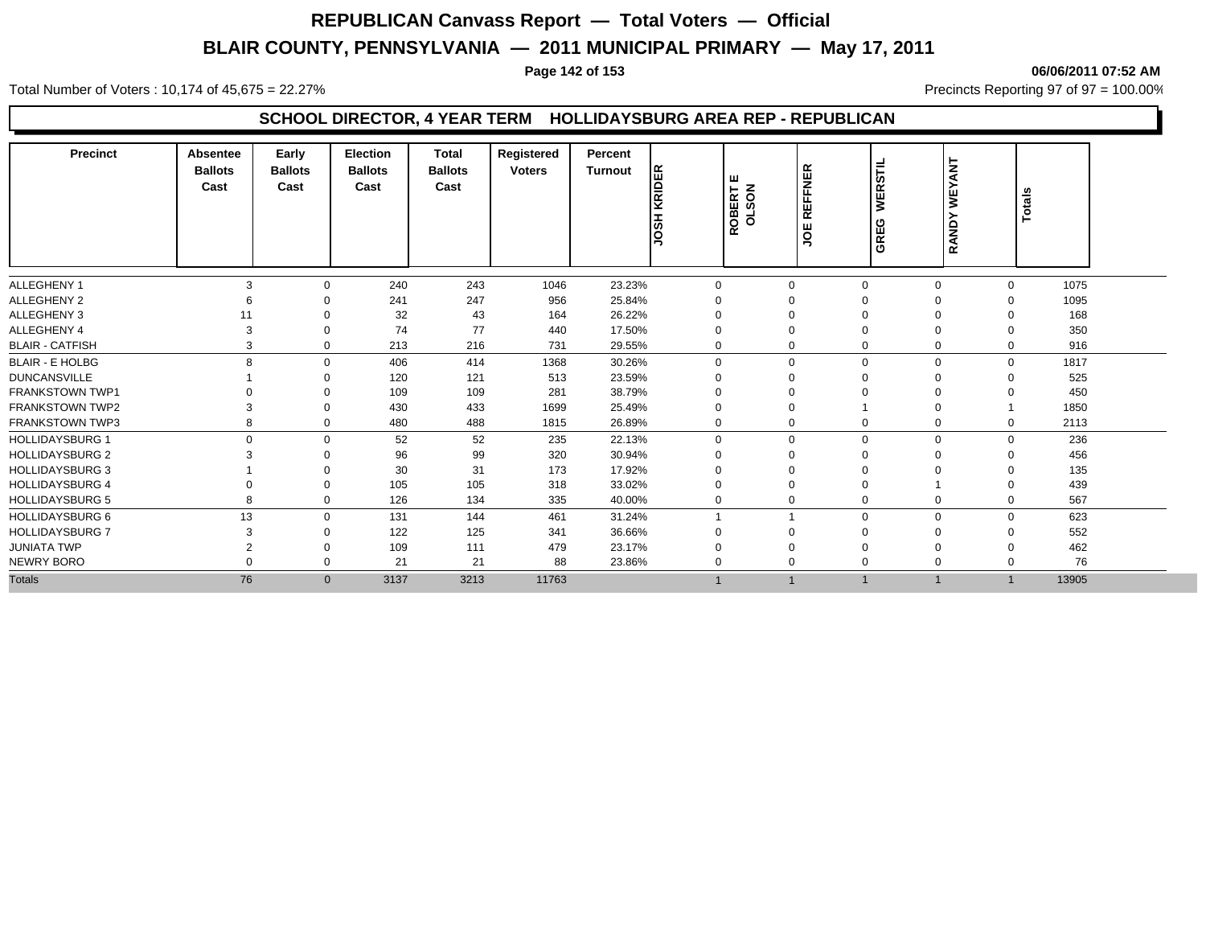#### **Page 142 of 153 06/06/2011 07:52 AM**

Total Number of Voters : 10,174 of 45,675 = 22.27% **Precincts Reporting 97 of 97 = 100.00%** Precincts Reporting 97 of 97 = 100.00%

### **SCHOOL DIRECTOR, 4 YEAR TERM HOLLIDAYSBURG AREA REP - REPUBLICAN**

| <b>Precinct</b>        | <b>Absentee</b><br><b>Ballots</b><br>Cast | Early<br><b>Ballots</b><br>Cast | <b>Election</b><br><b>Ballots</b><br>Cast | <b>Total</b><br><b>Ballots</b><br>Cast | Registered<br><b>Voters</b> | Percent<br><b>Turnout</b> | <b>JOSH KRIDER</b> | ш<br>ROBERT | <b>REFFNER</b><br>ğ | <b>WERSTIL</b><br>GREG | WEYANT<br><b>RAND</b> | Totals |  |
|------------------------|-------------------------------------------|---------------------------------|-------------------------------------------|----------------------------------------|-----------------------------|---------------------------|--------------------|-------------|---------------------|------------------------|-----------------------|--------|--|
| ALLEGHENY 1            | 3                                         | O                               | 240                                       | 243                                    | 1046                        | 23.23%                    | $\Omega$           | $\Omega$    | $\Omega$            | $\Omega$               | $\Omega$              | 1075   |  |
| <b>ALLEGHENY 2</b>     | 6                                         |                                 | 241                                       | 247                                    | 956                         | 25.84%                    |                    | $\Omega$    | $\Omega$            | $\Omega$               | $\Omega$              | 1095   |  |
| <b>ALLEGHENY 3</b>     | 11                                        | 0                               | 32                                        | 43                                     | 164                         | 26.22%                    | O                  | $\Omega$    | $\Omega$            | $\Omega$               | $\Omega$              | 168    |  |
| ALLEGHENY 4            | 3                                         | 0                               | 74                                        | 77                                     | 440                         | 17.50%                    | $\Omega$           | $\Omega$    | $\Omega$            | $\Omega$               | $\Omega$              | 350    |  |
| <b>BLAIR - CATFISH</b> | 3                                         | $\mathbf 0$                     | 213                                       | 216                                    | 731                         | 29.55%                    | 0                  | $\mathbf 0$ | $\Omega$            | $\mathbf 0$            | 0                     | 916    |  |
| <b>BLAIR - E HOLBG</b> | 8                                         | $\Omega$                        | 406                                       | 414                                    | 1368                        | 30.26%                    | $\mathbf{0}$       | $\Omega$    | $\Omega$            | $\mathbf 0$            | $\mathbf{0}$          | 1817   |  |
| <b>DUNCANSVILLE</b>    |                                           |                                 | 120                                       | 121                                    | 513                         | 23.59%                    |                    | $\Omega$    |                     | 0                      | $\Omega$              | 525    |  |
| <b>FRANKSTOWN TWP1</b> |                                           | 0                               | 109                                       | 109                                    | 281                         | 38.79%                    |                    | $\Omega$    |                     | 0                      | $\Omega$              | 450    |  |
| <b>FRANKSTOWN TWP2</b> | 3                                         | $\Omega$                        | 430                                       | 433                                    | 1699                        | 25.49%                    | $\Omega$           | $\Omega$    |                     | $\Omega$               |                       | 1850   |  |
| <b>FRANKSTOWN TWP3</b> | 8                                         | $\Omega$                        | 480                                       | 488                                    | 1815                        | 26.89%                    | $\mathbf 0$        | $\mathbf 0$ | $\mathbf 0$         | $\mathbf 0$            | $\mathbf{0}$          | 2113   |  |
| <b>HOLLIDAYSBURG 1</b> | $\Omega$                                  | $\Omega$                        | 52                                        | 52                                     | 235                         | 22.13%                    | $\mathbf 0$        | $\Omega$    | $\Omega$            | $\mathbf 0$            | $\Omega$              | 236    |  |
| <b>HOLLIDAYSBURG 2</b> | 3                                         | 0                               | 96                                        | 99                                     | 320                         | 30.94%                    | $\Omega$           | $\Omega$    | $\Omega$            | $\Omega$               | $\Omega$              | 456    |  |
| <b>HOLLIDAYSBURG 3</b> |                                           | 0                               | 30                                        | 31                                     | 173                         | 17.92%                    | 0                  | $\Omega$    | $\Omega$            | 0                      | $\Omega$              | 135    |  |
| <b>HOLLIDAYSBURG 4</b> | $\Omega$                                  | $\Omega$                        | 105                                       | 105                                    | 318                         | 33.02%                    | $\Omega$           | $\Omega$    | $\Omega$            |                        | $\Omega$              | 439    |  |
| <b>HOLLIDAYSBURG 5</b> | 8                                         | $\mathbf 0$                     | 126                                       | 134                                    | 335                         | 40.00%                    | 0                  | $\Omega$    | $\Omega$            | $\mathbf 0$            | 0                     | 567    |  |
| <b>HOLLIDAYSBURG 6</b> | 13                                        | $\Omega$                        | 131                                       | 144                                    | 461                         | 31.24%                    |                    |             | $\mathbf 0$         | $\mathbf 0$            | $\mathbf{0}$          | 623    |  |
| <b>HOLLIDAYSBURG 7</b> | 3                                         | $\Omega$                        | 122                                       | 125                                    | 341                         | 36.66%                    | $\Omega$           | $\Omega$    | $\Omega$            | $\Omega$               | $\Omega$              | 552    |  |
| <b>JUNIATA TWP</b>     | $\overline{2}$                            | $\Omega$                        | 109                                       | 111                                    | 479                         | 23.17%                    | 0                  | $\Omega$    | $\Omega$            | $\Omega$               | $\Omega$              | 462    |  |
| NEWRY BORO             | $\Omega$                                  | $\Omega$                        | 21                                        | 21                                     | 88                          | 23.86%                    | 0                  | $\Omega$    | $\Omega$            | 0                      | $\Omega$              | 76     |  |
| <b>Totals</b>          | 76                                        | $\overline{0}$                  | 3137                                      | 3213                                   | 11763                       |                           |                    |             | $\mathbf 1$         | $\overline{1}$         |                       | 13905  |  |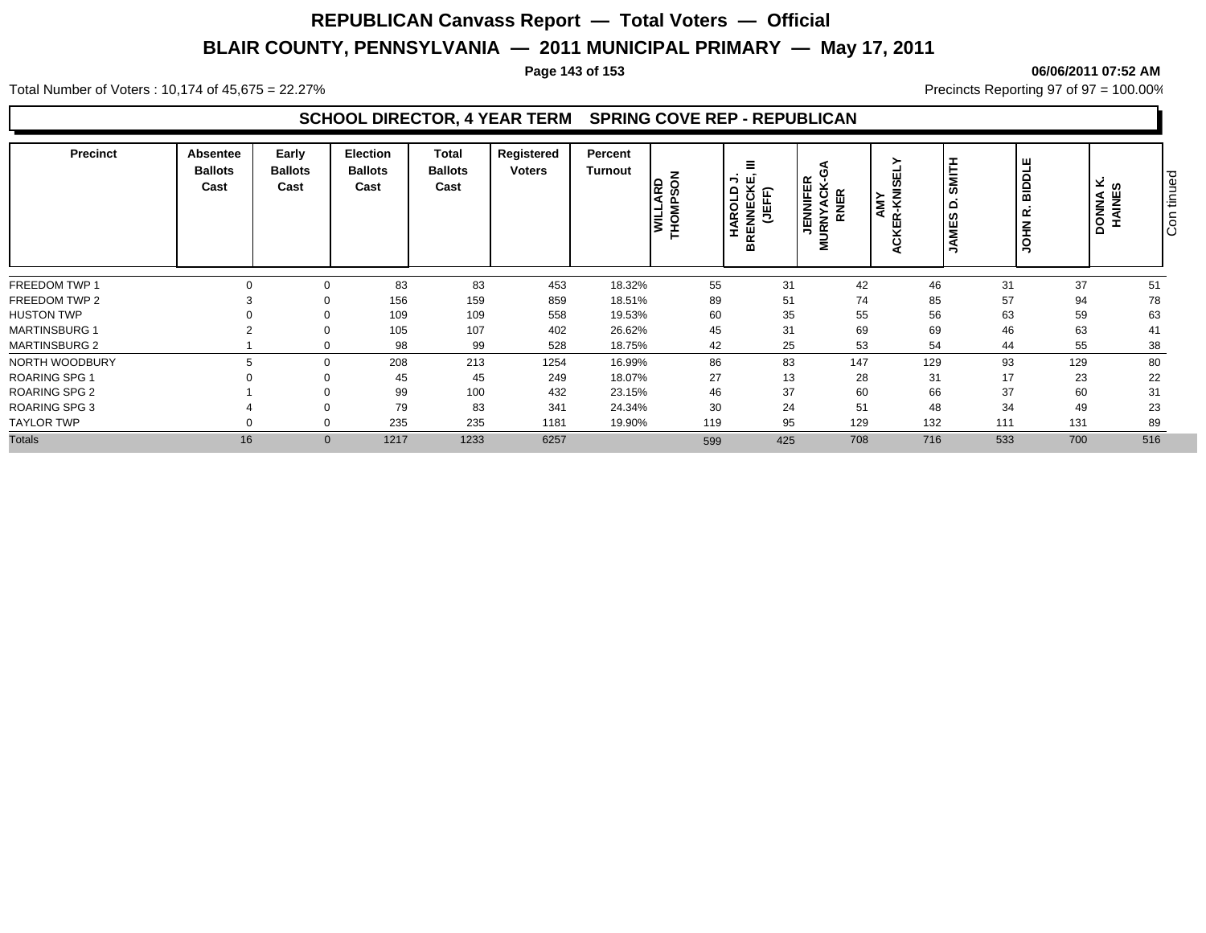### **Page 143 of 153 06/06/2011 07:52 AM**

Total Number of Voters : 10,174 of 45,675 = 22.27% **Precincts Reporting 97 of 97 = 100.00%** Precincts Reporting 97 of 97 = 100.00%

### **SCHOOL DIRECTOR, 4 YEAR TERM SPRING COVE REP - REPUBLICAN**

| <b>Precinct</b>      | Absentee<br><b>Ballots</b><br>Cast | Early<br><b>Ballots</b><br>Cast | <b>Election</b><br><b>Ballots</b><br>Cast | <b>Total</b><br><b>Ballots</b><br>Cast | Registered<br><b>Voters</b> | Percent<br>Turnout | z<br>▫<br>$\circ$<br>ξĪ<br>Ε<br>$\circ$<br>≳ | Ξ<br><b>BRENNECKE</b><br>¬<br>AROLD<br>(JEFF)<br>H | O<br><b>JENNIFER<br/>URNYACK-G</b><br><b>RNER</b><br>⋝ | SMITI<br>AMY<br>R-KNI<br>၊ ဖာ<br>Ë | <b>BIDDLE</b><br>≏<br>, œ̀<br><b>NHOL</b> |     | ⊻ ທ<br><b>DONNA</b><br>HAINES | ு<br>tinue<br>Ιē |
|----------------------|------------------------------------|---------------------------------|-------------------------------------------|----------------------------------------|-----------------------------|--------------------|----------------------------------------------|----------------------------------------------------|--------------------------------------------------------|------------------------------------|-------------------------------------------|-----|-------------------------------|------------------|
| FREEDOM TWP 1        |                                    |                                 | 83                                        | 83                                     | 453                         | 18.32%             | 55                                           | 31                                                 | 42                                                     | 46                                 | 31                                        | 37  | 51                            |                  |
| FREEDOM TWP 2        |                                    |                                 | 156                                       | 159                                    | 859                         | 18.51%             | 89                                           | 51                                                 | 74                                                     | 85                                 | 57                                        | 94  | 78                            |                  |
| <b>HUSTON TWP</b>    |                                    |                                 | 109                                       | 109                                    | 558                         | 19.53%             | 60                                           | 35                                                 | 55                                                     | 56                                 | 63                                        | 59  | 63                            |                  |
| <b>MARTINSBURG 1</b> |                                    |                                 | 105                                       | 107                                    | 402                         | 26.62%             | 45                                           | 31                                                 | 69                                                     | 69                                 | 46                                        | 63  | 41                            |                  |
| <b>MARTINSBURG 2</b> |                                    | $\Omega$                        | 98                                        | 99                                     | 528                         | 18.75%             | 42                                           | 25                                                 | 53                                                     | 54                                 | 44                                        | 55  | 38                            |                  |
| NORTH WOODBURY       |                                    | $\Omega$                        | 208                                       | 213                                    | 1254                        | 16.99%             | 86                                           | 83                                                 | 147                                                    | 129                                | 93                                        | 129 | 80                            |                  |
| <b>ROARING SPG 1</b> |                                    |                                 | 45                                        | 45                                     | 249                         | 18.07%             | 27                                           | 13                                                 | 28                                                     | 31                                 | 17                                        | 23  | 22                            |                  |
| <b>ROARING SPG 2</b> |                                    |                                 | 99                                        | 100                                    | 432                         | 23.15%             | 46                                           | 37                                                 | 60                                                     | 66                                 | 37                                        | 60  | 31                            |                  |
| <b>ROARING SPG 3</b> |                                    |                                 | 79                                        | 83                                     | 341                         | 24.34%             | 30                                           | 24                                                 | 51                                                     | 48                                 | 34                                        | 49  | 23                            |                  |
| <b>TAYLOR TWP</b>    |                                    |                                 | 235                                       | 235                                    | 1181                        | 19.90%             | 119                                          | 95                                                 | 129                                                    | 132                                | 111                                       | 131 | 89                            |                  |
| <b>Totals</b>        | 16                                 | $\mathbf{0}$                    | 1217                                      | 1233                                   | 6257                        |                    | 599                                          | 425                                                | 708                                                    | 716                                | 533                                       | 700 | 516                           |                  |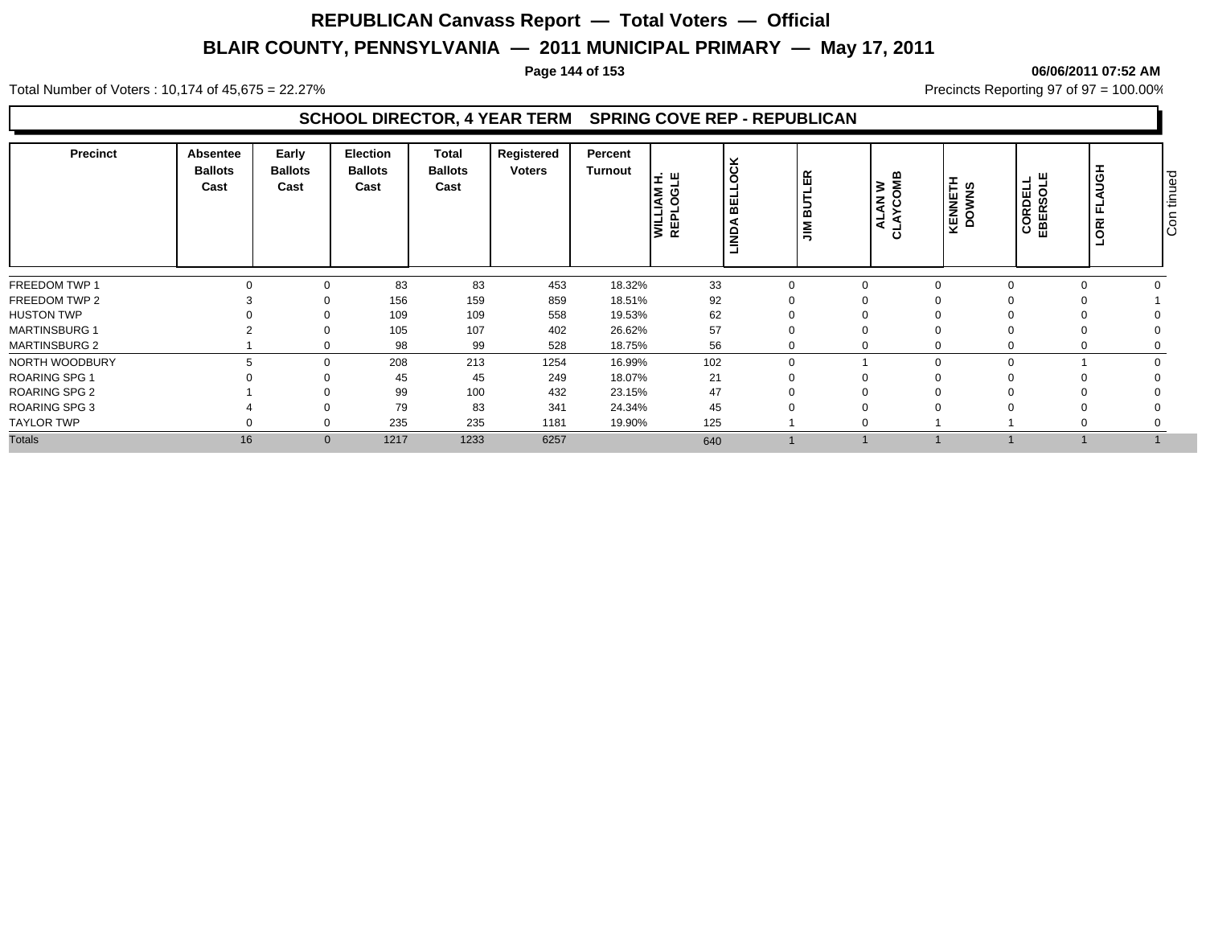#### **Page 144 of 153 06/06/2011 07:52 AM**

Total Number of Voters : 10,174 of 45,675 = 22.27% **Precincts Reporting 97 of 97 = 100.00%** Precincts Reporting 97 of 97 = 100.00%

### **SCHOOL DIRECTOR, 4 YEAR TERM SPRING COVE REP - REPUBLICAN**

| <b>Precinct</b>      | Absentee<br><b>Ballots</b><br>Cast | Early<br><b>Ballots</b><br>Cast | <b>Election</b><br><b>Ballots</b><br>Cast | Total<br><b>Ballots</b><br>Cast | Registered<br><b>Voters</b> | Percent<br>Turnout | 로 픽<br>ξ<br>C<br>l≧ & | ×<br>ە<br>است<br>ш<br>$\overline{m}$<br>š | ER<br>∍<br>മ<br>$\leq$ | <b>WO</b><br>z ວັ<br>◀<br>-<br>ပ | KENNETH<br>DOWNS | CORDELL<br>EBERSOLE | <b>AUGH</b><br>۰<br>匞<br>$\overline{g}$ | ு<br>tinue<br>$\overline{\circ}$<br>ΙŌ |
|----------------------|------------------------------------|---------------------------------|-------------------------------------------|---------------------------------|-----------------------------|--------------------|-----------------------|-------------------------------------------|------------------------|----------------------------------|------------------|---------------------|-----------------------------------------|----------------------------------------|
| FREEDOM TWP 1        |                                    |                                 | 83                                        | 83                              | 453                         | 18.32%             | 33                    | 0                                         | $\Omega$               |                                  |                  |                     |                                         |                                        |
| FREEDOM TWP 2        |                                    |                                 | 156                                       | 159                             | 859                         | 18.51%             | 92                    |                                           |                        |                                  |                  |                     |                                         |                                        |
| <b>HUSTON TWP</b>    |                                    |                                 | 109                                       | 109                             | 558                         | 19.53%             | 62                    |                                           |                        |                                  |                  |                     |                                         |                                        |
| <b>MARTINSBURG 1</b> |                                    |                                 | 105                                       | 107                             | 402                         | 26.62%             | 57                    |                                           |                        |                                  |                  |                     |                                         |                                        |
| <b>MARTINSBURG 2</b> |                                    | $\Omega$                        | 98                                        | 99                              | 528                         | 18.75%             | 56                    | 0                                         | $\Omega$               |                                  |                  |                     |                                         |                                        |
| NORTH WOODBURY       |                                    | $\Omega$                        | 208                                       | 213                             | 1254                        | 16.99%             | 102                   | $\mathbf 0$                               |                        |                                  |                  |                     |                                         |                                        |
| <b>ROARING SPG 1</b> |                                    |                                 | 45                                        | 45                              | 249                         | 18.07%             | 21                    |                                           |                        |                                  |                  |                     |                                         |                                        |
| <b>ROARING SPG 2</b> |                                    |                                 | 99                                        | 100                             | 432                         | 23.15%             | 47                    |                                           |                        |                                  |                  |                     |                                         |                                        |
| <b>ROARING SPG 3</b> |                                    |                                 | 79                                        | 83                              | 341                         | 24.34%             | 45                    |                                           |                        |                                  |                  |                     |                                         |                                        |
| <b>TAYLOR TWP</b>    |                                    |                                 | 235                                       | 235                             | 1181                        | 19.90%             | 125                   |                                           |                        |                                  |                  |                     |                                         |                                        |
| <b>Totals</b>        | 16                                 | $\mathbf{0}$                    | 1217                                      | 1233                            | 6257                        |                    | 640                   |                                           |                        |                                  |                  |                     |                                         |                                        |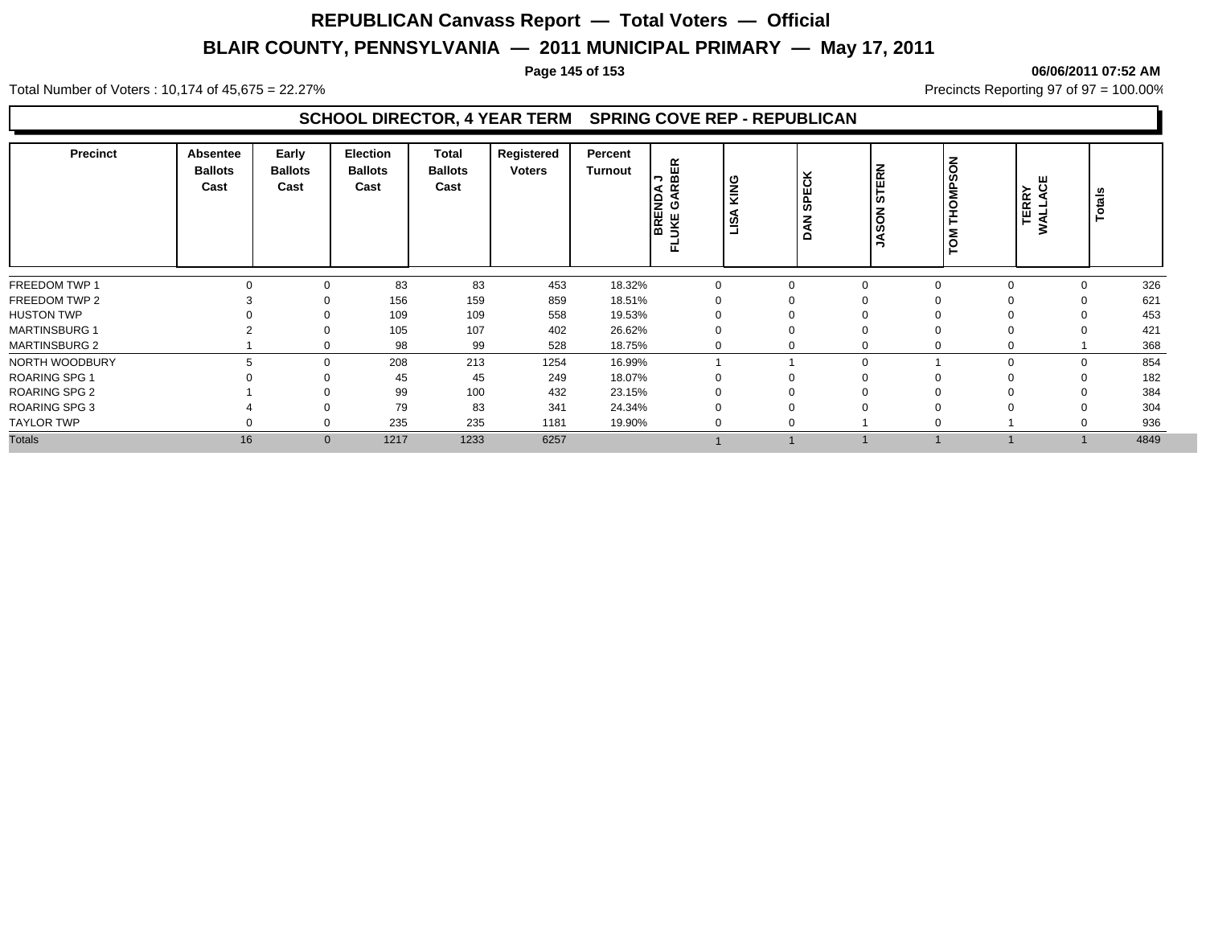#### **Page 145 of 153 06/06/2011 07:52 AM**

Total Number of Voters : 10,174 of 45,675 = 22.27% **Precincts Reporting 97 of 97 = 100.00%** Precincts Reporting 97 of 97 = 100.00%

#### **SCHOOL DIRECTOR, 4 YEAR TERM SPRING COVE REP - REPUBLICAN**

| <b>Precinct</b>      | Absentee<br><b>Ballots</b><br>Cast | Early<br><b>Ballots</b><br>Cast | <b>Election</b><br><b>Ballots</b><br>Cast | Total<br><b>Ballots</b><br>Cast | Registered<br><b>Voters</b> | Percent<br><b>Turnout</b> | 띥<br>≅ ⊂∣<br><b>BREND</b><br>JKE GA | KING<br>న్<br>ã | Ιš<br>SPE<br>z<br>◀<br>$\Omega$ | STERN<br>SO<br>∍ | <b>THOMPSON</b><br>TOM | ෪<br>≻<br>TERR <sup>V</sup><br>WALLA | <b>Totals</b> |      |
|----------------------|------------------------------------|---------------------------------|-------------------------------------------|---------------------------------|-----------------------------|---------------------------|-------------------------------------|-----------------|---------------------------------|------------------|------------------------|--------------------------------------|---------------|------|
| FREEDOM TWP 1        |                                    | $\Omega$                        | 83                                        | 83                              | 453                         | 18.32%                    | $\Omega$                            |                 | 0                               | $\Omega$         |                        | $\Omega$                             | 0             | 326  |
| FREEDOM TWP 2        |                                    | $\Omega$                        | 156                                       | 159                             | 859                         | 18.51%                    |                                     |                 |                                 | $\Omega$         |                        |                                      |               | 621  |
| <b>HUSTON TWP</b>    |                                    | 0                               | 109                                       | 109                             | 558                         | 19.53%                    |                                     |                 |                                 | $\Omega$         |                        |                                      |               | 453  |
| <b>MARTINSBURG 1</b> |                                    | $\Omega$                        | 105                                       | 107                             | 402                         | 26.62%                    |                                     |                 |                                 | $\Omega$         |                        |                                      |               | 421  |
| <b>MARTINSBURG 2</b> |                                    | 0                               | 98                                        | 99                              | 528                         | 18.75%                    |                                     |                 |                                 | $\Omega$         |                        | 0                                    |               | 368  |
| NORTH WOODBURY       |                                    | $\Omega$                        | 208                                       | 213                             | 1254                        | 16.99%                    |                                     |                 |                                 | $\mathbf 0$      |                        | $\Omega$                             | $\Omega$      | 854  |
| <b>ROARING SPG 1</b> |                                    | $\Omega$                        | 45                                        | 45                              | 249                         | 18.07%                    |                                     |                 | υ                               | $\Omega$         |                        |                                      | $\mathbf{0}$  | 182  |
| <b>ROARING SPG 2</b> |                                    |                                 | 99                                        | 100                             | 432                         | 23.15%                    |                                     |                 |                                 | $\Omega$         |                        |                                      |               | 384  |
| <b>ROARING SPG 3</b> |                                    |                                 | 79                                        | 83                              | 341                         | 24.34%                    |                                     |                 |                                 | $\Omega$         |                        |                                      |               | 304  |
| <b>TAYLOR TWP</b>    |                                    | $\Omega$                        | 235                                       | 235                             | 1181                        | 19.90%                    |                                     |                 | $\mathbf{0}$                    |                  |                        |                                      |               | 936  |
| <b>Totals</b>        | 16                                 | $\overline{0}$                  | 1217                                      | 1233                            | 6257                        |                           |                                     |                 |                                 |                  |                        |                                      |               | 4849 |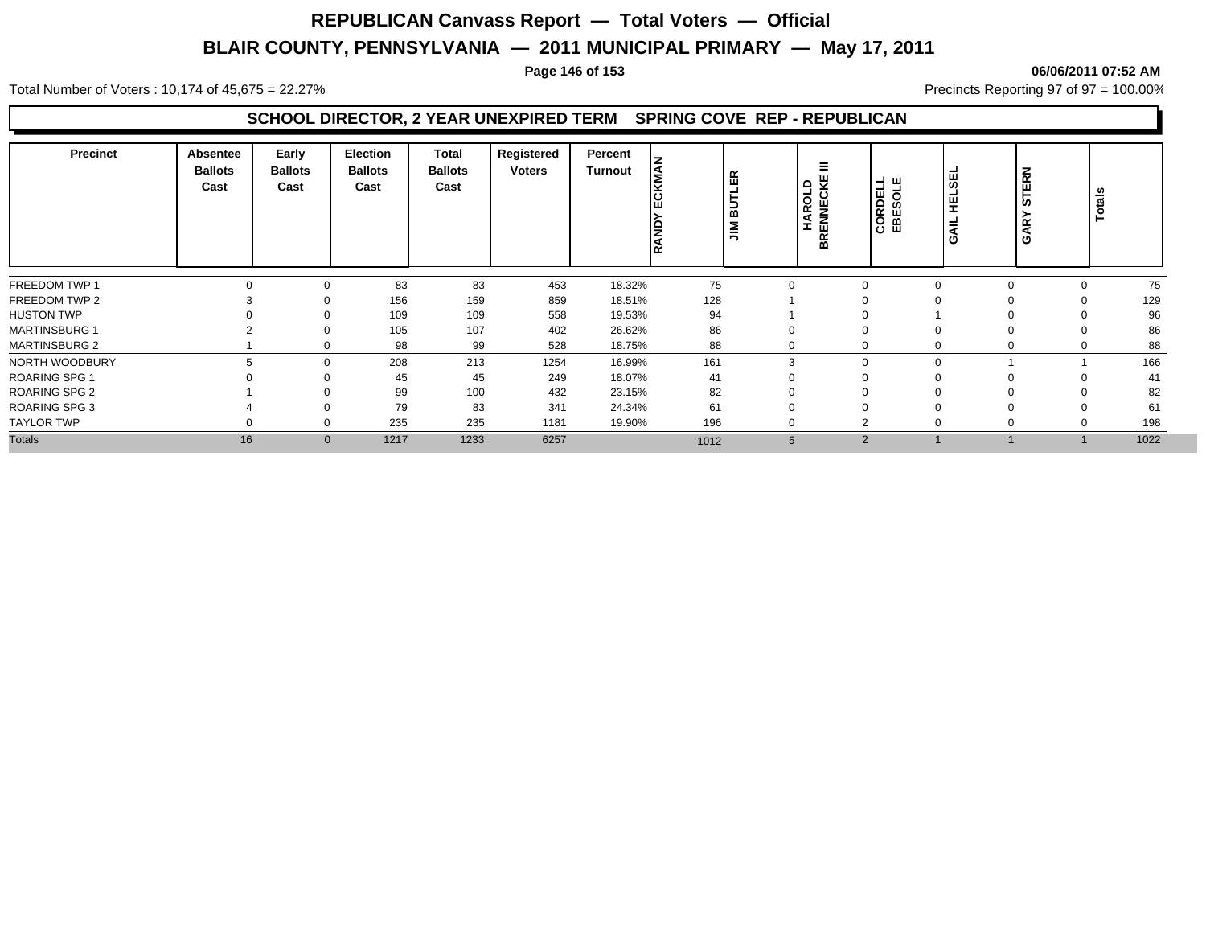#### **Page 146 of 153 06/06/2011 07:52 AM**

Total Number of Voters : 10,174 of 45,675 = 22.27% **Precincts Reporting 97 of 97 = 100.00%** Precincts Reporting 97 of 97 = 100.00%

#### **SCHOOL DIRECTOR, 2 YEAR UNEXPIRED TERM SPRING COVE REP - REPUBLICAN**

| <b>Precinct</b>      | Absentee<br><b>Ballots</b><br>Cast | Early<br><b>Ballots</b><br>Cast | <b>Election</b><br><b>Ballots</b><br>Cast | Total<br><b>Ballots</b><br>Cast | Registered<br><b>Voters</b> | Percent<br><b>Turnout</b> | l⋚<br><b>RAND</b> | <b>LER</b><br>∣ັສ<br>$\sum_{i=1}^{n}$ | Ξ<br><b>HAROLD<br/>BRENNECKE</b> | <b>CORDELL</b><br>EBESOLE | ¦¥<br>맆<br><b>HYS</b> | <b>STERN</b><br>GAR' | Totals         |
|----------------------|------------------------------------|---------------------------------|-------------------------------------------|---------------------------------|-----------------------------|---------------------------|-------------------|---------------------------------------|----------------------------------|---------------------------|-----------------------|----------------------|----------------|
| FREEDOM TWP 1        |                                    | $\Omega$                        | 83                                        | 83                              | 453                         | 18.32%                    | 75                | $\Omega$                              | $\mathbf 0$                      |                           |                       | $\Omega$             | 75<br>$\Omega$ |
| FREEDOM TWP 2        |                                    | 0                               | 156                                       | 159                             | 859                         | 18.51%                    | 128               |                                       |                                  |                           |                       |                      | 129            |
| <b>HUSTON TWP</b>    |                                    | $\Omega$                        | 109                                       | 109                             | 558                         | 19.53%                    | 94                |                                       | $\Omega$                         |                           |                       |                      | 96             |
| <b>MARTINSBURG 1</b> |                                    | 0                               | 105                                       | 107                             | 402                         | 26.62%                    | 86                |                                       | $\Omega$                         |                           |                       |                      | 86             |
| <b>MARTINSBURG 2</b> |                                    | $\Omega$                        | 98                                        | 99                              | 528                         | 18.75%                    | 88                | 0                                     | $\Omega$                         |                           |                       | $\Omega$             | 88<br>0        |
| NORTH WOODBURY       | h                                  | $\mathbf 0$                     | 208                                       | 213                             | 1254                        | 16.99%                    | 161               | 3                                     | $\mathbf 0$                      |                           |                       |                      | 166            |
| <b>ROARING SPG 1</b> |                                    | $\Omega$                        | 45                                        | 45                              | 249                         | 18.07%                    | 41                |                                       | $\Omega$                         |                           |                       |                      | 41<br>0        |
| <b>ROARING SPG 2</b> |                                    |                                 | 99                                        | 100                             | 432                         | 23.15%                    | 82                |                                       | 0                                |                           |                       |                      | 82             |
| <b>ROARING SPG 3</b> |                                    |                                 | 79                                        | 83                              | 341                         | 24.34%                    | 61                |                                       | $\Omega$                         |                           |                       |                      | 61             |
| <b>TAYLOR TWP</b>    |                                    | $\Omega$                        | 235                                       | 235                             | 1181                        | 19.90%                    | 196               | 0                                     | $\overline{2}$                   |                           |                       | 0                    | 198<br>0       |
| <b>Totals</b>        | 16                                 | $\mathbf{0}$                    | 1217                                      | 1233                            | 6257                        |                           | 1012              | 5                                     | $\overline{2}$                   |                           |                       |                      | 1022           |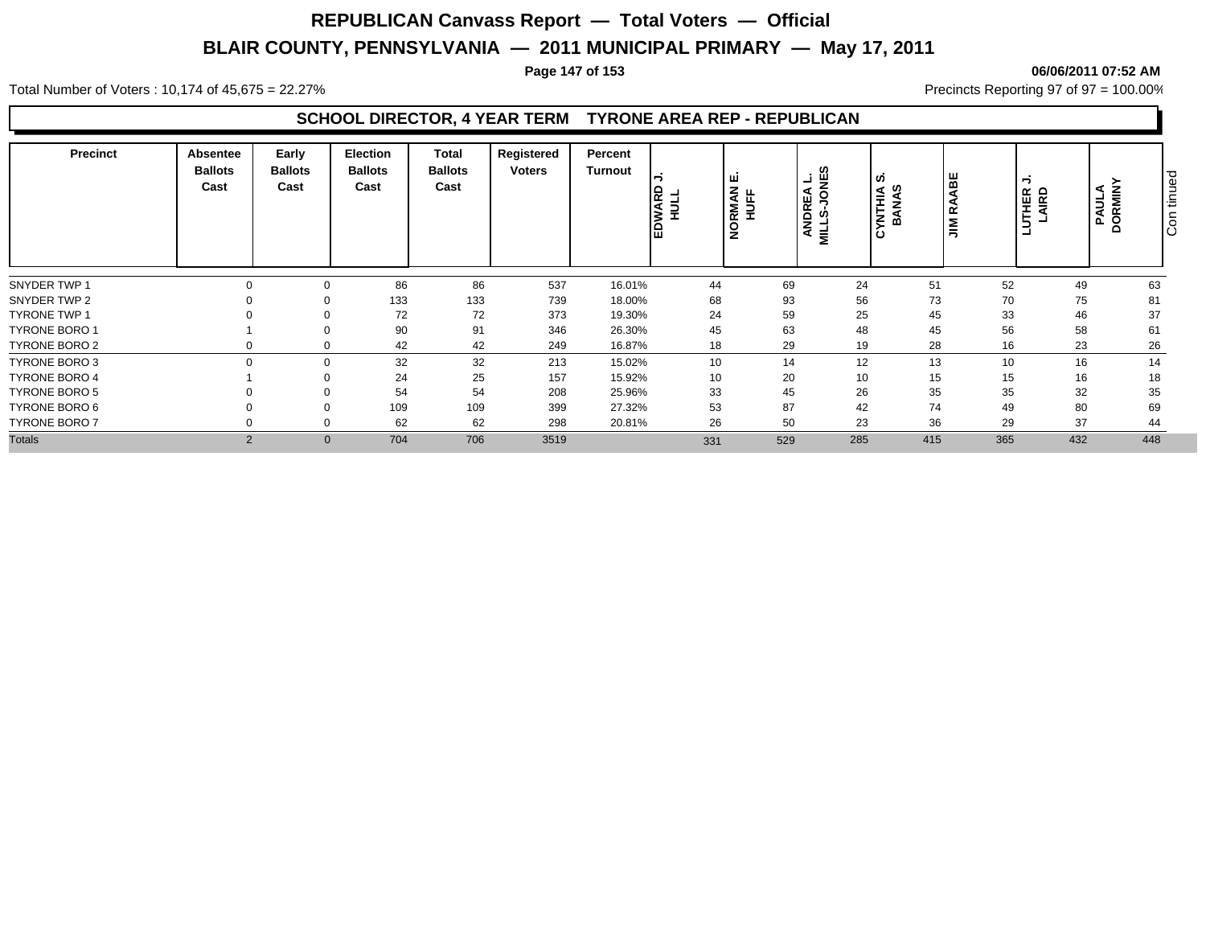#### **Page 147 of 153 06/06/2011 07:52 AM**

Total Number of Voters : 10,174 of 45,675 = 22.27% **Precincts Reporting 97 of 97 = 100.00%** Precincts Reporting 97 of 97 = 100.00%

#### **SCHOOL DIRECTOR, 4 YEAR TERM TYRONE AREA REP - REPUBLICAN**

| <b>Precinct</b>      | Absentee<br><b>Ballots</b><br>Cast | Early<br><b>Ballots</b><br>Cast | <b>Election</b><br><b>Ballots</b><br>Cast | Total<br><b>Ballots</b><br>Cast | Registered<br>Voters | Percent<br>Turnout | <b>NARI</b><br>$\vert$ | ш<br>z<br><b>RMAI</b><br>HUFF<br>$\frac{1}{2}$ | ທ<br>년 뿐<br>ANDREA<br>$\overline{\mathbf{z}}$ | n,<br><b>YNTHIA</b><br>BANAS | ABE<br>$\leq$ | $\overline{\phantom{0}}$<br>UTHER<br>LAIRD | PAULA<br>AULA<br>$\Omega$ | ு<br>ğ<br>έĒ<br>$\circ$<br>ΙO |
|----------------------|------------------------------------|---------------------------------|-------------------------------------------|---------------------------------|----------------------|--------------------|------------------------|------------------------------------------------|-----------------------------------------------|------------------------------|---------------|--------------------------------------------|---------------------------|-------------------------------|
| SNYDER TWP 1         |                                    |                                 | 86                                        | 86                              | 537                  | 16.01%             | 44                     | 69                                             | 24                                            | 51                           | 52            | 49                                         | 63                        |                               |
| SNYDER TWP 2         |                                    |                                 | 133                                       | 133                             | 739                  | 18.00%             | 68                     | 93                                             | 56                                            | 73                           | 70            | 75                                         | 81                        |                               |
| <b>TYRONE TWP 1</b>  |                                    |                                 | 72                                        | 72                              | 373                  | 19.30%             | 24                     | 59                                             | 25                                            | 45                           | 33            | 46                                         | 37                        |                               |
| <b>TYRONE BORO 1</b> |                                    |                                 | 90                                        | 91                              | 346                  | 26.30%             | 45                     | 63                                             | 48                                            | 45                           | 56            | 58                                         | 61                        |                               |
| TYRONE BORO 2        |                                    | $\Omega$                        | 42                                        | 42                              | 249                  | 16.87%             | 18                     | 29                                             | 19                                            | 28                           | 16            | 23                                         | 26                        |                               |
| TYRONE BORO 3        |                                    | $\Omega$                        | 32                                        | 32                              | 213                  | 15.02%             | 10 <sup>1</sup>        | 14                                             | 12                                            | 13                           | 10            | 16                                         | 14                        |                               |
| <b>TYRONE BORO 4</b> |                                    |                                 | 24                                        | 25                              | 157                  | 15.92%             | 10                     | 20                                             | 10                                            | 15                           | 15            | 16                                         | 18                        |                               |
| <b>TYRONE BORO 5</b> |                                    |                                 | 54                                        | 54                              | 208                  | 25.96%             | 33                     | 45                                             | 26                                            | 35                           | 35            | 32                                         | 35                        |                               |
| TYRONE BORO 6        |                                    |                                 | 109                                       | 109                             | 399                  | 27.32%             | 53                     | 87                                             | 42                                            | 74                           | 49            | 80                                         | 69                        |                               |
| <b>TYRONE BORO 7</b> |                                    |                                 | 62                                        | 62                              | 298                  | 20.81%             | 26                     | 50                                             | 23                                            | 36                           | 29            | 37                                         | 44                        |                               |
| <b>Totals</b>        | $\overline{2}$                     | $\mathbf{0}$                    | 704                                       | 706                             | 3519                 |                    | 331                    | 529                                            | 285                                           | 415                          | 365           | 432                                        | 448                       |                               |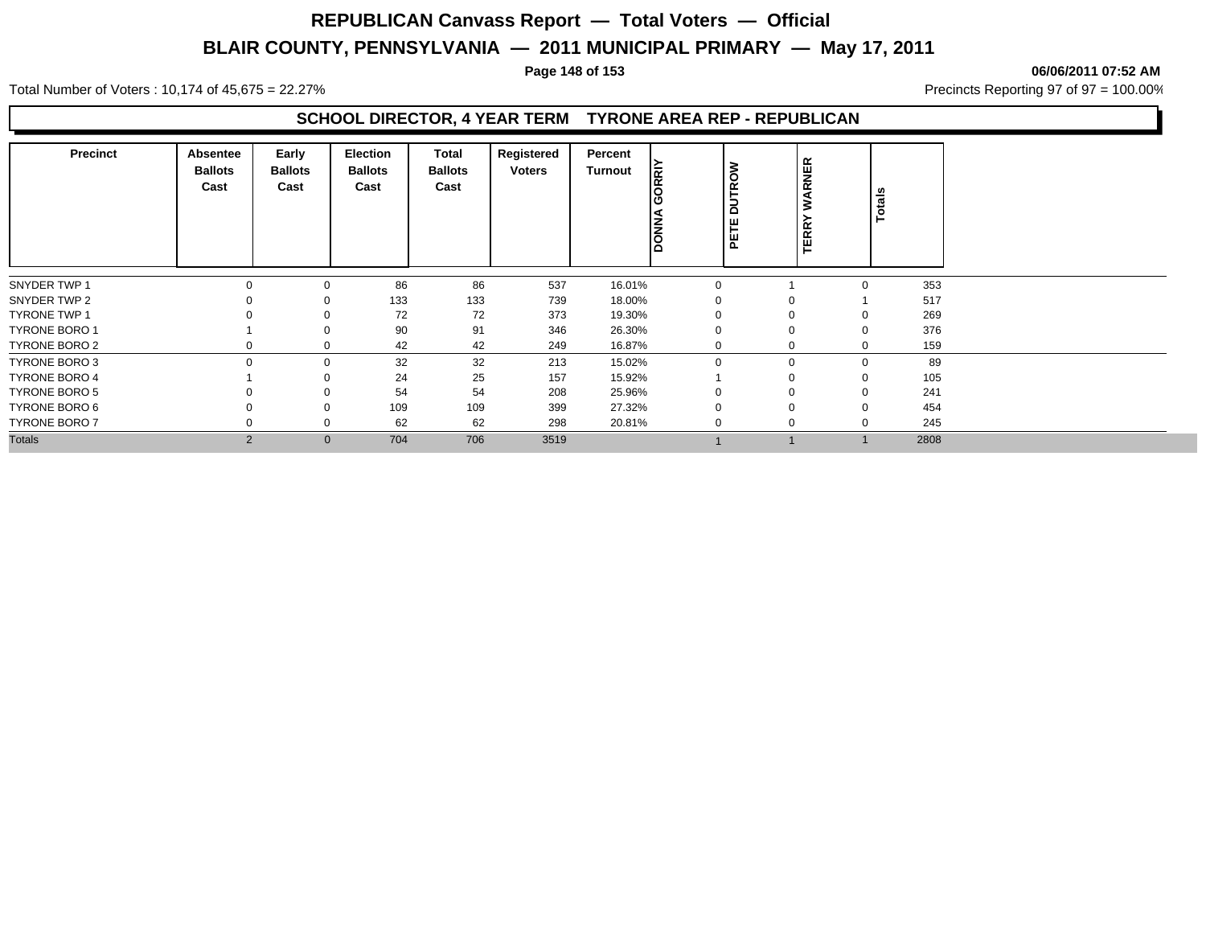#### Total Number of Voters : 10,174 of 45,675 = 22.27% **Precincts Reporting 97 of 97 = 100.00%** Precincts Reporting 97 of 97 = 100.00%

#### **SCHOOL DIRECTOR, 4 YEAR TERM TYRONE AREA REP - REPUBLICAN**

| <b>Precinct</b>      | <b>Absentee</b><br><b>Ballots</b><br>Cast | Early<br><b>Ballots</b><br>Cast | Election<br><b>Ballots</b><br>Cast | Total<br><b>Ballots</b><br>Cast | Registered<br>Voters | Percent<br>Turnout | <b>ORRIT</b><br>Ιā | <b>DUTROW</b><br>PETE | WARNER<br><b>TERR</b> | Totals      |      |
|----------------------|-------------------------------------------|---------------------------------|------------------------------------|---------------------------------|----------------------|--------------------|--------------------|-----------------------|-----------------------|-------------|------|
| SNYDER TWP 1         | 0                                         | $\Omega$                        | 86                                 | 86                              | 537                  | 16.01%             | $\Omega$           |                       |                       | $\Omega$    | 353  |
| SNYDER TWP 2         |                                           |                                 | 133                                | 133                             | 739                  | 18.00%             |                    |                       |                       |             | 517  |
| <b>TYRONE TWP 1</b>  |                                           |                                 | 72                                 | 72                              | 373                  | 19.30%             |                    |                       |                       | $\Omega$    | 269  |
| <b>TYRONE BORO 1</b> |                                           |                                 | 90                                 | 91                              | 346                  | 26.30%             |                    |                       |                       | $\Omega$    | 376  |
| TYRONE BORO 2        |                                           |                                 | 42                                 | 42                              | 249                  | 16.87%             |                    |                       |                       | $\Omega$    | 159  |
| TYRONE BORO 3        | $\Omega$                                  | $\mathbf 0$                     | 32                                 | 32                              | 213                  | 15.02%             | $\Omega$           |                       | 0                     | $\mathbf 0$ | 89   |
| <b>TYRONE BORO 4</b> |                                           |                                 | 24                                 | 25                              | 157                  | 15.92%             |                    |                       |                       | 0           | 105  |
| TYRONE BORO 5        |                                           |                                 | 54                                 | 54                              | 208                  | 25.96%             |                    |                       |                       | $\Omega$    | 241  |
| TYRONE BORO 6        |                                           |                                 | 109                                | 109                             | 399                  | 27.32%             |                    |                       |                       | $\Omega$    | 454  |
| <b>TYRONE BORO 7</b> |                                           | $\Omega$                        | 62                                 | 62                              | 298                  | 20.81%             |                    |                       | 0                     | $\Omega$    | 245  |
| <b>Totals</b>        | $\overline{2}$                            | $\mathbf{0}$                    | 704                                | 706                             | 3519                 |                    |                    |                       |                       |             | 2808 |

#### **Page 148 of 153 06/06/2011 07:52 AM**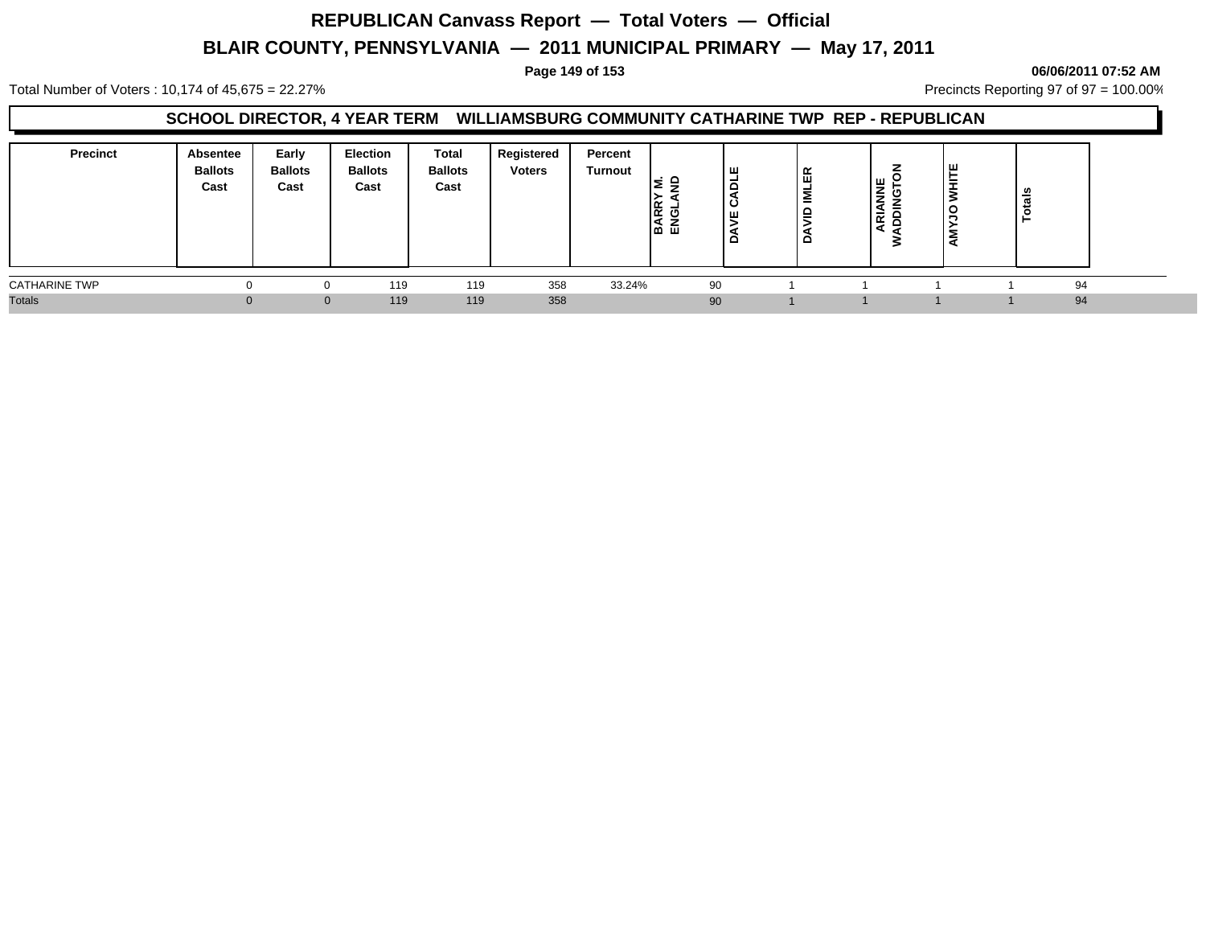#### **Page 149 of 153 06/06/2011 07:52 AM**

Total Number of Voters : 10,174 of 45,675 = 22.27% **Precincts Reporting 97 of 97 = 100.00%** Precincts Reporting 97 of 97 = 100.00%

#### **SCHOOL DIRECTOR, 4 YEAR TERM WILLIAMSBURG COMMUNITY CATHARINE TWP REP - REPUBLICAN**

| <b>Precinct</b>      | Absentee<br><b>Ballots</b><br>Cast | Early<br><b>Ballots</b><br>Cast | Election<br><b>Ballots</b><br>Cast | Total<br><b>Ballots</b><br>Cast | Registered<br><b>Voters</b> | Percent<br>Turnout | -<br>ARR<br>NGLJ<br>نت نما | ш<br>-<br>ັ<br>ш<br>۰ | ≃<br>画<br>-<br>Σ<br>┙<br>-<br>≏ | 쁮<br>€<br>ᇍ | ш<br>-<br>-<br>$\circ$<br>c | ឹ<br>► |  |
|----------------------|------------------------------------|---------------------------------|------------------------------------|---------------------------------|-----------------------------|--------------------|----------------------------|-----------------------|---------------------------------|-------------|-----------------------------|--------|--|
| <b>CATHARINE TWP</b> |                                    |                                 | 119                                | 119                             | 358                         | 33.24%             |                            | 90                    |                                 |             |                             | 94     |  |
| <b>Totals</b>        |                                    | $\Omega$                        | 119                                | 119                             | 358                         |                    |                            | 90                    |                                 |             |                             | 94     |  |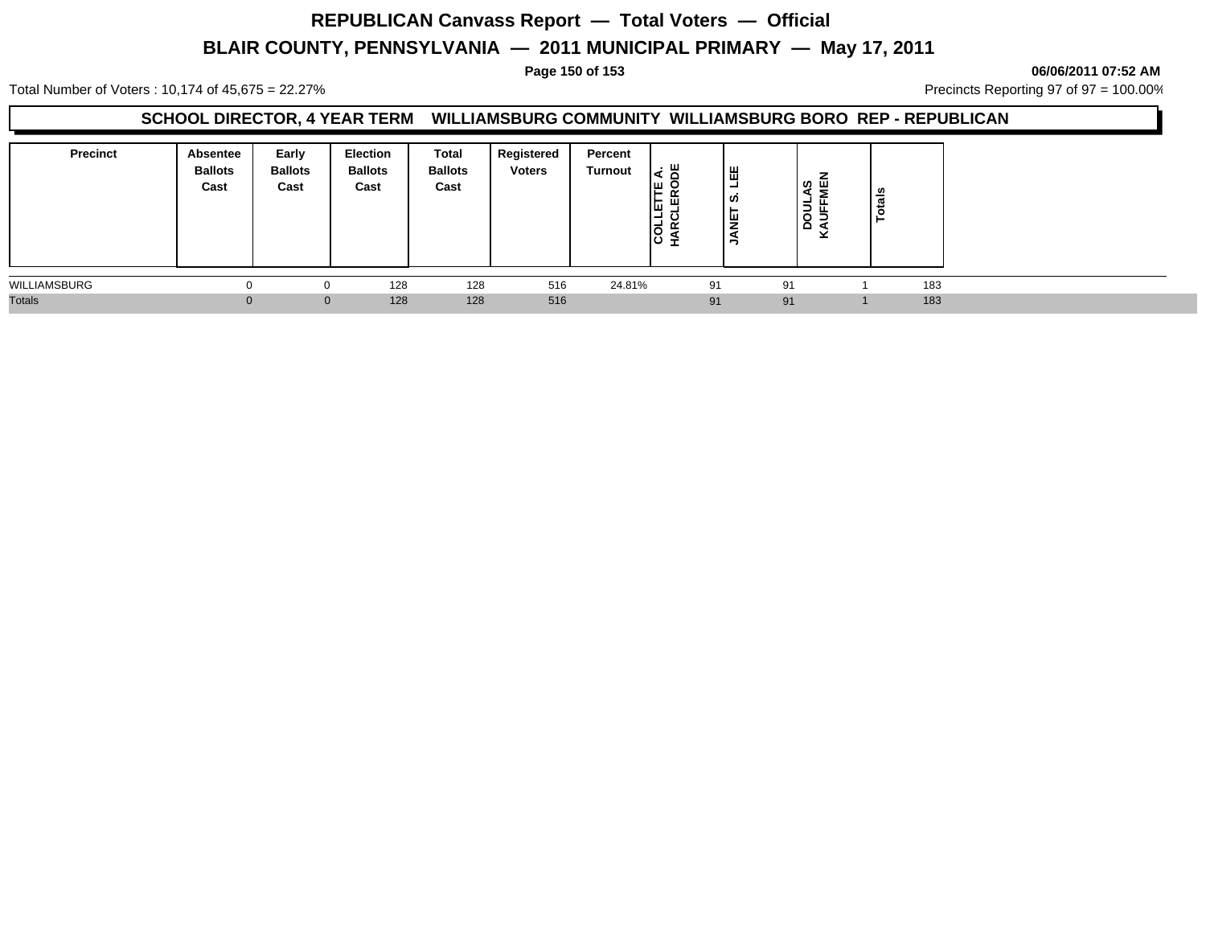# **REPUBLICAN Canvass Report — Total Voters — Official**

## **BLAIR COUNTY, PENNSYLVANIA — 2011 MUNICIPAL PRIMARY — May 17, 2011**

**Page 150 of 153 06/06/2011 07:52 AM**

Total Number of Voters : 10,174 of 45,675 = 22.27% **Precincts Reporting 97 of 97 = 100.00%** Precincts Reporting 97 of 97 = 100.00%

#### **SCHOOL DIRECTOR, 4 YEAR TERM WILLIAMSBURG COMMUNITY WILLIAMSBURG BORO REP - REPUBLICAN**

| <b>Precinct</b> | Absentee<br><b>Ballots</b><br>Cast | Early<br><b>Ballots</b><br>Cast | Election<br><b>Ballots</b><br>Cast | <b>Total</b><br><b>Ballots</b><br>Cast | Registered<br><b>Voters</b> | Percent<br>Turnout | . ய<br>ш.<br>旧<br>띥<br>lĝ | 出<br>۰<br>ທ<br>Ξ<br>ぅ | ဟ   Ш<br>∢<br>5<br>$\circ$<br>$\circ$ | $\frac{1}{a}$ |     |  |
|-----------------|------------------------------------|---------------------------------|------------------------------------|----------------------------------------|-----------------------------|--------------------|---------------------------|-----------------------|---------------------------------------|---------------|-----|--|
| WILLIAMSBURG    |                                    |                                 | 128                                | 128                                    | 516                         | 24.81%             |                           | 91                    | 91                                    |               | 183 |  |
| <b>Totals</b>   |                                    |                                 | 128<br>$\Omega$                    | 128                                    | 516                         |                    |                           | 91                    | 91                                    |               | 183 |  |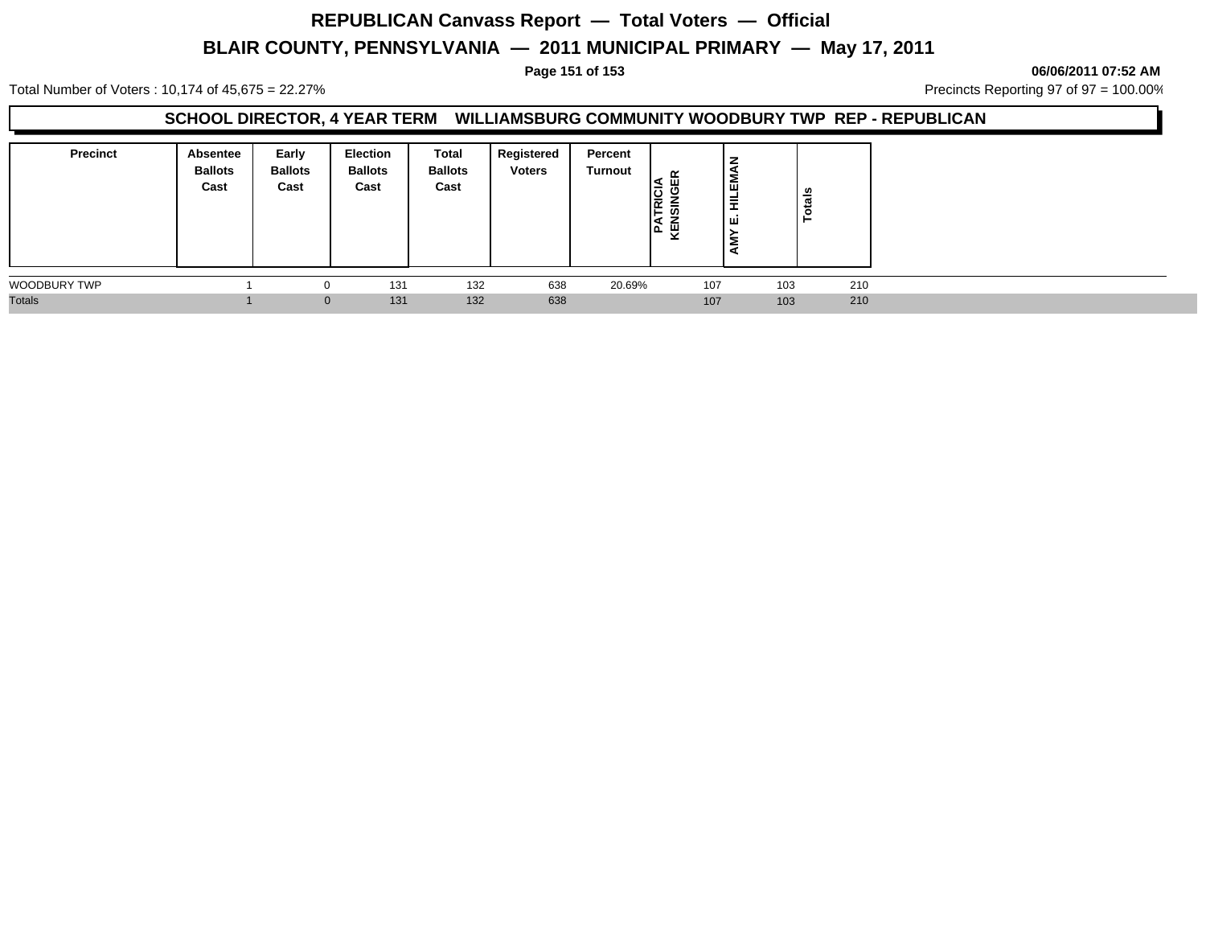# **REPUBLICAN Canvass Report — Total Voters — Official**

## **BLAIR COUNTY, PENNSYLVANIA — 2011 MUNICIPAL PRIMARY — May 17, 2011**

**Page 151 of 153 06/06/2011 07:52 AM**

Total Number of Voters : 10,174 of 45,675 = 22.27% **Precincts Reporting 97 of 97 = 100.00%** Precincts Reporting 97 of 97 = 100.00%

#### **SCHOOL DIRECTOR, 4 YEAR TERM WILLIAMSBURG COMMUNITY WOODBURY TWP REP - REPUBLICAN**

| <b>Precinct</b>     | Absentee<br><b>Ballots</b><br>Cast | Early<br><b>Ballots</b><br>Cast | Election<br><b>Ballots</b><br>Cast | Total<br><b>Ballots</b><br>Cast | Registered<br><b>Voters</b> | Percent<br>Turnout | ≃<br>ш<br><u>ي</u><br>I≃<br>-<br>꿪<br>ته ا | l gi<br>뤂<br>۱ш | Totals |  |
|---------------------|------------------------------------|---------------------------------|------------------------------------|---------------------------------|-----------------------------|--------------------|--------------------------------------------|-----------------|--------|--|
| <b>WOODBURY TWP</b> |                                    | $\Omega$                        | 131                                | 132                             | 638                         | 20.69%             | 107                                        | 103             | 210    |  |
| <b>Totals</b>       |                                    | $\mathbf{0}$                    | 131                                | 132                             | 638                         |                    | 107                                        | 103             | 210    |  |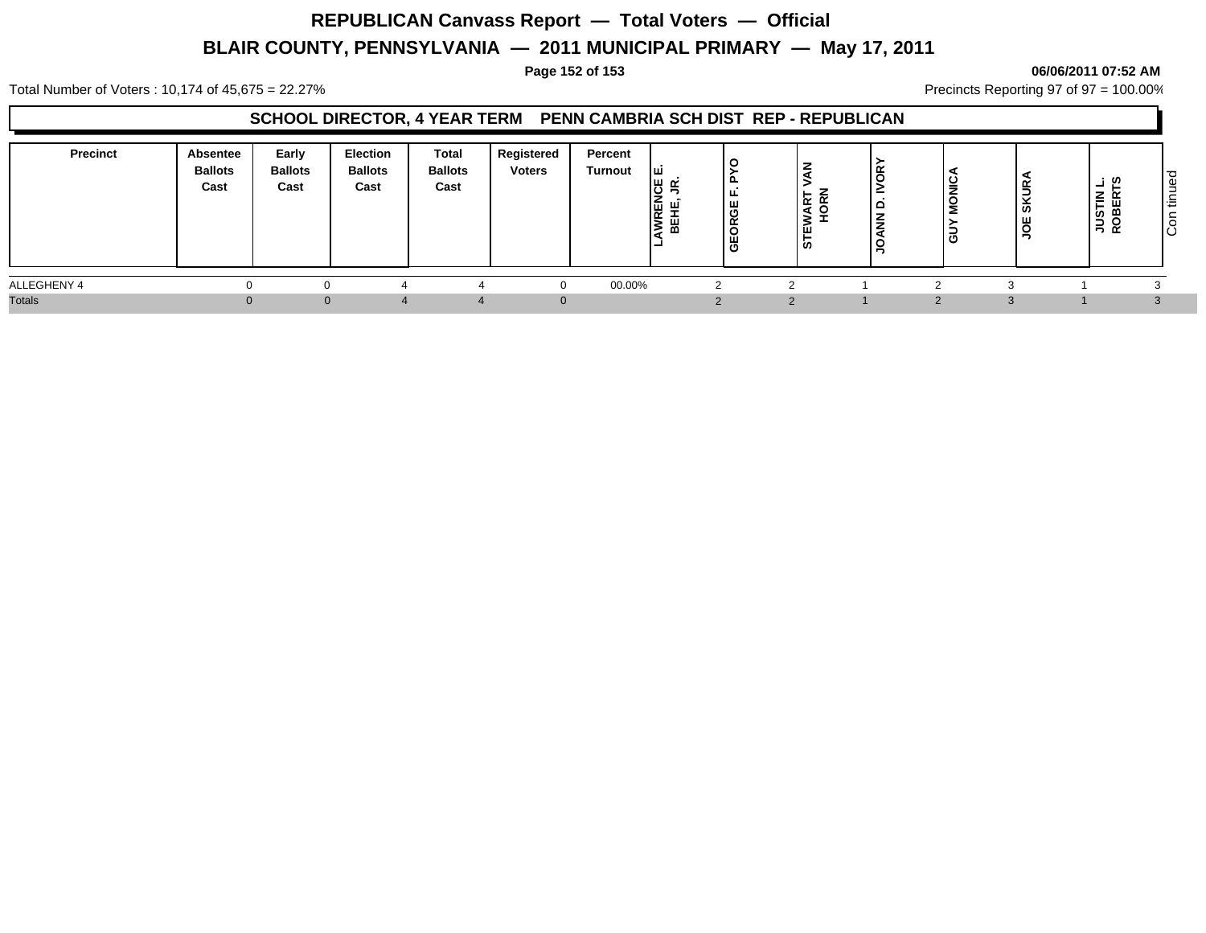#### **Page 152 of 153 06/06/2011 07:52 AM**

Total Number of Voters : 10,174 of 45,675 = 22.27% **Precincts Reporting 97 of 97 = 100.00%** Precincts Reporting 97 of 97 = 100.00%

### **SCHOOL DIRECTOR, 4 YEAR TERM PENN CAMBRIA SCH DIST REP - REPUBLICAN**

| <b>Precinct</b> | <b>Absentee</b><br><b>Ballots</b><br>Cast | Early<br><b>Ballots</b><br>Cast | Election<br><b>Ballots</b><br>Cast | Total<br><b>Ballots</b><br>Cast | Registered<br><b>Voters</b> | Percent<br><b>Turnout</b> | Iш<br>יש ⊔ו<br>د،ا<br>Ιz<br>l¥<br>12 | ட<br>ட<br>ш.<br>O<br>$\alpha$<br>Ë<br>щ.<br>O | ا 1⊻ ا<br>$\blacktriangleleft$<br>-<br>Ø | ≃<br>▭ | ∼ | ≃<br>SKUI<br>č<br>⇒ | : ທ<br>-<br>▵<br>$\overline{\phantom{a}}$<br>eg gl | ັ<br>Φ<br>$\overline{\phantom{a}}$<br>≔<br>ັ<br>ΙÖ |
|-----------------|-------------------------------------------|---------------------------------|------------------------------------|---------------------------------|-----------------------------|---------------------------|--------------------------------------|-----------------------------------------------|------------------------------------------|--------|---|---------------------|----------------------------------------------------|----------------------------------------------------|
| ALLEGHENY 4     |                                           |                                 |                                    |                                 |                             | 00.00%                    |                                      |                                               |                                          |        |   |                     |                                                    |                                                    |
| <b>Totals</b>   |                                           |                                 |                                    |                                 |                             |                           |                                      |                                               |                                          |        |   |                     |                                                    |                                                    |